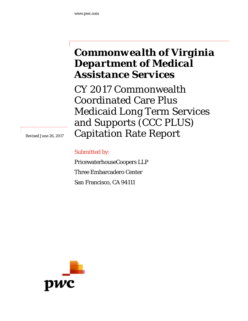# *Commonwealth of Virginia Department of Medical Assistance Services*

CY 2017 Commonwealth Coordinated Care Plus Medicaid Long Term Services and Supports (CCC PLUS) Capitation Rate Report

*Revised June 26, 2017* 

Submitted by:

PricewaterhouseCoopers LLP Three Embarcadero Center San Francisco, CA 94111

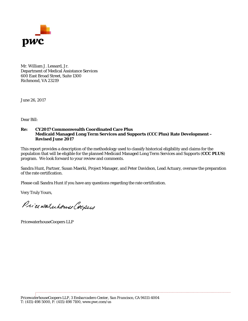

Mr. William J. Lessard, Jr. Department of Medical Assistance Services 600 East Broad Street, Suite 1300 Richmond, VA 23219

June 26, 2017

Dear Bill:

#### **Re: CY2017 Commonwealth Coordinated Care Plus Medicaid Managed Long Term Services and Supports (CCC Plus) Rate Development – Revised June 2017**

This report provides a description of the methodology used to classify historical eligibility and claims for the population that will be eligible for the planned Medicaid Managed Long Term Services and Supports (**CCC PLUS**) program. We look forward to your review and comments.

Sandra Hunt, Partner, Susan Maerki, Project Manager, and Peter Davidson, Lead Actuary, oversaw the preparation of the rate certification.

Please call Sandra Hunt if you have any questions regarding the rate certification.

Very Truly Yours,

Price waterhouse Coopers

PricewaterhouseCoopers LLP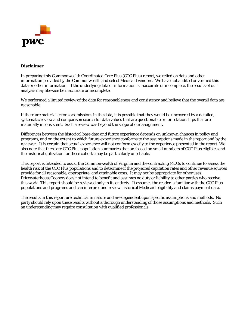

#### **Disclaimer**

In preparing this Commonwealth Coordinated Care Plus (CCC Plus) report, we relied on data and other information provided by the Commonwealth and select Medicaid vendors. We have not audited or verified this data or other information. If the underlying data or information is inaccurate or incomplete, the results of our analysis may likewise be inaccurate or incomplete.

We performed a limited review of the data for reasonableness and consistency and believe that the overall data are reasonable.

If there are material errors or omissions in the data, it is possible that they would be uncovered by a detailed, systematic review and comparison search for data values that are questionable or for relationships that are materially inconsistent. Such a review was beyond the scope of our assignment.

Differences between the historical base data and future experience depends on unknown changes in policy and programs, and on the extent to which future experience conforms to the assumptions made in the report and by the reviewer. It is certain that actual experience will not conform exactly to the experience presented in the report. We also note that there are CCC Plus population summaries that are based on small numbers of CCC Plus eligibles and the historical utilization for these cohorts may be particularly unreliable.

This report is intended to assist the Commonwealth of Virginia and the contracting MCOs to continue to assess the health risk of the CCC Plus populations and to determine if the projected capitation rates and other revenue sources provide for all reasonable, appropriate, and attainable costs. It may not be appropriate for other uses. PricewaterhouseCoopers does not intend to benefit and assumes no duty or liability to other parties who receive this work. This report should be reviewed only in its entirety. It assumes the reader is familiar with the CCC Plus populations and programs and can interpret and review historical Medicaid eligibility and claims payment data.

The results in this report are technical in nature and are dependent upon specific assumptions and methods. No party should rely upon these results without a thorough understanding of those assumptions and methods. Such an understanding may require consultation with qualified professionals.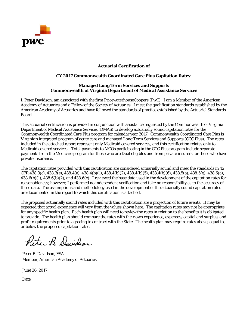

#### **Actuarial Certification of**

#### **CY 2017 Commonwealth Coordinated Care Plus Capitation Rates:**

#### **Managed Long Term Services and Supports Commonwealth of Virginia Department of Medical Assistance Services**

I, Peter Davidson, am associated with the firm PricewaterhouseCoopers (PwC). I am a Member of the American Academy of Actuaries and a Fellow of the Society of Actuaries. I meet the qualification standards established by the American Academy of Actuaries and have followed the standards of practice established by the Actuarial Standards Board.

This actuarial certification is provided in conjunction with assistance requested by the Commonwealth of Virginia Department of Medical Assistance Services (DMAS) to develop actuarially sound capitation rates for the Commonwealth Coordinated Care Plus program for calendar year 2017. Commonwealth Coordinated Care Plus is Virginia's integrated program of acute care and managed Long Term Services and Supports (CCC Plus). The rates included in the attached report represent only Medicaid covered services, and this certification relates only to Medicaid covered services. Total payments to MCOs participating in the CCC Plus program include separate payments from the Medicare program for those who are Dual eligibles and from private insurers for those who have private insurance.

The capitation rates provided with this certification are considered actuarially sound and meet the standards in 42 CFR 438.3(c), 438.3(e), 438.4(a), 438.4(b)(1), 438.4(b)(2), 438.4(b)(5), 438.4(b)(6), 438.5(a), 438.5(g), 438.6(a), 438.6(b)(1), 438.6(b)(2), and 438.6(e). I reviewed the base data used in the development of the capitation rates for reasonableness; however, I performed no independent verification and take no responsibility as to the accuracy of these data. The assumptions and methodology used in the development of the actuarially sound capitation rates are documented in the report to which this certification is attached.

The proposed actuarially sound rates included with this certification are a projection of future events. It may be expected that actual experience will vary from the values shown here. The capitation rates may not be appropriate for any specific health plan. Each health plan will need to review the rates in relation to the benefits it is obligated to provide. The health plan should compare the rates with their own experience, expenses, capital and surplus, and profit requirements prior to agreeing to contract with the State. The health plan may require rates above, equal to, or below the proposed capitation rates.

Peter B. Davidson

Peter B. Davidson, FSA Member, American Academy of Actuaries

June 26, 2017

Date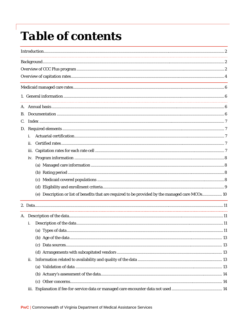# **Table of contents**

| В. |     |                                                                                                  |  |
|----|-----|--------------------------------------------------------------------------------------------------|--|
| C. |     |                                                                                                  |  |
| D. |     |                                                                                                  |  |
|    | i.  |                                                                                                  |  |
|    | ii. |                                                                                                  |  |
|    |     |                                                                                                  |  |
|    |     |                                                                                                  |  |
|    |     |                                                                                                  |  |
|    |     |                                                                                                  |  |
|    |     |                                                                                                  |  |
|    |     |                                                                                                  |  |
|    |     | (e) Description or list of benefits that are required to be provided by the managed care MCOs 10 |  |
|    |     |                                                                                                  |  |
|    |     |                                                                                                  |  |
|    | i.  |                                                                                                  |  |
|    |     |                                                                                                  |  |
|    |     |                                                                                                  |  |
|    |     |                                                                                                  |  |
|    |     |                                                                                                  |  |
|    | ii. |                                                                                                  |  |
|    |     |                                                                                                  |  |
|    |     |                                                                                                  |  |
|    |     |                                                                                                  |  |
|    |     |                                                                                                  |  |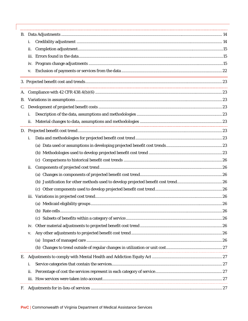|           | i.   |  |  |  |  |  |
|-----------|------|--|--|--|--|--|
|           | ii.  |  |  |  |  |  |
|           | iii. |  |  |  |  |  |
|           |      |  |  |  |  |  |
|           | V.   |  |  |  |  |  |
|           |      |  |  |  |  |  |
|           |      |  |  |  |  |  |
| <b>B.</b> |      |  |  |  |  |  |
| C.        |      |  |  |  |  |  |
|           | i.   |  |  |  |  |  |
|           | ii.  |  |  |  |  |  |
|           |      |  |  |  |  |  |
|           | i.   |  |  |  |  |  |
|           |      |  |  |  |  |  |
|           |      |  |  |  |  |  |
|           |      |  |  |  |  |  |
|           | ii.  |  |  |  |  |  |
|           |      |  |  |  |  |  |
|           |      |  |  |  |  |  |
|           |      |  |  |  |  |  |
|           |      |  |  |  |  |  |
|           |      |  |  |  |  |  |
|           |      |  |  |  |  |  |
|           |      |  |  |  |  |  |
|           | iv.  |  |  |  |  |  |
|           | V.   |  |  |  |  |  |
|           |      |  |  |  |  |  |
|           |      |  |  |  |  |  |
|           |      |  |  |  |  |  |
|           | i.   |  |  |  |  |  |
|           | ii.  |  |  |  |  |  |
|           |      |  |  |  |  |  |
| F.        |      |  |  |  |  |  |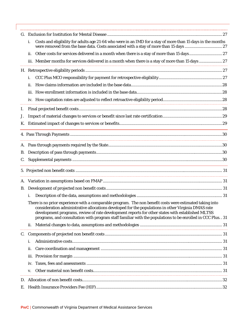|           | Costs and eligibility for adults age 21-64 who were in an IMD for a stay of more than 15 days in the months<br>i.                                                                                                                                                                                                                                                                                                                  |  |
|-----------|------------------------------------------------------------------------------------------------------------------------------------------------------------------------------------------------------------------------------------------------------------------------------------------------------------------------------------------------------------------------------------------------------------------------------------|--|
|           | ii.                                                                                                                                                                                                                                                                                                                                                                                                                                |  |
|           | iii. Member months for services delivered in a month when there is a stay of more than 15 days  27                                                                                                                                                                                                                                                                                                                                 |  |
|           |                                                                                                                                                                                                                                                                                                                                                                                                                                    |  |
|           | i.                                                                                                                                                                                                                                                                                                                                                                                                                                 |  |
|           | ii.                                                                                                                                                                                                                                                                                                                                                                                                                                |  |
|           |                                                                                                                                                                                                                                                                                                                                                                                                                                    |  |
|           |                                                                                                                                                                                                                                                                                                                                                                                                                                    |  |
| I.        |                                                                                                                                                                                                                                                                                                                                                                                                                                    |  |
| J.        |                                                                                                                                                                                                                                                                                                                                                                                                                                    |  |
| Κ.        |                                                                                                                                                                                                                                                                                                                                                                                                                                    |  |
|           |                                                                                                                                                                                                                                                                                                                                                                                                                                    |  |
|           |                                                                                                                                                                                                                                                                                                                                                                                                                                    |  |
| <b>B.</b> |                                                                                                                                                                                                                                                                                                                                                                                                                                    |  |
|           |                                                                                                                                                                                                                                                                                                                                                                                                                                    |  |
|           |                                                                                                                                                                                                                                                                                                                                                                                                                                    |  |
|           |                                                                                                                                                                                                                                                                                                                                                                                                                                    |  |
| В.        |                                                                                                                                                                                                                                                                                                                                                                                                                                    |  |
|           | i.                                                                                                                                                                                                                                                                                                                                                                                                                                 |  |
|           | There is no prior experience with a comparable program. The non benefit costs were estimated taking into<br>consideration administrative allocations developed for the populations in other Virginia DMAS rate<br>development programs, review of rate development reports for other states with established MLTSS<br>programs, and consultation with program staff familiar with the populations to be enrolled in CCC Plus. . 31 |  |
|           | ii.                                                                                                                                                                                                                                                                                                                                                                                                                                |  |
|           |                                                                                                                                                                                                                                                                                                                                                                                                                                    |  |
|           | i.                                                                                                                                                                                                                                                                                                                                                                                                                                 |  |
|           | ii.                                                                                                                                                                                                                                                                                                                                                                                                                                |  |
|           |                                                                                                                                                                                                                                                                                                                                                                                                                                    |  |
|           |                                                                                                                                                                                                                                                                                                                                                                                                                                    |  |
|           | V.                                                                                                                                                                                                                                                                                                                                                                                                                                 |  |
|           |                                                                                                                                                                                                                                                                                                                                                                                                                                    |  |
| E.        |                                                                                                                                                                                                                                                                                                                                                                                                                                    |  |
|           |                                                                                                                                                                                                                                                                                                                                                                                                                                    |  |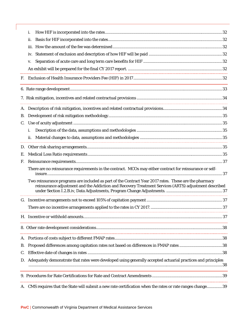|           | i.                                                                                                                                                                                                                                                                                                                                      |  |
|-----------|-----------------------------------------------------------------------------------------------------------------------------------------------------------------------------------------------------------------------------------------------------------------------------------------------------------------------------------------|--|
|           | ii.                                                                                                                                                                                                                                                                                                                                     |  |
|           | iii.                                                                                                                                                                                                                                                                                                                                    |  |
|           | iv.                                                                                                                                                                                                                                                                                                                                     |  |
|           | V.                                                                                                                                                                                                                                                                                                                                      |  |
|           |                                                                                                                                                                                                                                                                                                                                         |  |
|           |                                                                                                                                                                                                                                                                                                                                         |  |
|           |                                                                                                                                                                                                                                                                                                                                         |  |
|           |                                                                                                                                                                                                                                                                                                                                         |  |
|           |                                                                                                                                                                                                                                                                                                                                         |  |
| <b>B.</b> |                                                                                                                                                                                                                                                                                                                                         |  |
| C.        |                                                                                                                                                                                                                                                                                                                                         |  |
|           | i.                                                                                                                                                                                                                                                                                                                                      |  |
|           | ii.                                                                                                                                                                                                                                                                                                                                     |  |
|           |                                                                                                                                                                                                                                                                                                                                         |  |
| Е.        |                                                                                                                                                                                                                                                                                                                                         |  |
| F.        |                                                                                                                                                                                                                                                                                                                                         |  |
|           | There are no reinsurance requirements in the contract. MCOs may either contract for reinsurance or self-                                                                                                                                                                                                                                |  |
|           | Two reinsurance programs are included as part of the Contract Year 2017 rates. These are the pharmacy<br>reinsurance adjustment and the Addiction and Recovery Treatment Services (ARTS) adjustment described<br><u> 1980 - Johann Stoff, deutscher Stoff aus der Stoff aus der Stoff aus der Stoff aus der Stoff aus der Stoff aus</u> |  |
|           |                                                                                                                                                                                                                                                                                                                                         |  |
|           |                                                                                                                                                                                                                                                                                                                                         |  |
|           |                                                                                                                                                                                                                                                                                                                                         |  |
|           |                                                                                                                                                                                                                                                                                                                                         |  |
|           |                                                                                                                                                                                                                                                                                                                                         |  |
| <b>B.</b> |                                                                                                                                                                                                                                                                                                                                         |  |
| C.        |                                                                                                                                                                                                                                                                                                                                         |  |
|           | D. Adequately demonstrate that rates were developed using generally accepted actuarial practices and principles                                                                                                                                                                                                                         |  |
|           |                                                                                                                                                                                                                                                                                                                                         |  |
|           | A. CMS requires that the State will submit a new rate certification when the rates or rate ranges change 39                                                                                                                                                                                                                             |  |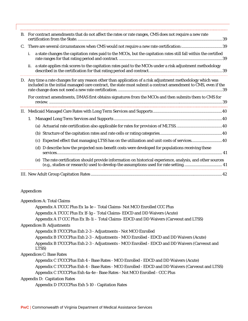| <b>B.</b> | For contract amendments that do not affect the rates or rate ranges, CMS does not require a new rate |                                                                                                                                                                                                                              |  |  |  |  |
|-----------|------------------------------------------------------------------------------------------------------|------------------------------------------------------------------------------------------------------------------------------------------------------------------------------------------------------------------------------|--|--|--|--|
| C.        |                                                                                                      |                                                                                                                                                                                                                              |  |  |  |  |
|           |                                                                                                      | a state changes the capitation rates paid to the MCOs, but the capitation rates still fall within the certified                                                                                                              |  |  |  |  |
|           |                                                                                                      | ii. a state applies risk scores to the capitation rates paid to the MCOs under a risk adjustment methodology                                                                                                                 |  |  |  |  |
|           |                                                                                                      | D. Any time a rate changes for any reason other than application of a risk adjustment methodology which was<br>included in the initial managed care contract, the state must submit a contract amendment to CMS, even if the |  |  |  |  |
|           |                                                                                                      | For contract amendments, DMAS first obtains signatures from the MCOs and then submits them to CMS for                                                                                                                        |  |  |  |  |
|           |                                                                                                      |                                                                                                                                                                                                                              |  |  |  |  |
|           | 1.                                                                                                   |                                                                                                                                                                                                                              |  |  |  |  |
|           |                                                                                                      |                                                                                                                                                                                                                              |  |  |  |  |
|           |                                                                                                      |                                                                                                                                                                                                                              |  |  |  |  |
|           |                                                                                                      | Expected effect that managing LTSS has on the utilization and unit costs of services40<br>(c)                                                                                                                                |  |  |  |  |
|           |                                                                                                      | (d) D describe how the projected non-benefit costs were developed for populations receiving these                                                                                                                            |  |  |  |  |
|           |                                                                                                      | (e) The rate certification should provide information on historical experience, analysis, and other sources<br>(e.g., studies or research) used to develop the assumptions used for rate setting 41                          |  |  |  |  |
|           |                                                                                                      |                                                                                                                                                                                                                              |  |  |  |  |

#### Appendices

| <b>Appendices A: Total Claims</b>                                                                      |
|--------------------------------------------------------------------------------------------------------|
| Appendix A 17CCC Plus Ex 1a-1e - Total Claims- Not MCO Enrolled CCC Plus                               |
| Appendix A 17CCC Plus Ex 1f-1g - Total Claims- EDCD and DD Waivers (Acute)                             |
| Appendix A 17 CCC Plus Ex 1h-1i - Total Claims- EDCD and DD Waivers (Carveout and LTSS)                |
| <b>Appendices B: Adjustments</b>                                                                       |
| Appendix B 17CCCPlus Exh 2-3 - Adjustments - Not MCO Enrolled                                          |
| Appendix B 17CCCPlus Exh 2-3 - Adjustments - MCO Enrolled - EDCD and DD Waivers (Acute)                |
| Appendix B 17CCCPlus Exh 2-3 - Adjustments - MCO Enrolled - EDCD and DD Waivers (Carveout and<br>LTSS) |
| <b>Appendices C: Base Rates</b>                                                                        |
| Appendix C 17CCCPlus Exh 4 - Base Rates - MCO Enrolled - EDCD and DD Waivers (Acute)                   |
| Appendix C 17CCCPlus Exh 4 - Base Rates - MCO Enrolled - EDCD and DD Waivers (Carveout and LTSS)       |
| Appendix C 17CCCPlus Exh 4a-4e - Base Rates - Not MCO Enrolled - CCC Plus                              |
| <b>Appendix D: Capitation Rates</b>                                                                    |
|                                                                                                        |

Appendix D 17CCCPlus Exh 5-10 - Capitation Rates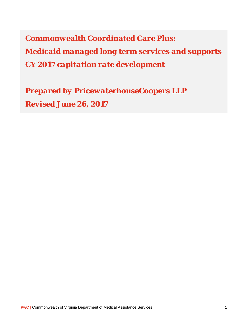*Commonwealth Coordinated Care Plus: Medicaid managed long term services and supports CY 2017 capitation rate development* 

*Prepared by PricewaterhouseCoopers LLP Revised June 26, 2017*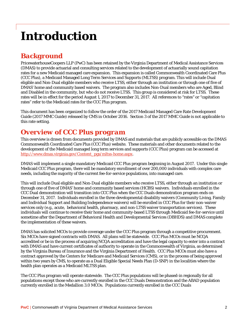# *Introduction*

# *Background*

PricewaterhouseCoopers LLP (PwC) has been retained by the Virginia Department of Medical Assistance Services (DMAS) to provide actuarial and consulting services related to the development of actuarially sound capitation rates for a new Medicaid managed care expansion. This expansion is called Commonwealth Coordinated Care Plus (CCC Plus), a Medicaid Managed Long Term Services and Supports (MLTSS) program. This will include Dual eligible and Non-Dual eligible members who receive LTSS, either through an institution or through one of five of DMAS' home and community based waivers. The program also includes Non-Dual members who are Aged, Blind and Disabled in the community, but who do not receive LTSS. This group is considered at risk for LTSS. These rates will be in effect for the period August 1, 2017 to December 31, 2017. All references to "rates" or "capitation rates" refer to the Medicaid rates for the CCC Plus program.

This document has been organized to follow the order of the 2017 Medicaid Managed Care Rate Development Guide (2017 MMC Guide) released by CMS in October 2016. Section 3 of the 2017 MMC Guide is not applicable to this rate setting.

# *Overview of CCC Plus program*

This overview is drawn from documents provided by DMAS and materials that are publicly accessible on the DMAS Commonwealth Coordinated Care Plus (CCC Plus) website. These materials and other documents related to the development of the Medicaid managed long term services and supports (CCC Plus) program can be accessed at http://www.dmas.virginia.gov/Content\_pgs/mltss-home.aspx.

DMAS will implement a single mandatory Medicaid CCC Plus program beginning in August 2017. Under this single Medicaid CCC Plus program, there will be mandatory enrollment of over 200,000 individuals with complex care needs, including the majority of the current fee-for-service populations, into managed care.

This will include Dual eligible and Non-Dual eligible members who receive LTSS, either through an institution or through one of five of DMAS' home and community based services (HCBS) waivers. Individuals enrolled in the CCC Dual demonstration will transition into CCC Plus when the CCC Duals demonstration program ends on December 31, 2017. Individuals enrolled in the three developmental disability waivers (Community Living, Family and Individual Support and Building Independence waivers) will be enrolled in CCC Plus for their non-waiver services only (e.g., acute, behavioral health, pharmacy, and non-LTSS waiver transportation services). These individuals will continue to receive their home and community-based LTSS through Medicaid fee-for-service until sometime after the Department of Behavioral Health and Developmental Services (DBHDS) and DMAS complete the implementation of these waivers.

DMAS has solicited MCOs to provide coverage under the CCC Plus program through a competitive procurement. Six MCOs have signed contracts with DMAS. All plans will be statewide. CCC Plus MCOs must be NCQA accredited or be in the process of acquiring NCQA accreditation and have the legal capacity to enter into a contract with DMAS and have current certificates of authority to operate in the Commonwealth of Virginia, as determined by the Virginia Bureau of Insurance and the Virginia Department of Health. CCC Plus MCOs must also have a contract approved by the Centers for Medicare and Medicaid Services (CMS), or in the process of being approved within two years by CMS, to operate as a Dual Eligible Special Needs Plan (D-SNP) in the localities where the health plan operates as a Medicaid MLTSS plan.

The CCC Plus program will operate statewide. The CCC Plus populations will be phased-in regionally for all populations except those who are currently enrolled in the CCC Duals Demonstration and the ABAD population currently enrolled in the Medallion 3.0 MCOs. Populations currently enrolled in the CCC Duals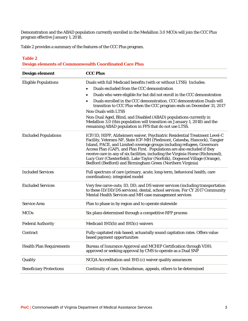Demonstration and the ABAD population currently enrolled in the Medallion 3.0 MCOs will join the CCC Plus program effective January 1, 2018.

Table 2 provides a summary of the features of the CCC Plus program.

#### **Table 2 Design elements of Commonwealth Coordinated Care Plus**

| Design element                  | <b>CCC Plus</b>                                                                                                                                                                                                                                                                                                                                                                                                                                                                                                                                                                                                    |
|---------------------------------|--------------------------------------------------------------------------------------------------------------------------------------------------------------------------------------------------------------------------------------------------------------------------------------------------------------------------------------------------------------------------------------------------------------------------------------------------------------------------------------------------------------------------------------------------------------------------------------------------------------------|
| <b>Eligible Populations</b>     | Duals with full Medicaid benefits (with or without LTSS) Includes:<br>Duals excluded from the CCC demonstration<br>Duals who were eligible for but did not enroll in the CCC demonstration<br>$\bullet$<br>Duals enrolled in the CCC demonstration. CCC demonstration Duals will<br>$\bullet$<br>transition to CCC Plus when the CCC program ends on December 31, 2017<br><b>Non-Duals with LTSS</b><br>Non-Dual Aged, Blind, and Disabled (ABAD) populations currently in<br>Medallion 3.0 (this population will transition on January 1, 2018) and the<br>remaining ABAD population in FFS that do not use LTSS. |
| <b>Excluded Populations</b>     | ICF/ID, HIPP, Alzheimers waiver, Psychiatric Residential Treatment Level-C<br>Facility, Veterans NF, State ICF-MH (Piedmont, Catawba, Hancock), Tangier<br>Island, PACE, and Limited coverage groups including refugees, Governors<br>Access Plan (GAP), and Plan First. Populations are also excluded if they<br>receive care in any of six facilities, including the Virginia Home (Richmond),<br>Lucy Corr (Chesterfield), Lake Taylor (Norfolk), Dogwood Village (Orange),<br>Bedford (Bedford) and Birmingham Green (Northern Virginia)                                                                       |
| <b>Included Services</b>        | Full spectrum of care (primary, acute, long-term, behavioral health, care<br>coordination); integrated model                                                                                                                                                                                                                                                                                                                                                                                                                                                                                                       |
| <b>Excluded Services</b>        | Very few carve-outs; ID, DD, and DS waiver services (including transportation<br>to these ID/DD/DS services), dental, school services; For CY 2017 Community<br>Mental Health Services and MH case management services                                                                                                                                                                                                                                                                                                                                                                                             |
| <b>Service Area</b>             | Plan to phase in by region and to operate statewide                                                                                                                                                                                                                                                                                                                                                                                                                                                                                                                                                                |
| <b>MCOs</b>                     | Six plans determined through a competitive RFP process                                                                                                                                                                                                                                                                                                                                                                                                                                                                                                                                                             |
| <b>Federal Authority</b>        | Medicaid 1915(b) and 1915(c) waivers                                                                                                                                                                                                                                                                                                                                                                                                                                                                                                                                                                               |
| Contract                        | Fully-capitated risk-based; actuarially sound capitation rates. Offers value<br>based payment opportunities                                                                                                                                                                                                                                                                                                                                                                                                                                                                                                        |
| <b>Health Plan Requirements</b> | Bureau of Insurance Approval and MCHIP Certification through VDH;<br>approved or seeking approval by CMS to operate as a Dual SNP                                                                                                                                                                                                                                                                                                                                                                                                                                                                                  |
| Quality                         | NCQA Accreditation and 1915 (c) waiver quality assurances                                                                                                                                                                                                                                                                                                                                                                                                                                                                                                                                                          |
| <b>Beneficiary Protections</b>  | Continuity of care, Ombudsman, appeals, others to be determined                                                                                                                                                                                                                                                                                                                                                                                                                                                                                                                                                    |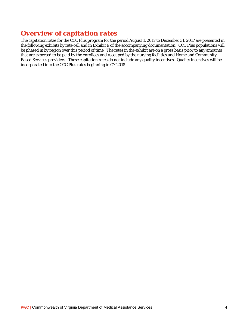# *Overview of capitation rates*

The capitation rates for the CCC Plus program for the period August 1, 2017 to December 31, 2017 are presented in the following exhibits by rate cell and in Exhibit 9 of the accompanying documentation. CCC Plus populations will be phased in by region over this period of time. The rates in the exhibit are on a gross basis prior to any amounts that are expected to be paid by the enrollees and recouped by the nursing facilities and Home and Community Based Services providers. These capitation rates do not include any quality incentives. Quality incentives will be incorporated into the CCC Plus rates beginning in CY 2018.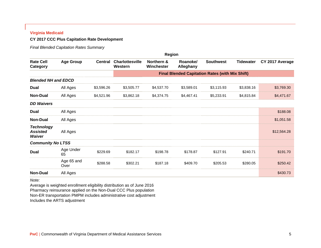#### **Virginia Medicaid**

#### **CY 2017 CCC Plus Capitation Rate Development**

*Final Blended Capitation Rates Summary* 

|                                                |                    |                |                                   | <b>Region</b>            |                       |                                                        |                  |                 |
|------------------------------------------------|--------------------|----------------|-----------------------------------|--------------------------|-----------------------|--------------------------------------------------------|------------------|-----------------|
| <b>Rate Cell</b><br>Category                   | <b>Age Group</b>   | <b>Central</b> | <b>Charlottesville</b><br>Western | Northern &<br>Winchester | Roanoke/<br>Alleghany | <b>Southwest</b>                                       | <b>Tidewater</b> | CY 2017 Average |
|                                                |                    |                |                                   |                          |                       | <b>Final Blended Capitation Rates (with Mix Shift)</b> |                  |                 |
| <b>Blended NH and EDCD</b>                     |                    |                |                                   |                          |                       |                                                        |                  |                 |
| <b>Dual</b>                                    | All Ages           | \$3,596.26     | \$3,505.77                        | \$4,537.70               | \$3,589.01            | \$3,115.93                                             | \$3,838.16       | \$3,769.30      |
| <b>Non-Dual</b>                                | All Ages           | \$4,521.96     | \$3,862.18                        | \$4,374.75               | \$4,467.41            | \$5,233.91                                             | \$4,815.84       | \$4,471.67      |
| <b>DD Waivers</b>                              |                    |                |                                   |                          |                       |                                                        |                  |                 |
| <b>Dual</b>                                    | All Ages           |                |                                   |                          |                       |                                                        |                  | \$188.08        |
| <b>Non-Dual</b>                                | All Ages           |                |                                   |                          |                       |                                                        |                  | \$1,051.58      |
| <b>Technology</b><br><b>Assisted</b><br>Waiver | All Ages           |                |                                   |                          |                       |                                                        |                  | \$12,564.28     |
| <b>Community No LTSS</b>                       |                    |                |                                   |                          |                       |                                                        |                  |                 |
| <b>Dual</b>                                    | Age Under<br>65    | \$229.69       | \$182.17                          | \$198.78                 | \$178.87              | \$127.91                                               | \$240.71         | \$191.70        |
|                                                | Age 65 and<br>Over | \$288.58       | \$302.21                          | \$187.18                 | \$409.70              | \$205.53                                               | \$280.05         | \$250.42        |
| <b>Non-Dual</b>                                | All Ages           |                |                                   |                          |                       |                                                        |                  | \$430.73        |

*Note:*

Average is weighted enrollment eligibility distribution as of June 2016 Pharmacy reinsurance applied on the Non-Dual CCC Plus population Non-ER transportation PMPM includes administrative cost adjustment Includes the ARTS adjustment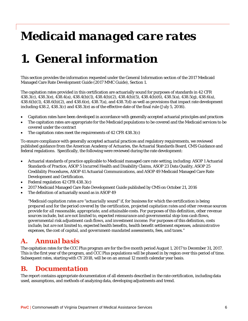# *Medicaid managed care rates*

# *1. General information*

This section provides the information requested under the General Information section of the 2017 Medicaid Managed Care Rate Development Guide (2017 MMC Guide), Section 1.

The capitation rates provided in this certification are actuarially sound for purposes of standards in 42 CFR 438.3(c), 438.3(e), 438.4(a), 438.4(b)(1), 438.4(b)(2), 438.4(b)(5), 438.4(b)(6), 438.5(a), 438.5(g), 438.6(a),  $438.6(b)(1)$ ,  $438.6(b)(2)$ , and  $438.6(e)$ ,  $438.7(a)$ , and  $438.7(d)$  as well as provisions that impact rate development including 438.2, 438.3(c) and 438.3(e) as of the effective date of the final rule (July 5, 2016).

- Capitation rates have been developed in accordance with generally accepted actuarial principles and practices
- The capitation rates are appropriate for the Medicaid populations to be covered and the Medicaid services to be covered under the contract
- The capitation rates meet the requirements of 42 CFR 438.3(c)

To ensure compliance with generally accepted actuarial practices and regulatory requirements, we reviewed published guidance from the American Academy of Actuaries, the Actuarial Standards Board, CMS Guidance and federal regulations. Specifically, the following were reviewed during the rate development:

- Actuarial standards of practice applicable to Medicaid managed care rate setting, including: ASOP 1 Actuarial Standards of Practice, ASOP 5 Incurred Health and Disability Claims, ASOP 23 Data Quality, ASOP 25 Credibility Procedures, ASOP 41 Actuarial Communications, and ASOP 49 Medicaid Managed Care Rate Development and Certification.
- Federal regulation 42 CFR 438.3(c)
- 2017 Medicaid Managed Care Rate Development Guide published by CMS on October 21, 2016
- The definition of actuarially sound as in ASOP 49

*"Medicaid capitation rates are "actuarially sound" if, for business for which the certification is being prepared and for the period covered by the certification, projected capitation rates and other revenue sources provide for all reasonable, appropriate, and attainable costs. For purposes of this definition, other revenue sources include, but are not limited to, expected reinsurance and governmental stop-loss cash flows, governmental risk adjustment cash flows, and investment income. For purposes of this definition, costs include, but are not limited to, expected health benefits, health benefit settlement expenses, administrative expenses, the cost of capital, and government-mandated assessments, fees, and taxes."* 

# *A. Annual basis*

The capitation rates for the CCC Plus program are for the five month period August 1, 2017 to December 31, 2017. This is the first year of the program, and CCC Plus populations will be phased in by region over this period of time. Subsequent rates, starting with CY 2018, will be on an annual 12 month calendar year basis.

### *B. Documentation*

The report contains appropriate documentation of all elements described in the rate certification, including data used, assumptions, and methods of analyzing data, developing adjustments and trend.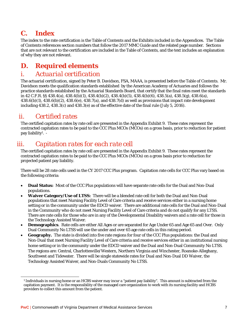# *C. Index*

The index to the rate certification is the Table of Contents and the Exhibits included in the Appendices. The Table of Contents references section numbers that follow the 2017 MMC Guide and the related page number. Sections that are not relevant to the certification are included in the Table of Contents, and the text includes an explanation of why they are not relevant.

# *D. Required elements*

### *i. Actuarial certification*

The actuarial certification, signed by Peter B. Davidson, FSA, MAAA, is presented before the Table of Contents. Mr. Davidson meets the qualification standards established by the American Academy of Actuaries and follows the practice standards established by the Actuarial Standards Board, that certify that the final rates meet the standards in 42 C.F.R. §§ 438.4(a), 438.4(b)(1), 438.4(b)(2), 438.4(b)(5), 438.4(b)(6), 438.5(a), 438.5(g), 438.6(a),  $438.6(b)(1)$ ,  $438.6(b)(2)$ ,  $438.6(e)$ ,  $438.7(a)$ , and  $438.7(d)$  as well as provisions that impact rate development including 438.2, 438.3(c) and 438.3(e) as of the effective date of the final rule (July 5, 2016).

## *ii. Certified rates*

 $\overline{a}$ 

The certified capitation rates by rate cell are presented in the Appendix Exhibit 9. These rates represent the contracted capitation rates to be paid to the CCC Plus MCOs (MCOs) on a gross basis, prior to reduction for patient pay liability1. -

# *iii. Capitation rates for each rate cell*

The certified capitation rates by rate cell are presented in the Appendix Exhibit 9. These rates represent the contracted capitation rates to be paid to the CCC Plus MCOs (MCOs) on a gross basis prior to reduction for projected patient pay liability.

There will be 28 rate cells used in the CY 2017 CCC Plus program. Capitation rate cells for CCC Plus vary based on the following criteria:

- **Dual Status:** Most of the CCC Plus populations will have separate rate cells for the Dual and Non-Dual populations.
- **Waiver Category/Use of LTSS:** There will be a blended rate cell for both the Dual and Non-Dual populations that meet Nursing Facility Level of Care criteria and receive services either in a nursing home setting or in the community under the EDCD waiver. There are additional rate cells for the Dual and Non-Dual in the Community who do not meet Nursing Facility Level of Care criteria and do not qualify for any LTSS. There are rate cells for those who are in any of the Developmental Disability waivers and a rate cell for those in the Technology Assisted Waiver.
- **Demographics**. Rate cells are either All Ages or are separated for Age Under 65 and Age 65 and Over. Only Dual Community No LTSS will use the under and over 65 age rate cells in this rating period.
- **Geography.** The state is divided into five rate regions for four of the CCC Plus populations: the Dual and Non-Dual that meet Nursing Facility Level of Care criteria and receive services either in an institutional nursing home setting or in the community under the EDCD waiver and the Dual and Non-Dual Community No LTSS. The regions are: Central, Charlottesville/Western, Northern Virginia and Winchester, Roanoke-Alleghany, Southwest and Tidewater. There will be single statewide rates for Dual and Non-Dual DD Waiver, the Technology Assisted Waiver, and Non-Duals Community No LTSS.

<sup>1</sup> Individuals in nursing home or an HCBS waiver may incur a "patient pay liability". This amount is subtracted from the capitation payment. It is the responsibility of the managed care organization to work with its nursing facility and HCBS providers to collect this amount from the patient.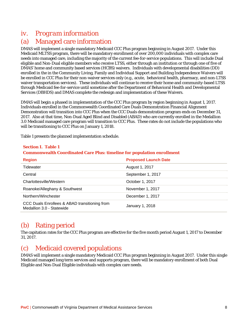# *iv. Program information*

### (a) Managed care information

DMAS will implement a single mandatory Medicaid CCC Plus program beginning in August 2017. Under this Medicaid MLTSS program, there will be mandatory enrollment of over 200,000 individuals with complex care needs into managed care, including the majority of the current fee-for-service populations. This will include Dual eligible and Non-Dual eligible members who receive LTSS, either through an institution or through one of five of DMAS' home and community based services (HCBS) waivers. Individuals with developmental disabilities (DD) enrolled in the in the Community Living, Family and Individual Support and Building Independence Waivers will be enrolled in CCC Plus for their non-waiver services only (e.g., acute, behavioral health, pharmacy, and non-LTSS waiver transportation services). These individuals will continue to receive their home and community-based LTSS through Medicaid fee-for-service until sometime after the Department of Behavioral Health and Developmental Services (DBHDS) and DMAS complete the redesign and implementation of these Waivers.

DMAS will begin a phased in implementation of the CCC Plus program by region beginning in August 1, 2017. Individuals enrolled in the Commonwealth Coordinated Care Duals Demonstration Financial Alignment Demonstration will transition into CCC Plus when the CCC Duals demonstration program ends on December 31, 2017. Also at that time, Non-Dual Aged Blind and Disabled (ABAD) who are currently enrolled in the Medallion 3.0 Medicaid managed care program will transition to CCC Plus. These rates do not include the populations who will be transitioning to CCC Plus on January 1, 2018.

Table 1 presents the planned implementation schedule.

| <b>Section I. Table 1</b><br><b>Commonwealth Coordinated Care Plus: timeline for population enrollment</b> |                             |  |  |
|------------------------------------------------------------------------------------------------------------|-----------------------------|--|--|
| <b>Region</b>                                                                                              | <b>Proposed Launch Date</b> |  |  |
| Tidewater                                                                                                  | August 1, 2017              |  |  |
| Central                                                                                                    | September 1, 2017           |  |  |
| Charlottesville/Western                                                                                    | October 1, 2017             |  |  |
| Roanoke/Alleghany & Southwest                                                                              | November 1, 2017            |  |  |
| Northern/Winchester                                                                                        | December 1, 2017            |  |  |
| CCC Duals Enrollees & ABAD transitioning from<br>Medallion 3.0 - Statewide                                 | January 1, 2018             |  |  |

# (b) Rating period

The capitation rates for the CCC Plus program are effective for the five month period August 1, 2017 to December 31, 2017.

### (c) Medicaid covered populations

DMAS will implement a single mandatory Medicaid CCC Plus program beginning in August 2017. Under this single Medicaid managed long term services and supports program, there will be mandatory enrollment of both Dual Eligible and Non-Dual Eligible individuals with complex care needs.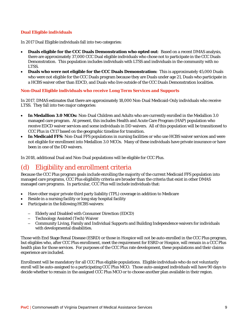#### **Dual Eligible individuals**

In 2017 Dual Eligible individuals fall into two categories:

- **Duals eligible for the CCC Duals Demonstration who opted out**: Based on a recent DMAS analysis, there are approximately 37,000 CCC Dual eligible individuals who chose not to participate in the CCC Duals Demonstration. This population includes individuals with LTSS and individuals in the community with no LTSS.
- **Duals who were not eligible for the CCC Duals Demonstration:** This is approximately 45,000 Duals who were not eligible for the CCC Duals program because they are Duals under age 21, Duals who participate in a HCBS waiver other than EDCD, and Duals who live outside of the CCC Duals Demonstration localities.

#### **Non-Dual Eligible individuals who receive Long Term Services and Supports**

In 2017, DMAS estimates that there are approximately 18,000 Non-Dual Medicaid-Only individuals who receive LTSS. They fall into two major categories:

- **In Medallion 3.0 MCOs:** Non-Dual Children and Adults who are currently enrolled in the Medallion 3.0 managed care program. At present, this includes Health and Acute Care Program (HAP) population who receive EDCD waiver services and some individuals in DD waivers. All of this population will be transitioned to CCC Plus in CY17 based on the geographic timeline for transition.
- **In Medicaid FFS:** Non-Dual FFS populations in nursing facilities or who use HCBS waiver services and were not eligible for enrollment into Medallion 3.0 MCOs. Many of these individuals have private insurance or have been in one of the DD waivers.

In 2018, additional Dual and Non-Dual populations will be eligible for CCC Plus.

# (d) Eligibility and enrollment criteria

Because the CCC Plus program goals include enrolling the majority of the current Medicaid FFS population into managed care programs, CCC Plus eligibility criteria are broader than the criteria that exist in other DMAS managed care programs. In particular, CCC Plus will include individuals that:

- Have other major private third party liability (TPL) coverage in addition to Medicare
- Reside in a nursing facility or long stay hospital facility
- Participate in the following HCBS waivers:
	- Elderly and Disabled with Consumer Direction (EDCD)
	- Technology Assisted (Tech) Waiver
	- Community Living, Family and Individual Supports and Building Independence waivers for individuals with developmental disabilities.

Those with End Stage Renal Disease (ESRD) or those in Hospice will not be auto-enrolled in the CCC Plus program, but eligibles who, after CCC Plus enrollment, meet the requirement for ESRD or Hospice, will remain in a CCC Plus health plan for those services. For purposes of the CCC Plus rate development, these populations and their claims experience are included.

Enrollment will be mandatory for all CCC Plus eligible populations. Eligible individuals who do not voluntarily enroll will be auto-assigned to a participating CCC Plus MCO. Those auto-assigned individuals will have 90 days to decide whether to remain in the assigned CCC Plus MCO or to choose another plan available in their region.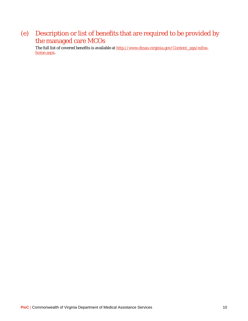# (e) Description or list of benefits that are required to be provided by the managed care MCOs

The full list of covered benefits is available at http://www.dmas.virginia.gov/Content\_pgs/mltsshome.aspx.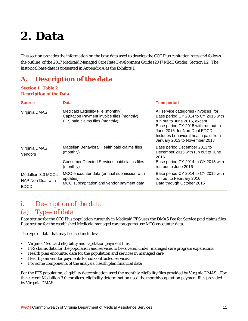# *2. Data*

This section provides the information on the base data used to develop the CCC Plus capitation rates and follows the outline of the 2017 Medicaid Managed Care Rate Development Guide (2017 MMC Guide), Section I.2. The historical base data is presented in Appendix A as the Exhibits 1.

# *A. Description of the data*

#### **Section I. Table 2 Description of the Data**

| <b>Source</b>                                                | <b>Data</b>                                                                                                          | <b>Time period</b>                                                                                                                                                                                                                                           |
|--------------------------------------------------------------|----------------------------------------------------------------------------------------------------------------------|--------------------------------------------------------------------------------------------------------------------------------------------------------------------------------------------------------------------------------------------------------------|
| Virginia DMAS                                                | Medicaid Eligibility File (monthly)<br>Capitation Payment invoice files (monthly)<br>FFS paid claims files (monthly) | All service categories (invoices) for<br>Base period CY 2014 to CY 2015 with<br>run out to June 2016, except<br>Base period CY 2015 with run out to<br>June 2016, for Non-Dual EDCD<br>Includes behavioral health paid from<br>January 2013 to November 2013 |
| Virginia DMAS<br>Vendors                                     | Magellan Behavioral Health paid claims files<br>(monthly)                                                            | Base period December 2013 to<br>December 2015 with run out to June<br>2016                                                                                                                                                                                   |
|                                                              | Consumer Directed Services paid claims files<br>(monthly)                                                            | Base period CY 2014 to CY 2015 with<br>run out to June 2016                                                                                                                                                                                                  |
| Medallion $3.0$ MCOs $-$<br>HAP Non-Dual with<br><b>EDCD</b> | MCO encounter data (annual submission with<br>updates)<br>MCO subcapitation and vendor payment data                  | Base period CY 2014 to CY 2015 with<br>run out to February 2016<br>Data through October 2015                                                                                                                                                                 |

# *i. Description of the data*  (a) Types of data

Rate setting for the CCC Plus population currently in Medicaid FFS uses the DMAS Fee for Service paid claims files. Rate setting for the established Medicaid managed care programs use MCO encounter data.

The type of data that may be used includes:

- Virginia Medicaid eligibility and capitation payment files;
- FFS claims data for the population and services to be covered under managed care program expansions;
- Health plan encounter data for the population and services in managed care;
- Health plan vendor payments for subcontracted services;
- For some components of the analysis, health plan financial data

For the FFS population, eligibility determination used the monthly eligibility files provided by Virginia DMAS. For the current Medallion 3.0 enrollees, eligibility determination used the monthly capitation payment files provided by Virginia DMAS.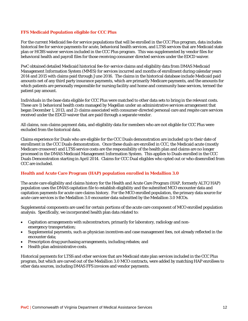#### **FFS Medicaid Population eligible for CCC Plus**

For the current Medicaid fee-for service populations that will be enrolled in the CCC Plus program, data includes historical fee for service payments for acute, behavioral health services, and LTSS services that are Medicaid state plan or HCBS waiver services included in the CCC Plus program. This was supplemented by vendor files for behavioral health and payroll files for those receiving consumer directed services under the EDCD waiver.

PwC obtained detailed Medicaid historical fee-for-service claims and eligibility data from DMAS Medicaid Management Information System (MMIS) for services incurred and months of enrollment during calendar years 2014 and 2015 with claims paid through June 2016. The claims in the historical database include Medicaid paid amounts net of any third party insurance payments, which are primarily Medicare payments, and the amounts for which patients are personally responsible for nursing facility and home and community base services, termed the patient pay amount.

Individuals in the base data eligible for CCC Plus were matched to other data sets to bring in the relevant costs. These are 1) behavioral health costs managed by Magellan under an administrative services arrangement that began December 1, 2013, and 2) claims associated with consumer-directed personal care and respite care services received under the EDCD waiver that are paid through a separate vendor.

All claims, non-claims payment data, and eligibility data for members who are not eligible for CCC Plus were excluded from the historical data.

Claims experience for Duals who are eligible for the CCC Duals demonstration are included up to their date of enrollment in the CCC Duals demonstration. Once these duals are enrolled in CCC, the Medicaid acute (mostly Medicare crossover) and LTSS service costs are the responsibility of the health plan and claims are no longer processed in the DMAS Medicaid Management Information System. This applies to Duals enrolled in the CCC Duals Demonstration starting in April 2014. Claims for CCC Dual eligibles who opted out or who disenrolled from CCC are included.

#### **Health and Acute Care Program (HAP) population enrolled in Medallion 3.0**

The acute care eligibility and claims history for the Health and Acute Care Program (HAP, formerly ALTC/HAP) population uses the DMAS capitation file to establish eligibility and the submitted MCO encounter data and capitation payments for acute care claims history. For the MCO enrolled population, the primary data source for acute care services is the Medallion 3.0 encounter data submitted by the Medallion 3.0 MCOs.

Supplemental components are used for certain portions of the acute care component of MCO enrolled population analysis. Specifically, we incorporated health plan data related to:

- Capitation arrangements with subcontractors, primarily for laboratory, radiology and nonemergency transportation;
- Supplemental payments, such as physician incentives and case management fees, not already reflected in the encounter data;
- Prescription drug purchasing arrangements, including rebates; and
- Health plan administrative costs.

Historical payments for LTSS and other services that are Medicaid state plan services included in the CCC Plus program, but which are carved out of the Medallion 3.0 MCO contracts, were added by matching HAP enrollees to other data sources, including DMAS FFS invoices and vendor payments.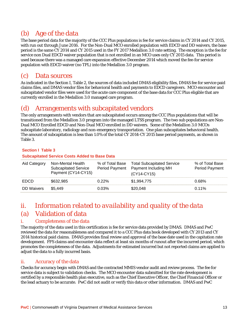# (b) Age of the data

The base period data for the majority of the CCC Plus populations is fee for service claims in CY 2014 and CY 2015, with run out through June 2016. For the Non-Dual MCO enrolled population with EDCD and DD waivers, the base period is the same CY 2014 and CY 2015 used in the FY 2017 Medallion 3.0 rate setting. The exception is the fee for service non Dual EDCD waiver population that is not enrolled in an MCO uses only CY 2015 data. This period is used because there was a managed care expansion effective December 2014 which moved the fee-for service population with EDCD waiver (no TPL) into the Medallion 3.0 program.

## (c) Data sources

As indicated in the Section I, Table 2, the sources of data included DMAS eligibility files, DMAS fee for service paid claims files, and DMAS vendor files for behavioral health and payments to EDCD caregivers. MCO encounter and subcapitated vendor files were used for the acute care component of the base data for CCC Plus eligible that are currently enrolled in the Medallion 3.0 managed care program.

### (d) Arrangements with subcapitated vendors

The only arrangements with vendors that are subcapitated occurs among the CCC Plus populations that will be transitioned from the Medallion 3.0 program into the managed LTSS program. The two sub populations are Non-Dual MCO Enrolled EDCD and Non-Dual MCO enrolled in DD waivers. Some of the Medallion 3.0 MCOs subcapitate laboratory, radiology and non-emergency transportation. One plan subcapitates behavioral health. The amount of subcapitation is less than 1.0% of the total CY 2014-CY 2015 base period payments, as shown in Table 3.

#### **Section I Table 3**

#### **Subcapitated Service Costs Added to Base Data**

| Aid Category      | Non-Mental Health<br><b>Subcapitated Service</b><br>Payment (CY14-CY15) | % of Total Base | <b>Total Subcapitated Service</b><br>Period Payment Payment Including MH<br>$(CY14-CY15)$ | % of Total Base<br><b>Period Payment</b> |
|-------------------|-------------------------------------------------------------------------|-----------------|-------------------------------------------------------------------------------------------|------------------------------------------|
| <b>EDCD</b>       | \$632,985                                                               | 0.22%           | \$1,994,775                                                                               | 0.68%                                    |
| <b>DD</b> Waivers | \$5.449                                                                 | 0.03%           | \$20,048                                                                                  | $0.11\%$                                 |

### *ii. Information related to availability and quality of the data*  (a) Validation of data

#### i. Completeness of the data

The majority of the data used in this certification is fee for service data provided by DMAS. DMAS and PwC reviewed the data for reasonableness and compared it to a CCC Plus data book developed with CY 2013 and CY 2014 historical paid claims. DMAS provides final review and approval of the base date used in the capitation rate development. FFS claims and encounter data reflect at least six months of runout after the incurred period, which promotes the completeness of the data. Adjustments for estimated incurred but not reported claims are applied to adjust the data to a fully incurred basis.

#### ii. Accuracy of the data

Checks for accuracy begin with DMAS and the contracted MMIS vendor audit and review process. The fee for service data is subject to validation checks. The MCO encounter data submitted for the rate development is certified by a responsible health plan executive, such as the Chief Executive Officer, the Chief Financial Officer or the lead actuary to be accurate. PwC did not audit or verify this data or other information. DMAS and PwC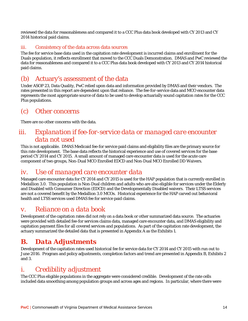reviewed the data for reasonableness and compared it to a CCC Plus data book developed with CY 2013 and CY 2014 historical paid claims.

#### iii. Consistency of the data across data sources

The fee for service base data used in the capitation rate development is incurred claims and enrollment for the Duals population, it reflects enrollment that moved to the CCC Duals Demonstration. DMAS and PwC reviewed the data for reasonableness and compared it to a CCC Plus data book developed with CY 2013 and CY 2014 historical paid claims.

### (b) Actuary's assessment of the data

Under ASOP 23, Data Quality, PwC relied upon data and information provided by DMAS and their vendors. The rates presented in this report are dependent upon that reliance. The fee-for-service data and MCO encounter data represents the most appropriate source of data to be used to develop actuarially sound capitation rates for the CCC Plus populations.

### (c) Other concerns

There are no other concerns with the data.

## *iii. Explanation if fee-for-service data or managed care encounter data not used*

This is not applicable. DMAS Medicaid fee-for service paid claims and eligibility files are the primary source for this rate development. The base data reflects the historical experience and use of covered services for the base period CY 2014 and CY 2015. A small amount of managed care encounter data is used for the acute care component of two groups, Non-Dual MCO Enrolled EDCD and Non-Dual MCO Enrolled DD Waivers.

### *iv. Use of managed care encounter data*

Managed care encounter data for CY 2014 and CY 2015 is used for the HAP population that is currently enrolled in Medallion 3.0. This population is Non-Dual children and adults who are also eligible for services under the Elderly and Disabled with Consumer Direction (EDCD) and the Developmentally Disabled waivers. Their LTSS services are not a covered benefit by the Medallion 3.0 MCOs. Historical experience for the HAP carved out behavioral health and LTSS services used DMAS fee for service paid claims.

### *v. Reliance on a data book*

Development of the capitation rates did not rely on a data book or other summarized data source. The actuaries were provided with detailed fee-for services claims data, managed care encounter data, and DMAS eligibility and capitation payment files for all covered services and populations. As part of the capitation rate development, the actuary summarized the detailed data that is presented in Appendix A as the Exhibits 1.

# *B. Data Adjustments*

Development of the capitation rates used historical fee for service data for CY 2014 and CY 2015 with run out to June 2016. Program and policy adjustments, completion factors and trend are presented in Appendix B, Exhibits 2 and 3.

### *i. Credibility adjustment*

The CCC Plus eligible populations in the aggregate were considered credible. Development of the rate cells included data smoothing among population groups and across ages and regions. In particular, where there were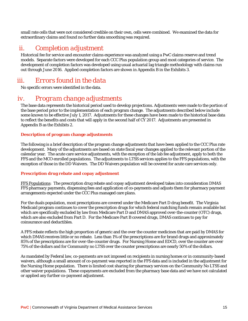small rate cells that were not considered credible on their own, cells were combined. We examined the data for extraordinary claims and found no further data smoothing was required.

### *ii. Completion adjustment*

Historical fee for service and encounter claims experience was analyzed using a PwC claims reserve and trend models. Separate factors were developed for each CCC Plus population group and most categories of service. The development of completion factors was developed using usual actuarial lag triangle methodology with claims run out through June 2016. Applied completion factors are shown in Appendix B in the Exhibits 3.

## *iii. Errors found in the data*

No specific errors were identified in the data.

### *iv. Program change adjustments*

The base data represents the historical period used to develop projections. Adjustments were made to the portion of the base period prior to the implementation of each program change. The adjustments described below include some known to be effective July 1, 2017. Adjustments for these changes have been made to the historical base data to reflect the benefits and costs that will apply in the second half of CY 2017. Adjustments are presented in Appendix B as the Exhibits 2.

#### **Description of program change adjustments**

The following is a brief description of the program change adjustments that have been applied to the CCC Plus rate development.Many of the adjustments are based on state fiscal year changes applied to the relevant portion of the calendar year. The acute care service adjustments, with the exception of the lab fee adjustment, apply to both the FFS and the MCO enrolled populations. The adjustments to LTSS services applies to the FFS populations, with the exception of those in the DD Waivers. The DD Waivers population will be covered for acute care services only.

#### **Prescription drug rebate and copay adjustment**

FFS Populations: The prescription drug rebate and copay adjustment developed takes into consideration DMAS FFS pharmacy payments, dispensing fees and application of co-payments and adjusts them for pharmacy payment arrangements expected under the CCC Plus managed care plans.

For the duals population, most prescriptions are covered under the Medicare Part D drug benefit. The Virginia Medicaid program continues to cover the prescription drugs for which federal matching funds remain available but which are specifically excluded by law from Medicare Part D and DMAS approved over-the-counter (OTC) drugs, which are also excluded from Part D. For the Medicare Part B covered drugs, DMAS continues to pay for coinsurance and deductibles.

A FFS rebate reflects the high proportion of generic and the over the counter medicines that are paid by DMAS for which DMAS receives little or no rebate. Less than 1% of the prescriptions are for brand drugs and approximately 85% of the prescriptions are for over-the-counter drugs. For Nursing Home and EDCD, over the counter are over 75% of the dollars and for Community no LTSS over the counter prescriptions are nearly 50% of the dollars.

As mandated by Federal law, co-payments are not imposed on recipients in nursing homes or in community-based waivers, although a small amount of co-payment was reported in the FFS data and is included in the adjustment for the Nursing Home population. There is limited cost sharing for pharmacy services on the Community No LTSS and other waiver populations. These copayments are excluded from the pharmacy base data and we have not calculated or applied any further co-payment adjustment.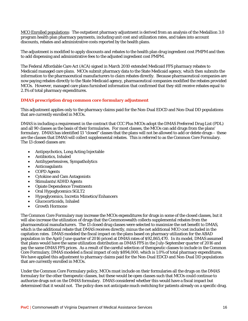MCO Enrolled populations: The outpatient pharmacy adjustment is derived from an analysis of the Medallion 3.0 program health plan pharmacy payments, including unit cost and utilization rates, and takes into account discounts, rebates and administrative costs reported by the health plans.

The adjustment is modified to apply discounts and rebates to the health plan drug ingredient cost PMPM and then to add dispensing and administrative fees to the adjusted ingredient cost PMPM.

The Federal Affordable Care Act (ACA) signed in March 2010 extended Medicaid FFS pharmacy rebates to Medicaid managed care plans. MCOs submit pharmacy data to the State Medicaid agency, which then submits the information to the pharmaceutical manufacturers to claim rebates directly. Because pharmaceutical companies are now paying rebates directly to the State Medicaid agency, pharmaceutical companies modified the rebates provided MCOs. However, managed care plans furnished information that confirmed that they still receive rebates equal to 2.1% of total pharmacy expenditures.

#### **DMAS prescription drug common core formulary adjustment**

This adjustment applies only to the pharmacy claims paid for the Non-Dual EDCD and Non-Dual DD populations that are currently enrolled in MCOs.

DMAS is including a requirement in the contract that CCC Plus MCOs adopt the DMAS Preferred Drug List (PDL) and all 90 classes as the basis of their formularies. For most classes, the MCOs can add drugs from the plans' formulary. DMAS has identified 13 "closed" classes that the plans will not be allowed to add or delete drugs – these are the classes that DMAS will collect supplemental rebates. This is referred to as the Common Core Formulary. The 13 closed classes are:

- Antipsychotics, Long Acting Injectable
- Antibiotics, Inhaled
- Antihypertensives, Sympatholytics
- Anticoagulants
- COPD Agents
- Cytokine and Cam Antagonists
- Stimulants/ADHD Agents
- Opiate Dependence Treatments
- Oral Hypoglycemics SGLT2
- Hypoglycemics, Incretin Mimetics/Enhancers
- Glucocorticoids, Inhaled
- Growth Hormone

The Common Core Formulary may increase the MCOs expenditures for drugs in some of the closed classes, but it will also increase the utilization of drugs that the Commonwealth collects supplemental rebates from the pharmaceutical manufacturers. The 13 closed drug classes were selected to maximize the net benefit to DMAS, which is the additional rebate that DMAS receives directly, minus the net additional MCO cost included in the capitation rates. DMAS modeled the fiscal impact on the plans based on pharmacy utilization for the ABAD population in the April-June quarter of 2016 priced at DMAS rates of \$92,865,470. In its model, DMAS assumed that plans would have the same utilization distribution as DMAS FFS in the July-September quarter of 2016 and pay the same DMAS FFS prices. As a result of the careful selection of therapeutic classes to include in the Common Core Formulary, DMAS modeled a fiscal impact of only \$894,000, which is 1.0% of total pharmacy expenditures. We have applied this adjustment to pharmacy claims paid for the Non-Dual EDCD and Non-Dual DD populations that are currently enrolled in MCOs.

Under the Common Core Formulary policy, MCOs must include on their formularies all the drugs on the DMAS formulary for the other therapeutic classes, but these would be open classes such that MCOs could continue to authorize drugs not on the DMAS formulary. DMAS considered whether this would have a fiscal impact but determined that it would not. The policy does not anticipate much switching for patients already on a specific drug.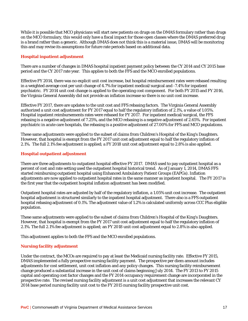While it is possible that MCO physicians will start new patients on drugs on the DMAS formulary rather than drugs on the MCO formulary, this would only have a fiscal impact for those open classes where the DMAS preferred drug is a brand rather than a generic. Although DMAS does not think this is a material issue, DMAS will be monitoring this and may revise its assumptions for future rate periods based on additional data.

#### **Hospital inpatient adjustment**

There are a number of changes in DMAS hospital inpatient payment policy between the CY 2014 and CY 2015 base period and the CY 2017 rate year. This applies to both the FFS and the MCO enrolled populations.

Effective FY 2014, there was no explicit unit cost increase, but hospital reimbursement rates were rebased resulting in a weighted average cost per unit change of 4.7% for inpatient medical/surgical and -7.4% for inpatient psychiatric. FY 2014 unit cost change is applied to the operating cost component. For both FY 2015 and FY 2016, the Virginia General Assembly did not provide an inflation increase so there is no unit cost increase.

Effective FY 2017, there are updates to the unit cost and FFS rebasing factors. The Virginia General Assembly authorized a unit cost adjustment for FY 2017 equal to half the regulatory inflation of 2.1%, a value of 1.05%. Hospital inpatient reimbursements rates were rebased for FY 2017. For inpatient medical/surgical, the FFS rebasing is a negative adjustment of 7.25%, and the MCO rebasing is a negative adjustment of 2.65%. For inpatient psychiatric in acute care hospitals, the rebasing is a positive adjustment of 27.00% for FFS and MCO populations.

These same adjustments were applied to the subset of claims from Children's Hospital of the King's Daughters. However, that hospital is exempt from the FY 2017 unit cost adjustment equal to half the regulatory inflation of 2.1%. The full 2.1% fee adjustment is applied; a FY 2018 unit cost adjustment equal to 2.8% is also applied.

#### **Hospital outpatient adjustment**

There are three adjustments to outpatient hospital effective FY 2017. DMAS used to pay outpatient hospital as a percent of cost and rate setting used the outpatient hospital historical trend. As of January 1, 2014, DMAS FFS started reimbursing outpatient hospital using Enhanced Ambulatory Patient Groups (EAPGs). Inflation adjustments are now applied to outpatient hospital rates in the same manner as inpatient hospital. The FY 2017 is the first year that the outpatient hospital inflation adjustment has been modified.

Outpatient hospital rates are adjusted by half of the regulatory inflation, a 1.05% unit cost increase. The outpatient hospital adjustment is structured similarly to the inpatient hospital adjustment. There also is a FFS outpatient hospital rebasing adjustment of 0.1%. The adjustment value of 1.2% is calculated uniformly across CCC Plus eligible population.

These same adjustments were applied to the subset of claims from Children's Hospital of the King's Daughters. However, that hospital is exempt from the FY 2017 unit cost adjustment equal to half the regulatory inflation of 2.1%. The full 2.1% fee adjustment is applied; an FY 2018 unit cost adjustment equal to 2.8% is also applied.

This adjustment applies to both the FFS and the MCO enrolled populations.

#### **Nursing facility adjustment**

Under the contract, the MCOs are required to pay at least the Medicaid nursing facility rate. Effective FY 2015, DMAS implemented a fully prospective nursing facility payment. The prospective per diem amount includes adjustments for cost settlement, unit cost inflation and any policy changes. This nursing facility reimbursement change produced a substantial increase in the unit cost of claims beginning July 2014. The FY 2013 to FY 2015 capital and operating cost factor changes and the FY 2014 occupancy requirement change are incorporated in the prospective rate. The revised nursing facility adjustment is a unit cost adjustment that increases the relevant CY 2014 base period nursing facility unit cost to the FY 2015 nursing facility prospective unit cost.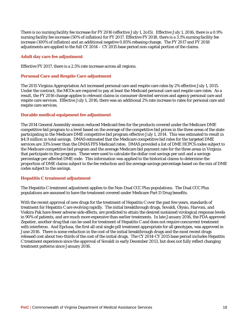There is no nursing facility fee increase for FY 2016 (effective July 1, 2o15). Effective July 1, 2016, there is a 0.9% nursing facility fee increase (50% of inflation) for FY 2017. Effective FY 2018, there is a 3.1% nursing facility fee increase (100% of inflation) and an additional negative 0.85% rebasing change. The FY 2017 and FY 2018 adjustments are applied to the full CY 2014 – CY 2015 base period non-capital portion of the claims.

#### **Adult day care fee adjustment**

Effective FY 2017, there is a 2.5% rate increase across all regions.

#### **Personal Care and Respite Care adjustment**

The 2015 Virginia Appropriation Act increased personal care and respite care rates by 2% effective July 1, 2015. Under the contract, the MCOs are required to pay at least the Medicaid personal care and respite care rates. As a result, the FY 2016 change applies to relevant claims in consumer directed services and agency personal care and respite care services. Effective July 1, 2016, there was an additional 2% rate increase to rates for personal care and respite care services.

#### **Durable medical equipment fee adjustment**

The 2014 General Assembly session reduced Medicaid fees for the products covered under the Medicare DME competitive bid program to a level based on the average of the competitive bid prices in the three areas of the state participating in the Medicare DME competitive bid program effective July 1, 2014. This was estimated to result in \$4.9 million in total savings. DMAS estimated that the Medicare competitive bid rates for the targeted DME services are 33% lower than the DMAS FFS Medicaid rates. DMAS provided a list of DME HCPCS codes subject to the Medicare competitive bid program and the average Medicare bid payment rate for the three areas in Virginia that participate in the program. These were used to calculate the dollar cost savings per unit and a savings percentage per affected DME code. This information was applied to the historical claims to determine the proportion of DME claims subject to the fee reduction and the average savings percentage based on the mix of DME codes subject to the savings.

#### **Hepatitis C treatment adjustment**

The Hepatitis C treatment adjustment applies to the Non-Dual CCC Plus populations. The Dual CCC Plus populations are assumed to have the treatment covered under Medicare Part D Drug benefits.

With the recent approval of new drugs for the treatment of Hepatitis C over the past few years, standards of treatment for Hepatitis C are evolving rapidly. The initial breakthrough drugs, Sovaldi, Olysio, Harvoni, and Viekira Pak have fewer adverse side effects, are predicted to attain the desired sustained virological response levels in 90% of patients, and are much more expensive than earlier treatments. In late January 2016, the FDA approved Zepatier, another drug that can be used for treatment of Hepatitis C and does not require concurrent treatment with interferon. And Epclusa, the first all oral single pill treatment appropriate for all genotypes, was approved in June 2016. There is some reduction in the cost of the initial breakthrough drugs and the most recent drugs released cost about two-thirds of the cost of the initial drugs. The CY 2014-CY 2015 base period includes Hepatitis C treatment experience since the approval of Sovaldi in early December 2013, but does not fully reflect changing treatment patterns since January 2016.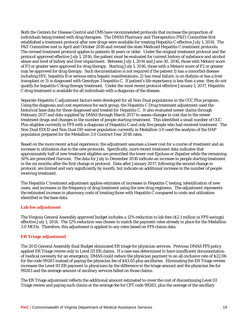Both the Centers for Disease Control and CMS have recommended protocols that increase the proportion of individuals being treated with drug therapies. The DMAS Pharmacy and Therapeutics (P&T) Committee first established a treatment protocol after new drugs were available for treating Hepatitis C effective July 1, 2014. The P&T Committee met in April and October 2016 and revised the state Medicaid Hepatitis C treatment protocols. The revised treatment protocol applies to patients 18 years or older. Under the original treatment protocol and the protocol approved effective July 1, 2016, the patient must be evaluated for current history of substance and alcohol abuse and level of kidney and liver impairment. Between July 1, 2014 and June 30, 2016, those with Metavir score of F3 or greater were approved for drug therapy. Starting July 1, 2016, those with a Metavir score of F2 or greater may be approved for drug therapy. Such documentation is not required if the patient 1) has a comorbid disease including HIV, hepatitis B or serious extra hepatic manifestations, 2) has renal failure, is on dialysis or has a liver transplant or 3) is diagnosed with Genotype 3 hepatitis C. If patient's life expectancy is less than a year, they do not qualify for hepatitis C drug therapy treatment. Under the most recent protocol effective January 1, 2017, Hepatitis C drug treatment is available for all individuals with a diagnosis of the disease.

Separate Hepatitis C adjustment factors were developed for all Non-Dual populations in the CCC Plus program. Using the diagnosis and cost experience for each group, the Hepatitis C Drug treatment adjustment used the historical base data for those diagnosed and treated for Hepatitis C. It also evaluated newer claims through February 2017 and data supplied by DMAS through March 2017 to assess changes in cost due to the newer treatment drugs and changes in the number of people starting treatment. This identified a small number of CCC Plus eligibles currently in FFS with a diagnosis of Hepatitis C and only five people who had received treatment. The Non Dual EDCD and Non Dual DD waiver population currently in Medallion 3.0 used the analysis of the HAP population prepared for the Medallion 3.0 Contract Year 2018 rates.

Based on the more recent actual experience, the adjustment assumes a lower cost for a course of treatment and an increase in utilization due to the new protocols. Specifically, more recent treatment data indicates that approximately half of new treatment eligibles are prescribed the lower cost Epclusa or Zepatier while the remaining 50% are prescribed Harvoni. The data for July to December 2016 indicate an increase in people starting treatment in the six months after the first change in protocol. Data after January 2017, following the second change in protocol, are limited and vary significantly by month, but indicate an additional increase in the number of people receiving treatment.

The Hepatitis C treatment adjustment applies estimates of increases in Hepatitis C testing, identification of new cases, and increases in the frequency of drug treatment using the new drug regimens. The adjustment represents the estimated increase in pharmacy costs of treating those with Hepatitis C compared to costs and utilization identified in the base data.

#### **Lab fee adjustment**

The Virginia General Assembly approved budget includes a 12% reduction to lab fees (\$2.1 million in FFS savings) effective July 1, 2014. The 12% reduction was chosen to match the payment rates already in place for the Medallion 3.0 MCOs. Therefore, this adjustment is applied to any rates based on FFS claims data

#### **ER Triage adjustment**

The 2015 General Assembly final Budget eliminated ER triage for physician services. Previous DMAS FFS policy applied ER Triage review only to Level III ER claims. If a case was determined to have insufficient documentation of medical necessity for an emergency, DMAS could reduce the physician payment to an all-inclusive rate of \$22.06 for the code 99283 instead of paying the physician fee of \$43.65 plus ancillaries. Eliminating the ER Triage review increases the Level III ER payment to physicians by the difference in the triage amount and the physician fee for 99283 and the average amount of ancillary services billed on those claims.

The ER Triage adjustment reflects the additional amount estimated to cover the cost of discontinuing Level III Triage review and paying such claims at the average fee for CPT code 99283, plus the average of the ancillary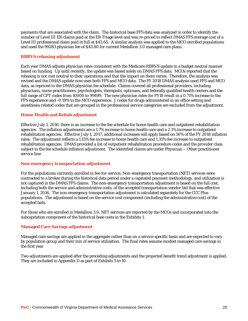payments that are associated with the claim. The historical base FFS data was analyzed in order to identify the number of Level III ER claims paid at the ER Triage level and was re-priced to reflect DMAS FFS average cost of a Level III professional claim paid in full at \$43.65. A similar analysis was applied to the MCO enrolled populations and used the 99283 physician fee of \$43.80 for current Medallion 3.0 managed care plans.

#### **RBRVS rebasing adjustment**

Each year DMAS adjusts physician rates consistent with the Medicare RBRVS update in a budget neutral manner based on funding. Up until recently, the update was based solely on DMAS FFS data. MCOs reported that the rebasing is not cost neutral to their operations and that the impact on them varies. Therefore, the analysis was revised and the DMAS update now uses both FFS and MCO data. The FY 2018 DMAS analysis used FFS and MCO data, as repriced to the DMAS physician fee schedule. Claims covered all professional providers, including physicians, nurse practitioners, psychologists, therapists, opticians, and federally qualified health centers and the full range of CPT codes from 10000 to 99499. The new physician rates for FY18 result in a 0.71% increase to the FFS experience and -0.19% to the MCO experience. J codes for drugs administered in an office setting and anesthesia-related codes that are grouped in the professional service categories are excluded from the adjustment.

#### **Home Health and Rehab adjustment**

Effective July 1, 2016, there is an increase to the fee schedule for home health care and outpatient rehabilitation agencies. The inflation adjustments are a 1.7% increase to home health care and a 2.1% increase to outpatient rehabilitation agencies. Effective July 1, 2017, additional increases will apply based on 50% of the FY 2018 inflation rates. The adjustment reflects a 1.15% fee increase to home health care and 1.35% fee increase to outpatient rehabilitation agencies. DMAS provided a list of outpatient rehabilitation procedure codes and the provider class subject to the fee schedule inflation adjustment. The identified claims are under Physician – Other practitioner service line.

#### **Non-emergency transportation adjustment**

For the populations currently enrolled in fee-for-service, Non-emergency transportation (NET) services were contracted to a broker during the historical data period under a capitated payment methodology, and utilization is not captured in the DMAS FFS claims. The non-emergency transportation adjustment is based on the full cost, including both the service and administrative costs, of the accepted transportation vendor bid that was effective January 1, 2016. The non-emergency transportation adjustment is calculated separately for the CCC Plus populations. The adjustment is based on the service cost component (including the administrative cost) of the accepted bids.

For those who are enrolled in Medallion 3.0, NET services are reported by the MCOs and incorporated into the subcapitation component of the historical base costs in the Exhibits 1.

#### **Managed Care Savings adjustment**

Managed care savings are applied in the aggregate rather than on a service specific basis and are expected to vary by population group and their mix of service utilization. The final rates assume modest managed care savings in the first year

Two adjustments are applied after the preceding adjustments and the projected benefit trend adjustment is applied. They are included in Appendix D as part of Exhibits 5 to 10.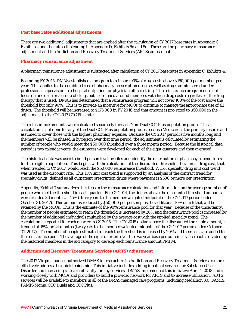#### **Post base rates additional adjustments**

There are two additional adjustments that are applied after the calculation of CY 2017 base rates in Appendix C, Exhibits 4 and the rate cell blending in Appendix D, Exhibits 5d and 5e. These are the pharmacy reinsurance adjustment and the Addiction and Recovery Treatment Services (ARTS) adjustment.

#### **Pharmacy reinsurance adjustment**

A pharmacy reinsurance adjustment is subtracted after calculation of CY 2017 base rates in Appendix C, Exhibits 4.

Beginning FY 2015, DMAS established a program to reinsure 90% of drug costs above \$150,000 per member per year. This applies to the combined cost of pharmacy prescription drugs as well as drugs administered under professional supervision in a hospital outpatient or physician office setting. The reinsurance program does not focus on one drug or a group of drugs but is designed around members with high drug costs regardless of the drug therapy that is used. DMAS has determined that a reinsurance program will not cover 100% of the cost above the threshold but only 90%. This is to provide an incentive for MCOs to continue to manage the appropriate use of all drugs. The threshold will be increased to \$175,000 in FY 2018 and that amount is pro-rated to \$50,000 in the adjustment to the CY 2017 CCC Plus rates.

The reinsurance amounts were calculated separately for each Non-Dual CCC Plus population group. This calculation is not done for any of the Dual CCC Plus population groups because Medicare is the primary insurer and assumed to cover those with the highest pharmacy expense. Because the CY 2017 period is five months long and the members will be phased in by region over that time period, the adjustment is calculated by estimating the number of people who would meet the \$50,000 threshold over a three month period. Because the historical data period is two calendar years, the estimates were developed for each of the eight quarters and then averaged.

The historical data was used to build person level profiles and identify the distribution of pharmacy expenditures for the eligible population. This begins with the calculation of the discounted threshold, the annual drug cost, that when trended to CY 2017, would reach the \$50,000 reinsurance threshold. A 15% specialty drug unit cost trend was used as the discount rate. This 15% unit cost trend is supported by an analysis of the contract trend for specialty drugs, defined as all outpatient prescription drugs where payment is \$500 or more per prescription.

Appendix, Exhibit 7 summarizes the steps in the reinsurance calculation and information on the average number of people who met the threshold in each quarter. For CY 2014, the dollars above the discounted threshold amounts were trended 36 months at 15% (three years to the member weighted midpoint of the CY 2017 period ended October 31, 2017). This amount is reduced by \$50,000 per person plus the additional 10% of risk that will be retained by the MCOs. This is the estimate of the 90% reinsurance pool for that year. Because of the uncertainty, the number of people estimated to reach the threshold is increased by 20% and the reinsurance pool is increased by the number of additional individuals multiplied by the average cost with the applied specialty trend. The calculation is repeated for each quarter in CY 2015. The CY 2015 dollars above the discounted threshold amount, is trended at 15% for 24 months (two years to the member weighted midpoint of the CY 2017 period ended October 31, 2017). The number of people estimated to reach the threshold is increased by 20% and their costs are added to the reinsurance pool. The average of the eight quarters over the two year base period reinsurance pool is divided by the historical members in the aid category to develop each reinsurance amount PMPM.

#### **Addiction and Recovery Treatment Services (ARTS) adjustment**

The 2017 Virginia budget authorized DMAS to restructure its Addiction and Recovery Treatment Services to more effectively address the opioid epidemic. This initiative includes adding inpatient services for Substance Use Disorder and increasing rates significantly for key services. DMAS implemented this initiative April 1, 2018 and is working closely with MCOs and providers to build a provider network for ARTS and to increase utilization. ARTS services will be available to members in all of the DMAS managed care programs, including Medallion 3.0, FAMIS, FAMIS Moms, CCC Duals and CCC Plus.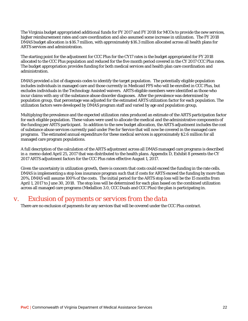The Virginia budget appropriated additional funds for FY 2017 and FY 2018 for MCOs to provide the new services, higher reimbursement rates and care coordination and also assumed some increase in utilization. The FY 2018 DMAS budget allocation is \$16.7 million, with approximately \$16.3 million allocated across all health plans for ARTS services and administration.

The starting point for the adjustment for CCC Plus for the CY17 rates is the budget appropriated for FY 2018 allocated to the CCC Plus population and reduced for the five month period covered in the CY 2017 CCC Plus rates. The budget appropriation provides funding for both medical services and health plan care coordination and administration.

DMAS provided a list of diagnosis codes to identify the target population. The potentially eligible population includes individuals in managed care and those currently in Medicaid FFS who will be enrolled in CCC Plus, but excludes individuals in the Technology Assisted waivers. ARTS eligible members were identified as those who incur claims with any of the substance abuse disorder diagnoses. After the prevalence was determined by population group, that percentage was adjusted for the estimated ARTS utilization factor for each population. The utilization factors were developed by DMAS program staff and varied by age and population group,

Multiplying the prevalence and the expected utilization rates produced an estimate of the ARTS participation factor for each eligible population. These values were used to allocate the medical and the administrative components of the funding per ARTS participant. In addition to the new budget allocation, the ARTS adjustment includes the cost of substance abuse services currently paid under Fee for Service that will now be covered in the managed care programs. The estimated annual expenditure for these medical services is approximately \$2.6 million for all managed care program populations.

A full description of the calculation of the ARTS adjustment across all DMAS managed care programs is described in a memo dated April 25, 2017 that was distributed to the health plans. Appendix D, Exhibit 8 presents the CY 2017 ARTS adjustment factors for the CCC Plus rates effective August 1, 2017.

Given the uncertainty in utilization growth, there is concern that costs could exceed the funding in the rate cells. DMAS is implementing a stop loss insurance program such that if costs for ARTS exceed the funding by more than 20%, DMAS will assume 100% of the costs. The initial period for the ARTS stop loss will be the 15 months from April 1, 2017 to June 30, 2018. The stop loss will be determined for each plan based on the combined utilization across all managed care programs (Medallion 3.0, CCC Duals and CCC Plus) the plan is participating in.

### *v. Exclusion of payments or services from the data*

There are no exclusion of payments for any services that will be covered under the CCC Plus contract.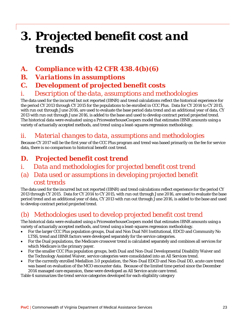# *3. Projected benefit cost and trends*

- *A. Compliance with 42 CFR 438.4(b)(6)*
- *B. Variations in assumptions*

# *C. Development of projected benefit costs*

# *i. Description of the data, assumptions and methodologies*

The data used for the incurred but not reported (IBNR) and trend calculations reflect the historical experience for the period CY 2013 through CY 2015 for the populations to be enrolled in CCC Plus. Data for CY 2014 to CY 2015, with run out through June 2016, are used to evaluate the base period data trend and an additional year of data, CY 2013 with run out through June 2016, is added to the base and used to develop contract period projected trend. The historical data were evaluated using a PricewaterhouseCoopers model that estimates IBNR amounts using a variety of actuarially accepted methods, and trend using a least-squares regression methodology.

## *ii. Material changes to data, assumptions and methodologies*

Because CY 2017 will be the first year of the CCC Plus program and trend was based primarily on the fee for service data, there is no comparison to historical benefit cost trend.

# *D. Projected benefit cost trend*

- *i. Data and methodologies for projected benefit cost trend*
- (a) Data used or assumptions in developing projected benefit cost trends

The data used for the incurred but not reported (IBNR) and trend calculations reflect experience for the period CY 2013 through CY 2015. Data for CY 2014 to CY 2015, with run out through June 2016, are used to evaluate the base period trend and an additional year of data, CY 2013 with run out through June 2016, is added to the base and used to develop contract period projected trend.

# (b) Methodologies used to develop projected benefit cost trend

The historical data were evaluated using a PricewaterhouseCoopers model that estimates IBNR amounts using a variety of actuarially accepted methods, and trend using a least-squares regression methodology.

- For the larger CCC Plus population groups, Dual and Non Dual NH Institutional, EDCD and Community No LTSS, trend and IBNR factors were developed separately for the service categories.
- For the Dual populations, the Medicare crossover trend is calculated separately and combines all services for which Medicare is the primary payer.
- For the smaller CCC Plus population groups, both Dual and Non-Dual Developmental Disability Waiver and the Technology Assisted Waiver, service categories were consolidated into an All Services trend.
- For the currently enrolled Medallion 3.0 population, the Non-Dual EDCD and Non-Dual DD, acute care trend was based on evaluation of the MCO encounter data. Because of the limited time period since the December 2014 managed care expansion, these were developed as All Service acute care trend.

Table 4 summarizes the trend service categories developed for each eligibility category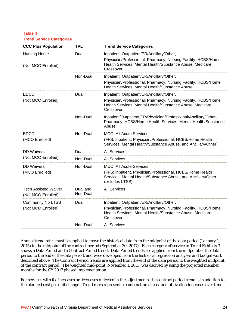**Table 4 Trend Service Categories**

| <b>CCC Plus Population</b>                        | <b>TPL</b>           | <b>Trend Service Categories</b>                                                                                                              |
|---------------------------------------------------|----------------------|----------------------------------------------------------------------------------------------------------------------------------------------|
| <b>Nursing Home</b>                               | Dual                 | Inpatient, Outpatient/ER/Ancillary/Other,                                                                                                    |
| (Not MCO Enrolled)                                |                      | Physician/Professional, Pharmacy, Nursing Facility, HCBS/Home<br>Health Services, Mental Health/Substance Abuse, Medicare<br>Crossover       |
|                                                   | Non-Dual             | Inpatient, Outpatient/ER/Ancillary/Other,                                                                                                    |
|                                                   |                      | Physician/Professional, Pharmacy, Nursing Facility, HCBS/Home<br>Health Services, Mental Health/Substance Abuse,                             |
| <b>EDCD</b>                                       | Dual                 | Inpatient, Outpatient/ER/Ancillary/Other,                                                                                                    |
| (Not MCO Enrolled)                                |                      | Physician/Professional, Pharmacy, Nursing Facility, HCBS/Home<br>Health Services, Mental Health/Substance Abuse, Medicare<br>Crossover       |
|                                                   | Non-Dual             | Inpatient/Outpatient/ER/Physician/Professional/Ancillary/Other,<br>Pharmacy, HCBS/Home Health Services. Mental Health/Substance<br>Abuse     |
| <b>EDCD</b>                                       | Non-Dual             | <b>MCO: All Acute Services</b>                                                                                                               |
| (MCO Enrolled)                                    |                      | (FFS: Inpatient, Physician/Professional, HCBS/Home Health<br>Services, Mental Health/Substance Abuse, and Ancillary/Other)                   |
| <b>DD</b> Waivers                                 | Dual                 | <b>All Services</b>                                                                                                                          |
| (Not MCO Enrolled)                                | Non-Dual             | <b>All Services</b>                                                                                                                          |
| <b>DD Waivers</b>                                 | Non-Dual             | <b>MCO: All Acute Services</b>                                                                                                               |
| (MCO Enrolled)                                    |                      | (FFS: Inpatient, Physician/Professional, HCBS/Home Health<br>Services, Mental Health/Substance Abuse, and Ancillary/Other;<br>excludes LTSS) |
| <b>Tech Assisted Waiver</b><br>(Not MCO Enrolled) | Dual and<br>Non-Dual | <b>All Services</b>                                                                                                                          |
| <b>Community No LTSS</b>                          | Dual                 | Inpatient, Outpatient/ER/Ancillary/Other,                                                                                                    |
| (Not MCO Enrolled)                                |                      | Physician/Professional, Pharmacy, Nursing Facility, HCBS/Home<br>Health Services, Mental Health/Substance Abuse, Medicare<br>Crossover       |
|                                                   | Non-Dual             | <b>All Services</b>                                                                                                                          |

Annual trend rates must be applied to move the historical data from the midpoint of the data period (January 1, 2015) to the midpoint of the contract period (September 30, 2017). Each category of service in Trend Exhibits 3 shows a Data Period and a Contract Period trend. Data Period trends are applied from the midpoint of the data period to the end of the data period, and were developed from the historical regression analyses and budget work described above. The Contract Period trends are applied from the end of the data period to the weighted midpoint of the contract period. The weighted mid-point, November 1, 2017, was derived by using the projected member months for the CY 2017 phased implementation.

For services with fee increases or decreases reflected in the adjustments, the contract period trend is in addition to the planned cost per unit change. Trend rates represent a combination of cost and utilization increases over time.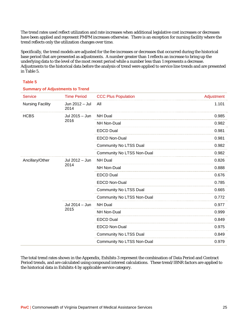The trend rates used reflect utilization and rate increases when additional legislative cost increases or decreases have been applied and represent PMPM increases otherwise. There is an exception for nursing facility where the trend reflects only the utilization changes over time.

Specifically, the trend models are adjusted for the fee increases or decreases that occurred during the historical base period that are presented as adjustments. A number greater than 1 reflects an increase to bring up the underlying data to the level of the most recent period while a number less than 1 represents a decrease. Adjustments to the historical data before the analysis of trend were applied to service line trends and are presented in Table 5.

#### **Table 5**

#### **Summary of Adjustments to Trend**

| <b>Service</b>          | <b>Time Period</b>     | <b>CCC Plus Population</b>    | Adjustment |
|-------------------------|------------------------|-------------------------------|------------|
| <b>Nursing Facility</b> | Jun 2012 - Jul<br>2014 | All                           | 1.101      |
| <b>HCBS</b>             | Jul 2015 - Jun<br>2016 | <b>NH Dual</b>                | 0.985      |
|                         |                        | <b>NH Non-Dual</b>            | 0.982      |
|                         |                        | <b>EDCD Dual</b>              | 0.981      |
|                         |                        | <b>EDCD Non-Dual</b>          | 0.981      |
|                         |                        | <b>Community No LTSS Dual</b> | 0.982      |
|                         |                        | Community No LTSS Non-Dual    | 0.982      |
| Ancillary/Other         | Jul 2012 - Jun<br>2014 | <b>NH Dual</b>                | 0.826      |
|                         |                        | <b>NH Non-Dual</b>            | 0.888      |
|                         |                        | <b>EDCD Dual</b>              | 0.676      |
|                         |                        | <b>EDCD Non-Dual</b>          | 0.785      |
|                         |                        | Community No LTSS Dual        | 0.665      |
|                         |                        | Community No LTSS Non-Dual    | 0.772      |
|                         | Jul 2014 - Jun<br>2015 | <b>NH Dual</b>                | 0.977      |
|                         |                        | <b>NH Non-Dual</b>            | 0.999      |
|                         |                        | <b>EDCD Dual</b>              | 0.849      |
|                         |                        | <b>EDCD Non-Dual</b>          | 0.975      |
|                         |                        | <b>Community No LTSS Dual</b> | 0.849      |
|                         |                        | Community No LTSS Non-Dual    | 0.979      |

The total trend rates shown in the Appendix, Exhibits 3 represent the combination of Data Period and Contract Period trends, and are calculated using compound interest calculations. These trend/IBNR factors are applied to the historical data in Exhibits 4 by applicable service category.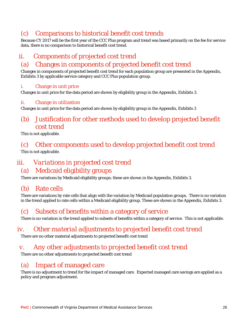# (c) Comparisons to historical benefit cost trends

Because CY 2017 will be the first year of the CCC Plus program and trend was based primarily on the fee for service data, there is no comparison to historical benefit cost trend.

# *ii. Components of projected cost trend*

## (a) Changes in components of projected benefit cost trend

Changes in components of projected benefit cost trend for each population group are presented in the Appendix, Exhibits 3 by applicable service category and CCC Plus population group.

#### i. Change in unit price

Changes in unit price for the data period are shown by eligibility group in the Appendix, Exhibits 3.

#### ii. Change in utilization

Changes in unit price for the data period are shown by eligibility group in the Appendix, Exhibits 3

# (b) Justification for other methods used to develop projected benefit cost trend

This is not applicable.

### (c) Other components used to develop projected benefit cost trend This is not applicable.

# *iii. Variations in projected cost trend*

### (a) Medicaid eligibility groups

There are variations by Medicaid eligibility groups; these are shown in the Appendix, Exhibits 3.

### (b) Rate cells

There are variations by rate cells that align with the variation by Medicaid population groups. There is no variation in the trend applied to rate cells within a Medicaid eligibility group. These are shown in the Appendix, Exhibits 3.

# (c) Subsets of benefits within a category of service

There is no variation in the trend applied to subsets of benefits within a category of service. This is not applicable.

### *iv. Other material adjustments to projected benefit cost trend*

There are no other material adjustments to projected benefit cost trend

### *v. Any other adjustments to projected benefit cost trend*

There are no other adjustments to projected benefit cost trend

# (a) Impact of managed care

There is no adjustment to trend for the impact of managed care. Expected managed care savings are applied as a policy and program adjustment.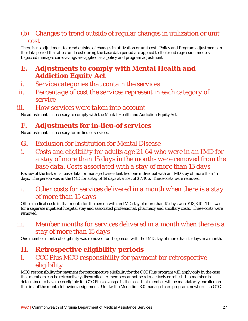# (b) Changes to trend outside of regular changes in utilization or unit cost

There is no adjustment to trend outside of changes in utilization or unit cost. Policy and Program adjustments in the data period that affect unit cost during the base data period are applied to the trend regression models. Expected manages care savings are applied as a policy and program adjustment.

# *E. Adjustments to comply with Mental Health and Addiction Equity Act*

- *i. Service categories that contain the services*
- *ii. Percentage of cost the services represent in each category of service*

### *iii. How services were taken into account*

No adjustment is necessary to comply with the Mental Health and Addiction Equity Act.

# *F. Adjustments for in-lieu-of services*

No adjustment is necessary for in-lieu of services.

### *G.* Exclusion for Institution for Mental Disease

*i. Costs and eligibility for adults age 21-64 who were in an IMD for a stay of more than 15 days in the months were removed from the base data. Costs associated with a stay of more than 15 days* 

Review of the historical base data for managed care identified one individual with an IMD stay of more than 15 days. The person was in the IMD for a stay of 19 days at a cost of \$7,406. These costs were removed.

## *ii. Other costs for services delivered in a month when there is a stay of more than 15 days*

Other medical costs in that month for the person with an IMD stay of more than 15 days were \$13,340. This was for a separate inpatient hospital stay and associated professional, pharmacy and ancillary costs. These costs were removed.

# *iii. Member months for services delivered in a month when there is a stay of more than 15 days*

One member month of eligibility was removed for the person with the IMD stay of more than 15 days in a month.

# *H. Retrospective eligibility periods*

# *i. CCC Plus MCO responsibility for payment for retrospective eligibility*

MCO responsibility for payment for retrospective eligibility for the CCC Plus program will apply only in the case that members can be retroactively disenrolled. A member cannot be retroactively enrolled. If a member is determined to have been eligible for CCC Plus coverage in the past, that member will be mandatorily enrolled on the first of the month following assignment. Unlike the Medallion 3.0 managed care program, newborns to CCC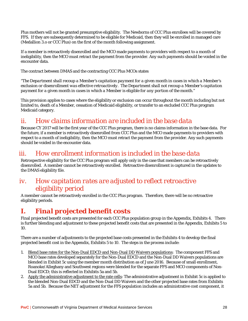Plus mothers will not be granted presumptive eligibility. The Newborns of CCC Plus enrollees will be covered by FFS. If they are subsequently determined to be eligible for Medicaid, then they will be enrolled in managed care (Medallion 3.o or CCC Plus) on the first of the month following assignment.

If a member is retroactively disenrolled and the MCO made payments to providers with respect to a month of ineligibility, then the MCO must retract the payment from the provider. Any such payments should be voided in the encounter data.

The contract between DMAS and the contracting CCC Plus MCOs states

*"The Department shall recoup a Member's capitation payment for a given month in cases in which a Member's exclusion or disenrollment was effective retroactively. The Department shall not recoup a Member's capitation payment for a given month in cases in which a Member is eligible for any portion of the month."* 

This provision applies to cases where the eligibility or exclusion can occur throughout the month including but not limited to, death of a Member, cessation of Medicaid eligibility, or transfer to an excluded CCC Plus program Medicaid category.

#### *ii. How claims information are included in the base data*

Because CY 2017 will be the first year of the CCC Plus program, there is no claims information in the base data. For the future, if a member is retroactively disenrolled from CCC Plus and the MCO made payments to providers with respect to a month of ineligibility, then the MCO must retract the payment from the provider. Any such payments should be voided in the encounter data.

#### *iii. How enrollment information is included in the base data*

Retrospective eligibility for the CCC Plus program will apply only in the case that members can be retroactively disenrolled. A member cannot be retroactively enrolled. Retroactive disenrollment is captured in the updates to the DMAS eligibility file.

#### *iv. How capitation rates are adjusted to reflect retroactive eligibility period*

A member cannot be retroactively enrolled in the CCC Plus program. Therefore, there will be no retroactive eligibility periods.

### *I. Final projected benefit costs*

Final projected benefit costs are presented for each CCC Plus population group in the Appendix, Exhibits 4. There is further blending and adjustment to these projected benefit costs that are presented in the Appendix, Exhibits 5 to 10.

There are a number of adjustments to the projected base costs presented in the Exhibits 4 to develop the final projected benefit cost in the Appendix, Exhibits 5 to 10. The steps in the process include:

- 1. Blend base rates for the Non-Dual EDCD and Non-Dual DD Waivers populations: The component FFS and MCO base rates developed separately for the Non-Dual EDCD and the Non-Dual DD Waivers populations are blended in Exhibit 5c using the member month distribution as of June 2016. Because of small enrollment, Roanoke/Alleghany and Southwest regions were blended for the separate FFS and MCO components of Non-Dual EDCD; this is reflected in Exhibits 5a and 5b.
- 2. Apply the administrative adjustment to the rate cells: The administrative adjustment in Exhibit 5c is applied to the blended Non-Dual EDCD and the Non-Dual DD Waivers and the other projected base rates from Exhibits 5a and 5b. Because the NET adjustment for the FFS population includes an administrative cost component, it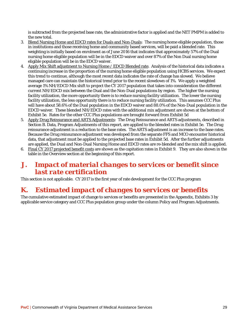is subtracted from the projected base rate, the administrative factor is applied and the NET PMPM is added to the new total.

- 3. Blend Nursing Home and EDCD rates for Duals and Non-Duals: The nursing home eligible population, those in institutions and those receiving home and community based services, will be paid a blended rate. This weighting is initially based on enrolment as of June 2016 that indicates that approximately 57% of the Dual nursing home eligible population will be in the EDCD waiver and over 87% of the Non Dual nursing home eligible population will be in the EDCD waiver.
- 4. Apply Mix Shift adjustment to Nursing Home / EDCD Blended rate. Analysis of the historical data indicates a continuing increase in the proportion of the nursing home eligible population using HCBS services. We expect this trend to continue, although the most recent data indicates the rate of change has slowed. We believe managed care can maintain the historical trend prior to the recent slowdown of 1%. We apply a weighted average 1% NH/EDCD Mix shift to project the CY 2017 population that takes into consideration the different current NH/EDCD mix between the Dual and the Non-Dual populations by region. The higher the nursing facility utilization, the more opportunity there is to reduce nursing facility utilization. The lower the nursing facility utilization, the less opportunity there is to reduce nursing facility utilization. This assumes CCC Plus will have about 58.6% of the Dual population in the EDCD waiver and 88.0% of the Non-Dual population in the EDCD waiver. These blended NH/EDCD rates with the additional mix adjustment are shown at the bottom of Exhibit 5e. Rates for the other CCC Plus populations are brought forward from Exhibit 5d
- 5. Apply Drug Reinsurance and ARTS Adjustments: The Drug Reinsurance and ARTS adjustments, described in Section B. Data, Program Adjustments of this report, are applied to the blended rates in Exhibit 5e. The Drug reinsurance adjustment is a reduction to the base rates. The ARTS adjustment is an increase to the base rates. Because the Drug reinsurance adjustment was developed from the separate FFS and MCO encounter historical data, that adjustment must be applied to the projected base rates in Exhibit 5d. After the further adjustments are applied, the Dual and Non-Dual Nursing Home and EDCD rates are re-blended and the mix shift is applied.
- 6. Final CY 2017 projected benefit costs are shown as the capitation rates in Exhibit 9. They are also shown in the table in the Overview section at the beginning of this report.

#### *J. Impact of material changes to services or benefit since last rate certification*

This section is not applicable. CY 2017 is the first year of rate development for the CCC Plus program

#### *K. Estimated impact of changes to services or benefits*

The cumulative estimated impact of change to services or benefits are presented in the Appendix, Exhibits 3 by applicable service category and CCC Plus population group under the column Policy and Program Adjustments.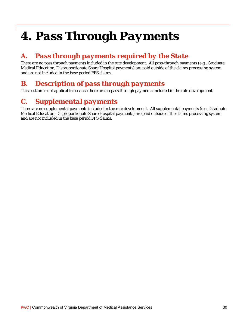# *4. Pass Through Payments*

### *A. Pass through payments required by the State*

There are no pass through payments included in the rate development. All pass-through payments (e.g., Graduate Medical Education, Disproportionate Share Hospital payments) are paid outside of the claims processing system and are not included in the base period FFS claims.

### *B. Description of pass through payments*

This section is not applicable because there are no pass through payments included in the rate development

### *C. Supplemental payments*

There are no supplemental payments included in the rate development. All supplemental payments (e.g., Graduate Medical Education, Disproportionate Share Hospital payments) are paid outside of the claims processing system and are not included in the base period FFS claims.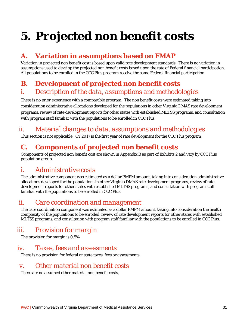# *5. Projected non benefit costs*

### *A. Variation in assumptions based on FMAP*

Variation in projected non benefit cost is based upon valid rate development standards. There is no variation in assumptions used to develop the projected non benefit costs based upon the rate of Federal financial participation. All populations to be enrolled in the CCC Plus program receive the same Federal financial participation.

### *B. Development of projected non benefit costs i. Description of the data, assumptions and methodologies*

There is no prior experience with a comparable program. The non benefit costs were estimated taking into consideration administrative allocations developed for the populations in other Virginia DMAS rate development programs, review of rate development reports for other states with established MLTSS programs, and consultation with program staff familiar with the populations to be enrolled in CCC Plus.

### *ii. Material changes to data, assumptions and methodologies*

This section is not applicable. CY 2017 is the first year of rate development for the CCC Plus program

### *C. Components of projected non benefit costs*

Components of projected non benefit cost are shown in Appendix B as part of Exhibits 2 and vary by CCC Plus population group.

#### *i. Administrative costs*

The administrative component was estimated as a dollar PMPM amount, taking into consideration administrative allocations developed for the populations in other Virginia DMAS rate development programs, review of rate development reports for other states with established MLTSS programs, and consultation with program staff familiar with the populations to be enrolled in CCC Plus.

### *ii. Care coordination and management*

The care coordination component was estimated as a dollar PMPM amount, taking into consideration the health complexity of the populations to be enrolled, review of rate development reports for other states with established MLTSS programs, and consultation with program staff familiar with the populations to be enrolled in CCC Plus.

### *iii. Provision for margin*

The provision for margin is 0.5%

#### *iv. Taxes, fees and assessments*

There is no provision for federal or state taxes, fees or assessments.

#### *v. Other material non benefit costs*

There are no assumed other material non benefit costs,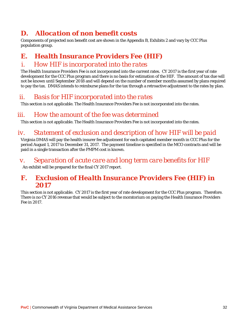### *D. Allocation of non benefit costs*

Components of projected non benefit cost are shown in the Appendix B, Exhibits 2 and vary by CCC Plus population group.

### *E. Health Insurance Providers Fee (HIF)*

#### *i. How HIF is incorporated into the rates*

The Health Insurance Providers Fee is not incorporated into the current rates. CY 2017 is the first year of rate development for the CCC Plus program and there is no basis for estimation of the HIF. The amount of tax due will not be known until September 2018 and will depend on the number of member months assumed by plans required to pay the tax. DMAS intends to reimburse plans for the tax through a retroactive adjustment to the rates by plan.

#### *ii. Basis for HIF incorporated into the rates*

This section is not applicable. The Health Insurance Providers Fee is not incorporated into the rates.

#### *iii. How the amount of the fee was determined*

This section is not applicable. The Health Insurance Providers Fee is not incorporated into the rates.

### *iv. Statement of exclusion and description of how HIF will be paid*

Virginia DMAS will pay the health insurer fee adjustment for each capitated member month in CCC Plus for the period August 1, 2017 to December 31, 2017. The payment timeline is specified in the MCO contracts and will be paid in a single transaction after the PMPM cost is known.

#### *v. Separation of acute care and long term care benefits for HIF*

An exhibit will be prepared for the final CY 2017 report.

#### *F. Exclusion of Health Insurance Providers Fee (HIF) in 2017*

This section is not applicable. CY 2017 is the first year of rate development for the CCC Plus program. Therefore. There is no CY 2016 revenue that would be subject to the moratorium on paying the Health Insurance Providers Fee in 2017.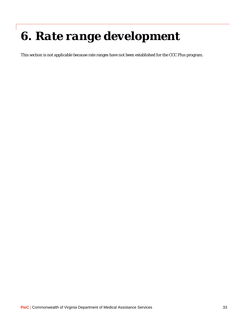# *6. Rate range development*

This section is not applicable because rate ranges have not been established for the CCC Plus program.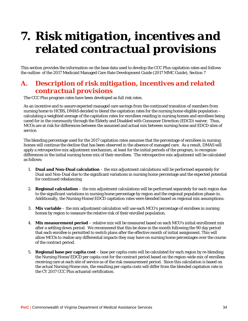# *7. Risk mitigation, incentives and related contractual provisions*

This section provides the information on the base data used to develop the CCC Plus capitation rates and follows the outline of the 2017 Medicaid Managed Care Rate Development Guide (2017 MMC Guide), Section 7

#### *A. Description of risk mitigation, incentives and related contractual provisions*

The CCC Plus program rates have been developed as full risk rates.

As an incentive and to assure expected managed care savings from the continued transition of members from nursing home to HCBS, DMAS decided to blend the capitation rates for the nursing home eligible population – calculating a weighted average of the capitation rates for enrollees residing in nursing homes and enrollees being cared for in the community through the Elderly and Disabled with Consumer Direction (EDCD) waiver. Thus, MCOs are at risk for differences between the assumed and actual mix between nursing home and EDCD sites of service.

The blending percentage used for the 2017 capitation rates assumes that the percentage of enrollees in nursing homes will continue the decline that has been observed in the absence of managed care. As a result, DMAS will apply a retrospective mix adjustment mechanism, at least for the initial periods of the program, to recognize differences in the initial nursing home mix of their enrollees. The retrospective mix adjustment will be calculated as follows:

- 1. **Dual and Non-Dual calculation** the mix adjustment calculations will be performed separately for Dual and Non-Dual due to the significant variations in nursing home percentage and the expected potential for continued rebalancing.
- 2. **Regional calculation** the mix adjustment calculations will be performed separately for each region due to the significant variations in nursing home percentage by region and the regional population phase-in. Additionally, the Nursing Home/EDCD capitation rates were blended based on regional mix assumptions.
- 3. **Mix variable** the mix adjustment calculation will use each MCO's percentage of enrollees in nursing homes by region to measure the relative risk of their enrolled population.
- 4. **Mix measurement period** relative mix will be measured based on each MCO's initial enrollment mix after a settling down period. We recommend that this be done in the month following the 90 day period that each enrollee is permitted to switch plans after the effective month of initial assignment. This will allow MCOs to realize any differential impacts they may have on nursing home percentages over the course of the contract period.
- 5. **Regional base per capita cost**  base per capita costs will be calculated for each region by re-blending the Nursing Home/EDCD per capita cost for the contract period based on the region-wide mix of enrollees receiving care at each site of service as of the risk measurement period. Since this calculation is based on the actual Nursing Home mix, the resulting per capita costs will differ from the blended capitation rate in the CY 2017 CCC Plus actuarial certification.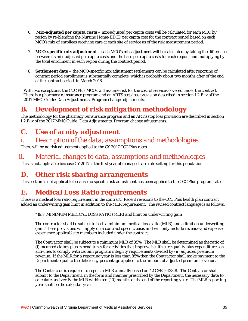- 6. **Mix-adjusted per capita costs**  mix-adjusted per capita costs will be calculated for each MCO by region by re-blending the Nursing Home/EDCD per capita cost for the contract period based on each MCO's mix of enrollees receiving care at each site of service as of the risk measurement period.
- 7. **MCO-specific mix adjustment**  each MCO's mix adjustment will be calculated by taking the difference between its mix-adjusted per capita costs and the base per capita costs for each region, and multiplying by the total enrollment in each region during the contract period.
- 8. **Settlement date**  the MCO-specific mix adjustment settlements can be calculated after reporting of contract period enrollment is substantially complete, which is probably about two months after of the end of the contract period, in March 2018.

With two exceptions, the CCC Plus MCOs will assume risk for the cost of services covered under the contract. There is a pharmacy reinsurance program and an ARTS stop loss provision described in section I.2.B.iv of the 2017 MMC Guide: Data Adjustments, Program change adjustments.

### *B. Development of risk mitigation methodology*

The methodology for the pharmacy reinsurance program and an ARTS stop loss provision are described in section I.2.B.iv of the 2017 MMC Guide: Data Adjustments, Program change adjustments.

## *C. Use of acuity adjustment*

#### *i. Description of the data, assumptions and methodologies*

There will be no risk adjustment applied to the CY 2017 CCC Plus rates.

#### *ii. Material changes to data, assumptions and methodologies*

This is not applicable because CY 2017 is the first year of managed care rate setting for this population.

#### *D. Other risk sharing arrangements*

This section is not applicable because no specific risk adjustment has been applied to the CCC Plus program rates.

### *E. Medical Loss Ratio requirements*

There is a medical loss ratio requirement in the contract. Recent revisions to the CCC Plus health plan contract added an underwriting gain limit in addition to the MLR requirement. The revised contract language is as follows:

"*19.7 MINIMUM MEDICAL LOSS RATIO (MLR) and limit on underwriting gain* 

*The contractor shall be subject to both a minimum medical loss ratio (MLR) and a limit on underwriting gain. These provisions will apply on a contract specific basis and will only include revenue and expense experience applicable to members included under the contract.* 

*The Contractor shall be subject to a minimum MLR of 85%. The MLR shall be determined as the ratio of (i) incurred claims plus expenditures for activities that improve health care quality plus expenditures on activities to comply with certain program integrity requirements divided by (ii) adjusted premium revenue. If the MLR for a reporting year is less than 85% then the Contractor shall make payment to the Department equal to the deficiency percentage applied to the amount of adjusted premium revenue.* 

*The Contractor is required to report a MLR annually based on 42 CFR § 438.8. The Contractor shall submit to the Department, in the form and manner prescribed by the Department, the necessary data to calculate and verify the MLR within ten (10) months of the end of the reporting year. The MLR reporting year shall be the calendar year.*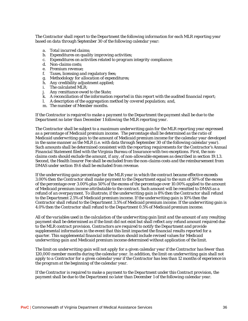*The Contractor shall report to the Department the following information for each MLR reporting year based on data through September 30 of the following calendar year:* 

- *a. Total incurred claims;*
- *b. Expenditures on quality improving activities;*
- *c. Expenditures on activities related to program integrity compliance;*
- *d. Non-claims costs;*
- *e. Premium revenue;*
- *f. Taxes, licensing and regulatory fees;*
- *g. Methodology for allocation of expenditures;*
- *h. Any credibility adjustment applied;*
- *i. The calculated MLR;*
- *j. Any remittance owed to the State;*
- *k. A reconciliation of the information reported in this report with the audited financial report;*
- *l. A description of the aggregation method by covered population; and,*
- *m. The number of Member months.*

*If the Contractor is required to make a payment to the Department the payment shall be due to the Department no later than December 1 following the MLR reporting year.* 

*The Contractor shall be subject to a maximum underwriting gain for the MLR reporting year expressed as a percentage of Medicaid premium income. The percentage shall be determined as the ratio of Medicaid underwriting gain to the amount of Medicaid premium income for the calendar year developed in the same manner as the MLR (i.e. with data through September 30 of the following calendar year). Such amounts shall be determined consistent with the reporting requirements for the Contractor's Annual Financial Statement filed with the Virginia Bureau of Insurance with two exceptions. First, the nonclaims costs should exclude the amount, if any, of non-allowable expenses as described in section 19.1.3. Second, the Health Insurer Fee shall be excluded from the non-claims costs and the reimbursement from DMAS under section 19.6 shall be excluded from revenue.* 

*If the underwriting gain percentage for the MLR year in which the contract became effective exceeds 3.00% then the Contractor shall make payment to the Department equal to the sum of 50% of the excess of the percentage over 3.00% plus 50% of the excess of the percentage over 10.00% applied to the amount of Medicaid premium income attributable to the contract. Such amount will be remitted to DMAS as a refund of an overpayment. To illustrate, if the underwriting gain is 8% then the Contractor shall refund to the Department 2.5% of Medicaid premium income. If the underwriting gain is 10% then the Contractor shall refund to the Department 3.5% of Medicaid premium income. If the underwriting gain is 4.0% then the Contractor shall refund to the Department 0.5% of Medicaid premium income.* 

*All of the variables used in the calculation of the underwriting gain limit and the amount of any resulting payment shall be determined as if the limit did not exist but shall reflect any refund amount required due to the MLR contract provision. Contractors are required to notify the Department and provide supplemental information in the event that this limit impacted the financial results reported for a quarter. This supplemental financial information should include revised values for Medicaid underwriting gain and Medicaid premium income determined without application of the limit.* 

*The limit on underwriting gain will not apply for a given calendar year if the Contractor has fewer than 120,000 member months during the calendar year. In addition, the limit on underwriting gain shall not apply to a Contractor for a given calendar year if the Contractor has less than 12 months of experience in the program at the beginning of the calendar year.* 

*If the Contractor is required to make a payment to the Department under this Contract provision, the payment shall be due to the Department no later than December 1 of the following calendar year.*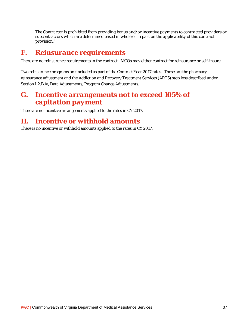*The Contractor is prohibited from providing bonus and/or incentive payments to contracted providers or subcontractors which are determined based in whole or in part on the applicability of this contract provision."* 

#### *F. Reinsurance requirements*

There are no reinsurance requirements in the contract. MCOs may either contract for reinsurance or self-insure.

Two reinsurance programs are included as part of the Contract Year 2017 rates. These are the pharmacy reinsurance adjustment and the Addiction and Recovery Treatment Services (ARTS) stop loss described under Section I.2.B.iv, Data Adjustments, Program Change Adjustments.

#### *G. Incentive arrangements not to exceed 105% of capitation payment*

There are no incentive arrangements applied to the rates in CY 2017.

#### *H. Incentive or withhold amounts*

There is no incentive or withhold amounts applied to the rates in CY 2017.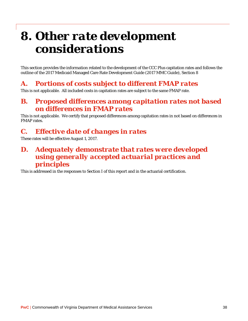# *8. Other rate development considerations*

This section provides the information related to the development of the CCC Plus capitation rates and follows the outline of the 2017 Medicaid Managed Care Rate Development Guide (2017 MMC Guide), Section 8

### *A. Portions of costs subject to different FMAP rates*

This is not applicable. All included costs in capitation rates are subject to the same FMAP rate.

#### *B. Proposed differences among capitation rates not based on differences in FMAP rates*

This is not applicable. We certify that proposed differences among capitation rates in not based on differences in FMAP rates.

## *C. Effective date of changes in rates*

These rates will be effective August 1, 2017.

#### *D. Adequately demonstrate that rates were developed using generally accepted actuarial practices and principles*

This is addressed in the responses to Section I of this report and in the actuarial certification.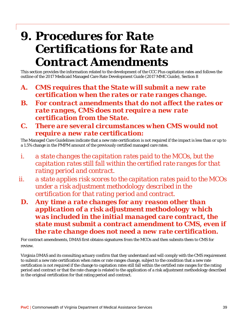# *9. Procedures for Rate Certifications for Rate and Contract Amendments*

This section provides the information related to the development of the CCC Plus capitation rates and follows the outline of the 2017 Medicaid Managed Care Rate Development Guide (2017 MMC Guide), Section 8

- *A. CMS requires that the State will submit a new rate certification when the rates or rate ranges change.*
- *B. For contract amendments that do not affect the rates or rate ranges, CMS does not require a new rate certification from the State.*
- *C. There are several circumstances when CMS would not require a new rate certification:*

The Managed Care Guidelines indicate that a new rate certification is not required if the impact is less than or up to a 1.5% change in the PMPM amount of the previously certified managed care rates.

- *i. a state changes the capitation rates paid to the MCOs, but the capitation rates still fall within the certified rate ranges for that rating period and contract.*
- *ii. a state applies risk scores to the capitation rates paid to the MCOs under a risk adjustment methodology described in the certification for that rating period and contract.*
- *D. Any time a rate changes for any reason other than application of a risk adjustment methodology which was included in the initial managed care contract, the state must submit a contract amendment to CMS, even if the rate change does not need a new rate certification.*

For contract amendments, DMAS first obtains signatures from the MCOs and then submits them to CMS for review.

Virginia DMAS and its consulting actuary confirm that they understand and will comply with the CMS requirement to submit a new rate certification when rates or rate ranges change, subject to the condition that a new rate certification is not required if the change to capitation rates still fall within the certified rate ranges for the rating period and contract or that the rate change is related to the application of a risk adjustment methodology described in the original certification for that rating period and contract.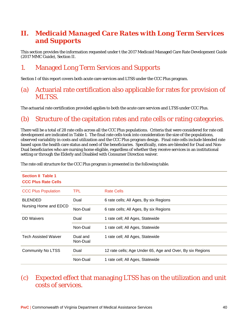### *II. Medicaid Managed Care Rates with Long Term Services and Supports*

This section provides the information requested under t the 2017 Medicaid Managed Care Rate Development Guide (2017 MMC Guide), Section II.

### *1.* Managed Long Term Services and Supports

Section I of this report covers both acute care services and LTSS under the CCC Plus program.

#### (a) Actuarial rate certification also applicable for rates for provision of MLTSS.

The actuarial rate certification provided applies to both the acute care services and LTSS under CCC Plus.

#### (b) Structure of the capitation rates and rate cells or rating categories.

There will be a total of 28 rate cells across all the CCC Plus populations. Criteria that were considered for rate cell development are indicated in Table 1. The final rate cells took into consideration the size of the populations, observed variability in costs and utilization and the CCC Plus program design. Final rate cells include blended rate based upon the health care status and need of the beneficiaries. Specifically, rates are blended for Dual and Non-Dual beneficiaries who are nursing home eligible, regardless of whether they receive services in an institutional setting or through the Elderly and Disabled with Consumer Direction waiver.

| <b>Section II Table 1</b><br><b>CCC Plus Rate Cells</b> |                      |                                                           |
|---------------------------------------------------------|----------------------|-----------------------------------------------------------|
| <b>CCC Plus Population</b>                              | TPL.                 | <b>Rate Cells</b>                                         |
| <b>BLENDED</b>                                          | Dual                 | 6 rate cells; All Ages, By six Regions                    |
| Nursing Home and EDCD                                   | Non-Dual             | 6 rate cells; All Ages, By six Regions                    |
| <b>DD</b> Waivers                                       | Dual                 | 1 rate cell; All Ages, Statewide                          |
|                                                         | Non-Dual             | 1 rate cell; All Ages, Statewide                          |
| <b>Tech Assisted Waiver</b>                             | Dual and<br>Non-Dual | 1 rate cell; All Ages, Statewide                          |
| <b>Community No LTSS</b>                                | Dual                 | 12 rate cells; Age Under 65, Age and Over, By six Regions |
|                                                         | Non-Dual             | 1 rate cell; All Ages, Statewide                          |

The rate cell structure for the CCC Plus program is presented in the following table.

#### (c) Expected effect that managing LTSS has on the utilization and unit costs of services.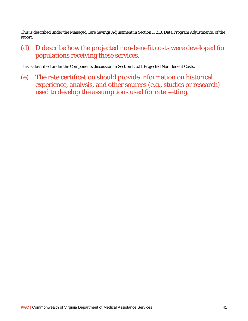This is described under the Managed Care Savings Adjustment in Section I, 2.B, Data Program Adjustments, of the report.

(d) D describe how the projected non-benefit costs were developed for populations receiving these services.

This is described under the Components discussion in Section I, 5.B, Projected Non Benefit Costs.

(e) The rate certification should provide information on historical experience, analysis, and other sources (e.g., studies or research) used to develop the assumptions used for rate setting.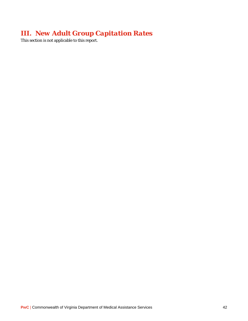### *III. New Adult Group Capitation Rates*

This section is not applicable to this report.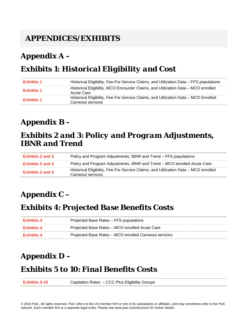## *APPENDICES/EXHIBITS*

## *Appendix A –*

## *Exhibits 1: Historical Eligibility and Cost*

| <b>Exhibits 1</b> | Historical Eligibility, Fee-For-Service Claims, and Utilization Data – FFS populations                   |
|-------------------|----------------------------------------------------------------------------------------------------------|
| <b>Exhibits 1</b> | Historical Eligibility, MCO Encounter Claims, and Utilization Data – MCO enrolled<br>Acute Care          |
| <b>Exhibits 1</b> | Historical Eligibility, Fee-For-Service Claims, and Utilization Data - MCO Enrolled<br>Carveout services |

### *Appendix B –*

### *Exhibits 2 and 3: Policy and Program Adjustments, IBNR and Trend*

| Exhibits 2 and 3 | Policy and Program Adjustments, IBNR and Trend – FFS populations                                         |
|------------------|----------------------------------------------------------------------------------------------------------|
| Exhibits 2 and 3 | Policy and Program Adjustments, IBNR and Trend – MCO enrolled Acute Care                                 |
| Exhibits 2 and 3 | Historical Eligibility, Fee-For-Service Claims, and Utilization Data – MCO enrolled<br>Carveout services |

## *Appendix C –*

### *Exhibits 4: Projected Base Benefits Costs*

| <b>Exhibits 4</b> | Projected Base Rates – FFS populations                |
|-------------------|-------------------------------------------------------|
| <b>Exhibits 4</b> | Projected Base Rates – MCO enrolled Acute Care        |
| <b>Exhibits 4</b> | Projected Base Rates – MCO enrolled Carveout services |

## *Appendix D –*

### *Exhibits 5 to 10:Final Benefits Costs*

**Exhibits 5-10** Capitation Rates – CCC Plus Eligibility Groups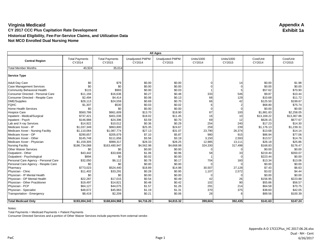|                                      | <b>All Ages</b>                 |                                 |                                  |                                  |                      |                      |                     |                     |
|--------------------------------------|---------------------------------|---------------------------------|----------------------------------|----------------------------------|----------------------|----------------------|---------------------|---------------------|
| <b>Central Region</b>                | <b>Total Payments</b><br>CY2014 | <b>Total Payments</b><br>CY2015 | <b>Unadjusted PMPM</b><br>CY2014 | <b>Unadjusted PMPM</b><br>CY2015 | Units/1000<br>CY2014 | Units/1000<br>CY2015 | Cost/Unit<br>CY2014 | Cost/Unit<br>CY2015 |
| <b>Total Member Months</b>           | 40,924                          | 35,014                          |                                  |                                  |                      |                      |                     |                     |
| <b>Service Type</b>                  |                                 |                                 |                                  |                                  |                      |                      |                     |                     |
| <b>Adult Day Care</b>                | \$0                             | \$79                            | \$0.00                           | \$0.00                           |                      | 14                   | \$0.00              | \$1.98              |
| <b>Case Management Services</b>      | \$0                             | \$0                             | \$0.00                           | \$0.00                           |                      |                      | \$0.00              | \$0.00              |
| Community Behavioral Health          | \$115                           | \$993                           | \$0.00                           | \$0.03                           |                      |                      | \$57.62             | \$70.90             |
| Consumer Directed - Personal Care    | \$11,194                        | \$16,636                        | \$0.27                           | \$0.48                           | 333                  | 546                  | \$9.87              | \$10.44             |
| Consumer Directed - Respite Care     | \$2,494                         | \$4,414                         | \$0.06                           | \$0.13                           | 68                   | 129                  | \$10.68             | \$11.72             |
| DME/Supplies                         | \$28,113                        | \$24,559                        | \$0.69                           | \$0.70                           | 66                   | 42                   | \$125.50            | \$199.67            |
| <b>FQHC</b>                          | \$1,307                         | \$530                           | \$0.03                           | \$0.02                           |                      |                      | \$68.80             | \$75.74             |
| Home Health Services                 | \$0                             | \$0                             | \$0.00                           | \$0.00                           |                      |                      | \$0.00              | \$0.00              |
| Hospice Care                         | \$560.786                       | \$661.609                       | \$13.70                          | \$18.90                          | 87                   | 100                  | \$1.881.83          | \$2.258.05          |
| Inpatient - Medical/Surgical         | \$737,421                       | \$401,036                       | \$18.02                          | \$11.45                          | 16                   | 10                   | \$13,168.22         | \$13,367.86         |
| Inpatient - Psych                    | \$146,988                       | \$24,396                        | \$3.59                           | \$0.70                           | 69                   | 12                   | \$628.15            | \$677.67            |
| Lab and X-ray Services               | \$14,922                        | \$10,012                        | \$0.36                           | \$0.29                           | 254                  | 240                  | \$17.23             | \$14.30             |
| Medicare Xover - IP                  | \$1,037,349                     | \$863,800                       | \$25.35                          | \$24.67                          | 259                  | 239                  | \$1,176.13          | \$1,239.31          |
| Medicare Xover - Nursing Facility    | \$1,110,064                     | \$1,087,774                     | \$27.13                          | \$31.07                          | 23,790               | 26,374               | \$13.68             | \$14.14             |
| Medicare Xover - OP                  | \$290,657                       | \$205,679                       | \$7.10                           | \$5.87                           | 980                  | 915                  | \$86.94             | \$77.06             |
| Medicare Xover - Other               | \$145,748                       | \$111,656                       | \$3.56                           | \$3.19                           | 3,150                | 2,593                | \$13.57             | \$14.76             |
| Medicare Xover - Physician           | \$1,159,305                     | \$989,317                       | \$28.33                          | \$28.25                          | 12,985               | 13,111               | \$26.18             | \$25.86             |
| <b>Nursing Facility</b>              | \$186,734,068                   | \$163,480,947                   | \$4,562.98                       | \$4,668.98                       | 324,330              | 317,498              | \$168.83            | \$176.47            |
| <b>Other Waiver Services</b>         | \$0                             | \$0                             | \$0.00                           | \$0.00                           |                      |                      | \$0.00              | \$0.00              |
| Outpatient - Other                   | \$43,442                        | \$33,606                        | \$1.06                           | \$0.96                           | 58                   | 33                   | \$219.40            | \$350.07            |
| Outpatient - Psychological           | \$894                           | \$0                             | \$0.02                           | \$0.00                           |                      |                      | \$223.44            | \$0.00              |
| Personal Care Agency - Personal Care | \$32,050                        | \$6,112                         | \$0.78                           | \$0.17                           | 704                  | 160                  | \$13.34             | \$13.06             |
| Personal Care Agency - Respite Care  | \$0                             | \$0                             | \$0.00                           | \$0.00                           |                      |                      | \$0.00              | \$0.00              |
| Pharmacy                             | \$773,023                       | \$524,440                       | \$18.89                          | \$14.98                          | 30,507               | 27,128               | \$7.43              | \$6.63              |
| Physician - Clinic                   | \$11,402                        | \$33,291                        | \$0.28                           | \$0.95                           | 1,107                | 2,572                | \$3.02              | \$4.44              |
| Physician - IP Mental Health         | \$0                             | \$0                             | \$0.00                           | \$0.00                           |                      |                      | \$0.00              | \$0.00              |
| Physician - OP Mental Health         | \$22,287                        | \$17,015                        | \$0.54                           | \$0.49                           | 42                   | 26                   | \$156.95            | \$223.88            |
| Physician - Other Practitioner       | \$19,497                        | \$14,821                        | \$0.48                           | \$0.42                           | 102                  | 90                   | \$55.86             | \$56.57             |
| Physician - PCP                      | \$64,127                        | \$44,075                        | \$1.57                           | \$1.26                           | 291                  | 214                  | \$64.58             | \$70.75             |
| Physician - Specialist               | \$48,672                        | \$45,963                        | \$1.19                           | \$1.31                           | 370                  | 375                  | \$38.60             | \$42.05             |
| Transportation - Emergency           | \$8,419                         | \$2,209                         | \$0.21                           | \$0.06                           | 28                   |                      | \$89.56             | \$100.39            |
| <b>Total Medicaid Only</b>           | \$193,004,343                   | \$168,604,968                   | \$4,716.20                       | \$4,815.32                       | 399,604              | 392,435              | \$141.63            | \$147.24            |

Notes:

Total Payments = Medicaid Payments + Patient Payments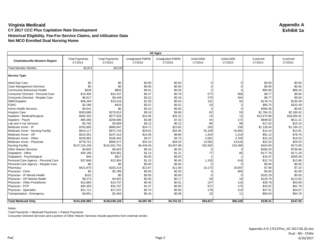|                                       | <b>All Ages</b>                 |                                 |                                  |                                  |                      |                             |                     |                     |
|---------------------------------------|---------------------------------|---------------------------------|----------------------------------|----------------------------------|----------------------|-----------------------------|---------------------|---------------------|
| <b>Charlottesville Western Region</b> | <b>Total Payments</b><br>CY2014 | <b>Total Payments</b><br>CY2015 | <b>Unadjusted PMPM</b><br>CY2014 | <b>Unadjusted PMPM</b><br>CY2015 | Units/1000<br>CY2014 | <b>Units/1000</b><br>CY2015 | Cost/Unit<br>CY2014 | Cost/Unit<br>CY2015 |
| <b>Total Member Months</b>            | 30,871                          | 28,570                          |                                  |                                  |                      |                             |                     |                     |
| <b>Service Type</b>                   |                                 |                                 |                                  |                                  |                      |                             |                     |                     |
| <b>Adult Day Care</b>                 | \$0                             | \$0                             | \$0.00                           | \$0.00                           |                      |                             | \$0.00              | \$0.00              |
| <b>Case Management Services</b>       | \$0                             | \$0                             | \$0.00                           | \$0.00                           |                      |                             | \$0.00              | \$0.00              |
| Community Behavioral Health           | \$428                           | \$803                           | \$0.01                           | \$0.03                           |                      |                             | \$85.65             | \$89.19             |
| Consumer Directed - Personal Care     | \$14,494                        | \$22,437                        | \$0.47                           | \$0.79                           | 577                  | 958                         | \$9.77              | \$9.84              |
| Consumer Directed - Respite Care      | \$6,917                         | \$9,448                         | \$0.22                           | \$0.33                           | 275                  | 404                         | \$9.77              | \$9.83              |
| DME/Supplies                          | \$46,294                        | \$15,516                        | \$1.50                           | \$0.54                           | 101                  | 50                          | \$178.74            | \$130.39            |
| <b>FQHC</b>                           | \$2,180                         | \$410                           | \$0.07                           | \$0.01                           | 10                   |                             | \$80.75             | \$102.49            |
| <b>Home Health Services</b>           | \$4,641                         | \$0                             | \$0.15                           | \$0.00                           |                      |                             | \$580.06            | \$0.00              |
| <b>Hospice Care</b>                   | \$283,680                       | \$276,913                       | \$9.19                           | \$9.69                           | 62                   | 53                          | \$1,784.15          | \$2,180.42          |
| Inpatient - Medical/Surgical          | \$492,332                       | \$577,629                       | \$15.95                          | \$20.22                          | 14                   | 13                          | \$13,675.88         | \$18,050.91         |
| Inpatient - Psych                     | \$95,068                        | \$209,086                       | \$3.08                           | \$7.32                           | 44                   | 172                         | \$848.82            | \$511.21            |
| Lab and X-ray Services                | \$3,762                         | \$3,569                         | \$0.12                           | \$0.12                           | 86                   | 99                          | \$17.02             | \$15.19             |
| Medicare Xover - IP                   | \$762,895                       | \$680,647                       | \$24.71                          | \$23.82                          | 263                  | 239                         | \$1,128.54          | \$1,194.12          |
| Medicare Xover - Nursing Facility     | \$914,117                       | \$972,743                       | \$29.61                          | \$34.05                          | 25,109               | 25,682                      | \$14.15             | \$15.91             |
| Medicare Xover - OP                   | \$310,351                       | \$247,313                       | \$10.05                          | \$8.66                           | 1,324                | 1,319                       | \$91.12             | \$78.76             |
| Medicare Xover - Other                | \$100,891                       | \$106,443                       | \$3.27                           | \$3.73                           | 2,581                | 2,705                       | \$15.19             | \$16.53             |
| Medicare Xover - Physician            | \$778,751                       | \$805,577                       | \$25.23                          | \$28.20                          | 13,562               | 13,518                      | \$22.32             | \$25.03             |
| <b>Nursing Facility</b>               | \$137,224,156                   | \$131,651,701                   | \$4,445.04                       | \$4,607.98                       | 325,592              | 319,480                     | \$163.83            | \$173.08            |
| <b>Other Waiver Services</b>          | \$4,802                         | \$5,653                         | \$0.16                           | \$0.20                           |                      |                             | \$400.20            | \$706.68            |
| Outpatient - Other                    | \$35,196                        | \$34,601                        | \$1.14                           | \$1.21                           | 77                   | 85                          | \$177.76            | \$171.29            |
| Outpatient - Psychological            | \$46                            | \$917                           | \$0.00                           | \$0.03                           |                      |                             | \$15.47             | \$305.56            |
| Personal Care Agency - Personal Care  | \$37,846                        | \$12,804                        | \$1.23                           | \$0.45                           | 1,155                | 418                         | \$12.74             | \$12.86             |
| Personal Care Agency - Respite Care   | \$0                             | \$0                             | \$0.00                           | \$0.00                           |                      |                             | \$0.00              | \$0.00              |
| Pharmacy                              | \$421,875                       | \$333,214                       | \$13.67                          | \$11.66                          | 23,173               | 19,587                      | \$7.08              | \$7.15              |
| Physician - Clinic                    | \$0                             | \$5,788                         | \$0.00                           | \$0.20                           |                      | 905                         | \$0.00              | \$2.69              |
| Physician - IP Mental Health          | \$102                           | \$0                             | \$0.00                           | \$0.00                           |                      | 0                           | \$102.29            | \$0.00              |
| Physician - OP Mental Health          | \$9,273                         | \$4,942                         | \$0.30                           | \$0.17                           | 28                   | 18                          | \$128.79            | \$114.92            |
| Physician - Other Practitioner        | \$13,865                        | \$14,707                        | \$0.45                           | \$0.51                           | 147                  | 116                         | \$36.78             | \$53.09             |
| Physician - PCP                       | \$45,459                        | \$25,767                        | \$1.47                           | \$0.90                           | 527                  | 175                         | \$33.52             | \$61.79             |
| Physician - Specialist                | \$21,711                        | \$17,037                        | \$0.70                           | \$0.60                           | 178                  | 210                         | \$47.51             | \$34.07             |
| Transportation - Emergency            | \$4,851                         | \$2,464                         | \$0.16                           | \$0.09                           | 23                   | 11                          | \$83.64             | \$94.76             |
| <b>Total Medicaid Only</b>            | \$141,635,983                   | \$136,038,129                   | \$4,587.95                       | \$4,761.51                       | 394,917              | 386,228                     | \$139.41            | \$147.94            |

Notes:

Total Payments = Medicaid Payments + Patient Payments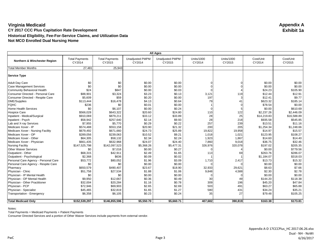|                                      | <b>All Ages</b>                 |                                 |                                  |                                  |                      |                             |                     |                     |
|--------------------------------------|---------------------------------|---------------------------------|----------------------------------|----------------------------------|----------------------|-----------------------------|---------------------|---------------------|
| Northern & Winchester Region         | <b>Total Payments</b><br>CY2014 | <b>Total Payments</b><br>CY2015 | <b>Unadjusted PMPM</b><br>CY2014 | <b>Unadjusted PMPM</b><br>CY2015 | Units/1000<br>CY2014 | <b>Units/1000</b><br>CY2015 | Cost/Unit<br>CY2014 | Cost/Unit<br>CY2015 |
| <b>Total Member Months</b>           | 27,481                          | 25,943                          |                                  |                                  |                      |                             |                     |                     |
| <b>Service Type</b>                  |                                 |                                 |                                  |                                  |                      |                             |                     |                     |
| <b>Adult Day Care</b>                | \$0                             | \$0                             | \$0.00                           | \$0.00                           |                      |                             | \$0.00              | \$0.00              |
| <b>Case Management Services</b>      | \$0                             | \$0                             | \$0.00                           | \$0.00                           |                      |                             | \$0.00              | \$0.00              |
| Community Behavioral Health          | \$24                            | \$847                           | \$0.00                           | \$0.03                           |                      |                             | \$24.23             | \$105.90            |
| Consumer Directed - Personal Care    | \$88,901                        | \$3,324                         | \$3.23                           | \$0.13                           | 3,121                | 119                         | \$12.44             | \$12.91             |
| Consumer Directed - Respite Care     | \$5,609                         | \$59                            | \$0.20                           | \$0.00                           | 197                  |                             | \$12.41             | \$9.77              |
| DME/Supplies                         | \$113,444                       | \$16,478                        | \$4.13                           | \$0.64                           | 79                   | 41                          | \$623.32            | \$185.14            |
| <b>FQHC</b>                          | \$236                           | \$0                             | \$0.01                           | \$0.00                           |                      | 0                           | \$78.54             | \$0.00              |
| <b>Home Health Services</b>          | \$0                             | \$6,107                         | \$0.00                           | \$0.24                           |                      |                             | \$0.00              | \$610.69            |
| <b>Hospice Care</b>                  | \$566,028                       | \$643,322                       | \$20.60                          | \$24.80                          | 110                  | 122                         | \$2,237.26          | \$2,446.09          |
| Inpatient - Medical/Surgical         | \$910,069                       | \$879,211                       | \$33.12                          | \$33.89                          | 28                   | 25                          | \$14,219.83         | \$16,588.89         |
| Inpatient - Psych                    | \$58,942                        | \$257,640                       | \$2.14                           | \$9.93                           | 28                   | 218                         | \$935.58            | \$545.85            |
| Lab and X-ray Services               | \$7,955                         | \$5,770                         | \$0.29                           | \$0.22                           | 257                  | 239                         | \$13.51             | \$11.16             |
| Medicare Xover - IP                  | \$574,488                       | \$553,158                       | \$20.90                          | \$21.32                          | 200                  | 205                         | \$1,254.34          | \$1,248.66          |
| Medicare Xover - Nursing Facility    | \$679,492                       | \$671,660                       | \$24.73                          | \$25.89                          | 19,822               | 19,958                      | \$14.97             | \$15.57             |
| Medicare Xover - OP                  | \$289,056                       | \$239,063                       | \$10.52                          | \$9.21                           | 1,018                | 1,021                       | \$123.95            | \$108.27            |
| Medicare Xover - Other               | \$64,305                        | \$58,132                        | \$2.34                           | \$2.24                           | 1,923                | 1,867                       | \$14.60             | \$14.40             |
| Medicare Xover - Physician           | \$661,435                       | \$632,968                       | \$24.07                          | \$24.40                          | 7,860                | 9,018                       | \$36.75             | \$32.46             |
| <b>Nursing Facility</b>              | \$147,525,798                   | \$142,097,523                   | \$5,368.26                       | \$5,477.31                       | 326,976              | 320,078                     | \$197.02            | \$205.35            |
| <b>Other Waiver Services</b>         | \$0                             | \$7,016                         | \$0.00                           | \$0.27                           |                      |                             | \$0.00              | \$779.56            |
| Outpatient - Other                   | \$68,315                        | \$42,911                        | \$2.49                           | \$1.65                           | 113                  | 69                          | \$263.76            | \$286.07            |
| Outpatient - Psychological           | \$2,368                         | \$636                           | \$0.09                           | \$0.02                           |                      |                             | \$1,184.07          | \$318.03            |
| Personal Care Agency - Personal Care | \$53,772                        | \$80,052                        | \$1.96                           | \$3.09                           | 1,710                | 2,417                       | \$13.73             | \$15.32             |
| Personal Care Agency - Respite Care  | \$0                             | \$0                             | \$0.00                           | \$0.00                           |                      |                             | \$0.00              | \$0.00              |
| Pharmacy                             | \$650,579                       | \$490,407                       | \$23.67                          | \$18.90                          | 32,933               | 29,621                      | \$8.63              | \$7.66              |
| Physician - Clinic                   | \$51,758                        | \$27,534                        | \$1.88                           | \$1.06                           | 9,848                | 4,588                       | \$2.30              | \$2.78              |
| Physician - IP Mental Health         | \$0                             | \$0                             | \$0.00                           | \$0.00                           |                      |                             | \$0.00              | \$0.00              |
| Physician - OP Mental Health         | \$9,950                         | \$12,667                        | \$0.36                           | \$0.49                           | 30                   | 49                          | \$144.20            | \$118.38            |
| Physician - Other Practitioner       | \$32,004                        | \$20,284                        | \$1.16                           | \$0.78                           | 309                  | 196                         | \$45.20             | \$47.84             |
| Physician - PCP                      | \$72,946                        | \$69,903                        | \$2.65                           | \$2.69                           | 503                  | 491                         | \$63.27             | \$65.88             |
| Physician - Specialist               | \$45,465                        | \$32,819                        | \$1.65                           | \$1.27                           | 580                  | 431                         | \$34.24             | \$35.21             |
| Transportation - Emergency           | \$6,358                         | \$6,105                         | \$0.23                           | \$0.24                           | 35                   | 27                          | \$79.48             | \$105.25            |
| <b>Total Medicaid Only</b>           | \$152,539,297                   | \$146,855,596                   | \$5,550.70                       | \$5,660.71                       | 407,682              | 390,819                     | \$163.38            | \$173.81            |

Notes:

Total Payments = Medicaid Payments + Patient Payments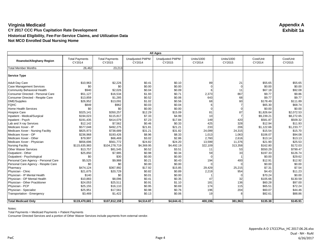|                                      | <b>All Ages</b>                 |                                 |                                  |                                  |                      |                             |                     |                     |
|--------------------------------------|---------------------------------|---------------------------------|----------------------------------|----------------------------------|----------------------|-----------------------------|---------------------|---------------------|
| Roanoke/Alleghany Region             | <b>Total Payments</b><br>CY2014 | <b>Total Payments</b><br>CY2015 | <b>Unadjusted PMPM</b><br>CY2014 | <b>Unadjusted PMPM</b><br>CY2015 | Units/1000<br>CY2014 | <b>Units/1000</b><br>CY2015 | Cost/Unit<br>CY2014 | Cost/Unit<br>CY2015 |
| <b>Total Member Months</b>           | 26,462                          | 23,213                          |                                  |                                  |                      |                             |                     |                     |
| <b>Service Type</b>                  |                                 |                                 |                                  |                                  |                      |                             |                     |                     |
| <b>Adult Day Care</b>                | \$10,963                        | \$2,226                         | \$0.41                           | \$0.10                           | 89                   | 21                          | \$55.65             | \$55.65             |
| <b>Case Management Services</b>      | \$0                             | \$0                             | \$0.00                           | \$0.00                           |                      | $\Omega$                    | \$0.00              | \$0.00              |
| Community Behavioral Health          | \$940                           | \$2,026                         | \$0.04                           | \$0.09                           |                      | 11                          | \$67.18             | \$92.08             |
| Consumer Directed - Personal Care    | \$51,127                        | \$16,534                        | \$1.93                           | \$0.71                           | 2,373                | 867                         | \$9.77              | \$9.86              |
| Consumer Directed - Respite Care     | \$13,859                        | \$1,285                         | \$0.52                           | \$0.06                           | 643                  | 68                          | \$9.77              | \$9.77              |
| DME/Supplies                         | \$26,952                        | \$13,091                        | \$1.02                           | \$0.56                           | 68                   | 60                          | \$178.49            | \$111.89            |
| <b>FQHC</b>                          | \$849                           | \$962                           | \$0.03                           | \$0.04                           |                      |                             | \$65.30             | \$68.74             |
| Home Health Services                 | \$0                             | \$0                             | \$0.00                           | \$0.00                           |                      |                             | \$0.00              | \$0.00              |
| <b>Hospice Care</b>                  | \$325,141                       | \$350,257                       | \$12.29                          | \$15.09                          | 81                   | 87                          | \$1,826.64          | \$2,072.53          |
| Inpatient - Medical/Surgical         | \$194,023                       | \$115,817                       | \$7.33                           | \$4.99                           | 10                   |                             | \$9,239.21          | \$8,272.65          |
| Inpatient - Psych                    | \$191,435                       | \$414,079                       | \$7.23                           | \$17.84                          | 149                  | 420                         | \$581.87            | \$509.32            |
| Lab and X-ray Services               | \$12,142                        | \$7,562                         | \$0.46                           | \$0.33                           | 425                  | 328                         | \$12.94             | \$11.93             |
| Medicare Xover - IP                  | \$577,048                       | \$492,275                       | \$21.81                          | \$21.21                          | 233                  | 206                         | \$1,122.66          | \$1,233.77          |
| Medicare Xover - Nursing Facility    | \$825,973                       | \$738,689                       | \$31.21                          | \$31.82                          | 24,099               | 24,315                      | \$15.54             | \$15.70             |
| Medicare Xover - OP                  | \$236,968                       | \$193,426                       | \$8.96                           | \$8.33                           | 1,013                | 1,063                       | \$106.07            | \$94.08             |
| Medicare Xover - Other               | \$79,997                        | \$66,469                        | \$3.02                           | \$2.86                           | 2,760                | 2,616                       | \$13.14             | \$13.13             |
| Medicare Xover - Physician           | \$656,696                       | \$561,772                       | \$24.82                          | \$24.20                          | 13,599               | 11,376                      | \$21.90             | \$25.53             |
| <b>Nursing Facility</b>              | \$115,635,983                   | \$104,278,719                   | \$4,369.95                       | \$4,492.19                       | 322,109              | 313,358                     | \$162.80            | \$172.03            |
| <b>Other Waiver Services</b>         | \$13,757                        | \$81,545                        | \$0.52                           | \$3.51                           | 11                   | 53                          | \$550.29            | \$799.47            |
| Outpatient - Other                   | \$25,850                        | \$7,985                         | \$0.98                           | \$0.34                           | 59                   | 33                          | \$197.33            | \$126.74            |
| Outpatient - Psychological           | \$0                             | \$30                            | \$0.00                           | \$0.00                           |                      |                             | \$0.00              | \$29.62             |
| Personal Care Agency - Personal Care | \$5,525                         | \$9,988                         | \$0.21                           | \$0.43                           | 194                  | 400                         | \$12.91             | \$12.92             |
| Personal Care Agency - Respite Care  | \$0                             | \$0                             | \$0.00                           | \$0.00                           |                      |                             | \$0.00              | \$0.00              |
| Pharmacy                             | \$474,124                       | \$367,992                       | \$17.92                          | \$15.85                          | 29,429               | 25,215                      | \$7.31              | \$7.54              |
| Physician - Clinic                   | \$21,675                        | \$20.729                        | \$0.82                           | \$0.89                           | 2,219                | 954                         | \$4.43              | \$11.23             |
| Physician - IP Mental Health         | \$140                           | \$0                             | \$0.01                           | \$0.00                           |                      |                             | \$70.24             | \$0.00              |
| Physician - OP Mental Health         | \$10,883                        | \$8,096                         | \$0.41                           | \$0.35                           | 47                   | 32                          | \$105.66            | \$130.59            |
| Physician - Other Practitioner       | \$24,053                        | \$25,511                        | \$0.91                           | \$1.10                           | 181                  | 136                         | \$60.28             | \$97.00             |
| Physician - PCP                      | \$25,155                        | \$16,110                        | \$0.95                           | \$0.69                           | 174                  | 115                         | \$65.51             | \$72.24             |
| Physician - Specialist               | \$25,951                        | \$17,561                        | \$0.98                           | \$0.76                           | 196                  | 204                         | \$60.07             | \$44.46             |
| Transportation - Emergency           | \$3,469                         | \$1,422                         | \$0.13                           | \$0.06                           | 19                   |                             | \$82.61             | \$88.86             |
| <b>Total Medicaid Only</b>           | \$119,470,681                   | \$107,812,159                   | \$4,514.87                       | \$4,644.41                       | 400,196              | 381,963                     | \$135.38            | \$145.91            |

Notes:

Total Payments = Medicaid Payments + Patient Payments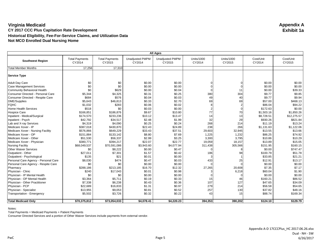|                                      | <b>All Ages</b>                 |                                 |                                  |                                  |                      |                             |                     |                     |
|--------------------------------------|---------------------------------|---------------------------------|----------------------------------|----------------------------------|----------------------|-----------------------------|---------------------|---------------------|
| <b>Southwest Region</b>              | <b>Total Payments</b><br>CY2014 | <b>Total Payments</b><br>CY2015 | <b>Unadjusted PMPM</b><br>CY2014 | <b>Unadjusted PMPM</b><br>CY2015 | Units/1000<br>CY2014 | <b>Units/1000</b><br>CY2015 | Cost/Unit<br>CY2014 | Cost/Unit<br>CY2015 |
| <b>Total Member Months</b>           | 17,256                          | 17,310                          |                                  |                                  |                      |                             |                     |                     |
| <b>Service Type</b>                  |                                 |                                 |                                  |                                  |                      |                             |                     |                     |
| <b>Adult Day Care</b>                | \$0                             | \$0                             | \$0.00                           | \$0.00                           |                      |                             | \$0.00              | \$0.00              |
| <b>Case Management Services</b>      | \$0                             | \$0                             | \$0.00                           | \$0.00                           |                      |                             | \$0.00              | \$0.00              |
| <b>Community Behavioral Health</b>   | \$0                             | \$629                           | \$0.00                           | \$0.04                           | $\Omega$             | 11                          | \$0.00              | \$39.33             |
| Consumer Directed - Personal Care    | \$5,344                         | \$4,325                         | \$0.31                           | \$0.25                           | 380                  | 304                         | \$9.77              | \$9.85              |
| Consumer Directed - Respite Care     | \$684                           | \$576                           | \$0.04                           | \$0.03                           | 49                   | 40                          | \$9.77              | \$9.94              |
| DME/Supplies                         | \$5,643                         | \$46,813                        | \$0.33                           | \$2.70                           | 69                   | 69                          | \$57.00             | \$468.13            |
| <b>FQHC</b>                          | \$1,032                         | \$283                           | \$0.06                           | \$0.02                           | 8                    | 2                           | \$86.04             | \$94.22             |
| <b>Home Health Services</b>          | \$518                           | \$0                             | \$0.03                           | \$0.00                           |                      | U                           | \$172.63            | \$0.00              |
| <b>Hospice Care</b>                  | \$166,851                       | \$186,876                       | \$9.67                           | \$10.80                          | 77                   | 70                          | \$1,503.16          | \$1,850.26          |
| Inpatient - Medical/Surgical         | \$174,570                       | \$233,236                       | \$10.12                          | \$13.47                          | 14                   | 13                          | \$8,728.51          | \$12,275.57         |
| Inpatient - Psych                    | \$42,792                        | \$34,517                        | \$2.48                           | \$1.99                           | 32                   | 29                          | \$930.26            | \$821.84            |
| Lab and X-ray Services               | \$4,319                         | \$4,090                         | \$0.25                           | \$0.24                           | 268                  | 214                         | \$11.19             | \$13.24             |
| Medicare Xover - IP                  | \$387,018                       | \$430,870                       | \$22.43                          | \$24.89                          | 238                  | 266                         | \$1,131.63          | \$1,122.06          |
| Medicare Xover - Nursing Facility    | \$576,866                       | \$649,229                       | \$33.43                          | \$37.51                          | 29,603               | 32,945                      | \$13.55             | \$13.66             |
| Medicare Xover - OP                  | \$151,884                       | \$133,142                       | \$8.80                           | \$7.69                           | 1,225                | 1,232                       | \$86.25             | \$74.92             |
| Medicare Xover - Other               | \$51,530                        | \$56,337                        | \$2.99                           | \$3.25                           | 3,300                | 3,795                       | \$10.86             | \$10.29             |
| Medicare Xover - Physician           | \$380,771                       | \$394,217                       | \$22.07                          | \$22.77                          | 19,059               | 18,157                      | \$13.89             | \$15.05             |
| <b>Nursing Facility</b>              | \$68,049,537                    | \$70,591,086                    | \$3,943.60                       | \$4,077.94                       | 311,438              | 305,566                     | \$151.95            | \$160.15            |
| <b>Other Waiver Services</b>         | \$0                             | \$8,222                         | \$0.00                           | \$0.47                           |                      | 8                           | \$0.00              | \$747.47            |
| Outpatient - Other                   | \$27,011                        | \$7,301                         | \$1.57                           | \$0.42                           | 186                  | 98                          | \$100.79            | \$51.78             |
| Outpatient - Psychological           | \$135                           | \$21                            | \$0.01                           | \$0.00                           |                      |                             | \$33.85             | \$21.21             |
| Personal Care Agency - Personal Care | \$8,030                         | \$474                           | \$0.47                           | \$0.03                           | 433                  | 25                          | \$12.91             | \$13.17             |
| Personal Care Agency - Respite Care  | \$0                             | \$0                             | \$0.00                           | \$0.00                           |                      |                             | \$0.00              | \$0.00              |
| Pharmacy                             | \$288,186                       | \$213,185                       | \$16.70                          | \$12.32                          | 27,265               | 20,608                      | \$7.35              | \$7.17              |
| Physician - Clinic                   | \$240                           | \$17,043                        | \$0.01                           | \$0.98                           |                      | 6,218                       | \$60.04             | \$1.90              |
| Physician - IP Mental Health         | \$0                             | \$0                             | \$0.00                           | \$0.00                           |                      |                             | \$0.00              | \$0.00              |
| Physician - OP Mental Health         | \$3,364                         | \$5,711                         | \$0.19                           | \$0.33                           | 15                   | 46                          | \$160.21            | \$86.52             |
| Physician - Other Practitioner       | \$7,338                         | \$6,238                         | \$0.43                           | \$0.36                           | 107                  | 127                         | \$47.65             | \$34.09             |
| Physician - PCP                      | \$22,689                        | \$16,833                        | \$1.31                           | \$0.97                           | 279                  | 214                         | \$56.58             | \$54.65             |
| Physician - Specialist               | \$13,955                        | \$9,053                         | \$0.81                           | \$0.52                           | 257                  | 130                         | \$37.82             | \$48.16             |
| Transportation - Emergency           | \$5,502                         | \$3,726                         | \$0.32                           | \$0.22                           | 43                   | 15                          | \$88.74             | \$169.34            |
| <b>Total Medicaid Only</b>           | \$70,375,812                    | \$73,054,033                    | \$4,078.41                       | \$4,220.23                       | 394,353              | 390,202                     | \$124.10            | \$129.79            |

Notes:

Total Payments = Medicaid Payments + Patient Payments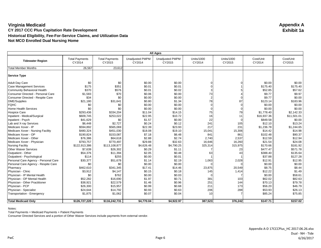|                                      | <b>All Ages</b>                 |                                 |                                  |                                  |                             |                             |                     |                     |
|--------------------------------------|---------------------------------|---------------------------------|----------------------------------|----------------------------------|-----------------------------|-----------------------------|---------------------|---------------------|
| <b>Tidewater Region</b>              | <b>Total Payments</b><br>CY2014 | <b>Total Payments</b><br>CY2015 | <b>Unadjusted PMPM</b><br>CY2014 | <b>Unadjusted PMPM</b><br>CY2015 | <b>Units/1000</b><br>CY2014 | <b>Units/1000</b><br>CY2015 | Cost/Unit<br>CY2014 | Cost/Unit<br>CY2015 |
| <b>Total Member Months</b>           | 26,567                          | 23,612                          |                                  |                                  |                             |                             |                     |                     |
| <b>Service Type</b>                  |                                 |                                 |                                  |                                  |                             |                             |                     |                     |
| <b>Adult Day Care</b>                | \$0                             | \$0                             | \$0.00                           | \$0.00                           |                             |                             | \$0.00              | \$0.00              |
| <b>Case Management Services</b>      | \$175                           | \$351                           | \$0.01                           | \$0.01                           |                             |                             | \$175.40            | \$175.40            |
| Community Behavioral Health          | \$370                           | \$576                           | \$0.01                           | \$0.02                           |                             |                             | \$52.85             | \$57.62             |
| Consumer Directed - Personal Care    | \$1,583                         | \$70                            | \$0.06                           | \$0.00                           | 73                          |                             | \$9.77              | \$9.97              |
| Consumer Directed - Respite Care     | \$34                            | \$0                             | \$0.00                           | \$0.00                           | $\overline{2}$              |                             | \$9.77              | \$0.00              |
| DME/Supplies                         | \$21,180                        | \$31,641                        | \$0.80                           | \$1.34                           | 78                          | 87                          | \$123.14            | \$183.96            |
| <b>FQHC</b>                          | \$0                             | \$0                             | \$0.00                           | \$0.00                           |                             | U                           | \$0.00              | \$0.00              |
| Home Health Services                 | \$0                             | \$0                             | \$0.00                           | \$0.00                           |                             |                             | \$0.00              | \$0.00              |
| <b>Hospice Care</b>                  | \$293,436                       | \$334,204                       | \$11.04                          | \$14.15                          | 75                          | 79                          | \$1,778.40          | \$2.142.33          |
| Inpatient - Medical/Surgical         | \$609,745                       | \$253,022                       | \$22.95                          | \$10.72                          | 16                          | 11                          | \$16,937.36         | \$11,501.01         |
| Inpatient - Psych                    | \$41,629                        | \$0                             | \$1.57                           | \$0.00                           | 22                          |                             | \$849.58            | \$0.00              |
| Lab and X-ray Services               | \$6,448                         | \$2,727                         | \$0.24                           | \$0.12                           | 241                         | 105                         | \$12.10             | \$13.24             |
| Medicare Xover - IP                  | \$594,892                       | \$565,069                       | \$22.39                          | \$23.93                          | 217                         | 231                         | \$1,236.78          | \$1,244.65          |
| Medicare Xover - Nursing Facility    | \$480,324                       | \$451,030                       | \$18.08                          | \$19.10                          | 15,041                      | 15,306                      | \$14.42             | \$14.98             |
| Medicare Xover - OP                  | \$190,824                       | \$153,087                       | \$7.18                           | \$6.48                           | 841                         | 861                         | \$102.48            | \$90.37             |
| Medicare Xover - Other               | \$76,386                        | \$64,618                        | \$2.88                           | \$2.74                           | 2,740                       | 2,537                       | \$12.59             | \$12.94             |
| Medicare Xover - Physician           | \$793,757                       | \$770,497                       | \$29.88                          | \$32.63                          | 16,646                      | 16,260                      | \$21.54             | \$24.08             |
| <b>Nursing Facility</b>              | \$122,913,386                   | \$113,108,877                   | \$4,626.48                       | \$4,790.25                       | 325,314                     | 315,975                     | \$170.66            | \$181.92            |
| <b>Other Waiver Services</b>         | \$7,639                         | \$26,302                        | \$0.29                           | \$1.11                           |                             | 23                          | \$477.47            | \$571.78            |
| Outpatient - Other                   | \$54,376                        | \$11,394                        | \$2.05                           | \$0.48                           | 63                          | 43                          | \$388.40            | \$135.64            |
| Outpatient - Psychological           | \$114                           | \$255                           | \$0.00                           | \$0.01                           |                             |                             | \$37.88             | \$127.28            |
| Personal Care Agency - Personal Care | \$30,377                        | \$51,678                        | \$1.14                           | \$2.19                           | 1,063                       | 2,028                       | \$12.91             | \$12.95             |
| Personal Care Agency - Respite Care  | \$0                             | \$0                             | \$0.00                           | \$0.00                           |                             |                             | \$0.00              | \$0.00              |
| Pharmacy                             | \$462,610                       | \$341,345                       | \$17.41                          | \$14.46                          | 23,875                      | 20,549                      | \$8.75              | \$8.44              |
| Physician - Clinic                   | \$3,912                         | \$4,147                         | \$0.15                           | \$0.18                           | 145                         | 1,414                       | \$12.22             | \$1.49              |
| Physician - IP Mental Health         | \$0                             | \$762                           | \$0.00                           | \$0.03                           |                             |                             | \$0.00              | \$58.61             |
| Physician - OP Mental Health         | \$52,282                        | \$16,690                        | \$1.97                           | \$0.71                           | 381                         | 103                         | \$62.02             | \$82.63             |
| Physician - Other Practitioner       | \$38,921                        | \$22,579                        | \$1.46                           | \$0.96                           | 251                         | 144                         | \$70.13             | \$79.78             |
| Physician - PCP                      | \$26,300                        | \$15,957                        | \$0.99                           | \$0.68                           | 211                         | 173                         | \$56.20             | \$46.79             |
| Physician - Specialist               | \$24,644                        | \$14,792                        | \$0.93                           | \$0.63                           | 206                         | 288                         | \$53.93             | \$26.13             |
| Transportation - Emergency           | \$1,875                         | \$1,062                         | \$0.07                           | \$0.04                           | 10                          |                             | \$85.24             | \$75.85             |
| <b>Total Medicaid Only</b>           | \$126,727,220                   | \$116,242,731                   | \$4,770.04                       | \$4,922.97                       | 387,523                     | 376,242                     | \$147.71            | \$157.02            |

Notes:

Total Payments = Medicaid Payments + Patient Payments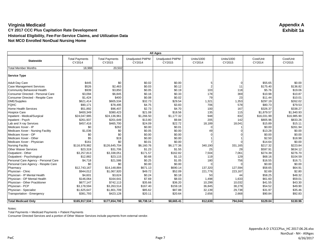| <b>All Ages</b>                      |                                 |                                 |                                  |                                  |                      |                      |                     |                     |
|--------------------------------------|---------------------------------|---------------------------------|----------------------------------|----------------------------------|----------------------|----------------------|---------------------|---------------------|
| <b>Statewide</b>                     | <b>Total Payments</b><br>CY2014 | <b>Total Payments</b><br>CY2015 | <b>Unadjusted PMPM</b><br>CY2014 | <b>Unadjusted PMPM</b><br>CY2015 | Units/1000<br>CY2014 | Units/1000<br>CY2015 | Cost/Unit<br>CY2014 | Cost/Unit<br>CY2015 |
| <b>Total Member Months</b>           | 18,988                          | 20,502                          |                                  |                                  |                      |                      |                     |                     |
| <b>Service Type</b>                  |                                 |                                 |                                  |                                  |                      |                      |                     |                     |
| <b>Adult Day Care</b>                | \$445                           | \$0                             | \$0.02                           | \$0.00                           |                      | 0                    | \$55.65             | \$0.00              |
| <b>Case Management Services</b>      | \$526                           | \$2,463                         | \$0.03                           | \$0.12                           |                      | 11                   | \$175.40            | \$136.82            |
| Community Behavioral Health          | \$939                           | \$3,850                         | \$0.05                           | \$0.19                           | 103                  | 118                  | \$5.76              | \$19.06             |
| Consumer Directed - Personal Care    | \$3,094                         | \$6,845                         | \$0.16                           | \$0.33                           | 178                  | 369                  | \$10.98             | \$10.87             |
| Consumer Directed - Respite Care     | \$1,424                         | \$400                           | \$0.08                           | \$0.02                           | 79                   | 23                   | \$11.44             | \$10.01             |
| DME/Supplies                         | \$621,414                       | \$605,534                       | \$32.73                          | \$29.54                          | 1,321                | 1,353                | \$297.19            | \$262.02            |
| <b>FQHC</b>                          | \$90,171                        | \$78,495                        | \$4.75                           | \$3.83                           | 706                  | 578                  | \$80.73             | \$79.53             |
| <b>Home Health Services</b>          | \$51,892                        | \$96,407                        | \$2.73                           | \$4.70                           | 100                  | 167                  | \$326.37            | \$338.27            |
| <b>Hospice Care</b>                  | \$400,349                       | \$380,423                       | \$21.08                          | \$18.56                          | 135                  | 115                  | \$1,879.57          | \$1,940.93          |
| Inpatient - Medical/Surgical         | \$24,047,985                    | \$24,136,961                    | \$1,266.50                       | \$1,177.32                       | 948                  | 832                  | \$16,031.99         | \$16,985.90         |
| Inpatient - Psych                    | \$261,937                       | \$201,649                       | \$13.80                          | \$9.84                           | 205                  | 142                  | \$805.96            | \$833.26            |
| Lab and X-ray Services               | \$457,416                       | \$465,700                       | \$24.09                          | \$22.72                          | 18,189               | 18,041               | \$15.89             | \$15.11             |
| Medicare Xover - IP                  | \$0                             | \$262                           | \$0.00                           | \$0.01                           |                      |                      | \$0.00              | \$261.94            |
| Medicare Xover - Nursing Facility    | \$1,036                         | \$0                             | \$0.05                           | \$0.00                           | 49                   |                      | \$13.28             | \$0.00              |
| Medicare Xover - OP                  | \$0                             | \$0                             | \$0.00                           | \$0.00                           |                      |                      | \$0.00              | \$0.00              |
| Medicare Xover - Other               | \$5                             | \$19                            | \$0.00                           | \$0.00                           |                      |                      | \$2.50              | \$18.98             |
| Medicare Xover - Physician           | \$161                           | \$0                             | \$0.01                           | \$0.00                           |                      |                      | \$14.64             | \$0.00              |
| <b>Nursing Facility</b>              | \$116,978,982                   | \$126,645,704                   | \$6,160.76                       | \$6,177.36                       | 340,190              | 331,165              | \$217.32            | \$223.84            |
| <b>Other Waiver Services</b>         | \$23,319                        | \$31,706                        | \$1.23                           | \$1.55                           | 25                   | 29                   | \$597.91            | \$634.12            |
| Outpatient - Other                   | \$3,257,813                     | \$3,338,051                     | \$171.57                         | \$162.82                         | 7,504                | 7,061                | \$274.39            | \$276.70            |
| Outpatient - Psychological           | \$12,882                        | \$23,115                        | \$0.68                           | \$1.13                           | 119                  | 129                  | \$68.16             | \$104.59            |
| Personal Care Agency - Personal Care | \$4,718                         | \$21,586                        | \$0.25                           | \$1.05                           | 180                  | 756                  | \$16.55             | \$16.71             |
| Personal Care Agency - Respite Care  | \$0                             | \$0                             | \$0.00                           | \$0.00                           |                      |                      | \$0.00              | \$0.00              |
| Pharmacy                             | \$12,743,167                    | \$14,148,884                    | \$671.13                         | \$690.14                         | 137,320              | 127,594              | \$58.65             | \$64.91             |
| Physician - Clinic                   | \$944,012                       | \$1,067,920                     | \$49.72                          | \$52.09                          | 221,776              | 223,167              | \$2.69              | \$2.80              |
| Physician - IP Mental Health         | \$4,601                         | \$3,624                         | \$0.24                           | \$0.18                           | 50                   | 44                   | \$58.25             | \$48.32             |
| Physician - OP Mental Health         | \$146,064                       | \$164,641                       | \$7.69                           | \$8.03                           | 1,498                | 1,633                | \$61.60             | \$59.01             |
| Physician - Other Practitioner       | \$677,147                       | \$742,113                       | \$35.66                          | \$36.20                          | 10,299               | 10,032               | \$41.55             | \$43.30             |
| Physician - PCP                      | \$3,178,594                     | \$3,263,514                     | \$167.40                         | \$159.18                         | 36,845               | 38,278               | \$54.52             | \$49.90             |
| Physician - Specialist               | \$1,625,647                     | \$1,801,709                     | \$85.62                          | \$87.88                          | 32,139               | 29,738               | \$31.97             | \$35.46             |
| Transportation - Emergency           | \$381,793                       | \$423,128                       | \$20.11                          | \$20.64                          | 2,656                | 2,668                | \$90.84             | \$92.83             |
| <b>Total Medicaid Only</b>           | \$165,917,534                   | \$177,654,700                   | \$8,738.14                       | \$8,665.41                       | 812,630              | 794,044              | \$129.04            | \$130.96            |

Notes:

Total Payments = Medicaid Payments + Patient Payments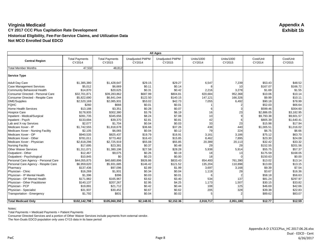|                                      | <b>All Ages</b>                 |                                 |                                  |                                  |                             |                             |                     |                     |
|--------------------------------------|---------------------------------|---------------------------------|----------------------------------|----------------------------------|-----------------------------|-----------------------------|---------------------|---------------------|
| <b>Central Region</b>                | <b>Total Payments</b><br>CY2014 | <b>Total Payments</b><br>CY2015 | <b>Unadjusted PMPM</b><br>CY2014 | <b>Unadjusted PMPM</b><br>CY2015 | <b>Units/1000</b><br>CY2014 | <b>Units/1000</b><br>CY2015 | Cost/Unit<br>CY2014 | Cost/Unit<br>CY2015 |
| <b>Total Member Months</b>           | 47,532                          | 48,812                          |                                  |                                  |                             |                             |                     |                     |
| Service Type                         |                                 |                                 |                                  |                                  |                             |                             |                     |                     |
| <b>Adult Day Care</b>                | \$1,385,380                     | \$1,428,647                     | \$29.15                          | \$29.27                          | 6,547                       | 7,239                       | \$53.43             | \$48.52             |
| <b>Case Management Services</b>      | \$5,012                         | \$6,669                         | \$0.11                           | \$0.14                           |                             | 10                          | \$167.07            | \$166.72            |
| Community Behavioral Health          | \$14,870                        | \$20,625                        | \$0.31                           | \$0.42                           | 2,216                       | 3,278                       | \$1.69              | \$1.55              |
| Consumer Directed - Personal Care    | \$32,701,871                    | \$39,283,862                    | \$687.99                         | \$804.81                         | 820,684                     | 952,368                     | \$10.06             | \$10.14             |
| Consumer Directed - Respite Care     | \$5,822,690                     | \$6,841,044                     | \$122.50                         | \$140.15                         | 147,121                     | 166,326                     | \$9.99              | \$10.11             |
| <b>DME/Supplies</b>                  | \$2,520,169                     | \$2,085,931                     | \$53.02                          | \$42.73                          | 7,055                       | 6,492                       | \$90.18             | \$78.99             |
| <b>FQHC</b>                          | \$260                           | \$666                           | \$0.01                           | \$0.01                           |                             |                             | \$52.03             | \$66.64             |
| Home Health Services                 | \$13,188                        | \$3,351                         | \$0.28                           | \$0.07                           |                             |                             | \$599.46            | \$304.60            |
| <b>Hospice Care</b>                  | \$178,935                       | \$302,380                       | \$3.76                           | \$6.19                           | 16                          | 23                          | \$2,886.05          | \$3,182.95          |
| Inpatient - Medical/Surgical         | \$391,735                       | \$345,656                       | \$8.24                           | \$7.08                           | 10                          |                             | \$9,793.38          | \$9.601.57          |
| Inpatient - Psych                    | \$133,694                       | \$39,370                        | \$2.81                           | \$0.81                           | 42                          |                             | \$805.39            | \$1,640.41          |
| Lab and X-ray Services               | \$2,077                         | \$1,704                         | \$0.04                           | \$0.03                           | 33                          | 23                          | \$15.98             | \$17.94             |
| Medicare Xover - IP                  | \$1,742,555                     | \$1,818,678                     | \$36.66                          | \$37.26                          | 438                         | 440                         | \$1,005.51          | \$1,016.02          |
| Medicare Xover - Nursing Facility    | \$2,105                         | \$6,065                         | \$0.04                           | \$0.12                           | 79                          | 224                         | \$6.75              | \$6.66              |
| Medicare Xover - OP                  | \$940,535                       | \$825,437                       | \$19.79                          | \$16.91                          | 3,161                       | 3,186                       | \$75.12             | \$63.70             |
| Medicare Xover - Other               | \$781,011                       | \$773,462                       | \$16.43                          | \$15.85                          | 8,462                       | 7,895                       | \$23.30             | \$24.08             |
| Medicare Xover - Physician           | \$2,618,296                     | \$2,725,919                     | \$55.08                          | \$55.85                          | 20,389                      | 20,113                      | \$32.42             | \$33.32             |
| <b>Nursing Facility</b>              | \$17,695                        | \$23,381                        | \$0.37                           | \$0.48                           | 29                          | 29                          | \$152.55            | \$201.56            |
| <b>Other Waiver Services</b>         | \$1,311,071                     | \$1,380,196                     | \$27.58                          | \$28.28                          | 5,938                       | 5,914                       | \$55.75             | \$57.37             |
| Outpatient - Other                   | \$12,467                        | \$9,075                         | \$0.26                           | \$0.19                           | 18                          | 13                          | \$175.59            | \$168.05            |
| Outpatient - Psychological           | \$10,845                        | \$0                             | \$0.23                           | \$0.00                           | 18                          |                             | \$150.63            | \$0.00              |
| Personal Care Agency - Personal Care | \$44,055,875                    | \$40,680,896                    | \$926.86                         | \$833.43                         | 854,400                     | 761,390                     | \$13.02             | \$13.14             |
| Personal Care Agency - Respite Care  | \$6,959,620                     | \$5,931,685                     | \$146.42                         | \$121.52                         | 135,204                     | 110,898                     | \$13.00             | \$13.15             |
| Pharmacy                             | \$137,436                       | \$97,096                        | \$2.89                           | \$1.99                           | 3,697                       | 3,168                       | \$9.39              | \$7.54              |
| Physician - Clinic                   | \$16,269                        | \$1,931                         | \$0.34                           | \$0.04                           | 1,119                       | 29                          | \$3.67              | \$16.36             |
| Physician - IP Mental Health         | \$1,396                         | \$396                           | \$0.03                           | \$0.01                           |                             |                             | \$58.18             | \$56.63             |
| Physician - OP Mental Health         | \$171,982                       | \$165,967                       | \$3.62                           | \$3.40                           | 534                         | 137                         | \$81.24             | \$297.97            |
| Physician - Other Practitioner       | \$140,137                       | \$207,267                       | \$2.95                           | \$4.25                           | 1,173                       | 1,507                       | \$30.15             | \$33.82             |
| Physician - PCP                      | \$19,891                        | \$21,712                        | \$0.42                           | \$0.44                           | 108                         | 125                         | \$46.69             | \$42.66             |
| Physician - Specialist               | \$31,937                        | \$30,452                        | \$0.67                           | \$0.62                           | 205                         | 328                         | \$39.38             | \$22.83             |
| Transportation - Emergency           | \$1,792                         | \$831                           | \$0.04                           | \$0.02                           |                             |                             | \$89.62             | \$83.07             |
|                                      |                                 |                                 |                                  |                                  |                             |                             |                     |                     |
| <b>Total Medicaid Only</b>           | \$102,142,798                   | \$105,060,350                   | \$2,148.91                       | \$2,152.36                       | 2,018,717                   | 2,051,180                   | \$12.77             | \$12.59             |

Notes:

Total Payments = Medicaid Payments + Patient Payments

Consumer Directed Services and a portion of Other Waiver Services include payments from external vendor.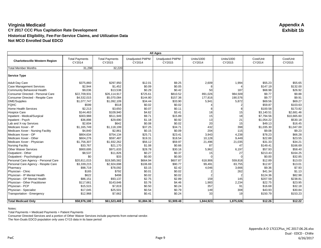| <b>All Ages</b>                       |                                 |                                 |                                  |                                  |                             |                             |                     |                     |
|---------------------------------------|---------------------------------|---------------------------------|----------------------------------|----------------------------------|-----------------------------|-----------------------------|---------------------|---------------------|
| <b>Charlottesville Western Region</b> | <b>Total Payments</b><br>CY2014 | <b>Total Payments</b><br>CY2015 | <b>Unadjusted PMPM</b><br>CY2014 | <b>Unadjusted PMPM</b><br>CY2015 | <b>Units/1000</b><br>CY2014 | <b>Units/1000</b><br>CY2015 | Cost/Unit<br>CY2014 | Cost/Unit<br>CY2015 |
| <b>Total Member Months</b>            | 31,298                          | 32,220                          |                                  |                                  |                             |                             |                     |                     |
| <b>Service Type</b>                   |                                 |                                 |                                  |                                  |                             |                             |                     |                     |
| <b>Adult Day Care</b>                 | \$375,860                       | \$297,950                       | \$12.01                          | \$9.25                           | 2,609                       | 1,994                       | \$55.23             | \$55.65             |
| <b>Case Management Services</b>       | \$2,944                         | \$1,452                         | \$0.09                           | \$0.05                           |                             |                             | \$147.19            | \$132.00            |
| Community Behavioral Health           | \$9,036                         | \$13,538                        | \$0.29                           | \$0.42                           | 50                          | 187                         | \$68.98             | \$26.92             |
| Consumer Directed - Personal Care     | \$22,709,931                    | \$26,114,917                    | \$725.61                         | \$810.52                         | 891,026                     | 984,509                     | \$9.77              | \$9.88              |
| Consumer Directed - Respite Care      | \$4,532,015                     | \$5,070,084                     | \$144.80                         | \$157.36                         | 177,816                     | 190,576                     | \$9.77              | \$9.91              |
| <b>DME/Supplies</b>                   | \$1,077,747                     | \$1,092,109                     | \$34.44                          | \$33.90                          | 5,941                       | 5,872                       | \$69.56             | \$69.27             |
| <b>FQHC</b>                           | \$599                           | \$518                           | \$0.02                           | \$0.02                           |                             |                             | \$59.87             | \$103.63            |
| Home Health Services                  | \$2,213                         | \$3,650                         | \$0.07                           | \$0.11                           |                             |                             | \$100.58            | \$173.82            |
| <b>Hospice Care</b>                   | \$144,463                       | \$109,940                       | \$4.62                           | \$3.41                           | 18                          | 15                          | \$3,140.51          | \$2,681.46          |
| Inpatient - Medical/Surgical          | \$303,988                       | \$511,949                       | \$9.71                           | \$15.89                          | 15                          | 18                          | \$7,794.56          | \$10,665.60         |
| Inpatient - Psych                     | \$36,898                        | \$29,690                        | \$1.18                           | \$0.92                           | 13                          | 21                          | \$1,054.22          | \$530.18            |
| Lab and X-ray Services                | \$2,604                         | \$642                           | \$0.08                           | \$0.02                           | 20                          | 15                          | \$49.13             | \$16.45             |
| Medicare Xover - IP                   | \$1,165,749                     | \$1,118,199                     | \$37.25                          | \$34.71                          | 432                         | 398                         | \$1,035.30          | \$1,047.00          |
| Medicare Xover - Nursing Facility     | \$4,840                         | \$2,861                         | \$0.15                           | \$0.09                           | 204                         | 115                         | \$9.08              | \$9.23              |
| Medicare Xover - OP                   | \$804,634                       | \$754,134                       | \$25.71                          | \$23.41                          | 3,943                       | 4,238                       | \$78.23             | \$66.28             |
| Medicare Xover - Other                | \$604,276                       | \$597.487                       | \$19.31                          | \$18.54                          | 10,128                      | 9,449                       | \$22.88             | \$23.55             |
| Medicare Xover - Physician            | \$1,756,307                     | \$1,932,262                     | \$56.12                          | \$59.97                          | 21,496                      | 21,035                      | \$31.33             | \$34.21             |
| <b>Nursing Facility</b>               | \$33,767                        | \$21,170                        | \$1.08                           | \$0.66                           | 87                          | 47                          | \$149.41            | \$166.69            |
| <b>Other Waiver Services</b>          | \$900.695                       | \$971,633                       | \$28.78                          | \$30.16                          | 5,962                       | 6,197                       | \$57.93             | \$58.40             |
| Outpatient - Other                    | \$8,537                         | \$11,826                        | \$0.27                           | \$0.37                           | 15                          | 27                          | \$213.43            | \$164.25            |
| Outpatient - Psychological            | \$0                             | \$33                            | \$0.00                           | \$0.00                           |                             |                             | \$0.00              | \$32.85             |
| Personal Care Agency - Personal Care  | \$20,811,015                    | \$19,585,582                    | \$664.94                         | \$607.87                         | 618,906                     | 559,818                     | \$12.89             | \$13.03             |
| Personal Care Agency - Respite Care   | \$3,339,215                     | \$2,924,698                     | \$106.69                         | \$90.77                          | 99,491                      | 83,755                      | \$12.87             | \$13.01             |
| Pharmacy                              | \$98,719                        | \$78,092                        | \$3.15                           | \$2.42                           | 4,046                       | 3,666                       | \$9.36              | \$7.93              |
| Physician - Clinic                    | \$165                           | \$792                           | \$0.01                           | \$0.02                           |                             | 262                         | \$41.34             | \$1.13              |
| Physician - IP Mental Health          | \$622                           | \$498                           | \$0.02                           | \$0.02                           |                             |                             | \$124.36            | \$82.98             |
| Physician - OP Mental Health          | \$86,151                        | \$93,137                        | \$2.75                           | \$2.89                           | 159                         | 145                         | \$207.59            | \$238.81            |
| Physician - Other Practitioner        | \$117,661                       | \$143,646                       | \$3.76                           | \$4.46                           | 1,983                       | 2,234                       | \$22.75             | \$23.95             |
| Physician - PCP                       | \$15,515                        | \$7,819                         | \$0.50                           | \$0.24                           | 357                         | 91                          | \$16.68             | \$32.18             |
| Physician - Specialist                | \$17,045                        | \$25,501                        | \$0.54                           | \$0.79                           | 149                         | 308                         | \$43.93             | \$30.84             |
| Transportation - Emergency            | \$12,968                        | \$7,662                         | \$0.41                           | \$0.24                           | 33                          | 19                          | \$150.79            | \$153.23            |
| <b>Total Medicaid Only</b>            | \$58,976,180                    | \$61,523,469                    | \$1,884.36                       | \$1,909.48                       | 1,844,923                   | 1,875,026                   | \$12.26             | \$12.22             |

Notes:

Total Payments = Medicaid Payments + Patient Payments

Consumer Directed Services and a portion of Other Waiver Services include payments from external vendor.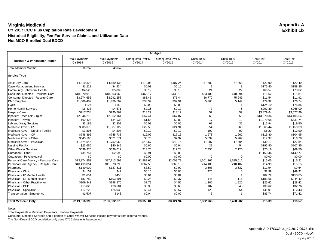| <b>All Ages</b>                      |                                 |                                 |                                  |                                  |                             |                             |                     |                     |
|--------------------------------------|---------------------------------|---------------------------------|----------------------------------|----------------------------------|-----------------------------|-----------------------------|---------------------|---------------------|
| Northern & Winchester Region         | <b>Total Payments</b><br>CY2014 | <b>Total Payments</b><br>CY2015 | <b>Unadjusted PMPM</b><br>CY2014 | <b>Unadjusted PMPM</b><br>CY2015 | <b>Units/1000</b><br>CY2014 | <b>Units/1000</b><br>CY2015 | Cost/Unit<br>CY2014 | Cost/Unit<br>CY2015 |
| <b>Total Member Months</b>           | 39,240                          | 43,643                          |                                  |                                  |                             |                             |                     |                     |
| <b>Service Type</b>                  |                                 |                                 |                                  |                                  |                             |                             |                     |                     |
| <b>Adult Day Care</b>                | \$4,319,328                     | \$4,680,433                     | \$110.08                         | \$107.24                         | 57,689                      | 57,463                      | \$22.90             | \$22.40             |
| <b>Case Management Services</b>      | \$1,228                         | \$4,434                         | \$0.03                           | \$0.10                           |                             |                             | \$175.40            | \$158.35            |
| Community Behavioral Health          | \$4,526                         | \$5,889                         | \$0.12                           | \$0.13                           | 21                          | 22                          | \$66.57             | \$73.62             |
| Consumer Directed - Personal Care    | \$18,370,910                    | \$18,903,960                    | \$468.17                         | \$433.15                         | 483,480                     | 440,294                     | \$11.62             | \$11.81             |
| Consumer Directed - Respite Care     | \$3,274,655                     | \$3,292,258                     | \$83.45                          | \$75.44                          | 86,770                      | 75,949                      | \$11.54             | \$11.92             |
| <b>DME/Supplies</b>                  | \$1,506,489                     | \$1,436,507                     | \$38.39                          | \$32.91                          | 5,765                       | 5,147                       | \$79.92             | \$76.74             |
| <b>FQHC</b>                          | \$124                           | \$152                           | \$0.00                           | \$0.00                           |                             |                             | \$124.10            | \$75.85             |
| Home Health Services                 | \$6,433                         | \$4,571                         | \$0.16                           | \$0.10                           |                             |                             | \$292.39            | \$268.90            |
| <b>Hospice Care</b>                  | \$717,734                       | \$790,769                       | \$18.29                          | \$18.12                          | 57                          | 59                          | \$3,879.64          | \$3.677.99          |
| Inpatient - Medical/Surgical         | \$2,646,216                     | \$2,962,164                     | \$67.44                          | \$67.87                          | 60                          | 58                          | \$13,570.34         | \$14,105.54         |
| Inpatient - Psych                    | \$60,428                        | \$34,933                        | \$1.54                           | \$0.80                           | 17                          | 12                          | \$1,079.08          | \$831.74            |
| Lab and X-ray Services               | \$3,189                         | \$2,302                         | \$0.08                           | \$0.05                           | 61                          | 32                          | \$15.94             | \$19.50             |
| Medicare Xover - IP                  | \$885,378                       | \$1,087,122                     | \$22.56                          | \$24.91                          | 254                         | 260                         | \$1,065.44          | \$1,150.39          |
| Medicare Xover - Nursing Facility    | \$3,895                         | \$4,207                         | \$0.10                           | \$0.10                           | 192                         | 90                          | \$6.20              | \$12.90             |
| Medicare Xover - OP                  | \$748,895                       | \$748,738                       | \$19.09                          | \$17.16                          | 1,978                       | 1,962                       | \$115.80            | \$104.95            |
| Medicare Xover - Other               | \$343,163                       | \$321,571                       | \$8.75                           | \$7.37                           | 5,839                       | 5,267                       | \$17.97             | \$16.79             |
| Medicare Xover - Physician           | \$1,674,545                     | \$1,752,062                     | \$42.67                          | \$40.15                          | 17,007                      | 17,304                      | \$30.11             | \$27.84             |
| <b>Nursing Facility</b>              | \$23,656                        | \$40,849                        | \$0.60                           | \$0.94                           | 37                          | 54                          | \$195.50            | \$207.35            |
| <b>Other Waiver Services</b>         | \$539,376                       | \$536,012                       | \$13.75                          | \$12.28                          | 2,350                       | 2,120                       | \$70.18             | \$69.50             |
| Outpatient - Other                   | \$35,757                        | \$2,696                         | \$0.91                           | \$0.06                           |                             |                             | \$1,153.44          | \$149.77            |
| Outpatient - Psychological           | \$0                             | \$0                             | \$0.00                           | \$0.00                           |                             |                             | \$0.00              | \$0.00              |
| Personal Care Agency - Personal Care | \$73.874.853                    | \$87.713.692                    | \$1,882.66                       | \$2.009.79                       | 1.501.266                   | 1.585.511                   | \$15.05             | \$15.21             |
| Personal Care Agency - Respite Care  | \$10,499,854                    | \$11,573,396                    | \$267.58                         | \$265.18                         | 214,180                     | 210,107                     | \$14.99             | \$15.15             |
| Pharmacy                             | \$140,909                       | \$127,511                       | \$3.59                           | \$2.92                           | 3,608                       | 3,637                       | \$11.94             | \$9.64              |
| Physician - Clinic                   | \$4,107                         | \$49                            | \$0.10                           | \$0.00                           | 420                         |                             | \$2.99              | \$49.31             |
| Physician - IP Mental Health         | \$1,654                         | \$450                           | \$0.04                           | \$0.01                           |                             |                             | \$82.72             | \$150.05            |
| Physician - OP Mental Health         | \$87,789                        | \$103,391                       | \$2.24                           | \$2.37                           | 146                         | 116                         | \$183.66            | \$244.42            |
| Physician - Other Practitioner       | \$109,343                       | \$198,975                       | \$2.79                           | \$4.56                           | 1,305                       | 1,925                       | \$25.62             | \$28.42             |
| Physician - PCP                      | \$13,826                        | \$28,601                        | \$0.35                           | \$0.66                           | 107                         | 240                         | \$39.62             | \$32.76             |
| Physician - Specialist               | \$17,226                        | \$25,035                        | \$0.44                           | \$0.57                           | 128                         | 554                         | \$41.01             | \$12.43             |
| Transportation - Emergency           | \$1,507                         | \$143                           | \$0.04                           | \$0.00                           |                             |                             | \$83.74             | \$71.42             |
| <b>Total Medicaid Only</b>           | \$119,916,993                   | \$136,382,873                   | \$3,056.01                       | \$3,124.94                       | 2,382,768                   | 2,408,202                   | \$15.39             | \$15.57             |

Notes:

Total Payments = Medicaid Payments + Patient Payments

Consumer Directed Services and a portion of Other Waiver Services include payments from external vendor.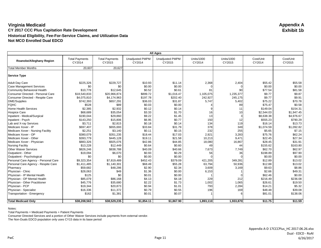| <b>Total Payments</b><br><b>Total Payments</b><br><b>Unadjusted PMPM</b><br><b>Unadjusted PMPM</b><br><b>Units/1000</b><br><b>Units/1000</b><br>Cost/Unit<br>Cost/Unit<br>Roanoke/Alleghany Region<br>CY2014<br>CY2015<br>CY2014<br>CY2015<br>CY2014<br>CY2015<br>CY2014<br>CY2015<br>20,607<br>20,627<br><b>Total Member Months</b><br>2,368<br>Adult Day Care<br>\$225,326<br>\$229,727<br>\$10.93<br>\$11.14<br>2,404<br>\$55.42<br>\$55.58<br>\$0<br>\$0.00<br>\$0.00<br>\$0.00<br>\$0.00<br>\$0<br>\$12,645<br>\$0.52<br>\$0.61<br>\$77.54<br>\$10,778<br>81<br>90<br>\$81.58<br>\$899.72<br>\$9.77<br>\$9.87<br>\$18,540,833<br>\$20,966,874<br>\$1,016.47<br>1,105,075<br>1,235,377<br>\$4,075,810<br>\$4,174,963<br>\$197.78<br>\$202.40<br>242,927<br>245,175<br>\$9.77<br>\$9.91<br>\$742,393<br>\$657,291<br>\$36.03<br>\$31.87<br>5,747<br>5,402<br>\$75.22<br>\$70.78<br>\$89<br>\$0.03<br>\$0.00<br>\$75.47<br>\$0.58<br>\$528<br>89<br>\$0.14<br>\$2,385<br>\$2,932<br>\$0.12<br>\$149.04<br>\$154.31<br>11<br>\$68,689<br>\$1.70<br>\$35,054<br>\$3.33<br>\$2,544.03<br>\$1.947.45<br>16<br>10<br>\$29,860<br>\$9.22<br>\$1.45<br>13<br>\$8,638.38<br>\$4,976.67<br>\$190,044<br>\$6.95<br>\$0.77<br>150<br>\$555.23<br>\$790.29<br>\$143,250<br>\$15,806<br>12<br>\$3,711<br>\$2,815<br>\$0.18<br>\$0.14<br>134<br>\$16.14<br>\$13.73<br>119<br>378<br>\$33.84<br>\$697,407<br>\$655,693<br>\$31.79<br>349<br>\$1,074.59<br>\$1,092.82<br>\$0.15<br>\$2,251<br>\$3,140<br>\$0.11<br>232<br>255<br>\$5.65<br>\$7.15<br>\$351,235<br>\$75.76<br>\$62.24<br>\$380,079<br>\$18.44<br>\$17.03<br>2,921<br>3,283<br>\$445,128<br>\$21.58<br>\$22.45<br>\$27.34<br>\$393,779<br>\$19.11<br>10,213<br>9,471<br>\$883,326<br>\$925,076<br>\$28.45<br>\$31.91<br>\$42.86<br>\$44.85<br>18,080<br>16,867<br>\$13,228<br>\$12,449<br>\$0.64<br>\$0.60<br>\$155.62<br>\$163.80<br>49<br>44<br>\$826,246<br>\$838,788<br>\$40.09<br>\$40.66<br>7,673<br>\$62.70<br>\$62.97<br>7,749<br>\$0.93<br>\$0.29<br>\$198.89<br>\$97.90<br>\$19,094<br>\$6,070<br>56<br>36<br>\$0<br>\$0<br>\$0.00<br>\$0.00<br>\$0.00<br>\$0.00<br>Personal Care Agency - Personal Care<br>\$9.323.354<br>\$7.819.489<br>\$452.43<br>\$379.09<br>349.281<br>\$12.89<br>\$13.02<br>421.205<br>\$68.49<br>\$12.88<br>\$13.02<br>Personal Care Agency - Respite Care<br>\$1,411,485<br>\$1,140,301<br>\$55.28<br>63,794<br>50,936<br>\$2.34<br>\$59,682<br>\$48,286<br>\$2.90<br>3,609<br>3,169<br>\$9.63<br>\$8.86<br>\$1.36<br>\$0.00<br>\$2.66<br>Physician - Clinic<br>\$28,063<br>\$49<br>6,153<br>\$49.31<br>Physician - IP Mental Health<br>\$125<br>\$0<br>\$0.01<br>\$0.00<br>\$62.46<br>\$0.00<br>Physician - OP Mental Health<br>\$85,079<br>\$86,168<br>\$4.13<br>\$4.18<br>\$216.49<br>\$236.08<br>229<br>212<br>\$45,776<br>\$35,680<br>\$2.22<br>\$1.73<br>1,002<br>1,065<br>\$26.61<br>\$19.50<br>Physician - Other Practitioner<br>\$1.01<br>793<br>\$5.32<br>\$19,344<br>\$20,873<br>\$0.94<br>2,284<br>\$14.21<br>\$16,336<br>\$11,372<br>\$0.79<br>\$0.55<br>196<br>169<br>\$48.48<br>\$39.08<br>\$162<br>\$0.01<br>\$0.07<br>\$81.01<br>\$1,381<br>\$138.06<br>6<br>\$38,208,563<br>\$38,529,235<br>\$1,854.11<br>\$1,867.90<br>\$11.75<br>\$11.59<br><b>Total Medicaid Only</b><br>1,893,110<br>1,933,870 | <b>All Ages</b>                   |  |  |  |  |  |  |  |  |
|---------------------------------------------------------------------------------------------------------------------------------------------------------------------------------------------------------------------------------------------------------------------------------------------------------------------------------------------------------------------------------------------------------------------------------------------------------------------------------------------------------------------------------------------------------------------------------------------------------------------------------------------------------------------------------------------------------------------------------------------------------------------------------------------------------------------------------------------------------------------------------------------------------------------------------------------------------------------------------------------------------------------------------------------------------------------------------------------------------------------------------------------------------------------------------------------------------------------------------------------------------------------------------------------------------------------------------------------------------------------------------------------------------------------------------------------------------------------------------------------------------------------------------------------------------------------------------------------------------------------------------------------------------------------------------------------------------------------------------------------------------------------------------------------------------------------------------------------------------------------------------------------------------------------------------------------------------------------------------------------------------------------------------------------------------------------------------------------------------------------------------------------------------------------------------------------------------------------------------------------------------------------------------------------------------------------------------------------------------------------------------------------------------------------------------------------------------------------------------------------------------------------------------------------------------------------------------------------------------------------------------------------------------------------------------------------------------------------------------------------------------------------------------------------------------------------------------------------------------------------------------------------------------------------------------------------------------------------------------------------------------------------------------------------------------------------------------------------------------------------------------------------------------------------------------------------------------------------------------------------------------------------------------------------------------|-----------------------------------|--|--|--|--|--|--|--|--|
|                                                                                                                                                                                                                                                                                                                                                                                                                                                                                                                                                                                                                                                                                                                                                                                                                                                                                                                                                                                                                                                                                                                                                                                                                                                                                                                                                                                                                                                                                                                                                                                                                                                                                                                                                                                                                                                                                                                                                                                                                                                                                                                                                                                                                                                                                                                                                                                                                                                                                                                                                                                                                                                                                                                                                                                                                                                                                                                                                                                                                                                                                                                                                                                                                                                                                                         |                                   |  |  |  |  |  |  |  |  |
|                                                                                                                                                                                                                                                                                                                                                                                                                                                                                                                                                                                                                                                                                                                                                                                                                                                                                                                                                                                                                                                                                                                                                                                                                                                                                                                                                                                                                                                                                                                                                                                                                                                                                                                                                                                                                                                                                                                                                                                                                                                                                                                                                                                                                                                                                                                                                                                                                                                                                                                                                                                                                                                                                                                                                                                                                                                                                                                                                                                                                                                                                                                                                                                                                                                                                                         |                                   |  |  |  |  |  |  |  |  |
|                                                                                                                                                                                                                                                                                                                                                                                                                                                                                                                                                                                                                                                                                                                                                                                                                                                                                                                                                                                                                                                                                                                                                                                                                                                                                                                                                                                                                                                                                                                                                                                                                                                                                                                                                                                                                                                                                                                                                                                                                                                                                                                                                                                                                                                                                                                                                                                                                                                                                                                                                                                                                                                                                                                                                                                                                                                                                                                                                                                                                                                                                                                                                                                                                                                                                                         | <b>Service Type</b>               |  |  |  |  |  |  |  |  |
|                                                                                                                                                                                                                                                                                                                                                                                                                                                                                                                                                                                                                                                                                                                                                                                                                                                                                                                                                                                                                                                                                                                                                                                                                                                                                                                                                                                                                                                                                                                                                                                                                                                                                                                                                                                                                                                                                                                                                                                                                                                                                                                                                                                                                                                                                                                                                                                                                                                                                                                                                                                                                                                                                                                                                                                                                                                                                                                                                                                                                                                                                                                                                                                                                                                                                                         |                                   |  |  |  |  |  |  |  |  |
|                                                                                                                                                                                                                                                                                                                                                                                                                                                                                                                                                                                                                                                                                                                                                                                                                                                                                                                                                                                                                                                                                                                                                                                                                                                                                                                                                                                                                                                                                                                                                                                                                                                                                                                                                                                                                                                                                                                                                                                                                                                                                                                                                                                                                                                                                                                                                                                                                                                                                                                                                                                                                                                                                                                                                                                                                                                                                                                                                                                                                                                                                                                                                                                                                                                                                                         | <b>Case Management Services</b>   |  |  |  |  |  |  |  |  |
|                                                                                                                                                                                                                                                                                                                                                                                                                                                                                                                                                                                                                                                                                                                                                                                                                                                                                                                                                                                                                                                                                                                                                                                                                                                                                                                                                                                                                                                                                                                                                                                                                                                                                                                                                                                                                                                                                                                                                                                                                                                                                                                                                                                                                                                                                                                                                                                                                                                                                                                                                                                                                                                                                                                                                                                                                                                                                                                                                                                                                                                                                                                                                                                                                                                                                                         | Community Behavioral Health       |  |  |  |  |  |  |  |  |
|                                                                                                                                                                                                                                                                                                                                                                                                                                                                                                                                                                                                                                                                                                                                                                                                                                                                                                                                                                                                                                                                                                                                                                                                                                                                                                                                                                                                                                                                                                                                                                                                                                                                                                                                                                                                                                                                                                                                                                                                                                                                                                                                                                                                                                                                                                                                                                                                                                                                                                                                                                                                                                                                                                                                                                                                                                                                                                                                                                                                                                                                                                                                                                                                                                                                                                         | Consumer Directed - Personal Care |  |  |  |  |  |  |  |  |
|                                                                                                                                                                                                                                                                                                                                                                                                                                                                                                                                                                                                                                                                                                                                                                                                                                                                                                                                                                                                                                                                                                                                                                                                                                                                                                                                                                                                                                                                                                                                                                                                                                                                                                                                                                                                                                                                                                                                                                                                                                                                                                                                                                                                                                                                                                                                                                                                                                                                                                                                                                                                                                                                                                                                                                                                                                                                                                                                                                                                                                                                                                                                                                                                                                                                                                         | Consumer Directed - Respite Care  |  |  |  |  |  |  |  |  |
|                                                                                                                                                                                                                                                                                                                                                                                                                                                                                                                                                                                                                                                                                                                                                                                                                                                                                                                                                                                                                                                                                                                                                                                                                                                                                                                                                                                                                                                                                                                                                                                                                                                                                                                                                                                                                                                                                                                                                                                                                                                                                                                                                                                                                                                                                                                                                                                                                                                                                                                                                                                                                                                                                                                                                                                                                                                                                                                                                                                                                                                                                                                                                                                                                                                                                                         | <b>DME/Supplies</b>               |  |  |  |  |  |  |  |  |
|                                                                                                                                                                                                                                                                                                                                                                                                                                                                                                                                                                                                                                                                                                                                                                                                                                                                                                                                                                                                                                                                                                                                                                                                                                                                                                                                                                                                                                                                                                                                                                                                                                                                                                                                                                                                                                                                                                                                                                                                                                                                                                                                                                                                                                                                                                                                                                                                                                                                                                                                                                                                                                                                                                                                                                                                                                                                                                                                                                                                                                                                                                                                                                                                                                                                                                         | <b>FQHC</b>                       |  |  |  |  |  |  |  |  |
|                                                                                                                                                                                                                                                                                                                                                                                                                                                                                                                                                                                                                                                                                                                                                                                                                                                                                                                                                                                                                                                                                                                                                                                                                                                                                                                                                                                                                                                                                                                                                                                                                                                                                                                                                                                                                                                                                                                                                                                                                                                                                                                                                                                                                                                                                                                                                                                                                                                                                                                                                                                                                                                                                                                                                                                                                                                                                                                                                                                                                                                                                                                                                                                                                                                                                                         | Home Health Services              |  |  |  |  |  |  |  |  |
|                                                                                                                                                                                                                                                                                                                                                                                                                                                                                                                                                                                                                                                                                                                                                                                                                                                                                                                                                                                                                                                                                                                                                                                                                                                                                                                                                                                                                                                                                                                                                                                                                                                                                                                                                                                                                                                                                                                                                                                                                                                                                                                                                                                                                                                                                                                                                                                                                                                                                                                                                                                                                                                                                                                                                                                                                                                                                                                                                                                                                                                                                                                                                                                                                                                                                                         | <b>Hospice Care</b>               |  |  |  |  |  |  |  |  |
|                                                                                                                                                                                                                                                                                                                                                                                                                                                                                                                                                                                                                                                                                                                                                                                                                                                                                                                                                                                                                                                                                                                                                                                                                                                                                                                                                                                                                                                                                                                                                                                                                                                                                                                                                                                                                                                                                                                                                                                                                                                                                                                                                                                                                                                                                                                                                                                                                                                                                                                                                                                                                                                                                                                                                                                                                                                                                                                                                                                                                                                                                                                                                                                                                                                                                                         | Inpatient - Medical/Surgical      |  |  |  |  |  |  |  |  |
|                                                                                                                                                                                                                                                                                                                                                                                                                                                                                                                                                                                                                                                                                                                                                                                                                                                                                                                                                                                                                                                                                                                                                                                                                                                                                                                                                                                                                                                                                                                                                                                                                                                                                                                                                                                                                                                                                                                                                                                                                                                                                                                                                                                                                                                                                                                                                                                                                                                                                                                                                                                                                                                                                                                                                                                                                                                                                                                                                                                                                                                                                                                                                                                                                                                                                                         | Inpatient - Psych                 |  |  |  |  |  |  |  |  |
|                                                                                                                                                                                                                                                                                                                                                                                                                                                                                                                                                                                                                                                                                                                                                                                                                                                                                                                                                                                                                                                                                                                                                                                                                                                                                                                                                                                                                                                                                                                                                                                                                                                                                                                                                                                                                                                                                                                                                                                                                                                                                                                                                                                                                                                                                                                                                                                                                                                                                                                                                                                                                                                                                                                                                                                                                                                                                                                                                                                                                                                                                                                                                                                                                                                                                                         | Lab and X-ray Services            |  |  |  |  |  |  |  |  |
|                                                                                                                                                                                                                                                                                                                                                                                                                                                                                                                                                                                                                                                                                                                                                                                                                                                                                                                                                                                                                                                                                                                                                                                                                                                                                                                                                                                                                                                                                                                                                                                                                                                                                                                                                                                                                                                                                                                                                                                                                                                                                                                                                                                                                                                                                                                                                                                                                                                                                                                                                                                                                                                                                                                                                                                                                                                                                                                                                                                                                                                                                                                                                                                                                                                                                                         | Medicare Xover - IP               |  |  |  |  |  |  |  |  |
|                                                                                                                                                                                                                                                                                                                                                                                                                                                                                                                                                                                                                                                                                                                                                                                                                                                                                                                                                                                                                                                                                                                                                                                                                                                                                                                                                                                                                                                                                                                                                                                                                                                                                                                                                                                                                                                                                                                                                                                                                                                                                                                                                                                                                                                                                                                                                                                                                                                                                                                                                                                                                                                                                                                                                                                                                                                                                                                                                                                                                                                                                                                                                                                                                                                                                                         | Medicare Xover - Nursing Facility |  |  |  |  |  |  |  |  |
|                                                                                                                                                                                                                                                                                                                                                                                                                                                                                                                                                                                                                                                                                                                                                                                                                                                                                                                                                                                                                                                                                                                                                                                                                                                                                                                                                                                                                                                                                                                                                                                                                                                                                                                                                                                                                                                                                                                                                                                                                                                                                                                                                                                                                                                                                                                                                                                                                                                                                                                                                                                                                                                                                                                                                                                                                                                                                                                                                                                                                                                                                                                                                                                                                                                                                                         | Medicare Xover - OP               |  |  |  |  |  |  |  |  |
|                                                                                                                                                                                                                                                                                                                                                                                                                                                                                                                                                                                                                                                                                                                                                                                                                                                                                                                                                                                                                                                                                                                                                                                                                                                                                                                                                                                                                                                                                                                                                                                                                                                                                                                                                                                                                                                                                                                                                                                                                                                                                                                                                                                                                                                                                                                                                                                                                                                                                                                                                                                                                                                                                                                                                                                                                                                                                                                                                                                                                                                                                                                                                                                                                                                                                                         | Medicare Xover - Other            |  |  |  |  |  |  |  |  |
|                                                                                                                                                                                                                                                                                                                                                                                                                                                                                                                                                                                                                                                                                                                                                                                                                                                                                                                                                                                                                                                                                                                                                                                                                                                                                                                                                                                                                                                                                                                                                                                                                                                                                                                                                                                                                                                                                                                                                                                                                                                                                                                                                                                                                                                                                                                                                                                                                                                                                                                                                                                                                                                                                                                                                                                                                                                                                                                                                                                                                                                                                                                                                                                                                                                                                                         | Medicare Xover - Physician        |  |  |  |  |  |  |  |  |
|                                                                                                                                                                                                                                                                                                                                                                                                                                                                                                                                                                                                                                                                                                                                                                                                                                                                                                                                                                                                                                                                                                                                                                                                                                                                                                                                                                                                                                                                                                                                                                                                                                                                                                                                                                                                                                                                                                                                                                                                                                                                                                                                                                                                                                                                                                                                                                                                                                                                                                                                                                                                                                                                                                                                                                                                                                                                                                                                                                                                                                                                                                                                                                                                                                                                                                         | <b>Nursing Facility</b>           |  |  |  |  |  |  |  |  |
|                                                                                                                                                                                                                                                                                                                                                                                                                                                                                                                                                                                                                                                                                                                                                                                                                                                                                                                                                                                                                                                                                                                                                                                                                                                                                                                                                                                                                                                                                                                                                                                                                                                                                                                                                                                                                                                                                                                                                                                                                                                                                                                                                                                                                                                                                                                                                                                                                                                                                                                                                                                                                                                                                                                                                                                                                                                                                                                                                                                                                                                                                                                                                                                                                                                                                                         | <b>Other Waiver Services</b>      |  |  |  |  |  |  |  |  |
|                                                                                                                                                                                                                                                                                                                                                                                                                                                                                                                                                                                                                                                                                                                                                                                                                                                                                                                                                                                                                                                                                                                                                                                                                                                                                                                                                                                                                                                                                                                                                                                                                                                                                                                                                                                                                                                                                                                                                                                                                                                                                                                                                                                                                                                                                                                                                                                                                                                                                                                                                                                                                                                                                                                                                                                                                                                                                                                                                                                                                                                                                                                                                                                                                                                                                                         | Outpatient - Other                |  |  |  |  |  |  |  |  |
|                                                                                                                                                                                                                                                                                                                                                                                                                                                                                                                                                                                                                                                                                                                                                                                                                                                                                                                                                                                                                                                                                                                                                                                                                                                                                                                                                                                                                                                                                                                                                                                                                                                                                                                                                                                                                                                                                                                                                                                                                                                                                                                                                                                                                                                                                                                                                                                                                                                                                                                                                                                                                                                                                                                                                                                                                                                                                                                                                                                                                                                                                                                                                                                                                                                                                                         | Outpatient - Psychological        |  |  |  |  |  |  |  |  |
|                                                                                                                                                                                                                                                                                                                                                                                                                                                                                                                                                                                                                                                                                                                                                                                                                                                                                                                                                                                                                                                                                                                                                                                                                                                                                                                                                                                                                                                                                                                                                                                                                                                                                                                                                                                                                                                                                                                                                                                                                                                                                                                                                                                                                                                                                                                                                                                                                                                                                                                                                                                                                                                                                                                                                                                                                                                                                                                                                                                                                                                                                                                                                                                                                                                                                                         |                                   |  |  |  |  |  |  |  |  |
|                                                                                                                                                                                                                                                                                                                                                                                                                                                                                                                                                                                                                                                                                                                                                                                                                                                                                                                                                                                                                                                                                                                                                                                                                                                                                                                                                                                                                                                                                                                                                                                                                                                                                                                                                                                                                                                                                                                                                                                                                                                                                                                                                                                                                                                                                                                                                                                                                                                                                                                                                                                                                                                                                                                                                                                                                                                                                                                                                                                                                                                                                                                                                                                                                                                                                                         |                                   |  |  |  |  |  |  |  |  |
|                                                                                                                                                                                                                                                                                                                                                                                                                                                                                                                                                                                                                                                                                                                                                                                                                                                                                                                                                                                                                                                                                                                                                                                                                                                                                                                                                                                                                                                                                                                                                                                                                                                                                                                                                                                                                                                                                                                                                                                                                                                                                                                                                                                                                                                                                                                                                                                                                                                                                                                                                                                                                                                                                                                                                                                                                                                                                                                                                                                                                                                                                                                                                                                                                                                                                                         | Pharmacy                          |  |  |  |  |  |  |  |  |
|                                                                                                                                                                                                                                                                                                                                                                                                                                                                                                                                                                                                                                                                                                                                                                                                                                                                                                                                                                                                                                                                                                                                                                                                                                                                                                                                                                                                                                                                                                                                                                                                                                                                                                                                                                                                                                                                                                                                                                                                                                                                                                                                                                                                                                                                                                                                                                                                                                                                                                                                                                                                                                                                                                                                                                                                                                                                                                                                                                                                                                                                                                                                                                                                                                                                                                         |                                   |  |  |  |  |  |  |  |  |
|                                                                                                                                                                                                                                                                                                                                                                                                                                                                                                                                                                                                                                                                                                                                                                                                                                                                                                                                                                                                                                                                                                                                                                                                                                                                                                                                                                                                                                                                                                                                                                                                                                                                                                                                                                                                                                                                                                                                                                                                                                                                                                                                                                                                                                                                                                                                                                                                                                                                                                                                                                                                                                                                                                                                                                                                                                                                                                                                                                                                                                                                                                                                                                                                                                                                                                         |                                   |  |  |  |  |  |  |  |  |
|                                                                                                                                                                                                                                                                                                                                                                                                                                                                                                                                                                                                                                                                                                                                                                                                                                                                                                                                                                                                                                                                                                                                                                                                                                                                                                                                                                                                                                                                                                                                                                                                                                                                                                                                                                                                                                                                                                                                                                                                                                                                                                                                                                                                                                                                                                                                                                                                                                                                                                                                                                                                                                                                                                                                                                                                                                                                                                                                                                                                                                                                                                                                                                                                                                                                                                         |                                   |  |  |  |  |  |  |  |  |
|                                                                                                                                                                                                                                                                                                                                                                                                                                                                                                                                                                                                                                                                                                                                                                                                                                                                                                                                                                                                                                                                                                                                                                                                                                                                                                                                                                                                                                                                                                                                                                                                                                                                                                                                                                                                                                                                                                                                                                                                                                                                                                                                                                                                                                                                                                                                                                                                                                                                                                                                                                                                                                                                                                                                                                                                                                                                                                                                                                                                                                                                                                                                                                                                                                                                                                         |                                   |  |  |  |  |  |  |  |  |
|                                                                                                                                                                                                                                                                                                                                                                                                                                                                                                                                                                                                                                                                                                                                                                                                                                                                                                                                                                                                                                                                                                                                                                                                                                                                                                                                                                                                                                                                                                                                                                                                                                                                                                                                                                                                                                                                                                                                                                                                                                                                                                                                                                                                                                                                                                                                                                                                                                                                                                                                                                                                                                                                                                                                                                                                                                                                                                                                                                                                                                                                                                                                                                                                                                                                                                         | Physician - PCP                   |  |  |  |  |  |  |  |  |
|                                                                                                                                                                                                                                                                                                                                                                                                                                                                                                                                                                                                                                                                                                                                                                                                                                                                                                                                                                                                                                                                                                                                                                                                                                                                                                                                                                                                                                                                                                                                                                                                                                                                                                                                                                                                                                                                                                                                                                                                                                                                                                                                                                                                                                                                                                                                                                                                                                                                                                                                                                                                                                                                                                                                                                                                                                                                                                                                                                                                                                                                                                                                                                                                                                                                                                         | Physician - Specialist            |  |  |  |  |  |  |  |  |
|                                                                                                                                                                                                                                                                                                                                                                                                                                                                                                                                                                                                                                                                                                                                                                                                                                                                                                                                                                                                                                                                                                                                                                                                                                                                                                                                                                                                                                                                                                                                                                                                                                                                                                                                                                                                                                                                                                                                                                                                                                                                                                                                                                                                                                                                                                                                                                                                                                                                                                                                                                                                                                                                                                                                                                                                                                                                                                                                                                                                                                                                                                                                                                                                                                                                                                         | Transportation - Emergency        |  |  |  |  |  |  |  |  |
|                                                                                                                                                                                                                                                                                                                                                                                                                                                                                                                                                                                                                                                                                                                                                                                                                                                                                                                                                                                                                                                                                                                                                                                                                                                                                                                                                                                                                                                                                                                                                                                                                                                                                                                                                                                                                                                                                                                                                                                                                                                                                                                                                                                                                                                                                                                                                                                                                                                                                                                                                                                                                                                                                                                                                                                                                                                                                                                                                                                                                                                                                                                                                                                                                                                                                                         |                                   |  |  |  |  |  |  |  |  |

Notes:

Total Payments = Medicaid Payments + Patient Payments

Consumer Directed Services and a portion of Other Waiver Services include payments from external vendor.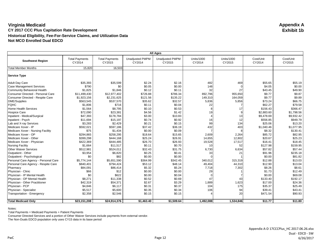| <b>All Ages</b>                      |                                 |                                 |                                  |                                  |                             |                             |                     |                     |
|--------------------------------------|---------------------------------|---------------------------------|----------------------------------|----------------------------------|-----------------------------|-----------------------------|---------------------|---------------------|
| <b>Southwest Region</b>              | <b>Total Payments</b><br>CY2014 | <b>Total Payments</b><br>CY2015 | <b>Unadjusted PMPM</b><br>CY2014 | <b>Unadjusted PMPM</b><br>CY2015 | <b>Units/1000</b><br>CY2014 | <b>Units/1000</b><br>CY2015 | Cost/Unit<br>CY2014 | Cost/Unit<br>CY2015 |
| <b>Total Member Months</b>           | 15,820                          | 16,503                          |                                  |                                  |                             |                             |                     |                     |
| <b>Service Type</b>                  |                                 |                                 |                                  |                                  |                             |                             |                     |                     |
| Adult Day Care                       | \$35,393                        | \$35,599                        | \$2.24                           | \$2.16                           | 482                         | 469                         | \$55.65             | \$55.19             |
| <b>Case Management Services</b>      | \$790                           | \$0                             | \$0.05                           | \$0.00                           | 148                         |                             | \$4.05              | \$0.00              |
| Community Behavioral Health          | \$1,825                         | \$1,846                         | \$0.12                           | \$0.11                           | 32                          | 27                          | \$43.45             | \$49.90             |
| Consumer Directed - Personal Care    | \$11,499,430                    | \$12,977,402                    | \$726.88                         | \$786.34                         | 892,796                     | 955,650                     | \$9.77              | \$9.87              |
| Consumer Directed - Respite Care     | \$1,923,156                     | \$2,231,625                     | \$121.56                         | \$135.22                         | 149,310                     | 164,059                     | \$9.77              | \$9.89              |
| <b>DME/Supplies</b>                  | \$563,545                       | \$537,570                       | \$35.62                          | \$32.57                          | 5,836                       | 5,856                       | \$73.24             | \$66.75             |
| <b>FQHC</b>                          | \$1,806                         | \$716                           | \$0.11                           | \$0.04                           | 22                          |                             | \$62.27             | \$79.58             |
| Home Health Services                 | \$1,564                         | \$8,795                         | \$0.10                           | \$0.53                           |                             | 17                          | \$156.43            | \$366.47            |
| <b>Hospice Care</b>                  | \$72,090                        | \$23,381                        | \$4.56                           | \$1.42                           | 19                          |                             | \$2,883.60          | \$1.798.56          |
| Inpatient - Medical/Surgical         | \$47,393                        | \$178,784                       | \$3.00                           | \$10.83                          |                             | 13                          | \$9,478.69          | \$9,932.42          |
| Inpatient - Psych                    | \$11,694                        | \$15,197                        | \$0.74                           | \$0.92                           | 16                          | 12                          | \$556.85            | \$949.79            |
| Lab and X-ray Services               | \$3,283                         | \$2,429                         | \$0.21                           | \$0.15                           | 99                          | 134                         | \$25.06             | \$13.20             |
| Medicare Xover - IP                  | \$592,021                       | \$597,186                       | \$37.42                          | \$36.19                          | 432                         | 403                         | \$1,040.46          | \$1,077.95          |
| Medicare Xover - Nursing Facility    | \$75                            | \$1,434                         | \$0.00                           | \$0.09                           |                             |                             | \$8.32              | \$130.41            |
| Medicare Xover - OP                  | \$294,865                       | \$258,295                       | \$18.64                          | \$15.65                          | 2,609                       | 2,264                       | \$85.72             | \$82.95             |
| Medicare Xover - Other               | \$399,298                       | \$444,168                       | \$25.24                          | \$26.91                          | 14,655                      | 12,802                      | \$20.67             | \$25.23             |
| Medicare Xover - Physician           | \$422,369                       | \$444,485                       | \$26.70                          | \$26.93                          | 19,528                      | 17,517                      | \$16.41             | \$18.45             |
| <b>Nursing Facility</b>              | \$1,664                         | \$11,517                        | \$0.11                           | \$0.70                           | 10                          | 52                          | \$127.98            | \$159.95            |
| <b>Other Waiver Services</b>         | \$512,981                       | \$524,011                       | \$32.43                          | \$31.75                          | 6,730                       | 6,634                       | \$57.82             | \$57.44             |
| Outpatient - Other                   | \$3,954                         | \$6,820                         | \$0.25                           | \$0.41                           | 33                          | 21                          | \$91.96             | \$235.18            |
| Outpatient - Psychological           | \$0                             | \$82                            | \$0.00                           | \$0.00                           |                             |                             | \$0.00              | \$81.82             |
| Personal Care Agency - Personal Care | \$5.774.144                     | \$5.651.590                     | \$364.99                         | \$342.45                         | 340.012                     | 315,319                     | \$12.88             | \$13.03             |
| Personal Care Agency - Respite Care  | \$840,401                       | \$794,424                       | \$53.12                          | \$48.14                          | 49,404                      | 44,310                      | \$12.90             | \$13.04             |
| Pharmacy                             | \$84,091                        | \$86,414                        | \$5.32                           | \$5.24                           | 7,718                       | 7,302                       | \$8.26              | \$8.61              |
| Physician - Clinic                   | \$66                            | \$12                            | \$0.00                           | \$0.00                           | 29                          |                             | \$1.73              | \$12.49             |
| Physician - IP Mental Health         | \$0                             | \$622                           | \$0.00                           | \$0.04                           |                             |                             | \$0.00              | \$69.08             |
| Physician - OP Mental Health         | \$8,271                         | \$11,338                        | \$0.52                           | \$0.69                           | 47                          | 43                          | \$133.40            | \$192.17            |
| Physician - Other Practitioner       | \$42,319                        | \$54,371                        | \$2.67                           | \$3.29                           | 1,889                       | 1,623                       | \$17.00             | \$24.36             |
| Physician - PCP                      | \$4,846                         | \$6,117                         | \$0.31                           | \$0.37                           | 104                         | 175                         | \$35.37             | \$25.49             |
| Physician - Specialist               | \$5,517                         | \$5,600                         | \$0.35                           | \$0.34                           | 106                         | 94                          | \$39.41             | \$43.41             |
| Transportation - Emergency           | \$2,358                         | \$2,546                         | \$0.15                           | \$0.15                           |                             | 20                          | \$471.54            | \$90.93             |
| <b>Total Medicaid Only</b>           | \$23,151,208                    | \$24,914,376                    | \$1,463.40                       | \$1,509.64                       | 1,492,088                   | 1,534,846                   | \$11.77             | \$11.80             |

Notes:

Total Payments = Medicaid Payments + Patient Payments

Consumer Directed Services and a portion of Other Waiver Services include payments from external vendor.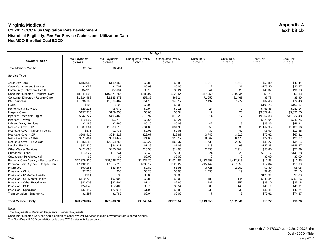| <b>All Ages</b>                      |                                 |                                 |                                  |                                  |                             |                             |                     |                     |
|--------------------------------------|---------------------------------|---------------------------------|----------------------------------|----------------------------------|-----------------------------|-----------------------------|---------------------|---------------------|
| <b>Tidewater Region</b>              | <b>Total Payments</b><br>CY2014 | <b>Total Payments</b><br>CY2015 | <b>Unadjusted PMPM</b><br>CY2014 | <b>Unadjusted PMPM</b><br>CY2015 | <b>Units/1000</b><br>CY2014 | <b>Units/1000</b><br>CY2015 | Cost/Unit<br>CY2014 | Cost/Unit<br>CY2015 |
| <b>Total Member Months</b>           | 31,247                          | 32,481                          |                                  |                                  |                             |                             |                     |                     |
| <b>Service Type</b>                  |                                 |                                 |                                  |                                  |                             |                             |                     |                     |
| <b>Adult Day Care</b>                | \$183,982                       | \$189,362                       | \$5.89                           | \$5.83                           | 1,313                       | 1,415                       | \$53.80             | \$49.44             |
| <b>Case Management Services</b>      | \$1,052                         | \$1,707                         | \$0.03                           | \$0.05                           |                             | 31                          | \$175.40            | \$20.57             |
| Community Behavioral Health          | \$4,915                         | \$7,634                         | \$0.16                           | \$0.24                           | 41                          | 29                          | \$46.37             | \$96.63             |
| Consumer Directed - Personal Care    | \$8,841,898                     | \$10,671,254                    | \$282.97                         | \$328.54                         | 347,050                     | 399,234                     | \$9.78              | \$9.88              |
| Consumer Directed - Respite Care     | \$1,824,488                     | \$2,183,872                     | \$58.39                          | \$67.24                          | 71,656                      | 81,468                      | \$9.78              | \$9.90              |
| <b>DME/Supplies</b>                  | \$1,596,786                     | \$1,564,469                     | \$51.10                          | \$48.17                          | 7,437                       | 7,279                       | \$82.46             | \$79.40             |
| <b>FQHC</b>                          | \$102                           | \$103                           | \$0.00                           | \$0.00                           | $\Omega$                    | n                           | \$102.25            | \$103.37            |
| Home Health Services                 | \$29,225                        | \$5,079                         | \$0.94                           | \$0.16                           | 24                          |                             | \$463.88            | \$282.14            |
| <b>Hospice Care</b>                  | \$157,915                       | \$179,858                       | \$5.05                           | \$5.54                           | 17                          | 20                          | \$3,672.44          | \$3,330.70          |
| Inpatient - Medical/Surgical         | \$342,727                       | \$496,462                       | \$10.97                          | \$15.28                          | 14                          | 17                          | \$9,262.88          | \$11,032.48         |
| Inpatient - Psych                    | \$19,897                        | \$6,748                         | \$0.64                           | \$0.21                           |                             | 3                           | \$829.04            | \$749.75            |
| Lab and X-ray Services               | \$3,189                         | \$2,596                         | \$0.10                           | \$0.08                           | 42                          | 19                          | \$29.26             | \$49.91             |
| Medicare Xover - IP                  | \$1,087,361                     | \$1,039,110                     | \$34.80                          | \$31.99                          | 359                         | 339                         | \$1,162.95          | \$1,133.16          |
| Medicare Xover - Nursing Facility    | \$876                           | \$1,738                         | \$0.03                           | \$0.05                           | 39                          | 47                          | \$8.59              | \$13.58             |
| Medicare Xover - OP                  | \$708,410                       | \$644,228                       | \$22.67                          | \$19.83                          | 3,746                       | 3,510                       | \$72.62             | \$67.81             |
| Medicare Xover - Other               | \$677,461                       | \$588,442                       | \$21.68                          | \$18.12                          | 8,862                       | 8,470                       | \$29.36             | \$25.67             |
| Medicare Xover - Physician           | \$1,883,286                     | \$2,058,256                     | \$60.27                          | \$63.37                          | 21,739                      | 22,268                      | \$33.27             | \$34.15             |
| <b>Nursing Facility</b>              | \$43,330                        | \$34,937                        | \$1.39                           | \$1.08                           | 113                         | 68                          | \$147.38            | \$189.87            |
| <b>Other Waiver Services</b>         | \$421,898                       | \$456,562                       | \$13.50                          | \$14.06                          | 2,755                       | 2,914                       | \$58.80             | \$57.89             |
| Outpatient - Other                   | \$13,527                        | \$11,241                        | \$0.43                           | \$0.35                           | 24                          | 28                          | \$218.17            | \$149.88            |
| Outpatient - Psychological           | \$0                             | \$0                             | \$0.00                           | \$0.00                           |                             |                             | \$0.00              | \$0.00              |
| Personal Care Agency - Personal Care | \$47.876.226                    | \$49.528.726                    | \$1,532.20                       | \$1,524.87                       | 1,433,558                   | 1,412,713                   | \$12.83             | \$12.95             |
| Personal Care Agency - Respite Care  | \$7,192,196                     | \$7,315,219                     | \$230.17                         | \$225.22                         | 215,142                     | 207,958                     | \$12.84             | \$13.00             |
| Pharmacy                             | \$90,281                        | \$63,467                        | \$2.89                           | \$1.95                           | 3,726                       | 2,902                       | \$9.30              | \$8.08              |
| Physician - Clinic                   | \$7,238                         | \$56                            | \$0.23                           | \$0.00                           | 1,056                       | 19                          | \$2.63              | \$1.10              |
| Physician - IP Mental Health         | \$121                           | \$0                             | \$0.00                           | \$0.00                           | $\Omega$                    | n                           | \$120.91            | \$0.00              |
| Physician - OP Mental Health         | \$119,723                       | \$97,992                        | \$3.83                           | \$3.02                           | 189                         | 144                         | \$243.34            | \$251.26            |
| Physician - Other Practitioner       | \$42,008                        | \$92,504                        | \$1.34                           | \$2.85                           | 487                         | 1,357                       | \$33.10             | \$25.18             |
| Physician - PCP                      | \$24,349                        | \$17,402                        | \$0.78                           | \$0.54                           | 203                         | 140                         | \$46.11             | \$45.91             |
| Physician - Specialist               | \$32,147                        | \$27,977                        | \$1.03                           | \$0.86                           | 339                         | 239                         | \$36.41             | \$43.24             |
| Transportation - Emergency           | \$1,397                         | \$1,785                         | \$0.04                           | \$0.05                           |                             | q                           | \$77.61             | \$74.37             |
| <b>Total Medicaid Only</b>           | \$73,228,007                    | \$77,288,785                    | \$2,343.54                       | \$2,379.54                       | 2,119,950                   | 2,152,646                   | \$13.27             | \$13.26             |

Notes:

Total Payments = Medicaid Payments + Patient Payments

Consumer Directed Services and a portion of Other Waiver Services include payments from external vendor.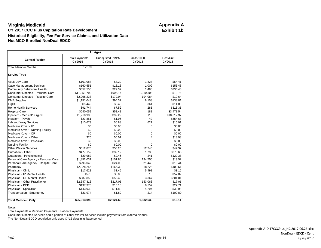| <b>All Ages</b>                      |                                 |                                  |                             |                     |  |  |  |  |  |
|--------------------------------------|---------------------------------|----------------------------------|-----------------------------|---------------------|--|--|--|--|--|
| <b>Central Region</b>                | <b>Total Payments</b><br>CY2015 | <b>Unadjusted PMPM</b><br>CY2015 | <b>Units/1000</b><br>CY2015 | Cost/Unit<br>CY2015 |  |  |  |  |  |
| <b>Total Member Months</b>           | 12,197                          |                                  |                             |                     |  |  |  |  |  |
| <b>Service Type</b>                  |                                 |                                  |                             |                     |  |  |  |  |  |
| <b>Adult Day Care</b>                | \$101,088                       | \$8.29                           | 1,828                       | \$54.41             |  |  |  |  |  |
| <b>Case Management Services</b>      | \$160,551                       | \$13.16                          | 1,009                       | \$156.48            |  |  |  |  |  |
| <b>Community Behavioral Health</b>   | \$357,556                       | \$29.32                          | 1,488                       | \$236.48            |  |  |  |  |  |
| Consumer Directed - Personal Care    | \$11,051,792                    | \$906.14                         | 1,010,308                   | \$10.76             |  |  |  |  |  |
| Consumer Directed - Respite Care     | \$2,098,238                     | \$172.04                         | 194,084                     | \$10.64             |  |  |  |  |  |
| <b>DME/Supplies</b>                  | \$1,151,043                     | \$94.37                          | 8,158                       | \$138.81            |  |  |  |  |  |
| <b>FOHC</b>                          | \$5,449                         | \$0.45                           | 361                         | \$14.85             |  |  |  |  |  |
| <b>Home Health Services</b>          | \$91,744                        | \$7.52                           | 285                         | \$316.36            |  |  |  |  |  |
| <b>Hospice Care</b>                  | \$640,052                       | \$52.48                          | 181                         | \$3,478.54          |  |  |  |  |  |
| Inpatient - Medical/Surgical         | \$1,210,985                     | \$99.29                          | 110                         | \$10,812.37         |  |  |  |  |  |
| Inpatient - Psych                    | \$23,851                        | \$1.96                           | 42                          | \$554.68            |  |  |  |  |  |
| Lab and X-ray Services               | \$10,673                        | \$0.88                           | 621                         | \$16.91             |  |  |  |  |  |
| Medicare Xover - IP                  | \$0                             | \$0.00                           | 0                           | \$0.00              |  |  |  |  |  |
| Medicare Xover - Nursing Facility    | \$0                             | \$0.00                           | $\Omega$                    | \$0.00              |  |  |  |  |  |
| Medicare Xover - OP                  | \$0                             | \$0.00                           | 0                           | \$0.00              |  |  |  |  |  |
| Medicare Xover - Other               | \$76                            | \$0.01                           | 4                           | \$18.98             |  |  |  |  |  |
| Medicare Xover - Physician           | \$0                             | \$0.00                           | $\Omega$                    | \$0.00              |  |  |  |  |  |
| <b>Nursing Facility</b>              | \$0                             | \$0.00                           | $\Omega$                    | \$0.00              |  |  |  |  |  |
| <b>Other Waiver Services</b>         | \$612,870                       | \$50.25                          | 12,743                      | \$47.32             |  |  |  |  |  |
| Outpatient - Other                   | \$477,152                       | \$39.12                          | 1,735                       | \$270.65            |  |  |  |  |  |
| Outpatient - Psychological           | \$29,982                        | \$2.46                           | 241                         | \$122.38            |  |  |  |  |  |
| Personal Care Agency - Personal Care | \$1,852,031                     | \$151.85                         | 134.750                     | \$13.52             |  |  |  |  |  |
| Personal Care Agency - Respite Care  | \$293,046                       | \$24.03                          | 21,449                      | \$13.44             |  |  |  |  |  |
| Pharmacy                             | \$2,028,256                     | \$166.30                         | 18,223                      | \$109.51            |  |  |  |  |  |
| Physician - Clinic                   | \$17,628                        | \$1.45                           | 5,498                       | \$3.15              |  |  |  |  |  |
| Physician - IP Mental Health         | \$578                           | \$0.05                           | 10                          | \$57.82             |  |  |  |  |  |
| Physician - OP Mental Health         | \$687,855                       | \$56.40                          | 3.367                       | \$201.01            |  |  |  |  |  |
| Physician - Other Practitioner       | \$2,647,316                     | \$217.05                         | 153,083                     | \$17.01             |  |  |  |  |  |
| Physician - PCP                      | \$197,373                       | \$16.18                          | 8,552                       | \$22.71             |  |  |  |  |  |
| Physician - Specialist               | \$143,930                       | \$11.80                          | 4,294                       | \$32.98             |  |  |  |  |  |
| Transportation - Emergency           | \$21,974                        | \$1.80                           | 214                         | \$100.80            |  |  |  |  |  |
| <b>Total Medicaid Only</b>           | \$25,913,090                    | \$2,124.63                       | 1,582,638                   | \$16.11             |  |  |  |  |  |

Notes:

Total Payments = Medicaid Payments + Patient Payments

Consumer Directed Services and a portion of Other Waiver Services include payments from external vendor.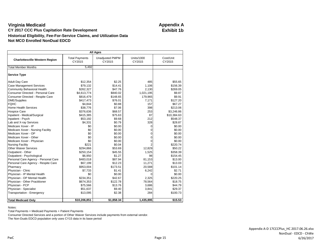| <b>All Ages</b>                       |                                 |                                  |                      |                     |  |  |  |  |  |
|---------------------------------------|---------------------------------|----------------------------------|----------------------|---------------------|--|--|--|--|--|
| <b>Charlottesville Western Region</b> | <b>Total Payments</b><br>CY2015 | <b>Unadjusted PMPM</b><br>CY2015 | Units/1000<br>CY2015 | Cost/Unit<br>CY2015 |  |  |  |  |  |
| <b>Total Member Months</b>            | 5,492                           |                                  |                      |                     |  |  |  |  |  |
| <b>Service Type</b>                   |                                 |                                  |                      |                     |  |  |  |  |  |
| <b>Adult Day Care</b>                 | \$12,354                        | \$2.25                           | 485                  | \$55.65             |  |  |  |  |  |
| <b>Case Management Services</b>       | \$79,132                        | \$14.41                          | 1,106                | \$156.39            |  |  |  |  |  |
| <b>Community Behavioral Health</b>    | \$262,327                       | \$47.76                          | 2,130                | \$269.05            |  |  |  |  |  |
| Consumer Directed - Personal Care     | \$4,613,774                     | \$840.02                         | 1,021,195            | \$9.87              |  |  |  |  |  |
| Consumer Directed - Respite Care      | \$816.479                       | \$148.65                         | 179,965              | \$9.91              |  |  |  |  |  |
| <b>DME/Supplies</b>                   | \$417,473                       | \$76.01                          | 7,171                | \$127.20            |  |  |  |  |  |
| <b>FOHC</b>                           | \$4,844                         | \$0.88                           | 157                  | \$67.27             |  |  |  |  |  |
| <b>Home Health Services</b>           | \$38,776                        | \$7.06                           | 398                  | \$213.06            |  |  |  |  |  |
| <b>Hospice Care</b>                   | \$376,636                       | \$68.57                          | 253                  | \$3,246.86          |  |  |  |  |  |
| Inpatient - Medical/Surgical          | \$415,385                       | \$75.63                          | 87                   | \$10,384.63         |  |  |  |  |  |
| Inpatient - Psych                     | \$53,192                        | \$9.68                           | 212                  | \$548.37            |  |  |  |  |  |
| Lab and X-ray Services                | \$4,331                         | \$0.79                           | 328                  | \$28.87             |  |  |  |  |  |
| Medicare Xover - IP                   | \$0                             | \$0.00                           | 0                    | \$0.00              |  |  |  |  |  |
| Medicare Xover - Nursing Facility     | \$0                             | \$0.00                           | 0                    | \$0.00              |  |  |  |  |  |
| Medicare Xover - OP                   | \$0                             | \$0.00                           | 0                    | \$0.00              |  |  |  |  |  |
| Medicare Xover - Other                | \$0                             | \$0.00                           | 0                    | \$0.00              |  |  |  |  |  |
| Medicare Xover - Physician            | \$0                             | \$0.00                           | 0                    | \$0.00              |  |  |  |  |  |
| <b>Nursing Facility</b>               | \$221                           | \$0.04                           | $\overline{2}$       | \$220.74            |  |  |  |  |  |
| <b>Other Waiver Services</b>          | \$294,866                       | \$53.69                          | 12,829               | \$50.22             |  |  |  |  |  |
| Outpatient - Other                    | \$250,154                       | \$45.55                          | 1,525                | \$358.39            |  |  |  |  |  |
| Outpatient - Psychological            | \$6,950                         | \$1.27                           | 98                   | \$154.45            |  |  |  |  |  |
| Personal Care Agency - Personal Care  | \$483,018                       | \$87.94                          | 81,153               | \$13.00             |  |  |  |  |  |
| Personal Care Agency - Respite Care   | \$67,199                        | \$12.23                          | 11,271               | \$13.03             |  |  |  |  |  |
| Pharmacy                              | \$953,004                       | \$173.51                         | 20,588               | \$101.14            |  |  |  |  |  |
| Physician - Clinic                    | \$7,733                         | \$1.41                           | 6,242                | \$2.71              |  |  |  |  |  |
| Physician - IP Mental Health          | \$0                             | \$0.00                           | $\Omega$             | \$0.00              |  |  |  |  |  |
| Physician - OP Mental Health          | \$234,351                       | \$42.67                          | 2.325                | \$220.25            |  |  |  |  |  |
| Physician - Other Practitioner        | \$674,353                       | \$122.78                         | 78,564               | \$18.75             |  |  |  |  |  |
| Physician - PCP                       | \$75,566                        | \$13.76                          | 3,686                | \$44.79             |  |  |  |  |  |
| Physician - Specialist                | \$51,637                        | \$9.40                           | 3,841                | \$29.37             |  |  |  |  |  |
| Transportation - Emergency            | \$13,095                        | \$2.38                           | 284                  | \$100.73            |  |  |  |  |  |
| <b>Total Medicaid Only</b>            | \$10,206,851                    | \$1,858.34                       | 1,435,895            | \$15.53             |  |  |  |  |  |

Notes:

Total Payments = Medicaid Payments + Patient Payments

Consumer Directed Services and a portion of Other Waiver Services include payments from external vendor.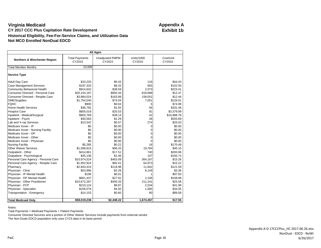| <b>All Ages</b>                      |                                 |                                  |                      |                     |  |  |  |  |  |
|--------------------------------------|---------------------------------|----------------------------------|----------------------|---------------------|--|--|--|--|--|
| Northern & Winchester Region         | <b>Total Payments</b><br>CY2015 | <b>Unadjusted PMPM</b><br>CY2015 | Units/1000<br>CY2015 | Cost/Unit<br>CY2015 |  |  |  |  |  |
| <b>Total Member Months</b>           | 23,699                          |                                  |                      |                     |  |  |  |  |  |
| <b>Service Type</b>                  |                                 |                                  |                      |                     |  |  |  |  |  |
| <b>Adult Day Care</b>                | \$10,220                        | \$0.43                           | 116                  | \$44.43             |  |  |  |  |  |
| <b>Case Management Services</b>      | \$197,333                       | \$8.33                           | 655                  | \$152.50            |  |  |  |  |  |
| <b>Community Behavioral Health</b>   | \$914,642                       | \$38.59                          | 2,073                | \$223.41            |  |  |  |  |  |
| Consumer Directed - Personal Care    | \$20,154,187                    | \$850.44                         | 818,688              | \$12.47             |  |  |  |  |  |
| Consumer Directed - Respite Care     | \$3,884,024                     | \$163.89                         | 158,051              | \$12.44             |  |  |  |  |  |
| <b>DME/Supplies</b>                  | \$1,754,540                     | \$74.04                          | 7,051                | \$126.01            |  |  |  |  |  |
| <b>FQHC</b>                          | \$900                           | \$0.04                           | 6                    | \$74.99             |  |  |  |  |  |
| Home Health Services                 | \$36,792                        | \$1.55                           | 56                   | \$331.46            |  |  |  |  |  |
| <b>Hospice Care</b>                  | \$605,018                       | \$25.53                          | 91                   | \$3,379.99          |  |  |  |  |  |
| Inpatient - Medical/Surgical         | \$903,769                       | \$38.14                          | 42                   | \$10,888.78         |  |  |  |  |  |
| Inpatient - Psych                    | \$30,563                        | \$1.29                           | 28                   | \$555.69            |  |  |  |  |  |
| Lab and X-ray Services               | \$13,542                        | \$0.57                           | 274                  | \$25.03             |  |  |  |  |  |
| Medicare Xover - IP                  | \$0                             | \$0.00                           | 0                    | \$0.00              |  |  |  |  |  |
| Medicare Xover - Nursing Facility    | \$0                             | \$0.00                           | $\Omega$             | \$0.00              |  |  |  |  |  |
| Medicare Xover - OP                  | \$0                             | \$0.00                           | $\Omega$             | \$0.00              |  |  |  |  |  |
| Medicare Xover - Other               | \$0                             | \$0.00                           | $\mathbf 0$          | \$0.00              |  |  |  |  |  |
| Medicare Xover - Physician           | \$0                             | \$0.00                           | $\Omega$             | \$0.00              |  |  |  |  |  |
| <b>Nursing Facility</b>              | \$5,285                         | \$0.22                           | 16                   | \$170.49            |  |  |  |  |  |
| <b>Other Waiver Services</b>         | \$1,568,815                     | \$66.20                          | 19,784               | \$40.15             |  |  |  |  |  |
| Outpatient - Other                   | \$414,861                       | \$17.51                          | 740                  | \$283.96            |  |  |  |  |  |
| Outpatient - Psychological           | \$35,136                        | \$1.48                           | 107                  | \$165.74            |  |  |  |  |  |
| Personal Care Agency - Personal Care | \$10,974,524                    | \$463.09                         | 364,167              | \$15.26             |  |  |  |  |  |
| Personal Care Agency - Respite Care  | \$1,952,924                     | \$82.41                          | 64,973               | \$15.22             |  |  |  |  |  |
| Pharmacy                             | \$2,843,410                     | \$119.98                         | 11,842               | \$121.59            |  |  |  |  |  |
| Physician - Clinic                   | \$53,996                        | \$2.28                           | 8,149                | \$3.36              |  |  |  |  |  |
| Physician - IP Mental Health         | \$196                           | \$0.01                           | 1                    | \$97.83             |  |  |  |  |  |
| Physician - OP Mental Health         | \$661,437                       | \$27.91                          | 2,108                | \$158.88            |  |  |  |  |  |
| Physician - Other Practitioner       | \$10,672,267                    | \$450.33                         | 211,241              | \$25.58             |  |  |  |  |  |
| Physician - PCP                      | \$210,124                       | \$8.87                           | 2,534                | \$41.98             |  |  |  |  |  |
| Physician - Specialist               | \$106,576                       | \$4.50                           | 1,585                | \$34.05             |  |  |  |  |  |
| Transportation - Emergency           | \$14,153                        | \$0.60                           | 80                   | \$89.58             |  |  |  |  |  |
| <b>Total Medicaid Only</b>           | \$58,019,236                    | \$2,448.22                       | 1,674,457            | \$17.55             |  |  |  |  |  |

Notes:

Total Payments = Medicaid Payments + Patient Payments

Consumer Directed Services and a portion of Other Waiver Services include payments from external vendor.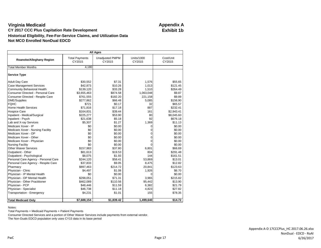| <b>All Ages</b>                      |                                 |                                  |                             |                     |  |  |  |  |  |
|--------------------------------------|---------------------------------|----------------------------------|-----------------------------|---------------------|--|--|--|--|--|
| Roanoke/Alleghany Region             | <b>Total Payments</b><br>CY2015 | <b>Unadjusted PMPM</b><br>CY2015 | <b>Units/1000</b><br>CY2015 | Cost/Unit<br>CY2015 |  |  |  |  |  |
| <b>Total Member Months</b>           | 4,180                           |                                  |                             |                     |  |  |  |  |  |
| <b>Service Type</b>                  |                                 |                                  |                             |                     |  |  |  |  |  |
| <b>Adult Day Care</b>                | \$30,552                        | \$7.31                           | 1,576                       | \$55.65             |  |  |  |  |  |
| <b>Case Management Services</b>      | \$42,873                        | \$10.26                          | 1,013                       | \$121.45            |  |  |  |  |  |
| <b>Community Behavioral Health</b>   | \$139,120                       | \$33.28                          | 1,510                       | \$264.49            |  |  |  |  |  |
| Consumer Directed - Personal Care    | \$3,655,463                     | \$874.58                         | 1,063,048                   | \$9.87              |  |  |  |  |  |
| Consumer Directed - Respite Care     | \$761,555                       | \$182.20                         | 221,158                     | \$9.89              |  |  |  |  |  |
| <b>DME/Supplies</b>                  | \$277,862                       | \$66.48                          | 5,085                       | \$156.90            |  |  |  |  |  |
| <b>FQHC</b>                          | \$721                           | \$0.17                           | 32                          | \$65.57             |  |  |  |  |  |
| Home Health Services                 | \$71,816                        | \$17.18                          | 887                         | \$232.41            |  |  |  |  |  |
| <b>Hospice Care</b>                  | \$164,831                       | \$39.44                          | 161                         | \$2,943.41          |  |  |  |  |  |
| Inpatient - Medical/Surgical         | \$225,277                       | \$53.90                          | 80                          | \$8,045.60          |  |  |  |  |  |
| Inpatient - Psych                    | \$21,638                        | \$5.18                           | 92                          | \$676.18            |  |  |  |  |  |
| Lab and X-ray Services               | \$5,307                         | \$1.27                           | 1,369                       | \$11.13             |  |  |  |  |  |
| Medicare Xover - IP                  | \$0                             | \$0.00                           | $\Omega$                    | \$0.00              |  |  |  |  |  |
| Medicare Xover - Nursing Facility    | \$0                             | \$0.00                           | 0                           | \$0.00              |  |  |  |  |  |
| Medicare Xover - OP                  | \$0                             | \$0.00                           | 0                           | \$0.00              |  |  |  |  |  |
| Medicare Xover - Other               | \$0                             | \$0.00                           | 0                           | \$0.00              |  |  |  |  |  |
| Medicare Xover - Physician           | \$0                             | \$0.00                           | $\Omega$                    | \$0.00              |  |  |  |  |  |
| <b>Nursing Facility</b>              | \$0                             | \$0.00                           | $\Omega$                    | \$0.00              |  |  |  |  |  |
| <b>Other Waiver Services</b>         | \$157,983                       | \$37.80                          | 6.801                       | \$66.69             |  |  |  |  |  |
| Outpatient - Other                   | \$81,613                        | \$19.53                          | 804                         | \$291.48            |  |  |  |  |  |
| Outpatient - Psychological           | \$8,075                         | \$1.93                           | 144                         | \$161.51            |  |  |  |  |  |
| Personal Care Agency - Personal Care | \$244,120                       | \$58.41                          | 53,869                      | \$13.01             |  |  |  |  |  |
| Personal Care Agency - Respite Care  | \$37,833                        | \$9.05                           | 8,475                       | \$12.82             |  |  |  |  |  |
| Pharmacy                             | \$897,463                       | \$214.72                         | 20.841                      | \$123.63            |  |  |  |  |  |
| Physician - Clinic                   | \$4,497                         | \$1.08                           | 1,926                       | \$6.70              |  |  |  |  |  |
| Physician - IP Mental Health         | \$0                             | \$0.00                           | $\Omega$                    | \$0.00              |  |  |  |  |  |
| Physician - OP Mental Health         | \$298,051                       | \$71.31                          | 3,965                       | \$215.82            |  |  |  |  |  |
| Physician - Other Practitioner       | \$462,089                       | \$110.56                         | 95,442                      | \$13.90             |  |  |  |  |  |
| Physician - PCP                      | \$48,446                        | \$11.59                          | 6,382                       | \$21.79             |  |  |  |  |  |
| Physician - Specialist               | \$46,738                        | \$11.18                          | 4,823                       | \$27.82             |  |  |  |  |  |
| Transportation - Emergency           | \$4,231                         | \$1.01                           | 155                         | \$78.35             |  |  |  |  |  |
| <b>Total Medicaid Only</b>           | \$7,688,154                     | \$1,839.42                       | 1,499,640                   | \$14.72             |  |  |  |  |  |

Notes:

Total Payments = Medicaid Payments + Patient Payments

Consumer Directed Services and a portion of Other Waiver Services include payments from external vendor.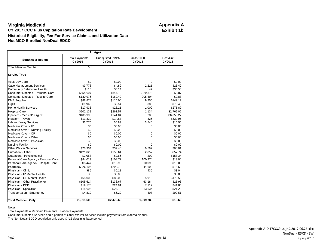| <b>All Ages</b>                      |                                 |                                  |                             |                     |  |  |  |  |  |
|--------------------------------------|---------------------------------|----------------------------------|-----------------------------|---------------------|--|--|--|--|--|
| <b>Southwest Region</b>              | <b>Total Payments</b><br>CY2015 | <b>Unadjusted PMPM</b><br>CY2015 | <b>Units/1000</b><br>CY2015 | Cost/Unit<br>CY2015 |  |  |  |  |  |
| <b>Total Member Months</b>           | 773                             |                                  |                             |                     |  |  |  |  |  |
| <b>Service Type</b>                  |                                 |                                  |                             |                     |  |  |  |  |  |
| <b>Adult Day Care</b>                | \$0                             | \$0.00                           | $\Omega$                    | \$0.00              |  |  |  |  |  |
| <b>Case Management Services</b>      | \$3,778                         | \$4.89                           | 2,221                       | \$26.42             |  |  |  |  |  |
| <b>Community Behavioral Health</b>   | \$110                           | \$0.14                           | 47                          | \$36.53             |  |  |  |  |  |
| Consumer Directed - Personal Care    | \$654,697                       | \$847.19                         | 1,029,873                   | \$9.87              |  |  |  |  |  |
| Consumer Directed - Respite Care     | \$130,976                       | \$169.49                         | 205,804                     | \$9.88              |  |  |  |  |  |
| <b>DME/Supplies</b>                  | \$88,874                        | \$115.00                         | 9,255                       | \$149.12            |  |  |  |  |  |
| <b>FOHC</b>                          | \$1,962                         | \$2.54                           | 388                         | \$78.49             |  |  |  |  |  |
| <b>Home Health Services</b>          | \$17,933                        | \$23.21                          | 1,009                       | \$275.89            |  |  |  |  |  |
| <b>Hospice Care</b>                  | \$202,138                       | \$261.57                         | 1,134                       | \$2,769.02          |  |  |  |  |  |
| Inpatient - Medical/Surgical         | \$108,995                       | \$141.04                         | 280                         | \$6,055.27          |  |  |  |  |  |
| Inpatient - Psych                    | \$11,339                        | \$14.67                          | 326                         | \$539.95            |  |  |  |  |  |
| Lab and X-ray Services               | \$3,775                         | \$4.89                           | 3,540                       | \$16.56             |  |  |  |  |  |
| Medicare Xover - IP                  | \$0                             | \$0.00                           | 0                           | \$0.00              |  |  |  |  |  |
| Medicare Xover - Nursing Facility    | \$0                             | \$0.00                           | 0                           | \$0.00              |  |  |  |  |  |
| Medicare Xover - OP                  | \$0                             | \$0.00                           | 0                           | \$0.00              |  |  |  |  |  |
| Medicare Xover - Other               | \$0                             | \$0.00                           | 0                           | \$0.00              |  |  |  |  |  |
| Medicare Xover - Physician           | \$0                             | \$0.00                           | 0                           | \$0.00              |  |  |  |  |  |
| <b>Nursing Facility</b>              | \$0                             | \$0.00                           | $\Omega$                    | \$0.00              |  |  |  |  |  |
| <b>Other Waiver Services</b>         | \$28,904                        | \$37.40                          | 6,599                       | \$68.01             |  |  |  |  |  |
| Outpatient - Other                   | \$121,023                       | \$156.61                         | 2,857                       | \$657.74            |  |  |  |  |  |
| Outpatient - Psychological           | \$2,058                         | \$2.66                           | 202                         | \$158.34            |  |  |  |  |  |
| Personal Care Agency - Personal Care | \$84,019                        | \$108.72                         | 100,374                     | \$13.00             |  |  |  |  |  |
| Personal Care Agency - Respite Care  | \$8,447                         | \$10.93                          | 10,093                      | \$13.00             |  |  |  |  |  |
| Pharmacy                             | \$226,196                       | \$292.70                         | 44,690                      | \$78.59             |  |  |  |  |  |
| Physician - Clinic                   | \$85                            | \$0.11                           | 435                         | \$3.04              |  |  |  |  |  |
| Physician - IP Mental Health         | \$0                             | \$0.00                           | $\Omega$                    | \$0.00              |  |  |  |  |  |
| Physician - OP Mental Health         | \$68,009                        | \$88.00                          | 5,916                       | \$178.50            |  |  |  |  |  |
| Physician - Other Practitioner       | \$105,614                       | \$136.67                         | 63,184                      | \$25.96             |  |  |  |  |  |
| Physician - PCP                      | \$19,170                        | \$24.81                          | 7,112                       | \$41.86             |  |  |  |  |  |
| Physician - Specialist               | \$18,695                        | \$24.19                          | 13,634                      | \$21.29             |  |  |  |  |  |
| Transportation - Emergency           | \$4,810                         | \$6.22                           | 807                         | \$92.51             |  |  |  |  |  |
| <b>Total Medicaid Only</b>           | \$1,911,608                     | \$2,473.65                       | 1,509,780                   | \$19.66             |  |  |  |  |  |

Notes:

Total Payments = Medicaid Payments + Patient Payments

Consumer Directed Services and a portion of Other Waiver Services include payments from external vendor.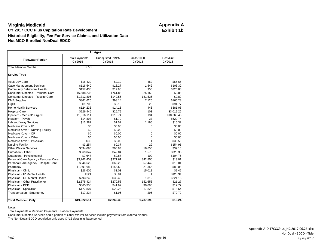| <b>All Ages</b>                      |                                 |                                  |                      |                     |  |  |  |  |  |
|--------------------------------------|---------------------------------|----------------------------------|----------------------|---------------------|--|--|--|--|--|
| <b>Tidewater Region</b>              | <b>Total Payments</b><br>CY2015 | <b>Unadjusted PMPM</b><br>CY2015 | Units/1000<br>CY2015 | Cost/Unit<br>CY2015 |  |  |  |  |  |
| <b>Total Member Months</b>           | 8,779                           |                                  |                      |                     |  |  |  |  |  |
| <b>Service Type</b>                  |                                 |                                  |                      |                     |  |  |  |  |  |
| <b>Adult Day Care</b>                | \$18,420                        | \$2.10                           | 452                  | \$55.65             |  |  |  |  |  |
| <b>Case Management Services</b>      | \$116,540                       | \$13.27                          | 1,542                | \$103.32            |  |  |  |  |  |
| <b>Community Behavioral Health</b>   | \$157,438                       | \$17.93                          | 953                  | \$225.88            |  |  |  |  |  |
| Consumer Directed - Personal Care    | \$6,688,235                     | \$761.83                         | 925,159              | \$9.88              |  |  |  |  |  |
| Consumer Directed - Respite Care     | \$1,312,895                     | \$149.55                         | 181,536              | \$9.89              |  |  |  |  |  |
| <b>DME/Supplies</b>                  | \$861,626                       | \$98.14                          | 7,126                | \$165.28            |  |  |  |  |  |
| <b>FQHC</b>                          | \$1,706                         | \$0.19                           | 25                   | \$94.77             |  |  |  |  |  |
| Home Health Services                 | \$124,233                       | \$14.15                          | 446                  | \$381.08            |  |  |  |  |  |
| <b>Hospice Care</b>                  | \$226,445                       | \$25.79                          | 103                  | \$3,019.26          |  |  |  |  |  |
| Inpatient - Medical/Surgical         | \$1,016,111                     | \$115.74                         | 134                  | \$10,368.48         |  |  |  |  |  |
| Inpatient - Psych                    | \$14,898                        | \$1.70                           | 33                   | \$620.74            |  |  |  |  |  |
| Lab and X-ray Services               | \$13,387                        | \$1.52                           | 1,195                | \$15.32             |  |  |  |  |  |
| Medicare Xover - IP                  | \$0                             | \$0.00                           | 0                    | \$0.00              |  |  |  |  |  |
| Medicare Xover - Nursing Facility    | \$0                             | \$0.00                           | $\Omega$             | \$0.00              |  |  |  |  |  |
| Medicare Xover - OP                  | \$0                             | \$0.00                           | 0                    | \$0.00              |  |  |  |  |  |
| Medicare Xover - Other               | \$0                             | \$0.00                           | 0                    | \$0.00              |  |  |  |  |  |
| Medicare Xover - Physician           | \$36                            | \$0.00                           |                      | \$35.56             |  |  |  |  |  |
| <b>Nursing Facility</b>              | \$3,254                         | \$0.37                           | 29                   | \$154.95            |  |  |  |  |  |
| <b>Other Waiver Services</b>         | \$534,095                       | \$60.84                          | 18,655               | \$39.13             |  |  |  |  |  |
| Outpatient - Other                   | \$369,047                       | \$42.04                          | 1,575                | \$320.35            |  |  |  |  |  |
| Outpatient - Psychological           | \$7,647                         | \$0.87                           | 100                  | \$104.75            |  |  |  |  |  |
| Personal Care Agency - Personal Care | \$3,262,409                     | \$371.61                         | 342,850              | \$13.01             |  |  |  |  |  |
| Personal Care Agency - Respite Care  | \$546,620                       | \$62.26                          | 57,442               | \$13.01             |  |  |  |  |  |
| Pharmacy                             | \$1,391,680                     | \$158.52                         | 21,355               | \$89.08             |  |  |  |  |  |
| Physician - Clinic                   | \$26,605                        | \$3.03                           | 15,011               | \$2.42              |  |  |  |  |  |
| Physician - IP Mental Health         | \$121                           | \$0.01                           |                      | \$120.91            |  |  |  |  |  |
| Physician - OP Mental Health         | \$293,243                       | \$33.40                          | 1,812                | \$221.15            |  |  |  |  |  |
| Physician - Other Practitioner       | \$2,375,424                     | \$270.58                         | 152,653              | \$21.27             |  |  |  |  |  |
| Physician - PCP                      | \$365,358                       | \$41.62                          | 39,095               | \$12.77             |  |  |  |  |  |
| Physician - Specialist               | \$177,807                       | \$20.25                          | 17,823               | \$13.64             |  |  |  |  |  |
| Transportation - Emergency           | \$17,234                        | \$1.96                           | 295                  | \$79.79             |  |  |  |  |  |
| <b>Total Medicaid Only</b>           | \$19,922,514                    | \$2,269.30                       | 1,787,398            | \$15.24             |  |  |  |  |  |

Notes:

Total Payments = Medicaid Payments + Patient Payments

Consumer Directed Services and a portion of Other Waiver Services include payments from external vendor.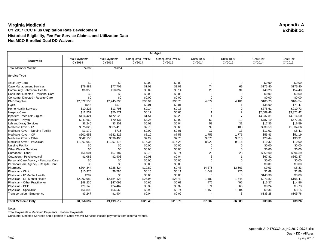| All Ages                             |                                 |                                 |                                  |                                  |                      |                      |                     |                     |
|--------------------------------------|---------------------------------|---------------------------------|----------------------------------|----------------------------------|----------------------|----------------------|---------------------|---------------------|
| <b>Statewide</b>                     | <b>Total Payments</b><br>CY2014 | <b>Total Payments</b><br>CY2015 | <b>Unadjusted PMPM</b><br>CY2014 | <b>Unadjusted PMPM</b><br>CY2015 | Units/1000<br>CY2014 | Units/1000<br>CY2015 | Cost/Unit<br>CY2014 | Cost/Unit<br>CY2015 |
| <b>Total Member Months</b>           | 74,360                          | 76,854                          |                                  |                                  |                      |                      |                     |                     |
| Service Type                         |                                 |                                 |                                  |                                  |                      |                      |                     |                     |
| <b>Adult Day Care</b>                | \$0                             | \$0                             | \$0.00                           | \$0.00                           |                      |                      | \$0.00              | \$0.00              |
| <b>Case Management Services</b>      | \$79,982                        | \$77,702                        | \$1.08                           | \$1.01                           | 74                   | 69                   | \$175.40            | \$175.40            |
| Community Behavioral Health          | \$6,356                         | \$10,897                        | \$0.09                           | \$0.14                           | 25                   | 31                   | \$40.23             | \$54.48             |
| Consumer Directed - Personal Care    | \$0                             | \$0                             | \$0.00                           | \$0.00                           |                      |                      | \$0.00              | \$0.00              |
| Consumer Directed - Respite Care     | \$0                             | \$0                             | \$0.00                           | \$0.00                           |                      |                      | \$0.00              | \$0.00              |
| <b>DME/Supplies</b>                  | \$2,672,558                     | \$2,745,830                     | \$35.94                          | \$35.73                          | 4,079                | 4,101                | \$105.73            | \$104.54            |
| <b>FQHC</b>                          | \$545                           | \$572                           | \$0.01                           | \$0.01                           |                      |                      | \$38.90             | \$71.47             |
| Home Health Services                 | \$10,223                        | \$13,796                        | \$0.14                           | \$0.18                           |                      |                      | \$378.61            | \$919.73            |
| <b>Hospice Care</b>                  | \$12,537                        | \$50,571                        | \$0.17                           | \$0.66                           |                      |                      | \$2,089.48          | \$3,371.42          |
| Inpatient - Medical/Surgical         | \$114,421                       | \$172,623                       | \$1.54                           | \$2.25                           |                      |                      | \$4,237.81          | \$4,014.50          |
| Inpatient - Psych                    | \$241,669                       | \$70,437                        | \$3.25                           | \$0.92                           | 50                   | 19                   | \$787.19            | \$577.35            |
| Lab and X-ray Services               | \$6,246                         | \$3,301                         | \$0.08                           | \$0.04                           | 58                   | 31                   | \$17.35             | \$16.59             |
| Medicare Xover - IP                  | \$575,028                       | \$665,416                       | \$7.73                           | \$8.66                           | 99                   | 100                  | \$939.59            | \$1,034.86          |
| Medicare Xover - Nursing Facility    | \$1,179                         | \$715                           | \$0.02                           | \$0.01                           | 17                   | 13                   | \$11.02             | \$8.41              |
| Medicare Xover - OP                  | \$602,653                       | \$582,325                       | \$8.10                           | \$7.58                           | 1,755                | 1,776                | \$55.43             | \$51.19             |
| Medicare Xover - Other               | \$542,153                       | \$596,495                       | \$7.29                           | \$7.76                           | 3,076                | 3,013                | \$28.44             | \$30.91             |
| Medicare Xover - Physician           | \$1,067,950                     | \$1,097,173                     | \$14.36                          | \$14.28                          | 8,922                | 9,016                | \$19.32             | \$19.00             |
| <b>Nursing Facility</b>              | \$0                             | \$0                             | \$0.00                           | \$0.00                           |                      | U                    | \$0.00              | \$0.00              |
| <b>Other Waiver Services</b>         | \$0                             | \$0                             | \$0.00                           | \$0.00                           |                      |                      | \$0.00              | \$0.00              |
| Outpatient - Other                   | \$56,004                        | \$57,187                        | \$0.75                           | \$0.74                           | 25                   | 23                   | \$359.00            | \$394.39            |
| Outpatient - Psychological           | \$1,085                         | \$2,903                         | \$0.01                           | \$0.04                           |                      |                      | \$67.82             | \$362.87            |
| Personal Care Agency - Personal Care | \$0                             | \$0                             | \$0.00                           | \$0.00                           |                      |                      | \$0.00              | \$0.00              |
| Personal Care Agency - Respite Care  | \$0                             | \$0                             | \$0.00                           | \$0.00                           |                      |                      | \$0.00              | \$0.00              |
| Pharmacy                             | \$804,344                       | \$728,624                       | \$10.82                          | \$9.48                           | 14,375               | 13,663               | \$9.03              | \$8.33              |
| Physician - Clinic                   | \$10,975                        | \$8,785                         | \$0.15                           | \$0.11                           | 1,049                | 726                  | \$1.69              | \$1.89              |
| Physician - IP Mental Health         | \$287                           | \$0                             | \$0.00                           | \$0.00                           |                      |                      | \$143.30            | \$0.00              |
| Physician - OP Mental Health         | \$2,002,982                     | \$2,184,123                     | \$26.94                          | \$28.42                          | 1,180                | 1,745                | \$273.82            | \$195.41            |
| Physician - Other Practitioner       | \$48,230                        | \$47,099                        | \$0.65                           | \$0.61                           | 476                  | 495                  | \$16.37             | \$14.86             |
| Physician - PCP                      | \$29,148                        | \$24,467                        | \$0.39                           | \$0.32                           | 571                  | 666                  | \$8.24              | \$5.73              |
| Physician - Specialist               | \$66,896                        | \$56,569                        | \$0.90                           | \$0.74                           | 1,153                | 1,084                | \$9.36              | \$8.15              |
| Transportation - Emergency           | \$3,247                         | \$1,904                         | \$0.04                           | \$0.02                           |                      |                      | \$135.28            | \$105.78            |
|                                      |                                 |                                 |                                  |                                  |                      |                      |                     |                     |
| <b>Total Medicaid Only</b>           | \$8,956,697                     | \$9,199,512                     | \$120.45                         | \$119.70                         | 37,002               | 36,589               | \$39.06             | \$39.26             |

Notes:

Total Payments = Medicaid Payments + Patient Payments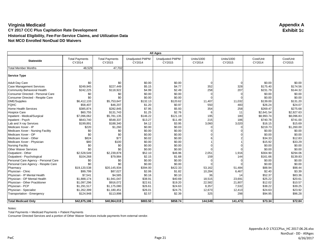| <b>All Ages</b>                      |                                 |                                 |                                  |                                  |                             |                             |                     |                     |
|--------------------------------------|---------------------------------|---------------------------------|----------------------------------|----------------------------------|-----------------------------|-----------------------------|---------------------|---------------------|
| <b>Statewide</b>                     | <b>Total Payments</b><br>CY2014 | <b>Total Payments</b><br>CY2015 | <b>Unadjusted PMPM</b><br>CY2014 | <b>Unadjusted PMPM</b><br>CY2015 | <b>Units/1000</b><br>CY2014 | <b>Units/1000</b><br>CY2015 | Cost/Unit<br>CY2014 | Cost/Unit<br>CY2015 |
| <b>Total Member Months</b>           | 48,529                          | 47,702                          |                                  |                                  |                             |                             |                     |                     |
| <b>Service Type</b>                  |                                 |                                 |                                  |                                  |                             |                             |                     |                     |
| <b>Adult Day Care</b>                | \$0                             | \$0                             | \$0.00                           | \$0.00                           | $\Omega$                    | O                           | \$0.00              | \$0.00              |
| <b>Case Management Services</b>      | \$249,945                       | \$227.449                       | \$5.15                           | \$4.77                           | 352                         | 328                         | \$175.40            | \$174.56            |
| Community Behavioral Health          | \$242,225                       | \$118,922                       | \$4.99                           | \$2.49                           | 258                         | 207                         | \$231.79            | \$144.32            |
| Consumer Directed - Personal Care    | \$0                             | \$0                             | \$0.00                           | \$0.00                           |                             |                             | \$0.00              | \$0.00              |
| Consumer Directed - Respite Care     | \$0                             | \$0                             | \$0.00                           | \$0.00                           |                             |                             | \$0.00              | \$0.00              |
| <b>DME/Supplies</b>                  | \$6,412,133                     | \$5,753,647                     | \$132.13                         | \$120.62                         | 11,407                      | 11,032                      | \$139.00            | \$131.20            |
| <b>FQHC</b>                          | \$58,407                        | \$46,207                        | \$1.20                           | \$0.97                           | 550                         | 483                         | \$26.24             | \$24.07             |
| Home Health Services                 | \$385,874                       | \$282,845                       | \$7.95                           | \$5.93                           | 354                         | 258                         | \$269.47            | \$275.68            |
| <b>Hospice Care</b>                  | \$60,755                        | \$131,743                       | \$1.25                           | \$2.76                           |                             | 11                          | \$2,641.54          | \$2,927.63          |
| Inpatient - Medical/Surgical         | \$7,096,062                     | \$5,781,135                     | \$146.22                         | \$121.19                         | 195                         | 180                         | \$8,993.74          | \$8,096.83          |
| Inpatient - Psych                    | \$643,740                       | \$548,337                       | \$13.27                          | \$11.49                          | 215                         | 186                         | \$740.78            | \$741.00            |
| Lab and X-ray Services               | \$199,891                       | \$188,340                       | \$4.12                           | \$3.95                           | 3,060                       | 3,020                       | \$16.15             | \$15.69             |
| Medicare Xover - IP                  | \$220                           | \$1,260                         | \$0.00                           | \$0.03                           |                             |                             | \$219.73            | \$1,260.00          |
| Medicare Xover - Nursing Facility    | \$0                             | \$0                             | \$0.00                           | \$0.00                           |                             |                             | \$0.00              | \$0.00              |
| Medicare Xover - OP                  | \$0                             | \$0                             | \$0.00                           | \$0.00                           |                             |                             | \$0.00              | \$0.00              |
| Medicare Xover - Other               | \$824                           | \$77                            | \$0.02                           | \$0.00                           |                             |                             | \$34.33             | \$12.83             |
| Medicare Xover - Physician           | \$80                            | \$100                           | \$0.00                           | \$0.00                           |                             |                             | \$15.92             | \$33.29             |
| <b>Nursing Facility</b>              | \$0                             | \$0                             | \$0.00                           | \$0.00                           |                             |                             | \$0.00              | \$0.00              |
| <b>Other Waiver Services</b>         | \$0                             | \$0                             | \$0.00                           | \$0.00                           |                             |                             | \$0.00              | \$0.00              |
| Outpatient - Other                   | \$2,528,549                     | \$2,239,878                     | \$52.10                          | \$46.96                          | 2,051                       | 1,916                       | \$304.90            | \$294.06            |
| Outpatient - Psychological           | \$104,268                       | \$79,984                        | \$2.15                           | \$1.68                           | 159                         | 144                         | \$161.66            | \$139.83            |
| Personal Care Agency - Personal Care | \$0                             | \$0                             | \$0.00                           | \$0.00                           |                             |                             | \$0.00              | \$0.00              |
| Personal Care Agency - Respite Care  | \$0                             | \$0                             | \$0.00                           | \$0.00                           |                             |                             | \$0.00              | \$0.00              |
| Pharmacy                             | \$19,120,538                    | \$20,145,934                    | \$394.00                         | \$422.33                         | 53,162                      | 51,484                      | \$88.94             | \$98.44             |
| Physician - Clinic                   | \$99,799                        | \$87,027                        | \$2.06                           | \$1.82                           | 10,284                      | 6,467                       | \$2.40              | \$3.39              |
| Physician - IP Mental Health         | \$7,541                         | \$4,585                         | \$0.16                           | \$0.10                           | 36                          | 14                          | \$52.37             | \$83.36             |
| Physician - OP Mental Health         | \$1,888,174                     | \$1,941,047                     | \$38.91                          | \$40.69                          | 18,515                      | 23,691                      | \$25.22             | \$20.61             |
| Physician - Other Practitioner       | \$1,097,296                     | \$916,072                       | \$22.61                          | \$19.20                          | 22,582                      | 21,807                      | \$12.02             | \$10.57             |
| Physician - PCP                      | \$1,291,517                     | \$1,175,080                     | \$26.61                          | \$24.63                          | 8,357                       | 7,532                       | \$38.22             | \$39.25             |
| Physician - Specialist               | \$1,262,399                     | \$1,180,451                     | \$26.01                          | \$24.75                          | 12,673                      | 12,413                      | \$24.63             | \$23.92             |
| Transportation - Emergency           | \$124,948                       | \$113,898                       | \$2.57                           | \$2.39                           | 325                         | 298                         | \$94.95             | \$96.28             |
| <b>Total Medicaid Only</b>           | \$42,875,186                    | \$40,964,019                    | \$883.50                         | \$858.74                         | 144,549                     | 141,473                     | \$73.34             | \$72.84             |

Notes:

Total Payments = Medicaid Payments + Patient Payments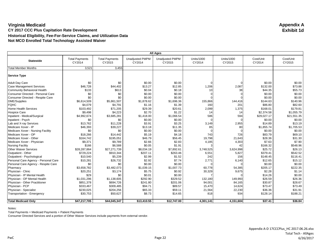#### **Virginia Medicaid Appendix A CY 2017 CCC Plus Capitation Rate Development Historical Eligibility, Fee-For-Service Claims, and Utilization Data Not MCO Enrolled Total Technology Assisted Waiver**

| <b>All Ages</b>                      |                                 |                                 |                                  |                                  |                             |                             |                     |                     |
|--------------------------------------|---------------------------------|---------------------------------|----------------------------------|----------------------------------|-----------------------------|-----------------------------|---------------------|---------------------|
| <b>Statewide</b>                     | <b>Total Payments</b><br>CY2014 | <b>Total Payments</b><br>CY2015 | <b>Unadjusted PMPM</b><br>CY2014 | <b>Unadjusted PMPM</b><br>CY2015 | <b>Units/1000</b><br>CY2014 | <b>Units/1000</b><br>CY2015 | Cost/Unit<br>CY2014 | Cost/Unit<br>CY2015 |
| <b>Total Member Months</b>           | 3,521                           | 3,455                           |                                  |                                  |                             |                             |                     |                     |
| <b>Service Type</b>                  |                                 |                                 |                                  |                                  |                             |                             |                     |                     |
| <b>Adult Day Care</b>                | \$0                             | \$0                             | \$0.00                           | \$0.00                           |                             |                             | \$0.00              | \$0.00              |
| <b>Case Management Services</b>      | \$46,728                        | \$44,402                        | \$13.27                          | \$12.85                          | 1,206                       | 2,087                       | \$132.00            | \$73.88             |
| Community Behavioral Health          | \$133                           | \$613                           | \$0.04                           | \$0.18                           | 10                          | 38                          | \$44.35             | \$55.73             |
| Consumer Directed - Personal Care    | \$0                             | \$0                             | \$0.00                           | \$0.00                           |                             | $\Omega$                    | \$0.00              | \$0.00              |
| Consumer Directed - Respite Care     | \$0                             | \$0                             | \$0.00                           | \$0.00                           |                             |                             | \$0.00              | \$0.00              |
| <b>DME/Supplies</b>                  | \$6,614,509                     | \$5,861,507                     | \$1,878.62                       | \$1,696.36                       | 155,866                     | 144,416                     | \$144.63            | \$140.96            |
| <b>FQHC</b>                          | \$4,079                         | \$4,791                         | \$1.16                           | \$1.39                           | 160                         | 201                         | \$86.80             | \$82.60             |
| Home Health Services                 | \$103,492                       | \$71,205                        | \$29.39                          | \$20.61                          | 2,099                       | 1,375                       | \$168.01            | \$179.81            |
| <b>Hospice Care</b>                  | \$9,498                         | \$4,223                         | \$2.70                           | \$1.22                           | 14                          | 14                          | \$2,374.58          | \$1,055.79          |
| Inpatient - Medical/Surgical         | \$4,992,674                     | \$3,685,281                     | \$1,418.00                       | \$1,066.54                       | 586                         | 594                         | \$29,027.17         | \$21,551.35         |
| Inpatient - Psych                    | \$0                             | \$0                             | \$0.00                           | \$0.00                           |                             |                             | \$0.00              | \$0.00              |
| Lab and X-ray Services               | \$13,762                        | \$11,228                        | \$3.91                           | \$3.25                           | 3,149                       | 2,955                       | \$14.89             | \$13.19             |
| Medicare Xover - IP                  | \$46,393                        | \$39,227                        | \$13.18                          | \$11.35                          | 85                          | 80                          | \$1,855.74          | \$1,705.53          |
| Medicare Xover - Nursing Facility    | \$0                             | \$0                             | \$0.00                           | \$0.00                           |                             |                             | \$0.00              | \$0.00              |
| Medicare Xover - OP                  | \$18,266                        | \$14,442                        | \$5.19                           | \$4.18                           | 743                         | 726                         | \$83.79             | \$69.10             |
| Medicare Xover - Other               | \$164,742                       | \$195,051                       | \$46.79                          | \$56.45                          | 19,798                      | 21,643                      | \$28.36             | \$31.30             |
| Medicare Xover - Physician           | \$9,371                         | \$9,789                         | \$2.66                           | \$2.83                           | 4,185                       | 4,303                       | \$7.63              | \$7.90              |
| <b>Nursing Facility</b>              | \$166                           | \$6,588                         | \$0.05                           | \$1.91                           |                             | 42                          | \$166.32            | \$548.96            |
| <b>Other Waiver Services</b>         | \$28,287,864                    | \$27,271,739                    | \$8,034.19                       | \$7,892.61                       | 3,748,525                   | 3,624,998                   | \$25.72             | \$26.13             |
| Outpatient - Other                   | \$729,224                       | \$910,344                       | \$207.11                         | \$263.46                         | 6,551                       | 5,827                       | \$379.41            | \$542.52            |
| Outpatient - Psychological           | \$10,540                        | \$5,239                         | \$2.99                           | \$1.52                           | 242                         | 156                         | \$148.45            | \$116.41            |
| Personal Care Agency - Personal Care | \$10,281                        | \$26,732                        | \$2.92                           | \$7.74                           | 2,771                       | 6,140                       | \$12.65             | \$15.12             |
| Personal Care Agency - Respite Care  | \$0                             | \$0                             | \$0.00                           | \$0.00                           |                             |                             | \$0.00              | \$0.00              |
| Pharmacy                             | \$3,658,782                     | \$3,482,073                     | \$1,039.15                       | \$1,007.73                       | 60,778                      | 54,385                      | \$205.17            | \$222.35            |
| Physician - Clinic                   | \$20,251                        | \$3,174                         | \$5.75                           | \$0.92                           | 30,329                      | 9,675                       | \$2.28              | \$1.14              |
| Physician - IP Mental Health         | \$29                            | \$0                             | \$0.01                           | \$0.00                           |                             |                             | \$14.26             | \$0.00              |
| Physician - OP Mental Health         | \$1,031,296                     | \$1,138,605                     | \$292.90                         | \$329.52                         | 132,180                     | 149,993                     | \$26.59             | \$26.36             |
| Physician - Other Practitioner       | \$851,378                       | \$694,726                       | \$241.80                         | \$201.06                         | 94,001                      | 84,165                      | \$30.87             | \$28.67             |
| Physician - PCP                      | \$333,467                       | \$309,485                       | \$94.71                          | \$89.57                          | 15,470                      | 14,624                      | \$73.47             | \$73.49             |
| Physician - Specialist               | \$230,025                       | \$204,256                       | \$65.33                          | \$59.11                          | 21,564                      | 22,230                      | \$36.36             | \$31.91             |
| Transportation - Emergency           | \$30,753                        | \$50,627                        | \$8.73                           | \$14.65                          | 818                         | 934                         | \$128.14            | \$188.21            |
| <b>Total Medicaid Only</b>           | \$47,217,705                    | \$44,045,347                    | \$13,410.55                      | \$12,747.00                      | 4,301,141                   | 4,151,604                   | \$37.41             | \$36.84             |

Notes:

Total Payments = Medicaid Payments + Patient Payments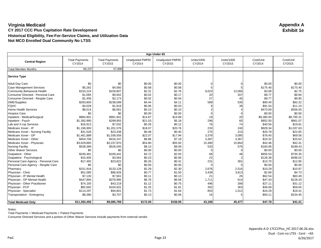| Age Under 65                         |                                 |                                 |                                  |                                  |                             |                             |                     |                     |
|--------------------------------------|---------------------------------|---------------------------------|----------------------------------|----------------------------------|-----------------------------|-----------------------------|---------------------|---------------------|
| <b>Central Region</b>                | <b>Total Payments</b><br>CY2014 | <b>Total Payments</b><br>CY2015 | <b>Unadjusted PMPM</b><br>CY2014 | <b>Unadjusted PMPM</b><br>CY2015 | <b>Units/1000</b><br>CY2014 | <b>Units/1000</b><br>CY2015 | Cost/Unit<br>CY2014 | Cost/Unit<br>CY2015 |
| <b>Total Member Months</b>           | 66,237                          | 57.890                          |                                  |                                  |                             |                             |                     |                     |
| Service Type                         |                                 |                                 |                                  |                                  |                             |                             |                     |                     |
| <b>Adult Day Care</b>                | \$0                             | \$0                             | \$0.00                           | \$0.00                           |                             |                             | \$0.00              | \$0.00              |
| <b>Case Management Services</b>      | \$5,262                         | \$4,560                         | \$0.08                           | \$0.08                           |                             | 5                           | \$175.40            | \$175.40            |
| Community Behavioral Health          | \$153,224                       | \$159,807                       | \$2.31                           | \$2.76                           | 9,023                       | 12,060                      | \$3.08              | \$2.75              |
| Consumer Directed - Personal Care    | \$1,065                         | \$9,942                         | \$0.02                           | \$0.17                           | 20                          | 207                         | \$9.77              | \$9.94              |
| Consumer Directed - Respite Care     | \$1,456                         | \$2,174                         | \$0.02                           | \$0.04                           | 27                          | 45                          | \$9.77              | \$9.95              |
| <b>DME/Supplies</b>                  | \$293,805                       | \$238,099                       | \$4.44                           | \$4.11                           | 589                         | 535                         | \$90.40             | \$92.32             |
| <b>FQHC</b>                          | \$4,028                         | \$1,919                         | \$0.06                           | \$0.03                           |                             | 36                          | \$91.54             | \$11.10             |
| Home Health Services                 | \$8,514                         | \$6,061                         | \$0.13                           | \$0.10                           |                             | 4                           | \$473.00            | \$356.55            |
| <b>Hospice Care</b>                  | \$0                             | \$0                             | \$0.00                           | \$0.00                           |                             |                             | \$0.00              | \$0.00              |
| Inpatient - Medical/Surgical         | \$984,901                       | \$861,941                       | \$14.87                          | \$14.89                          | 19                          | 20                          | \$9,380.00          | \$8,795.31          |
| Inpatient - Psych                    | \$1,392,990                     | \$299,855                       | \$21.03                          | \$5.18                           | 296                         | 65                          | \$852.50            | \$961.07            |
| Lab and X-ray Services               | \$16,913                        | \$7,032                         | \$0.26                           | \$0.12                           | 76                          | 74                          | \$40.56             | \$19.81             |
| Medicare Xover - IP                  | \$1,196,993                     | \$1,201,576                     | \$18.07                          | \$20.76                          | 233                         | 240                         | \$929.34            | \$1,037.63          |
| Medicare Xover - Nursing Facility    | \$31,528                        | \$23,438                        | \$0.48                           | \$0.40                           | 275                         | 215                         | \$20.78             | \$22.65             |
| Medicare Xover - OP                  | \$1,461,888                     | \$1,038,556                     | \$22.07                          | \$17.94                          | 3,378                       | 3,095                       | \$78.40             | \$69.56             |
| Medicare Xover - Other               | \$454,706                       | \$416,247                       | \$6.86                           | \$7.19                           | 3,387                       | 3,367                       | \$24.32             | \$25.62             |
| Medicare Xover - Physician           | \$3,629,865                     | \$3,237,870                     | \$54.80                          | \$55.93                          | 15,490                      | 15,864                      | \$42.46             | \$42.31             |
| <b>Nursing Facility</b>              | \$538,389                       | \$526,045                       | \$8.13                           | \$9.09                           | 533                         | 576                         | \$183.06            | \$189.43            |
| <b>Other Waiver Services</b>         | \$0                             | \$0                             | \$0.00                           | \$0.00                           |                             |                             | \$0.00              | \$0.00              |
| Outpatient - Other                   | \$246,481                       | \$169,441                       | \$3.72                           | \$2.93                           | 68                          | 48                          | \$655.53            | \$730.35            |
| Outpatient - Psychological           | \$15,405                        | \$3,564                         | \$0.23                           | \$0.06                           | 22                          |                             | \$128.38            | \$396.02            |
| Personal Care Agency - Personal Care | \$17,492                        | \$23,822                        | \$0.26                           | \$0.41                           | 231                         | 381                         | \$13.70             | \$12.95             |
| Personal Care Agency - Respite Care  | \$0                             | \$0                             | \$0.00                           | \$0.00                           |                             |                             | \$0.00              | \$0.00              |
| Pharmacy                             | \$151,916                       | \$133,128                       | \$2.29                           | \$2.30                           | 2,676                       | 2,516                       | \$10.29             | \$10.97             |
| Physician - Clinic                   | \$51,085                        | \$86,926                        | \$0.77                           | \$1.50                           | 3,439                       | 3,813                       | \$2.69              | \$4.73              |
| Physician - IP Mental Health         | \$7,130                         | \$7,561                         | \$0.11                           | \$0.13                           | 21                          | 26                          | \$62.54             | \$60.49             |
| Physician - OP Mental Health         | \$447,894                       | \$379,995                       | \$6.76                           | \$6.56                           | 1,711                       | 614                         | \$47.43             | \$128.20            |
| Physician - Other Practitioner       | \$74,193                        | \$43,219                        | \$1.12                           | \$0.75                           | 496                         | 288                         | \$27.11             | \$31.12             |
| Physician - PCP                      | \$82,692                        | \$104,501                       | \$1.25                           | \$1.81                           | 302                         | 363                         | \$49.58             | \$59.65             |
| Physician - Specialist               | \$114,297                       | \$94,801                        | \$1.73                           | \$1.64                           | 853                         | 1,012                       | \$24.29             | \$19.41             |
| Transportation - Emergency           | \$8,380                         | \$3,707                         | \$0.13                           | \$0.06                           | 16                          | 5                           | \$93.11             | \$154.45            |
|                                      |                                 |                                 |                                  |                                  |                             |                             |                     |                     |
| <b>Total Medicaid Only</b>           | \$11,392,492                    | \$9,085,789                     | \$172.00                         | \$156.95                         | 43,196                      | 45,477                      | \$47.78             | \$41.41             |

Notes:

Total Payments = Medicaid Payments + Patient Payments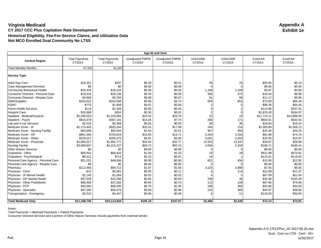| Age 65 and Over                      |                                 |                                 |                                  |                                  |                             |                             |                     |                     |  |
|--------------------------------------|---------------------------------|---------------------------------|----------------------------------|----------------------------------|-----------------------------|-----------------------------|---------------------|---------------------|--|
| <b>Central Region</b>                | <b>Total Payments</b><br>CY2014 | <b>Total Payments</b><br>CY2015 | <b>Unadjusted PMPM</b><br>CY2014 | <b>Unadjusted PMPM</b><br>CY2015 | <b>Units/1000</b><br>CY2014 | <b>Units/1000</b><br>CY2015 | Cost/Unit<br>CY2014 | Cost/Unit<br>CY2015 |  |
| <b>Total Member Months</b>           | 57,223                          | 51.322                          |                                  |                                  |                             |                             |                     |                     |  |
| <b>Service Type</b>                  |                                 |                                 |                                  |                                  |                             |                             |                     |                     |  |
| <b>Adult Day Care</b>                | \$10,351                        | \$437                           | \$0.18                           | \$0.01                           | 39                          | 20                          | \$55.65             | \$5.14              |  |
| <b>Case Management Services</b>      | \$0                             | \$0                             | \$0.00                           | \$0.00                           |                             |                             | \$0.00              | \$0.00              |  |
| <b>Community Behavioral Health</b>   | \$20,416                        | \$18,164                        | \$0.36                           | \$0.35                           | 1,166                       | 1,108                       | \$3.67              | \$3.83              |  |
| Consumer Directed - Personal Care    | \$19,018                        | \$20,136                        | \$0.33                           | \$0.39                           | 382                         | 472                         | \$10.44             | \$9.98              |  |
| Consumer Directed - Respite Care     | \$4,866                         | \$3,784                         | \$0.09                           | \$0.07                           | 91                          | 89                          | \$11.17             | \$9.96              |  |
| <b>DME/Supplies</b>                  | \$325,622                       | \$242,698                       | \$5.69                           | \$4.73                           | 924                         | 853                         | \$73.90             | \$66.49             |  |
| <b>FQHC</b>                          | \$770                           | \$1,858                         | \$0.01                           | \$0.04                           |                             |                             | \$96.30             | \$84.46             |  |
| <b>Home Health Services</b>          | \$114                           | \$1,349                         | \$0.00                           | \$0.03                           |                             |                             | \$113.96            | \$337.31            |  |
| <b>Hospice Care</b>                  | \$16,888                        | \$264                           | \$0.30                           | \$0.01                           |                             |                             | \$1,876.43          | \$264.07            |  |
| Inpatient - Medical/Surgical         | \$1,288,553                     | \$1,220,864                     | \$22.52                          | \$23.79                          | 23                          | 19                          | \$11,714.11         | \$14,888.58         |  |
| Inpatient - Psych                    | \$815,479                       | \$397,141                       | \$14.25                          | \$7.74                           | 283                         | 171                         | \$604.51            | \$542.54            |  |
| Lab and X-ray Services               | \$2,525                         | \$2,468                         | \$0.04                           | \$0.05                           | 28                          | 36                          | \$18.84             | \$16.24             |  |
| Medicare Xover - IP                  | \$1,173,445                     | \$923,344                       | \$20.51                          | \$17.99                          | 245                         | 214                         | \$1,003.80          | \$1,009.12          |  |
| Medicare Xover - Nursing Facility    | \$93,899                        | \$82,604                        | \$1.64                           | \$1.61                           | 967                         | 950                         | \$20.36             | \$20.33             |  |
| Medicare Xover - OP                  | \$861,385                       | \$703,819                       | \$15.05                          | \$13.71                          | 2,203                       | 2,203                       | \$81.98             | \$74.70             |  |
| Medicare Xover - Other               | \$229,227                       | \$200,373                       | \$4.01                           | \$3.90                           | 3,091                       | 2,933                       | \$15.55             | \$15.97             |  |
| Medicare Xover - Physician           | \$1,885,017                     | \$1,681,777                     | \$32.94                          | \$32.77                          | 13,323                      | 13,247                      | \$29.67             | \$29.68             |  |
| <b>Nursing Facility</b>              | \$3,989,857                     | \$4,215,227                     | \$69.72                          | \$82.13                          | 4,959                       | 5,316                       | \$168.71            | \$185.41            |  |
| <b>Other Waiver Services</b>         | \$0                             | \$0                             | \$0.00                           | \$0.00                           |                             |                             | \$0.00              | \$0.00              |  |
| Outpatient - Other                   | \$90,942                        | \$68,403                        | \$1.59                           | \$1.33                           | 23                          | 28                          | \$811.98            | \$574.81            |  |
| Outpatient - Psychological           | \$8,311                         | \$714                           | \$0.15                           | \$0.01                           | 16                          |                             | \$110.81            | \$119.03            |  |
| Personal Care Agency - Personal Care | \$51,231                        | \$46,066                        | \$0.90                           | \$0.90                           | 821                         | 834                         | \$13.08             | \$12.92             |  |
| Personal Care Agency - Respite Care  | \$0                             | \$0                             | \$0.00                           | \$0.00                           |                             |                             | \$0.00              | \$0.00              |  |
| Pharmacy                             | \$112,465                       | \$84,712                        | \$1.97                           | \$1.65                           | 3,125                       | 2,980                       | \$7.55              | \$6.65              |  |
| Physician - Clinic                   | \$13                            | \$5,561                         | \$0.00                           | \$0.11                           |                             | 114                         | \$12.99             | \$11.37             |  |
| Physician - IP Mental Health         | \$1,140                         | \$1,084                         | \$0.02                           | \$0.02                           |                             |                             | \$67.08             | \$51.64             |  |
| Physician - OP Mental Health         | \$37,029                        | \$32,396                        | \$0.65                           | \$0.63                           | 239                         | 46                          | \$32.48             | \$165.28            |  |
| Physician - Other Practitioner       | \$36,468                        | \$37,262                        | \$0.64                           | \$0.73                           | 113                         | 109                         | \$67.66             | \$79.96             |  |
| Physician - PCP                      | \$43,063                        | \$66,590                        | \$0.75                           | \$1.30                           | 168                         | 365                         | \$53.90             | \$42.63             |  |
| Physician - Specialist               | \$47,290                        | \$50,379                        | \$0.83                           | \$0.98                           | 222                         | 305                         | \$44.57             | \$38.66             |  |
| Transportation - Emergency           | \$3,315                         | \$4,447                         | \$0.06                           | \$0.09                           |                             | 11                          | \$110.50            | \$92.65             |  |
| <b>Total Medicaid Only</b>           | \$11,168,700                    | \$10,113,920                    | \$195.18                         | \$197.07                         | 32,466                      | 32,435                      | \$72.14             | \$72.91             |  |

Notes:

Total Payments = Medicaid Payments + Patient Payments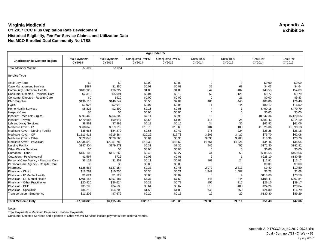| Age Under 65                          |                                 |                                 |                                  |                                  |                             |                             |                     |                     |
|---------------------------------------|---------------------------------|---------------------------------|----------------------------------|----------------------------------|-----------------------------|-----------------------------|---------------------|---------------------|
| <b>Charlottesville Western Region</b> | <b>Total Payments</b><br>CY2014 | <b>Total Payments</b><br>CY2015 | <b>Unadjusted PMPM</b><br>CY2014 | <b>Unadjusted PMPM</b><br>CY2015 | <b>Units/1000</b><br>CY2014 | <b>Units/1000</b><br>CY2015 | Cost/Unit<br>CY2014 | Cost/Unit<br>CY2015 |
| <b>Total Member Months</b>            | 55,098                          | 51.654                          |                                  |                                  |                             |                             |                     |                     |
| <b>Service Type</b>                   |                                 |                                 |                                  |                                  |                             |                             |                     |                     |
| <b>Adult Day Care</b>                 | \$0                             | \$0                             | \$0.00                           | \$0.00                           |                             | ∩                           | \$0.00              | \$0.00              |
| <b>Case Management Services</b>       | \$587                           | \$1,350                         | \$0.01                           | \$0.03                           | 32                          | 68                          | \$4.05              | \$4.64              |
| <b>Community Behavioral Health</b>    | \$100,923                       | \$96,227                        | \$1.83                           | \$1.86                           | 542                         | 407                         | \$40.53             | \$54.89             |
| Consumer Directed - Personal Care     | \$2,315                         | \$5,091                         | \$0.04                           | \$0.10                           | 52                          | 121                         | \$9.77              | \$9.79              |
| Consumer Directed - Respite Care      | \$0                             | \$910                           | \$0.00                           | \$0.02                           |                             | 21                          | \$0.00              | \$9.83              |
| <b>DME/Supplies</b>                   | \$196,115                       | \$146,542                       | \$3.56                           | \$2.84                           | 485                         | 445                         | \$88.06             | \$76.48             |
| <b>FQHC</b>                           | \$3,926                         | \$2,949                         | \$0.07                           | \$0.06                           | 11                          | 44                          | \$80.12             | \$15.52             |
| <b>Home Health Services</b>           | \$8,823                         | \$2,399                         | \$0.16                           | \$0.05                           |                             |                             | \$490.16            | \$479.79            |
| <b>Hospice Care</b>                   | \$0                             | \$0                             | \$0.00                           | \$0.00                           |                             |                             | \$0.00              | \$0.00              |
| Inpatient - Medical/Surgical          | \$393,463                       | \$204,802                       | \$7.14                           | \$3.96                           | 10                          |                             | \$8,942.34          | \$5,120.05          |
| Inpatient - Psych                     | \$470,684                       | \$99,647                        | \$8.54                           | \$1.93                           | 116                         | 25                          | \$881.43            | \$914.19            |
| Lab and X-ray Services                | \$9,863                         | \$7,999                         | \$0.18                           | \$0.15                           | 34                          | 30                          | \$62.82             | \$61.06             |
| Medicare Xover - IP                   | \$868,046                       | \$859,019                       | \$15.75                          | \$16.63                          | 184                         | 183                         | \$1,026.06          | \$1,090.13          |
| Medicare Xover - Nursing Facility     | \$35,666                        | \$24,272                        | \$0.65                           | \$0.47                           | 275                         | 224                         | \$28.26             | \$25.18             |
| Medicare Xover - OP                   | \$1,113,911                     | \$915,884                       | \$20.22                          | \$17.73                          | 3,205                       | 3,427                       | \$75.70             | \$62.08             |
| Medicare Xover - Other                | \$322,043                       | \$328,563                       | \$5.84                           | \$6.36                           | 3,698                       | 3,208                       | \$18.96             | \$23.79             |
| Medicare Xover - Physician            | \$2,335,549                     | \$2,251,782                     | \$42.39                          | \$43.59                          | 14,761                      | 14,926                      | \$34.46             | \$35.05             |
| <b>Nursing Facility</b>               | \$347,404                       | \$379,473                       | \$6.31                           | \$7.35                           | 442                         | 457                         | \$171.30            | \$192.92            |
| <b>Other Waiver Services</b>          | \$0                             | \$0                             | \$0.00                           | \$0.00                           |                             |                             | \$0.00              | \$0.00              |
| Outpatient - Other                    | \$137,109                       | \$117,266                       | \$2.49                           | \$2.27                           | 44                          | 58                          | \$685.55            | \$469.06            |
| Outpatient - Psychological            | \$1,597                         | \$722                           | \$0.03                           | \$0.01                           |                             |                             | \$228.10            | \$180.58            |
| Personal Care Agency - Personal Care  | \$6,132                         | \$1,357                         | \$0.11                           | \$0.03                           | 103                         | 24                          | \$12.91             | \$13.17             |
| Personal Care Agency - Respite Care   | \$0                             | \$0                             | \$0.00                           | \$0.00                           |                             |                             | \$0.00              | \$0.00              |
| Pharmacy                              | \$128,567                       | \$127,154                       | \$2.33                           | \$2.46                           | 2,979                       | 2,813                       | \$9.40              | \$10.50             |
| Physician - Clinic                    | \$18,769                        | \$10,735                        | \$0.34                           | \$0.21                           | 1,247                       | 1,482                       | \$3.28              | \$1.68              |
| Physician - IP Mental Health          | \$1,624                         | \$1,129                         | \$0.03                           | \$0.02                           |                             |                             | \$116.00            | \$70.59             |
| Physician - OP Mental Health          | \$406,154                       | \$397,187                       | \$7.37                           | \$7.69                           | 446                         | 444                         | \$198.41            | \$207.84            |
| Physician - Other Practitioner        | \$20,930                        | \$36,624                        | \$0.38                           | \$0.71                           | 156                         | 217                         | \$29.15             | \$39.17             |
| Physician - PCP                       | \$35,206                        | \$34,536                        | \$0.64                           | \$0.67                           | 316                         | 400                         | \$24.26             | \$20.04             |
| Physician - Specialist                | \$84,210                        | \$54,203                        | \$1.53                           | \$1.05                           | 740                         | 750                         | \$24.80             | \$16.79             |
| Transportation - Emergency            | \$11,206                        | \$7,679                         | \$0.20                           | \$0.15                           | 19                          | 20                          | \$130.30            | \$89.29             |
|                                       | \$7,060,823                     | \$6,115,502                     | \$128.15                         | \$118.39                         | 29,903                      | 29,811                      | \$51.43             | \$47.66             |
| <b>Total Medicaid Only</b>            |                                 |                                 |                                  |                                  |                             |                             |                     |                     |

Notes:

Total Payments = Medicaid Payments + Patient Payments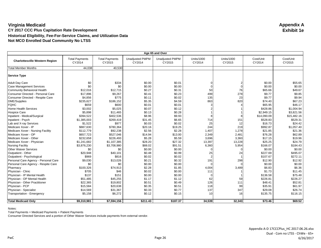| Age 65 and Over                       |                                 |                                 |                                  |                                  |                             |                             |                     |                     |  |
|---------------------------------------|---------------------------------|---------------------------------|----------------------------------|----------------------------------|-----------------------------|-----------------------------|---------------------|---------------------|--|
| <b>Charlottesville Western Region</b> | <b>Total Payments</b><br>CY2014 | <b>Total Payments</b><br>CY2015 | <b>Unadjusted PMPM</b><br>CY2014 | <b>Unadjusted PMPM</b><br>CY2015 | <b>Units/1000</b><br>CY2014 | <b>Units/1000</b><br>CY2015 | Cost/Unit<br>CY2014 | Cost/Unit<br>CY2015 |  |
| <b>Total Member Months</b>            | 44,038                          | 40,530                          |                                  |                                  |                             |                             |                     |                     |  |
| <b>Service Type</b>                   |                                 |                                 |                                  |                                  |                             |                             |                     |                     |  |
| <b>Adult Day Care</b>                 | \$0                             | \$334                           | \$0.00                           | \$0.01                           |                             |                             | \$0.00              | \$55.65             |  |
| <b>Case Management Services</b>       | \$0                             | \$0                             | \$0.00                           | \$0.00                           |                             | $\Omega$                    | \$0.00              | \$0.00              |  |
| <b>Community Behavioral Health</b>    | \$12,016                        | \$12,715                        | \$0.27                           | \$0.31                           | 50                          | 76                          | \$65.66             | \$49.67             |  |
| Consumer Directed - Personal Care     | \$17,896                        | \$9,267                         | \$0.41                           | \$0.23                           | 499                         | 278                         | \$9.77              | \$9.85              |  |
| Consumer Directed - Respite Care      | \$4,856                         | \$775                           | \$0.11                           | \$0.02                           | 135                         | 23                          | \$9.77              | \$9.94              |  |
| DME/Supplies                          | \$235,627                       | \$186,152                       | \$5.35                           | \$4.59                           | 863                         | 820                         | \$74.40             | \$67.23             |  |
| <b>FQHC</b>                           | \$659                           | \$600                           | \$0.01                           | \$0.01                           |                             |                             | \$65.95             | \$46.17             |  |
| <b>Home Health Services</b>           | \$3,002                         | \$5,025                         | \$0.07                           | \$0.12                           |                             |                             | \$428.86            | \$1,004.94          |  |
| <b>Hospice Care</b>                   | \$5.898                         | \$11,465                        | \$0.13                           | \$0.28                           |                             |                             | \$2,949.15          | \$3,821.56          |  |
| Inpatient - Medical/Surgical          | \$394,522                       | \$402,536                       | \$8.96                           | \$9.93                           |                             |                             | \$14,090.09         | \$15,482.16         |  |
| Inpatient - Psych                     | \$1,385,003                     | \$269,419                       | \$31.45                          | \$6.65                           | 714                         | 151                         | \$528.83            | \$529.31            |  |
| Lab and X-ray Services                | \$1,522                         | \$977                           | \$0.03                           | \$0.02                           | 25                          | 12                          | \$16.73             | \$24.42             |  |
| Medicare Xover - IP                   | \$887,630                       | \$780,364                       | \$20.16                          | \$19.25                          | 244                         | 219                         | \$992.87            | \$1,057.40          |  |
| Medicare Xover - Nursing Facility     | \$112,779                       | \$92,238                        | \$2.56                           | \$2.28                           | 1,407                       | 1,278                       | \$21.85             | \$21.36             |  |
| Medicare Xover - OP                   | \$657,723                       | \$527,046                       | \$14.94                          | \$13.00                          | 2,349                       | 2,481                       | \$76.28             | \$62.89             |  |
| Medicare Xover - Other                | \$232,658                       | \$226,493                       | \$5.28                           | \$5.59                           | 3,696                       | 3,360                       | \$17.15             | \$19.96             |  |
| Medicare Xover - Physician            | \$1,241,682                     | \$1,107,385                     | \$28.20                          | \$27.32                          | 13,397                      | 13,228                      | \$25.25             | \$24.79             |  |
| <b>Nursing Facility</b>               | \$3,876,230                     | \$3,708,980                     | \$88.02                          | \$91.51                          | 6,360                       | 5,954                       | \$166.07            | \$184.43            |  |
| <b>Other Waiver Services</b>          | \$0                             | \$0                             | \$0.00                           | \$0.00                           |                             | O                           | \$0.00              | \$0.00              |  |
| Outpatient - Other                    | \$20,948                        | \$40,101                        | \$0.48                           | \$0.99                           | 25                          | 24                          | \$227.69            | \$495.07            |  |
| Outpatient - Psychological            | \$969                           | \$816                           | \$0.02                           | \$0.02                           |                             |                             | \$107.67            | \$272.11            |  |
| Personal Care Agency - Personal Care  | \$9,030                         | \$13,026                        | \$0.21                           | \$0.32                           | 191                         | 298                         | \$12.90             | \$12.92             |  |
| Personal Care Agency - Respite Care   | \$0                             | \$0                             | \$0.00                           | \$0.00                           |                             |                             | \$0.00              | \$0.00              |  |
| Pharmacy                              | \$100,326                       | \$74,913                        | \$2.28                           | \$1.85                           | 4,004                       | 3,489                       | \$6.83              | \$6.36              |  |
| Physician - Clinic                    | \$705                           | \$46                            | \$0.02                           | \$0.00                           | 111                         |                             | \$1.73              | \$11.45             |  |
| Physician - IP Mental Health          | \$137                           | \$151                           | \$0.00                           | \$0.00                           |                             |                             | \$136.58            | \$75.48             |  |
| Physician - OP Mental Health          | \$51,485                        | \$45,255                        | \$1.17                           | \$1.12                           | 62                          | 59                          | \$226.81            | \$226.27            |  |
| Physician - Other Practitioner        | \$22,365                        | \$19,802                        | \$0.51                           | \$0.49                           | 126                         | 111                         | \$48.41             | \$52.81             |  |
| Physician - PCP                       | \$15,584                        | \$20,638                        | \$0.35                           | \$0.51                           | 118                         | 99                          | \$35.91             | \$61.97             |  |
| Physician - Specialist                | \$14,569                        | \$31,367                        | \$0.33                           | \$0.77                           | 137                         | 347                         | \$29.08             | \$26.74             |  |
| Transportation - Emergency            | \$5,158                         | \$6,272                         | \$0.12                           | \$0.15                           | 10                          | 16                          | \$135.75            | \$116.15            |  |
| <b>Total Medicaid Only</b>            | \$9,310,981                     | \$7,594,156                     | \$211.43                         | \$187.37                         | 34,539                      | 32,343                      | \$73.46             | \$69.52             |  |

Notes:

Total Payments = Medicaid Payments + Patient Payments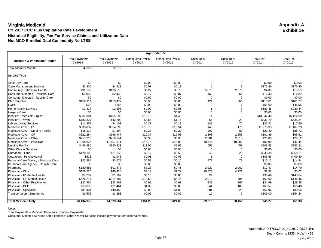| Age Under 65                         |                                 |                                 |                                  |                                  |                             |                             |                     |                     |
|--------------------------------------|---------------------------------|---------------------------------|----------------------------------|----------------------------------|-----------------------------|-----------------------------|---------------------|---------------------|
| Northern & Winchester Region         | <b>Total Payments</b><br>CY2014 | <b>Total Payments</b><br>CY2015 | <b>Unadjusted PMPM</b><br>CY2014 | <b>Unadjusted PMPM</b><br>CY2015 | <b>Units/1000</b><br>CY2014 | <b>Units/1000</b><br>CY2015 | Cost/Unit<br>CY2014 | Cost/Unit<br>CY2015 |
| <b>Total Member Months</b>           | 40,377                          | 37,173                          |                                  |                                  |                             |                             |                     |                     |
| <b>Service Type</b>                  |                                 |                                 |                                  |                                  |                             |                             |                     |                     |
| <b>Adult Day Care</b>                | \$0                             | \$0                             | \$0.00                           | \$0.00                           |                             |                             | \$0.00              | \$0.00              |
| <b>Case Management Services</b>      | \$2,806                         | \$4,911                         | \$0.07                           | \$0.13                           |                             |                             | \$175.40            | \$175.40            |
| <b>Community Behavioral Health</b>   | \$91,552                        | \$138,615                       | \$2.27                           | \$3.73                           | 5,570                       | 2,870                       | \$4.88              | \$15.59             |
| Consumer Directed - Personal Care    | \$7,036                         | \$2,430                         | \$0.17                           | \$0.07                           | 168                         | 61                          | \$12.48             | \$12.89             |
| Consumer Directed - Respite Care     | \$0                             | \$0                             | \$0.00                           | \$0.00                           |                             | $\Omega$                    | \$0.00              | \$0.00              |
| <b>DME/Supplies</b>                  | \$159,914                       | \$113,472                       | \$3.96                           | \$3.05                           | 421                         | 360                         | \$113.01            | \$101.77            |
| <b>FQHC</b>                          | \$65                            | \$184                           | \$0.00                           | \$0.00                           |                             |                             | \$65.00             | \$45.95             |
| <b>Home Health Services</b>          | \$3,437                         | \$2,393                         | \$0.09                           | \$0.06                           |                             |                             | \$687.46            | \$239.34            |
| <b>Hospice Care</b>                  | \$0                             | \$0                             | \$0.00                           | \$0.00                           |                             |                             | \$0.00              | \$0.00              |
| Inpatient - Medical/Surgical         | \$530,001                       | \$165,296                       | \$13.13                          | \$4.45                           | 11                          |                             | \$13,947.40         | \$6,122.09          |
| Inpatient - Psych                    | \$183,827                       | \$43,203                        | \$4.55                           | \$1.16                           | 66                          | 22                          | \$831.79            | \$635.34            |
| Lab and X-ray Services               | \$14,857                        | \$4,101                         | \$0.37                           | \$0.11                           | 141                         | 75                          | \$31.21             | \$17.60             |
| Medicare Xover - IP                  | \$633,837                       | \$614,899                       | \$15.70                          | \$16.54                          | 148                         | 179                         | \$1,275.33          | \$1.107.93          |
| Medicare Xover - Nursing Facility    | \$15,114                        | \$7,294                         | \$0.37                           | \$0.20                           | 200                         | 82                          | \$22.49             | \$28.72             |
| Medicare Xover - OP                  | \$822,284                       | \$666,447                       | \$20.37                          | \$17.93                          | 2,398                       | 2,253                       | \$101.89            | \$95.51             |
| Medicare Xover - Other               | \$217,213                       | \$219,241                       | \$5.38                           | \$5.90                           | 2,801                       | 2,818                       | \$23.05             | \$25.12             |
| Medicare Xover - Physician           | \$1,968,024                     | \$1,601,971                     | \$48.74                          | \$43.09                          | 10,446                      | 10,901                      | \$55.99             | \$47.44             |
| <b>Nursing Facility</b>              | \$446,586                       | \$360,323                       | \$11.06                          | \$9.69                           | 652                         | 459                         | \$203.55            | \$253.21            |
| <b>Other Waiver Services</b>         | \$0                             | \$0                             | \$0.00                           | \$0.00                           |                             |                             | \$0.00              | \$0.00              |
| Outpatient - Other                   | \$128,105                       | \$21,845                        | \$3.17                           | \$0.59                           | 45                          | 20                          | \$848.38            | \$358.11            |
| Outpatient - Psychological           | \$533                           | \$2,046                         | \$0.01                           | \$0.06                           |                             |                             | \$106.66            | \$409.30            |
| Personal Care Agency - Personal Care | \$23,964                        | \$3,572                         | \$0.59                           | \$0.10                           | 471                         | 77                          | \$15.12             | \$14.94             |
| Personal Care Agency - Respite Care  | \$0                             | \$0                             | \$0.00                           | \$0.00                           |                             |                             | \$0.00              | \$0.00              |
| Pharmacy                             | \$130,581                       | \$91,373                        | \$3.23                           | \$2.46                           | 2,222                       | 2,007                       | \$17.47             | \$14.70             |
| Physician - Clinic                   | \$126,520                       | \$45,424                        | \$3.13                           | \$1.22                           | 10,528                      | 4,772                       | \$3.57              | \$3.07              |
| Physician - IP Mental Health         | \$7,237                         | \$1,167                         | \$0.18                           | \$0.03                           | 24                          |                             | \$90.46             | \$145.84            |
| Physician - OP Mental Health         | \$425,277                       | \$314,587                       | \$10.53                          | \$8.46                           | 2,019                       | 684                         | \$62.60             | \$148.46            |
| Physician - Other Practitioner       | \$27,466                        | \$23,561                        | \$0.68                           | \$0.63                           | 233                         | 268                         | \$34.99             | \$28.35             |
| Physician - PCP                      | \$53,830                        | \$31,461                        | \$1.33                           | \$0.85                           | 244                         | 180                         | \$65.57             | \$56.48             |
| Physician - Specialist               | \$81,404                        | \$40,456                        | \$2.02                           | \$1.09                           | 384                         | 329                         | \$62.96             | \$39.66             |
| Transportation - Emergency           | \$3,502                         | \$3,393                         | \$0.09                           | \$0.09                           | 10                          |                             | \$103.00            | \$154.24            |
|                                      |                                 |                                 |                                  |                                  |                             |                             |                     |                     |
| <b>Total Medicaid Only</b>           | \$6,104,972                     | \$4,523,664                     | \$151.20                         | \$121.69                         | 39,210                      | 28,451                      | \$46.27             | \$51.33             |

Notes:

Total Payments = Medicaid Payments + Patient Payments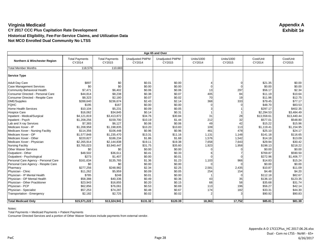| Age 65 and Over                         |                                 |                                 |                                  |                                  |                             |                             |                     |                     |  |
|-----------------------------------------|---------------------------------|---------------------------------|----------------------------------|----------------------------------|-----------------------------|-----------------------------|---------------------|---------------------|--|
| <b>Northern &amp; Winchester Region</b> | <b>Total Payments</b><br>CY2014 | <b>Total Payments</b><br>CY2015 | <b>Unadjusted PMPM</b><br>CY2014 | <b>Unadjusted PMPM</b><br>CY2015 | <b>Units/1000</b><br>CY2014 | <b>Units/1000</b><br>CY2015 | Cost/Unit<br>CY2014 | Cost/Unit<br>CY2015 |  |
| <b>Total Member Months</b>              | 118,576                         | 110,683                         |                                  |                                  |                             |                             |                     |                     |  |
| <b>Service Type</b>                     |                                 |                                 |                                  |                                  |                             |                             |                     |                     |  |
| <b>Adult Day Care</b>                   | \$897                           | \$0                             | \$0.01                           | \$0.00                           |                             |                             | \$21.35             | \$0.00              |  |
| <b>Case Management Services</b>         | \$0                             | \$0                             | \$0.00                           | \$0.00                           |                             |                             | \$0.00              | \$0.00              |  |
| Community Behavioral Health             | \$7,471                         | \$6,402                         | \$0.06                           | \$0.06                           | 13                          | 297                         | \$56.17             | \$2.34              |  |
| Consumer Directed - Personal Care       | \$44,814                        | \$8,238                         | \$0.38                           | \$0.07                           | 405                         | 84                          | \$11.19             | \$10.64             |  |
| Consumer Directed - Respite Care        | \$8,323                         | \$2,180                         | \$0.07                           | \$0.02                           | 70                          | 19                          | \$11.96             | \$12.75             |  |
| <b>DME/Supplies</b>                     | \$288,640                       | \$236,674                       | \$2.43                           | \$2.14                           | 368                         | 333                         | \$79.45             | \$77.17             |  |
| <b>FQHC</b>                             | \$195                           | \$167                           | \$0.00                           | \$0.00                           |                             |                             | \$48.70             | \$83.53             |  |
| Home Health Services                    | \$10.104                        | \$5,231                         | \$0.09                           | \$0.05                           |                             |                             | \$297.17            | \$402.35            |  |
| Hospice Care                            | \$16,062                        | \$34,845                        | \$0.14                           | \$0.31                           |                             |                             | \$2,294.53          | \$3,484.49          |  |
| Inpatient - Medical/Surgical            | \$4,121,819                     | \$3,413,872                     | \$34.76                          | \$30.84                          | 31                          | 28                          | \$13,558.61         | \$13,440.44         |  |
| Inpatient - Psych                       | \$1,208,256                     | \$159,700                       | \$10.19                          | \$1.44                           | 212                         | 32                          | \$577.01            | \$548.80            |  |
| Lab and X-ray Services                  | \$7,383                         | \$6,127                         | \$0.06                           | \$0.06                           | 49                          | 42                          | \$15.22             | \$15.96             |  |
| Medicare Xover - IP                     | \$1,208,958                     | \$1,198,835                     | \$10.20                          | \$10.83                          | 109                         | 113                         | \$1,119.41          | \$1,154.95          |  |
| Medicare Xover - Nursing Facility       | \$114,356                       | \$106,448                       | \$0.96                           | \$0.96                           | 461                         | 478                         | \$25.10             | \$24.17             |  |
| Medicare Xover - OP                     | \$1,577,848                     | \$1,235,470                     | \$13.31                          | \$11.16                          | 1,131                       | 1,148                       | \$141.18            | \$116.65            |  |
| Medicare Xover - Other                  | \$220,827                       | \$186,234                       | \$1.86                           | \$1.68                           | 1,576                       | 1,542                       | \$14.18             | \$13.09             |  |
| Medicare Xover - Physician              | \$2,265,914                     | \$2,144,838                     | \$19.11                          | \$19.38                          | 7,658                       | 7,643                       | \$29.94             | \$30.42             |  |
| <b>Nursing Facility</b>                 | \$3,765,023                     | \$3,940,447                     | \$31.75                          | \$35.60                          | 1,923                       | 1,958                       | \$198.13            | \$218.22            |  |
| <b>Other Waiver Services</b>            | \$0                             | \$0                             | \$0.00                           | \$0.00                           |                             |                             | \$0.00              | \$0.00              |  |
| Outpatient - Other                      | \$48,502                        | \$36,611                        | \$0.41                           | \$0.33                           |                             |                             | \$769.87            | \$590.50            |  |
| Outpatient - Psychological              | \$273                           | \$1,407                         | \$0.00                           | \$0.01                           |                             |                             | \$272.96            | \$1.406.77          |  |
| Personal Care Agency - Personal Care    | \$161,634                       | \$135,765                       | \$1.36                           | \$1.23                           | 1,103                       | 966                         | \$14.83             | \$15.24             |  |
| Personal Care Agency - Respite Care     | \$0                             | \$0                             | \$0.00                           | \$0.00                           |                             |                             | \$0.00              | \$0.00              |  |
| Pharmacy                                | \$277,256                       | \$248,982                       | \$2.34                           | \$2.25                           | 2,581                       | 2,435                       | \$10.87             | \$11.09             |  |
| Physician - Clinic                      | \$11,262                        | \$5,959                         | \$0.09                           | \$0.05                           | 254                         | 154                         | \$4.48              | \$4.20              |  |
| Physician - IP Mental Health            | \$785                           | \$248                           | \$0.01                           | \$0.00                           |                             | $\Omega$                    | \$112.18            | \$82.67             |  |
| Physician - OP Mental Health            | \$58,388                        | \$40,336                        | \$0.49                           | \$0.36                           | 43                          | 35                          | \$136.10            | \$123.35            |  |
| Physician - Other Practitioner          | \$23,943                        | \$16,855                        | \$0.20                           | \$0.15                           | 68                          | 58                          | \$35.68             | \$31.74             |  |
| Physician - PCP                         | \$62,856                        | \$76,061                        | \$0.53                           | \$0.69                           | 113                         | 196                         | \$56.27             | \$42.14             |  |
| Physician - Specialist                  | \$57,253                        | \$74,287                        | \$0.48                           | \$0.67                           | 174                         | 182                         | \$33.31             | \$44.30             |  |
| <b>Transportation - Emergency</b>       | \$2,182                         | \$2,725                         | \$0.02                           | \$0.02                           |                             |                             | \$90.92             | \$90.83             |  |
| <b>Total Medicaid Only</b>              | \$15,571,222                    | \$13,324,941                    | \$131.32                         | \$120.39                         | 18,363                      | 17,752                      | \$85.81             | \$81.38             |  |

Notes:

Total Payments = Medicaid Payments + Patient Payments

Consumer Directed Services and a portion of Other Waiver Services include payments from external vendor.

6/26/2017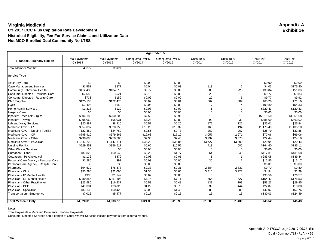| Age Under 65                         |                                 |                                 |                                  |                                  |                             |                             |                     |                     |
|--------------------------------------|---------------------------------|---------------------------------|----------------------------------|----------------------------------|-----------------------------|-----------------------------|---------------------|---------------------|
| Roanoke/Alleghany Region             | <b>Total Payments</b><br>CY2014 | <b>Total Payments</b><br>CY2015 | <b>Unadjusted PMPM</b><br>CY2014 | <b>Unadjusted PMPM</b><br>CY2015 | <b>Units/1000</b><br>CY2014 | <b>Units/1000</b><br>CY2015 | Cost/Unit<br>CY2014 | Cost/Unit<br>CY2015 |
| <b>Total Member Months</b>           | 40,552                          | 33.896                          |                                  |                                  |                             |                             |                     |                     |
| <b>Service Type</b>                  |                                 |                                 |                                  |                                  |                             |                             |                     |                     |
| <b>Adult Day Care</b>                | \$0                             | \$0                             | \$0.00                           | \$0.00                           |                             |                             | \$0.00              | \$0.00              |
| <b>Case Management Services</b>      | \$1,551                         | \$877                           | \$0.04                           | \$0.03                           | 113                         |                             | \$4.05              | \$175.40            |
| <b>Community Behavioral Health</b>   | \$112,439                       | \$104,616                       | \$2.77                           | \$3.09                           | 983                         | 725                         | \$33.84             | \$51.08             |
| Consumer Directed - Personal Care    | \$7,552                         | \$521                           | \$0.19                           | \$0.02                           | 229                         | 19                          | \$9.77              | \$9.83              |
| Consumer Directed - Respite Care     | \$733                           | \$159                           | \$0.02                           | \$0.00                           | 22                          | 6                           | \$9.77              | \$9.92              |
| DME/Supplies                         | \$125,135                       | \$122,475                       | \$3.09                           | \$3.61                           | 567                         | 609                         | \$65.28             | \$71.16             |
| <b>FQHC</b>                          | \$2,495                         | \$652                           | \$0.06                           | \$0.02                           |                             |                             | \$99.80             | \$54.33             |
| <b>Home Health Services</b>          | \$1,318                         | \$120                           | \$0.03                           | \$0.00                           |                             |                             | \$329.43            | \$120.33            |
| <b>Hospice Care</b>                  | \$0                             | \$0                             | \$0.00                           | \$0.00                           |                             |                             | \$0.00              | \$0.00              |
| Inpatient - Medical/Surgical         | \$306,189                       | \$200,809                       | \$7.55                           | \$5.92                           | 18                          | 19                          | \$5,019.50          | \$3,651.08          |
| Inpatient - Psych                    | \$295,069                       | \$95,031                        | \$7.28                           | \$2.80                           | 99                          | 39                          | \$886.09            | \$863.92            |
| Lab and X-ray Services               | \$20,887                        | \$8,915                         | \$0.52                           | \$0.26                           | 172                         | 122                         | \$36.01             | \$25.84             |
| Medicare Xover - IP                  | \$657,097                       | \$620,956                       | \$16.20                          | \$18.32                          | 165                         | 194                         | \$1,175.49          | \$1,135.20          |
| Medicare Xover - Nursing Facility    | \$22,880                        | \$24,769                        | \$0.56                           | \$0.73                           | 262                         | 267                         | \$25.79             | \$32.85             |
| Medicare Xover - OP                  | \$795,910                       | \$579,565                       | \$19.63                          | \$17.10                          | 3,057                       | 2,971                       | \$77.06             | \$69.06             |
| Medicare Xover - Other               | \$298,088                       | \$250,685                       | \$7.35                           | \$7.40                           | 3,932                       | 3,670                       | \$22.44             | \$24.18             |
| Medicare Xover - Physician           | \$1,347,229                     | \$1,147,311                     | \$33.22                          | \$33.85                          | 13,727                      | 13,800                      | \$29.04             | \$29.43             |
| <b>Nursing Facility</b>              | \$229,453                       | \$356,517                       | \$5.66                           | \$10.52                          | 413                         | 682                         | \$164.60            | \$185.11            |
| <b>Other Waiver Services</b>         | \$0                             | \$0                             | \$0.00                           | \$0.00                           |                             | ∩                           | \$0.00              | \$0.00              |
| Outpatient - Other                   | \$89,829                        | \$60,046                        | \$2.22                           | \$1.77                           | 64                          | 49                          | \$417.81            | \$431.98            |
| Outpatient - Psychological           | \$1.132                         | \$379                           | \$0.03                           | \$0.01                           |                             |                             | \$283.08            | \$189.34            |
| Personal Care Agency - Personal Care | \$1,285                         | \$92                            | \$0.03                           | \$0.00                           | 30                          |                             | \$12.85             | \$13.17             |
| Personal Care Agency - Respite Care  | \$0                             | \$0                             | \$0.00                           | \$0.00                           |                             |                             | \$0.00              | \$0.00              |
| Pharmacy                             | \$94,539                        | \$78,378                        | \$2.33                           | \$2.31                           | 2,884                       | 2,832                       | \$9.70              | \$9.80              |
| Physician - Clinic                   | \$55,296                        | \$22,096                        | \$1.36                           | \$0.65                           | 3,310                       | 3,923                       | \$4.94              | \$1.99              |
| Physician - IP Mental Health         | \$936                           | \$1,149                         | \$0.02                           | \$0.03                           |                             |                             | \$93.56             | \$76.57             |
| Physician - OP Mental Health         | \$289,854                       | \$261,194                       | \$7.15                           | \$7.71                           | 555                         | 527                         | \$154.42            | \$175.53            |
| Physician - Other Practitioner       | \$23,580                        | \$16,237                        | \$0.58                           | \$0.48                           | 131                         | 193                         | \$53.23             | \$29.85             |
| Physician - PCP                      | \$49,381                        | \$23,825                        | \$1.22                           | \$0.70                           | 639                         | 444                         | \$22.87             | \$19.00             |
| Physician - Specialist               | \$83,135                        | \$50,429                        | \$2.05                           | \$1.49                           | 585                         | 309                         | \$42.07             | \$57.76             |
| Transportation - Emergency           | \$7,022                         | \$5,477                         | \$0.17                           | \$0.16                           | 16                          | 16                          | \$130.03            | \$124.49            |
| <b>Total Medicaid Only</b>           | \$4,920,013                     | \$4,033,279                     | \$121.33                         | \$118.99                         | 31,985                      | 31,430                      | \$45.52             | \$45.43             |

Notes:

Total Payments = Medicaid Payments + Patient Payments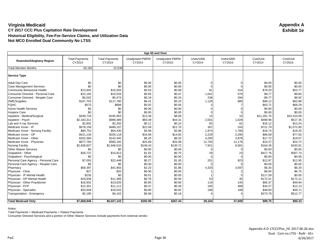| Age 65 and Over                      |                                 |                                 |                                  |                                  |                             |                             |                     |                     |  |
|--------------------------------------|---------------------------------|---------------------------------|----------------------------------|----------------------------------|-----------------------------|-----------------------------|---------------------|---------------------|--|
| Roanoke/Alleghany Region             | <b>Total Payments</b><br>CY2014 | <b>Total Payments</b><br>CY2015 | <b>Unadjusted PMPM</b><br>CY2014 | <b>Unadjusted PMPM</b><br>CY2015 | <b>Units/1000</b><br>CY2014 | <b>Units/1000</b><br>CY2015 | Cost/Unit<br>CY2014 | Cost/Unit<br>CY2015 |  |
| <b>Total Member Months</b>           | 26,183                          | 22,536                          |                                  |                                  |                             |                             |                     |                     |  |
| <b>Service Type</b>                  |                                 |                                 |                                  |                                  |                             |                             |                     |                     |  |
| <b>Adult Day Care</b>                | \$0                             | \$0                             | \$0.00                           | \$0.00                           |                             |                             | \$0.00              | \$0.00              |  |
| <b>Case Management Services</b>      | \$0                             | \$0                             | \$0.00                           | \$0.00                           |                             | $\Omega$                    | \$0.00              | \$0.00              |  |
| <b>Community Behavioral Health</b>   | \$13,842                        | \$15,593                        | \$0.53                           | \$0.69                           | 81                          | 154                         | \$78.20             | \$53.77             |  |
| Consumer Directed - Personal Care    | \$22,183                        | \$10,526                        | \$0.85                           | \$0.47                           | 1,041                       | 570                         | \$9.77              | \$9.84              |  |
| Consumer Directed - Respite Care     | \$5,032                         | \$5,473                         | \$0.19                           | \$0.24                           | 236                         | 294                         | \$9.77              | \$9.92              |  |
| DME/Supplies                         | \$167,703                       | \$117,780                       | \$6.41                           | \$5.23                           | 1,128                       | 980                         | \$68.12             | \$63.98             |  |
| <b>FQHC</b>                          | \$573                           | \$888                           | \$0.02                           | \$0.04                           |                             |                             | \$63.71             | \$68.29             |  |
| <b>Home Health Services</b>          | \$0                             | \$0                             | \$0.00                           | \$0.00                           |                             |                             | \$0.00              | \$0.00              |  |
| <b>Hospice Care</b>                  | \$0                             | \$0                             | \$0.00                           | \$0.00                           |                             |                             | \$0.00              | \$0.00              |  |
| Inpatient - Medical/Surgical         | \$349,734                       | \$195,903                       | \$13.36                          | \$8.69                           | 14                          | 10                          | \$11,281.75         | \$10,310.69         |  |
| Inpatient - Psych                    | \$2,183,311                     | \$998,489                       | \$83.39                          | \$44.31                          | 2,001                       | 1,028                       | \$499.96            | \$517.35            |  |
| Lab and X-ray Services               | \$2,902                         | \$2,250                         | \$0.11                           | \$0.10                           | 82                          | 91                          | \$16.12             | \$13.24             |  |
| Medicare Xover - IP                  | \$578,158                       | \$489,107                       | \$22.08                          | \$21.70                          | 367                         | 243                         | \$721.79            | \$1,072.60          |  |
| Medicare Xover - Nursing Facility    | \$80,753                        | \$64,430                        | \$3.08                           | \$2.86                           | 1,974                       | 1,786                       | \$18.74             | \$19.20             |  |
| Medicare Xover - OP                  | \$421,130                       | \$334,118                       | \$16.08                          | \$14.83                          | 2,229                       | 2,295                       | \$86.58             | \$77.50             |  |
| Medicare Xover - Other               | \$162,366                       | \$142,445                       | \$6.20                           | \$6.32                           | 4,200                       | 3,978                       | \$17.72             | \$19.07             |  |
| Medicare Xover - Physician           | \$677,760                       | \$565,192                       | \$25.89                          | \$25.08                          | 12,745                      | 12,176                      | \$24.37             | \$24.72             |  |
| <b>Nursing Facility</b>              | \$2,838,937                     | \$2,946,010                     | \$108.43                         | \$130.72                         | 7,921                       | 8,581                       | \$164.26            | \$182.81            |  |
| <b>Other Waiver Services</b>         | \$0                             | \$0                             | \$0.00                           | \$0.00                           |                             |                             | \$0.00              | \$0.00              |  |
| Outpatient - Other                   | \$26,737                        | \$15,813                        | \$1.02                           | \$0.70                           | 29                          | 23                          | \$417.76            | \$367.74            |  |
| Outpatient - Psychological           | \$0                             | \$0                             | \$0.00                           | \$0.00                           |                             |                             | \$0.00              | \$0.00              |  |
| Personal Care Agency - Personal Care | \$7,055                         | \$22,448                        | \$0.27                           | \$1.00                           | 251                         | 923                         | \$12.87             | \$12.95             |  |
| Personal Care Agency - Respite Care  | \$0                             | \$0                             | \$0.00                           | \$0.00                           |                             |                             | \$0.00              | \$0.00              |  |
| Pharmacy                             | \$58,397                        | \$41,903                        | \$2.23                           | \$1.86                           | 4,320                       | 3,597                       | \$6.20              | \$6.20              |  |
| Physician - Clinic                   | \$27                            | \$20                            | \$0.00                           | \$0.00                           |                             |                             | \$8.94              | \$6.75              |  |
| Physician - IP Mental Health         | \$235                           | \$0                             | \$0.01                           | \$0.00                           |                             |                             | \$117.59            | \$0.00              |  |
| Physician - OP Mental Health         | \$19,838                        | \$11,366                        | \$0.76                           | \$0.50                           | 53                          | 35                          | \$172.51            | \$172.21            |  |
| Physician - Other Practitioner       | \$16,932                        | \$13,633                        | \$0.65                           | \$0.60                           | 119                         | 145                         | \$65.37             | \$49.94             |  |
| Physician - PCP                      | \$12,301                        | \$11,111                        | \$0.47                           | \$0.49                           | 165                         | 488                         | \$34.27             | \$12.13             |  |
| Physician - Specialist               | \$20,849                        | \$18,543                        | \$0.80                           | \$0.82                           | 196                         | 199                         | \$48.83             | \$49.71             |  |
| Transportation - Emergency           | \$2,190                         | \$4,102                         | \$0.08                           | \$0.18                           |                             |                             | \$273.79            | \$512.77            |  |
|                                      |                                 |                                 |                                  |                                  |                             |                             |                     |                     |  |
| <b>Total Medicaid Only</b>           | \$7,668,946                     | \$6,027,143                     | \$292.90                         | \$267.44                         | 39,164                      | 37,609                      | \$89.75             | \$85.33             |  |

Notes:

Total Payments = Medicaid Payments + Patient Payments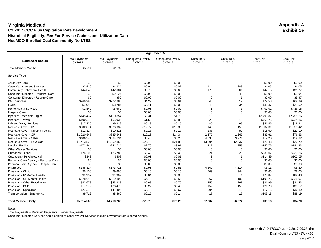| Age Under 65                         |                                 |                                 |                                  |                                  |                             |                             |                     |                     |
|--------------------------------------|---------------------------------|---------------------------------|----------------------------------|----------------------------------|-----------------------------|-----------------------------|---------------------|---------------------|
| <b>Southwest Region</b>              | <b>Total Payments</b><br>CY2014 | <b>Total Payments</b><br>CY2015 | <b>Unadjusted PMPM</b><br>CY2014 | <b>Unadjusted PMPM</b><br>CY2015 | <b>Units/1000</b><br>CY2014 | <b>Units/1000</b><br>CY2015 | Cost/Unit<br>CY2014 | Cost/Unit<br>CY2015 |
| <b>Total Member Months</b>           | 62,896                          | 61.769                          |                                  |                                  |                             |                             |                     |                     |
| <b>Service Type</b>                  |                                 |                                 |                                  |                                  |                             |                             |                     |                     |
| <b>Adult Day Care</b>                | \$0                             | \$0                             | \$0.00                           | \$0.00                           |                             | ∩                           | \$0.00              | \$0.00              |
| <b>Case Management Services</b>      | \$2,410                         | \$4,224                         | \$0.04                           | \$0.07                           | 114                         | 203                         | \$4.05              | \$4.05              |
| <b>Community Behavioral Health</b>   | \$44,040                        | \$42,604                        | \$0.70                           | \$0.69                           | 178                         | 261                         | \$47.15             | \$31.77             |
| Consumer Directed - Personal Care    | \$0                             | \$2,127                         | \$0.00                           | \$0.03                           |                             | 42                          | \$0.00              | \$9.94              |
| Consumer Directed - Respite Care     | \$0                             | \$50                            | \$0.00                           | \$0.00                           |                             |                             | \$0.00              | \$9.97              |
| <b>DME/Supplies</b>                  | \$269,993                       | \$222,983                       | \$4.29                           | \$3.61                           | 648                         | 619                         | \$79.53             | \$69.99             |
| <b>FQHC</b>                          | \$7,040                         | \$3,787                         | \$0.11                           | \$0.06                           | 40                          | 34                          | \$33.37             | \$21.52             |
| <b>Home Health Services</b>          | \$2,849                         | \$5,669                         | \$0.05                           | \$0.09                           |                             | 3                           | \$407.02            | \$436.08            |
| <b>Hospice Care</b>                  | \$0                             | \$0                             | \$0.00                           | \$0.00                           |                             |                             | \$0.00              | \$0.00              |
| Inpatient - Medical/Surgical         | \$145,437                       | \$110,354                       | \$2.31                           | \$1.79                           | 10                          |                             | \$2,796.87          | \$2,758.86          |
| Inpatient - Psych                    | \$100,313                       | \$55,036                        | \$1.59                           | \$0.89                           | 25                          | 15                          | \$765.75            | \$724.16            |
| Lab and X-ray Services               | \$17,330                        | \$9,319                         | \$0.28                           | \$0.15                           | 80                          | 99                          | \$41.46             | \$18.31             |
| Medicare Xover - IP                  | \$802,874                       | \$826,937                       | \$12.77                          | \$13.39                          | 148                         | 153                         | \$1,037.31          | \$1,053.42          |
| Medicare Xover - Nursing Facility    | \$11,314                        | \$10,411                        | \$0.18                           | \$0.17                           | 138                         | 92                          | \$15.69             | \$22.10             |
| Medicare Xover - OP                  | \$1,020,947                     | \$885,641                       | \$16.23                          | \$14.34                          | 2,275                       | 2,245                       | \$85.61             | \$76.63             |
| Medicare Xover - Other               | \$406,348                       | \$384,634                       | \$6.46                           | \$6.23                           | 4,038                       | 3,771                       | \$19.20             | \$19.82             |
| Medicare Xover - Physician           | \$1,413,825                     | \$1,352,365                     | \$22.48                          | \$21.89                          | 13,204                      | 12,637                      | \$20.43             | \$20.79             |
| <b>Nursing Facility</b>              | \$173,844                       | \$241,714                       | \$2.76                           | \$3.91                           | 217                         | 259                         | \$152.76            | \$181.33            |
| <b>Other Waiver Services</b>         | \$0                             | \$0                             | \$0.00                           | \$0.00                           |                             |                             | \$0.00              | \$0.00              |
| Outpatient - Other                   | \$26,203                        | \$26,780                        | \$0.42                           | \$0.43                           | 21                          | 23                          | \$236.07            | \$230.86            |
| Outpatient - Psychological           | \$343                           | \$408                           | \$0.01                           | \$0.01                           |                             |                             | \$114.49            | \$102.05            |
| Personal Care Agency - Personal Care | \$0                             | \$0                             | \$0.00                           | \$0.00                           |                             |                             | \$0.00              | \$0.00              |
| Personal Care Agency - Respite Care  | \$0                             | \$0                             | \$0.00                           | \$0.00                           |                             |                             | \$0.00              | \$0.00              |
| Pharmacy                             | \$185,324                       | \$173,711                       | \$2.95                           | \$2.81                           | 4,360                       | 4,114                       | \$8.11              | \$8.20              |
| Physician - Clinic                   | \$6,158                         | \$9,886                         | \$0.10                           | \$0.16                           | 709                         | 944                         | \$1.66              | \$2.03              |
| Physician - IP Mental Health         | \$2,352                         | \$1,967                         | \$0.04                           | \$0.03                           |                             |                             | \$75.87             | \$89.43             |
| Physician - OP Mental Health         | \$278,643                       | \$219,890                       | \$4.43                           | \$3.56                           | 267                         | 190                         | \$198.75            | \$225.07            |
| Physician - Other Practitioner       | \$42,678                        | \$43,338                        | \$0.68                           | \$0.70                           | 255                         | 268                         | \$31.99             | \$31.43             |
| Physician - PCP                      | \$17,272                        | \$26,472                        | \$0.27                           | \$0.43                           | 152                         | 155                         | \$21.70             | \$33.17             |
| Physician - Specialist               | \$27,319                        | \$41,496                        | \$0.43                           | \$0.67                           | 304                         | 219                         | \$17.15             | \$36.89             |
| Transportation - Emergency           | \$9,712                         | \$8,466                         | \$0.15                           | \$0.14                           | 17                          | 19                          | \$109.13            | \$88.19             |
| <b>Total Medicaid Only</b>           | \$5,014,569                     | \$4,710,269                     | \$79.73                          | \$76.26                          | 27,207                      | 26,374                      | \$35.16             | \$34.70             |

Notes:

Total Payments = Medicaid Payments + Patient Payments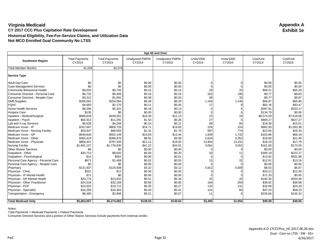|                                      | Age 65 and Over                 |                                 |                                  |                                  |                             |                             |                     |                     |  |
|--------------------------------------|---------------------------------|---------------------------------|----------------------------------|----------------------------------|-----------------------------|-----------------------------|---------------------|---------------------|--|
| <b>Southwest Region</b>              | <b>Total Payments</b><br>CY2014 | <b>Total Payments</b><br>CY2015 | <b>Unadjusted PMPM</b><br>CY2014 | <b>Unadjusted PMPM</b><br>CY2015 | <b>Units/1000</b><br>CY2014 | <b>Units/1000</b><br>CY2015 | Cost/Unit<br>CY2014 | Cost/Unit<br>CY2015 |  |
| <b>Total Member Months</b>           | 41,029                          | 40,374                          |                                  |                                  |                             |                             |                     |                     |  |
| Service Type                         |                                 |                                 |                                  |                                  |                             |                             |                     |                     |  |
| <b>Adult Day Care</b>                | \$0                             | \$0                             | \$0.00                           | \$0.00                           |                             |                             | \$0.00              | \$0.00              |  |
| <b>Case Management Services</b>      | \$0                             | \$0                             | \$0.00                           | \$0.00                           |                             |                             | \$0.00              | \$0.00              |  |
| <b>Community Behavioral Health</b>   | \$6,003                         | \$5,745                         | \$0.15                           | \$0.14                           | 26                          | 26                          | \$68.21             | \$65.29             |  |
| Consumer Directed - Personal Care    | \$6,732                         | \$6,456                         | \$0.16                           | \$0.16                           | 202                         | 195                         | \$9.77              | \$9.83              |  |
| Consumer Directed - Respite Care     | \$3,312                         | \$1,091                         | \$0.08                           | \$0.03                           | 99                          | 33                          | \$9.77              | \$9.87              |  |
| DME/Supplies                         | \$266,091                       | \$254,094                       | \$6.49                           | \$6.29                           | 1,164                       | 1,146                       | \$66.87             | \$65.90             |  |
| <b>FQHC</b>                          | \$4,683                         | \$2,170                         | \$0.11                           | \$0.05                           | 17                          | 8                           | \$82.16             | \$83.47             |  |
| <b>Home Health Services</b>          | \$6,366                         | \$5,331                         | \$0.16                           | \$0.13                           |                             |                             | \$397.91            | \$333.17            |  |
| <b>Hospice Care</b>                  | \$135                           | \$0                             | \$0.00                           | \$0.00                           |                             | $\Omega$                    | \$134.79            | \$0.00              |  |
| Inpatient - Medical/Surgical         | \$668,818                       | \$449,501                       | \$16.30                          | \$11.13                          | 23                          | 18                          | \$8,574.59          | \$7,618.66          |  |
| Inpatient - Psych                    | \$62,912                        | \$11,291                        | \$1.53                           | \$0.28                           | 27                          | 5                           | \$669.27            | \$627.27            |  |
| Lab and X-ray Services               | \$5,628                         | \$4,248                         | \$0.14                           | \$0.11                           | 89                          | 84                          | \$18.39             | \$15.01             |  |
| Medicare Xover - IP                  | \$767,667                       | \$800,726                       | \$18.71                          | \$19.83                          | 228                         | 224                         | \$982.93            | \$1,063.38          |  |
| Medicare Xover - Nursing Facility    | \$53,947                        | \$68,583                        | \$1.31                           | \$1.70                           | 697                         | 774                         | \$22.65             | \$26.35             |  |
| Medicare Xover - OP                  | \$649,630                       | \$502,149                       | \$15.83                          | \$12.44                          | 1,829                       | 1,732                       | \$103.86            | \$86.19             |  |
| Medicare Xover - Other               | \$365,419                       | \$386,976                       | \$8.91                           | \$9.58                           | 5,624                       | 5,352                       | \$19.00             | \$21.49             |  |
| Medicare Xover - Physician           | \$866,447                       | \$787,345                       | \$21.12                          | \$19.50                          | 13,904                      | 13,151                      | \$18.23             | \$17.79             |  |
| <b>Nursing Facility</b>              | \$1,691,157                     | \$1,776,830                     | \$41.22                          | \$44.01                          | 3,061                       | 3,052                       | \$161.60            | \$173.05            |  |
| <b>Other Waiver Services</b>         | \$0                             | \$0                             | \$0.00                           | \$0.00                           |                             | O                           | \$0.00              | \$0.00              |  |
| Outpatient - Other                   | \$20,713                        | \$8,002                         | \$0.50                           | \$0.20                           | 20                          | 11                          | \$300.19            | \$222.27            |  |
| Outpatient - Psychological           | \$14                            | \$502                           | \$0.00                           | \$0.01                           | $\Omega$                    |                             | \$13.92             | \$501.88            |  |
| Personal Care Agency - Personal Care | \$671                           | \$1,408                         | \$0.02                           | \$0.03                           | 15                          | 32                          | \$12.91             | \$13.16             |  |
| Personal Care Agency - Respite Care  | \$0                             | \$0                             | \$0.00                           | \$0.00                           |                             |                             | \$0.00              | \$0.00              |  |
| Pharmacy                             | \$131,937                       | \$125,838                       | \$3.22                           | \$3.12                           | 5,912                       | 5,608                       | \$6.53              | \$6.67              |  |
| Physician - Clinic                   | \$201                           | \$12                            | \$0.00                           | \$0.00                           |                             | $\Omega$                    | \$20.12             | \$12.49             |  |
| Physician - IP Mental Health         | \$71                            | \$0                             | \$0.00                           | \$0.00                           |                             |                             | \$71.33             | \$0.00              |  |
| Physician - OP Mental Health         | \$20,774                        | \$13,632                        | \$0.51                           | \$0.34                           | 32                          | 20                          | \$192.35            | \$203.46            |  |
| Physician - Other Practitioner       | \$24,518                        | \$32,169                        | \$0.60                           | \$0.80                           | 184                         | 259                         | \$38.92             | \$36.98             |  |
| Physician - PCP                      | \$14,503                        | \$10,712                        | \$0.35                           | \$0.27                           | 132                         | 131                         | \$32.09             | \$24.29             |  |
| Physician - Specialist               | \$16,250                        | \$16,364                        | \$0.40                           | \$0.41                           | 101                         | 84                          | \$47.24             | \$58.23             |  |
| Transportation - Emergency           | \$8,460                         | \$2,906                         | \$0.21                           | \$0.07                           | 11                          | 6                           | \$228.66            | \$145.32            |  |
| <b>Total Medicaid Only</b>           | \$5,663,057                     | \$5,274,082                     | \$138.03                         | \$130.63                         | 33,405                      | 31,954                      | \$49.58             | \$49.06             |  |

Notes:

Total Payments = Medicaid Payments + Patient Payments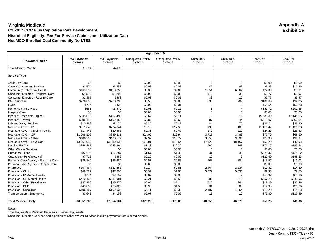|                                      | Age Under 65                    |                                 |                                  |                                  |                             |                             |                     |                     |  |  |
|--------------------------------------|---------------------------------|---------------------------------|----------------------------------|----------------------------------|-----------------------------|-----------------------------|---------------------|---------------------|--|--|
| <b>Tidewater Region</b>              | <b>Total Payments</b><br>CY2014 | <b>Total Payments</b><br>CY2015 | <b>Unadjusted PMPM</b><br>CY2014 | <b>Unadjusted PMPM</b><br>CY2015 | <b>Units/1000</b><br>CY2014 | <b>Units/1000</b><br>CY2015 | Cost/Unit<br>CY2014 | Cost/Unit<br>CY2015 |  |  |
| <b>Total Member Months</b>           | 50,238                          | 44,603                          |                                  |                                  |                             |                             |                     |                     |  |  |
| <b>Service Type</b>                  |                                 |                                 |                                  |                                  |                             |                             |                     |                     |  |  |
| <b>Adult Day Care</b>                | \$0                             | \$0                             | \$0.00                           | \$0.00                           |                             |                             | \$0.00              | \$0.00              |  |  |
| <b>Case Management Services</b>      | \$1,574                         | \$3,552                         | \$0.03                           | \$0.08                           | 42                          | 88                          | \$8.89              | \$10.86             |  |  |
| <b>Community Behavioral Health</b>   | \$168,552                       | \$118,359                       | \$3.36                           | \$2.65                           | 1,651                       | 6,362                       | \$24.39             | \$5.01              |  |  |
| Consumer Directed - Personal Care    | \$4,516                         | \$1,206                         | \$0.09                           | \$0.03                           | 110                         | 33                          | \$9.77              | \$9.97              |  |  |
| Consumer Directed - Respite Care     | \$1,368                         | \$583                           | \$0.03                           | \$0.01                           | 33                          | 16                          | \$9.77              | \$9.97              |  |  |
| <b>DME/Supplies</b>                  | \$278,858                       | \$260,736                       | \$5.55                           | \$5.85                           | 635                         | 707                         | \$104.83            | \$99.25             |  |  |
| <b>FQHC</b>                          | \$774                           | \$426                           | \$0.02                           | \$0.01                           |                             |                             | \$59.54             | \$53.23             |  |  |
| <b>Home Health Services</b>          | \$551                           | \$5,870                         | \$0.01                           | \$0.13                           |                             |                             | \$183.72            | \$391.35            |  |  |
| <b>Hospice Care</b>                  | \$0                             | \$0                             | \$0.00                           | \$0.00                           |                             |                             | \$0.00              | \$0.00              |  |  |
| Inpatient - Medical/Surgical         | \$335,098                       | \$407.490                       | \$6.67                           | \$9.14                           | 13                          | 15                          | \$5,983.89          | \$7,148.95          |  |  |
| Inpatient - Psych                    | \$295,145                       | \$162,859                       | \$5.87                           | \$3.65                           | 87                          | 44                          | \$813.07            | \$993.04            |  |  |
| Lab and X-ray Services               | \$10,262                        | \$8,174                         | \$0.20                           | \$0.18                           | 84                          | 75                          | \$29.24             | \$29.30             |  |  |
| Medicare Xover - IP                  | \$911,043                       | \$784,344                       | \$18.13                          | \$17.58                          | 195                         | 185                         | \$1,116.47          | \$1,138.38          |  |  |
| Medicare Xover - Nursing Facility    | \$17,448                        | \$20,883                        | \$0.35                           | \$0.47                           | 172                         | 212                         | \$24.23             | \$26.53             |  |  |
| Medicare Xover - OP                  | \$1,208,105                     | \$889,231                       | \$24.05                          | \$19.94                          | 3,711                       | 3,488                       | \$77.75             | \$68.60             |  |  |
| Medicare Xover - Other               | \$400,230                       | \$480,179                       | \$7.97                           | \$10.77                          | 3,553                       | 3,594                       | \$26.90             | \$35.94             |  |  |
| Medicare Xover - Physician           | \$3,667,970                     | \$3,239,838                     | \$73.01                          | \$72.64                          | 17,420                      | 18,167                      | \$50.29             | \$47.98             |  |  |
| <b>Nursing Facility</b>              | \$358,263                       | \$543,994                       | \$7.13                           | \$12.20                          | 500                         | 748                         | \$171.17            | \$195.54            |  |  |
| <b>Other Waiver Services</b>         | \$0                             | \$0                             | \$0.00                           | \$0.00                           |                             |                             | \$0.00              | \$0.00              |  |  |
| Outpatient - Other                   | \$82,572                        | \$57,884                        | \$1.64                           | \$1.30                           | 34                          | 36                          | \$573.42            | \$435.22            |  |  |
| Outpatient - Psychological           | \$7,718                         | \$889                           | \$0.15                           | \$0.02                           | 15                          |                             | \$120.60            | \$148.23            |  |  |
| Personal Care Agency - Personal Care | \$28,840                        | \$38,880                        | \$0.57                           | \$0.87                           | 508                         | 804                         | \$13.57             | \$13.01             |  |  |
| Personal Care Agency - Respite Care  | \$0                             | \$0                             | \$0.00                           | \$0.00                           |                             |                             | \$0.00              | \$0.00              |  |  |
| Pharmacy                             | \$107,464                       | \$127,453                       | \$2.14                           | \$2.86                           | 2,464                       | 2,334                       | \$10.42             | \$14.69             |  |  |
| Physician - Clinic                   | \$49,522                        | \$47,995                        | \$0.99                           | \$1.08                           | 5,077                       | 5,036                       | \$2.33              | \$2.56              |  |  |
| Physician - IP Mental Health         | \$774                           | \$2,107                         | \$0.02                           | \$0.05                           |                             |                             | \$55.32             | \$63.86             |  |  |
| Physician - OP Mental Health         | \$412,425                       | \$381,981                       | \$8.21                           | \$8.56                           | 383                         | 418                         | \$257.28            | \$245.96            |  |  |
| Physician - Other Practitioner       | \$47,856                        | \$95,570                        | \$0.95                           | \$2.14                           | 625                         | 844                         | \$18.29             | \$30.46             |  |  |
| Physician - PCP                      | \$45,038                        | \$66,827                        | \$0.90                           | \$1.50                           | 831                         | 888                         | \$12.95             | \$20.26             |  |  |
| Physician - Specialist               | \$106,167                       | \$102,636                       | \$2.11                           | \$2.30                           | 2,487                       | 1,954                       | \$10.20             | \$14.13             |  |  |
| Transportation - Emergency           | \$3,648                         | \$4,158                         | \$0.07                           | \$0.09                           | 11                          | 10                          | \$79.30             | \$115.49            |  |  |
|                                      |                                 |                                 |                                  |                                  |                             |                             |                     |                     |  |  |
| <b>Total Medicaid Only</b>           | \$8,551,780                     | \$7,854,104                     | \$170.22                         | \$176.09                         | 40.650                      | 46,073                      | \$50.25             | \$45.86             |  |  |

Notes:

Total Payments = Medicaid Payments + Patient Payments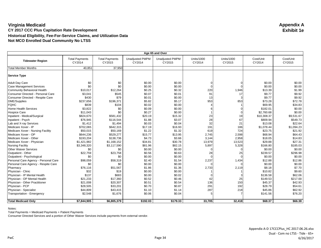|                                      | Age 65 and Over                 |                                 |                                  |                                  |                             |                             |                     |                     |  |  |
|--------------------------------------|---------------------------------|---------------------------------|----------------------------------|----------------------------------|-----------------------------|-----------------------------|---------------------|---------------------|--|--|
| <b>Tidewater Region</b>              | <b>Total Payments</b><br>CY2014 | <b>Total Payments</b><br>CY2015 | <b>Unadjusted PMPM</b><br>CY2014 | <b>Unadjusted PMPM</b><br>CY2015 | <b>Units/1000</b><br>CY2014 | <b>Units/1000</b><br>CY2015 | Cost/Unit<br>CY2014 | Cost/Unit<br>CY2015 |  |  |
| <b>Total Member Months</b>           | 40,851                          | 37.950                          |                                  |                                  |                             |                             |                     |                     |  |  |
| <b>Service Type</b>                  |                                 |                                 |                                  |                                  |                             |                             |                     |                     |  |  |
| <b>Adult Day Care</b>                | \$0                             | \$0                             | \$0.00                           | \$0.00                           |                             |                             | \$0.00              | \$0.00              |  |  |
| <b>Case Management Services</b>      | \$0                             | \$0                             | \$0.00                           | \$0.00                           |                             |                             | \$0.00              | \$0.00              |  |  |
| <b>Community Behavioral Health</b>   | \$10,017                        | \$12,264                        | \$0.25                           | \$0.32                           | 220                         | 1,946                       | \$13.39             | \$1.99              |  |  |
| Consumer Directed - Personal Care    | \$3,041                         | \$545                           | \$0.07                           | \$0.01                           | 91                          | 17                          | \$9.77              | \$9.92              |  |  |
| Consumer Directed - Respite Care     | \$430                           | \$79                            | \$0.01                           | \$0.00                           | 13                          |                             | \$9.77              | \$9.92              |  |  |
| DME/Supplies                         | \$237,656                       | \$196,371                       | \$5.82                           | \$5.17                           | 953                         | 853                         | \$73.28             | \$72.78             |  |  |
| <b>FQHC</b>                          | \$839                           | \$104                           | \$0.02                           | \$0.00                           |                             |                             | \$69.95             | \$34.83             |  |  |
| <b>Home Health Services</b>          | \$3.822                         | \$0                             | \$0.09                           | \$0.00                           |                             |                             | \$182.01            | \$0.00              |  |  |
| <b>Hospice Care</b>                  | \$11,043                        | \$0                             | \$0.27                           | \$0.00                           |                             |                             | \$2,760.68          | \$0.00              |  |  |
| Inpatient - Medical/Surgical         | \$824,670                       | \$581.432                       | \$20.19                          | \$15.32                          | 23                          | 19                          | \$10,308.37         | \$9,531.67          |  |  |
| Inpatient - Psych                    | \$76,945                        | \$116,544                       | \$1.88                           | \$3.07                           | 28                          | 67                          | \$809.94            | \$549.73            |  |  |
| Lab and X-ray Services               | \$1,412                         | \$1,494                         | \$0.03                           | \$0.04                           | 32                          | 21                          | \$13.08             | \$22.64             |  |  |
| Medicare Xover - IP                  | \$702,065                       | \$642,315                       | \$17.19                          | \$16.93                          | 191                         | 186                         | \$1,078.44          | \$1,094.23          |  |  |
| Medicare Xover - Nursing Facility    | \$50,015                        | \$50,169                        | \$1.22                           | \$1.32                           | 619                         | 724                         | \$23.75             | \$21.92             |  |  |
| Medicare Xover - OP                  | \$644,236                       | \$529,277                       | \$15.77                          | \$13.95                          | 2,745                       | 2,598                       | \$68.94             | \$64.43             |  |  |
| Medicare Xover - Other               | \$193,204                       | \$138,736                       | \$4.73                           | \$3.66                           | 3,144                       | 2,958                       | \$18.05             | \$14.83             |  |  |
| Medicare Xover - Physician           | \$1,421,982                     | \$1,168,152                     | \$34.81                          | \$30.78                          | 13,979                      | 13,523                      | \$29.88             | \$27.31             |  |  |
| <b>Nursing Facility</b>              | \$3,348,320                     | \$3,117,590                     | \$81.96                          | \$82.15                          | 5,897                       | 5,328                       | \$166.80            | \$185.03            |  |  |
| <b>Other Waiver Services</b>         | \$0                             | \$0                             | \$0.00                           | \$0.00                           |                             |                             | \$0.00              | \$0.00              |  |  |
| Outpatient - Other                   | \$22,759                        | \$23,758                        | \$0.56                           | \$0.63                           | 28                          | 25                          | \$239.57            | \$296.98            |  |  |
| Outpatient - Psychological           | \$0                             | \$0                             | \$0.00                           | \$0.00                           |                             |                             | \$0.00              | \$0.00              |  |  |
| Personal Care Agency - Personal Care | \$98,059                        | \$58,319                        | \$2.40                           | \$1.54                           | 2,237                       | 1,434                       | \$12.88             | \$12.86             |  |  |
| Personal Care Agency - Respite Care  | \$0                             | \$0                             | \$0.00                           | \$0.00                           |                             |                             | \$0.00              | \$0.00              |  |  |
| Pharmacy                             | \$76,116                        | \$51,567                        | \$1.86                           | \$1.36                           | 2,733                       | 2,119                       | \$8.18              | \$7.70              |  |  |
| Physician - Clinic                   | \$32                            | \$19                            | \$0.00                           | \$0.00                           |                             |                             | \$10.82             | \$9.60              |  |  |
| Physician - IP Mental Health         | \$137                           | \$683                           | \$0.00                           | \$0.02                           |                             |                             | \$136.58            | \$62.06             |  |  |
| Physician - OP Mental Health         | \$21,233                        | \$17,360                        | \$0.52                           | \$0.46                           | 42                          | 25                          | \$149.53            | \$217.00            |  |  |
| Physician - Other Practitioner       | \$21,008                        | \$20,307                        | \$0.51                           | \$0.54                           | 136                         | 150                         | \$45.37             | \$42.93             |  |  |
| Physician - PCP                      | \$28,505                        | \$33,201                        | \$0.70                           | \$0.87                           | 291                         | 192                         | \$28.79             | \$54.61             |  |  |
| Physician - Specialist               | \$44,809                        | \$43,415                        | \$1.10                           | \$1.14                           | 287                         | 218                         | \$45.86             | \$62.92             |  |  |
| Transportation - Emergency           | \$2,548                         | \$1,676                         | \$0.06                           | \$0.04                           |                             |                             | \$141.56            | \$76.20             |  |  |
|                                      |                                 |                                 |                                  |                                  |                             |                             |                     |                     |  |  |
| <b>Total Medicaid Only</b>           | \$7,844,905                     | \$6,805,379                     | \$192.03                         | \$179.33                         | 33,705                      | 32,418                      | \$68.37             | \$66.38             |  |  |

Notes:

Total Payments = Medicaid Payments + Patient Payments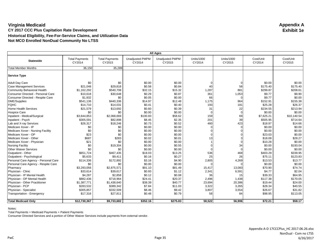| <b>All Ages</b>                      |                                 |                                 |                                  |                                  |                             |                             |                     |                     |  |
|--------------------------------------|---------------------------------|---------------------------------|----------------------------------|----------------------------------|-----------------------------|-----------------------------|---------------------|---------------------|--|
| <b>Statewide</b>                     | <b>Total Payments</b><br>CY2014 | <b>Total Payments</b><br>CY2015 | <b>Unadjusted PMPM</b><br>CY2014 | <b>Unadjusted PMPM</b><br>CY2015 | <b>Units/1000</b><br>CY2014 | <b>Units/1000</b><br>CY2015 | Cost/Unit<br>CY2014 | Cost/Unit<br>CY2015 |  |
| <b>Total Member Months</b>           | 36,150                          | 35,289                          |                                  |                                  |                             |                             |                     |                     |  |
| <b>Service Type</b>                  |                                 |                                 |                                  |                                  |                             |                             |                     |                     |  |
| <b>Adult Day Care</b>                | \$0                             | \$0                             | \$0.00                           | \$0.00                           |                             | O                           | \$0.00              | \$0.00              |  |
| <b>Case Management Services</b>      | \$21,048                        | \$29,818                        | \$0.58                           | \$0.84                           | 40                          | 58                          | \$175.40            | \$175.40            |  |
| <b>Community Behavioral Health</b>   | \$1,162,292                     | \$540,708                       | \$32.15                          | \$15.32                          | 1,287                       | 881                         | \$299.87            | \$208.61            |  |
| Consumer Directed - Personal Care    | \$10,618                        | \$30,648                        | \$0.29                           | \$0.87                           | 361                         | 1,053                       | \$9.77              | \$9.90              |  |
| Consumer Directed - Respite Care     | \$1,932                         | \$0                             | \$0.05                           | \$0.00                           | 66                          | $\Omega$                    | \$9.77              | \$0.00              |  |
| <b>DME/Supplies</b>                  | \$541,136                       | \$440,336                       | \$14.97                          | \$12.48                          | 1,175                       | 964                         | \$152.91            | \$155.38            |  |
| <b>FQHC</b>                          | \$14,710                        | \$14,031                        | \$0.41                           | \$0.40                           | 193                         | 181                         | \$25.28             | \$26.37             |  |
| <b>Home Health Services</b>          | \$21,579                        | \$13,692                        | \$0.60                           | \$0.39                           | 31                          | 22                          | \$234.55            | \$213.94            |  |
| <b>Hospice Care</b>                  | \$0                             | \$0                             | \$0.00                           | \$0.00                           |                             | $\Omega$                    | \$0.00              | \$0.00              |  |
| Inpatient - Medical/Surgical         | \$3,644,853                     | \$2,068,669                     | \$100.83                         | \$58.62                          | 159                         | 69                          | \$7,625.21          | \$10.140.54         |  |
| Inpatient - Psych                    | \$305,591                       | \$82,898                        | \$8.45                           | \$2.35                           | 201                         | 39                          | \$505.95            | \$714.64            |  |
| Lab and X-ray Services               | \$26,317                        | \$18,246                        | \$0.73                           | \$0.52                           | 460                         | 423                         | \$18.97             | \$14.66             |  |
| Medicare Xover - IP                  | \$0                             | \$0                             | \$0.00                           | \$0.00                           |                             | O                           | \$0.00              | \$0.00              |  |
| Medicare Xover - Nursing Facility    | \$0                             | \$0                             | \$0.00                           | \$0.00                           |                             |                             | \$0.00              | \$0.00              |  |
| Medicare Xover - OP                  | \$23                            | \$0                             | \$0.00                           | \$0.00                           |                             |                             | \$23.03             | \$0.00              |  |
| Medicare Xover - Other               | \$687                           | \$283                           | \$0.02                           | \$0.01                           | 13                          |                             | \$18.08             | \$28.27             |  |
| Medicare Xover - Physician           | \$21                            | \$0                             | \$0.00                           | \$0.00                           |                             |                             | \$10.28             | \$0.00              |  |
| <b>Nursing Facility</b>              | \$0                             | \$19,304                        | \$0.00                           | \$0.55                           |                             | 34                          | \$0.00              | \$193.04            |  |
| <b>Other Waiver Services</b>         | \$0                             | \$0                             | \$0.00                           | \$0.00                           |                             |                             | \$0.00              | \$0.00              |  |
| Outpatient - Other                   | \$651,724                       | \$467,435                       | \$18.03                          | \$13.25                          | 536                         | 468                         | \$403.29            | \$339.95            |  |
| Outpatient - Psychological           | \$5,633                         | \$9,411                         | \$0.16                           | \$0.27                           | 25                          | 26                          | \$75.11             | \$123.83            |  |
| Personal Care Agency - Personal Care | \$114,336                       | \$172,892                       | \$3.16                           | \$4.90                           | 2,805                       | 4,269                       | \$13.53             | \$13.77             |  |
| Personal Care Agency - Respite Care  | \$0                             | \$0                             | \$0.00                           | \$0.00                           |                             |                             | \$0.00              | \$0.00              |  |
| Pharmacy                             | \$3,293,056                     | \$2,875,571                     | \$91.10                          | \$81.49                          | 15,417                      | 13,083                      | \$70.90             | \$74.74             |  |
| Physician - Clinic                   | \$33,614                        | \$39,617                        | \$0.93                           | \$1.12                           | 2,341                       | 6,591                       | \$4.77              | \$2.04              |  |
| Physician - IP Mental Health         | \$4,287                         | \$2,858                         | \$0.12                           | \$0.08                           | 36                          | 15                          | \$39.33             | \$64.95             |  |
| Physician - OP Mental Health         | \$882,436                       | \$718,964                       | \$24.41                          | \$20.37                          | 2,496                       | 1,438                       | \$117.38            | \$170.05            |  |
| Physician - Other Practitioner       | \$1,387,771                     | \$1,438,640                     | \$38.39                          | \$40.77                          | 23,694                      | 20,386                      | \$19.44             | \$24.00             |  |
| Physician - PCP                      | \$283,532                       | \$389,342                       | \$7.84                           | \$11.03                          | 3,322                       | 3,265                       | \$28.34             | \$40.55             |  |
| Physician - Specialist               | \$305,857                       | \$332,509                       | \$8.46                           | \$9.42                           | 3,807                       | 3,554                       | \$26.67             | \$31.82             |  |
| Transportation - Emergency           | \$17,316                        | \$27,811                        | \$0.48                           | \$0.79                           | 58                          | 84                          | \$98.95             | \$113.05            |  |
| <b>Total Medicaid Only</b>           | \$12,730,367                    | \$9,733,682                     | \$352.16                         | \$275.83                         | 58,522                      | 56,906                      | \$72.21             | \$58.17             |  |

Notes:

Total Payments = Medicaid Payments + Patient Payments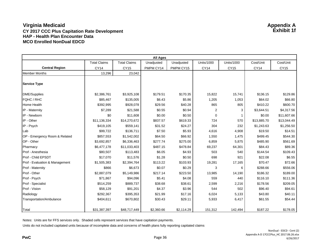|                                | <b>All Ages</b>     |                     |            |            |             |                   |             |             |  |  |  |
|--------------------------------|---------------------|---------------------|------------|------------|-------------|-------------------|-------------|-------------|--|--|--|
|                                | <b>Total Claims</b> | <b>Total Claims</b> | Unadjusted | Unadjusted | Units/1000  | <b>Units/1000</b> | Cost/Unit   | Cost/Unit   |  |  |  |
| <b>Central Region</b>          | <b>CY14</b>         | <b>CY15</b>         | PMPM CY14  | PMPM CY15  | <b>CY14</b> | <b>CY15</b>       | CY14        | <b>CY15</b> |  |  |  |
| <b>Member Months</b>           | 13,296              | 23,042              |            |            |             |                   |             |             |  |  |  |
| <b>Service Type</b>            |                     |                     |            |            |             |                   |             |             |  |  |  |
| <b>DME/Supplies</b>            | \$2,386,761         | \$3,925,108         | \$179.51   | \$170.35   | 15,822      | 15,741            | \$136.15    | \$129.86    |  |  |  |
| <b>FQHC / RHC</b>              | \$85,467            | \$135,005           | \$6.43     | \$5.86     | 1,205       | 1,053             | \$64.02     | \$66.80     |  |  |  |
| <b>Home Health</b>             | \$392,995           | \$928,078           | \$29.56    | \$40.28    | 865         | 805               | \$410.22    | \$600.70    |  |  |  |
| IP - Maternity                 | \$7,289             | \$21,588            | \$0.55     | \$0.94     | 2           | 3                 | \$3,644.51  | \$4,317.56  |  |  |  |
| IP - Newborn                   | \$0                 | \$11,608            | \$0.00     | \$0.50     | $\mathbf 0$ | 1                 | \$0.00      | \$11,607.66 |  |  |  |
| IP - Other                     | \$11,136,334        | \$14,270,672        | \$837.57   | \$619.33   | 724         | 570               | \$13,885.70 | \$13,044.49 |  |  |  |
| IP - Psych                     | \$419,105           | \$559,141           | \$31.52    | \$24.27    | 304         | 232               | \$1,243.63  | \$1,256.50  |  |  |  |
| Lab                            | \$99,722            | \$136,711           | \$7.50     | \$5.93     | 4,616       | 4,908             | \$19.50     | \$14.51     |  |  |  |
| OP - Emergency Room & Related  | \$857,553           | \$1,542,002         | \$64.50    | \$66.92    | 1,550       | 1,475             | \$499.45    | \$544.30    |  |  |  |
| OP - Other                     | \$3,692,857         | \$6,336,463         | \$277.74   | \$275.00   | 6,859       | 5,875             | \$485.90    | \$561.69    |  |  |  |
| Pharmacy                       | \$6,477,178         | \$11,033,403        | \$487.15   | \$478.84   | 69,237      | 64,301            | \$84.43     | \$89.36     |  |  |  |
| Prof - Anesthesia              | \$80,507            | \$113,483           | \$6.05     | \$4.93     | 503         | 540               | \$144.54    | \$109.43    |  |  |  |
| Prof - Child EPSDT             | \$17,070            | \$11,576            | \$1.28     | \$0.50     | 698         | 921               | \$22.08     | \$6.55      |  |  |  |
| Prof - Evaluation & Management | \$1,505,383         | \$2,394,764         | \$113.22   | \$103.93   | 19,281      | 17,165            | \$70.47     | \$72.66     |  |  |  |
| Prof - Maternity               | \$866               | \$6,673             | \$0.07     | \$0.29     | 3           | 6                 | \$288.66    | \$556.06    |  |  |  |
| Prof - Other                   | \$2,887,079         | \$5,149,986         | \$217.14   | \$223.50   | 13,985      | 14,190            | \$186.32    | \$189.00    |  |  |  |
| Prof - Psych                   | \$71,867            | \$94,096            | \$5.41     | \$4.08     | 559         | 440               | \$116.10    | \$111.36    |  |  |  |
| Prof - Specialist              | \$514,259           | \$889,737           | \$38.68    | \$38.61    | 2,599       | 2,216             | \$178.56    | \$209.05    |  |  |  |
| Prof - Vision                  | \$58,129            | \$91,201            | \$4.37     | \$3.96     | 544         | 502               | \$96.40     | \$94.61     |  |  |  |
| Radiology                      | \$292,367           | \$395,353           | \$21.99    | \$17.16    | 6,024       | 5,133             | \$43.80     | \$40.11     |  |  |  |
| Transportation/Ambulance       | \$404,611           | \$670,802           | \$30.43    | \$29.11    | 5,933       | 6,417             | \$61.55     | \$54.44     |  |  |  |
| Total                          | \$31,387,397        | \$48,717,449        | \$2,360.66 | \$2,114.29 | 151,312     | 142,494           | \$187.22    | \$178.05    |  |  |  |

Notes: Units are for FFS services only. Shaded cells represent services that have capitation payments.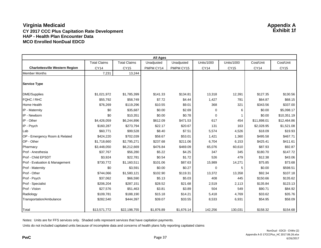|                                       | <b>All Ages</b>     |                     |            |            |                   |                   |             |             |  |  |  |
|---------------------------------------|---------------------|---------------------|------------|------------|-------------------|-------------------|-------------|-------------|--|--|--|
|                                       | <b>Total Claims</b> | <b>Total Claims</b> | Unadjusted | Unadjusted | <b>Units/1000</b> | <b>Units/1000</b> | Cost/Unit   | Cost/Unit   |  |  |  |
| <b>Charlottesville Western Region</b> | <b>CY14</b>         | <b>CY15</b>         | PMPM CY14  | PMPM CY15  | <b>CY14</b>       | CY15              | <b>CY14</b> | <b>CY15</b> |  |  |  |
| <b>Member Months</b>                  | 7,231               | 13,244              |            |            |                   |                   |             |             |  |  |  |
| <b>Service Type</b>                   |                     |                     |            |            |                   |                   |             |             |  |  |  |
| <b>DME/Supplies</b>                   | \$1,021,972         | \$1,785,399         | \$141.33   | \$134.81   | 13,318            | 12,391            | \$127.35    | \$130.56    |  |  |  |
| FQHC / RHC                            | \$55,792            | \$58,749            | \$7.72     | \$4.44     | 1,427             | 781               | \$64.87     | \$68.15     |  |  |  |
| <b>Home Health</b>                    | \$76,269            | \$119,296           | \$10.55    | \$9.01     | 368               | 321               | \$343.56    | \$337.00    |  |  |  |
| IP - Maternity                        | \$0                 | \$35,687            | \$0.00     | \$2.69     | 0                 | 6                 | \$0.00      | \$5,098.17  |  |  |  |
| IP - Newborn                          | \$0                 | \$10,351            | \$0.00     | \$0.78     | 0                 |                   | \$0.00      | \$10,351.19 |  |  |  |
| IP - Other                            | \$4,426,059         | \$6,244,896         | \$612.09   | \$471.53   | 617               | 454               | \$11,898.01 | \$12,464.86 |  |  |  |
| IP - Psych                            | \$160,287           | \$273,794           | \$22.17    | \$20.67    | 131               | 163               | \$2,028.95  | \$1,521.08  |  |  |  |
| Lab                                   | \$60,771            | \$99,528            | \$8.40     | \$7.51     | 5,574             | 4,526             | \$18.09     | \$19.93     |  |  |  |
| OP - Emergency Room & Related         | \$424,220           | \$702,039           | \$58.67    | \$53.01    | 1,421             | 1,360             | \$495.58    | \$467.71    |  |  |  |
| OP - Other                            | \$1,718,660         | \$2,795,271         | \$237.68   | \$211.06   | 6,704             | 6,153             | \$425.41    | \$411.61    |  |  |  |
| Pharmacy                              | \$3,448,050         | \$6,212,669         | \$476.84   | \$469.09   | 65,076            | 60,610            | \$87.93     | \$92.87     |  |  |  |
| Prof - Anesthesia                     | \$37,767            | \$56,280            | \$5.22     | \$4.25     | 347               | 345               | \$180.70    | \$147.72    |  |  |  |
| Prof - Child EPSDT                    | \$3,924             | \$22,781            | \$0.54     | \$1.72     | 526               | 479               | \$12.38     | \$43.06     |  |  |  |
| Prof - Evaluation & Management        | \$730,772           | \$1,160,511         | \$101.06   | \$87.63    | 15,989            | 14,271            | \$75.85     | \$73.68     |  |  |  |
| Prof - Maternity                      | \$0                 | \$3,591             | \$0.00     | \$0.27     | 0                 | 5                 | \$0.00      | \$598.51    |  |  |  |
| Prof - Other                          | \$744,066           | \$1,580,121         | \$102.90   | \$119.31   | 13,372            | 13,358            | \$92.34     | \$107.18    |  |  |  |
| Prof - Psych                          | \$37,062            | \$66,590            | \$5.13     | \$5.03     | 408               | 445               | \$150.66    | \$135.62    |  |  |  |
| Prof - Specialist                     | \$206,204           | \$287,151           | \$28.52    | \$21.68    | 2,519             | 2,113             | \$135.84    | \$123.13    |  |  |  |
| Prof - Vision                         | \$27,576            | \$51,463            | \$3.81     | \$3.89     | 504               | 549               | \$90.71     | \$84.92     |  |  |  |
| Radiology                             | \$109,781           | \$188,190           | \$15.18    | \$14.21    | 5,418             | 4,769             | \$33.62     | \$35.76     |  |  |  |
| Transportation/Ambulance              | \$282,540           | \$444,397           | \$39.07    | \$33.55    | 8,533             | 6,931             | \$54.95     | \$58.09     |  |  |  |
| Total                                 | \$13,571,772        | \$22,198,755        | \$1,876.89 | \$1,676.14 | 142,256           | 130,031           | \$158.32    | \$154.68    |  |  |  |

Notes: Units are for FFS services only. Shaded cells represent services that have capitation payments.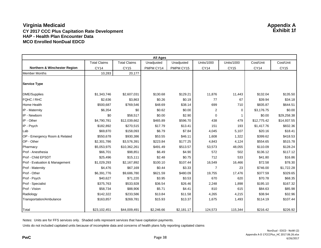|                                         | <b>All Ages</b>     |                     |            |            |                   |                   |             |             |  |  |  |  |
|-----------------------------------------|---------------------|---------------------|------------|------------|-------------------|-------------------|-------------|-------------|--|--|--|--|
|                                         | <b>Total Claims</b> | <b>Total Claims</b> | Unadjusted | Unadjusted | <b>Units/1000</b> | <b>Units/1000</b> | Cost/Unit   | Cost/Unit   |  |  |  |  |
| <b>Northern &amp; Winchester Region</b> | <b>CY14</b>         | <b>CY15</b>         | PMPM CY14  | PMPM CY15  | <b>CY14</b>       | <b>CY15</b>       | <b>CY14</b> | <b>CY15</b> |  |  |  |  |
| <b>Member Months</b>                    | 10,283              | 20,177              |            |            |                   |                   |             |             |  |  |  |  |
| <b>Service Type</b>                     |                     |                     |            |            |                   |                   |             |             |  |  |  |  |
| <b>DME/Supplies</b>                     | \$1,343,746         | \$2,607,031         | \$130.68   | \$129.21   | 11,876            | 11,443            | \$132.04    | \$135.50    |  |  |  |  |
| <b>FOHC / RHC</b>                       | \$2,636             | \$3,863             | \$0.26     | \$0.19     | 77                | 67                | \$39.94     | \$34.18     |  |  |  |  |
| <b>Home Health</b>                      | \$500,687           | \$769,546           | \$48.69    | \$38.14    | 699               | 710               | \$835.87    | \$644.51    |  |  |  |  |
| IP - Maternity                          | \$6,354             | \$0                 | \$0.62     | \$0.00     | 2                 | $\mathbf 0$       | \$3,176.75  | \$0.00      |  |  |  |  |
| IP - Newborn                            | \$0                 | \$58,517            | \$0.00     | \$2.90     | $\mathbf 0$       | 1                 | \$0.00      | \$29,258.38 |  |  |  |  |
| IP - Other                              | \$4,790,781         | \$12,039,662        | \$465.89   | \$596.70   | 438               | 479               | \$12,775.42 | \$14,937.55 |  |  |  |  |
| IP - Psych                              | \$182,892           | \$270,515           | \$17.79    | \$13.41    | 151               | 193               | \$1,417.76  | \$832.36    |  |  |  |  |
| Lab                                     | \$69,870            | \$158,093           | \$6.79     | \$7.84     | 4,045             | 5,107             | \$20.16     | \$18.41     |  |  |  |  |
| OP - Emergency Room & Related           | \$550,678           | \$930,386           | \$53.55    | \$46.11    | 1,608             | 1,322             | \$399.62    | \$418.53    |  |  |  |  |
| OP - Other                              | \$2,301,786         | \$3,576,391         | \$223.84   | \$177.25   | 4,843             | 4,124             | \$554.65    | \$515.78    |  |  |  |  |
| Pharmacy                                | \$5,053,975         | \$10,362,261        | \$491.49   | \$513.57   | 53,573            | 48,055            | \$110.09    | \$128.24    |  |  |  |  |
| Prof - Anesthesia                       | \$66,701            | \$98,851            | \$6.49     | \$4.90     | 572               | 502               | \$136.12    | \$117.12    |  |  |  |  |
| Prof - Child EPSDT                      | \$25,496            | \$15,111            | \$2.48     | \$0.75     | 712               | 533               | \$41.80     | \$16.86     |  |  |  |  |
| Prof - Evaluation & Management          | \$1,029,293         | \$2,167,892         | \$100.10   | \$107.44   | 16,549            | 16,466            | \$72.58     | \$78.30     |  |  |  |  |
| Prof - Maternity                        | \$4,476             | \$67,169            | \$0.44     | \$3.33     | $\overline{7}$    | 23                | \$746.00    | \$1,722.28  |  |  |  |  |
| Prof - Other                            | \$6,391,776         | \$9,686,780         | \$621.59   | \$480.09   | 19,755            | 17,476            | \$377.59    | \$329.65    |  |  |  |  |
| Prof - Psych                            | \$40,627            | \$71,220            | \$3.95     | \$3.53     | 670               | 620               | \$70.78     | \$68.35     |  |  |  |  |
| Prof - Specialist                       | \$375,763           | \$533,928           | \$36.54    | \$26.46    | 2,248             | 1,898             | \$195.10    | \$167.32    |  |  |  |  |
| Prof - Vision                           | \$58,734            | \$88,906            | \$5.71     | \$4.41     | 810               | 615               | \$84.63     | \$85.98     |  |  |  |  |
| Radiology                               | \$142,322           | \$233,586           | \$13.84    | \$11.58    | 4,265             | 4,215             | \$38.94     | \$32.96     |  |  |  |  |
| Transportation/Ambulance                | \$163,857           | \$269,781           | \$15.93    | \$13.37    | 1,675             | 1,493             | \$114.19    | \$107.44    |  |  |  |  |
| Total                                   | \$23,102,451        | \$44,009,491        | \$2,246.66 | \$2,181.17 | 124,573           | 115,344           | \$216.42    | \$226.92    |  |  |  |  |

Notes: Units are for FFS services only. Shaded cells represent services that have capitation payments.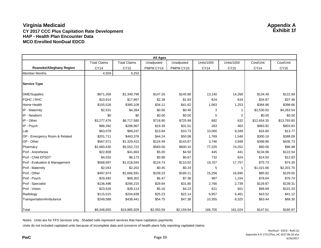|                                 |                     |                     | <b>All Ages</b> |            |                   |                   |             |             |
|---------------------------------|---------------------|---------------------|-----------------|------------|-------------------|-------------------|-------------|-------------|
|                                 | <b>Total Claims</b> | <b>Total Claims</b> | Unadjusted      | Unadjusted | <b>Units/1000</b> | <b>Units/1000</b> | Cost/Unit   | Cost/Unit   |
| <b>Roanoke/Alleghany Region</b> | <b>CY14</b>         | <b>CY15</b>         | PMPM CY14       | PMPM CY15  | <b>CY14</b>       | <b>CY15</b>       | <b>CY14</b> | CY15        |
| <b>Member Months</b>            | 4,559               | 9,253               |                 |            |                   |                   |             |             |
| <b>Service Type</b>             |                     |                     |                 |            |                   |                   |             |             |
| <b>DME/Supplies</b>             | \$671,356           | \$1,349,799         | \$147.26        | \$145.88   | 13,140            | 14,268            | \$134.49    | \$122.69    |
| <b>FQHC / RHC</b>               | \$10,914            | \$17,867            | \$2.39          | \$1.93     | 824               | 619               | \$34.87     | \$37.46     |
| Home Health                     | \$155,526           | \$385,109           | \$34.11         | \$41.62    | 1,063             | 1,253             | \$384.96    | \$398.66    |
| IP - Maternity                  | \$2,531             | \$4,264             | \$0.56          | \$0.46     | 3                 | 1                 | \$2,530.50  | \$4,263.54  |
| IP - Newborn                    | \$0                 | \$0                 | \$0.00          | \$0.00     | $\mathbf 0$       | $\mathbf 0$       | \$0.00      | \$0.00      |
| IP - Other                      | \$3,277,476         | \$6,717,580         | \$718.90        | \$725.99   | 682               | 632               | \$12,654.35 | \$13,793.80 |
| IP - Psych                      | \$88,392            | \$286,967           | \$19.39         | \$31.01    | 263               | 463               | \$883.92    | \$803.83    |
| Lab                             | \$63,078            | \$99,247            | \$13.84         | \$10.73    | 10,000            | 9,349             | \$16.60     | \$13.77     |
| OP - Emergency Room & Related   | \$201,711           | \$463,376           | \$44.24         | \$50.08    | 1,769             | 1,548             | \$300.16    | \$388.09    |
| OP - Other                      | \$567,571           | \$1,329,415         | \$124.49        | \$143.67   | 3,746             | 3,948             | \$398.86    | \$436.73    |
| Pharmacy                        | \$2,660,430         | \$5,552,722         | \$583.56        | \$600.10   | 77,325            | 74,251            | \$90.56     | \$96.98     |
| Prof - Anesthesia               | \$22,808            | \$41,663            | \$5.00          | \$4.50     | 445               | 441               | \$134.96    | \$122.54    |
| Prof - Child EPSDT              | \$4,032             | \$6,173             | \$0.88          | \$0.67     | 732               | 624               | \$14.50     | \$12.83     |
| Prof - Evaluation & Management  | \$568,697           | \$1,018,044         | \$124.74        | \$110.02   | 19,767            | 17,757            | \$75.73     | \$74.35     |
| Prof - Maternity                | \$2,043             | \$2,202             | \$0.45          | \$0.24     | 5                 | -1                | \$1,021.66  | \$2,201.70  |
| Prof - Other                    | \$497,974           | \$1,666,591         | \$109.23        | \$180.11   | 15,256            | 16,690            | \$85.92     | \$129.50    |
| Prof - Psych                    | \$29,492            | \$68,302            | \$6.47          | \$7.38     | 987               | 1,154             | \$78.64     | \$76.74     |
| Prof - Specialist               | \$136,496           | \$294,215           | \$29.94         | \$31.80    | 2,766             | 2,739             | \$129.87    | \$139.31    |
| Prof - Vision                   | \$23,526            | \$39,113            | \$5.16          | \$4.23     | 621               | 501               | \$99.69     | \$101.33    |
| Radiology                       | \$115,015           | \$204,838           | \$25.23         | \$22.14    | 6,957             | 6,461             | \$43.52     | \$41.12     |
| Transportation/Ambulance        | \$249,588           | \$438,441           | \$54.75         | \$47.38    | 10,355            | 8,325             | \$63.44     | \$68.30     |
| Total                           | \$9,348,655         | \$19,985,929        | \$2,050.59      | \$2,159.94 | 166,705           | 161,024           | \$147.61    | \$160.97    |

Notes: Units are for FFS services only. Shaded cells represent services that have capitation payments.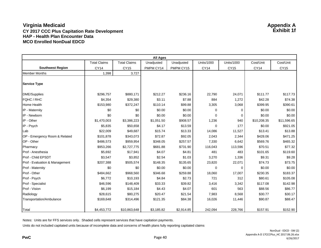|                                | <b>All Ages</b>     |                     |            |            |                   |                   |             |             |  |  |  |
|--------------------------------|---------------------|---------------------|------------|------------|-------------------|-------------------|-------------|-------------|--|--|--|
|                                | <b>Total Claims</b> | <b>Total Claims</b> | Unadjusted | Unadjusted | <b>Units/1000</b> | <b>Units/1000</b> | Cost/Unit   | Cost/Unit   |  |  |  |
| <b>Southwest Region</b>        | <b>CY14</b>         | <b>CY15</b>         | PMPM CY14  | PMPM CY15  | <b>CY14</b>       | <b>CY15</b>       | <b>CY14</b> | <b>CY15</b> |  |  |  |
| <b>Member Months</b>           | 1,398               | 3,727               |            |            |                   |                   |             |             |  |  |  |
| <b>Service Type</b>            |                     |                     |            |            |                   |                   |             |             |  |  |  |
| <b>DME/Supplies</b>            | \$296,757           | \$880,171           | \$212.27   | \$236.16   | 22,790            | 24,071            | \$111.77    | \$117.73    |  |  |  |
| <b>FQHC / RHC</b>              | \$4,354             | \$29,380            | \$3.11     | \$7.88     | 884               | 1,272             | \$42.28     | \$74.38     |  |  |  |
| Home Health                    | \$153,980           | \$372,247           | \$110.14   | \$99.88    | 3,305             | 3,068             | \$399.95    | \$390.61    |  |  |  |
| IP - Maternity                 | \$0                 | \$0                 | \$0.00     | \$0.00     | $\mathbf 0$       | $\mathbf 0$       | \$0.00      | \$0.00      |  |  |  |
| IP - Newborn                   | \$0                 | \$0                 | \$0.00     | \$0.00     | $\mathbf 0$       | 0                 | \$0.00      | \$0.00      |  |  |  |
| IP - Other                     | \$1,470,003         | \$3,386,223         | \$1,051.50 | \$908.57   | 1,236             | 940               | \$10,208.35 | \$11,596.65 |  |  |  |
| IP - Psych                     | \$5,835             | \$50,658            | \$4.17     | \$13.59    | 0                 | 177               | \$0.00      | \$921.05    |  |  |  |
| Lab                            | \$22,009            | \$49,687            | \$15.74    | \$13.33    | 14,086            | 11,527            | \$13.41     | \$13.88     |  |  |  |
| OP - Emergency Room & Related  | \$101,878           | \$343,073           | \$72.87    | \$92.05    | 2,043             | 2,344             | \$428.06    | \$471.25    |  |  |  |
| OP - Other                     | \$486,573           | \$959,954           | \$348.05   | \$257.57   | 7,330             | 6,642             | \$569.76    | \$465.32    |  |  |  |
| Pharmacy                       | \$953,266           | \$2,727,775         | \$681.88   | \$731.90   | 116,043           | 113,596           | \$70.51     | \$77.32     |  |  |  |
| Prof - Anesthesia              | \$5,692             | \$17,941            | \$4.07     | \$4.81     | 481               | 483               | \$101.65    | \$119.60    |  |  |  |
| Prof - Child EPSDT             | \$3,547             | \$3,852             | \$2.54     | \$1.03     | 3,270             | 1,336             | \$9.31      | \$9.28      |  |  |  |
| Prof - Evaluation & Management | \$207,388           | \$505,574           | \$148.35   | \$135.65   | 23,820            | 22,071            | \$74.73     | \$73.75     |  |  |  |
| Prof - Maternity               | \$0                 | \$0                 | \$0.00     | \$0.00     | 0                 | $\mathbf 0$       | \$0.00      | \$0.00      |  |  |  |
| Prof - Other                   | \$484,662           | \$968,560           | \$346.68   | \$259.88   | 18,060            | 17,007            | \$230.35    | \$183.37    |  |  |  |
| Prof - Psych                   | \$6,772             | \$10,193            | \$4.84     | \$2.73     | 721               | 312               | \$80.61     | \$105.08    |  |  |  |
| Prof - Specialist              | \$46,596            | \$148,409           | \$33.33    | \$39.82    | 3,416             | 3,342             | \$117.08    | \$142.98    |  |  |  |
| Prof - Vision                  | \$6,199             | \$15,184            | \$4.43     | \$4.07     | 601               | 563               | \$88.56     | \$86.77     |  |  |  |
| Radiology                      | \$28,615            | \$80,275            | \$20.47    | \$21.54    | 7,983             | 8,568             | \$30.77     | \$30.17     |  |  |  |
| Transportation/Ambulance       | \$169,648           | \$314,496           | \$121.35   | \$84.38    | 16,026            | 11,446            | \$90.87     | \$88.47     |  |  |  |
| Total                          | \$4,453,772         | \$10,863,648        | \$3,185.82 | \$2,914.85 | 242,094           | 228,766           | \$157.91    | \$152.90    |  |  |  |

Notes: Units are for FFS services only. Shaded cells represent services that have capitation payments.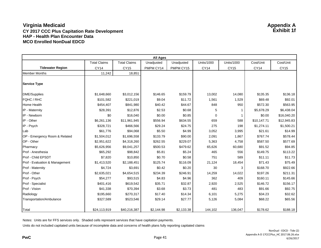|                                | <b>All Ages</b>     |                     |            |            |                   |                   |             |             |  |  |  |
|--------------------------------|---------------------|---------------------|------------|------------|-------------------|-------------------|-------------|-------------|--|--|--|
|                                | <b>Total Claims</b> | <b>Total Claims</b> | Unadjusted | Unadjusted | <b>Units/1000</b> | <b>Units/1000</b> | Cost/Unit   | Cost/Unit   |  |  |  |
| <b>Tidewater Region</b>        | <b>CY14</b>         | <b>CY15</b>         | PMPM CY14  | PMPM CY15  | <b>CY14</b>       | <b>CY15</b>       | <b>CY14</b> | CY15        |  |  |  |
| <b>Member Months</b>           | 11,242              | 18,851              |            |            |                   |                   |             |             |  |  |  |
| <b>Service Type</b>            |                     |                     |            |            |                   |                   |             |             |  |  |  |
| <b>DME/Supplies</b>            | \$1,648,660         | \$3,012,156         | \$146.65   | \$159.79   | 13,002            | 14,080            | \$135.35    | \$136.18    |  |  |  |
| FQHC / RHC                     | \$101,582           | \$221,019           | \$9.04     | \$11.72    | 1,561             | 1,529             | \$69.48     | \$92.01     |  |  |  |
| Home Health                    | \$454,407           | \$841,980           | \$40.42    | \$44.67    | 848               | 950               | \$572.30    | \$563.95    |  |  |  |
| IP - Maternity                 | \$28,391            | \$12,876            | \$2.53     | \$0.68     | 5                 |                   | \$5,678.29  | \$6,438.04  |  |  |  |
| IP - Newborn                   | \$0                 | \$16,040            | \$0.00     | \$0.85     | $\mathbf 0$       | -1                | \$0.00      | \$16,040.20 |  |  |  |
| IP - Other                     | \$6,261,136         | \$11,961,945        | \$556.94   | \$634.55   | 659               | 588               | \$10,147.71 | \$12,945.83 |  |  |  |
| IP - Psych                     | \$328,721           | \$466,566           | \$29.24    | \$24.75    | 275               | 198               | \$1,274.11  | \$1,500.21  |  |  |  |
| Lab                            | \$61,776            | \$94,068            | \$5.50     | \$4.99     | 3,052             | 3,995             | \$21.61     | \$14.99     |  |  |  |
| OP - Emergency Room & Related  | \$1,504,012         | \$1,696,558         | \$133.79   | \$90.00    | 2,091             | 1,867             | \$767.74    | \$578.44    |  |  |  |
| OP - Other                     | \$2,951,622         | \$4,318,260         | \$262.55   | \$229.07   | 5,363             | 4,758             | \$587.50    | \$577.69    |  |  |  |
| Pharmacy                       | \$5,626,956         | \$9,041,257         | \$500.53   | \$479.62   | 65,626            | 60,680            | \$91.52     | \$94.85     |  |  |  |
| Prof - Anesthesia              | \$65,292            | \$98,842            | \$5.81     | \$5.24     | 465               | 556               | \$149.75    | \$113.22    |  |  |  |
| <b>Prof - Child EPSDT</b>      | \$7,820             | \$10,850            | \$0.70     | \$0.58     | 751               | 589               | \$11.11     | \$11.73     |  |  |  |
| Prof - Evaluation & Management | \$1,413,520         | \$2,188,451         | \$125.74   | \$116.09   | 21,124            | 18,454            | \$71.43     | \$75.49     |  |  |  |
| Prof - Maternity               | \$4,724             | \$3,691             | \$0.42     | \$0.20     | 30                | 3                 | \$168.70    | \$922.66    |  |  |  |
| Prof - Other                   | \$2,635,021         | \$4,654,515         | \$234.39   | \$246.91   | 14,259            | 14,022            | \$197.26    | \$211.31    |  |  |  |
| Prof - Psych                   | \$54,277            | \$93,515            | \$4.83     | \$4.96     | 362               | 409               | \$160.11    | \$145.66    |  |  |  |
| Prof - Specialist              | \$401,416           | \$619,542           | \$35.71    | \$32.87    | 2,920             | 2,525             | \$146.72    | \$156.17    |  |  |  |
| Prof - Vision                  | \$41,338            | \$70,394            | \$3.68     | \$3.73     | 481               | 483               | \$91.66     | \$92.75     |  |  |  |
| Radiology                      | \$195,660           | \$270,317           | \$17.40    | \$14.34    | 6,101             | 5,275             | \$34.23     | \$32.62     |  |  |  |
| Transportation/Ambulance       | \$327,589           | \$523,546           | \$29.14    | \$27.77    | 5,126             | 5,084             | \$68.22     | \$65.56     |  |  |  |
| Total                          | \$24,113,919        | \$40,216,387        | \$2,144.98 | \$2,133.38 | 144,102           | 136,047           | \$178.62    | \$188.18    |  |  |  |

Notes: Units are for FFS services only. Shaded cells represent services that have capitation payments.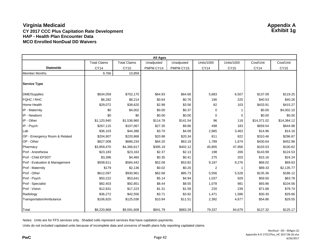| <b>All Ages</b>                |                     |                     |            |            |                   |                   |             |             |  |  |  |
|--------------------------------|---------------------|---------------------|------------|------------|-------------------|-------------------|-------------|-------------|--|--|--|
|                                | <b>Total Claims</b> | <b>Total Claims</b> | Unadjusted | Unadjusted | <b>Units/1000</b> | <b>Units/1000</b> | Cost/Unit   | Cost/Unit   |  |  |  |
| <b>Statewide</b>               | <b>CY14</b>         | <b>CY15</b>         | PMPM CY14  | PMPM CY15  | <b>CY14</b>       | CY15              | <b>CY14</b> | <b>CY15</b> |  |  |  |
| <b>Member Months</b>           | 9,766               | 10,859              |            |            |                   |                   |             |             |  |  |  |
| <b>Service Type</b>            |                     |                     |            |            |                   |                   |             |             |  |  |  |
| DME/Supplies                   | \$634,059           | \$702,170           | \$64.93    | \$64.66    | 5,683             | 6,507             | \$137.09    | \$119.25    |  |  |  |
| FQHC / RHC                     | \$6,282             | \$8,214             | \$0.64     | \$0.76     | 190               | 225               | \$40.53     | \$40.26     |  |  |  |
| Home Health                    | \$29,072            | \$38,620            | \$2.98     | \$3.56     | 82                | 103               | \$433.91    | \$415.27    |  |  |  |
| IP - Maternity                 | \$0                 | \$4,002             | \$0.00     | \$0.37     | 0                 |                   | \$0.00      | \$4,002.10  |  |  |  |
| IP - Newborn                   | \$0                 | \$0                 | \$0.00     | \$0.00     | $\Omega$          | 0                 | \$0.00      | \$0.00      |  |  |  |
| IP - Other                     | \$1,120,940         | \$1,536,960         | \$114.78   | \$141.54   | 96                | 118               | \$14,371.02 | \$14,364.12 |  |  |  |
| IP - Psych                     | \$267,115           | \$107,067           | \$27.35    | \$9.86     | 498               | 183               | \$659.54    | \$644.98    |  |  |  |
| Lab                            | \$36,103            | \$44,386            | \$3.70     | \$4.09     | 2,965             | 3,463             | \$14.96     | \$14.16     |  |  |  |
| OP - Emergency Room & Related  | \$204,907           | \$220,868           | \$20.98    | \$20.34    | 811               | 822               | \$310.46    | \$296.87    |  |  |  |
| OP - Other                     | \$627,008           | \$686,234           | \$64.20    | \$63.19    | 1,789             | 1,674             | \$430.64    | \$452.96    |  |  |  |
| Pharmacy                       | \$3,859,470         | \$4,366,617         | \$395.19   | \$402.12   | 45,805            | 47,956            | \$103.53    | \$100.62    |  |  |  |
| Prof - Anesthesia              | \$23,183            | \$23,163            | \$2.37     | \$2.13     | 198               | 206               | \$143.99    | \$124.53    |  |  |  |
| Prof - Child EPSDT             | \$3,396             | \$4,460             | \$0.35     | \$0.41     | 275               | 203               | \$15.16     | \$24.24     |  |  |  |
| Prof - Evaluation & Management | \$508,611           | \$584,442           | \$52.08    | \$53.82    | 9,187             | 9,276             | \$68.02     | \$69.63     |  |  |  |
| Prof - Maternity               | \$179               | \$2,136             | \$0.02     | \$0.20     | $\overline{2}$    | -1                | \$89.33     | \$2,135.77  |  |  |  |
| Prof - Other                   | \$612,097           | \$930,961           | \$62.68    | \$85.73    | 5,556             | 5,528             | \$135.36    | \$186.12    |  |  |  |
| Prof - Psych                   | \$50,222            | \$53,641            | \$5.14     | \$4.94     | 1,037             | 929               | \$59.50     | \$63.78     |  |  |  |
| Prof - Specialist              | \$82,403            | \$92,851            | \$8.44     | \$8.55     | 1,078             | 981               | \$93.96     | \$104.56    |  |  |  |
| Prof - Vision                  | \$12,831            | \$17,223            | \$1.31     | \$1.59     | 220               | 239               | \$71.68     | \$79.74     |  |  |  |
| Radiology                      | \$36,272            | \$42,556            | \$3.71     | \$3.92     | 1,471             | 1,586             | \$30.30     | \$29.66     |  |  |  |
| Transportation/Ambulance       | \$106,820           | \$125,036           | \$10.94    | \$11.51    | 2,392             | 4,677             | \$54.86     | \$29.55     |  |  |  |
| <b>Total</b>                   | \$8,220,968         | \$9,591,608         | \$841.79   | \$883.29   | 79,337            | 84,679            | \$127.32    | \$125.17    |  |  |  |

Notes: Units are for FFS services only. Shaded cells represent services that have capitation payments.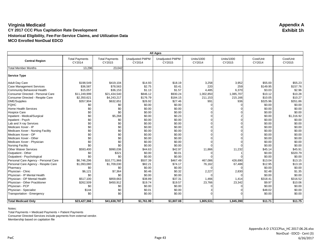|                                      | <b>All Ages</b>                 |                                 |                                  |                                  |                             |                             |                     |                     |  |  |
|--------------------------------------|---------------------------------|---------------------------------|----------------------------------|----------------------------------|-----------------------------|-----------------------------|---------------------|---------------------|--|--|
| <b>Central Region</b>                | <b>Total Payments</b><br>CY2014 | <b>Total Payments</b><br>CY2015 | <b>Unadjusted PMPM</b><br>CY2014 | <b>Unadjusted PMPM</b><br>CY2015 | <b>Units/1000</b><br>CY2014 | <b>Units/1000</b><br>CY2015 | Cost/Unit<br>CY2014 | Cost/Unit<br>CY2015 |  |  |
| <b>Total Member Months</b>           | 13,296                          | 23,042                          |                                  |                                  |                             |                             |                     |                     |  |  |
| <b>Service Type</b>                  |                                 |                                 |                                  |                                  |                             |                             |                     |                     |  |  |
| <b>Adult Day Care</b>                | \$198,549                       | \$419,104                       | \$14.93                          | \$18.19                          | 3,258                       | 3,952                       | \$55.00             | \$55.23             |  |  |
| <b>Case Management Services</b>      | \$36,587                        | \$78,563                        | \$2.75                           | \$3.41                           | 220                         | 259                         | \$149.95            | \$157.76            |  |  |
| Community Behavioral Health          | \$15,057                        | \$36,153                        | \$1.13                           | \$1.57                           | 4,485                       | 6,370                       | \$3.03              | \$2.96              |  |  |
| Consumer Directed - Personal Care    | \$11,249,999                    | \$21,434,540                    | \$846.12                         | \$930.24                         | 1,002,850                   | 1,085,707                   | \$10.12             | \$10.28             |  |  |
| Consumer Directed - Respite Care     | \$2,350,621                     | \$4,243,217                     | \$176.79                         | \$184.15                         | 211,153                     | 215,166                     | \$10.05             | \$10.27             |  |  |
| DME/Supplies                         | \$357,904                       | \$632,651                       | \$26.92                          | \$27.46                          | 991                         | 936                         | \$325.96            | \$351.86            |  |  |
| <b>FQHC</b>                          | \$0                             | \$0                             | \$0.00                           | \$0.00                           |                             |                             | \$0.00              | \$0.00              |  |  |
| Home Health Services                 | \$0                             | \$0                             | \$0.00                           | \$0.00                           |                             |                             | \$0.00              | \$0.00              |  |  |
| <b>Hospice Care</b>                  | \$0                             | \$0                             | \$0.00                           | \$0.00                           |                             |                             | \$0.00              | \$0.00              |  |  |
| Inpatient - Medical/Surgical         | \$0                             | \$5,268                         | \$0.00                           | \$0.23                           |                             |                             | \$0.00              | \$1,316.92          |  |  |
| Inpatient - Psych                    | \$0                             | \$0                             | \$0.00                           | \$0.00                           |                             |                             | \$0.00              | \$0.00              |  |  |
| Lab and X-ray Services               | \$0                             | \$0                             | \$0.00                           | \$0.00                           |                             |                             | \$0.00              | \$0.00              |  |  |
| Medicare Xover - IP                  | \$0                             | \$0                             | \$0.00                           | \$0.00                           |                             |                             | \$0.00              | \$0.00              |  |  |
| Medicare Xover - Nursing Facility    | \$0                             | \$0                             | \$0.00                           | \$0.00                           |                             |                             | \$0.00              | \$0.00              |  |  |
| Medicare Xover - OP                  | \$0                             | \$0                             | \$0.00                           | \$0.00                           |                             |                             | \$0.00              | \$0.00              |  |  |
| Medicare Xover - Other               | \$0                             | \$0                             | \$0.00                           | \$0.00                           |                             |                             | \$0.00              | \$0.00              |  |  |
| Medicare Xover - Physician           | \$0                             | \$0                             | \$0.00                           | \$0.00                           |                             |                             | \$0.00              | \$0.00              |  |  |
| <b>Nursing Facility</b>              | \$0                             | \$0                             | \$0.00                           | \$0.00                           |                             |                             | \$0.00              | \$0.00              |  |  |
| <b>Other Waiver Services</b>         | \$593,400                       | \$990,036                       | \$44.63                          | \$42.97                          | 11,866                      | 11,232                      | \$45.14             | \$45.91             |  |  |
| Outpatient - Other                   | \$0                             | \$321                           | \$0.00                           | \$0.01                           |                             |                             | \$0.00              | \$320.79            |  |  |
| Outpatient - Psychological           | \$0                             | \$0                             | \$0.00                           | \$0.00                           |                             |                             | \$0.00              | \$0.00              |  |  |
| Personal Care Agency - Personal Care | \$6,746,296                     | \$10,771,966                    | \$507.39                         | \$467.49                         | 467,086                     | 426,690                     | \$13.04             | \$13.15             |  |  |
| Personal Care Agency - Respite Care  | \$1,093,080                     | \$1,709,030                     | \$82.21                          | \$74.17                          | 76,162                      | 67,488                      | \$12.95             | \$13.19             |  |  |
| Pharmacy                             | \$0                             | \$0                             | \$0.00                           | \$0.00                           |                             |                             | \$0.00              | \$0.00              |  |  |
| Physician - Clinic                   | \$6,121                         | \$7,364                         | \$0.46                           | \$0.32                           | 2,227                       | 2,830                       | \$2.48              | \$1.35              |  |  |
| Physician - IP Mental Health         | \$0                             | \$0                             | \$0.00                           | \$0.00                           |                             |                             | \$0.00              | \$0.00              |  |  |
| Physician - OP Mental Health         | \$517,100                       | \$859,663                       | \$38.89                          | \$37.31                          | 1,466                       | 1,414                       | \$318.41            | \$316.52            |  |  |
| Physician - Other Practitioner       | \$262,509                       | \$450,912                       | \$19.74                          | \$19.57                          | 23,766                      | 23,342                      | \$9.97              | \$10.06             |  |  |
| Physician - PCP                      | \$0                             | \$0                             | \$0.00                           | \$0.00                           |                             |                             | \$0.00              | \$0.00              |  |  |
| Physician - Specialist               | \$144                           | \$0                             | \$0.01                           | \$0.00                           |                             |                             | \$48.02             | \$0.00              |  |  |
| Transportation - Emergency           | \$0                             | \$0                             | \$0.00                           | \$0.00                           |                             |                             | \$0.00              | \$0.00              |  |  |
|                                      |                                 |                                 |                                  |                                  |                             |                             |                     |                     |  |  |
| <b>Total Medicaid Only</b>           | \$23,427,366                    | \$41,638,787                    | \$1,761.99                       | \$1,807.08                       | 1,805,531                   | 1,845,390                   | \$11.71             | \$11.75             |  |  |

Notes:

Total Payments = Medicaid Payments + Patient Payments

Consumer Directed Services include payments from external vendor.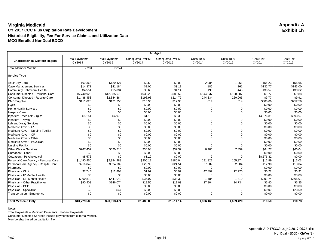|                                       | <b>All Ages</b>                 |                                 |                                  |                                  |                             |                      |                     |                     |  |  |
|---------------------------------------|---------------------------------|---------------------------------|----------------------------------|----------------------------------|-----------------------------|----------------------|---------------------|---------------------|--|--|
| <b>Charlottesville Western Region</b> | <b>Total Payments</b><br>CY2014 | <b>Total Payments</b><br>CY2015 | <b>Unadjusted PMPM</b><br>CY2014 | <b>Unadjusted PMPM</b><br>CY2015 | <b>Units/1000</b><br>CY2014 | Units/1000<br>CY2015 | Cost/Unit<br>CY2014 | Cost/Unit<br>CY2015 |  |  |
| <b>Total Member Months</b>            | 7,231                           | 13,244                          |                                  |                                  |                             |                      |                     |                     |  |  |
| <b>Service Type</b>                   |                                 |                                 |                                  |                                  |                             |                      |                     |                     |  |  |
| <b>Adult Day Care</b>                 | \$69,368                        | \$120,427                       | \$9.59                           | \$9.09                           | 2,084                       | 1,961                | \$55.23             | \$55.65             |  |  |
| <b>Case Management Services</b>       | \$14,871                        | \$41,184                        | \$2.06                           | \$3.11                           | 186                         | 261                  | \$132.77            | \$143.00            |  |  |
| <b>Community Behavioral Health</b>    | \$4,551                         | \$15,034                        | \$0.63                           | \$1.14                           | 196                         | 445                  | \$38.57             | \$30.62             |  |  |
| Consumer Directed - Personal Care     | \$6,740,923                     | \$12,985,973                    | \$932.23                         | \$980.52                         | 1,144,937                   | 1,190,987            | \$9.77              | \$9.88              |  |  |
| Consumer Directed - Respite Care      | \$1,438,453                     | \$2,844,384                     | \$198.93                         | \$214.77                         | 244,334                     | 260,065              | \$9.77              | \$9.91              |  |  |
| <b>DME/Supplies</b>                   | \$111,020                       | \$171,256                       | \$15.35                          | \$12.93                          | 614                         | 614                  | \$300.06            | \$252.59            |  |  |
| <b>FQHC</b>                           | \$0                             | \$0                             | \$0.00                           | \$0.00                           |                             |                      | \$0.00              | \$0.00              |  |  |
| <b>Home Health Services</b>           | \$0                             | \$0                             | \$0.00                           | \$0.00                           |                             |                      | \$0.00              | \$0.00              |  |  |
| <b>Hospice Care</b>                   | \$0                             | \$0                             | \$0.00                           | \$0.00                           |                             |                      | \$0.00              | \$0.00              |  |  |
| Inpatient - Medical/Surgical          | \$8,154                         | \$4,970                         | \$1.13                           | \$0.38                           |                             |                      | \$4,076.81          | \$993.97            |  |  |
| Inpatient - Psych                     | \$0                             | \$0                             | \$0.00                           | \$0.00                           |                             |                      | \$0.00              | \$0.00              |  |  |
| Lab and X-ray Services                | \$0                             | \$0                             | \$0.00                           | \$0.00                           |                             |                      | \$0.00              | \$0.00              |  |  |
| Medicare Xover - IP                   | \$0                             | \$0                             | \$0.00                           | \$0.00                           |                             |                      | \$0.00              | \$0.00              |  |  |
| Medicare Xover - Nursing Facility     | \$0                             | \$0                             | \$0.00                           | \$0.00                           |                             |                      | \$0.00              | \$0.00              |  |  |
| Medicare Xover - OP                   | \$0                             | \$0                             | \$0.00                           | \$0.00                           |                             |                      | \$0.00              | \$0.00              |  |  |
| Medicare Xover - Other                | \$0                             | \$0                             | \$0.00                           | \$0.00                           |                             |                      | \$0.00              | \$0.00              |  |  |
| Medicare Xover - Physician            | \$0                             | \$0                             | \$0.00                           | \$0.00                           |                             |                      | \$0.00              | \$0.00              |  |  |
| <b>Nursing Facility</b>               | \$0                             | \$0                             | \$0.00                           | \$0.00                           |                             |                      | \$0.00              | \$0.00              |  |  |
| <b>Other Waiver Services</b>          | \$267,407                       | \$520,810                       | \$36.98                          | \$39.32                          | 6,905                       | 7,859                | \$64.27             | \$60.04             |  |  |
| Outpatient - Other                    | \$0                             | \$0                             | \$0.00                           | \$0.00                           |                             |                      | \$0.00              | \$0.00              |  |  |
| Outpatient - Psychological            | \$8,576                         | \$0                             | \$1.19                           | \$0.00                           |                             |                      | \$8,576.32          | \$0.00              |  |  |
| Personal Care Agency - Personal Care  | \$1,490,456                     | \$2,384,488                     | \$206.12                         | \$180.04                         | 191,827                     | 165,874              | \$12.89             | \$13.03             |  |  |
| Personal Care Agency - Respite Care   | \$216,842                       | \$324,982                       | \$29.99                          | \$24.54                          | 27,902                      | 22,584               | \$12.90             | \$13.04             |  |  |
| Pharmacy                              | \$0                             | \$0                             | \$0.00                           | \$0.00                           |                             |                      | \$0.00              | \$0.00              |  |  |
| Physician - Clinic                    | \$7,745                         | \$12,803                        | \$1.07                           | \$0.97                           | 47,892                      | 12,720               | \$0.27              | \$0.91              |  |  |
| Physician - IP Mental Health          | \$0                             | \$0                             | \$0.00                           | \$0.00                           |                             |                      | \$0.00              | \$0.00              |  |  |
| Physician - OP Mental Health          | \$260,812                       | \$441,042                       | \$36.07                          | \$33.30                          | 1,484                       | 1,310                | \$291.74            | \$305.01            |  |  |
| Physician - Other Practitioner        | \$90,408                        | \$146,074                       | \$12.50                          | \$11.03                          | 27,804                      | 24,734               | \$5.40              | \$5.35              |  |  |
| Physician - PCP                       | \$0                             | \$0                             | \$0.00                           | \$0.00                           |                             |                      | \$0.00              | \$0.00              |  |  |
| Physician - Specialist                | \$0                             | \$47                            | \$0.00                           | \$0.00                           |                             |                      | \$0.00              | \$23.59             |  |  |
| Transportation - Emergency            | \$0                             | \$0                             | \$0.00                           | \$0.00                           |                             |                      | \$0.00              | \$0.00              |  |  |
|                                       |                                 |                                 |                                  |                                  |                             |                      |                     |                     |  |  |
| <b>Total Medicaid Only</b>            | \$10,729,585                    | \$20,013,474                    | \$1,483.83                       | \$1,511.14                       | 1,696,169                   | 1,689,420            | \$10.50             | \$10.73             |  |  |

Notes:

Total Payments = Medicaid Payments + Patient Payments

Consumer Directed Services include payments from external vendor.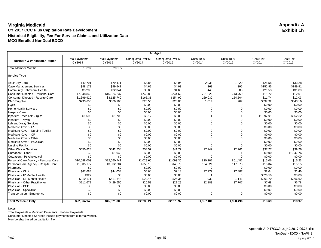| <b>All Ages</b>                      |                                 |                                 |                                  |                                  |                             |                             |                     |                     |  |  |  |
|--------------------------------------|---------------------------------|---------------------------------|----------------------------------|----------------------------------|-----------------------------|-----------------------------|---------------------|---------------------|--|--|--|
| Northern & Winchester Region         | <b>Total Payments</b><br>CY2014 | <b>Total Payments</b><br>CY2015 | <b>Unadjusted PMPM</b><br>CY2014 | <b>Unadjusted PMPM</b><br>CY2015 | <b>Units/1000</b><br>CY2014 | <b>Units/1000</b><br>CY2015 | Cost/Unit<br>CY2014 | Cost/Unit<br>CY2015 |  |  |  |
| <b>Total Member Months</b>           | 10,283                          | 20,177                          |                                  |                                  |                             |                             |                     |                     |  |  |  |
| <b>Service Type</b>                  |                                 |                                 |                                  |                                  |                             |                             |                     |                     |  |  |  |
| <b>Adult Day Care</b>                | \$49,791                        | \$79.471                        | \$4.84                           | \$3.94                           | 2,033                       | 1,420                       | \$28.58             | \$33.28             |  |  |  |
| <b>Case Management Services</b>      | \$48,178                        | \$99,541                        | \$4.69                           | \$4.93                           | 368                         | 395                         | \$152.95            | \$149.91            |  |  |  |
| Community Behavioral Health          | \$8,203                         | \$32,341                        | \$0.80                           | \$1.60                           | 445                         | 603                         | \$21.53             | \$31.89             |  |  |  |
| Consumer Directed - Personal Care    | \$7,648,845                     | \$15,024,237                    | \$743.83                         | \$744.62                         | 761,926                     | 743,750                     | \$11.72             | \$12.01             |  |  |  |
| Consumer Directed - Respite Care     | \$1,699,920                     | \$3,125,740                     | \$165.31                         | \$154.92                         | 169,032                     | 154,504                     | \$11.74             | \$12.03             |  |  |  |
| <b>DME/Supplies</b>                  | \$293,656                       | \$566,108                       | \$28.56                          | \$28.06                          | 1,014                       | 967                         | \$337.92            | \$348.16            |  |  |  |
| <b>FQHC</b>                          | \$0                             | \$0                             | \$0.00                           | \$0.00                           |                             |                             | \$0.00              | \$0.00              |  |  |  |
| Home Health Services                 | \$0                             | \$0                             | \$0.00                           | \$0.00                           |                             |                             | \$0.00              | \$0.00              |  |  |  |
| <b>Hospice Care</b>                  | \$0                             | \$0                             | \$0.00                           | \$0.00                           |                             |                             | \$0.00              | \$0.00              |  |  |  |
| Inpatient - Medical/Surgical         | \$1,698                         | \$1,705                         | \$0.17                           | \$0.08                           |                             |                             | \$1,697.91          | \$852.32            |  |  |  |
| Inpatient - Psych                    | \$0                             | \$0                             | \$0.00                           | \$0.00                           |                             |                             | \$0.00              | \$0.00              |  |  |  |
| Lab and X-ray Services               | \$0                             | \$0                             | \$0.00                           | \$0.00                           |                             |                             | \$0.00              | \$0.00              |  |  |  |
| Medicare Xover - IP                  | \$0                             | \$0                             | \$0.00                           | \$0.00                           |                             |                             | \$0.00              | \$0.00              |  |  |  |
| Medicare Xover - Nursing Facility    | \$0                             | \$0                             | \$0.00                           | \$0.00                           |                             |                             | \$0.00              | \$0.00              |  |  |  |
| Medicare Xover - OP                  | \$0                             | \$0                             | \$0.00                           | \$0.00                           |                             |                             | \$0.00              | \$0.00              |  |  |  |
| Medicare Xover - Other               | \$0                             | \$0                             | \$0.00                           | \$0.00                           |                             |                             | \$0.00              | \$0.00              |  |  |  |
| Medicare Xover - Physician           | \$0                             | \$0                             | \$0.00                           | \$0.00                           |                             |                             | \$0.00              | \$0.00              |  |  |  |
| <b>Nursing Facility</b>              | \$0                             | \$0                             | \$0.00                           | \$0.00                           |                             |                             | \$0.00              | \$0.00              |  |  |  |
| <b>Other Waiver Services</b>         | \$550,823                       | \$842,838                       | \$53.57                          | \$41.77                          | 17,249                      | 12,761                      | \$37.27             | \$39.28             |  |  |  |
| Outpatient - Other                   | \$0                             | \$1,048                         | \$0.00                           | \$0.05                           |                             |                             | \$0.00              | \$1,047.76          |  |  |  |
| Outpatient - Psychological           | \$0                             | \$0                             | \$0.00                           | \$0.00                           |                             |                             | \$0.00              | \$0.00              |  |  |  |
| Personal Care Agency - Personal Care | \$10,588,003                    | \$22,060,741                    | \$1,029.66                       | \$1,093.36                       | 820,207                     | 861,481                     | \$15.06             | \$15.23             |  |  |  |
| Personal Care Agency - Respite Care  | \$1,605,177                     | \$3,002,204                     | \$156.10                         | \$148.79                         | 124,521                     | 117,878                     | \$15.04             | \$15.15             |  |  |  |
| Pharmacy                             | \$0                             | \$0                             | \$0.00                           | \$0.00                           |                             |                             | \$0.00              | \$0.00              |  |  |  |
| Physician - Clinic                   | \$47,684                        | \$44,033                        | \$4.64                           | \$2.18                           | 27,272                      | 17,887                      | \$2.04              | \$1.46              |  |  |  |
| Physician - IP Mental Health         | \$327                           | \$0                             | \$0.03                           | \$0.00                           |                             |                             | \$326.50            | \$0.00              |  |  |  |
| Physician - OP Mental Health         | \$210,171                       | \$511,643                       | \$20.44                          | \$25.36                          | 930                         | 1,141                       | \$263.70            | \$266.62            |  |  |  |
| Physician - Other Practitioner       | \$211,672                       | \$429,656                       | \$20.58                          | \$21.29                          | 32,183                      | 37,707                      | \$7.68              | \$6.78              |  |  |  |
| Physician - PCP                      | \$0                             | \$0                             | \$0.00                           | \$0.00                           |                             |                             | \$0.00              | \$0.00              |  |  |  |
| Physician - Specialist               | \$0                             | \$0                             | \$0.00                           | \$0.00                           |                             |                             | \$0.00              | \$0.00              |  |  |  |
| Transportation - Emergency           | \$0                             | \$0                             | \$0.00                           | \$0.00                           |                             |                             | \$0.00              | \$0.00              |  |  |  |
|                                      |                                 |                                 |                                  |                                  |                             |                             |                     |                     |  |  |  |
| <b>Total Medicaid Only</b>           | \$22,964,149                    | \$45,821,305                    | \$2,233.21                       | \$2,270.97                       | 1,957,181                   | 1,950,496                   | \$13.69             | \$13.97             |  |  |  |

Notes:

Total Payments = Medicaid Payments + Patient Payments

Consumer Directed Services include payments from external vendor.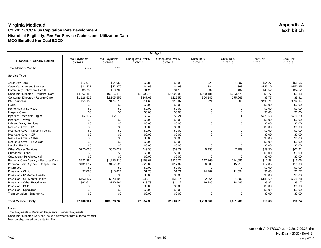| <b>All Ages</b>                      |                                 |                                 |                                  |                                  |                      |                             |                     |                     |  |  |  |
|--------------------------------------|---------------------------------|---------------------------------|----------------------------------|----------------------------------|----------------------|-----------------------------|---------------------|---------------------|--|--|--|
| Roanoke/Alleghany Region             | <b>Total Payments</b><br>CY2014 | <b>Total Payments</b><br>CY2015 | <b>Unadjusted PMPM</b><br>CY2014 | <b>Unadjusted PMPM</b><br>CY2015 | Units/1000<br>CY2014 | <b>Units/1000</b><br>CY2015 | Cost/Unit<br>CY2014 | Cost/Unit<br>CY2015 |  |  |  |
| <b>Total Member Months</b>           | 4,559                           | 9,253                           |                                  |                                  |                      |                             |                     |                     |  |  |  |
| Service Type                         |                                 |                                 |                                  |                                  |                      |                             |                     |                     |  |  |  |
| <b>Adult Day Care</b>                | \$12,915                        | \$64,665                        | \$2.83                           | \$6.99                           | 626                  | 1,507                       | \$54.27             | \$55.65             |  |  |  |
| <b>Case Management Services</b>      | \$21,331                        | \$42,870                        | \$4.68                           | \$4.63                           | 384                  | 368                         | \$146.10            | \$150.95            |  |  |  |
| Community Behavioral Health          | \$5,735                         | \$10,702                        | \$1.26                           | \$1.16                           | 332                  | 402                         | \$45.52             | \$34.52             |  |  |  |
| Consumer Directed - Personal Care    | \$4,562,455                     | \$9,316,840                     | \$1,000.76                       | \$1,006.90                       | 1,229,181            | 1,223,475                   | \$9.77              | \$9.88              |  |  |  |
| Consumer Directed - Respite Care     | \$1,128,922                     | \$2,105,655                     | \$247.62                         | \$227.56                         | 304,145              | 275,669                     | \$9.77              | \$9.91              |  |  |  |
| <b>DME/Supplies</b>                  | \$53,156                        | \$174,113                       | \$11.66                          | \$18.82                          | 321                  | 565                         | \$435.71            | \$399.34            |  |  |  |
| <b>FQHC</b>                          | \$0                             | \$0                             | \$0.00                           | \$0.00                           |                      |                             | \$0.00              | \$0.00              |  |  |  |
| Home Health Services                 | \$0                             | \$0                             | \$0.00                           | \$0.00                           |                      |                             | \$0.00              | \$0.00              |  |  |  |
| <b>Hospice Care</b>                  | \$0                             | \$0                             | \$0.00                           | \$0.00                           |                      |                             | \$0.00              | \$0.00              |  |  |  |
| Inpatient - Medical/Surgical         | \$2,177                         | \$2,179                         | \$0.48                           | \$0.24                           |                      |                             | \$725.58            | \$726.39            |  |  |  |
| Inpatient - Psych                    | \$0                             | \$0                             | \$0.00                           | \$0.00                           |                      |                             | \$0.00              | \$0.00              |  |  |  |
| Lab and X-ray Services               | \$0                             | \$0                             | \$0.00                           | \$0.00                           |                      |                             | \$0.00              | \$0.00              |  |  |  |
| Medicare Xover - IP                  | \$0                             | \$0                             | \$0.00                           | \$0.00                           |                      |                             | \$0.00              | \$0.00              |  |  |  |
| Medicare Xover - Nursing Facility    | \$0                             | \$0                             | \$0.00                           | \$0.00                           |                      |                             | \$0.00              | \$0.00              |  |  |  |
| Medicare Xover - OP                  | \$0                             | \$0                             | \$0.00                           | \$0.00                           |                      |                             | \$0.00              | \$0.00              |  |  |  |
| Medicare Xover - Other               | \$0                             | \$0                             | \$0.00                           | \$0.00                           |                      |                             | \$0.00              | \$0.00              |  |  |  |
| Medicare Xover - Physician           | \$0                             | \$0                             | \$0.00                           | \$0.00                           |                      |                             | \$0.00              | \$0.00              |  |  |  |
| <b>Nursing Facility</b>              | \$0                             | \$0                             | \$0.00                           | \$0.00                           |                      |                             | \$0.00              | \$0.00              |  |  |  |
| <b>Other Waiver Services</b>         | \$225,020                       | \$368,022                       | \$49.36                          | \$39.77                          | 9,955                | 7,709                       | \$59.50             | \$61.91             |  |  |  |
| Outpatient - Other                   | \$0                             | \$0                             | \$0.00                           | \$0.00                           |                      |                             | \$0.00              | \$0.00              |  |  |  |
| Outpatient - Psychological           | \$0                             | \$0                             | \$0.00                           | \$0.00                           |                      |                             | \$0.00              | \$0.00              |  |  |  |
| Personal Care Agency - Personal Care | \$723,364                       | \$1,255,816                     | \$158.67                         | \$135.72                         | 147,869              | 124,686                     | \$12.88             | \$13.06             |  |  |  |
| Personal Care Agency - Respite Care  | \$131,397                       | \$157,525                       | \$28.82                          | \$17.02                          | 26,909               | 15,718                      | \$12.85             | \$13.00             |  |  |  |
| Pharmacy                             | \$0                             | \$0                             | \$0.00                           | \$0.00                           |                      |                             | \$0.00              | \$0.00              |  |  |  |
| Physician - Clinic                   | \$7,880                         | \$15,824                        | \$1.73                           | \$1.71                           | 14,282               | 11,594                      | \$1.45              | \$1.77              |  |  |  |
| Physician - IP Mental Health         | \$0                             | \$0                             | \$0.00                           | \$0.00                           |                      |                             | \$0.00              | \$0.00              |  |  |  |
| Physician - OP Mental Health         | \$163,137                       | \$278,893                       | \$35.78                          | \$30.14                          | 2,264                | 1,606                       | \$189.69            | \$225.28            |  |  |  |
| Physician - Other Practitioner       | \$62,614                        | \$130,664                       | \$13.73                          | \$14.12                          | 16,785               | 18,486                      | \$9.82              | \$9.17              |  |  |  |
| Physician - PCP                      | \$0                             | \$0                             | \$0.00                           | \$0.00                           |                      |                             | \$0.00              | \$0.00              |  |  |  |
| Physician - Specialist               | \$0                             | \$0                             | \$0.00                           | \$0.00                           |                      |                             | \$0.00              | \$0.00              |  |  |  |
| Transportation - Emergency           | \$0                             | \$0                             | \$0.00                           | \$0.00                           |                      |                             | \$0.00              | \$0.00              |  |  |  |
| <b>Total Medicaid Only</b>           | \$7,100,104                     | \$13,923,768                    | \$1,557.38                       | \$1,504.78                       | 1,753,061            | 1,681,788                   | \$10.66             | \$10.74             |  |  |  |

Notes:

Total Payments = Medicaid Payments + Patient Payments

Consumer Directed Services include payments from external vendor.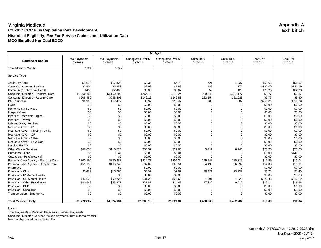| <b>All Ages</b>                      |                                 |                                 |                                  |                                  |                      |                             |                     |                     |  |  |
|--------------------------------------|---------------------------------|---------------------------------|----------------------------------|----------------------------------|----------------------|-----------------------------|---------------------|---------------------|--|--|
| <b>Southwest Region</b>              | <b>Total Payments</b><br>CY2014 | <b>Total Payments</b><br>CY2015 | <b>Unadjusted PMPM</b><br>CY2014 | <b>Unadjusted PMPM</b><br>CY2015 | Units/1000<br>CY2014 | <b>Units/1000</b><br>CY2015 | Cost/Unit<br>CY2014 | Cost/Unit<br>CY2015 |  |  |
| <b>Total Member Months</b>           | 1,398                           | 3,727                           |                                  |                                  |                      |                             |                     |                     |  |  |
| Service Type                         |                                 |                                 |                                  |                                  |                      |                             |                     |                     |  |  |
| <b>Adult Day Care</b>                | \$4,675                         | \$17,829                        | \$3.34                           | \$4.78                           | 721                  | 1,037                       | \$55.65             | \$55.37             |  |  |
| <b>Case Management Services</b>      | \$2,904                         | \$6,953                         | \$2.08                           | \$1.87                           | 189                  | 171                         | \$132.00            | \$131.19            |  |  |
| Community Behavioral Health          | \$452                           | \$2,488                         | \$0.32                           | \$0.67                           | 52                   | 129                         | \$75.26             | \$62.20             |  |  |
| Consumer Directed - Personal Care    | \$1,069,168                     | \$3,150,200                     | \$764.78                         | \$845.24                         | 939,345              | 1,027,177                   | \$9.77              | \$9.87              |  |  |
| Consumer Directed - Respite Care     | \$208,466                       | \$558,408                       | \$149.12                         | \$149.83                         | 183,154              | 181,538                     | \$9.77              | \$9.90              |  |  |
| DME/Supplies                         | \$8,926                         | \$57,479                        | \$6.39                           | \$15.42                          | 300                  | 589                         | \$255.04            | \$314.09            |  |  |
| <b>FQHC</b>                          | \$0                             | \$0                             | \$0.00                           | \$0.00                           |                      |                             | \$0.00              | \$0.00              |  |  |
| Home Health Services                 | \$0                             | \$0                             | \$0.00                           | \$0.00                           |                      |                             | \$0.00              | \$0.00              |  |  |
| <b>Hospice Care</b>                  | \$0                             | \$0                             | \$0.00                           | \$0.00                           |                      |                             | \$0.00              | \$0.00              |  |  |
| Inpatient - Medical/Surgical         | \$0                             | \$0                             | \$0.00                           | \$0.00                           |                      |                             | \$0.00              | \$0.00              |  |  |
| Inpatient - Psych                    | \$0                             | \$0                             | \$0.00                           | \$0.00                           |                      |                             | \$0.00              | \$0.00              |  |  |
| Lab and X-ray Services               | \$0                             | \$0                             | \$0.00                           | \$0.00                           |                      |                             | \$0.00              | \$0.00              |  |  |
| Medicare Xover - IP                  | \$0                             | \$0                             | \$0.00                           | \$0.00                           |                      |                             | \$0.00              | \$0.00              |  |  |
| Medicare Xover - Nursing Facility    | \$0                             | \$0                             | \$0.00                           | \$0.00                           |                      |                             | \$0.00              | \$0.00              |  |  |
| Medicare Xover - OP                  | \$0                             | \$0                             | \$0.00                           | \$0.00                           |                      |                             | \$0.00              | \$0.00              |  |  |
| Medicare Xover - Other               | \$0                             | \$0                             | \$0.00                           | \$0.00                           |                      |                             | \$0.00              | \$0.00              |  |  |
| Medicare Xover - Physician           | \$0                             | \$0                             | \$0.00                           | \$0.00                           |                      |                             | \$0.00              | \$0.00              |  |  |
| <b>Nursing Facility</b>              | \$0                             | \$0                             | \$0.00                           | \$0.00                           |                      |                             | \$0.00              | \$0.00              |  |  |
| <b>Other Waiver Services</b>         | \$46,654                        | \$110,526                       | \$33.37                          | \$29.66                          | 5,219                | 6,240                       | \$76.73             | \$57.03             |  |  |
| Outpatient - Other                   | \$0                             | \$147                           | \$0.00                           | \$0.04                           |                      |                             | \$0.00              | \$146.61            |  |  |
| Outpatient - Psychological           | \$0                             | \$0                             | \$0.00                           | \$0.00                           |                      |                             | \$0.00              | \$0.00              |  |  |
| Personal Care Agency - Personal Care | \$300,196                       | \$750,382                       | \$214.73                         | \$201.34                         | 199,948              | 185,319                     | \$12.89             | \$13.04             |  |  |
| Personal Care Agency - Respite Care  | \$51,755                        | \$106,242                       | \$37.02                          | \$28.51                          | 34,498               | 26,292                      | \$12.88             | \$13.01             |  |  |
| Pharmacy                             | \$0                             | \$0                             | \$0.00                           | \$0.00                           |                      |                             | \$0.00              | \$0.00              |  |  |
| Physician - Clinic                   | \$5,482                         | \$10,780                        | \$3.92                           | \$2.89                           | 26,421               | 23,752                      | \$1.78              | \$1.46              |  |  |
| Physician - IP Mental Health         | \$0                             | \$0                             | \$0.00                           | \$0.00                           |                      |                             | \$0.00              | \$0.00              |  |  |
| Physician - OP Mental Health         | \$43,622                        | \$99,223                        | \$31.20                          | \$26.62                          | 1,691                | 1,520                       | \$221.43            | \$210.22            |  |  |
| Physician - Other Practitioner       | \$30,568                        | \$53,977                        | \$21.87                          | \$14.48                          | 17,330               | 9,015                       | \$15.14             | \$19.28             |  |  |
| Physician - PCP                      | \$0                             | \$0                             | \$0.00                           | \$0.00                           |                      |                             | \$0.00              | \$0.00              |  |  |
| Physician - Specialist               | \$0                             | \$0                             | \$0.00                           | \$0.00                           |                      |                             | \$0.00              | \$0.00              |  |  |
| Transportation - Emergency           | \$0                             | \$0                             | \$0.00                           | \$0.00                           |                      |                             | \$0.00              | \$0.00              |  |  |
|                                      |                                 |                                 |                                  |                                  |                      |                             |                     |                     |  |  |
| <b>Total Medicaid Only</b>           | \$1,772,867                     | \$4,924,634                     | \$1,268.15                       | \$1,321.34                       | 1,408,868            | 1,462,782                   | \$10.80             | \$10.84             |  |  |

Notes:

Total Payments = Medicaid Payments + Patient Payments

Consumer Directed Services include payments from external vendor.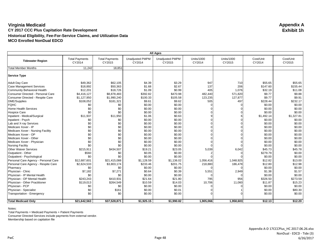| <b>All Ages</b>                      |                                 |                                 |                                  |                                  |                      |                             |                     |                     |  |  |  |
|--------------------------------------|---------------------------------|---------------------------------|----------------------------------|----------------------------------|----------------------|-----------------------------|---------------------|---------------------|--|--|--|
| <b>Tidewater Region</b>              | <b>Total Payments</b><br>CY2014 | <b>Total Payments</b><br>CY2015 | <b>Unadjusted PMPM</b><br>CY2014 | <b>Unadjusted PMPM</b><br>CY2015 | Units/1000<br>CY2014 | <b>Units/1000</b><br>CY2015 | Cost/Unit<br>CY2014 | Cost/Unit<br>CY2015 |  |  |  |
| <b>Total Member Months</b>           | 11,242                          | 18,851                          |                                  |                                  |                      |                             |                     |                     |  |  |  |
| Service Type                         |                                 |                                 |                                  |                                  |                      |                             |                     |                     |  |  |  |
| <b>Adult Day Care</b>                | \$49,362                        | \$62,105                        | \$4.39                           | \$3.29                           | 947                  | 710                         | \$55.65             | \$55.65             |  |  |  |
| <b>Case Management Services</b>      | \$18,892                        | \$50,363                        | \$1.68                           | \$2.67                           | 137                  | 206                         | \$147.60            | \$155.44            |  |  |  |
| Community Behavioral Health          | \$12,201                        | \$18,726                        | \$1.09                           | \$0.99                           | 405                  | 1,076                       | \$32.19             | \$11.08             |  |  |  |
| Consumer Directed - Personal Care    | \$4,416,127                     | \$8,878,483                     | \$392.82                         | \$470.98                         | 482,440              | 571,820                     | \$9.77              | \$9.88              |  |  |  |
| Consumer Directed - Respite Care     | \$1,127,950                     | \$1,990,240                     | \$100.33                         | \$105.58                         | 123,235              | 127,877                     | \$9.77              | \$9.91              |  |  |  |
| DME/Supplies                         | \$108,052                       | \$181,321                       | \$9.61                           | \$9.62                           | 505                  | 497                         | \$228.44            | \$232.17            |  |  |  |
| <b>FQHC</b>                          | \$0                             | \$0                             | \$0.00                           | \$0.00                           |                      |                             | \$0.00              | \$0.00              |  |  |  |
| Home Health Services                 | \$0                             | \$0                             | \$0.00                           | \$0.00                           |                      |                             | \$0.00              | \$0.00              |  |  |  |
| <b>Hospice Care</b>                  | \$0                             | \$0                             | \$0.00                           | \$0.00                           |                      |                             | \$0.00              | \$0.00              |  |  |  |
| Inpatient - Medical/Surgical         | \$11,937                        | \$11,950                        | \$1.06                           | \$0.63                           |                      |                             | \$1,492.14          | \$1,327.81          |  |  |  |
| Inpatient - Psych                    | \$0                             | \$0                             | \$0.00                           | \$0.00                           |                      |                             | \$0.00              | \$0.00              |  |  |  |
| Lab and X-ray Services               | \$0                             | \$0                             | \$0.00                           | \$0.00                           |                      |                             | \$0.00              | \$0.00              |  |  |  |
| Medicare Xover - IP                  | \$0                             | \$0                             | \$0.00                           | \$0.00                           |                      |                             | \$0.00              | \$0.00              |  |  |  |
| Medicare Xover - Nursing Facility    | \$0                             | \$0                             | \$0.00                           | \$0.00                           |                      |                             | \$0.00              | \$0.00              |  |  |  |
| Medicare Xover - OP                  | \$0                             | \$0                             | \$0.00                           | \$0.00                           |                      |                             | \$0.00              | \$0.00              |  |  |  |
| Medicare Xover - Other               | \$0                             | \$0                             | \$0.00                           | \$0.00                           |                      |                             | \$0.00              | \$0.00              |  |  |  |
| Medicare Xover - Physician           | \$0                             | \$0                             | \$0.00                           | \$0.00                           |                      |                             | \$0.00              | \$0.00              |  |  |  |
| <b>Nursing Facility</b>              | \$0                             | \$0                             | \$0.00                           | \$0.00                           |                      |                             | \$0.00              | \$0.00              |  |  |  |
| <b>Other Waiver Services</b>         | \$215,911                       | \$434,507                       | \$19.21                          | \$23.05                          | 5,039                | 6,042                       | \$45.73             | \$45.78             |  |  |  |
| Outpatient - Other                   | \$560                           | \$0                             | \$0.05                           | \$0.00                           |                      |                             | \$279.79            | \$0.00              |  |  |  |
| Outpatient - Psychological           | \$0                             | \$0                             | \$0.00                           | \$0.00                           |                      |                             | \$0.00              | \$0.00              |  |  |  |
| Personal Care Agency - Personal Care | \$12,687,601                    | \$21,415,088                    | \$1,128.59                       | \$1,136.02                       | 1,056,416            | 1,048,925                   | \$12.82             | \$13.00             |  |  |  |
| Personal Care Agency - Respite Care  | \$2,624,533                     | \$3,803,174                     | \$233.46                         | \$201.75                         | 218,880              | 186,478                     | \$12.80             | \$12.98             |  |  |  |
| Pharmacy                             | \$0                             | \$0                             | \$0.00                           | \$0.00                           |                      |                             | \$0.00              | \$0.00              |  |  |  |
| Physician - Clinic                   | \$7,182                         | \$7,271                         | \$0.64                           | \$0.39                           | 5,551                | 2,949                       | \$1.38              | \$1.57              |  |  |  |
| Physician - IP Mental Health         | \$0                             | \$0                             | \$0.00                           | \$0.00                           |                      |                             | \$0.00              | \$0.00              |  |  |  |
| Physician - OP Mental Health         | \$243,243                       | \$410,931                       | \$21.64                          | \$21.80                          | 795                  | 956                         | \$326.50            | \$273.59            |  |  |  |
| Physician - Other Practitioner       | \$119,013                       | \$264,549                       | \$10.59                          | \$14.03                          | 10,706               | 11,060                      | \$11.87             | \$15.23             |  |  |  |
| Physician - PCP                      | \$0                             | \$0                             | \$0.00                           | \$0.00                           |                      |                             | \$0.00              | \$0.00              |  |  |  |
| Physician - Specialist               | \$0                             | \$161                           | \$0.00                           | \$0.01                           |                      |                             | \$0.00              | \$80.30             |  |  |  |
| Transportation - Emergency           | \$0                             | \$0                             | \$0.00                           | \$0.00                           |                      |                             | \$0.00              | \$0.00              |  |  |  |
|                                      |                                 |                                 |                                  |                                  |                      |                             |                     |                     |  |  |  |
| <b>Total Medicaid Only</b>           | \$21,642,563                    | \$37,528,871                    | \$1,925.15                       | \$1,990.82                       | 1,905,066            | 1,958,603                   | \$12.13             | \$12.20             |  |  |  |

Notes:

Total Payments = Medicaid Payments + Patient Payments

Consumer Directed Services include payments from external vendor.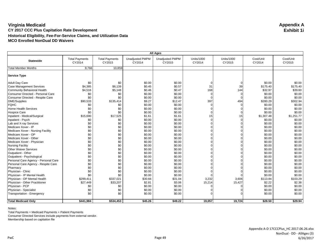| <b>All Ages</b>                      |                                 |                                 |                                  |                                  |                      |                             |                     |                     |  |  |  |
|--------------------------------------|---------------------------------|---------------------------------|----------------------------------|----------------------------------|----------------------|-----------------------------|---------------------|---------------------|--|--|--|
| <b>Statewide</b>                     | <b>Total Payments</b><br>CY2014 | <b>Total Payments</b><br>CY2015 | <b>Unadjusted PMPM</b><br>CY2014 | <b>Unadjusted PMPM</b><br>CY2015 | Units/1000<br>CY2014 | <b>Units/1000</b><br>CY2015 | Cost/Unit<br>CY2014 | Cost/Unit<br>CY2015 |  |  |  |
| <b>Total Member Months</b>           | 9,766                           | 10,859                          |                                  |                                  |                      |                             |                     |                     |  |  |  |
| <b>Service Type</b>                  |                                 |                                 |                                  |                                  |                      |                             |                     |                     |  |  |  |
| <b>Adult Day Care</b>                | \$0                             | \$0                             | \$0.00                           | \$0.00                           |                      |                             | \$0.00              | \$0.00              |  |  |  |
| <b>Case Management Services</b>      | \$4,385                         | \$6,139                         | \$0.45                           | \$0.57                           | 31                   | 39                          | \$175.40            | \$175.40            |  |  |  |
| Community Behavioral Health          | \$4,516                         | \$5,148                         | \$0.46                           | \$0.47                           | 168                  | 144                         | \$32.97             | \$39.60             |  |  |  |
| Consumer Directed - Personal Care    | \$0                             | \$0                             | \$0.00                           | \$0.00                           |                      | $\Omega$                    | \$0.00              | \$0.00              |  |  |  |
| Consumer Directed - Respite Care     | \$0                             | \$0                             | \$0.00                           | \$0.00                           |                      | ∩                           | \$0.00              | \$0.00              |  |  |  |
| DME/Supplies                         | \$90,533                        | \$135,414                       | \$9.27                           | \$12.47                          | 397                  | 494                         | \$280.29            | \$302.94            |  |  |  |
| <b>FQHC</b>                          | \$0                             | \$0                             | \$0.00                           | \$0.00                           |                      |                             | \$0.00              | \$0.00              |  |  |  |
| Home Health Services                 | \$0                             | \$0                             | \$0.00                           | \$0.00                           |                      |                             | \$0.00              | \$0.00              |  |  |  |
| <b>Hospice Care</b>                  | \$0                             | \$0                             | \$0.00                           | \$0.00                           |                      | O                           | \$0.00              | \$0.00              |  |  |  |
| Inpatient - Medical/Surgical         | \$15,690                        | \$17,525                        | \$1.61                           | \$1.61                           | 15                   | 15                          | \$1,307.48          | \$1,251.77          |  |  |  |
| Inpatient - Psych                    | \$0                             | \$0                             | \$0.00                           | \$0.00                           |                      |                             | \$0.00              | \$0.00              |  |  |  |
| Lab and X-ray Services               | \$0                             | \$0                             | \$0.00                           | \$0.00                           |                      |                             | \$0.00              | \$0.00              |  |  |  |
| Medicare Xover - IP                  | \$0                             | \$0                             | \$0.00                           | \$0.00                           |                      |                             | \$0.00              | \$0.00              |  |  |  |
| Medicare Xover - Nursing Facility    | \$0                             | \$0                             | \$0.00                           | \$0.00                           |                      |                             | \$0.00              | \$0.00              |  |  |  |
| Medicare Xover - OP                  | \$0                             | \$0                             | \$0.00                           | \$0.00                           |                      |                             | \$0.00              | \$0.00              |  |  |  |
| Medicare Xover - Other               | \$0                             | \$0                             | \$0.00                           | \$0.00                           |                      |                             | \$0.00              | \$0.00              |  |  |  |
| Medicare Xover - Physician           | \$0                             | \$0                             | \$0.00                           | \$0.00                           |                      |                             | \$0.00              | \$0.00              |  |  |  |
| <b>Nursing Facility</b>              | \$0                             | \$0                             | \$0.00                           | \$0.00                           |                      |                             | \$0.00              | \$0.00              |  |  |  |
| <b>Other Waiver Services</b>         | \$0                             | \$0                             | \$0.00                           | \$0.00                           |                      |                             | \$0.00              | \$0.00              |  |  |  |
| Outpatient - Other                   | \$0                             | \$0                             | \$0.00                           | \$0.00                           |                      |                             | \$0.00              | \$0.00              |  |  |  |
| Outpatient - Psychological           | \$0                             | \$0                             | \$0.00                           | \$0.00                           |                      |                             | \$0.00              | \$0.00              |  |  |  |
| Personal Care Agency - Personal Care | \$0                             | \$0                             | \$0.00                           | \$0.00                           |                      |                             | \$0.00              | \$0.00              |  |  |  |
| Personal Care Agency - Respite Care  | \$0                             | \$0                             | \$0.00                           | \$0.00                           |                      |                             | \$0.00              | \$0.00              |  |  |  |
| Pharmacy                             | \$0                             | \$0                             | \$0.00                           | \$0.00                           |                      |                             | \$0.00              | \$0.00              |  |  |  |
| Physician - Clinic                   | \$0                             | \$0                             | \$0.00                           | \$0.00                           |                      |                             | \$0.00              | \$0.00              |  |  |  |
| Physician - IP Mental Health         | \$0                             | \$0                             | \$0.00                           | \$0.00                           |                      |                             | \$0.00              | \$0.00              |  |  |  |
| Physician - OP Mental Health         | \$299,411                       | \$337,021                       | \$30.66                          | \$31.04                          | 3,232                | 3,606                       | \$113.84            | \$103.29            |  |  |  |
| Physician - Other Practitioner       | \$27,449                        | \$33,207                        | \$2.81                           | \$3.06                           | 15,214               | 15,427                      | \$2.22              | \$2.38              |  |  |  |
| Physician - PCP                      | \$0                             | \$0                             | \$0.00                           | \$0.00                           |                      |                             | \$0.00              | \$0.00              |  |  |  |
| Physician - Specialist               | \$0                             | \$0                             | \$0.00                           | \$0.00                           |                      |                             | \$0.00              | \$0.00              |  |  |  |
| Transportation - Emergency           | \$0                             | \$0                             | \$0.00                           | \$0.00                           |                      |                             | \$0.00              | \$0.00              |  |  |  |
|                                      |                                 |                                 |                                  |                                  |                      |                             |                     |                     |  |  |  |
| <b>Total Medicaid Only</b>           | \$441,984                       | \$534,453                       | \$45.26                          | \$49.22                          | 19,057               | 19,724                      | \$28.50             | \$29.94             |  |  |  |

Notes:

Total Payments = Medicaid Payments + Patient Payments

Consumer Directed Services include payments from external vendor.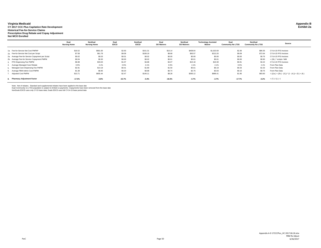#### **Virginia Medicaid Appendix B CY 2017 CCC Plus Capitation Rate Development Exhibit 2a Historical Fee-for-Service Claims Prescription Drug Rebate and Copay Adjustment Not MCO Enrolled**

|                                                  | Dual<br><b>Nursing Home</b> | NonDual<br><b>Nursing Home</b> | Dual<br><b>EDCD</b> | NonDual<br><b>EDCD</b> | Dual<br><b>DD Waivers</b> | NonDual<br><b>DD Waivers</b> | <b>Technology Assisted</b><br>Waiver | Dual<br><b>Community No LTSS</b> | NonDual<br><b>Community No LTSS</b> | <b>Source</b>                                         |
|--------------------------------------------------|-----------------------------|--------------------------------|---------------------|------------------------|---------------------------|------------------------------|--------------------------------------|----------------------------------|-------------------------------------|-------------------------------------------------------|
| 1a. Fee-for-Service Net Cost PMPM*               | \$16.52                     | \$681.00                       | \$2.93              | \$151.31               | \$10.14                   | \$408.04                     | \$1,023.59                           | \$2.36                           | \$86.35                             | CY14-15 FFS Invoices                                  |
| 1b. Fee-for-Service Net Cost per Script          | \$7.58                      | \$61.78                        | \$9.09              | \$108.19               | \$8.68                    | \$93.57                      | \$213.20                             | \$9.09                           | \$72.64                             | CY14-15 FFS Invoices                                  |
| 2a. Average Fee-for-Service Copayment per Script | \$0.02                      | \$0.03                         | \$0.01              | \$0.02                 | \$0.00                    | \$0.00                       | \$0.00                               | \$0.00                           | \$0.76                              | CY14-15 FFS Invoices                                  |
| 2b. Average Fee-for-Service Copayment PMPM       | \$0.04                      | \$0.30                         | \$0.00              | \$0.02                 | \$0.01                    | \$0.01                       | \$0.01                               | \$0.00                           | \$0.90                              | $=$ (2b.) $*$ scripts / MM                            |
| FFS Dispensing Fee PMPM                          | \$6.98                      | \$33.63                        | \$1.07              | \$4.88                 | \$4.07                    | \$15.18                      | \$15.59                              | \$0.91                           | \$4.22                              | CY14-15 FFS Invoices                                  |
| Average Managed Care Rebate                      | 0.5%                        | 2.1%                           | 0.5%                | 2.1%                   | 0.5%                      | 2.1%                         | 2.1%                                 | 0.5%                             | 2.1%                                | From Plan Data                                        |
| 5. Managed Care Dispensing Fee PMPM              | \$2.81                      | \$14.18                        | \$0.41              | \$1.80                 | \$1.50                    | \$5.61                       | <b>\$6.18</b>                        | \$0.33                           | \$1.53                              | From Plan Data                                        |
| 6. Average PBM Admin Cost PMPM                   | \$1.38                      | \$6.95                         | \$0.20              | \$0.88                 | \$0.74                    | \$2.75                       | \$3.03                               | \$0.16                           | \$0.75                              | From Plan Data                                        |
| <b>Adjusted Cost PMPM</b>                        | \$13.71                     | \$655.44                       | \$2.47              | \$146.11               | \$8.28                    | \$393.12                     | \$996.41                             | \$1.95                           | \$83.60                             | $= ((1a.) + (2b.) - (3.)) * (1 - (4.)) + (5.) + (6.)$ |
| 8. Pharmacy Adjustment Factor                    | $-17.0%$                    | $-3.8%$                        | $-15.7%$            | $-3.4%$                | $-18.3%$                  | $-3.7%$                      | $-2.7%$                              | $-17.7%$                         | $-3.2%$                             | $= (7.) / (1.) -1$                                    |

Note: Net of rebates. Standard and supplemental rebates have been applied to the base data<br>Dual Community no LTSS population is subject to limited co-payments. Copayments have been removed from the base data<br>NonDuals EDCD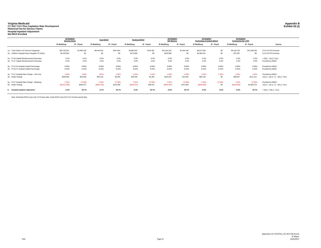## **Virginia Medicaid**<br>CY 2017 CCC Plus Capitation Rate Development<br>Historical Fee-for-Service Claims<br>Hospital Inpatient Adjustment<br>Hospital Inpatient Adjustment<br>Not MCO Enrolled

|                                                 | <b>All Eligibles</b><br><b>Nursing Home</b> |             | <b>Dual EDCD</b> |            | <b>NonDual EDCD</b> |            | <b>All Eligibles</b><br><b>DD Waivers</b> |             | <b>All Eligibles</b><br><b>Technology Assisted Waiver</b> |            | <b>All Eligibles</b><br><b>Community No LTSS</b> |              |                                          |  |
|-------------------------------------------------|---------------------------------------------|-------------|------------------|------------|---------------------|------------|-------------------------------------------|-------------|-----------------------------------------------------------|------------|--------------------------------------------------|--------------|------------------------------------------|--|
|                                                 | IP Med/Surg                                 | IP - Psych  | IP Med/Surg      | IP - Psych | IP Med/Surg         | IP - Psych | IP Med/Surg                               | IP - Psych  | IP Med/Sura                                               | IP - Psych | IP Med/Surg                                      | IP - Psych   | Source                                   |  |
| 1a. Total Claims in IP Service Categories       | \$53,763,057                                | \$1,980,158 | \$8,446,978      | \$547,604  | \$3,880,522         | \$155,481  | \$13,164,242                              | \$1,504,182 | \$8,677,954                                               | \$0        | \$6,164,706                                      | \$11,566,635 | CY14-15 FFS Invoices                     |  |
| 1b. Children Hospital King's Daughter IP Claims | \$2,429,292                                 | \$0         | \$0              | \$0        | \$174,839           | \$0        | \$316,989                                 | \$0         | \$1,904,221                                               | \$0        | \$70,255                                         | \$0          | CY14-15 FFS Invoices                     |  |
| 2a. FY16 Capital Reimbursement Decrease         | $-5.3%$                                     | $-5.3%$     | $-5.3%$          | $-5.3%$    | $-5.3%$             | $-5.3%$    | $-5.3%$                                   | $-5.3%$     | $-5.3%$                                                   | $-5.3%$    | $-5.3%$                                          | $-5.3%$      | $= ((3b.) - (3a.)) / (3a.)$              |  |
| 2b. FY17 Capital Reimbursement Decrease         | 0.0%                                        | 0.0%        | 0.0%             | 0.0%       | 0.0%                | 0.0%       | 0.0%                                      | 0.0%        | 0.0%                                                      | 0.0%       | 0.0%                                             | 0.0%         | Provided by DMAS                         |  |
| 3a. FY14-15 Hospital Capital Percentage         | 8.90%                                       | 8.90%       | 8.90%            | 8.90%      | 8.90%               | 8.90%      | 8.90%                                     | 8.90%       | 8.90%                                                     | 8.90%      | 8.90%                                            | 8.90%        | Provided by DMAS                         |  |
| 3b. FY16-17 Hospital Capital Percentage         | 8.43%                                       | 8.43%       | 8.43%            | 8.43%      | 8.43%               | 8.43%      | 8.43%                                     | 8.43%       | 8.43%                                                     | 8.43%      | 8.43%                                            | 8.43%        | Provided by DMAS                         |  |
| 4a. FY17 Hospital Rate Change - Unit Cost       | 1.05%                                       | 1.05%       | 1.05%            | 1.05%      | 1.05%               | 1.05%      | 1.05%                                     | 1.05%       | 1.05%                                                     | 1.05%      | 1.05%                                            | 1.05%        | Provided by DMAS                         |  |
| 4b. Dollar Change                               | \$493,566                                   | \$19,039    | \$81,216         | \$5,265    | \$35,630            | \$1,495    | \$123,524                                 | \$14,462    | \$65,128                                                  | \$0        | \$58,597                                         | \$111,211    | $=((1a.) - (1b.)) * (1 - (3b.)) * (4a.)$ |  |
| 5a. FY17 Hospital Rate Change - Rebasing        | $-7.25%$                                    | 27.00%      | $-7.25%$         | 27.00%     | $-7.25%$            | 27.00%     | $-7.25%$                                  | 27.00%      | $-7.25%$                                                  | 27.00%     | $-7.25%$                                         | 27.00%       | Provided by DMAS                         |  |
| 5b. Dollar Change                               | (S3,407,959)                                | \$489,572   | (S560, 780)      | \$135,389  | (\$246,014)         | \$38,441   | (\$852,907)                               | \$371,893   | (S449, 696)                                               | \$0        | (\$404,600)                                      | \$2,859,723  | $=((1a.) - (1b.)) * (1 - (3b.)) * (5a.)$ |  |
| <b>Hospital Inpatient Adjustmen</b>             | $-5.4%$                                     | 25.7%       | $-5.7%$          | 25.7%      | $-5.4%$             | 25.7%      | $-5.5%$                                   | 25.7%       | $-4.4%$                                                   | $0.0\%$    | $-5.6%$                                          | 25.7%        | $= ((4b.) + (5b.)) / (1a.)$              |  |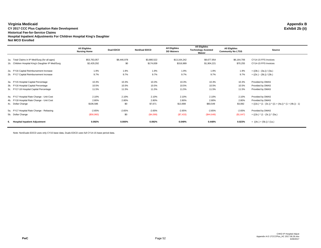**Virginia Medicaid Appendix B CY 2017 CCC Plus Capitation Rate Development Historical Fee-for-Service Claims Hospital Inpatient Adjustments For Children Hospital King's Daughter Not MCO Enrolled**

|                                                   | <b>All Eligibles</b><br><b>Nursing Home</b> | <b>Dual EDCD</b> | <b>NonDual EDCD</b> | <b>All Eligibles</b><br><b>DD Waivers</b> | All Eligibles<br><b>Technology Assisted</b><br>Waiver | <b>All Eligibles</b><br><b>Community No LTSS</b> | Source                                                      |
|---------------------------------------------------|---------------------------------------------|------------------|---------------------|-------------------------------------------|-------------------------------------------------------|--------------------------------------------------|-------------------------------------------------------------|
| 1a. Total Claims in IP Med/Surg (for all ages)    | \$53,763,057                                | \$8,446,978      | \$3,880,522         | \$13,164,242                              | \$8,677,954                                           | \$6,164,706                                      | CY14-15 FFS Invoices                                        |
|                                                   |                                             |                  |                     |                                           |                                                       |                                                  |                                                             |
| 1b. Children Hospital King's Daughter IP Med/Surg | \$2,429,292                                 | \$0              | \$174,839           | \$316,989                                 | \$1,904,221                                           | \$70,255                                         | CY14-15 FFS Invoices                                        |
| 2a. FY16 Capital Reimbursement Increase           | 1.9%                                        | 1.9%             | 1.9%                | 1.9%                                      | 1.9%                                                  | 1.9%                                             | $= ((3b.) - (3a.)) / (3a.)$                                 |
| 2b. FY17 Capital Reimbursement Increase           | 9.7%                                        | 9.7%             | 9.7%                | 9.7%                                      | 9.7%                                                  | 9.7%                                             | $= ((3c.) - (3b.)) / (3b.)$                                 |
| 3a. FY15 Hospital Capital Percentage              | 10.3%                                       | 10.3%            | 10.3%               | 10.3%                                     | 10.3%                                                 | 10.3%                                            | Provided by DMAS                                            |
| 3b. FY16 Hospital Capital Percentage              | 10.5%                                       | 10.5%            | 10.5%               | 10.5%                                     | 10.5%                                                 | 10.5%                                            | Provided by DMAS                                            |
| 3c. FY17-18 Hospital Capital Percentage           | 11.5%                                       | 11.5%            | 11.5%               | 11.5%                                     | 11.5%                                                 | 11.5%                                            | Provided by DMAS                                            |
| 4a. FY17 Hospital Rate Change - Unit Cost         | 2.10%                                       | 2.10%            | 2.10%               | 2.10%                                     | 2.10%                                                 | 2.10%                                            | Provided by DMAS                                            |
| 4b. FY18 Hospital Rate Change - Unit Cost         | 2.80%                                       | 2.80%            | 2.80%               | 2.80%                                     | 2.80%                                                 | 2.80%                                            | Provided by DMAS                                            |
| 4c. Dollar Change                                 | \$106,586                                   | \$0              | \$7,671             | \$13,908                                  | \$83,549                                              | \$3,082                                          | $= ((1b.) * (1 - (3c.)) * ((1 + (4a.)) * (1 + (4b.)) - 1))$ |
| 5a. FY17 Hospital Rate Change - Rebasing          | $-2.65%$                                    | $-2.65%$         | $-2.65%$            | $-2.65%$                                  | $-2.65%$                                              | $-2.65%$                                         | Provided by DMAS                                            |
| 5b. Dollar Change                                 | (\$56,960)                                  | \$0              | (\$4,099)           | (\$7,433)                                 | (S44, 649)                                            | (\$1,647)                                        | $= ((1b.) * (1 - (3c.)) * (5a.)$                            |
| 6. Hospital Inpatient Adjustment                  | 0.092%                                      | $0.000\%$        | 0.092%              | 0.049%                                    | 0.448%                                                | 0.023%                                           | $= ((4c.) + (5b.)) / (1a.)$                                 |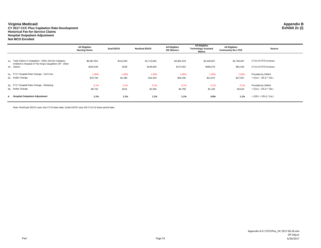#### **Virginia Medicaid Appendix B**

**CY 2017 CCC Plus Capitation Rate Development Exhibit 2c (i) Historical Fee-for-Service ClaimsHospital Outpatient Adjustment**

**Not MCO Enrolled**

|                                                                                                                   | <b>All Eligibles</b><br><b>Nursing Home</b> | <b>Dual EDCD</b> | <b>NonDual EDCD</b> | <b>All Eligibles</b><br><b>DD Waivers</b> | <b>All Eligibles</b><br><b>Technology Assisted</b><br>Waiver | <b>All Eligibles</b><br><b>Community No LTSS</b> | Source                      |
|-------------------------------------------------------------------------------------------------------------------|---------------------------------------------|------------------|---------------------|-------------------------------------------|--------------------------------------------------------------|--------------------------------------------------|-----------------------------|
|                                                                                                                   |                                             |                  |                     |                                           |                                                              |                                                  |                             |
| 1a. Total Claims in Outpatient - Other Service Category<br>Children's Hospital of The King's Daughters OP - Other | \$6,987,851                                 | \$141,063        | \$1,713,852         | \$4,881,619                               | \$1,639,567                                                  | \$2,706,007                                      | CY14-15 FFS Invoices        |
| 1b. Claims                                                                                                        | \$245,529                                   | \$150            | \$148,646           | \$173,562                                 | \$489,579                                                    | \$81,535                                         | CY14-15 FFS Invoices        |
| 2a. FY17 Hospital Rate Change - Unit Cost                                                                         | 1.05%                                       | 1.05%            | 1.05%               | 1.05%                                     | 1.05%                                                        | 1.05%                                            | Provided by DMAS            |
| 2b. Dollar Change                                                                                                 | \$70,794                                    | \$1,480          | \$16,435            | \$49,435                                  | \$12,075                                                     | \$27,557                                         | $= ((1a.) - (1b.)) * (2a.)$ |
| 3a. FY17 Hospital Rate Change - Rebasing                                                                          | 0.1%                                        | 0.1%             | 0.1%                | 0.1%                                      | 0.1%                                                         | 0.1%                                             | Provided by DMAS            |
| 3b. Dollar Change                                                                                                 | \$6,742                                     | \$141            | \$1,565             | \$4,708                                   | \$1,150                                                      | \$2,624                                          | $= ((1a.) - (1b.)) * (3a.)$ |
| 4. Hospital Outpatient Adjustment                                                                                 | 1.1%                                        | 1.1%             | 1.1%                | 1.1%                                      | 0.8%                                                         | 1.1%                                             | $= ((2b.) + (3b.)) / (1a.)$ |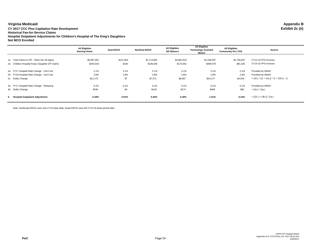**Virginia Medicaid Appendix B CY 2017 CCC Plus Capitation Rate Development Historical Fee-for-Service Claims Hospital Outpatient Adjustments for Children's Hospital of The King's Daughters Not MCO Enrolled**

|                                                 | <b>All Eligibles</b><br><b>Nursing Home</b> | <b>Dual EDCD</b> | <b>NonDual EDCD</b> | <b>All Eligibles</b><br><b>DD Waivers</b> | <b>All Eligibles</b><br><b>Technology Assisted</b><br>Waiver | <b>All Eligibles</b><br><b>Community No LTSS</b> | Source                                      |
|-------------------------------------------------|---------------------------------------------|------------------|---------------------|-------------------------------------------|--------------------------------------------------------------|--------------------------------------------------|---------------------------------------------|
|                                                 |                                             |                  |                     |                                           |                                                              |                                                  |                                             |
| 1a. Total Claims in OP - Other (for All Ages)   | \$6,987,851                                 | \$141,063        | \$1,713,852         | \$4,881,619                               | \$1,639,567                                                  | \$2,706,007                                      | CY14-15 FFS Invoices                        |
| 1b. Children Hospital King's Daughter OP Claims | \$245.529                                   | \$150            | \$148.646           | \$173,562                                 | \$489,579                                                    | \$81,535                                         | CY14-15 FFS Invoices                        |
| 2a. FY17 Hospital Rate Change - Unit Cost       | 2.1%                                        | 2.1%             | 2.1%                | 2.1%                                      | 2.1%                                                         | 2.1%                                             | Provided by DMAS                            |
| 2b. FY18 Hospital Rate Change - Unit Cost       | 2.8%                                        | 2.8%             | 2.8%                | 2.8%                                      | 2.8%                                                         | 2.8%                                             | Provided by DMAS                            |
| 2c. Dollar Change                               | \$12,175                                    | \$7              | \$7,371             | \$8,607                                   | \$24,277                                                     | \$4,043                                          | $=$ (1b.) $*(1 + (2a.)) * (1 + (2b.)) - 1)$ |
| 3a. FY17 Hospital Rate Change - Rebasing        | 0.1%                                        | 0.1%             | 0.1%                | 0.1%                                      | 0.1%                                                         | 0.1%                                             | Provided by DMAS                            |
| 3b. Dollar Change                               | \$246                                       | \$0              | \$149               | \$174                                     | \$490                                                        | \$82                                             | $=$ (1b.) $*$ (3a.)                         |
| <b>Hospital Outpatient Adjustment</b><br>4.     | 0.18%                                       | 0.01%            | 0.44%               | 0.18%                                     | 1.51%                                                        | 0.15%                                            | $= ((2c.) + (3b.)) / (1a.)$                 |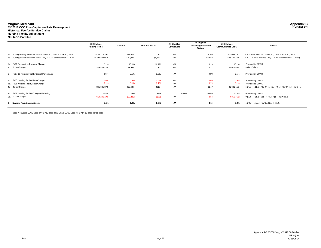# **Virginia Medicaid Appendix B CY 2017 CCC Plus Capitation Rate Development Exhibit 2d Historical Fee-for-Service Claims Nursing Facility Adjustment Not MCO Enrolled**

|                                                                         | <b>All Eligibles</b><br><b>Nursing Home</b> | <b>Dual EDCD</b> | <b>NonDual EDCD</b> | <b>All Eligibles</b><br><b>DD Waivers</b> | <b>All Eligibles</b><br><b>Technology Assisted</b><br>Waiver | <b>All Eligibles</b><br><b>Community No LTSS</b> | Source                                                                     |
|-------------------------------------------------------------------------|---------------------------------------------|------------------|---------------------|-------------------------------------------|--------------------------------------------------------------|--------------------------------------------------|----------------------------------------------------------------------------|
|                                                                         |                                             |                  |                     |                                           |                                                              |                                                  |                                                                            |
| 1a. Nursing Facility Service Claims - January 1, 2014 to June 30, 2014  | \$449,112,391                               | \$88,606         | \$0                 | N/A                                       | \$166                                                        | \$10,001,160                                     | CY14 FFS Invoices (January 1, 2014 to June 30, 2014)                       |
| 1b. Nursing Facility Service Claims - July 1, 2014 to December 31, 2015 | \$1,297,804,078                             | \$189,036        | \$8,760             | N/A                                       | \$6,588                                                      | \$33,734,757                                     | CY14-15 FFS Invoices (July 1, 2014 to December 31, 2015)                   |
| 2a. FY15 Prospective Payment Change                                     | 10.1%                                       | 10.1%            | 10.1%               | N/A                                       | 10.1%                                                        | 10.1%                                            | Provided by DMAS                                                           |
| 2b. Dollar Change                                                       | \$45,426,428                                | \$8,962          | \$0                 | N/A                                       | \$17                                                         | \$1,011,589                                      | $=$ (1a.) $*$ (2a.)                                                        |
| 3. FY17-18 Nursing Facility Capital Percentage                          | 9.5%                                        | 9.5%             | 9.5%                | N/A                                       | 9.5%                                                         | 9.5%                                             | Provided by DMAS                                                           |
| 4a. FY17 Nursing Facility Rate Change                                   | 0.9%                                        | 0.9%             | 0.9%                | N/A                                       | 0.9%                                                         | 0.9%                                             | Provided by DMAS                                                           |
| 4b. FY18 Nursing Facility Rate Change                                   | 3.1%                                        | 3.1%             | 3.1%                | N/A                                       | 3.1%                                                         | 3.1%                                             | Provided by DMAS                                                           |
| 4c. Dollar Change                                                       | \$65,335,370                                | \$10,447         | \$319               | N/A                                       | \$247                                                        | \$1,631,158                                      | $= ((1a.) + (1b.) + (2b.)) * (1 - (3.)) * ((1 + (4a.)) * (1 + (4b.)) - 1)$ |
| 5a. FY18 Nursing Facility Change - Rebasing                             | $-0.85%$                                    | $-0.85%$         | $-0.85%$            | $-0.85%$                                  | $-0.85%$                                                     | $-0.85%$                                         | Provided by DMAS                                                           |
| 5b. Dollar Change                                                       | (\$14,290,190)                              | (S2, 285)        | (S70)               | N/A                                       | (S54)                                                        | (\$356,768)                                      | $= ((1a.) + (1b.) + (2b.) + (4c.))* (1 - (3.))* (6a.)$                     |
| 6. Nursing Facility Adjustment                                          | 5.5%                                        | 6.2%             | 2.8%                | N/A                                       | 3.1%                                                         | 5.2%                                             | $= ((2b.) + (4c.) + (5b.)) / ((1a.) + (1b.))$                              |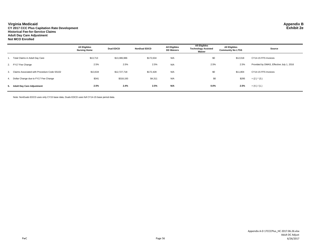#### **Virginia Medicaid Appendix B**

PwC

**CY 2017 CCC Plus Capitation Rate Development Exhibit 2e Historical Fee-for-Service Claims Adult Day Care Adjustment Not MCO Enrolled**

**All Eligibles Nursing Home Dual EDCD NonDual EDCD All Eligibles DD Waivers All Eligibles Technology Assisted Waiver All Eligibles Community No LTSS Source** 1. Total Claims in Adult Day Care \$13,713 \$13,386,986 \$172,634 N/A \$0 \$12,018 CY14-15 FFS Invoices 2. FY17 Fee Change 2.5% 2.5% 2.5% N/A 2.5% 2.5% Provided by DMAS, Effective July 1, 2016 3. Claims Associated with Procedure Code S5102 \$13,634 \$12,727,718 \$172,428 N/A \$0 \$11,804 CY14-15 FFS Invoices 4. Dollar Change due to FY17 Fee Change **3.31 5244** \$341 \$318,193 \$4,311 N/A \$0 \$295 = (2.) \* (3.) **5. Adult Day Care Adjustment 2.5% 2.4% 2.5% N/A 0.0% 2.5%** = (4.) / (1.)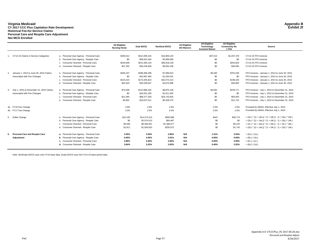#### **Virginia Medicaid Appendix B CY 2017 CCC Plus Capitation Rate Development Exhibit 2f Historical Fee-for-Service Claims Personal Care and Respite Care Adjustment Not MCO Enrolled**

|    |                                          |                                         | <b>All Eligibles</b><br><b>Nursing Home</b> | <b>Dual EDCD</b> | <b>NonDual EDCD</b> | <b>All Eligibles</b><br><b>DD Waivers</b> | <b>All Eligibles</b><br>Technology<br><b>Assisted Waiver</b> | <b>All Eligibles</b><br><b>Community No</b><br><b>LTSS</b> | <b>Source</b>                                                    |
|----|------------------------------------------|-----------------------------------------|---------------------------------------------|------------------|---------------------|-------------------------------------------|--------------------------------------------------------------|------------------------------------------------------------|------------------------------------------------------------------|
|    |                                          |                                         |                                             |                  |                     |                                           |                                                              |                                                            |                                                                  |
|    | CY14-15 Claims in Service Categories     | a. Personal Care Agency - Personal Care | \$355,012                                   | \$412,695,444    | \$16,900.120        |                                           | \$37,013                                                     | \$1,037,376                                                | CY14-15 FFS Invoices                                             |
|    |                                          | b. Personal Care Agency - Respite Care  | \$0                                         | \$59.922.494     | \$2,906,069         |                                           | \$0                                                          | \$0                                                        | CY14-15 FFS Invoices                                             |
|    |                                          | c. Consumer Directed - Personal Care    | \$245,908                                   | \$241,583,143    | \$46,818,148        |                                           | \$0                                                          | \$253,920                                                  | CY14-15 FFS Invoices                                             |
|    |                                          | d. Consumer Directed - Respite Care     | \$47,202                                    | \$45,246,659     | \$9,004,168         |                                           | \$0                                                          | \$49,565                                                   | CY14-15 FFS Invoices                                             |
| 2. | January 1, 2014 to June 30, 2015 Claims  | a. Personal Care Agency - Personal Care | \$266,197                                   | \$298.386.298    | \$7,999.623         |                                           | \$9,290                                                      | \$791,549                                                  | FFS Invoices - January 1, 2014 to June 30, 2015                  |
|    | Associated with Fee Changes              | b. Personal Care Agency - Respite Care  | \$0                                         | \$42,967,484     | \$1.293.531         |                                           | \$0                                                          | \$0                                                        | FFS Invoices - January 1, 2014 to June 30, 2015                  |
|    |                                          | c. Consumer Directed - Personal Care    | \$224,424                                   | \$173,205,814    | \$22,074,214        |                                           | \$0                                                          | \$198,100                                                  | FFS Invoices - January 1, 2014 to June 30, 2015                  |
|    |                                          | d. Consumer Directed - Respite Care     | \$42,520                                    | \$29,209,647     | \$3,675,898         |                                           | \$0                                                          | \$36,850                                                   | FFS Invoices - January 1, 2014 to June 30, 2015                  |
| 3. | July 1, 2015 to December 31, 2015 Claims | a. Personal Care Agency - Personal Care | \$74,508                                    | \$110.980.332    | \$8,875,148         |                                           | \$3,582                                                      | \$239,771                                                  | FFS Invoices - July 1, 2015 to December 31, 2015                 |
|    | Associated with Fee Changes              | b. Personal Care Agency - Respite Care  | \$0                                         | \$16,931,330     | \$1,611,403         |                                           | \$0                                                          | \$0                                                        | FFS Invoices - July 1, 2015 to December 31, 2015                 |
|    |                                          | c. Consumer Directed - Personal Care    | \$21,484                                    | \$68,377,330     | \$24,743,935        |                                           | \$0                                                          | \$55,820                                                   | FFS Invoices - July 1, 2015 to December 31, 2015                 |
|    |                                          | d. Consumer Directed - Respite Care     | \$4,682                                     | \$16,037,011     | \$5,328,270         |                                           | \$0                                                          | \$12,716                                                   | FFS Invoices - July 1, 2015 to December 31, 2015                 |
|    | 4a. FY16 Fee Change                      |                                         | 2.0%                                        | 2.0%             | 2.0%                |                                           | 2.0%                                                         | 2.0%                                                       | Provided by DMAS, Effective July 1, 2015                         |
|    | 4b. FY17 Fee Change                      |                                         | 2.0%                                        | 2.0%             | 2.0%                |                                           | 2.0%                                                         | 2.0%                                                       | Provided by DMAS, Effective July 1, 2016                         |
| 5. | Dollar Change                            | a. Personal Care Agency - Personal Care | \$12,245                                    | \$14,274,413     | \$500,688           |                                           | \$447                                                        | \$36,774                                                   | $=(2a.)$ * ((1 + (4a.)) * (1 + (4b.)) - 1) + (3a.) * (4b.)       |
|    |                                          | b. Personal Care Agency - Respite Care  | \$0                                         | \$2,074,513      | \$84,487            |                                           | \$0                                                          | \$0                                                        | $=(2b.)$ * $((1 + (4a.))$ * $(1 + (4b.)) - 1) + (3b.)$ * $(4b.)$ |
|    |                                          | c. Consumer Directed - Personal Care    | \$9,496                                     | \$8,365,061      | \$1,386,677         |                                           | \$0                                                          | \$9,120                                                    | $=(2c.)$ * ((1 + (4a.)) * (1 + (4b.)) - 1) + (3c.) * (4b.)       |
|    |                                          | d. Consumer Directed - Respite Care     | \$1,811                                     | \$1,500,810      | \$255,072           |                                           | \$0                                                          | \$1,743                                                    | $=(2d.)$ * $((1 + (4a.))$ * $(1 + (4b.)) - 1) + (3d.)$ * $(4b.)$ |
|    | 6. Personal Care and Respite Care        | a. Personal Care Agency - Personal Care | 3.45%                                       | 3.46%            | 2.96%               | N/A                                       | 1.21%                                                        | 3.54%                                                      | $= (5a.) / (1a.)$                                                |
|    | Adjustment                               | b. Personal Care Agency - Respite Care  | $0.00\%$                                    | 3.46%            | 2.91%               | N/A                                       | $0.00\%$                                                     | 0.00%                                                      | $= (5b.) / (1b.)$                                                |
|    |                                          | c. Consumer Directed - Personal Care    | 3.86%                                       | 3.46%            | 2.96%               | N/A                                       | 0.00%                                                        | 3.59%                                                      | $= (5c.) / (1c.)$                                                |
|    |                                          | d. Consumer Directed - Respite Care     | 3.84%                                       | 3.32%            | 2.83%               | N/A                                       | $0.00\%$                                                     | 3.52%                                                      | $= (5d.) / (1d.)$                                                |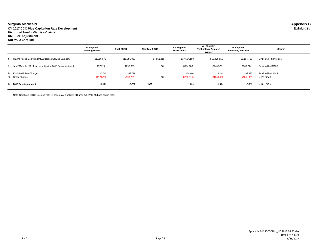#### **Virginia Medicaid Appendix B**

**CY 2017 CCC Plus Capitation Rate Development Exhibit 2g Historical Fee-for-Service Claims DME Fee Adjustment Not MCO Enrolled**

|                                                             | <b>All Eligibles</b><br><b>Nursing Home</b> | <b>Dual EDCD</b>       | <b>NonDual EDCD</b> | <b>All Eligibles</b><br><b>DD Waivers</b> | <b>All Eligibles</b><br><b>Technology Assisted</b><br>Waiver | <b>All Eligibles</b><br><b>Community No LTSS</b> | Source                               |
|-------------------------------------------------------------|---------------------------------------------|------------------------|---------------------|-------------------------------------------|--------------------------------------------------------------|--------------------------------------------------|--------------------------------------|
| Claims Associated with DME/Supplies Service Category        | \$1,616,672                                 | \$15,381,005           | \$4,551,418         | \$17.584.169                              | \$12,476,016                                                 | \$6,164,706                                      | CY14-15 FFS Invoices                 |
| 2. Jan 2014 - Jun 2014 claims subject to DME Fee Adjustment | \$57,217                                    | \$297,691              | \$0                 | \$694,906                                 | \$446.572                                                    | \$166,744                                        | Provided by DMAS                     |
| 3a. FY15 DME Fee Change<br>3b. Dollar Change                | $-30.7%$<br>(\$17,572)                      | $-32.5%$<br>(\$96,781) | \$0                 | $-34.0%$<br>(S236, 515)                   | $-28.2%$<br>(\$126,042)                                      | $-33.1%$<br>(\$55,140)                           | Provided by DMAS<br>$= (2.)$ * (3a.) |
| 4. DME Fee Adjustment                                       | $-1.1%$                                     | $-0.6%$                | N/A                 | $-1.3%$                                   | $-1.0%$                                                      | $-0.9%$                                          | $=$ (3b.) / (1.)                     |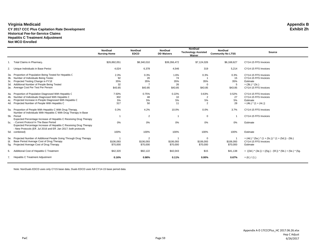#### **Virginia Medicaid Appendix B CY 2017 CCC Plus Capitation Rate Development Historical Fee-for-Service Claims Hepatitis C Treatment Adjustment Not MCO Enrolled**

|     |                                                                                                                                                                                     | <b>NonDual</b><br><b>Nursing Home</b> | <b>NonDual</b><br><b>EDCD</b> | <b>NonDual</b><br><b>DD Waivers</b> | NonDual<br><b>Technology Assisted</b><br>Waiver | <b>NonDual</b><br><b>Community No LTSS</b> | Source                                                       |
|-----|-------------------------------------------------------------------------------------------------------------------------------------------------------------------------------------|---------------------------------------|-------------------------------|-------------------------------------|-------------------------------------------------|--------------------------------------------|--------------------------------------------------------------|
|     | <b>Total Claims in Pharmacy</b>                                                                                                                                                     | \$26,892,051                          | \$8,340,010                   | \$39,266,472                        | \$7,124,026                                     | \$6,168,627                                | CY14-15 FFS Invoices                                         |
| 2.  | Unique Individuals in Base Perioc                                                                                                                                                   | 4,024                                 | 6,378                         | 4,546                               | 319                                             | 5,214                                      | CY14-15 FFS Invoices                                         |
|     | 3a. Proportion of Population Being Tested for Hepatitis C                                                                                                                           | 2.3%                                  | 0.3%                          | 1.6%                                | 0.3%                                            | 0.3%                                       | CY14-15 FFS Invoices                                         |
|     | 3b. Number of Individuals Being Tested                                                                                                                                              | 92                                    | 20                            | 74                                  |                                                 | 15                                         | CY14-15 FFS Invoices                                         |
| 3c. | Projected Testing Change in FY18                                                                                                                                                    | 35%                                   | 35%                           | 35%                                 | 35%                                             | 35%                                        | Estimate                                                     |
| 3d. | Additional Number of People Being Tested                                                                                                                                            | 32                                    |                               | 26                                  |                                                 | 5                                          | $=$ (3b.) $*(3c.)$                                           |
|     | 3e. Average Cost Per Test Per Person                                                                                                                                                | \$43.85                               | \$43.85                       | \$43.85                             | \$43.85                                         | \$43.85                                    | CY14-15 FFS Invoices                                         |
|     | 4a. Proportion of Population Diagnosed With Hepatitis C                                                                                                                             | 7.50%                                 | 0.75%                         | 0.22%                               | 0.63%                                           | 0.52%                                      | CY14-15 FFS Invoices                                         |
|     | 4b. Number of Individuals Diagnosed With Hepatitis C                                                                                                                                | 302                                   | 48                            | 10                                  | $\overline{2}$                                  | 27                                         | CY14-15 FFS Invoices                                         |
|     | 4c. Projected Increase in People Diagnosed With Hepatitis C                                                                                                                         | 5%                                    | 5%                            | 5%                                  | 5%                                              | 5%                                         | Estimate                                                     |
|     | 4d. Projected Number of People With Hepatitis C                                                                                                                                     | 317                                   | 50                            | 11                                  | $\overline{2}$                                  | 28                                         | $= (4b.)$ * $(1 + (4c.))$                                    |
|     | 5a. Proportion of People With Hepatitis C With Drug Therapy<br>Number of Individuals With Hepatitis C With Drug Therapy in Base                                                     | 0.3%                                  | 4.2%                          | 10.0%                               | 0.0%                                            | 3.7%                                       | CY14-15 FFS Invoices                                         |
| 5b. | Period                                                                                                                                                                              |                                       | $\overline{2}$                |                                     | $\mathbf 0$                                     |                                            | CY14-15 FFS Invoices                                         |
|     | Expected Percentage Increase of Hepatitis C Receiving Drug Therapy                                                                                                                  |                                       |                               |                                     |                                                 |                                            |                                                              |
|     | 5c. - Current Protocol In The Base Period<br>Expected Percentage Increase of Hepatitis C Receiving Drug Therapy<br>- New Protocols (Eff. Jul 2016 and Eff. Jan 2017; both protocols | 0%                                    | 0%                            | 0%                                  | 0%                                              | 0%                                         | Estimate                                                     |
|     | 5d. combined)                                                                                                                                                                       | 100%                                  | 100%                          | 100%                                | 100%                                            | 100%                                       | Estimate                                                     |
|     | 5e. Projected Number of Additional People Going Through Drug Therapy                                                                                                                |                                       | $\overline{2}$                |                                     | $\Omega$                                        |                                            | $=$ (4d.) $*(5a.) * (1 + (5c.)) * (1 + (5d.)) - (5b.)$       |
| 5f. | Base Period Average Cost of Drug Therapy                                                                                                                                            | \$106,093                             | \$106,093                     | \$106,093                           | \$106.093                                       | \$106,093                                  | CY14-15 FFS Invoices                                         |
|     | 5q. Projected Average Cost of Drug Therapy                                                                                                                                          | \$70,000                              | \$70,000                      | \$70,000                            | \$70,000                                        | \$70,000                                   | Estimate                                                     |
| 6.  | Additional Cost of Hepatitis C Treatment                                                                                                                                            | \$42,320                              | \$82,122                      | \$42,043                            | \$15                                            | \$41,138                                   | $= ((3d.) * (3e.)) + ((5g.) - (5f.)) * (5b.) + (5e.) * (5g.$ |
| 7.  | Hepatitis C Treatment Adjustment                                                                                                                                                    | 0.16%                                 | 0.98%                         | 0.11%                               | $0.00\%$                                        | 0.67%                                      | $= (6.) / (1.)$                                              |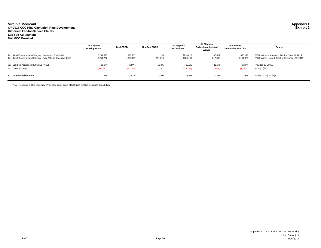#### **Virginia Medicaid Appendix B CY 2017 CCC Plus Capitation Rate Development Exhibit 2i Historical Fee-for-Service Claims**

**Lab Fee Adjustment**

#### **Not MCO Enrolled**

|                                                               | <b>All Eligibles</b><br>Nursing Home | <b>Dual EDCD</b> | <b>NonDual EDCD</b> | <b>All Eligibles</b><br><b>DD Waivers</b> | <b>All Eligibles</b><br><b>Technology Assisted</b><br>Waiver | <b>All Eligibles</b><br><b>Community No LTSS</b> | Source                                           |
|---------------------------------------------------------------|--------------------------------------|------------------|---------------------|-------------------------------------------|--------------------------------------------------------------|--------------------------------------------------|--------------------------------------------------|
| 1a. Total Claims in Lab Category - January to June 2014       | \$254,693                            | \$10,432         | \$0                 | \$114,625                                 | \$7,622                                                      | \$65,120                                         | FFS Invoices - January 1, 2014 to June 30, 2014  |
| 1b. Total Claims in Lab Category - July 2014 to December 2015 | \$751,702                            | \$20,107         | \$51,014            | \$283,153                                 | \$17,369                                                     | \$154,031                                        | FFS Invoices - July 1, 2014 to December 31, 2015 |
| 2a. Lab Fee Adjustment (Effective FY15)                       | $-12.0%$                             | $-12.0%$         | $-12.0%$            | $-12.0%$                                  | $-12.0%$                                                     | $-12.0%$                                         | Provided by DMAS                                 |
| 2b. Dollar Change                                             | (S30, 563)                           | (\$1,252)        | \$0                 | (\$13,755)                                | (\$915)                                                      | (S7, 814)                                        | = (1a.) * (2a.)                                  |
| 3. Lab Fee Adjustment                                         | $-3.0%$                              | $-4.1%$          | $0.0\%$             | $-3.5%$                                   | $-3.7%$                                                      | $-3.6%$                                          | $= (2b.) / ((1a.) + (1b.))$                      |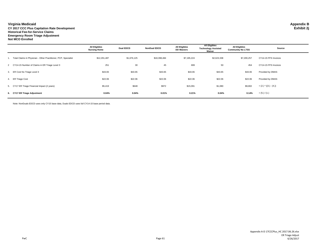#### **Virginia Medicaid Appendix B**

**CY 2017 CCC Plus Capitation Rate Development Exhibit 2j Historical Fee-for-Service Claims Emergency Room Triage Adjustment Not MCO Enrolled**

|                                                                    | <b>All Eligibles</b><br><b>Nursing Home</b> | <b>Dual EDCD</b> | <b>NonDual EDCD</b> | <b>All Eligibles</b><br><b>DD Waivers</b> | <b>All Eligibles</b><br><b>Technology Assisted</b><br>Waiver | <b>All Eligibles</b><br><b>Community No LTSS</b> | Source                  |
|--------------------------------------------------------------------|---------------------------------------------|------------------|---------------------|-------------------------------------------|--------------------------------------------------------------|--------------------------------------------------|-------------------------|
| 1. Total Claims in Physician - Other Practitioner, PCP, Specialist | \$12,291,487                                | \$1,676,125      | \$18,398,484        | \$7,195,224                               | \$2,623,338                                                  | \$7,200,257                                      | CY14-15 FFS Invoices    |
| 2 CY14-15 Number of Claims in ER Triage Level 3                    | 251                                         | 30               | 45                  | 699                                       | 50                                                           | 454                                              | CY14-15 FFS Invoices    |
| 3. ER Cost No Triage Level 3                                       | \$43.65                                     | \$43.65          | \$43.65             | \$43.65                                   | \$43.65                                                      | \$43.65                                          | Provided by DMAS        |
| 4. ER Triage Cost                                                  | \$22.06                                     | \$22.06          | \$22.06             | \$22.06                                   | \$22.06                                                      | \$22.06                                          | Provided by DMAS        |
| 5. CY17 ER Triage Financial Impact (2 years)                       | \$5,419                                     | \$648            | \$972               | \$15,091                                  | \$1,080                                                      | \$9,802                                          | $= (2.) * ((3.) - (4.)$ |
| 6. CY17 ER Triage Adjustment                                       | 0.04%                                       | 0.04%            | 0.01%               | 0.21%                                     | 0.04%                                                        | 0.14%                                            | $= (5.) / (1.)$         |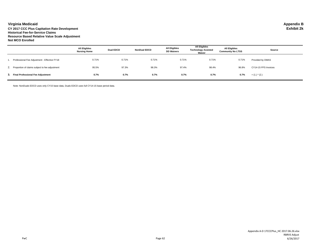**Virginia Medicaid Appendix B CY 2017 CCC Plus Capitation Rate Development Exhibit 2k Historical Fee-for-Service Claims Resource Based Relative Value Scale Adjustment Not MCO Enrolled**

|                                                   | <b>All Eligibles</b><br><b>Nursing Home</b> | <b>Dual EDCD</b> | <b>NonDual EDCD</b> | <b>All Eligibles</b><br><b>DD Waivers</b> | <b>All Eligibles</b><br><b>Technology Assisted</b><br>Waiver | <b>All Eligibles</b><br><b>Community No LTSS</b> | Source               |
|---------------------------------------------------|---------------------------------------------|------------------|---------------------|-------------------------------------------|--------------------------------------------------------------|--------------------------------------------------|----------------------|
| Professional Fee Adjustment - Effective FY18      | 0.71%                                       | 0.71%            | 0.71%               | 0.71%                                     | 0.71%                                                        | 0.71%                                            | Provided by DMAS     |
| 2. Proportion of claims subject to fee adjustment | 95.5%                                       | 97.3%            | 98.3%               | 97.4%                                     | 98.4%                                                        | 96.8%                                            | CY14-15 FFS Invoices |
| 3. Final Professional Fee Adjustment              | 0.7%                                        | 0.7%             | 0.7%                | 0.7%                                      | 0.7%                                                         | 0.7%                                             | $=$ (1.) $*$ (2.)    |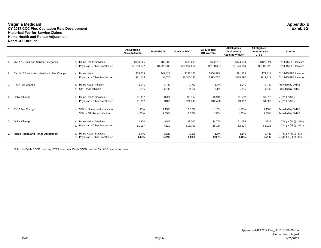#### **Virginia Medicaid Appendix B CY 2017 CCC Plus Capitation Rate Development Exhibit 2l Historical Fee-for-Service Claims Home Health and Rehab Adjustment Not MCO Enrolled**

|    |                                           |                                                              | <b>All Eligibles</b><br><b>Nursing Home</b> | <b>Dual EDCD</b> | <b>NonDual EDCD</b> | <b>All Eligibles</b><br><b>DD Waivers</b> | <b>All Eligibles</b><br>Technology<br><b>Assisted Waiver</b> | <b>All Eligibles</b><br><b>Community No</b><br><b>LTSS</b> | Source                                                     |
|----|-------------------------------------------|--------------------------------------------------------------|---------------------------------------------|------------------|---------------------|-------------------------------------------|--------------------------------------------------------------|------------------------------------------------------------|------------------------------------------------------------|
| 1. | CY14-15 Claims in Service Categories      | a. Home Health Services                                      | \$159,565                                   | \$83,385         | \$381,295           | \$692,737                                 | \$174,698                                                    | \$123,621                                                  | CY14-15 FFS Invoices                                       |
|    |                                           | b. Physician - Other Practitioner                            | \$1,659,077                                 | \$1,229,686      | \$16,937,064        | \$2,108,697                               | \$1,546,104                                                  | \$3,606,925                                                | CY14-15 FFS Invoices                                       |
| 2. | CY14-15 Claims Associated with Fee Change | a. Home Health                                               | \$79,819                                    | \$42,423         | \$197,186           | \$406,993                                 | \$91,875                                                     | \$71,311                                                   | CY14-15 FFS Invoices                                       |
|    |                                           | b. Physician - Other Practitioner                            | \$81,045                                    | \$8,678          | \$1,000,393         | \$593,737                                 | \$188,897                                                    | \$219,311                                                  | CY14-15 FFS Invoices                                       |
| 3. | FY17 Fee Change                           | a. Home Health Inflation                                     | 1.7%                                        | 1.7%             | 1.7%                | 1.7%                                      | 1.7%                                                         | 1.7%                                                       | Provided by DMAS                                           |
|    |                                           | b. OP Rehab Inflation                                        | 2.1%                                        | 2.1%             | 2.1%                | 2.1%                                      | 2.1%                                                         | 2.1%                                                       | Provided by DMAS                                           |
| 4. | Dollar Change                             | a. Home Health Services                                      | \$1,357                                     | \$721            | \$3,352             | \$6,919                                   | \$1,562                                                      | \$1,212                                                    | $= ((2a.) * (3a.))$                                        |
|    |                                           | b. Physician - Other Practitioner                            | \$1,702                                     | \$182            | \$21,008            | \$12.468                                  | \$3,967                                                      | \$4,606                                                    | $= ((2b.) * (3b.))$                                        |
| 5. | FY18 Fee Change                           | a. 50% of Home Health Inflation                              | 1.15%                                       | 1.15%            | 1.15%               | 1.15%                                     | 1.15%                                                        | 1.15%                                                      | Provided by DMAS                                           |
|    |                                           | b. 50% of OP Rehab Inflation                                 | 1.35%                                       | 1.35%            | 1.35%               | 1.35%                                     | 1.35%                                                        | 1.35%                                                      | Provided by DMAS                                           |
| 6. | Dollar Change                             | a. Home Health Services                                      | \$934                                       | \$496            | \$2,306             | \$4,760                                   | \$1,075                                                      | \$834                                                      | $= ((2a.) + (4a.)) * (5a.)$                                |
|    |                                           | b. Physician - Other Practitioner                            | \$1,117                                     | \$120            | \$13,789            | \$8,184                                   | \$2,604                                                      | \$3,023                                                    | $= ((2b.) + (4b.)) * (5b.)$                                |
| 7. | Home Health and Rehab Adjustment          | a. Home Health Services<br>b. Physician - Other Practitioner | 1.4%<br>0.17%                               | 1.5%<br>0.02%    | 1.5%<br>0.21%       | $1.7\%$<br>0.98%                          | 1.5%<br>0.42%                                                | 1.7%<br>0.21%                                              | $= ((4a.) + (6a.)) / (1a.)$<br>$= ((4b.) + (6b.)) / (1b.)$ |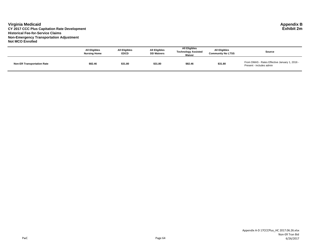#### **Virginia Medicaid Appendix B CY 2017 CCC Plus Capitation Rate Development Exhibit 2m Historical Fee-for-Service Claims Non-Emergency Transportation Adjustment Not MCO Enrolled**

|                                   | <b>All Eligibles</b><br><b>Nursing Home</b> | <b>All Eligibles</b><br><b>EDCD</b> | All Eligibles<br><b>DD Waivers</b> | <b>All Eligibles</b><br><b>Technology Assisted</b><br>Waiver | <b>All Eligibles</b><br><b>Community No LTSS</b> | Source                                                                    |
|-----------------------------------|---------------------------------------------|-------------------------------------|------------------------------------|--------------------------------------------------------------|--------------------------------------------------|---------------------------------------------------------------------------|
| <b>Non-ER Transportation Rate</b> | \$82.46                                     | \$31.80                             | \$31.80                            | \$82.46                                                      | \$31.80                                          | From DMAS - Rates Effective January 1, 2016 -<br>Present - includes admin |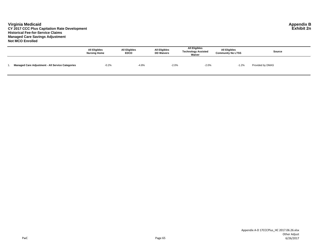#### **Virginia Medicaid Appendix B CY 2017 CCC Plus Capitation Rate Development Exhibit 2n Historical Fee-for-Service Claims Managed Care Savings Adjustment Not MCO Enrolled**

|                                                         | <b>All Eligibles</b><br><b>Nursing Home</b> | <b>All Eligibles</b><br><b>EDCD</b> | <b>All Eligibles</b><br><b>DD Waivers</b> | <b>All Eligibles</b><br><b>Technology Assisted</b><br>Waiver | <b>All Eligibles</b><br><b>Community No LTSS</b> | Source           |
|---------------------------------------------------------|---------------------------------------------|-------------------------------------|-------------------------------------------|--------------------------------------------------------------|--------------------------------------------------|------------------|
| <b>Managed Care Adjustment - All Service Categories</b> | $-0.2%$                                     | $-4.8%$                             | $-2.0%$                                   | $-2.0%$                                                      | $-1.2%$                                          | Provided by DMAS |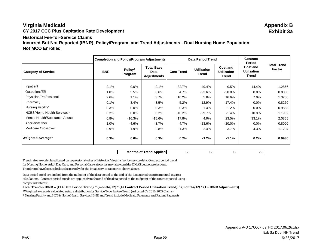# **Virginia Medicaid Appendix B CY 2017 CCC Plus Capitation Rate Development Exhibit 3a Historical Fee-for-Service ClaimsIncurred But Not Reported (IBNR), Policy/Program, and Trend Adjustments - Dual Nursing Home Population Not MCO Enrolled**

|                                   |             |                    | Completion and Policy/Program Adjustments |                   | <b>Data Period Trend</b>    |                                                | Contract<br>Period                             |                                     |
|-----------------------------------|-------------|--------------------|-------------------------------------------|-------------------|-----------------------------|------------------------------------------------|------------------------------------------------|-------------------------------------|
| <b>Category of Service</b>        | <b>IBNR</b> | Policy/<br>Program | <b>Total Base</b><br>Data<br>Adjustments  | <b>Cost Trend</b> | <b>Utilization</b><br>Trend | <b>Cost and</b><br><b>Utilization</b><br>Trend | <b>Cost and</b><br>Utilization<br><b>Trend</b> | <b>Total Trend</b><br><b>Factor</b> |
| Inpatient                         | 2.1%        | $0.0\%$            | 2.1%                                      | $-32.7%$          | 49.4%                       | 0.5%                                           | 14.4%                                          | 1.2866                              |
| Outpatient/ER                     | 1.0%        | 5.5%               | 6.6%                                      | 4.7%              | -23.6%                      | $-20.0\%$                                      | $0.0\%$                                        | 0.8000                              |
| Physician/Professional            | 2.6%        | 1.1%               | 3.7%                                      | 10.2%             | 5.8%                        | 16.6%                                          | 7.0%                                           | 1.3208                              |
| Pharmacy                          | 0.1%        | 3.4%               | 3.5%                                      | $-5.2\%$          | -12.9%                      | $-17.4%$                                       | $0.0\%$                                        | 0.8260                              |
| Nursing Facility*                 | 0.3%        | $0.0\%$            | 0.3%                                      | 0.3%              | $-1.4%$                     | $-1.2%$                                        | $0.0\%$                                        | 0.9888                              |
| <b>HCBS/Home Health Services*</b> | 0.2%        | $0.0\%$            | 0.2%                                      | 40.2%             | $-29.7%$                    | $-1.4%$                                        | 10.8%                                          | 1.1902                              |
| Mental Health/Substance Abuse     | 0.8%        | -16.3%             | -15.6%                                    | 17.8%             | 4.9%                        | 23.5%                                          | 33.1%                                          | 2.0865                              |
| Ancillary/Other                   | 1.0%        | -4.6%              | $-3.7\%$                                  | 4.7%              | -23.6%                      | $-20.0\%$                                      | $0.0\%$                                        | 0.8000                              |
| Medicare Crossover                | 0.9%        | 1.9%               | 2.8%                                      | 1.3%              | 2.4%                        | 3.7%                                           | 4.3%                                           | 1.1204                              |
| <b>Weighted Average*</b>          | $0.3\%$     | $0.0\%$            | 0.3%                                      | 0.2%              | $-1.2\%$                    | $-1.1%$                                        | 0.2%                                           | 0.9930                              |

**Months of Trend Applied** 12 12 12 12 22

Trend rates are calculated based on regression studies of historical Virginia fee-for-service data. Contract period trend for Nursing Home, Adult Day Care, and Personal Care categories may also consider DMAS budget projections. Trend rates have been calculated separately for the broad service categories shown above.

Data period trend are applied from the midpoint of the data period to the end of the data period using compound interest calculations. Contract period trends are applied from the end of the data period to the midpoint of the contract period using compound interest.

**Total Trend & IBNR = [(1 + Data Period Trend) ^ (months/12) \* (1+ Contract Period Utilization Trend) ^ (months/12) \* (1 + IBNR Adjustment)]**

\*Weighted average is calculated using a distribution by Service Type, before Trend (Adjusted CY 2014-2015 Claims)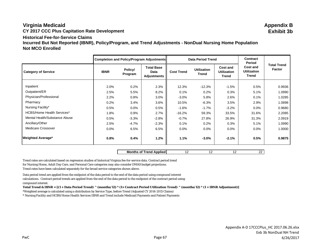# **Virginia Medicaid Appendix B**

**CY 2017 CCC Plus Capitation Rate Development Exhibit 3b**

# **Historical Fee-for-Service Claims**

**Incurred But Not Reported (IBNR), Policy/Program, and Trend Adjustments - NonDual Nursing Home Population Not MCO Enrolled**

|                                   |             |                    | <b>Completion and Policy/Program Adjustments</b> |                   | <b>Data Period Trend</b>           |                                                | Contract<br>Period                                    |                                     |
|-----------------------------------|-------------|--------------------|--------------------------------------------------|-------------------|------------------------------------|------------------------------------------------|-------------------------------------------------------|-------------------------------------|
| <b>Category of Service</b>        | <b>IBNR</b> | Policy/<br>Program | <b>Total Base</b><br>Data<br>Adjustments         | <b>Cost Trend</b> | <b>Utilization</b><br><b>Trend</b> | <b>Cost and</b><br><b>Utilization</b><br>Trend | <b>Cost and</b><br><b>Utilization</b><br><b>Trend</b> | <b>Total Trend</b><br><b>Factor</b> |
|                                   |             |                    |                                                  |                   |                                    |                                                |                                                       |                                     |
| Inpatient                         | 2.0%        | 0.2%               | 2.3%                                             | 12.3%             | $-12.3%$                           | $-1.5%$                                        | 0.5%                                                  | 0.9936                              |
| Outpatient/ER                     | 2.5%        | 5.5%               | 8.2%                                             | 0.1%              | 0.2%                               | 0.3%                                           | 5.1%                                                  | 1.0990                              |
| Physician/Professional            | 2.2%        | 0.8%               | 3.0%                                             | $-3.0%$           | 5.8%                               | 2.6%                                           | 0.1%                                                  | 1.0285                              |
| Pharmacy                          | 0.2%        | 3.4%               | 3.6%                                             | 10.5%             | $-6.3%$                            | 3.5%                                           | 2.9%                                                  | 1.0898                              |
| Nursing Facility*                 | 0.5%        | 0.0%               | 0.5%                                             | $-1.6%$           | $-1.7%$                            | $-3.2%$                                        | 0.0%                                                  | 0.9680                              |
| <b>HCBS/Home Health Services*</b> | 1.8%        | 0.9%               | 2.7%                                             | $-16.2%$          | 59.3%                              | 33.5%                                          | 31.6%                                                 | 2.2085                              |
| Mental Health/Substance Abuse     | 0.5%        | $-3.3%$            | $-2.8%$                                          | $-0.7%$           | 27.8%                              | 26.9%                                          | 31.3%                                                 | 2.0919                              |
| Ancillary/Other                   | 2.5%        | $-4.7%$            | $-2.3%$                                          | 0.1%              | 0.2%                               | 0.3%                                           | 5.1%                                                  | 1.0990                              |
| Medicare Crossover                | 0.0%        | 6.5%               | 6.5%                                             | 0.0%              | 0.0%                               | 0.0%                                           | 0.0%                                                  | 1.0000                              |
| <b>Weighted Average*</b>          | 0.8%        | 0.4%               | 1.2%                                             | 1.1%              | $-3.0%$                            | $-2.1%$                                        | 0.5%                                                  | 0.9875                              |

**Months of Trend Applied** 12 12 12 12 22

Trend rates are calculated based on regression studies of historical Virginia fee-for-service data. Contract period trend for Nursing Home, Adult Day Care, and Personal Care categories may also consider DMAS budget projections.

Trend rates have been calculated separately for the broad service categories shown above.

Data period trend are applied from the midpoint of the data period to the end of the data period using compound interest calculations. Contract period trends are applied from the end of the data period to the midpoint of the contract period using compound interest.

**Total Trend & IBNR = [(1 + Data Period Trend) ^ (months/12) \* (1+ Contract Period Utilization Trend) ^ (months/12) \* (1 + IBNR Adjustment)]**

\*Weighted average is calculated using a distribution by Service Type, before Trend (Adjusted CY 2014-2015 Claims)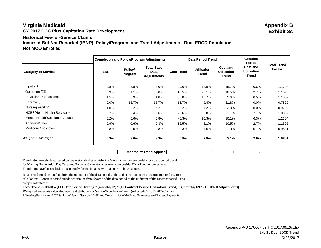# **Virginia Medicaid Appendix B CY 2017 CCC Plus Capitation Rate Development Exhibit 3c Historical Fee-for-Service ClaimsIncurred But Not Reported (IBNR), Policy/Program, and Trend Adjustments - Dual EDCD Population Not MCO Enrolled**

|                                   |             |                    | Completion and Policy/Program Adjustments |                   | <b>Data Period Trend</b>           |                                         | <b>Contract</b><br>Period               |                                     |
|-----------------------------------|-------------|--------------------|-------------------------------------------|-------------------|------------------------------------|-----------------------------------------|-----------------------------------------|-------------------------------------|
| <b>Category of Service</b>        | <b>IBNR</b> | Policy/<br>Program | <b>Total Base</b><br>Data<br>Adjustments  | <b>Cost Trend</b> | <b>Utilization</b><br><b>Trend</b> | Cost and<br><b>Utilization</b><br>Trend | Cost and<br><b>Utilization</b><br>Trend | <b>Total Trend</b><br><b>Factor</b> |
| Inpatient                         | 0.8%        | $-3.8%$            | $-3.0%$                                   | 99.6%             | -42.0%                             | 15.7%                                   | 0.6%                                    | 1.1708                              |
| Outpatient/ER                     | 0.9%        | 1.1%               | 2.0%                                      | 16.5%             | $-5.1%$                            | 10.5%                                   | 2.7%                                    | 1.1595                              |
| Physician/Professional            | 1.5%        | 0.3%               | 1.8%                                      | 30.0%             | -15.7%                             | 9.6%                                    | 0.5%                                    | 1.1057                              |
| Pharmacy                          | 0.0%        | $-15.7%$           | -15.7%                                    | $-13.7%$          | $-9.4%$                            | $-21.8%$                                | 0.0%                                    | 0.7820                              |
| Nursing Facility*                 | 1.0%        | 6.2%               | 7.2%                                      | 23.2%             | $-21.2%$                           | $-3.0%$                                 | 0.0%                                    | 0.9700                              |
| <b>HCBS/Home Health Services*</b> | 0.2%        | 3.4%               | 3.6%                                      | $-0.6%$           | 3.8%                               | 3.1%                                    | 2.7%                                    | 1.0832                              |
| Mental Health/Substance Abuse     | 0.2%        | 0.6%               | 0.8%                                      | $-5.3%$           | 16.3%                              | 10.1%                                   | 6.3%                                    | 1.2304                              |
| Ancillary/Other                   | 0.9%        | $-0.6%$            | 0.3%                                      | 16.5%             | $-5.1%$                            | 10.5%                                   | 2.7%                                    | 1.1595                              |
| <b>Medicare Crossover</b>         | 0.8%        | 0.0%               | 0.8%                                      | $-0.3%$           | $-1.6\%$                           | $-1.9%$                                 | 0.1%                                    | 0.9831                              |
| <b>Weighted Average*</b>          | 0.3%        | 3.0%               | 3.3%                                      | 0.8%              | 2.8%                               | 3.1%                                    | 2.6%                                    | 1.0801                              |

**Months of Trend Applied** 12 12 12 12 22

Trend rates are calculated based on regression studies of historical Virginia fee-for-service data. Contract period trend for Nursing Home, Adult Day Care, and Personal Care categories may also consider DMAS budget projections. Trend rates have been calculated separately for the broad service categories shown above.

Data period trend are applied from the midpoint of the data period to the end of the data period using compound interest calculations. Contract period trends are applied from the end of the data period to the midpoint of the contract period using compound interest.

**Total Trend & IBNR = [(1 + Data Period Trend) ^ (months/12) \* (1+ Contract Period Utilization Trend) ^ (months/12) \* (1 + IBNR Adjustment)]**

\*Weighted average is calculated using a distribution by Service Type, before Trend (Adjusted CY 2014-2015 Claims)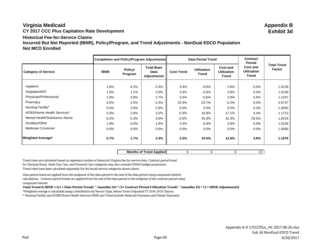# **Virginia Medicaid Appendix B CY 2017 CCC Plus Capitation Rate Development Exhibit 3d Historical Fee-for-Service ClaimsIncurred But Not Reported (IBNR), Policy/Program, and Trend Adjustments - NonDual EDCD Population Not MCO Enrolled**

| Completion and Policy/Program Adjustments |             |                    | <b>Data Period Trend</b>                 |                   | <b>Contract</b><br>Period          |                                                |                                                |                              |
|-------------------------------------------|-------------|--------------------|------------------------------------------|-------------------|------------------------------------|------------------------------------------------|------------------------------------------------|------------------------------|
| <b>Category of Service</b>                | <b>IBNR</b> | Policy/<br>Program | <b>Total Base</b><br>Data<br>Adjustments | <b>Cost Trend</b> | <b>Utilization</b><br><b>Trend</b> | <b>Cost and</b><br><b>Utilization</b><br>Trend | <b>Cost and</b><br><b>Utilization</b><br>Trend | <b>Total Trend</b><br>Factor |
| Inpatient                                 | 1.9%        |                    |                                          |                   |                                    |                                                |                                                |                              |
| Outpatient/ER                             |             | $-4.2%$            | $-2.4%$                                  | 3.4%              | $-0.6%$                            | 2.8%                                           | 0.0%                                           | 1.0139                       |
|                                           | 1.9%        | 1.1%               | 3.0%                                     | 3.4%              | $-0.6\%$                           | 2.8%                                           | $0.0\%$                                        | 1.0139                       |
| Physician/Professional                    | 1.9%        | 0.8%               | 2.7%                                     | 3.4%              | $-0.6\%$                           | 2.8%                                           | 5.6%                                           | 1.1207                       |
| Pharmacy                                  | $0.0\%$     | $-2.5%$            | $-2.4%$                                  | 24.3%             | $-23.7%$                           | $-5.2%$                                        | 0.0%                                           | 0.9737                       |
| Nursing Facility*                         | 0.0%        | 2.8%               | 2.8%                                     | 0.0%              | 0.0%                               | $0.0\%$                                        | $0.0\%$                                        | 1.0000                       |
| <b>HCBS/Home Health Services*</b>         | 0.3%        | 2.8%               | 3.2%                                     | 0.3%              | 16.8%                              | 17.1%                                          | 4.4%                                           | 1.1712                       |
| Mental Health/Substance Abuse             | 0.2%        | 0.3%               | 0.6%                                     | $-2.6%$           | 35.8%                              | 32.3%                                          | 28.5%                                          | 1.8218                       |
| Ancillary/Other                           | 1.9%        | $0.0\%$            | 1.9%                                     | 3.4%              | $-0.6\%$                           | 2.8%                                           | $0.0\%$                                        | 1.0139                       |
| Medicare Crossover                        | $0.0\%$     | 0.0%               | $0.0\%$                                  | 0.0%              | $0.0\%$                            | 0.0%                                           | $0.0\%$                                        | 1.0000                       |
| <b>Weighted Average*</b>                  | 0.7%        | 1.7%               | 2.4%                                     | 2.5%              | 10.5%                              | 12.6%                                          | 4.9%                                           | 1.1576                       |

**Months of Trend Applied**  $\begin{array}{ccc} 6 & 6 & 6 \end{array}$  **22** 

Trend rates are calculated based on regression studies of historical Virginia fee-for-service data. Contract period trend for Nursing Home, Adult Day Care, and Personal Care categories may also consider DMAS budget projections. Trend rates have been calculated separately for the broad service categories shown above.

Data period trend are applied from the midpoint of the data period to the end of the data period using compound interest calculations. Contract period trends are applied from the end of the data period to the midpoint of the contract period using compound interest.

**Total Trend & IBNR = [(1 + Data Period Trend) ^ (months/12) \* (1+ Contract Period Utilization Trend) ^ (months/12) \* (1 + IBNR Adjustment)]**

\*Weighted average is calculated using a distribution by Service Type, before Trend (Adjusted CY 2014-2015 Claims)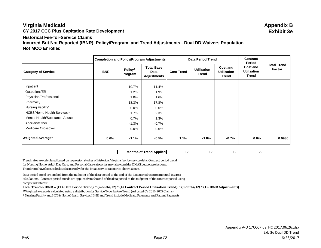# **Virginia Medicaid Appendix B CY 2017 CCC Plus Capitation Rate Development Exhibit 3e Historical Fee-for-Service ClaimsIncurred But Not Reported (IBNR), Policy/Program, and Trend Adjustments - Dual DD Waivers Population Not MCO Enrolled**

| Completion and Policy/Program Adjustments |             |                    |                                                 | <b>Data Period Trend</b> |                             | Contract<br>Period                             |                                                |                              |
|-------------------------------------------|-------------|--------------------|-------------------------------------------------|--------------------------|-----------------------------|------------------------------------------------|------------------------------------------------|------------------------------|
| <b>Category of Service</b>                | <b>IBNR</b> | Policy/<br>Program | <b>Total Base</b><br>Data<br><b>Adjustments</b> | <b>Cost Trend</b>        | <b>Utilization</b><br>Trend | <b>Cost and</b><br><b>Utilization</b><br>Trend | <b>Cost and</b><br><b>Utilization</b><br>Trend | <b>Total Trend</b><br>Factor |
| Inpatient                                 |             |                    |                                                 |                          |                             |                                                |                                                |                              |
| Outpatient/ER                             |             | 10.7%<br>1.2%      | 11.4%<br>1.9%                                   |                          |                             |                                                |                                                |                              |
| Physician/Professional                    |             |                    |                                                 |                          |                             |                                                |                                                |                              |
|                                           |             | 1.0%               | 1.6%                                            |                          |                             |                                                |                                                |                              |
| Pharmacy                                  |             | $-18.3%$           | $-17.8%$                                        |                          |                             |                                                |                                                |                              |
| Nursing Facility*                         |             | $0.0\%$            | $0.6\%$                                         |                          |                             |                                                |                                                |                              |
| <b>HCBS/Home Health Services*</b>         |             | 1.7%               | 2.3%                                            |                          |                             |                                                |                                                |                              |
| Mental Health/Substance Abuse             |             | 0.7%               | 1.3%                                            |                          |                             |                                                |                                                |                              |
| Ancillary/Other                           |             | $-1.3%$            | $-0.7\%$                                        |                          |                             |                                                |                                                |                              |
| Medicare Crossover                        |             | $0.0\%$            | $0.6\%$                                         |                          |                             |                                                |                                                |                              |
| <b>Weighted Average*</b>                  | 0.6%        | $-1.1%$            | $-0.5%$                                         | 1.1%                     | $-1.8%$                     | $-0.7%$                                        | $0.0\%$                                        | 0.9930                       |

**Months of Trend Applied** 12 12 12 12 22

Trend rates are calculated based on regression studies of historical Virginia fee-for-service data. Contract period trend for Nursing Home, Adult Day Care, and Personal Care categories may also consider DMAS budget projections. Trend rates have been calculated separately for the broad service categories shown above.

Data period trend are applied from the midpoint of the data period to the end of the data period using compound interest calculations. Contract period trends are applied from the end of the data period to the midpoint of the contract period using compound interest.

**Total Trend & IBNR = [(1 + Data Period Trend) ^ (months/12) \* (1+ Contract Period Utilization Trend) ^ (months/12) \* (1 + IBNR Adjustment)]**

\*Weighted average is calculated using a distribution by Service Type, before Trend (Adjusted CY 2014-2015 Claims)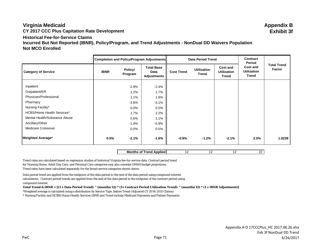# **Virginia Medicaid Appendix B CY 2017 CCC Plus Capitation Rate Development Exhibit 3f Historical Fee-for-Service ClaimsIncurred But Not Reported (IBNR), Policy/Program, and Trend Adjustments - NonDual DD Waivers Population Not MCO Enrolled**

|                                   |             | Completion and Policy/Program Adjustments |                                                 |                   | <b>Data Period Trend</b>    |                                                |                                                          |                                     |
|-----------------------------------|-------------|-------------------------------------------|-------------------------------------------------|-------------------|-----------------------------|------------------------------------------------|----------------------------------------------------------|-------------------------------------|
| <b>Category of Service</b>        | <b>IBNR</b> | Policy/<br>Program                        | <b>Total Base</b><br>Data<br><b>Adjustments</b> | <b>Cost Trend</b> | <b>Utilization</b><br>Trend | <b>Cost and</b><br><b>Utilization</b><br>Trend | Period<br><b>Cost and</b><br><b>Utilization</b><br>Trend | <b>Total Trend</b><br><b>Factor</b> |
| Inpatient                         |             | $-2.9%$                                   | $-2.4%$                                         |                   |                             |                                                |                                                          |                                     |
| Outpatient/ER                     |             | 1.2%                                      | 1.7%                                            |                   |                             |                                                |                                                          |                                     |
| Physician/Professional            |             | 1.1%                                      | 1.6%                                            |                   |                             |                                                |                                                          |                                     |
| Pharmacy                          |             | $-3.6%$                                   | $-3.1%$                                         |                   |                             |                                                |                                                          |                                     |
| Nursing Facility*                 |             | 0.0%                                      | 0.5%                                            |                   |                             |                                                |                                                          |                                     |
| <b>HCBS/Home Health Services*</b> |             | 1.7%                                      | 2.2%                                            |                   |                             |                                                |                                                          |                                     |
| Mental Health/Substance Abuse     |             | 0.6%                                      | 1.1%                                            |                   |                             |                                                |                                                          |                                     |
| Ancillary/Other                   |             | $-1.4%$                                   | $-0.9\%$                                        |                   |                             |                                                |                                                          |                                     |
| Medicare Crossover                |             | $0.0\%$                                   | 0.5%                                            |                   |                             |                                                |                                                          |                                     |
| <b>Weighted Average*</b>          | 0.5%        | $-2.1%$                                   | $-1.6%$                                         | $-0.9%$           | $-1.2%$                     | $-2.1%$                                        | 2.5%                                                     | 1.0239                              |

**Months of Trend Applied** 12 12 12 12 22

Trend rates are calculated based on regression studies of historical Virginia fee-for-service data. Contract period trend for Nursing Home, Adult Day Care, and Personal Care categories may also consider DMAS budget projections. Trend rates have been calculated separately for the broad service categories shown above.

Data period trend are applied from the midpoint of the data period to the end of the data period using compound interest calculations. Contract period trends are applied from the end of the data period to the midpoint of the contract period using compound interest.

**Total Trend & IBNR = [(1 + Data Period Trend) ^ (months/12) \* (1+ Contract Period Utilization Trend) ^ (months/12) \* (1 + IBNR Adjustment)]**

\*Weighted average is calculated using a distribution by Service Type, before Trend (Adjusted CY 2014-2015 Claims)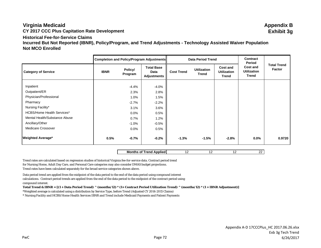# **Virginia Medicaid Appendix B CY 2017 CCC Plus Capitation Rate Development Exhibit 3g Historical Fee-for-Service ClaimsIncurred But Not Reported (IBNR), Policy/Program, and Trend Adjustments - Technology Assisted Waiver Population Not MCO Enrolled**

|                                   | Completion and Policy/Program Adjustments |                    |                                                 |                   | <b>Data Period Trend</b>           |                                                | Contract<br>Period                      |                              |
|-----------------------------------|-------------------------------------------|--------------------|-------------------------------------------------|-------------------|------------------------------------|------------------------------------------------|-----------------------------------------|------------------------------|
| <b>Category of Service</b>        | <b>IBNR</b>                               | Policy/<br>Program | <b>Total Base</b><br>Data<br><b>Adjustments</b> | <b>Cost Trend</b> | <b>Utilization</b><br><b>Trend</b> | <b>Cost and</b><br><b>Utilization</b><br>Trend | Cost and<br><b>Utilization</b><br>Trend | <b>Total Trend</b><br>Factor |
| Inpatient                         |                                           | $-4.4%$            | $-4.0%$                                         |                   |                                    |                                                |                                         |                              |
| Outpatient/ER                     |                                           | 2.3%               | 2.8%                                            |                   |                                    |                                                |                                         |                              |
| Physician/Professional            |                                           | 1.0%               | 1.5%                                            |                   |                                    |                                                |                                         |                              |
| Pharmacy                          |                                           | $-2.7%$            | $-2.2%$                                         |                   |                                    |                                                |                                         |                              |
| Nursing Facility*                 |                                           | 3.1%               | 3.6%                                            |                   |                                    |                                                |                                         |                              |
| <b>HCBS/Home Health Services*</b> |                                           | $0.0\%$            | 0.5%                                            |                   |                                    |                                                |                                         |                              |
| Mental Health/Substance Abuse     |                                           | 0.7%               | 1.2%                                            |                   |                                    |                                                |                                         |                              |
| Ancillary/Other                   |                                           | $-1.0%$            | $-0.5%$                                         |                   |                                    |                                                |                                         |                              |
| Medicare Crossover                |                                           | $0.0\%$            | 0.5%                                            |                   |                                    |                                                |                                         |                              |
| <b>Weighted Average*</b>          | 0.5%                                      | $-0.7%$            | $-0.2%$                                         | $-1.3%$           | $-1.5%$                            | $-2.8%$                                        | $0.0\%$                                 | 0.9720                       |

**Months of Trend Applied** 12 12 12 12 22

Trend rates are calculated based on regression studies of historical Virginia fee-for-service data. Contract period trend for Nursing Home, Adult Day Care, and Personal Care categories may also consider DMAS budget projections. Trend rates have been calculated separately for the broad service categories shown above.

Data period trend are applied from the midpoint of the data period to the end of the data period using compound interest calculations. Contract period trends are applied from the end of the data period to the midpoint of the contract period using compound interest.

**Total Trend & IBNR = [(1 + Data Period Trend) ^ (months/12) \* (1+ Contract Period Utilization Trend) ^ (months/12) \* (1 + IBNR Adjustment)]**

\*Weighted average is calculated using a distribution by Service Type, before Trend (Adjusted CY 2014-2015 Claims)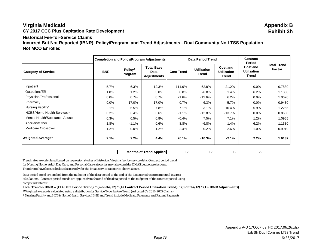# **Virginia Medicaid Appendix B**

**CY 2017 CCC Plus Capitation Rate Development Exhibit 3h**

## **Historical Fee-for-Service Claims**

**Incurred But Not Reported (IBNR), Policy/Program, and Trend Adjustments - Dual Community No LTSS Population Not MCO Enrolled**

|                                   | <b>Completion and Policy/Program Adjustments</b> |                    |                                                 |                   | <b>Data Period Trend</b>           |                                                | <b>Contract</b><br>Period                      |                                     |
|-----------------------------------|--------------------------------------------------|--------------------|-------------------------------------------------|-------------------|------------------------------------|------------------------------------------------|------------------------------------------------|-------------------------------------|
| <b>Category of Service</b>        | <b>IBNR</b>                                      | Policy/<br>Program | <b>Total Base</b><br>Data<br><b>Adjustments</b> | <b>Cost Trend</b> | <b>Utilization</b><br><b>Trend</b> | <b>Cost and</b><br><b>Utilization</b><br>Trend | <b>Cost and</b><br><b>Utilization</b><br>Trend | <b>Total Trend</b><br><b>Factor</b> |
| Inpatient                         |                                                  |                    |                                                 |                   |                                    |                                                |                                                |                                     |
|                                   | 5.7%                                             | 6.3%               | 12.3%                                           | 111.6%            | $-62.8%$                           | $-21.2%$                                       | $0.0\%$                                        | 0.7880                              |
| Outpatient/ER                     | 1.8%                                             | 1.2%               | 3.0%                                            | 8.8%              | $-6.8%$                            | 1.4%                                           | 6.2%                                           | 1.1330                              |
| Physician/Professional            | 0.0%                                             | 0.7%               | 0.7%                                            | 21.6%             | $-12.6%$                           | 6.2%                                           | 0.0%                                           | 1.0620                              |
| Pharmacy                          | $0.0\%$                                          | $-17.0\%$          | $-17.0%$                                        | 0.7%              | $-6.3%$                            | $-5.7%$                                        | 0.0%                                           | 0.9430                              |
| Nursing Facility*                 | 2.1%                                             | 5.5%               | 7.8%                                            | 7.1%              | 3.1%                               | 10.4%                                          | 5.9%                                           | 1.2255                              |
| <b>HCBS/Home Health Services*</b> | 0.2%                                             | 3.4%               | 3.6%                                            | $-1.1%$           | $-12.8%$                           | $-13.7\%$                                      | 0.0%                                           | 0.8630                              |
| Mental Health/Substance Abuse     | 0.3%                                             | 0.5%               | 0.8%                                            | $-0.4%$           | 7.5%                               | 7.1%                                           | 1.2%                                           | 1.0955                              |
| Ancillary/Other                   | 1.8%                                             | $-1.1%$            | 0.6%                                            | 8.8%              | $-6.8%$                            | 1.4%                                           | 6.2%                                           | 1.1330                              |
| Medicare Crossover                | 1.2%                                             | $0.0\%$            | 1.2%                                            | $-2.4%$           | $-0.2%$                            | $-2.6%$                                        | 1.0%                                           | 0.9919                              |
| <b>Weighted Average*</b>          | 2.1%                                             | 2.2%               | 4.4%                                            | 20.1%             | $-10.3\%$                          | $-2.1%$                                        | 2.2%                                           | 1.0187                              |

**Months of Trend Applied** 12 12 12 12 22

Trend rates are calculated based on regression studies of historical Virginia fee-for-service data. Contract period trend for Nursing Home, Adult Day Care, and Personal Care categories may also consider DMAS budget projections. Trend rates have been calculated separately for the broad service categories shown above.

Data period trend are applied from the midpoint of the data period to the end of the data period using compound interest calculations. Contract period trends are applied from the end of the data period to the midpoint of the contract period using compound interest.

**Total Trend & IBNR = [(1 + Data Period Trend) ^ (months/12) \* (1+ Contract Period Utilization Trend) ^ (months/12) \* (1 + IBNR Adjustment)]**

\*Weighted average is calculated using a distribution by Service Type, before Trend (Adjusted CY 2014-2015 Claims)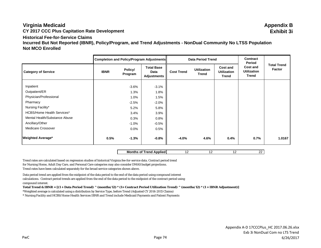# **Virginia Medicaid Appendix B**

# **Historical Fee-for-Service Claims**

**Incurred But Not Reported (IBNR), Policy/Program, and Trend Adjustments - NonDual Community No LTSS Population Not MCO Enrolled**

|                                   |             |                    | Completion and Policy/Program Adjustments       |                   | <b>Data Period Trend</b>           |                                                | <b>Contract</b><br>Period               |                              |
|-----------------------------------|-------------|--------------------|-------------------------------------------------|-------------------|------------------------------------|------------------------------------------------|-----------------------------------------|------------------------------|
| <b>Category of Service</b>        | <b>IBNR</b> | Policy/<br>Program | <b>Total Base</b><br>Data<br><b>Adjustments</b> | <b>Cost Trend</b> | <b>Utilization</b><br><b>Trend</b> | <b>Cost and</b><br><b>Utilization</b><br>Trend | Cost and<br><b>Utilization</b><br>Trend | <b>Total Trend</b><br>Factor |
| Inpatient                         |             | $-3.6%$            | $-3.1%$                                         |                   |                                    |                                                |                                         |                              |
| Outpatient/ER                     |             | 1.3%               | 1.8%                                            |                   |                                    |                                                |                                         |                              |
| Physician/Professional            |             | 1.0%               | 1.5%                                            |                   |                                    |                                                |                                         |                              |
| Pharmacy                          |             | $-2.5%$            | $-2.0%$                                         |                   |                                    |                                                |                                         |                              |
| Nursing Facility*                 |             | 5.2%               | 5.8%                                            |                   |                                    |                                                |                                         |                              |
| <b>HCBS/Home Health Services*</b> |             | 3.4%               | 3.9%                                            |                   |                                    |                                                |                                         |                              |
| Mental Health/Substance Abuse     |             | 0.3%               | 0.8%                                            |                   |                                    |                                                |                                         |                              |
| Ancillary/Other                   |             | $-1.0\%$           | $-0.5%$                                         |                   |                                    |                                                |                                         |                              |
| <b>Medicare Crossover</b>         |             | $0.0\%$            | 0.5%                                            |                   |                                    |                                                |                                         |                              |
| <b>Weighted Average*</b>          | 0.5%        | $-1.3%$            | $-0.8%$                                         | $-4.0%$           | 4.6%                               | 0.4%                                           | 0.7%                                    | 1.0167                       |

**Months of Trend Applied** 12 12 12 12 22

Trend rates are calculated based on regression studies of historical Virginia fee-for-service data. Contract period trend for Nursing Home, Adult Day Care, and Personal Care categories may also consider DMAS budget projections. Trend rates have been calculated separately for the broad service categories shown above.

Data period trend are applied from the midpoint of the data period to the end of the data period using compound interest calculations. Contract period trends are applied from the end of the data period to the midpoint of the contract period using compound interest.

**Total Trend & IBNR = [(1 + Data Period Trend) ^ (months/12) \* (1+ Contract Period Utilization Trend) ^ (months/12) \* (1 + IBNR Adjustment)]**

\*Weighted average is calculated using a distribution by Service Type, before Trend (Adjusted CY 2014-2015 Claims)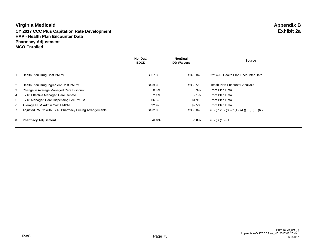## **Virginia Medicaid Appendix B CY 2017 CCC Plus Capitation Rate Development Exhibit 2a HAP - Health Plan Encounter Data Pharmacy Adjustment MCO Enrolled**

|    |                                                          | <b>NonDual</b><br><b>EDCD</b> | <b>NonDual</b><br><b>DD Waivers</b> | <b>Source</b>                                       |
|----|----------------------------------------------------------|-------------------------------|-------------------------------------|-----------------------------------------------------|
| 1. | Health Plan Drug Cost PMPM                               | \$507.33                      | \$398.84                            | CY14-15 Health Plan Encounter Data                  |
|    | 2. Health Plan Drug Ingredient Cost PMPM                 | \$473.93                      | \$385.51                            | <b>Health Plan Encounter Analysis</b>               |
|    | 3. Change in Average Managed Care Discount               | 0.3%                          | 0.3%                                | From Plan Data                                      |
|    | 4. FY18 Effective Managed Care Rebate                    | 2.1%                          | 2.1%                                | From Plan Data                                      |
|    | 5. FY18 Managed Care Dispensing Fee PMPM                 | \$6.39                        | \$4.91                              | From Plan Data                                      |
|    | 6. Average PBM Admin Cost PMPM                           | \$2.92                        | \$2.50                              | From Plan Data                                      |
|    | 7. Adjusted PMPM with FY18 Pharmacy Pricing Arrangements | \$472.08                      | \$383.84                            | $=(2.)$ * $(1 - (3.))$ * $(1 - (4.)) + (5.) + (6.)$ |
| 8. | <b>Pharmacy Adjustment</b>                               | $-6.9\%$                      | $-3.8%$                             | $= (7.) / (1.) - 1$                                 |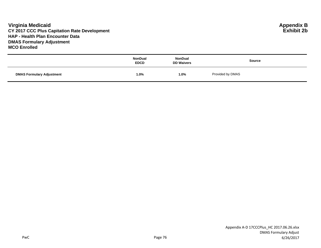## **Virginia Medicaid Appendix B CY 2017 CCC Plus Capitation Rate Development HAP - Health Plan Encounter Data DMAS Formulary Adjustment MCO Enrolled**

|                                  | <b>NonDual</b><br><b>EDCD</b> | <b>NonDual</b><br><b>DD Waivers</b> | <b>Source</b>    |
|----------------------------------|-------------------------------|-------------------------------------|------------------|
| <b>DMAS Formulary Adjustment</b> | 1.0%                          | 1.0%                                | Provided by DMAS |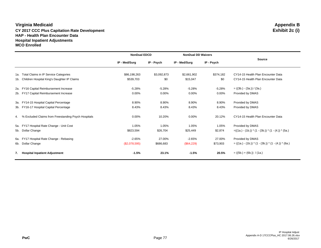#### **Virginia Medicaid Appendix B CY 2017 CCC Plus Capitation Rate Development HAP - Health Plan Encounter Data Hospital Inpatient Adjustments MCO Enrolled**

|     |                                                        | <b>NonDual EDCD</b> |             | <b>NonDual DD Waivers</b> |            |                                                        |
|-----|--------------------------------------------------------|---------------------|-------------|---------------------------|------------|--------------------------------------------------------|
|     |                                                        | IP - Med/Surg       | IP - Psych  | IP - Med/Surg             | IP - Psych | <b>Source</b>                                          |
|     | 1a. Total Claims in IP Service Categories              | \$86,198,263        | \$3,092,873 | \$2,661,902               | \$374,182  | CY14-15 Health Plan Encounter Data                     |
|     | 1b. Children Hospital King's Daughter IP Claims        | \$539,703           | \$0         | \$15,047                  | \$0        | CY14-15 Health Plan Encounter Data                     |
| 2a. | FY16 Capital Reimbursement Increase                    | $-5.28%$            | $-5.28%$    | $-5.28%$                  | $-5.28%$   | $= ((3b.) - (3a.)) / (3a.)$                            |
|     | 2b. FY17 Capital Reimbursement Increase                | 0.00%               | 0.00%       | 0.00%                     | 0.00%      | Provided by DMAS                                       |
|     | 3a. FY14-15 Hospital Capital Percentage                | 8.90%               | 8.90%       | 8.90%                     | 8.90%      | Provided by DMAS                                       |
|     | 3b. FY16-17 Hospital Capital Percentage                | 8.43%               | 8.43%       | 8.43%                     | 8.43%      | Provided by DMAS                                       |
|     | 4. % Excluded Claims from Freestanding Psych Hospitals | 0.00%               | 10.20%      | $0.00\%$                  | 20.12%     | CY14-15 Health Plan Encounter Data                     |
|     | 5a. FY17 Hospital Rate Change - Unit Cost              | 1.05%               | 1.05%       | 1.05%                     | 1.05%      | Provided by DMAS                                       |
|     | 5b. Dollar Change                                      | \$823,594           | \$26,704    | \$25,449                  | \$2,874    | $=((1a.)-(1b.)) * (1-(3b.)) * (1-(4.)) * (5a.)$        |
| 6а. | FY17 Hospital Rate Change - Rebasing                   | $-2.65%$            | 27.00%      | $-2.65%$                  | 27.00%     | Provided by DMAS                                       |
|     | 6b. Dollar Change                                      | (\$2,078,595)       | \$686,683   | (\$64,229)                | \$73,903   | $= ((1a.) - (1b.)) * (1 - (3b.)) * (1 - (4.)) * (6a.)$ |
| 7.  | <b>Hospital Inpatient Adjustment</b>                   | $-1.5%$             | 23.1%       | $-1.5%$                   | 20.5%      | $= ((5b.) + (6b.)) / (1a.)$                            |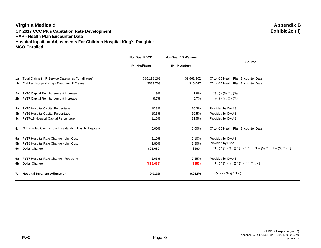## **Virginia Medicaid Appendix B CY 2017 CCC Plus Capitation Rate Development Exhibit 2c (ii) HAP - Health Plan Encounter Data Hospital Inpatient Adjustments For Children Hospital King's Daughter MCO Enrolled**

|                                                          | <b>NonDual EDCD</b> | <b>NonDual DD Waivers</b> |                                                                          |
|----------------------------------------------------------|---------------------|---------------------------|--------------------------------------------------------------------------|
|                                                          | IP - Med/Surg       | IP - Med/Surg             | <b>Source</b>                                                            |
| 1a. Total Claims in IP Service Categories (for all ages) | \$86,198,263        | \$2,661,902               | CY14-15 Health Plan Encounter Data                                       |
| 1b. Children Hospital King's Daughter IP Claims          | \$539,703           | \$15,047                  | CY14-15 Health Plan Encounter Data                                       |
| 2a. FY16 Capital Reimbursement Increase                  | 1.9%                | 1.9%                      | $= ((3b.) - (3a.)) / (3a.)$                                              |
| 2b. FY17 Capital Reimbursement Increase                  | 9.7%                | 9.7%                      | $= ((3c.) - (3b.)) / (3b.)$                                              |
| 3a. FY15 Hospital Capital Percentage                     | 10.3%               | 10.3%                     | Provided by DMAS                                                         |
| 3b. FY16 Hospital Capital Percentage                     | 10.5%               | 10.5%                     | Provided by DMAS                                                         |
| 3c. FY17-18 Hospital Capital Percentage                  | 11.5%               | 11.5%                     | Provided by DMAS                                                         |
| 4. % Excluded Claims from Freestanding Psych Hospitals   | 0.00%               | 0.00%                     | CY14-15 Health Plan Encounter Data                                       |
| 5a. FY17 Hospital Rate Change - Unit Cost                | 2.10%               | 2.10%                     | Provided by DMAS                                                         |
| 5b. FY18 Hospital Rate Change - Unit Cost                | 2.80%               | 2.80%                     | Provided by DMAS                                                         |
| 5c. Dollar Change                                        | \$23,680            | \$660                     | $= ((1b.) * (1 - (3c.)) * (1 - (4.)) * ((1 + (5a.)) * (1 + (5b.)) - 1))$ |
| 6a. FY17 Hospital Rate Change - Rebasing                 | $-2.65%$            | $-2.65%$                  | Provided by DMAS                                                         |
| 6b. Dollar Change                                        | (\$12,655)          | (\$353)                   | $= ((1b.) * (1 - (3c.)) * (1 - (4.)) * (6a.)$                            |
| 7. Hospital Inpatient Adjustment                         | 0.013%              | 0.012%                    | $= ((5c.) + (6b.)) / (1a.)$                                              |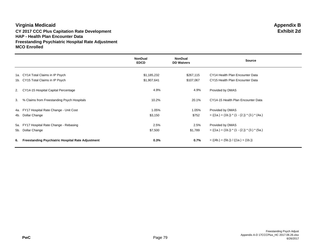#### **Virginia Medicaid Appendix B CY 2017 CCC Plus Capitation Rate Development Exhibit 2d HAP - Health Plan Encounter Data Freestanding Psychiatric Hospital Rate Adjustment MCO Enrolled**

|    |                                                          | <b>NonDual</b><br><b>EDCD</b> | <b>NonDual</b><br><b>DD Waivers</b> | <b>Source</b>                                   |
|----|----------------------------------------------------------|-------------------------------|-------------------------------------|-------------------------------------------------|
|    | 1a. CY14 Total Claims in IP Psych                        | \$1,185,232                   | \$267,115                           | CY14 Health Plan Encounter Data                 |
|    | 1b. CY15 Total Claims in IP Psych                        | \$1,907,641                   | \$107,067                           | CY15 Health Plan Encounter Data                 |
|    | 2. CY14-15 Hospital Capital Percentage                   | 4.9%                          | 4.9%                                | Provided by DMAS                                |
| 3. | % Claims from Freestanding Psych Hospitals               | 10.2%                         | 20.1%                               | CY14-15 Health Plan Encounter Data              |
|    | 4a. FY17 Hospital Rate Change - Unit Cost                | 1.05%                         | 1.05%                               | Provided by DMAS                                |
|    | 4b. Dollar Change                                        | \$3,150                       | \$752                               | $= ((1a.) + (1b.)) * (1 - (2.)) * (3.) * (4a.)$ |
|    | 5a. FY17 Hospital Rate Change - Rebasing                 | 2.5%                          | 2.5%                                | Provided by DMAS                                |
|    | 5b. Dollar Change                                        | \$7,500                       | \$1,789                             | $= ((1a.) + (1b.)) * (1 - (2.)) * (3.) * (5a.)$ |
| 6. | <b>Freestanding Psychiatric Hospital Rate Adjustment</b> | 0.3%                          | 0.7%                                | $= ((4b.) + (5b.)) / ((1a.) + (1b.))$           |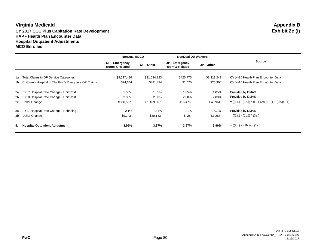#### **Virginia Medicaid Appendix B CY 2017 CCC Plus Capitation Rate Development HAP - Health Plan Encounter Data Hospital Outpatient Adjustments MCO Enrolled**

|    |                                                           | <b>NonDual EDCD</b>              |              | <b>NonDual DD Waivers</b>        |             |                                                       |  |
|----|-----------------------------------------------------------|----------------------------------|--------------|----------------------------------|-------------|-------------------------------------------------------|--|
|    |                                                           | OP - Emergency<br>Room & Related | OP - Other   | OP - Emergency<br>Room & Related | OP - Other  | <b>Source</b>                                         |  |
|    | 1a. Total Claims in OP Service Categories                 | \$9,317,486                      | \$31,034,823 | \$425,775                        | \$1,313,241 | CY14-15 Health Plan Encounter Data                    |  |
|    | 1b. Children's Hospital of The King's Daughters OP Claims | \$74,644                         | \$891,834    | \$1,070                          | \$25,305    | CY14-15 Health Plan Encounter Data                    |  |
|    | 2a. FY17 Hospital Rate Change - Unit Cost                 | 1.05%                            | 1.05%        | 1.05%                            | 1.05%       | Provided by DMAS                                      |  |
|    | 2b. FY18 Hospital Rate Change - Unit Cost                 | 2.80%                            | 2.80%        | 2.80%                            | 2.80%       | Provided by DMAS                                      |  |
|    | 2c. Dollar Change                                         | \$358,567                        | \$1,169,367  | \$16,476                         | \$49,964    | $= ((1a.) - (1b.)) * ((1 + (2a.)) * (1 + (2b.)) - 1)$ |  |
|    | 3a. FY17 Hospital Rate Change - Rebasing                  | 0.1%                             | 0.1%         | 0.1%                             | 0.1%        | Provided by DMAS                                      |  |
|    | 3b. Dollar Change                                         | \$9,243                          | \$30,143     | \$425                            | \$1,288     | $= ((1a.) - (1b.)) * (3a.)$                           |  |
| 4. | <b>Hospital Outpatient Adjustment</b>                     | 3.95%                            | 3.87%        | 3.97%                            | 3.90%       | $= ((2c.) + (3b.)) / (1a.)$                           |  |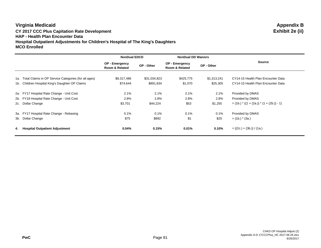## **Virginia Medicaid Appendix B CY 2017 CCC Plus Capitation Rate Development Exhibit 2e (ii) HAP - Health Plan Encounter Data Hospital Outpatient Adjustments for Children's Hospital of The King's Daughters MCO Enrolled**

|                                                          | <b>NonDual EDCD</b>              |              | <b>NonDual DD Waivers</b>               |             |                                                |  |
|----------------------------------------------------------|----------------------------------|--------------|-----------------------------------------|-------------|------------------------------------------------|--|
|                                                          | OP - Emergency<br>Room & Related | OP - Other   | <b>OP - Emergency</b><br>Room & Related | OP - Other  | <b>Source</b>                                  |  |
| 1a. Total Claims in OP Service Categories (for all ages) | \$9,317,486                      | \$31,034,823 | \$425,775                               | \$1,313,241 | CY14-15 Health Plan Encounter Data             |  |
| 1b. Children Hospital King's Daughter OP Claims          | \$74,644                         | \$891,834    | \$1,070                                 | \$25,305    | CY14-15 Health Plan Encounter Data             |  |
| 2a. FY17 Hospital Rate Change - Unit Cost                | 2.1%                             | 2.1%         | 2.1%                                    | 2.1%        | Provided by DMAS                               |  |
| 2b. FY18 Hospital Rate Change - Unit Cost                | 2.8%                             | 2.8%         | 2.8%                                    | 2.8%        | Provided by DMAS                               |  |
| 2c. Dollar Change                                        | \$3,701                          | \$44,224     | \$53                                    | \$1,255     | $=$ (1b.) $*($ (1 + (2a.)) $*(1 + (2b.)) - 1)$ |  |
| 3a. FY17 Hospital Rate Change - Rebasing                 | 0.1%                             | 0.1%         | 0.1%                                    | 0.1%        | Provided by DMAS                               |  |
| 3b. Dollar Change                                        | \$75                             | \$892        | \$1                                     | \$25        | $=$ (1b.) $*$ (3a.)                            |  |
| 4. Hospital Outpatient Adjustment                        | 0.04%                            | 0.15%        | 0.01%                                   | 0.10%       | $= ((2c.) + (3b.)) / (1a.)$                    |  |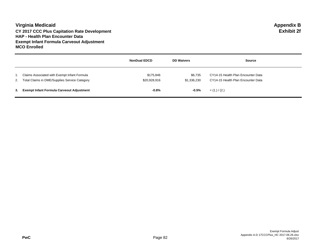#### **Virginia Medicaid Appendix B CY 2017 CCC Plus Capitation Rate Development Exhibit 2f HAP - Health Plan Encounter Data Exempt Infant Formula Carveout Adjustment MCO Enrolled**

|                                                                                                  | <b>NonDual EDCD</b>       | <b>DD Waivers</b>      | <b>Source</b>                                                            |
|--------------------------------------------------------------------------------------------------|---------------------------|------------------------|--------------------------------------------------------------------------|
| Claims Associated with Exempt Infant Formula<br>2. Total Claims in DME/Supplies Service Category | \$175.846<br>\$20,928,916 | \$6.735<br>\$1,336,230 | CY14-15 Health Plan Encounter Data<br>CY14-15 Health Plan Encounter Data |
| 3. Exempt Infant Formula Carveout Adjustment                                                     | $-0.8%$                   | $-0.5%$                | $= (1.) / (2.)$                                                          |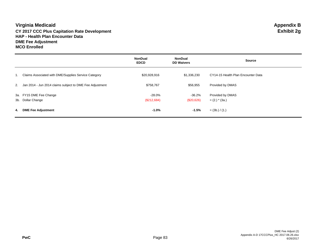## **Virginia Medicaid Appendix B CY 2017 CCC Plus Capitation Rate Development Exhibit 2g HAP - Health Plan Encounter Data DME Fee Adjustment MCO Enrolled**

|    |                                                             | <b>NonDual</b><br><b>EDCD</b> | <b>NonDual</b><br><b>DD Waivers</b> | <b>Source</b>                        |
|----|-------------------------------------------------------------|-------------------------------|-------------------------------------|--------------------------------------|
| 1. | Claims Associated with DME/Supplies Service Category        | \$20,928,916                  | \$1,336,230                         | CY14-15 Health Plan Encounter Data   |
|    | 2. Jan 2014 - Jun 2014 claims subject to DME Fee Adjustment | \$758,767                     | \$56,955                            | Provided by DMAS                     |
|    | 3a. FY15 DME Fee Change<br>3b. Dollar Change                | -28.0%<br>(\$212,684)         | -36.2%<br>(\$20,626)                | Provided by DMAS<br>$= (2.)$ * (3a.) |
| 4. | <b>DME Fee Adjustment</b>                                   | $-1.0%$                       | $-1.5%$                             | $=$ (3b.) / (1.)                     |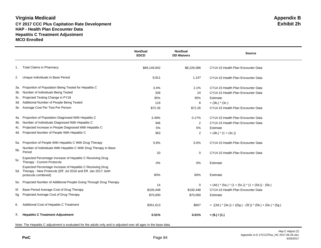#### **Virginia Medicaid Appendix B CY 2017 CCC Plus Capitation Rate Development HAP - Health Plan Encounter Data Hepatitis C Treatment Adjustment MCO Enrolled**

|     |                                                                                                                                  | <b>NonDual</b><br><b>EDCD</b> | <b>NonDual</b><br><b>DD Waivers</b> | <b>Source</b>                                                 |
|-----|----------------------------------------------------------------------------------------------------------------------------------|-------------------------------|-------------------------------------|---------------------------------------------------------------|
|     | 1. Total Claims in Pharmacy                                                                                                      | \$69,149,942                  | \$8,226,086                         | CY14-15 Health Plan Encounter Data                            |
| 2.  | Unique Individuals in Base Period                                                                                                | 9,911                         | 1,147                               | CY14-15 Health Plan Encounter Data                            |
| 3а. | Proportion of Population Being Tested for Hepatitis C                                                                            | 3.4%                          | 2.1%                                | CY14-15 Health Plan Encounter Data                            |
|     | 3b. Number of Individuals Being Tested                                                                                           | 339                           | 24                                  | CY14-15 Health Plan Encounter Data                            |
| 3c. | Projected Testing Change in FY18                                                                                                 | 35%                           | 35%                                 | Estimate                                                      |
| 3d. | Additional Number of People Being Tested                                                                                         | 119                           | 8                                   | $=$ (3b.) $*$ (3c.)                                           |
|     | 3e. Average Cost Per Test Per Person                                                                                             | \$72.26                       | \$72.26                             | CY14-15 Health Plan Encounter Data                            |
| 4a. | Proportion of Population Diagnosed With Hepatitis C                                                                              | 3.49%                         | 0.17%                               | CY14-15 Health Plan Encounter Data                            |
| 4b. | Number of Individuals Diagnosed With Hepatitis C                                                                                 | 346                           | $\overline{2}$                      | CY14-15 Health Plan Encounter Data                            |
| 4c. | Projected Increase in People Diagnosed With Hepatitis C                                                                          | 5%                            | 5%                                  | Estimate                                                      |
|     | 4d. Projected Number of People With Hepatitis C                                                                                  | 363                           | $\overline{c}$                      | $= (4b.)$ * $(1 + (4c.))$                                     |
|     | 5a. Proportion of People With Hepatitis C With Drug Therapy                                                                      | 5.8%                          | 0.0%                                | CY14-15 Health Plan Encounter Data                            |
| 5b. | Number of Individuals With Hepatitis C With Drug Therapy in Base<br>Period                                                       | 20                            | $\mathbf 0$                         | CY14-15 Health Plan Encounter Data                            |
| 5c. | Expected Percentage Increase of Hepatitis C Receiving Drug<br>Therapy - Current Protocols                                        | 0%                            | 0%                                  | Estimate                                                      |
|     | Expected Percentage Increase of Hepatitis C Receiving Drug<br>5d. Therapy - New Protocols (Eff. Jul 2016 and Eff. Jan 2017; both |                               |                                     |                                                               |
|     | protocols combined)                                                                                                              | 60%                           | 60%                                 | Estimate                                                      |
|     | 5e. Projected Number of Additional People Going Through Drug Therapy                                                             | 14                            | 0                                   | $=$ (4d.) $*(5a.)*(1 + (5c.))*(1 + (5d.)) - (5b.)$            |
| 5f. | Base Period Average Cost of Drug Therapy                                                                                         | \$100,448                     | \$100,448                           | CY14-15 Health Plan Encounter Data                            |
| 5g. | Projected Average Cost of Drug Therapy                                                                                           | \$70,000                      | \$70,000                            | Estimate                                                      |
| 6.  | Additional Cost of Hepatitis C Treatment                                                                                         | \$351,613                     | \$607                               | $= ((3d.) * (3e.)) + ((5g.) - (5f.)) * (5b.) + (5e.) * (5g.)$ |
|     | 7. Hepatitis C Treatment Adjustment                                                                                              | 0.51%                         | 0.01%                               | $= (6.) / (1.)$                                               |

Note: The Hepatitis C adjustment is evaluated for the adults only and is adjusted over all ages in the base data.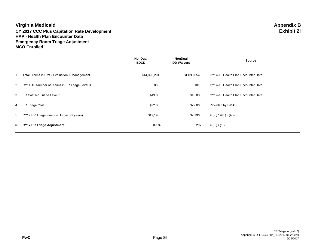## **Virginia Medicaid Appendix B CY 2017 CCC Plus Capitation Rate Development Exhibit 2i HAP - Health Plan Encounter Data Emergency Room Triage Adjustment MCO Enrolled**

|                                                 | <b>NonDual</b><br><b>EDCD</b> | <b>NonDual</b><br><b>DD Waivers</b> | <b>Source</b>                      |
|-------------------------------------------------|-------------------------------|-------------------------------------|------------------------------------|
| Total Claims in Prof - Evaluation & Management  | \$14,890,291                  | \$1,093,054                         | CY14-15 Health Plan Encounter Data |
| 2 CY14-15 Number of Claims in ER Triage Level 3 | 883                           | 101                                 | CY14-15 Health Plan Encounter Data |
| ER Cost No Triage Level 3                       | \$43.80                       | \$43.80                             | CY14-15 Health Plan Encounter Data |
| <b>ER Triage Cost</b>                           | \$22.06                       | \$22.06                             | Provided by DMAS                   |
| 5. CY17 ER Triage Financial Impact (2 years)    | \$19,198                      | \$2,196                             | $=(2.)$ * $((3.) - (4.)$           |
| 6. CY17 ER Triage Adjustment                    | 0.1%                          | 0.2%                                | $= (5.) / (1.)$                    |
|                                                 |                               |                                     |                                    |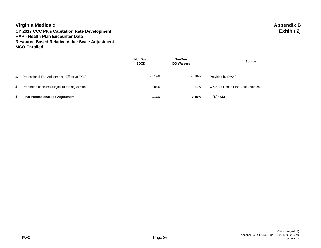## **Virginia Medicaid Appendix B CY 2017 CCC Plus Capitation Rate Development Exhibit 2j HAP - Health Plan Encounter Data Resource Based Relative Value Scale Adjustment MCO Enrolled**

|                                                          | <b>NonDual</b><br><b>EDCD</b> | <b>NonDual</b><br><b>DD Waivers</b> | <b>Source</b>                      |
|----------------------------------------------------------|-------------------------------|-------------------------------------|------------------------------------|
| 1. Professional Fee Adjustment - Effective FY18          | $-0.19%$                      | -0.19%                              | Provided by DMAS                   |
| <b>2.</b> Proportion of claims subject to fee adjustment | 86%                           | 81%                                 | CY14-15 Health Plan Encounter Data |
| 3. Final Professional Fee Adjustment                     | $-0.16%$                      | -0.15%                              | $=$ (1.) $*$ (2.)                  |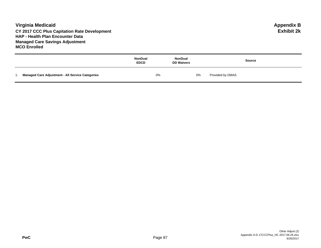## **Virginia Medicaid Appendix B CY 2017 CCC Plus Capitation Rate Development Exhibit 2k HAP - Health Plan Encounter Data Managed Care Savings Adjustment MCO Enrolled**

|     |                                                         | NonDual<br><b>EDCD</b> | NonDual<br><b>DD Waivers</b> | <b>Source</b>    |
|-----|---------------------------------------------------------|------------------------|------------------------------|------------------|
| . . | <b>Managed Care Adjustment - All Service Categories</b> | 0%                     | 0%                           | Provided by DMAS |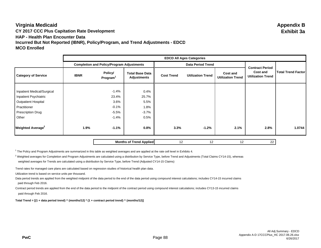## **Virginia Medicaid Appendix B CY 2017 CCC Plus Capitation Rate Development Exhibit 3a HAP - Health Plan Encounter Data Incurred But Not Reported (IBNR), Policy/Program, and Trend Adjustments - EDCD MCO Enrolled**

|                                     |             | <b>EDCD All Ages Categories</b>                  |                                       |                   |                          |                                      |                                                                |                           |
|-------------------------------------|-------------|--------------------------------------------------|---------------------------------------|-------------------|--------------------------|--------------------------------------|----------------------------------------------------------------|---------------------------|
|                                     |             | <b>Completion and Policy/Program Adjustments</b> |                                       |                   | <b>Data Period Trend</b> |                                      |                                                                |                           |
| <b>Category of Service</b>          | <b>IBNR</b> | Policy/<br>Program <sup>1</sup>                  | <b>Total Base Data</b><br>Adjustments | <b>Cost Trend</b> | <b>Utilization Trend</b> | Cost and<br><b>Utilization Trend</b> | <b>Contract Period</b><br>Cost and<br><b>Utilization Trend</b> | <b>Total Trend Factor</b> |
|                                     |             |                                                  |                                       |                   |                          |                                      |                                                                |                           |
| Inpatient Medical/Surgical          |             | $-1.4%$                                          | 0.4%                                  |                   |                          |                                      |                                                                |                           |
| Inpatient Psychiatric               |             | 23.4%                                            | 25.7%                                 |                   |                          |                                      |                                                                |                           |
| <b>Outpatient Hospital</b>          |             | 3.6%                                             | 5.5%                                  |                   |                          |                                      |                                                                |                           |
| Practitioner                        |             | $-0.1%$                                          | 1.8%                                  |                   |                          |                                      |                                                                |                           |
| <b>Prescription Drug</b>            |             | $-5.5%$                                          | $-3.7%$                               |                   |                          |                                      |                                                                |                           |
| Other                               |             | $-1.4%$                                          | 0.5%                                  |                   |                          |                                      |                                                                |                           |
| <b>Weighted Average<sup>2</sup></b> | 1.9%        | $-1.1%$                                          | 0.8%                                  | 3.3%              | $-1.2%$                  | 2.1%                                 | 2.8%                                                           | 1.0744                    |
|                                     |             |                                                  | <b>Months of Trend Applied</b>        | 12                | 12                       | 12                                   | 22                                                             |                           |

<sup>1</sup> The Policy and Program Adjustments are summarized in this table as weighted averages and are applied at the rate cell level in Exhibits 4.

 $2$  Weighted averages for Completion and Program Adjustments are calculated using a distribution by Service Type, before Trend and Adjustments (Total Claims CY14-15), whereas weighted averages for Trends are calculated using a distribution by Service Type, before Trend (Adjusted CY14-15 Claims)

Trend rates for managed care plans are calculated based on regression studies of historical health plan data.

Utilization trend is based on service units per thousand.

Data period trends are applied from the weighted midpoint of the data period to the end of the data period using compound interest calculations; includes CY14-15 incurred claims paid through Feb 2016.

Contract period trends are applied from the end of the data period to the midpoint of the contract period using compound interest calculations; includes CY13-15 incurred claims paid through Feb 2016.

**Total Trend = [(1 + data period trend) ^ (months/12) \* (1 + contract period trend) ^ (months/12)]**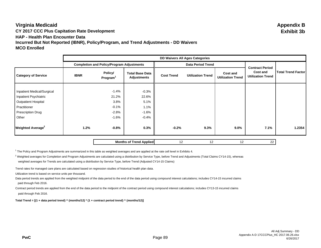# **Virginia Medicaid Appendix B CY 2017 CCC Plus Capitation Rate Development Exhibit 3b HAP - Health Plan Encounter Data Incurred But Not Reported (IBNR), Policy/Program, and Trend Adjustments - DD Waivers**

|                                |             | <b>DD Waivers All Ages Categories</b>            |                                       |                   |                          |                                                                |                           |                                      |
|--------------------------------|-------------|--------------------------------------------------|---------------------------------------|-------------------|--------------------------|----------------------------------------------------------------|---------------------------|--------------------------------------|
|                                |             | <b>Completion and Policy/Program Adjustments</b> |                                       |                   | <b>Data Period Trend</b> | <b>Contract Period</b><br>Cost and<br><b>Utilization Trend</b> | <b>Total Trend Factor</b> |                                      |
| <b>Category of Service</b>     | <b>IBNR</b> | Policy/<br>Program <sup>1</sup>                  | <b>Total Base Data</b><br>Adjustments | <b>Cost Trend</b> |                          |                                                                |                           | Cost and<br><b>Utilization Trend</b> |
|                                |             |                                                  |                                       |                   |                          |                                                                |                           |                                      |
| Inpatient Medical/Surgical     |             | $-1.4%$                                          | $-0.3%$                               |                   |                          |                                                                |                           |                                      |
| Inpatient Psychiatric          |             | 21.2%                                            | 22.6%                                 |                   |                          |                                                                |                           |                                      |
| <b>Outpatient Hospital</b>     |             | 3.8%                                             | 5.1%                                  |                   |                          |                                                                |                           |                                      |
| Practitioner                   |             | $-0.1%$                                          | 1.1%                                  |                   |                          |                                                                |                           |                                      |
| <b>Prescription Drug</b>       |             | $-2.8%$                                          | $-1.6%$                               |                   |                          |                                                                |                           |                                      |
| Other                          |             | $-1.6%$                                          | $-0.4%$                               |                   |                          |                                                                |                           |                                      |
| Weighted Average <sup>2</sup>  | 1.2%        | $-0.8%$                                          | 0.3%                                  | $-0.2%$           | 9.3%                     | $9.0\%$                                                        | 7.1%                      | 1.2354                               |
| <b>Months of Trend Applied</b> |             |                                                  | 12                                    | 12                | 12                       | 22                                                             |                           |                                      |

<sup>1</sup> The Policy and Program Adjustments are summarized in this table as weighted averages and are applied at the rate cell level in Exhibits 4.

 $^2$  Weighted averages for Completion and Program Adjustments are calculated using a distribution by Service Type, before Trend and Adjustments (Total Claims CY14-15), whereas weighted averages for Trends are calculated using a distribution by Service Type, before Trend (Adjusted CY14-15 Claims)

Trend rates for managed care plans are calculated based on regression studies of historical health plan data.

Utilization trend is based on service units per thousand.

Data period trends are applied from the weighted midpoint of the data period to the end of the data period using compound interest calculations; includes CY14-15 incurred claims paid through Feb 2016.

Contract period trends are applied from the end of the data period to the midpoint of the contract period using compound interest calculations; includes CY13-15 incurred claims paid through Feb 2016.

**Total Trend = [(1 + data period trend) ^ (months/12) \* (1 + contract period trend) ^ (months/12)]**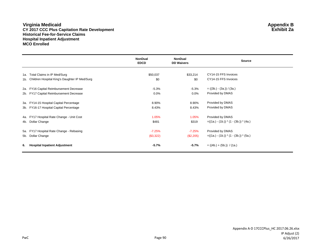#### **Virginia Medicaid Appendix B CY 2017 CCC Plus Capitation Rate Development Exhibit 2a Historical Fee-for-Service Claims Hospital Inpatient Adjustment MCO Enrolled**

|     |                                                   | <b>NonDual</b><br><b>EDCD</b> | <b>NonDual</b><br><b>DD Waivers</b> | <b>Source</b>                             |
|-----|---------------------------------------------------|-------------------------------|-------------------------------------|-------------------------------------------|
| 1a. | Total Claims in IP Med/Surg                       | \$50,037                      | \$33,214                            | CY14-15 FFS Invoices                      |
|     | 1b. Children Hospital King's Daughter IP Med/Surg | \$0                           | \$0                                 | CY14-15 FFS Invoices                      |
| 2a. | FY16 Capital Reimbursement Decrease               | $-5.3%$                       | $-5.3%$                             | $= ((3b.) - (3a.)) / (3a.)$               |
|     | 2b. FY17 Capital Reimbursement Decrease           | $0.0\%$                       | $0.0\%$                             | Provided by DMAS                          |
| 3а. | FY14-15 Hospital Capital Percentage               | 8.90%                         | 8.90%                               | Provided by DMAS                          |
|     | 3b. FY16-17 Hospital Capital Percentage           | 8.43%                         | 8.43%                               | Provided by DMAS                          |
|     | 4a. FY17 Hospital Rate Change - Unit Cost         | 1.05%                         | 1.05%                               | Provided by DMAS                          |
|     | 4b. Dollar Change                                 | \$481                         | \$319                               | $= ((1a.) - (1b.)) * (1 - (3b.)) * (4a.)$ |
| 5а. | FY17 Hospital Rate Change - Rebasing              | $-7.25%$                      | $-7.25%$                            | Provided by DMAS                          |
|     | 5b. Dollar Change                                 | (\$3,322)                     | (\$2,205)                           | $= ((1a.) - (1b.)) * (1 - (3b.)) * (5a.)$ |
| 6.  | <b>Hospital Inpatient Adjustment</b>              | $-5.7%$                       | $-5.7%$                             | $= ((4b.) + (5b.)) / (1a.)$               |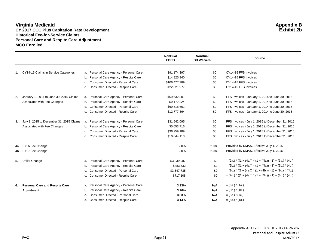#### **Virginia Medicaid Appendix B CY 2017 CCC Plus Capitation Rate Development Exhibit 2b Historical Fee-for-Service Claims Personal Care and Respite Care Adjustment MCO Enrolled**

|    |                                          |    |                                               | <b>NonDual</b><br><b>EDCD</b> | <b>NonDual</b><br><b>DD Waivers</b> | <b>Source</b>                                                    |
|----|------------------------------------------|----|-----------------------------------------------|-------------------------------|-------------------------------------|------------------------------------------------------------------|
|    | 1. CY14-15 Claims in Service Categories  |    | a. Personal Care Agency - Personal Care       | \$91,174,397                  | \$0                                 | CY14-15 FFS Invoices                                             |
|    |                                          |    | b. Personal Care Agency - Respite Care        | \$14,825,940                  | \$0                                 | CY14-15 FFS Invoices                                             |
|    |                                          | c. | Consumer Directed - Personal Care             | \$106,477,789                 | \$0                                 | CY14-15 FFS Invoices                                             |
|    |                                          | d. | Consumer Directed - Respite Care              | \$22,821,977                  | \$0                                 | CY14-15 FFS Invoices                                             |
| 2. | January 1, 2014 to June 30, 2015 Claims  |    | a. Personal Care Agency - Personal Care       | \$59,632,301                  | \$0                                 | FFS Invoices - January 1, 2014 to June 30, 2015                  |
|    | Associated with Fee Changes              |    | b. Personal Care Agency - Respite Care        | \$9,172,224                   | \$0                                 | FFS Invoices - January 1, 2014 to June 30, 2015                  |
|    |                                          | C. | Consumer Directed - Personal Care             | \$69,518,601                  | \$0                                 | FFS Invoices - January 1, 2014 to June 30, 2015                  |
|    |                                          |    | d. Consumer Directed - Respite Care           | \$12,777,864                  | \$0                                 | FFS Invoices - January 1, 2014 to June 30, 2015                  |
| 3. | July 1, 2015 to December 31, 2015 Claims |    | a. Personal Care Agency - Personal Care       | \$31,542,095                  | \$0                                 | FFS Invoices - July 1, 2015 to December 31, 2015                 |
|    | Associated with Fee Changes              |    | b. Personal Care Agency - Respite Care        | \$5,653,716                   | \$0                                 | FFS Invoices - July 1, 2015 to December 31, 2015                 |
|    |                                          | C. | Consumer Directed - Personal Care             | \$36,959,189                  | \$0                                 | FFS Invoices - July 1, 2015 to December 31, 2015                 |
|    |                                          |    | Consumer Directed - Respite Care              | \$10,044,113                  | \$0                                 | FFS Invoices - July 1, 2015 to December 31, 2015                 |
|    | 4a. FY16 Fee Change                      |    |                                               | 2.0%                          | 2.0%                                | Provided by DMAS, Effective July 1, 2015                         |
|    | 4b. FY17 Fee Change                      |    |                                               | 2.0%                          | 2.0%                                | Provided by DMAS, Effective July 1, 2016                         |
| 5. | Dollar Change                            |    | a. Personal Care Agency - Personal Care       | \$3,039,987                   | \$0                                 | $=(2a.)$ * ((1 + (4a.)) * (1 + (4b.)) - 1) + (3a.) * (4b.)       |
|    |                                          |    | b. Personal Care Agency - Respite Care        | \$483,632                     | \$0                                 | $=(2b.)$ * ((1 + (4a.)) * (1 + (4b.)) - 1) + (3b.) * (4b.)       |
|    |                                          | c. | <b>Consumer Directed - Personal Care</b>      | \$3,547,735                   | \$0                                 | $=(2c.)$ * ((1 + (4a.)) * (1 + (4b.)) - 1) + (3c.) * (4b.)       |
|    |                                          |    | d. Consumer Directed - Respite Care           | \$717,108                     | \$0                                 | $=(2d.)$ * $((1 + (4a.))$ * $(1 + (4b.)) - 1) + (3d.)$ * $(4b.)$ |
| 6. | <b>Personal Care and Respite Care</b>    |    | a. Personal Care Agency - Personal Care       | 3.33%                         | N/A                                 | $= (5a.) / (1a.)$                                                |
|    | Adjustment                               |    | <b>b.</b> Personal Care Agency - Respite Care | 3.26%                         | N/A                                 | $= (5b.) / (1b.)$                                                |
|    |                                          |    | c. Consumer Directed - Personal Care          | 3.33%                         | N/A                                 | $= (5c.) / (1c.)$                                                |
|    |                                          |    | d. Consumer Directed - Respite Care           | 3.14%                         | N/A                                 | $= (5d.) / (1d.)$                                                |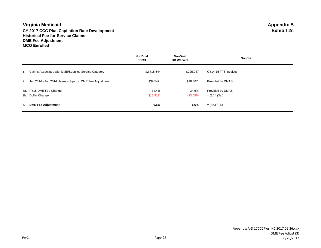#### **Virginia Medicaid Appendix B CY 2017 CCC Plus Capitation Rate Development Historical Fee-for-Service Claims DME Fee Adjustment MCO Enrolled**

|    |                                                             | <b>NonDual</b><br><b>EDCD</b> | <b>NonDual</b><br><b>DD Waivers</b> | <b>Source</b>        |
|----|-------------------------------------------------------------|-------------------------------|-------------------------------------|----------------------|
|    | Claims Associated with DME/Supplies Service Category        | \$2,715,644                   | \$225,947                           | CY14-15 FFS Invoices |
|    | 2. Jan 2014 - Jun 2014 claims subject to DME Fee Adjustment | \$39,547                      | \$10,567                            | Provided by DMAS     |
|    | 3a. FY15 DME Fee Change                                     | $-32.4%$                      | -34.6%                              | Provided by DMAS     |
|    | 3b. Dollar Change                                           | (\$12,813)                    | (\$3,656)                           | $= (2.)$ * (3a.)     |
| 4. | <b>DME Fee Adjustment</b>                                   | $-0.5%$                       | $-1.6%$                             | $=$ (3b.) / (1.)     |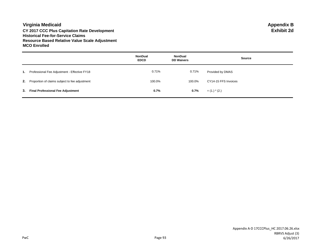**Virginia Medicaid Appendix B CY 2017 CCC Plus Capitation Rate Development Historical Fee-for-Service Claims Resource Based Relative Value Scale Adjustment MCO Enrolled**

|    |                                                | <b>NonDual</b><br><b>EDCD</b> | NonDual<br><b>DD Waivers</b> | <b>Source</b>        |
|----|------------------------------------------------|-------------------------------|------------------------------|----------------------|
| 1. | Professional Fee Adjustment - Effective FY18   | 0.71%                         | 0.71%                        | Provided by DMAS     |
| 2. | Proportion of claims subject to fee adjustment | 100.0%                        | 100.0%                       | CY14-15 FFS Invoices |
| 3. | <b>Final Professional Fee Adjustment</b>       | 0.7%                          | 0.7%                         | $=$ (1.) $*$ (2.)    |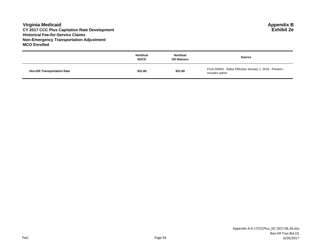#### **Virginia Medicaid Appendix B CY 2017 CCC Plus Capitation Rate Development Exhibit 2e Historical Fee-for-Service Claims Non-Emergency Transportation Adjustment MCO Enrolled**

|                                   | <b>NonDual</b><br><b>EDCD</b> | NonDual<br><b>DD Waivers</b> | <b>Source</b>                                                             |
|-----------------------------------|-------------------------------|------------------------------|---------------------------------------------------------------------------|
| <b>Non-ER Transportation Rate</b> | \$31.80                       | \$31.80                      | From DMAS - Rates Effective January 1, 2016 - Present -<br>includes admin |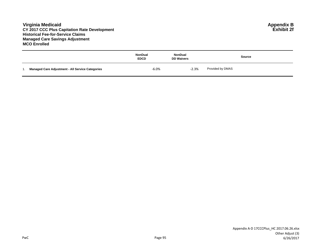#### **Virginia Medicaid Appendix B CY 2017 CCC Plus Capitation Rate Development Exhibit 2f Historical Fee-for-Service Claims Managed Care Savings Adjustment MCO Enrolled**

|                                                         | <b>NonDual</b><br><b>EDCD</b> | <b>NonDual</b><br><b>DD Waivers</b> | Source           |
|---------------------------------------------------------|-------------------------------|-------------------------------------|------------------|
| <b>Managed Care Adjustment - All Service Categories</b> | $-6.0%$                       | $-2.3%$                             | Provided by DMAS |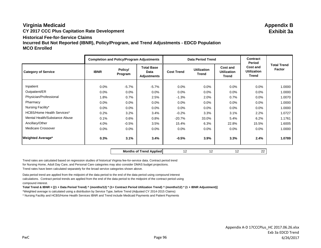# **Virginia Medicaid Appendix B CY 2017 CCC Plus Capitation Rate Development Exhibit 3a Historical Fee-for-Service ClaimsIncurred But Not Reported (IBNR), Policy/Program, and Trend Adjustments - EDCD Population MCO Enrolled**

|                                   |             | <b>Completion and Policy/Program Adjustments</b> |                                                 |                   | <b>Data Period Trend</b>           | <b>Contract</b><br>Period               |                                                |                              |
|-----------------------------------|-------------|--------------------------------------------------|-------------------------------------------------|-------------------|------------------------------------|-----------------------------------------|------------------------------------------------|------------------------------|
| <b>Category of Service</b>        | <b>IBNR</b> | Policy/<br>Program                               | <b>Total Base</b><br>Data<br><b>Adjustments</b> | <b>Cost Trend</b> | <b>Utilization</b><br><b>Trend</b> | Cost and<br><b>Utilization</b><br>Trend | Cost and<br><b>Utilization</b><br><b>Trend</b> | <b>Total Trend</b><br>Factor |
| Inpatient                         | 0.0%        | $-5.7%$                                          | $-5.7%$                                         | 0.0%              | $0.0\%$                            | $0.0\%$                                 | $0.0\%$                                        | 1.0000                       |
| Outpatient/ER                     | 0.0%        | 0.0%                                             | 0.0%                                            | 0.0%              | $0.0\%$                            | $0.0\%$                                 | $0.0\%$                                        | 1.0000                       |
|                                   |             |                                                  |                                                 |                   |                                    |                                         |                                                |                              |
| Physician/Professional            | 1.8%        | 0.7%                                             | 2.5%                                            | $-1.3%$           | 2.0%                               | 0.7%                                    | $0.0\%$                                        | 1.0070                       |
| Pharmacy                          | 0.0%        | 0.0%                                             | 0.0%                                            | 0.0%              | $0.0\%$                            | $0.0\%$                                 | 0.0%                                           | 1.0000                       |
| Nursing Facility*                 | 0.0%        | 0.0%                                             | 0.0%                                            | 0.0%              | 0.0%                               | $0.0\%$                                 | 0.0%                                           | 1.0000                       |
| <b>HCBS/Home Health Services*</b> | 0.2%        | 3.2%                                             | 3.4%                                            | $-0.2%$           | 3.3%                               | 3.1%                                    | 2.2%                                           | 1.0727                       |
| Mental Health/Substance Abuse     | 0.1%        | 0.6%                                             | 0.8%                                            | $-20.7%$          | 33.0%                              | 5.4%                                    | 6.2%                                           | 1.1761                       |
| Ancillary/Other                   | 4.0%        | $-0.5%$                                          | 3.5%                                            | 15.4%             | 6.3%                               | 22.8%                                   | 15.5%                                          | 1.6005                       |
| Medicare Crossover                | 0.0%        | 0.0%                                             | 0.0%                                            | 0.0%              | 0.0%                               | $0.0\%$                                 | 0.0%                                           | 1.0000                       |
| <b>Weighted Average*</b>          | 0.3%        | 3.1%                                             | 3.4%                                            | $-0.5%$           | 3.9%                               | 3.3%                                    | 2.4%                                           | 1.0789                       |

**Months of Trend Applied 12** 12 12 12 12 22

Trend rates are calculated based on regression studies of historical Virginia fee-for-service data. Contract period trend for Nursing Home, Adult Day Care, and Personal Care categories may also consider DMAS budget projections. Trend rates have been calculated separately for the broad service categories shown above.

Data period trend are applied from the midpoint of the data period to the end of the data period using compound interest calculations. Contract period trends are applied from the end of the data period to the midpoint of the contract period using compound interest.

**Total Trend & IBNR = [(1 + Data Period Trend) ^ (months/12) \* (1+ Contract Period Utilization Trend) ^ (months/12) \* (1 + IBNR Adjustment)]**

\*Weighted average is calculated using a distribution by Service Type, before Trend (Adjusted CY 2014-2015 Claims)

\* Nursing Facility and HCBS/Home Health Services IBNR and Trend include Medicaid Payments and Patient Payments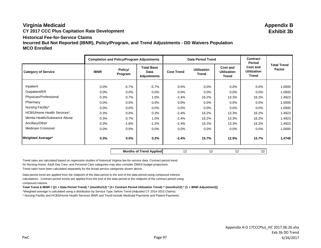# **Virginia Medicaid Appendix B CY 2017 CCC Plus Capitation Rate Development Exhibit 3b Historical Fee-for-Service ClaimsIncurred But Not Reported (IBNR), Policy/Program, and Trend Adjustments - DD Waivers Population MCO Enrolled**

|                                   |             | <b>Completion and Policy/Program Adjustments</b> |                                                 |                   | <b>Data Period Trend</b>           |                                                | <b>Contract</b><br>Period                      |                              |
|-----------------------------------|-------------|--------------------------------------------------|-------------------------------------------------|-------------------|------------------------------------|------------------------------------------------|------------------------------------------------|------------------------------|
| <b>Category of Service</b>        | <b>IBNR</b> | Policy/<br>Program                               | <b>Total Base</b><br>Data<br><b>Adjustments</b> | <b>Cost Trend</b> | <b>Utilization</b><br><b>Trend</b> | Cost and<br><b>Utilization</b><br><b>Trend</b> | Cost and<br><b>Utilization</b><br><b>Trend</b> | <b>Total Trend</b><br>Factor |
| Inpatient                         | $0.0\%$     | $-5.7%$                                          | $-5.7%$                                         | 0.0%              | $0.0\%$                            | 0.0%                                           | $0.0\%$                                        | 1.0000                       |
| Outpatient/ER                     | 0.0%        | 0.0%                                             | $0.0\%$                                         | 0.0%              | $0.0\%$                            | 0.0%                                           | $0.0\%$                                        | 1.0000                       |
| Physician/Professional            | 0.3%        | 0.7%                                             | 1.0%                                            | $-2.4%$           | 16.2%                              | 13.3%                                          | 16.2%                                          | 1.4923                       |
| Pharmacy                          | $0.0\%$     | 0.0%                                             | $0.0\%$                                         | 0.0%              | $0.0\%$                            | $0.0\%$                                        | $0.0\%$                                        | 1.0000                       |
| Nursing Facility*                 | $0.0\%$     | 0.0%                                             | $0.0\%$                                         | 0.0%              | $0.0\%$                            | 0.0%                                           | $0.0\%$                                        | 1.0000                       |
| <b>HCBS/Home Health Services*</b> | 0.3%        | 0.0%                                             | 0.3%                                            | $-2.4%$           | 16.2%                              | 13.3%                                          | 16.2%                                          | 1.4923                       |
| Mental Health/Substance Abuse     | 0.3%        | 0.7%                                             | 1.0%                                            | $-2.4%$           | 16.2%                              | 13.3%                                          | 16.2%                                          | 1.4923                       |
| Ancillary/Other                   | 0.3%        | $-1.6%$                                          | $-1.3%$                                         | $-2.4%$           | 16.2%                              | 13.3%                                          | 16.2%                                          | 1.4923                       |
| Medicare Crossover                | 0.0%        | 0.0%                                             | $0.0\%$                                         | 0.0%              | $0.0\%$                            | $0.0\%$                                        | $0.0\%$                                        | 1.0000                       |
| <b>Weighted Average*</b>          | 0.3%        | 0.0%                                             | 0.2%                                            | $-2.4%$           | 15.7%                              | 12.9%                                          | 15.7%                                          | 1.4746                       |

**Months of Trend Applied 12** 12 12 12 12 22

Trend rates are calculated based on regression studies of historical Virginia fee-for-service data. Contract period trend for Nursing Home, Adult Day Care, and Personal Care categories may also consider DMAS budget projections. Trend rates have been calculated separately for the broad service categories shown above.

Data period trend are applied from the midpoint of the data period to the end of the data period using compound interest calculations. Contract period trends are applied from the end of the data period to the midpoint of the contract period using compound interest.

**Total Trend & IBNR = [(1 + Data Period Trend) ^ (months/12) \* (1+ Contract Period Utilization Trend) ^ (months/12) \* (1 + IBNR Adjustment)]**

\*Weighted average is calculated using a distribution by Service Type, before Trend (Adjusted CY 2014-2015 Claims)

\* Nursing Facility and HCBS/Home Health Services IBNR and Trend include Medicaid Payments and Patient Payments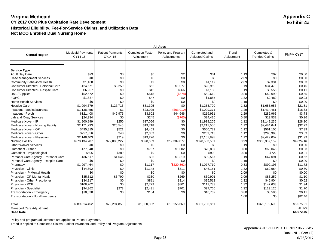| <b>All Ages</b>                      |                                     |                                    |                                        |                                   |                                         |                     |                                      |            |
|--------------------------------------|-------------------------------------|------------------------------------|----------------------------------------|-----------------------------------|-----------------------------------------|---------------------|--------------------------------------|------------|
| <b>Central Region</b>                | <b>Medicaid Payments</b><br>CY14-15 | <b>Patient Payments</b><br>CY14-15 | <b>Completion Factor</b><br>Adjustment | Policy and Program<br>Adjustments | Completed and<br><b>Adjusted Claims</b> | Trend<br>Adjustment | Completed &<br><b>Trended Claims</b> | PMPM CY17  |
|                                      |                                     |                                    |                                        |                                   |                                         |                     |                                      |            |
|                                      |                                     |                                    |                                        |                                   |                                         |                     |                                      |            |
| <b>Service Type</b>                  |                                     |                                    |                                        |                                   |                                         |                     |                                      |            |
| <b>Adult Day Care</b>                | \$79                                | \$0                                | \$0                                    | \$2                               | \$81                                    | 1.19                | \$97                                 | \$0.00     |
| <b>Case Management Services</b>      | \$0                                 | \$0<br>\$0                         | \$0                                    | \$0                               | \$0                                     | 2.09                | \$0                                  | \$0.00     |
| Community Behavioral Health          | \$1,108                             |                                    | \$9                                    | \$0                               | \$1,117                                 | 2.09                | \$2,331                              | \$0.03     |
| Consumer Directed - Personal Care    | \$24,571                            | \$3,259                            | \$62                                   | \$1,077                           | \$28,969                                | 1.19                | \$34,478                             | \$0.45     |
| Consumer Directed - Respite Care     | \$6,907                             | \$0                                | \$15                                   | \$266                             | \$7,188                                 | 1.19                | \$8,555                              | \$0.11     |
| <b>DME/Supplies</b>                  | \$52,672                            | \$0                                | \$518                                  | (\$578)                           | \$52,612                                | 0.80                | \$42,090                             | \$0.55     |
| <b>FQHC</b>                          | \$1,837                             | \$0                                | \$47                                   | \$0                               | \$1,885                                 | 1.32                | \$2,489                              | \$0.03     |
| <b>Home Health Services</b>          | \$0                                 | \$0                                | \$0                                    | \$0                               | \$0                                     | 1.19                | \$0                                  | \$0.00     |
| <b>Hospice Care</b>                  | \$1,094,679                         | \$127,716                          | \$31,395                               | \$0                               | \$1,253,790                             | 1.32                | \$1,655,956                          | \$21.81    |
| Inpatient - Medical/Surgical         | \$1,138,455                         | \$1                                | \$23,925                               | (\$63,010)                        | \$1,099,371                             | 1.29                | \$1,414,461                          | \$18.63    |
| Inpatient - Psych                    | \$121,408                           | \$49,976                           | \$3,602                                | \$44,946                          | \$219,931                               | 1.29                | \$282,965                            | \$3.73     |
| Lab and X-ray Services               | \$24,934                            | \$0                                | \$245                                  | (S765)                            | \$24,415                                | 0.80                | \$19,532                             | \$0.26     |
| Medicare Xover - IP                  | \$1,900,899                         | \$250                              | \$17,056                               | \$0                               | \$1,918,205                             | 1.12                | \$2,149,236                          | \$28.30    |
| Medicare Xover - Nursing Facility    | \$2,171,293                         | \$26,545                           | \$19,718                               | \$0                               | \$2,217,556                             | 1.12                | \$2,484,641                          | \$32.72    |
| Medicare Xover - OP                  | \$495,815                           | \$521                              | \$4,453                                | \$0                               | \$500,789                               | 1.12                | \$561,105                            | \$7.39     |
| Medicare Xover - Other               | \$257,356                           | \$48                               | \$2,309                                | \$0                               | \$259,713                               | 1.12                | \$290,993                            | \$3.83     |
| Medicare Xover - Physician           | \$2,148,403                         | \$219                              | \$19,276                               | \$0                               | \$2,167,898                             | 1.12                | \$2,429,002                          | \$31.99    |
| <b>Nursing Facility</b>              | \$278,134,787                       | \$72,080,227                       | \$898,609                              | \$19,389,877                      | \$370,503,501                           | 0.99                | \$366,337,159                        | \$4,824.16 |
| <b>Other Waiver Services</b>         | \$0                                 | \$0                                | \$0                                    | \$0                               | \$0                                     | 1.19                | \$0                                  | \$0.00     |
| Outpatient - Other                   | \$77,048                            | \$0                                | \$757                                  | \$1,002                           | \$78,807                                | 0.80                | \$63,046                             | \$0.83     |
| Outpatient - Psychological           | \$505                               | \$389                              | \$9                                    | \$0                               | \$903                                   | 0.80                | \$722                                | \$0.01     |
| Personal Care Agency - Personal Care | \$36,517                            | \$1,646                            | \$85                                   | \$1,319                           | \$39,567                                | 1.19                | \$47,091                             | \$0.62     |
| Personal Care Agency - Respite Care  | \$0                                 | \$0                                | \$0                                    | \$0                               | \$0                                     | 1.19                | \$0                                  | \$0.00     |
| Pharmacy                             | \$1,297,464                         | \$0                                | \$1,117                                | (\$220,862)                       | \$1,077,719                             | 0.83                | \$890,196                            | \$11.72    |
| Physician - Clinic                   | \$44,692                            | \$0                                | \$1,148                                | \$311                             | \$46,151                                | 1.32                | \$60,954                             | \$0.80     |
| Physician - IP Mental Health         | \$0                                 | \$0                                | \$0                                    | \$0                               | \$0                                     | 2.09                | \$0                                  | \$0.00     |
| Physician - OP Mental Health         | \$35,512                            | \$3,790                            | \$330                                  | \$269                             | \$39,901                                | 2.09                | \$83,252                             | \$1.10     |
| Physician - Other Practitioner       | \$34,317                            | \$0                                | \$881                                  | \$314                             | \$35,513                                | 1.32                | \$46,904                             | \$0.62     |
| Physician - PCP                      | \$108,202                           | \$0                                | \$2,779                                | \$801                             | \$111,783                               | 1.32                | \$147,638                            | \$1.94     |
| Physician - Specialist               | \$94,362                            | \$273                              | \$2,431                                | \$701                             | \$97,766                                | 1.32                | \$129,126                            | \$1.70     |
| Transportation - Emergency           | \$10,628                            | \$0                                | \$104                                  | \$0                               | \$10,732                                | 0.80                | \$8,586                              | \$0.11     |
| Transportation - Non-Emergency       |                                     |                                    |                                        |                                   |                                         | 1.00                | \$0                                  | \$82.46    |
| Total                                | \$289,314,452                       | \$72,294,858                       | \$1,030,882                            | \$19,155,669                      | \$381,795,861                           |                     | \$379,192,603                        | \$5,075.91 |
| Managed Care Adjustment              |                                     |                                    |                                        |                                   |                                         |                     |                                      | $-0.07%$   |
| <b>Base Rate</b>                     |                                     |                                    |                                        |                                   |                                         |                     |                                      | \$5,072.46 |

Policy and program adjustments are applied to Patient Payments.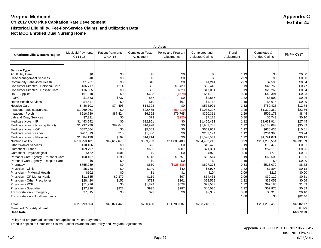|                                       |                                     |                                    |                                        | <b>All Ages</b>                   |                                         |                     |                                      |                  |
|---------------------------------------|-------------------------------------|------------------------------------|----------------------------------------|-----------------------------------|-----------------------------------------|---------------------|--------------------------------------|------------------|
| <b>Charlottesville Western Region</b> | <b>Medicaid Payments</b><br>CY14-15 | <b>Patient Payments</b><br>CY14-15 | <b>Completion Factor</b><br>Adjustment | Policy and Program<br>Adjustments | Completed and<br><b>Adjusted Claims</b> | Trend<br>Adjustment | Completed &<br><b>Trended Claims</b> | PMPM CY17        |
|                                       |                                     |                                    |                                        |                                   |                                         |                     |                                      |                  |
|                                       |                                     |                                    |                                        |                                   |                                         |                     |                                      |                  |
| <b>Service Type</b>                   |                                     |                                    |                                        |                                   |                                         |                     |                                      |                  |
| <b>Adult Day Care</b>                 | \$0                                 | \$0<br>\$0                         | \$0                                    | \$0<br>\$0                        | \$0<br>\$0                              | 1.19<br>2.09        | \$0<br>\$0                           | \$0.00<br>\$0.00 |
| <b>Case Management Services</b>       | \$0                                 | \$0                                | \$0<br>\$10                            | \$0                               |                                         |                     |                                      |                  |
| Community Behavioral Health           | \$1,231                             |                                    |                                        |                                   | \$1,241                                 | 2.09                | \$2,590                              | \$0.04           |
| Consumer Directed - Personal Care     | \$36,717                            | \$214                              | \$82                                   | \$1,429                           | \$38.443                                | 1.19                | \$45,753                             | \$0.77           |
| Consumer Directed - Respite Care      | \$16,365                            | \$0                                | \$36                                   | \$629                             | \$17,031                                | 1.19                | \$20,269                             | \$0.34           |
| DME/Supplies                          | \$61,810                            | \$0                                | \$608                                  | (S678)                            | \$61,739                                | 0.80                | \$49,391                             | \$0.83           |
| <b>FQHC</b>                           | \$1,853                             | \$737                              | \$67                                   | \$0                               | \$2,657                                 | 1.32                | \$3,509                              | \$0.06           |
| <b>Home Health Services</b>           | \$4,641                             | \$0                                | \$10                                   | \$67                              | \$4,718                                 | 1.19                | \$5,615                              | \$0.09           |
| <b>Hospice Care</b>                   | \$486,101                           | \$74,493                           | \$14,398                               | \$0                               | \$574,991                               | 1.32                | \$759,425                            | \$12.78          |
| Inpatient - Medical/Surgical          | \$1,069,961                         | \$0                                | \$22,485                               | (\$59,219)                        | \$1,033,227                             | 1.29                | \$1,329,360                          | \$22.36          |
| Inpatient - Psych                     | \$216,730                           | \$87,424                           | \$6,392                                | \$79,765                          | \$390,311                               | 1.29                | \$502,178                            | \$8.45           |
| Lab and X-ray Services                | \$7,331                             | \$0                                | \$72                                   | (\$225)                           | \$7,178                                 | 0.80                | \$5,743                              | \$0.10           |
| Medicare Xover - IP                   | \$1.443.542                         | \$0                                | \$12,951                               | \$0                               | \$1.456.492                             | 1.12                | \$1,631,914                          | \$27.45          |
| Medicare Xover - Nursing Facility     | \$1,797,220                         | \$89,640                           | \$16,928                               | \$0                               | \$1,903,788                             | 1.12                | \$2,133,083                          | \$35.89          |
| Medicare Xover - OP                   | \$557,664                           | \$0                                | \$5,003                                | \$0                               | \$562,667                               | 1.12                | \$630,435                            | \$10.61          |
| Medicare Xover - Other                | \$207,319                           | \$15                               | \$1,860                                | \$0                               | \$209,194                               | 1.12                | \$234,390                            | \$3.94           |
| Medicare Xover - Physician            | \$1,584,130                         | \$197                              | \$14,214                               | \$0                               | \$1,598,541                             | 1.12                | \$1,791,071                          | \$30.13          |
| <b>Nursing Facility</b>               | \$219,258,181                       | \$49,617,676                       | \$689,903                              | \$14,886,483                      | \$284,452,243                           | 0.99                | \$281,253,554                        | \$4,731.59       |
| <b>Other Waiver Services</b>          | \$10,456                            | \$0                                | \$23                                   | \$0                               | \$10,479                                | 1.19                | \$12,472                             | \$0.21           |
| Outpatient - Other                    | \$69.797                            | \$0                                | \$686                                  | \$907                             | \$71,391                                | 0.80                | \$57,113                             | \$0.96           |
| Outpatient - Psychological            | \$462                               | \$501                              | \$9                                    | \$0                               | \$973                                   | 0.80                | \$778                                | \$0.01           |
| Personal Care Agency - Personal Care  | \$50,457                            | \$193                              | \$113                                  | \$1,751                           | \$52,514                                | 1.19                | \$62,500                             | \$1.05           |
| Personal Care Agency - Respite Care   | \$0                                 | \$0                                | \$0                                    | \$0                               | \$0                                     | 1.19                | \$0                                  | \$0.00           |
| Pharmacy                              | \$755,089                           | \$0                                | \$650                                  | (\$128,536)                       | \$627,203                               | 0.83                | \$518,070                            | \$8.72           |
| Physician - Clinic                    | \$5,788                             | \$0                                | \$149                                  | \$40                              | \$5,977                                 | 1.32                | \$7,894                              | \$0.13           |
| Physician - IP Mental Health          | \$102                               | \$0                                | \$1                                    | \$1                               | \$104                                   | 2.09                | \$217                                | \$0.00           |
| Physician - OP Mental Health          | \$11,835                            | \$2,379                            | \$119                                  | \$97                              | \$14,431                                | 2.09                | \$30,110                             | \$0.51           |
| Physician - Other Practitioner        | \$28,420                            | \$152                              | \$734                                  | \$261                             | \$29,568                                | 1.32                | \$39,052                             | \$0.66           |
| Physician - PCP                       | \$71,226                            | \$0                                | \$1,829                                | \$528                             | \$73,583                                | 1.32                | \$97,186                             | \$1.63           |
| Physician - Specialist                | \$37,920                            | \$828                              | \$995                                  | \$287                             | \$40,030                                | 1.32                | \$52,870                             | \$0.89           |
| Transportation - Emergency            | \$7,315                             | \$0                                | \$72                                   | \$0                               | \$7,387                                 | 0.80                | \$5,910                              | \$0.10           |
| Transportation - Non-Emergency        |                                     |                                    |                                        |                                   |                                         | 1.00                | \$0                                  | \$82.46          |
|                                       | \$227,799,663                       | \$49,874,449                       | \$790,400                              | \$14,783,587                      | \$293,248,100                           |                     | \$291,282,450                        | \$4,982.77       |
| Total<br>Managed Care Adjustment      |                                     |                                    |                                        |                                   |                                         |                     |                                      | $-0.07%$         |
|                                       |                                     |                                    |                                        |                                   |                                         |                     |                                      |                  |
| <b>Base Rate</b>                      |                                     |                                    |                                        |                                   |                                         |                     |                                      | \$4,979.30       |

Policy and program adjustments are applied to Patient Payments.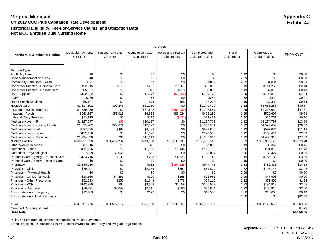|                                      |                                     |                                    |                                        | <b>All Ages</b>                   |                                         |                     |                                      |            |
|--------------------------------------|-------------------------------------|------------------------------------|----------------------------------------|-----------------------------------|-----------------------------------------|---------------------|--------------------------------------|------------|
| Northern & Winchester Region         | <b>Medicaid Payments</b><br>CY14-15 | <b>Patient Payments</b><br>CY14-15 | <b>Completion Factor</b><br>Adjustment | Policy and Program<br>Adjustments | Completed and<br><b>Adjusted Claims</b> | Trend<br>Adjustment | Completed &<br><b>Trended Claims</b> | PMPM CY17  |
|                                      |                                     |                                    |                                        |                                   |                                         |                     |                                      |            |
|                                      |                                     |                                    |                                        |                                   |                                         |                     |                                      |            |
| <b>Service Type</b>                  |                                     |                                    |                                        |                                   |                                         |                     |                                      |            |
| <b>Adult Day Care</b>                | \$0                                 | \$0                                | \$0                                    | \$0                               | \$0                                     | 1.19                | \$0                                  | \$0.00     |
| <b>Case Management Services</b>      | \$0<br>\$871                        | \$0<br>\$0                         | \$0                                    | \$0<br>\$0                        | \$0<br>\$879                            | 2.09                | \$0                                  | \$0.00     |
| Community Behavioral Health          |                                     |                                    | \$7                                    |                                   |                                         | 2.09                | \$1,834                              | \$0.03     |
| Consumer Directed - Personal Care    | \$92,015                            | \$210                              | \$206                                  | \$3,569                           | \$96,000                                | 1.19                | \$114,256                            | \$2.14     |
| Consumer Directed - Respite Care     | \$5,667                             | \$0                                | \$13                                   | \$218                             | \$5,898                                 | 1.19                | \$7,019                              | \$0.13     |
| DME/Supplies                         | \$129,922                           | \$0                                | \$1,277                                | (\$1,426)                         | \$129,773                               | 0.80                | \$103,819                            | \$1.94     |
| <b>FQHC</b>                          | \$236                               | \$0                                | \$6                                    | \$0                               | \$242                                   | 1.32                | \$319                                | \$0.01     |
| <b>Home Health Services</b>          | \$6,107                             | \$0                                | \$14                                   | \$88                              | \$6,208                                 | 1.19                | \$7,389                              | \$0.14     |
| <b>Hospice Care</b>                  | \$1,117,102                         | \$92,248                           | \$31,060                               | \$0                               | \$1,240,409                             | 1.32                | \$1,638,283                          | \$30.67    |
| Inpatient - Medical/Surgical         | \$1,789,280                         | \$0                                | \$37,602                               | (\$99,032)                        | \$1,727,851                             | 1.29                | \$2,223,069                          | \$41.61    |
| Inpatient - Psych                    | \$263,567                           | \$53,015                           | \$6,653                                | \$83,024                          | \$406,259                               | 1.29                | \$522,697                            | \$9.78     |
| Lab and X-ray Services               | \$13,725                            | \$0                                | \$135                                  | (\$421)                           | \$13,439                                | 0.80                | \$10,751                             | \$0.20     |
| Medicare Xover - IP                  | \$1,127,647                         | (50)                               | \$10.117                               | \$0                               | \$1,137,763                             | 1.12                | \$1,274,797                          | \$23.86    |
| Medicare Xover - Nursing Facility    | \$1,321,282                         | \$29,871                           | \$12,122                               | \$0                               | \$1,363,274                             | 1.12                | \$1,527,469                          | \$28.59    |
| Medicare Xover - OP                  | \$527,635                           | \$483                              | \$4,738                                | \$0                               | \$532,856                               | 1.12                | \$597,034                            | \$11.18    |
| Medicare Xover - Other               | \$122,436                           | \$0                                | \$1,098                                | \$0                               | \$123,535                               | 1.12                | \$138,414                            | \$2.59     |
| Medicare Xover - Physician           | \$1,294,338                         | \$66                               | \$11,613                               | \$0                               | \$1,306,016                             | 1.12                | \$1,463,315                          | \$27.39    |
| <b>Nursing Facility</b>              | \$238,211,090                       | \$51,412,232                       | \$743,138                              | \$16,035,180                      | \$306,401,640                           | 0.99                | \$302,956,128                        | \$5,670.78 |
| <b>Other Waiver Services</b>         | \$7,016                             | \$0                                | \$16                                   | \$0                               | \$7,032                                 | 1.19                | \$8,369                              | \$0.16     |
| Outpatient - Other                   | \$111,226                           | \$0                                | \$1,093                                | \$1,446                           | \$113,765                               | 0.80                | \$91,012                             | \$1.70     |
| Outpatient - Psychological           | \$939                               | \$2,065                            | \$30                                   | \$0                               | \$3,034                                 | 0.80                | \$2,427                              | \$0.05     |
| Personal Care Agency - Personal Care | \$133,716                           | \$108                              | \$298                                  | \$4,626                           | \$138,748                               | 1.19                | \$165,132                            | \$3.09     |
| Personal Care Agency - Respite Care  | \$0                                 | \$0                                | \$0                                    | \$0                               | \$0                                     | 1.19                | \$0                                  | \$0.00     |
| Pharmacy                             | \$1,140,986                         | \$0                                | \$982                                  | (\$194,226)                       | \$947,743                               | 0.83                | \$782,835                            | \$14.65    |
| Physician - Clinic                   | \$79,291                            | \$0                                | \$2,036                                | \$551                             | \$81,879                                | 1.32                | \$108,143                            | \$2.02     |
| Physician - IP Mental Health         | \$0                                 | \$0                                | \$0                                    | \$0                               | \$0                                     | 2.09                | \$0                                  | \$0.00     |
| Physician - OP Mental Health         | \$18,166                            | \$4,451                            | \$190                                  | \$155                             | \$22,961                                | 2.09                | \$47,908                             | \$0.90     |
| Physician - Other Practitioner       | \$52,033                            | \$256                              | \$1,343                                | \$478                             | \$54,110                                | 1.32                | \$71,466                             | \$1.34     |
| Physician - PCP                      | \$142,790                           | \$60                               | \$3,669                                | \$1,058                           | \$147,577                               | 1.32                | \$194,913                            | \$3.65     |
| Physician - Specialist               | \$76,231                            | \$2,053                            | \$2,011                                | \$580                             | \$80,874                                | 1.32                | \$106,816                            | \$2.00     |
| Transportation - Emergency           | \$12,463                            | \$0                                | \$123                                  | \$0                               | \$12,586                                | 0.80                | \$10,068                             | \$0.19     |
| Transportation - Non-Emergency       |                                     |                                    |                                        |                                   |                                         | 1.00                | \$0                                  | \$82.46    |
| Total                                | \$247,797,776                       | \$51,597,117                       | \$871,588                              | \$15,835,869                      | \$316,102,351                           |                     | \$314,175,682                        | \$5,963.25 |
| Managed Care Adjustment              |                                     |                                    |                                        |                                   |                                         |                     |                                      | $-0.07%$   |
| <b>Base Rate</b>                     |                                     |                                    |                                        |                                   |                                         |                     |                                      | \$5,958.85 |

Policy and program adjustments are applied to Patient Payments.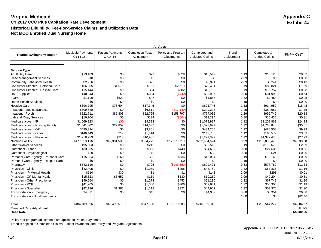|                                                          |                                     |                                    |                                        | <b>All Ages</b>                   |                                         |                     |                                      |            |
|----------------------------------------------------------|-------------------------------------|------------------------------------|----------------------------------------|-----------------------------------|-----------------------------------------|---------------------|--------------------------------------|------------|
| Roanoke/Alleghany Region                                 | <b>Medicaid Payments</b><br>CY14-15 | <b>Patient Payments</b><br>CY14-15 | <b>Completion Factor</b><br>Adjustment | Policy and Program<br>Adjustments | Completed and<br><b>Adjusted Claims</b> | Trend<br>Adjustment | Completed &<br><b>Trended Claims</b> | PMPM CY17  |
|                                                          |                                     |                                    |                                        |                                   |                                         |                     |                                      |            |
|                                                          |                                     |                                    |                                        |                                   |                                         |                     |                                      |            |
| <b>Service Type</b>                                      | \$13,189                            | \$0                                | \$29                                   | \$329                             | \$13,547                                | 1.19                | \$16,123                             | \$0.32     |
| <b>Adult Day Care</b><br><b>Case Management Services</b> | \$0                                 | \$0                                | \$0                                    | \$0                               | \$0                                     | 2.09                | \$0                                  | \$0.00     |
| <b>Community Behavioral Health</b>                       | \$2,966                             | \$0                                | \$25                                   | \$0                               | \$2,991                                 | 2.09                |                                      | \$0.13     |
| Consumer Directed - Personal Care                        |                                     |                                    |                                        |                                   |                                         |                     | \$6,241                              | \$1.69     |
|                                                          | \$66,085                            | \$1,576<br>\$0                     | \$151<br>\$34                          | \$2,619<br>\$582                  | \$70,431                                | 1.19                | \$83,824                             | \$0.38     |
| Consumer Directed - Respite Care                         | \$15,144                            |                                    |                                        |                                   | \$15,760                                | 1.19                | \$18,757                             |            |
| <b>DME/Supplies</b>                                      | \$40,043                            | \$0                                | \$394                                  | (\$440)                           | \$39,997                                | 0.80                | \$31,998                             | \$0.64     |
| <b>FQHC</b>                                              | \$1,190                             | \$622                              | \$47                                   | \$0                               | \$1,858                                 | 1.32                | \$2,454                              | \$0.05     |
| <b>Home Health Services</b>                              | \$0                                 | \$0                                | \$0                                    | \$0                               | \$0                                     | 1.19                | \$0                                  | \$0.00     |
| <b>Hospice Care</b>                                      | \$596,795                           | \$78,604                           | \$17,346                               | \$0                               | \$692,745                               | 1.32                | \$914,950                            | \$18.42    |
| Inpatient - Medical/Surgical                             | \$309,840                           | \$0                                | \$6,511                                | (\$17,149)                        | \$299,203                               | 1.29                | \$384,957                            | \$7.75     |
| Inpatient - Psych                                        | \$522,711                           | \$82,803                           | \$12,725                               | \$158,797                         | \$777,036                               | 1.29                | \$999,742                            | \$20.13    |
| Lab and X-ray Services                                   | \$19,704                            | \$0                                | \$194                                  | $($ \$604)                        | \$19,294                                | 0.80                | \$15,435                             | \$0.31     |
| Medicare Xover - IP                                      | \$1,069,323                         | (SO)                               | \$9.593                                | \$0                               | \$1.078.917                             | 1.12                | \$1,208,863                          | \$24.34    |
| Medicare Xover - Nursing Facility                        | \$1,541,802                         | \$22,859                           | \$14,037                               | \$0                               | \$1,578,699                             | 1.12                | \$1,768,840                          | \$35.61    |
| Medicare Xover - OP                                      | \$430,394                           | \$0                                | \$3,861                                | \$0                               | \$434,256                               | 1.12                | \$486,558                            | \$9.79     |
| Medicare Xover - Other                                   | \$146,449                           | \$17                               | \$1,314                                | \$0                               | \$147,780                               | 1.12                | \$165,579                            | \$3.33     |
| Medicare Xover - Physician                               | \$1,218,253                         | \$214                              | \$10,931                               | \$0                               | \$1,229,399                             | 1.12                | \$1,377,470                          | \$27.73    |
| <b>Nursing Facility</b>                                  | \$177,613,116                       | \$42,301,586                       | \$564,275                              | \$12,175,718                      | \$232,654,694                           | 0.99                | \$230,038,473                        | \$4,630.88 |
| <b>Other Waiver Services</b>                             | \$95,303                            | \$0                                | \$212                                  | \$0                               | \$95,515                                | 1.19                | \$113,679                            | \$2.29     |
| Outpatient - Other                                       | \$33,835                            | \$0                                | \$333                                  | \$440                             | \$34,607                                | 0.80                | \$27,686                             | \$0.56     |
| Outpatient - Psychological                               | \$30                                | \$0                                | \$0                                    | \$0                               | \$30                                    | 0.80                | \$24                                 | \$0.00     |
| Personal Care Agency - Personal Care                     | \$15,354                            | \$160                              | \$35                                   | \$536                             | \$16,084                                | 1.19                | \$19,143                             | \$0.39     |
| Personal Care Agency - Respite Care                      | \$0                                 | \$0                                | \$0                                    | \$0                               | \$0                                     | 1.19                | \$0                                  | \$0.00     |
| Pharmacy                                                 | \$842,116                           | \$0                                | \$725                                  | (\$143,350)                       | \$699,491                               | 0.83                | \$577,780                            | \$11.63    |
| Physician - Clinic                                       | \$42,405                            | \$0                                | \$1,089                                | \$295                             | \$43,789                                | 1.32                | \$57,835                             | \$1.16     |
| Physician - IP Mental Health                             | \$110                               | \$30                               | \$1                                    | \$1                               | \$143                                   | 2.09                | \$298                                | \$0.01     |
| Physician - OP Mental Health                             | \$15,323                            | \$3,657                            | \$159                                  | \$130                             | \$19,269                                | 2.09                | \$40,204                             | \$0.81     |
| Physician - Other Practitioner                           | \$49,564                            | \$0                                | \$1,273                                | \$453                             | \$51,290                                | 1.32                | \$67,742                             | \$1.36     |
| Physician - PCP                                          | \$41,265                            | \$0                                | \$1,060                                | \$306                             | \$42,631                                | 1.32                | \$56,305                             | \$1.13     |
| Physician - Specialist                                   | \$42,126                            | \$1,386                            | \$1,118                                | \$322                             | \$44,952                                | 1.32                | \$59,370                             | \$1.20     |
| Transportation - Emergency                               | \$4,891                             | \$0                                | \$48                                   | \$0                               | \$4,939                                 | 0.80                | \$3,951                              | \$0.08     |
| Transportation - Non-Emergency                           |                                     |                                    |                                        |                                   |                                         | 1.00                | \$0                                  | \$82.46    |
| Total                                                    | \$184,789,326                       | \$42,493,515                       | \$647,520                              | \$12,178,985                      | \$240,109,345                           |                     | \$238,544,277                        | \$4,884.57 |
| Managed Care Adjustment                                  |                                     |                                    |                                        |                                   |                                         |                     |                                      | $-0.07%$   |
| <b>Base Rate</b>                                         |                                     |                                    |                                        |                                   |                                         |                     |                                      | \$4,880.96 |

Policy and program adjustments are applied to Patient Payments.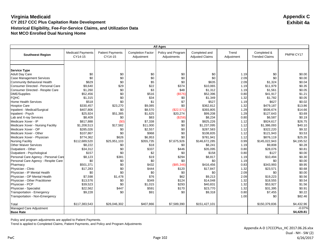| <b>All Ages</b>                      |                                     |                                    |                                        |                                   |                                         |                     |                                      |                  |
|--------------------------------------|-------------------------------------|------------------------------------|----------------------------------------|-----------------------------------|-----------------------------------------|---------------------|--------------------------------------|------------------|
| <b>Southwest Region</b>              | <b>Medicaid Payments</b><br>CY14-15 | <b>Patient Payments</b><br>CY14-15 | <b>Completion Factor</b><br>Adjustment | Policy and Program<br>Adjustments | Completed and<br><b>Adjusted Claims</b> | Trend<br>Adjustment | Completed &<br><b>Trended Claims</b> | PMPM CY17        |
|                                      |                                     |                                    |                                        |                                   |                                         |                     |                                      |                  |
|                                      |                                     |                                    |                                        |                                   |                                         |                     |                                      |                  |
| <b>Service Type</b>                  |                                     |                                    |                                        |                                   |                                         |                     |                                      |                  |
| <b>Adult Day Care</b>                | \$0<br>\$0                          | \$0<br>\$0                         | \$0<br>\$0                             | \$0<br>\$0                        | \$0                                     | 1.19<br>2.09        | \$0<br>\$0                           | \$0.00<br>\$0.00 |
| <b>Case Management Services</b>      | \$629                               | \$0                                |                                        | \$0                               | \$0<br>\$635                            |                     |                                      |                  |
| Community Behavioral Health          |                                     |                                    | \$5                                    |                                   |                                         | 2.09                | \$1,324                              | \$0.04           |
| Consumer Directed - Personal Care    | \$9,640                             | \$29                               | \$22                                   | \$374                             | \$10,065                                | 1.19                | \$11,979                             | \$0.35           |
| Consumer Directed - Respite Care     | \$1,260                             | \$0                                | \$3                                    | \$48                              | \$1,312                                 | 1.19                | \$1,561                              | \$0.05           |
| DME/Supplies                         | \$52,456                            | \$0                                | \$516                                  | (\$576)                           | \$52,396                                | 0.80                | \$41,917                             | \$1.21           |
| <b>FQHC</b>                          | \$1,315                             | \$0                                | \$34                                   | \$0                               | \$1,349                                 | 1.32                | \$1,782                              | \$0.05           |
| <b>Home Health Services</b>          | \$518                               | \$0                                | \$1                                    | \$7                               | \$527                                   | 1.19                | \$627                                | \$0.02           |
| <b>Hospice Care</b>                  | \$330,457                           | \$23,270                           | \$9,085                                | \$0                               | \$362,812                               | 1.32                | \$479,187                            | \$13.86          |
| Inpatient - Medical/Surgical         | \$407,806                           | \$0                                | \$8,570                                | (\$22,571)                        | \$393,805                               | 1.29                | \$506,674                            | \$14.66          |
| Inpatient - Psych                    | \$25,924                            | \$51,385                           | \$1,625                                | \$20,274                          | \$99,208                                | 1.29                | \$127,643                            | \$3.69           |
| Lab and X-ray Services               | \$8,409                             | \$0                                | \$83                                   | (\$258)                           | \$8,234                                 | 0.80                | \$6,587                              | \$0.19           |
| Medicare Xover - IP                  | \$817,888                           | (50)                               | \$7,338                                | \$0                               | \$825,226                               | 1.12                | \$924,617                            | \$26.75          |
| Medicare Xover - Nursing Facility    | \$1,208,513                         | \$17,582                           | \$11,000                               | \$0                               | \$1,237,095                             | 1.12                | \$1,386,093                          | \$40.10          |
| Medicare Xover - OP                  | \$285,026                           | \$0                                | \$2,557                                | \$0                               | \$287,583                               | 1.12                | \$322,220                            | \$9.32           |
| Medicare Xover - Other               | \$107,867                           | \$0                                | \$968                                  | \$0                               | \$108,835                               | 1.12                | \$121,943                            | \$3.53           |
| Medicare Xover - Physician           | \$774,362                           | \$626                              | \$6,953                                | \$0                               | \$781,941                               | 1.12                | \$876,119                            | \$25.35          |
| <b>Nursing Facility</b>              | \$112,689,520                       | \$25,951,103                       | \$355,735                              | \$7,675,926                       | \$146,672,285                           | 0.99                | \$145,022,943                        | \$4,195.52       |
| <b>Other Waiver Services</b>         | \$8,222                             | \$0                                | \$18                                   | \$0                               | \$8,241                                 | 1.19                | \$9,808                              | \$0.28           |
| Outpatient - Other                   | \$34,312                            | \$0                                | \$337                                  | \$446                             | \$35,095                                | 0.80                | \$28,076                             | \$0.81           |
| Outpatient - Psychological           | \$157                               | \$0                                | \$2                                    | \$0                               | \$158                                   | 0.80                | \$127                                | \$0.00           |
| Personal Care Agency - Personal Care | \$8,123                             | \$381                              | \$19                                   | \$294                             | \$8,817                                 | 1.19                | \$10,494                             | \$0.30           |
| Personal Care Agency - Respite Care  | \$0                                 | \$0                                | \$0                                    | \$0                               | \$0                                     | 1.19                | \$0                                  | \$0.00           |
| Pharmacy                             | \$501,371                           | \$0                                | \$432                                  | (\$85,346)                        | \$416,456                               | 0.83                | \$343,993                            | \$9.95           |
| Physician - Clinic                   | \$17,283                            | \$0                                | \$444                                  | \$120                             | \$17,847                                | 1.32                | \$23,571                             | \$0.68           |
| Physician - IP Mental Health         | \$0                                 | \$0                                | \$0                                    | \$0                               | \$0                                     | 2.09                | \$0                                  | \$0.00           |
| Physician - OP Mental Health         | \$7,598                             | \$1,478                            | \$76                                   | \$62                              | \$9,213                                 | 2.09                | \$19,223                             | \$0.56           |
| Physician - Other Practitioner       | \$13,576                            | \$0                                | \$349                                  | \$124                             | \$14,048                                | 1.32                | \$18,555                             | \$0.54           |
| Physician - PCP                      | \$39,523                            | \$0                                | \$1,015                                | \$293                             | \$40,831                                | 1.32                | \$53,927                             | \$1.56           |
| Physician - Specialist               | \$22,562                            | \$447                              | \$591                                  | \$170                             | \$23,770                                | 1.32                | \$31,395                             | \$0.91           |
| Transportation - Emergency           | \$9,228                             | \$0                                | \$91                                   | \$0                               | \$9,318                                 | 0.80                | \$7,455                              | \$0.22           |
| Transportation - Non-Emergency       |                                     |                                    |                                        |                                   |                                         | 1.00                | \$0                                  | \$82.46          |
|                                      | \$117,383,543                       | \$26,046,302                       | \$407,866                              | \$7,589,390                       | \$151,427,101                           |                     | \$150,379,836                        | \$4,432.96       |
| Total<br>Managed Care Adjustment     |                                     |                                    |                                        |                                   |                                         |                     |                                      | $-0.07%$         |
| <b>Base Rate</b>                     |                                     |                                    |                                        |                                   |                                         |                     |                                      | \$4,429.81       |

Policy and program adjustments are applied to Patient Payments.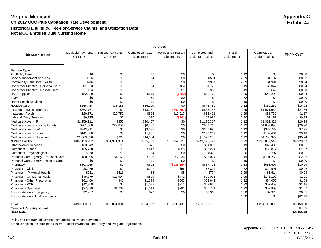|                                      | <b>All Ages</b>                     |                                    |                                        |                                   |                                         |                     |                                      |            |
|--------------------------------------|-------------------------------------|------------------------------------|----------------------------------------|-----------------------------------|-----------------------------------------|---------------------|--------------------------------------|------------|
| <b>Tidewater Region</b>              | <b>Medicaid Payments</b><br>CY14-15 | <b>Patient Payments</b><br>CY14-15 | <b>Completion Factor</b><br>Adjustment | Policy and Program<br>Adjustments | Completed and<br><b>Adjusted Claims</b> | Trend<br>Adjustment | Completed &<br><b>Trended Claims</b> | PMPM CY17  |
|                                      |                                     |                                    |                                        |                                   |                                         |                     |                                      |            |
|                                      |                                     |                                    |                                        |                                   |                                         |                     |                                      |            |
| <b>Service Type</b>                  |                                     |                                    |                                        |                                   |                                         |                     |                                      |            |
| <b>Adult Day Care</b>                | \$0                                 | \$0                                | \$0                                    | \$0                               | \$0                                     | 1.19                | \$0                                  | \$0.00     |
| <b>Case Management Services</b>      | \$526                               | \$0                                | \$4                                    | \$0                               | \$531                                   | 2.09                | \$1,107                              | \$0.02     |
| <b>Community Behavioral Health</b>   | \$946                               | \$0                                | \$8                                    | \$0                               | \$954                                   | 2.09                | \$1,991                              | \$0.04     |
| Consumer Directed - Personal Care    | \$1,653                             | \$0                                | \$4                                    | \$64                              | \$1,720                                 | 1.19                | \$2,047                              | \$0.04     |
| Consumer Directed - Respite Care     | \$34                                | \$0                                | \$0                                    | \$1                               | \$36                                    | 1.19                | \$42                                 | \$0.00     |
| <b>DME/Supplies</b>                  | \$52,820                            | \$0                                | \$519                                  | ( \$580)                          | \$52,760                                | 0.80                | \$42,208                             | \$0.84     |
| <b>FQHC</b>                          | \$0                                 | \$0                                | \$0                                    | \$0                               | \$0                                     | 1.32                | \$0                                  | \$0.00     |
| <b>Home Health Services</b>          | \$0                                 | \$0                                | \$0                                    | \$0                               | \$0                                     | 1.19                | \$0                                  | \$0.00     |
| <b>Hospice Care</b>                  | \$556,454                           | \$71,186                           | \$16,120                               | \$0                               | \$643,759                               | 1.32                | \$850,252                            | \$16.94    |
| Inpatient - Medical/Surgical         | \$862,767                           | \$0                                | \$18,131                               | (\$47,752)                        | \$833,146                               | 1.29                | \$1,071,934                          | \$21.36    |
| Inpatient - Psych                    | \$20,871                            | \$20,759                           | \$875                                  | \$10,917                          | \$53,421                                | 1.29                | \$68,732                             | \$1.37     |
| Lab and X-ray Services               | \$9,175                             | \$0                                | \$90                                   | (S281)                            | \$8,984                                 | 0.80                | \$7,187                              | \$0.14     |
| Medicare Xover - IP                  | \$1,159,111                         | \$850                              | \$10,407                               | \$0                               | \$1,170,367                             | 1.12                | \$1,311,328                          | \$26.13    |
| Medicare Xover - Nursing Facility    | \$901,500                           | \$29,854                           | \$8,356                                | \$0                               | \$939,710                               | 1.12                | \$1,052,890                          | \$20.98    |
| Medicare Xover - OP                  | \$343,911                           | \$0                                | \$3,085                                | \$0                               | \$346,996                               | 1.12                | \$388,789                            | \$7.75     |
| Medicare Xover - Other               | \$141,000                           | \$4                                | \$1,265                                | \$0                               | \$142,269                               | 1.12                | \$159,404                            | \$3.18     |
| Medicare Xover - Physician           | \$1,563,326                         | \$928                              | \$14,034                               | \$0                               | \$1,578,288                             | 1.12                | \$1,768,379                          | \$35.24    |
| <b>Nursing Facility</b>              | \$184,110,952                       | \$51,911,311                       | \$605,605                              | \$13,067,523                      | \$249,695,391                           | 0.99                | \$246,887,546                        | \$4,920.07 |
| <b>Other Waiver Services</b>         | \$33,942                            | \$0                                | \$76                                   | \$0                               | \$34,017                                | 1.19                | \$40,486                             | \$0.81     |
| Outpatient - Other                   | \$65,770                            | \$0                                | \$647                                  | \$855                             | \$67,271                                | 0.80                | \$53,817                             | \$1.07     |
| Outpatient - Psychological           | \$368                               | \$0                                | \$4                                    | \$0                               | \$372                                   | 0.80                | \$297                                | \$0.01     |
| Personal Care Agency - Personal Care | \$80,895                            | \$1,160                            | \$183                                  | \$2,836                           | \$85,074                                | 1.19                | \$101,252                            | \$2.02     |
| Personal Care Agency - Respite Care  | \$0                                 | \$0                                | \$0                                    | \$0                               | \$0                                     | 1.19                | \$0                                  | \$0.00     |
| Pharmacy                             | \$803,955                           | \$0                                | \$692                                  | (\$136,854)                       | \$667,793                               | 0.83                | \$551,597                            | \$10.99    |
| Physician - Clinic                   | \$8,059                             | \$0                                | \$207                                  | \$56                              | \$8,322                                 | 1.32                | \$10,991                             | \$0.22     |
| Physician - IP Mental Health         | \$251                               | \$511                              | \$6                                    | \$5                               | \$774                                   | 2.09                | \$1,614                              | \$0.03     |
| Physician - OP Mental Health         | \$45,979                            | \$22,994                           | \$579                                  | \$472                             | \$70,023                                | 2.09                | \$146,102                            | \$2.91     |
| Physician - Other Practitioner       | \$61,460                            | \$40                               | \$1,579                                | \$563                             | \$63,642                                | 1.32                | \$84,055                             | \$1.68     |
| Physician - PCP                      | \$42,258                            | \$0                                | \$1,085                                | \$313                             | \$43,656                                | 1.32                | \$57,659                             | \$1.15     |
| Physician - Specialist               | \$37,699                            | \$1,737                            | \$1,013                                | \$292                             | \$40,741                                | 1.32                | \$53,809                             | \$1.07     |
| Transportation - Emergency           | \$2,937                             | \$0                                | \$29                                   | \$0                               | \$2,966                                 | 0.80                | \$2,373                              | \$0.05     |
| Transportation - Non-Emergency       |                                     |                                    |                                        |                                   |                                         | 1.00                | \$0                                  | \$82.46    |
| Total                                | \$190,908,617                       | \$52,061,334                       | \$684,602                              | \$12,898,431                      | \$256,552,983                           |                     | \$254,717,888                        | \$5,158.58 |
| Managed Care Adjustment              |                                     |                                    |                                        |                                   |                                         |                     |                                      | $-0.06%$   |
| <b>Base Rate</b>                     |                                     |                                    |                                        |                                   |                                         |                     |                                      | \$5,155.40 |

Policy and program adjustments are applied to Patient Payments.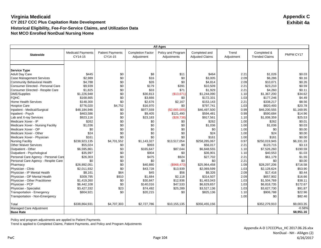| <b>All Ages</b>                      |                                     |                                    |                                        |                                   |                                         |                     |                                      |            |
|--------------------------------------|-------------------------------------|------------------------------------|----------------------------------------|-----------------------------------|-----------------------------------------|---------------------|--------------------------------------|------------|
| <b>Statewide</b>                     | <b>Medicaid Payments</b><br>CY14-15 | <b>Patient Payments</b><br>CY14-15 | <b>Completion Factor</b><br>Adjustment | Policy and Program<br>Adjustments | Completed and<br><b>Adjusted Claims</b> | Trend<br>Adjustment | Completed &<br><b>Trended Claims</b> | PMPM CY17  |
|                                      |                                     |                                    |                                        |                                   |                                         |                     |                                      |            |
|                                      |                                     |                                    |                                        |                                   |                                         |                     |                                      |            |
| <b>Service Type</b>                  |                                     |                                    |                                        |                                   |                                         |                     |                                      |            |
| <b>Adult Day Care</b>                | \$445                               | \$0                                | \$8                                    | \$11                              | \$464                                   | 2.21                | \$1,026                              | \$0.03     |
| <b>Case Management Services</b>      | \$2,989                             | \$0                                | \$16                                   | \$0                               | \$3,005                                 | 2.09                | \$6,286                              | \$0.16     |
| Community Behavioral Health          | \$4,788                             | \$0                                | \$26                                   | \$0                               | \$4,814                                 | 2.09                | \$10,071                             | \$0.26     |
| Consumer Directed - Personal Care    | \$9,939                             | \$0                                | \$179                                  | \$391                             | \$10,509                                | 2.21                | \$23,210                             | \$0.59     |
| Consumer Directed - Respite Care     | \$1,825                             | \$0                                | \$33                                   | \$71                              | \$1,929                                 | 2.21                | \$4,260                              | \$0.11     |
| <b>DME/Supplies</b>                  | \$1,226,948                         | \$0                                | \$30,813                               | (\$13,671)                        | \$1,244,090                             | 1.10                | \$1,367,200                          | \$34.62    |
| <b>FQHC</b>                          | \$168,665                           | \$0                                | \$3,666                                | \$0                               | \$172,331                               | 1.03                | \$177,246                            | \$4.49     |
| <b>Home Health Services</b>          | \$148,300                           | \$0                                | \$2,676                                | \$2,167                           | \$153,143                               | 2.21                | \$338,217                            | \$8.56     |
| <b>Hospice Care</b>                  | \$776,020                           | \$4,752                            | \$16,970                               | \$0                               | \$797,741                               | 1.03                | \$820,493                            | \$20.78    |
| Inpatient - Medical/Surgical         | \$48,184,946                        | \$0                                | \$977,559                              | (\$2,665,005)                     | \$46,497,500                            | 0.99                | \$46,200,555                         | \$1,169.95 |
| Inpatient - Psych                    | \$463,586                           | \$0                                | \$9,405                                | \$121.490                         | \$594,481                               | 0.99                | \$590,684                            | \$14.96    |
| Lab and X-ray Services               | \$923,116                           | \$0                                | \$23,183                               | (\$28,738)                        | \$917,561                               | 1.10                | \$1,008,359                          | \$25.53    |
| Medicare Xover - IP                  | \$262                               | \$0                                | \$0                                    | \$0                               | \$262                                   | 1.00                | \$262                                | \$0.01     |
| Medicare Xover - Nursing Facility    | \$1,036                             | \$0                                | \$0                                    | \$0                               | \$1,036                                 | 1.00                | \$1,036                              | \$0.03     |
| Medicare Xover - OP                  | \$0                                 | \$0                                | \$0                                    | \$0                               | \$0                                     | 1.00                | \$0                                  | \$0.00     |
| Medicare Xover - Other               | \$24                                | \$0                                | \$0                                    | \$0                               | \$24                                    | 1.00                | \$24                                 | \$0.00     |
| Medicare Xover - Physician           | \$161                               | \$0                                | \$0                                    | \$0                               | \$161                                   | 1.00                | \$161                                | \$0.00     |
| <b>Nursing Facility</b>              | \$238,923,135                       | \$4,701,552                        | \$1,143,327                            | \$13,517,054                      | \$258,285,067                           | 0.97                | \$250,019,945                        | \$6,331.33 |
| <b>Other Waiver Services</b>         | \$55,024                            | \$0                                | \$993                                  | \$0                               | \$56.017                                | 2.21                | \$123,715                            | \$3.13     |
| Outpatient - Other                   | \$6,595,861                         | \$3                                | \$165,647                              | \$87,044                          | \$6,848,555                             | 1.10                | \$7,526,260                          | \$190.59   |
| Outpatient - Psychological           | \$35,997                            | \$0                                | \$904                                  | \$0                               | \$36,901                                | 1.10                | \$40,553                             | \$1.03     |
| Personal Care Agency - Personal Care | \$26,303                            | \$0                                | \$475                                  | \$924                             | \$27,702                                | 2.21                | \$61,179                             | \$1.55     |
| Personal Care Agency - Respite Care  | \$0                                 | \$0                                | \$0                                    | \$0                               | \$0                                     | 2.21                | \$0                                  | \$0.00     |
| Pharmacy                             | \$26,892,051                        | \$0                                | \$40,880                               | (\$968,473)                       | \$25,964,458                            | 1.09                | \$28,297,206                         | \$716.58   |
| Physician - Clinic                   | \$2,011,932                         | \$0                                | \$43,728                               | \$13,939                          | \$2,069,599                             | 1.03                | \$2,128,624                          | \$53.90    |
| Physician - IP Mental Health         | \$8,161                             | \$64                               | \$45                                   | \$56                              | \$8,326                                 | 2.09                | \$17,416                             | \$0.44     |
| Physician - OP Mental Health         | \$309,795                           | \$910                              | \$1,684                                | \$2,118                           | \$314,507                               | 2.09                | \$657,902                            | \$16.66    |
| Physician - Other Practitioner       | \$1,419,260                         | \$0                                | \$30,847                               | \$12,936                          | \$1,463,043                             | 1.03                | \$1,504,769                          | \$38.11    |
| Physician - PCP                      | \$6,442,108                         | \$0                                | \$140,016                              | \$47,533                          | \$6,629,657                             | 1.03                | \$6,818,735                          | \$172.67   |
| Physician - Specialist               | \$3,427,332                         | \$23                               | \$74,492                               | \$25,289                          | \$3,527,136                             | 1.03                | \$3,627,730                          | \$91.87    |
| Transportation - Emergency           | \$804,921                           | \$0                                | \$20,215                               | \$0                               | \$825,136                               | 1.10                | \$906,788                            | \$22.96    |
| Transportation - Non-Emergency       |                                     |                                    |                                        |                                   |                                         | 1.00                | \$0                                  | \$82.46    |
| Total                                | \$338,864,931                       | \$4,707,303                        | \$2,727,786                            | \$10,155,135                      | \$356,455,156                           |                     | \$352,279,910                        | \$9,003.35 |
| Managed Care Adjustment              |                                     |                                    |                                        |                                   |                                         |                     |                                      | $-0.58%$   |
| <b>Base Rate</b>                     |                                     |                                    |                                        |                                   |                                         |                     |                                      | \$8,951.16 |

Policy and program adjustments are applied to Patient Payments.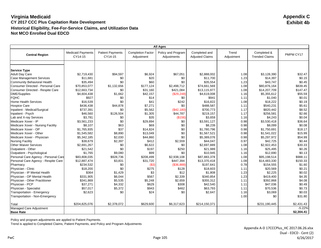|                                              |                                     |                                    |                                        | <b>All Ages</b>                   |                                         |                     |                                      |            |
|----------------------------------------------|-------------------------------------|------------------------------------|----------------------------------------|-----------------------------------|-----------------------------------------|---------------------|--------------------------------------|------------|
| <b>Central Region</b>                        | <b>Medicaid Payments</b><br>CY14-15 | <b>Patient Payments</b><br>CY14-15 | <b>Completion Factor</b><br>Adjustment | Policy and Program<br>Adjustments | Completed and<br><b>Adjusted Claims</b> | Trend<br>Adjustment | Completed &<br><b>Trended Claims</b> | PMPM CY17  |
|                                              |                                     |                                    |                                        |                                   |                                         |                     |                                      |            |
|                                              |                                     |                                    |                                        |                                   |                                         |                     |                                      |            |
| <b>Service Type</b><br><b>Adult Day Care</b> | \$2.719.430                         | \$94,597                           | \$6,924                                | \$67,051                          | \$2,888,002                             | 1.08                | \$3,128,390                          | \$32.47    |
| <b>Case Management Services</b>              | \$11,681                            | \$0                                | \$20                                   | \$0                               | \$11,700                                | 1.23                | \$14,397                             | \$0.15     |
| <b>Community Behavioral Health</b>           | \$35,494                            | \$0                                | \$60                                   | \$0                               | \$35,554                                | 1.23                | \$43,747                             | \$0.45     |
| Consumer Directed - Personal Care            | \$70,853,077                        | \$1,132,656                        | \$177,124                              | \$2,498,712                       | \$74.661.569                            | 1.08                | \$80,876,164                         | \$839.45   |
| Consumer Directed - Respite Care             | \$12,663,734                        | \$0                                | \$31,160                               | \$421.084                         | \$13,115,977                            | 1.08                | \$14,207,709                         | \$147.47   |
| <b>DME/Supplies</b>                          | \$4,604,438                         | \$1,662                            | \$42,157                               | (\$29,248)                        | \$4,619,008                             | 1.16                | \$5,355,612                          | \$55.59    |
| <b>FQHC</b>                                  | \$927                               | \$0                                | \$14                                   | \$0                               | \$941                                   | 1.11                | \$1,040                              | \$0.01     |
| <b>Home Health Services</b>                  | \$16,539                            | \$0                                | \$41                                   | \$242                             | \$16,822                                | 1.08                | \$18,222                             | \$0.19     |
| <b>Hospice Care</b>                          | \$436,438                           | \$44,878                           | \$7,271                                | \$0                               | \$488,587                               | 1.11                | \$540,231                            | \$5.61     |
| Inpatient - Medical/Surgical                 | \$737,391                           | \$0                                | \$5,562                                | (\$42,180)                        | \$700,773                               | 1.17                | \$820,442                            | \$8.52     |
| Inpatient - Psych                            | \$46,560                            | \$126,504                          | \$1,305                                | \$44,787                          | \$219,157                               | 1.17                | \$256,581                            | \$2.66     |
| Lab and X-ray Services                       | \$3,781                             | \$0                                | \$35                                   | (\$156)                           | \$3,659                                 | 1.16                | \$4,243                              | \$0.04     |
| Medicare Xover - IP                          | \$3,561,233                         | \$0                                | \$29,894                               | \$0                               | \$3,591,127                             | 0.98                | \$3,530,418                          | \$36.64    |
| Medicare Xover - Nursing Facility            | \$8,107                             | \$63                               | \$69                                   | \$0                               | \$8,239                                 | 0.98                | \$8,099                              | \$0.08     |
| Medicare Xover - OP                          | \$1,765,935                         | \$37                               | \$14,824                               | \$0                               | \$1,780,796                             | 0.98                | \$1,750,691                          | \$18.17    |
| Medicare Xover - Other                       | \$1,545,582                         | \$8,890                            | \$13,049                               | \$0                               | \$1,567,521                             | 0.98                | \$1,541,022                          | \$15.99    |
| Medicare Xover - Physician                   | \$5,342,185                         | \$2,030                            | \$44,860                               | \$0                               | \$5,389,076                             | 0.98                | \$5,297,972                          | \$54.99    |
| <b>Nursing Facility</b>                      | \$38,679                            | \$2,397                            | \$412                                  | \$2,559                           | \$44,047                                | 0.97                | \$42,725                             | \$0.44     |
| <b>Other Waiver Services</b>                 | \$2,691,267                         | \$0                                | \$6,622                                | \$0                               | \$2,697,889                             | 1.08                | \$2,922,453                          | \$30.33    |
| Outpatient - Other                           | \$21,542                            | \$0                                | \$197                                  | \$250                             | \$21,989                                | 1.16                | \$25,495                             | \$0.26     |
| Outpatient - Psychological                   | \$1,765                             | \$9,080                            | \$99                                   | \$0                               | \$10,945                                | 1.16                | \$12,690                             | \$0.13     |
| Personal Care Agency - Personal Care         | \$83,808,035                        | \$928,736                          | \$208,499                              | \$2,938,108                       | \$87.883.378                            | 1.08                | \$95,198,514                         | \$988.11   |
| Personal Care Agency - Respite Care          | \$12,887,474                        | \$3,831                            | \$31,720                               | \$447,394                         | \$13,370,418                            | 1.08                | \$14,483,330                         | \$150.33   |
| Pharmacy                                     | \$234,532                           | \$0                                | ( \$3]                                 | (\$36,888)                        | \$197,641                               | 0.78                | \$154,555                            | \$1.60     |
| Physician - Clinic                           | \$18,200                            | \$0                                | \$275                                  | \$128                             | \$18,603                                | 1.11                | \$20,569                             | \$0.21     |
| Physician - IP Mental Health                 | \$364                               | \$1,429                            | \$3                                    | \$12                              | \$1,808                                 | 1.23                | \$2,225                              | \$0.02     |
| Physician - OP Mental Health                 | \$331,905                           | \$6,044                            | \$567                                  | \$2,339                           | \$340,854                               | 1.23                | \$419,400                            | \$4.35     |
| Physician - Other Practitioner               | \$341,869                           | \$5,535                            | \$5,248                                | \$2,659                           | \$355,312                               | 1.11                | \$392,868                            | \$4.08     |
| Physician - PCP                              | \$37,271                            | \$4,332                            | \$629                                  | \$308                             | \$42,540                                | 1.11                | \$47,036                             | \$0.49     |
| Physician - Specialist                       | \$57,017                            | \$5,372                            | \$943                                  | \$462                             | \$63,793                                | 1.11                | \$70,536                             | \$0.73     |
| Transportation - Emergency                   | \$2,623                             | \$0                                | \$24                                   | \$0                               | \$2,647                                 | 1.16                | \$3,069                              | \$0.03     |
| Transportation - Non-Emergency               |                                     |                                    |                                        |                                   |                                         | 1.00                | \$0                                  | \$31.80    |
| Total                                        | \$204,825,076                       | \$2,378,072                        | \$629,600                              | \$6,317,623                       | \$214,150,371                           |                     | \$231,190,445                        | \$2,431.43 |
| Managed Care Adjustment                      |                                     |                                    |                                        |                                   |                                         |                     |                                      | $-5.22%$   |
| <b>Base Rate</b>                             |                                     |                                    |                                        |                                   |                                         |                     |                                      | \$2,304.41 |

Policy and program adjustments are applied to Patient Payments.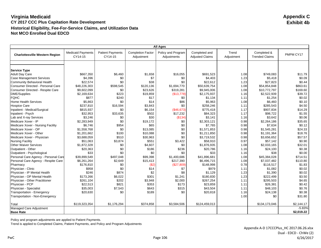|                                       | <b>All Ages</b>                     |                                    |                                        |                                   |                                         |                     |                                      |                  |
|---------------------------------------|-------------------------------------|------------------------------------|----------------------------------------|-----------------------------------|-----------------------------------------|---------------------|--------------------------------------|------------------|
| <b>Charlottesville Western Region</b> | <b>Medicaid Payments</b><br>CY14-15 | <b>Patient Payments</b><br>CY14-15 | <b>Completion Factor</b><br>Adjustment | Policy and Program<br>Adjustments | Completed and<br><b>Adjusted Claims</b> | Trend<br>Adjustment | Completed &<br><b>Trended Claims</b> | PMPM CY17        |
|                                       |                                     |                                    |                                        |                                   |                                         |                     |                                      |                  |
|                                       |                                     |                                    |                                        |                                   |                                         |                     |                                      |                  |
| <b>Service Type</b>                   |                                     |                                    |                                        |                                   |                                         |                     |                                      |                  |
| <b>Adult Day Care</b>                 | \$667,350                           | \$6,460                            | \$1,658                                | \$16,055                          | \$691,523                               | 1.08                | \$749,083                            | \$11.79          |
| <b>Case Management Services</b>       | \$4,396                             | \$0<br>\$0                         | \$7<br>\$38                            | \$0<br>\$0                        | \$4,403                                 | 1.23                | \$5,418                              | \$0.09<br>\$0.44 |
| Community Behavioral Health           | \$22,574                            |                                    |                                        |                                   | \$22,612                                | 1.23                | \$27,823                             |                  |
| Consumer Directed - Personal Care     | \$48,226,303                        | \$598,545                          | \$120,136                              | \$1,694,770                       | \$50.639.754                            | 1.08                | \$54,854,848                         | \$863.61         |
| Consumer Directed - Respite Care      | \$9,602,099                         | \$0                                | \$23,626                               | \$319,281                         | \$9,945,006                             | 1.08                | \$10,772,797                         | \$169.60         |
| DME/Supplies                          | \$2,169,634                         | \$223                              | \$19,859                               | (\$13,778)                        | \$2,175,937                             | 1.16                | \$2,522,939                          | \$39.72          |
| <b>FQHC</b>                           | \$877                               | \$240                              | \$17                                   | \$0                               | \$1,134                                 | 1.11                | \$1,254                              | \$0.02           |
| <b>Home Health Services</b>           | \$5,863                             | \$0                                | \$14                                   | \$86                              | \$5,963                                 | 1.08                | \$6,460                              | \$0.10           |
| <b>Hospice Care</b>                   | \$237,810                           | \$16,594                           | \$3,843                                | \$0                               | \$258,246                               | 1.11                | \$285,543                            | \$4.50           |
| Inpatient - Medical/Surgical          | \$815,937                           | \$0                                | \$6,154                                | (\$46,673)                        | \$775,418                               | 1.17                | \$907,834                            | \$14.29          |
| Inpatient - Psych                     | \$32,953                            | \$33,635                           | \$502                                  | \$17,232                          | \$84,323                                | 1.17                | \$98,722                             | \$1.55           |
| Lab and X-ray Services                | \$3,246                             | \$0                                | \$30                                   | (\$134)                           | \$3,141                                 | 1.16                | \$3,642                              | \$0.06           |
| Medicare Xover - IP                   | \$2,283,949                         | \$0                                | \$19.172                               | \$0                               | \$2,303,121                             | 0.98                | \$2,264,186                          | \$35.65          |
| Medicare Xover - Nursing Facility     | \$6,746                             | \$954                              | \$65                                   | \$0                               | \$7,765                                 | 0.98                | \$7,634                              | \$0.12           |
| Medicare Xover - OP                   | \$1,558,768                         | \$0                                | \$13,085                               | \$0                               | \$1,571,853                             | 0.98                | \$1,545,281                          | \$24.33          |
| Medicare Xover - Other                | \$1,201,662                         | \$100                              | \$10,088                               | \$0                               | \$1,211,850                             | 0.98                | \$1,191,364                          | \$18.76          |
| Medicare Xover - Physician            | \$3,688,059                         | \$510                              | \$30,963                               | \$0                               | \$3,719,532                             | 0.98                | \$3,656,652                          | \$57.57          |
| <b>Nursing Facility</b>               | \$51,063                            | \$3,874                            | \$551                                  | \$3,422                           | \$58,910                                | 0.97                | \$57,142                             | \$0.90           |
| <b>Other Waiver Services</b>          | \$1,872,328                         | \$0                                | \$4,607                                | \$0                               | \$1,876,935                             | 1.08                | \$2,033,165                          | \$32.01          |
| Outpatient - Other                    | \$20,363                            | \$0                                | \$186                                  | \$236                             | \$20,786                                | 1.16                | \$24,100                             | \$0.38           |
| Outpatient - Psychological            | \$33                                | \$0                                | \$0                                    | \$0                               | \$33                                    | 1.16                | \$38                                 | \$0.00           |
| Personal Care Agency - Personal Care  | \$39,899,549                        | \$497,048                          | \$99,398                               | \$1,400,686                       | \$41.896.681                            | 1.08                | \$45,384,028                         | \$714.51         |
| Personal Care Agency - Respite Care   | \$6,261,264                         | \$2,649                            | \$15,413                               | \$217,390                         | \$6,496,715                             | 1.08                | \$7,037,482                          | \$110.80         |
| Pharmacy                              | \$176,810                           | \$0                                | (\$2)                                  | (\$27,809)                        | \$148,998                               | 0.78                | \$116,517                            | \$1.83           |
| Physician - Clinic                    | \$958                               | \$0                                | \$14                                   | \$7                               | \$979                                   | 1.11                | \$1,082                              | \$0.02           |
| Physician - IP Mental Health          | \$246                               | \$874                              | \$2                                    | \$8                               | \$1,129                                 | 1.23                | \$1,390                              | \$0.02           |
| Physician - OP Mental Health          | \$173,266                           | \$6,022                            | \$301                                  | \$1,241                           | \$180,830                               | 1.23                | \$222,499                            | \$3.50           |
| Physician - Other Practitioner        | \$261,104                           | \$202                              | \$3,948                                | \$2,000                           | \$267,254                               | 1.11                | \$295,503                            | \$4.65           |
| Physician - PCP                       | \$22,513                            | \$821                              | \$353                                  | \$173                             | \$23,859                                | 1.11                | \$26,381                             | \$0.42           |
| Physician - Specialist                | \$35,003                            | \$7,543                            | \$643                                  | \$315                             | \$43,504                                | 1.11                | \$48,103                             | \$0.76           |
| Transportation - Emergency            | \$20,630                            | \$0                                | \$189                                  | \$0                               | \$20,818                                | 1.16                | \$24,138                             | \$0.38           |
| Transportation - Non-Emergency        |                                     |                                    |                                        |                                   |                                         | 1.00                | \$0                                  | \$31.80          |
|                                       |                                     |                                    |                                        |                                   |                                         |                     |                                      |                  |
| Total                                 | \$119,323,354                       | \$1,176,294                        | \$374,858                              | \$3,584,506                       | \$124,459,013                           |                     | \$134,173,046                        | \$2,144.17       |
| Managed Care Adjustment               |                                     |                                    |                                        |                                   |                                         |                     |                                      | $-5.83%$         |
| <b>Base Rate</b>                      |                                     |                                    |                                        |                                   |                                         |                     |                                      | \$2,019.22       |

Policy and program adjustments are applied to Patient Payments.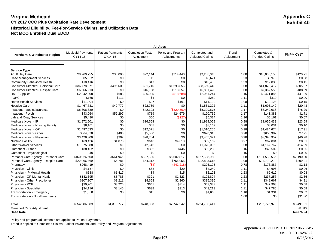|                                      | <b>All Ages</b>                     |                                    |                                        |                                   |                                         |                     |                                      |            |
|--------------------------------------|-------------------------------------|------------------------------------|----------------------------------------|-----------------------------------|-----------------------------------------|---------------------|--------------------------------------|------------|
| Northern & Winchester Region         | <b>Medicaid Payments</b><br>CY14-15 | <b>Patient Payments</b><br>CY14-15 | <b>Completion Factor</b><br>Adjustment | Policy and Program<br>Adjustments | Completed and<br><b>Adjusted Claims</b> | Trend<br>Adjustment | Completed &<br><b>Trended Claims</b> | PMPM CY17  |
|                                      |                                     |                                    |                                        |                                   |                                         |                     |                                      |            |
|                                      |                                     |                                    |                                        |                                   |                                         |                     |                                      |            |
| <b>Service Type</b>                  |                                     |                                    |                                        |                                   |                                         |                     |                                      |            |
| <b>Adult Day Care</b>                | \$8,969,755                         | \$30,006                           | \$22,144                               | \$214,440                         | \$9,236,345                             | 1.08                | \$10,005,150                         | \$120.71   |
| <b>Case Management Services</b>      | \$5,662                             | \$0                                | \$9                                    | \$0                               | \$5,671                                 | 1.23                | \$6,978                              | \$0.08     |
| <b>Community Behavioral Health</b>   | \$10,416                            | \$0                                | \$17                                   | \$0                               | \$10,433                                | 1.23                | \$12,838                             | \$0.15     |
| Consumer Directed - Personal Care    | \$36,778,271                        | \$496,600                          | \$91,716                               | \$1,293,856                       | \$38,660,443                            | 1.08                | \$41,878,417                         | \$505.27   |
| Consumer Directed - Respite Care     | \$6,566,913                         | \$0                                | \$16,158                               | \$218,357                         | \$6,801,428                             | 1.08                | \$7,367,558                          | \$88.89    |
| <b>DME/Supplies</b>                  | \$2,942,308                         | \$688                              | \$26,935                               | (\$18,688)                        | \$2,951,244                             | 1.16                | \$3,421,885                          | \$41.29    |
| <b>FQHC</b>                          | \$165                               | \$111                              | \$4                                    | \$0                               | \$280                                   | 1.11                | \$310                                | \$0.00     |
| <b>Home Health Services</b>          | \$11,004                            | \$0                                | \$27                                   | \$161                             | \$11.192                                | 1.08                | \$12,124                             | \$0.15     |
| <b>Hospice Care</b>                  | \$1,467,731                         | \$40,772                           | \$22,789                               | \$0                               | \$1,531,292                             | 1.11                | \$1,693,149                          | \$20.43    |
| Inpatient - Medical/Surgical         | \$5,608,380                         | \$0                                | \$42,303                               | (\$320,809)                       | \$5,329,875                             | 1.17                | \$6,240,038                          | \$75.29    |
| Inpatient - Psych                    | \$43,064                            | \$52,297                           | \$719                                  | \$24,679                          | \$120,759                               | 1.17                | \$141,381                            | \$1.71     |
| Lab and X-ray Services               | \$5,490                             | \$0                                | \$50                                   | (\$227)                           | \$5,314                                 | 1.16                | \$6,161                              | \$0.07     |
| Medicare Xover - IP                  | \$1,972,501                         | \$0                                | \$16,558                               | \$0                               | \$1,989,058                             | 0.98                | \$1,955,433                          | \$23.59    |
| Medicare Xover - Nursing Facility    | \$8,101                             | \$0                                | \$68                                   | \$0                               | \$8,169                                 | 0.98                | \$8,031                              | \$0.10     |
| Medicare Xover - OP                  | \$1,497,633                         | \$0                                | \$12,571                               | \$0                               | \$1.510.205                             | 0.98                | \$1,484,674                          | \$17.91    |
| Medicare Xover - Other               | \$664,328                           | \$406                              | \$5,580                                | \$0                               | \$670,313                               | 0.98                | \$658,982                            | \$7.95     |
| Medicare Xover - Physician           | \$3,426,300                         | \$307                              | \$28,764                               | \$0                               | \$3,455,371                             | 0.98                | \$3,396,957                          | \$40.98    |
| <b>Nursing Facility</b>              | \$63,426                            | \$1,078                            | \$646                                  | \$4,018                           | \$69,169                                | 0.97                | \$67,094                             | \$0.81     |
| <b>Other Waiver Services</b>         | \$1,075,388                         | \$1                                | \$2,646                                | \$0                               | \$1,078,035                             | 1.08                | \$1,167,767                          | \$14.09    |
| Outpatient - Other                   | \$38,452                            | \$0                                | \$352                                  | \$446                             | \$39,250                                | 1.16                | \$45,509                             | \$0.55     |
| Outpatient - Psychological           | \$0                                 | \$0                                | \$0                                    | \$0                               | \$0                                     | 1.16                | \$0                                  | \$0.00     |
| Personal Care Agency - Personal Care | \$160.926.600                       | \$661.946                          | \$397.596                              | \$5,602,817                       | \$167.588.958                           | 1.08                | \$181.538.536                        | \$2,190.30 |
| Personal Care Agency - Respite Care  | \$22,066,469                        | \$6,781                            | \$54,312                               | \$766,055                         | \$22,893,618                            | 1.08                | \$24,799,210                         | \$299.21   |
| Pharmacy                             | \$268,419                           | \$0                                | ( \$4]                                 | (\$42,218)                        | \$226,198                               | 0.78                | \$176,887                            | \$2.13     |
| Physician - Clinic                   | \$4,157                             | \$0                                | \$63                                   | \$29                              | \$4,249                                 | 1.11                | \$4,698                              | \$0.06     |
| Physician - IP Mental Health         | \$688                               | \$1,417                            | \$4                                    | \$15                              | \$2,123                                 | 1.23                | \$2,612                              | \$0.03     |
| Physician - OP Mental Health         | \$182,395                           | \$8,785                            | \$321                                  | \$1,323                           | \$192,824                               | 1.23                | \$237,257                            | \$2.86     |
| Physician - Other Practitioner       | \$307,107                           | \$1,211                            | \$4,658                                | \$2,360                           | \$315,336                               | 1.11                | \$348,667                            | \$4.21     |
| Physician - PCP                      | \$39,201                            | \$3,226                            | \$641                                  | \$314                             | \$43,383                                | 1.11                | \$47,968                             | \$0.58     |
| Physician - Specialist               | \$34,116                            | \$8,145                            | \$638                                  | \$313                             | \$43,213                                | 1.11                | \$47,780                             | \$0.58     |
| Transportation - Emergency           | \$1,650                             | \$0                                | \$15                                   | \$0                               | \$1,665                                 | 1.16                | \$1,931                              | \$0.02     |
| Transportation - Non-Emergency       |                                     |                                    |                                        |                                   |                                         | 1.00                | \$0                                  | \$31.80    |
|                                      |                                     |                                    |                                        |                                   |                                         |                     |                                      |            |
| Total                                | \$254,986,089                       | \$1,313,777                        | \$748,303                              | \$7,747,242                       | \$264,795,411                           |                     | \$286,775,979                        | \$3,491.81 |
| Managed Care Adjustment              |                                     |                                    |                                        |                                   |                                         |                     |                                      | $-3.34%$   |
| <b>Base Rate</b>                     |                                     |                                    |                                        |                                   |                                         |                     |                                      | \$3,375.04 |

Policy and program adjustments are applied to Patient Payments.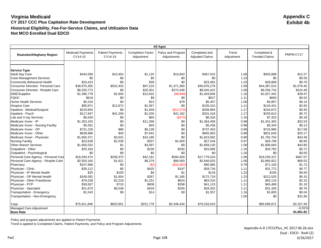|                                      | <b>All Ages</b>                     |                                    |                                        |                                   |                                         |                     |                                      |            |
|--------------------------------------|-------------------------------------|------------------------------------|----------------------------------------|-----------------------------------|-----------------------------------------|---------------------|--------------------------------------|------------|
| <b>Roanoke/Alleghany Region</b>      | <b>Medicaid Payments</b><br>CY14-15 | <b>Patient Payments</b><br>CY14-15 | <b>Completion Factor</b><br>Adjustment | Policy and Program<br>Adjustments | Completed and<br><b>Adjusted Claims</b> | Trend<br>Adjustment | Completed &<br><b>Trended Claims</b> | PMPM CY17  |
|                                      |                                     |                                    |                                        |                                   |                                         |                     |                                      |            |
|                                      |                                     |                                    |                                        |                                   |                                         |                     |                                      |            |
| <b>Service Type</b>                  |                                     |                                    |                                        |                                   |                                         |                     |                                      |            |
| <b>Adult Day Care</b>                | \$444,599                           | \$10,454                           | \$1,120                                | \$10,843                          | \$467,015                               | 1.08                | \$505,888                            | \$12.27    |
| <b>Case Management Services</b>      | \$0                                 | \$0                                | \$0                                    | \$0                               | \$0                                     | 1.23                | \$0                                  | \$0.00     |
| Community Behavioral Health          | \$23,423                            | \$0                                | \$39                                   | \$0                               | \$23,462                                | 1.23                | \$28,869                             | \$0.70     |
| Consumer Directed - Personal Care    | \$38,975,305                        | \$532,403                          | \$97,210                               | \$1,371,360                       | \$40,976,279                            | 1.08                | \$44,387,015                         | \$1,076.45 |
| Consumer Directed - Respite Care     | \$8,250,773                         | \$0                                | \$20,301                               | \$274,348                         | \$8,545,422                             | 1.08                | \$9,256,716                          | \$224.49   |
| <b>DME/Supplies</b>                  | \$1,396,778                         | \$2,905                            | \$12,810                               | (\$8,888)                         | \$1,403,606                             | 1.16                | \$1,627,442                          | \$39.47    |
| <b>FQHC</b>                          | \$618                               | \$0                                | \$9                                    | \$0                               | \$627                                   | 1.11                | \$693                                | \$0.02     |
| <b>Home Health Services</b>          | \$5,316                             | \$0                                | \$13                                   | \$78                              | \$5,407                                 | 1.08                | \$5,857                              | \$0.14     |
| <b>Hospice Care</b>                  | \$90,871                            | \$12,872                           | \$1,567                                | \$0                               | \$105,310                               | 1.11                | \$116,441                            | \$2.82     |
| Inpatient - Medical/Surgical         | \$219,904                           | \$0                                | \$1,659                                | (\$12,579)                        | \$208,984                               | 1.17                | \$244,672                            | \$5.93     |
| Inpatient - Psych                    | \$117,847                           | \$41,209                           | \$1,200                                | \$41,162                          | \$201,418                               | 1.17                | \$235,814                            | \$5.72     |
| Lab and X-ray Services               | \$6,526                             | \$0                                | \$60                                   | (\$270)                           | \$6,316                                 | 1.16                | \$7,323                              | \$0.18     |
| Medicare Xover - IP                  | \$1,353,100                         | \$0                                | \$11,358                               | \$0                               | \$1,364,458                             | 0.98                | \$1,341,392                          | \$32.53    |
| Medicare Xover - Nursing Facility    | \$5,391                             | \$0                                | \$45                                   | \$0                               | \$5,436                                 | 0.98                | \$5,344                              | \$0.13     |
| Medicare Xover - OP                  | \$731,228                           | \$86                               | \$6.139                                | \$0                               | \$737.453                               | 0.98                | \$724,986                            | \$17.58    |
| Medicare Xover - Other               | \$838,868                           | \$40                               | \$7,042                                | \$0                               | \$845,950                               | 0.98                | \$831,649                            | \$20.17    |
| Medicare Xover - Physician           | \$1,805,371                         | \$3,031                            | \$15,180                               | \$0                               | \$1,823,582                             | 0.98                | \$1,792,754                          | \$43.48    |
| <b>Nursing Facility</b>              | \$23,638                            | \$2,039                            | \$257                                  | \$1,600                           | \$27,534                                | 0.97                | \$26,708                             | \$0.65     |
| <b>Other Waiver Services</b>         | \$1,665,032                         | \$1                                | \$4,097                                | \$0                               | \$1,669,130                             | 1.08                | \$1,808,064                          | \$43.85    |
| Outpatient - Other                   | \$25,164                            | \$0                                | \$230                                  | \$292                             | \$25,686                                | 1.16                | \$29,782                             | \$0.72     |
| Outpatient - Psychological           | \$0                                 | \$0                                | \$0                                    | \$0                               | \$0                                     | 1.16                | \$0                                  | \$0.00     |
| Personal Care Agency - Personal Care | \$16,934,474                        | \$208,370                          | \$42,181                               | \$594,400                         | \$17,779,424                            | 1.08                | \$19,259,327                         | \$467.07   |
| Personal Care Agency - Respite Care  | \$2,550,165                         | \$1,621                            | \$6,279                                | \$88,560                          | \$2,646,625                             | 1.08                | \$2,866,922                          | \$69.53    |
| Pharmacy                             | \$107,968                           | \$0                                | (S2)                                   | (\$16,982)                        | \$90,985                                | 0.78                | \$71,150                             | \$1.73     |
| Physician - Clinic                   | \$28,112                            | \$0                                | \$425                                  | \$197                             | \$28,734                                | 1.11                | \$31,772                             | \$0.77     |
| Physician - IP Mental Health         | \$25                                | \$100                              | \$0                                    | \$1                               | \$126                                   | 1.23                | \$155                                | \$0.00     |
| Physician - OP Mental Health         | \$169,392                           | \$1,854                            | \$287                                  | \$1,185                           | \$172,719                               | 1.23                | \$212,520                            | \$5.15     |
| Physician - Other Practitioner       | \$79,238                            | \$2,218                            | \$1,231                                | \$624                             | \$83,310                                | 1.11                | \$92,116                             | \$2.23     |
| Physician - PCP                      | \$39,507                            | \$710                              | \$608                                  | \$298                             | \$41,123                                | 1.11                | \$45,469                             | \$1.10     |
| Physician - Specialist               | \$21,670                            | \$6,038                            | \$419                                  | \$205                             | \$28,332                                | 1.11                | \$31,326                             | \$0.76     |
| Transportation - Emergency           | \$1,543                             | \$0                                | \$14                                   | \$0                               | \$1,557                                 | 1.16                | \$1,805                              | \$0.04     |
| Transportation - Non-Emergency       |                                     |                                    |                                        |                                   |                                         | 1.00                | \$0                                  | \$31.80    |
|                                      |                                     |                                    |                                        |                                   |                                         |                     |                                      |            |
| Total                                | \$75,911,846                        | \$825,951                          | \$231,779                              | \$2,346,434                       | \$79,316,010                            |                     | \$85,589,971                         | \$2,107.49 |
| Managed Care Adjustment              |                                     |                                    |                                        |                                   |                                         |                     |                                      | $-6.91%$   |
| <b>Base Rate</b>                     |                                     |                                    |                                        |                                   |                                         |                     |                                      | \$1,961.82 |

Policy and program adjustments are applied to Patient Payments.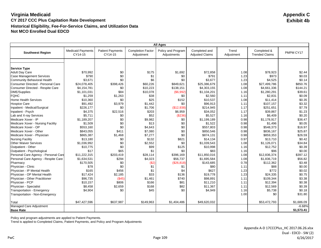|                                      |                                     |                                    |                                        | <b>All Ages</b>                   |                                         |                     |                                      |            |
|--------------------------------------|-------------------------------------|------------------------------------|----------------------------------------|-----------------------------------|-----------------------------------------|---------------------|--------------------------------------|------------|
| <b>Southwest Region</b>              | <b>Medicaid Payments</b><br>CY14-15 | <b>Patient Payments</b><br>CY14-15 | <b>Completion Factor</b><br>Adjustment | Policy and Program<br>Adjustments | Completed and<br><b>Adjusted Claims</b> | Trend<br>Adjustment | Completed &<br><b>Trended Claims</b> | PMPM CY17  |
|                                      |                                     |                                    |                                        |                                   |                                         |                     |                                      |            |
| <b>Service Type</b>                  |                                     |                                    |                                        |                                   |                                         |                     |                                      |            |
| <b>Adult Day Care</b>                | \$70,992                            | \$0                                | \$175                                  | \$1,692                           | \$72,858                                | 1.08                | \$78,923                             | \$2.44     |
| Case Management Services             | \$790                               | \$0                                | \$1                                    | \$0                               | \$791                                   | 1.23                | \$973                                | \$0.03     |
| Community Behavioral Health          | \$3,671                             | \$0                                | \$6                                    | \$0                               | \$3,677                                 | 1.23                | \$4,525                              | \$0.14     |
| Consumer Directed - Personal Care    | \$24,078,405                        | \$398,426                          | \$60,226                               | \$849,621                         | \$25,386,679                            | 1.08                | \$27,499,786                         | \$850.76   |
| Consumer Directed - Respite Care     | \$4,154,781                         | \$0                                | \$10,223                               | \$138,151                         | \$4,303,155                             | 1.08                | \$4,661,336                          | \$144.21   |
| DME/Supplies                         | \$1,101,031                         | \$84                               | \$10,078                               | (\$6,992)                         | \$1,104,201                             | 1.16                | \$1,280,291                          | \$39.61    |
| <b>FQHC</b>                          | \$1,259                             | \$1,263                            | \$38                                   | \$0                               | \$2,560                                 | 1.11                | \$2,831                              | \$0.09     |
| <b>Home Health Services</b>          | \$10,360                            | \$0                                | \$25                                   | \$152                             | \$10,537                                | 1.08                | \$11,414                             | \$0.35     |
| <b>Hospice Care</b>                  | \$91,492                            | \$3,979                            | \$1,442                                | \$0                               | \$96,913                                | 1.11                | \$107,157                            | \$3.32     |
| Inpatient - Medical/Surgical         | \$226,177                           | \$0                                | \$1,706                                | (\$12,938)                        | \$214,945                               | 1.17                | \$251,651                            | \$7.79     |
| Inpatient - Psych                    | \$4,375                             | \$22,516                           | \$203                                  | \$6,959                           | \$34,052                                | 1.17                | \$39,867                             | \$1.23     |
| Lab and X-ray Services               | \$5,711                             | \$0                                | \$52                                   | (\$236)                           | \$5,527                                 | 1.16                | \$6,409                              | \$0.20     |
| Medicare Xover - IP                  | \$1,189,207                         | \$0                                | \$9,982                                | \$0                               | \$1.199.189                             | 0.98                | \$1,178,917                          | \$36.47    |
| Medicare Xover - Nursing Facility    | \$1,509                             | \$0                                | \$13                                   | \$0                               | \$1,522                                 | 0.98                | \$1,496                              | \$0.05     |
| Medicare Xover - OP                  | \$553,160                           | \$0                                | \$4,643                                | \$0                               | \$557,803                               | 0.98                | \$548,373                            | \$16.97    |
| Medicare Xover - Other               | \$843,055                           | \$411                              | \$7,080                                | \$0                               | \$850,546                               | 0.98                | \$836,167                            | \$25.87    |
| Medicare Xover - Physician           | \$865,387                           | \$1,468                            | \$7,277                                | \$0                               | \$874,131                               | 0.98                | \$859,353                            | \$26.59    |
| Nursing Facility                     | \$13,180                            | \$0                                | \$132                                  | \$821                             | \$14,134                                | 0.97                | \$13,710                             | \$0.42     |
| <b>Other Waiver Services</b>         | \$1,036,992                         | \$0                                | \$2,552                                | \$0                               | \$1,039,543                             | 1.08                | \$1,126,071                          | \$34.84    |
| Outpatient - Other                   | \$10,775                            | \$0                                | \$99                                   | \$125                             | \$10,998                                | 1.16                | \$12,752                             | \$0.39     |
| Outpatient - Psychological           | \$17                                | \$65                               | \$1                                    | \$0                               | \$83                                    | 1.16                | \$96                                 | \$0.00     |
| Personal Care Agency - Personal Care | \$11,222,315                        | \$203,419                          | \$28,114                               | \$396,169                         | \$11.850.016                            | 1.08                | \$12,836,374                         | \$397.12   |
| Personal Care Agency - Respite Care  | \$1,634,531                         | \$294                              | \$4,023                                | \$56,737                          | \$1,695,584                             | 1.08                | \$1,836,719                          | \$56.82    |
| Pharmacy                             | \$170,505                           | \$0                                | (\$2)                                  | (\$26,818)                        | \$143,685                               | 0.78                | \$112,362                            | \$3.48     |
| Physician - Clinic                   | \$78                                | \$0                                | \$1                                    | \$1                               | \$80                                    | 1.11                | \$88                                 | \$0.00     |
| Physician - IP Mental Health         | \$165                               | \$456                              | \$1                                    | \$4                               | \$627                                   | 1.23                | \$772                                | \$0.02     |
| Physician - OP Mental Health         | \$17,424                            | \$2,185                            | \$33                                   | \$136                             | \$19,778                                | 1.23                | \$24,335                             | \$0.75     |
| Physician - Other Practitioner       | \$96,735                            | (\$45)                             | \$1,461                                | \$740                             | \$98,891                                | 1.11                | \$109,344                            | \$3.38     |
| Physician - PCP                      | \$10,157                            | \$806                              | \$166                                  | \$81                              | \$11,210                                | 1.11                | \$12,394                             | \$0.38     |
| Physician - Specialist               | \$8,458                             | \$2,659                            | \$168                                  | \$82                              | \$11,367                                | 1.11                | \$12,569                             | \$0.39     |
| <b>Transportation - Emergency</b>    | \$4,904                             | \$0                                | \$45                                   | \$0                               | \$4,949                                 | 1.16                | \$5,738                              | \$0.18     |
| Transportation - Non-Emergency       |                                     |                                    |                                        |                                   |                                         | 1.00                | \$0                                  | \$31.80    |
| Total                                | \$47,427,596                        | \$637,987                          | \$149,963                              | \$1,404,486                       | \$49,620,032                            |                     | \$53,472,793                         | \$1,686.09 |
| Managed Care Adjustment              |                                     |                                    |                                        |                                   |                                         |                     |                                      | $-6.68%$   |
| Base Rate                            |                                     |                                    |                                        |                                   |                                         |                     |                                      | \$1,573.41 |

Policy and program adjustments are applied to Patient Payments.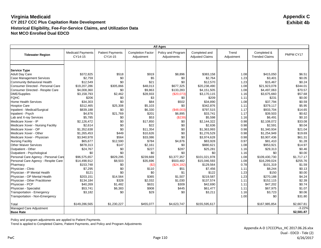|                                                          |                                     |                                    |                                        | <b>All Ages</b>                   |                                         |                     |                                      |                  |
|----------------------------------------------------------|-------------------------------------|------------------------------------|----------------------------------------|-----------------------------------|-----------------------------------------|---------------------|--------------------------------------|------------------|
| <b>Tidewater Region</b>                                  | <b>Medicaid Payments</b><br>CY14-15 | <b>Patient Payments</b><br>CY14-15 | <b>Completion Factor</b><br>Adjustment | Policy and Program<br>Adjustments | Completed and<br><b>Adjusted Claims</b> | Trend<br>Adjustment | Completed &<br><b>Trended Claims</b> | PMPM CY17        |
|                                                          |                                     |                                    |                                        |                                   |                                         |                     |                                      |                  |
|                                                          |                                     |                                    |                                        |                                   |                                         |                     |                                      |                  |
| <b>Service Type</b><br><b>Adult Day Care</b>             | \$372.825                           | \$518                              | \$919                                  | \$8,896                           | \$383,158                               | 1.08                | \$415,050                            | \$6.51           |
| <b>Case Management Services</b>                          | \$2,759                             | \$0                                | \$5                                    | \$0                               | \$2,764                                 | 1.23                | \$3,401                              | \$0.05           |
| Community Behavioral Health                              | \$12,549                            | \$0                                | \$21                                   | \$0                               | \$12,570                                | 1.23                | \$15,467                             | \$0.24           |
| Consumer Directed - Personal Care                        | \$19,207,286                        | \$305,866                          | \$48.013                               | \$677,325                         | \$20,238,490                            | 1.08                | \$21,923,078                         | \$344.01         |
| Consumer Directed - Respite Care                         | \$4,008,360                         | \$0                                | \$9,863                                | \$133,283                         | \$4,151,505                             | 1.08                | \$4,497,063                          | \$70.57          |
| DME/Supplies                                             | \$3,158,793                         | \$2,462                            | \$28,933                               | (\$20,073)                        | \$3,170,115                             | 1.16                | \$3,675,660                          | \$57.68          |
| <b>FQHC</b>                                              | \$206                               | \$0                                | \$3                                    | \$0                               | \$209                                   |                     | \$231                                | \$0.00           |
| <b>Home Health Services</b>                              |                                     |                                    | \$84                                   | \$502                             | \$34,890                                | 1.11                |                                      | \$0.59           |
|                                                          | \$34,303                            | \$0                                |                                        |                                   |                                         | 1.08                | \$37,794                             |                  |
| <b>Hospice Care</b>                                      | \$312,465                           | \$25,308                           | \$5,103                                | \$0                               | \$342,876                               | 1.11                | \$379,117                            | \$5.95           |
| Inpatient - Medical/Surgical                             | \$839,188                           | \$0                                | \$6,330                                | (\$48,003)                        | \$797,515                               | 1.17                | \$933,704                            | \$14.65          |
| Inpatient - Psych                                        | \$4,876<br>\$5,785                  | \$21,769<br>\$0                    | \$201<br>\$53                          | \$6,895                           | \$33,741<br>\$5,598                     | 1.17                | \$39,503                             | \$0.62<br>\$0.10 |
| Lab and X-ray Services<br>Medicare Xover - IP            | \$2.126.472                         | \$0                                | \$17,850                               | (\$239)<br>\$0                    |                                         | 1.16<br>0.98        | \$6,491<br>\$2,108,072               | \$33.08          |
|                                                          |                                     | \$0                                | \$22                                   | \$0                               | \$2,144,322                             |                     |                                      | \$0.04           |
| Medicare Xover - Nursing Facility<br>Medicare Xover - OP | \$2,614                             |                                    |                                        |                                   | \$2,636                                 | 0.98                | \$2,591                              |                  |
| Medicare Xover - Other                                   | \$1,352,638                         | \$0<br>\$449                       | \$11,354                               | \$0                               | \$1,363,993                             | 0.98                | \$1,340,934                          | \$21.04          |
|                                                          | \$1,265,453                         |                                    | \$10,626                               | \$0                               | \$1,276,529                             | 0.98                | \$1,254,949                          | \$19.69          |
| Medicare Xover - Physician                               | \$3,940,978                         | \$564                              | \$33,086                               | \$0                               | \$3,974,628                             | 0.98                | \$3,907,436                          | \$61.31          |
| <b>Nursing Facility</b>                                  | \$65,677                            | \$12,590                           | \$784                                  | \$4,876                           | \$83,928                                | 0.97                | \$81,410                             | \$1.28           |
| <b>Other Waiver Services</b>                             | \$878,313                           | \$147                              | \$2,161                                | \$0                               | \$880,621                               | 1.08                | \$953,921                            | \$14.97          |
| Outpatient - Other                                       | \$24,767                            | \$0                                | \$227                                  | \$287                             | \$25,281                                | 1.16                | \$29,313                             | \$0.46           |
| Outpatient - Psychological                               | \$0                                 | \$0                                | \$0                                    | \$0                               | \$0                                     | 1.16                | \$0                                  | \$0.00           |
| Personal Care Agency - Personal Care                     | \$96,575,657                        | \$829,295                          | \$239,669                              | \$3,377,357                       | \$101.021.978                           | 1.08                | \$109,430,730                        | \$1,717.17       |
| Personal Care Agency - Respite Care                      | \$14,498,912                        | \$8,503                            | \$35,696                               | \$503,482                         | \$15,046,593                            | 1.08                | \$16,299,024                         | \$255.76         |
| Pharmacy                                                 | \$153,748                           | \$0                                | (\$2)                                  | (\$24,182)                        | \$129,564                               | 0.78                | \$101,319                            | \$1.59           |
| Physician - Clinic                                       | \$7,295                             | \$0                                | \$110                                  | \$51                              | \$7,456                                 | 1.11                | \$8,244                              | \$0.13           |
| Physician - IP Mental Health                             | \$121                               | \$0                                | \$0                                    | \$1                               | \$122                                   | 1.23                | \$150                                | \$0.00           |
| Physician - OP Mental Health                             | \$203,151                           | \$14,564                           | \$365                                  | \$1,507                           | \$219,587                               | 1.23                | \$270,188                            | \$4.24           |
| Physician - Other Practitioner                           | \$134,184                           | \$328                              | \$2,032                                | \$1,030                           | \$137,574                               | 1.11                | \$152,115                            | \$2.39           |
| Physician - PCP                                          | \$40,269                            | \$1,482                            | \$631                                  | \$309                             | \$42,690                                | 1.11                | \$47,202                             | \$0.74           |
| Physician - Specialist                                   | \$53,741                            | \$6,383                            | \$908                                  | \$445                             | \$61,477                                | 1.11                | \$67,975                             | \$1.07           |
| Transportation - Emergency                               | \$3,182                             | \$0                                | \$29                                   | \$0                               | \$3,211                                 | 1.16                | \$3,723                              | \$0.06           |
| Transportation - Non-Emergency                           |                                     |                                    |                                        |                                   |                                         | 1.00                | \$0                                  | \$31.80          |
| Total                                                    | \$149,286,565                       | \$1,230,227                        | \$455,077                              | \$4,623,747                       | \$155,595,617                           |                     | \$167,985,854                        | \$2,667.81       |
| Managed Care Adjustment                                  |                                     |                                    |                                        |                                   |                                         |                     |                                      | $-3.22%$         |
| <b>Base Rate</b>                                         |                                     |                                    |                                        |                                   |                                         |                     |                                      | \$2,581.87       |

Policy and program adjustments are applied to Patient Payments.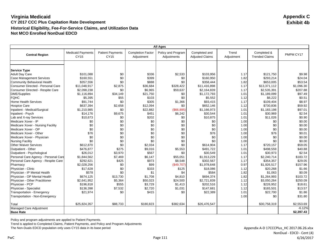|                                      | <b>All Ages</b>                  |                                        |                                        |                                   |                                         |                     |                                      |            |
|--------------------------------------|----------------------------------|----------------------------------------|----------------------------------------|-----------------------------------|-----------------------------------------|---------------------|--------------------------------------|------------|
| <b>Central Region</b>                | <b>Medicaid Payments</b><br>CY15 | <b>Patient Payments</b><br><b>CY15</b> | <b>Completion Factor</b><br>Adjustment | Policy and Program<br>Adjustments | Completed and<br><b>Adjusted Claims</b> | Trend<br>Adjustment | Completed &<br><b>Trended Claims</b> | PMPM CY17  |
|                                      |                                  |                                        |                                        |                                   |                                         |                     |                                      |            |
|                                      |                                  |                                        |                                        |                                   |                                         |                     |                                      |            |
| <b>Service Type</b>                  |                                  |                                        |                                        |                                   |                                         |                     |                                      |            |
| <b>Adult Day Care</b>                | \$101.088                        | \$0                                    | \$336                                  | \$2,533                           | \$103,956                               | 1.17                | \$121,750                            | \$9.98     |
| <b>Case Management Services</b>      | \$160,551                        | \$0                                    | \$399                                  | \$0                               | \$160,950                               | 1.82                | \$293,214                            | \$24.04    |
| <b>Community Behavioral Health</b>   | \$357,556                        | \$0                                    | \$888                                  | \$0                               | \$358,444                               | 1.82                | \$653,005                            | \$53.54    |
| Consumer Directed - Personal Care    | \$11,048,917                     | \$2,875                                | \$36,684                               | \$328,422                         | \$11,416,898                            | 1.17                | \$13,371,112                         | \$1,096.30 |
| Consumer Directed - Respite Care     | \$2,098,238                      | \$0                                    | \$6,965                                | \$59,637                          | \$2,164,839                             | 1.17                | \$2,535,391                          | \$207.88   |
| <b>DME/Supplies</b>                  | \$1,116,894                      | \$34,149                               | \$21,750                               | \$0                               | \$1,172,793                             | 1.01                | \$1,189,099                          | \$97.49    |
| <b>FQHC</b>                          | \$5,395                          | \$55                                   | \$103                                  | \$0                               | \$5,552                                 | 1.12                | \$6,222                              | \$0.51     |
| <b>Home Health Services</b>          | \$91,744                         | \$0                                    | \$305                                  | \$1,366                           | \$93,415                                | 1.17                | \$109,404                            | \$8.97     |
| <b>Hospice Care</b>                  | \$637,394                        | \$2,658                                | \$12,094                               | \$0                               | \$652,146                               | 1.12                | \$730,836                            | \$59.92    |
| Inpatient - Medical/Surgical         | \$1,210,985                      | \$0                                    | \$22,882                               | (\$66,895)                        | \$1,166,973                             | 1.01                | \$1,183,198                          | \$97.01    |
| Inpatient - Psych                    | \$14,176                         | \$9,675                                | \$451                                  | \$6,242                           | \$30,544                                | 1.01                | \$30,969                             | \$2.54     |
| Lab and X-ray Services               | \$10,673                         | \$0                                    | \$202                                  | \$0                               | \$10,875                                | 1.01                | \$11,026                             | \$0.90     |
| Medicare Xover - IP                  | \$0                              | \$0                                    | \$0                                    | \$0                               | \$0                                     | 1.00                | \$0                                  | \$0.00     |
| Medicare Xover - Nursing Facility    | \$0                              | \$0                                    | \$0                                    | \$0                               | \$0                                     | 1.00                | \$0                                  | \$0.00     |
| Medicare Xover - OP                  | \$0                              | \$0                                    | \$0                                    | \$0                               | \$0                                     | 1.00                | \$0                                  | \$0.00     |
| Medicare Xover - Other               | \$76                             | \$0                                    | \$0                                    | \$0                               | \$76                                    | 1.00                | \$76                                 | \$0.01     |
| Medicare Xover - Physician           | \$0                              | \$0                                    | \$0                                    | \$0                               | \$0                                     | 1.00                | \$0                                  | \$0.00     |
| <b>Nursing Facility</b>              | \$0                              | \$0                                    | \$0                                    | \$0                               | \$0                                     | 1.00                | \$0                                  | \$0.00     |
| <b>Other Waiver Services</b>         | \$612,870                        | \$0                                    | \$2,034                                | \$0                               | \$614,904                               | 1.17                | \$720,157                            | \$59.05    |
| Outpatient - Other                   | \$476,877                        | \$275                                  | \$9,016                                | \$5,553                           | \$491,722                               | 1.01                | \$498,559                            | \$40.88    |
| Outpatient - Psychological           | \$26,012                         | \$3,970                                | \$567                                  | \$0                               | \$30,549                                | 1.01                | \$30,973                             | \$2.54     |
| Personal Care Agency - Personal Care | \$1,844,562                      | \$7,469                                | \$6,147                                | \$55,051                          | \$1.913.229                             | 1.17                | \$2,240,714                          | \$183.72   |
| Personal Care Agency - Respite Care  | \$292,621                        | \$425                                  | \$973                                  | \$8,548                           | \$302,567                               | 1.17                | \$354,357                            | \$29.05    |
| Pharmacy                             | \$2,028,256                      | \$0                                    | \$99                                   | (\$49,707)                        | \$1,978,648                             | 0.97                | \$1,926,517                          | \$157.96   |
| Physician - Clinic                   | \$17,628                         | \$0                                    | \$333                                  | \$125                             | \$18,086                                | 1.12                | \$20,268                             | \$1.66     |
| Physician - IP Mental Health         | \$578                            | \$0                                    | \$1                                    | \$4                               | \$584                                   | 1.82                | \$1,063                              | \$0.09     |
| Physician - OP Mental Health         | \$674,125                        | \$13,730                               | \$1,708                                | \$4,810                           | \$694,374                               | 1.82                | \$1,264,993                          | \$103.72   |
| Physician - Other Practitioner       | \$2,641,952                      | \$5,364                                | \$50,023                               | \$24,500                          | \$2,721,839                             | 1.12                | \$3,050,264                          | \$250.09   |
| Physician - PCP                      | \$196,818                        | \$555                                  | \$3,729                                | \$1,413                           | \$202,516                               | 1.12                | \$226,952                            | \$18.61    |
| Physician - Specialist               | \$136,398                        | \$7,532                                | \$2,720                                | \$1,031                           | \$147,681                               | 1.12                | \$165,501                            | \$13.57    |
| Transportation - Emergency           | \$21,974                         | \$0                                    | \$415                                  | \$0                               | \$22,389                                | 1.01                | \$22,700                             | \$1.86     |
| Transportation - Non-Emergency       |                                  |                                        |                                        |                                   |                                         | 1.00                | \$0                                  | \$31.80    |
| Total                                | \$25,824,357                     | \$88,733                               | \$180,823                              | \$382,634                         | \$26,476,547                            |                     | \$30,758,319                         | \$2,553.69 |
| Managed Care Adjustment              |                                  |                                        |                                        |                                   |                                         |                     |                                      | $-6.12%$   |
| <b>Base Rate</b>                     |                                  |                                        |                                        |                                   |                                         |                     |                                      | \$2,397.43 |

Policy and program adjustments are applied to Patient Payments.

Trend is applied to Completed Claims, Patient Payments, and Policy and Program Adjustments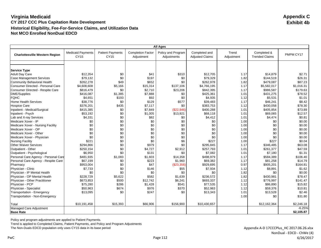|                                                          | <b>All Ages</b>                  |                                 |                                        |                                   |                                         |                     |                                      |                   |
|----------------------------------------------------------|----------------------------------|---------------------------------|----------------------------------------|-----------------------------------|-----------------------------------------|---------------------|--------------------------------------|-------------------|
| <b>Charlottesville Western Region</b>                    | <b>Medicaid Payments</b><br>CY15 | <b>Patient Payments</b><br>CY15 | <b>Completion Factor</b><br>Adjustment | Policy and Program<br>Adjustments | Completed and<br><b>Adjusted Claims</b> | Trend<br>Adjustment | Completed &<br><b>Trended Claims</b> | PMPM CY17         |
|                                                          |                                  |                                 |                                        |                                   |                                         |                     |                                      |                   |
|                                                          |                                  |                                 |                                        |                                   |                                         |                     |                                      |                   |
| <b>Service Type</b>                                      | \$12,354                         |                                 |                                        | \$310                             |                                         |                     |                                      |                   |
| <b>Adult Day Care</b><br><b>Case Management Services</b> | \$79.132                         | \$0<br>\$0                      | \$41<br>\$197                          |                                   | \$12,705<br>\$79,329                    | 1.17<br>1.82        | \$14,879<br>\$144,519                | \$2.71<br>\$26.31 |
|                                                          |                                  | \$49                            | \$652                                  | \$0<br>\$0                        |                                         |                     |                                      |                   |
| Community Behavioral Health                              | \$262,278                        |                                 |                                        |                                   | \$262,978                               | 1.82                | \$479,087                            | \$87.23           |
| Consumer Directed - Personal Care                        | \$4,608,608                      | \$5,166                         | \$15,314                               | \$137,106                         | \$4,766,195                             | 1.17                | \$5,582,017                          | \$1,016.31        |
| Consumer Directed - Respite Care                         | \$816,479                        | \$0                             | \$2,710                                | \$23,206                          | \$842,395                               | 1.17                | \$986,587                            | \$179.63          |
| <b>DME/Supplies</b>                                      | \$416,087                        | \$1,385                         | \$7,888                                | \$0                               | \$425,361                               | 1.01                | \$431,275                            | \$78.52           |
| <b>FQHC</b>                                              | \$4,651                          | \$193                           | \$92                                   | \$0                               | \$4,935                                 | 1.12                | \$5,531                              | \$1.01            |
| <b>Home Health Services</b>                              | \$38,776                         | \$0                             | \$129                                  | \$577                             | \$39,483                                | 1.17                | \$46,241                             | \$8.42            |
| <b>Hospice Care</b>                                      | \$376,201                        | \$435                           | \$7,117                                | \$0                               | \$383,753                               | 1.12                | \$430,058                            | \$78.30           |
| Inpatient - Medical/Surgical                             | \$415,385                        | \$0                             | \$7,849                                | (\$22,946)                        | \$400,288                               | 1.01                | \$405,854                            | \$73.89           |
| Inpatient - Psych                                        | \$53,192                         | \$0                             | \$1,005                                | \$13,921                          | \$68,118                                | 1.01                | \$69,065                             | \$12.57           |
| Lab and X-ray Services                                   | \$4,331                          | \$0                             | \$82                                   | \$0                               | \$4,412                                 | 1.01                | \$4,474                              | \$0.81            |
| Medicare Xover - IP                                      | \$0                              | \$0                             | \$0                                    | \$0                               | \$0                                     | 1.00                | \$0                                  | \$0.00            |
| Medicare Xover - Nursing Facility                        | \$0                              | \$0                             | \$0                                    | \$0                               | \$0                                     | 1.00                | \$0                                  | \$0.00            |
| Medicare Xover - OP                                      | \$0                              | \$0                             | \$0                                    | \$0                               | \$0                                     | 1.00                | \$0                                  | \$0.00            |
| Medicare Xover - Other                                   | \$0                              | \$0                             | \$0                                    | \$0                               | \$0                                     | 1.00                | \$0                                  | \$0.00            |
| Medicare Xover - Physician                               | \$0                              | \$0                             | \$0                                    | \$0                               | \$0                                     | 1.00                | \$0                                  | \$0.00            |
| <b>Nursing Facility</b>                                  | \$221                            | \$0                             | \$0                                    | \$6                               | \$227                                   | 1.00                | \$227                                | \$0.04            |
| <b>Other Waiver Services</b>                             | \$294,866                        | \$0                             | \$979                                  | \$0                               | \$295,845                               | 1.17                | \$346,485                            | \$63.08           |
| Outpatient - Other                                       | \$250.154                        | \$0                             | \$4,727                                | \$2,912                           | \$257,793                               | 1.01                | \$261,377                            | \$47.59           |
| Outpatient - Psychological                               | \$6,950                          | \$0                             | \$131                                  | \$0                               | \$7.082                                 | 1.01                | \$7,180                              | \$1.31            |
| Personal Care Agency - Personal Care                     | \$481,935                        | \$1,083                         | \$1,603                                | \$14,358                          | \$498,979                               | 1.17                | \$584,389                            | \$106.40          |
| Personal Care Agency - Respite Care                      | \$67,199                         | \$0                             | \$223                                  | \$1,960                           | \$69,382                                | 1.17                | \$81,258                             | \$14.79           |
| Pharmacy                                                 | \$953,004                        | \$0                             | \$47                                   | (\$23,356)                        | \$929,695                               | 0.97                | \$905,201                            | \$164.81          |
| Physician - Clinic                                       | \$7,733                          | \$0                             | \$146                                  | \$55                              | \$7,934                                 | 1.12                | \$8,891                              | \$1.62            |
| Physician - IP Mental Health                             | \$0                              | \$0                             | \$0                                    | \$0                               | \$0                                     | 1.82                | \$0                                  | \$0.00            |
| Physician - OP Mental Health                             | \$228,729                        | \$5,622                         | \$582                                  | \$1,639                           | \$236,572                               | 1.82                | \$430,981                            | \$78.47           |
| Physician - Other Practitioner                           | \$673,853                        | \$500                           | \$12,742                               | \$6,241                           | \$693,337                               | 1.12                | \$776,997                            | \$141.47          |
| Physician - PCP                                          | \$75,280                         | \$286                           | \$1,428                                | \$541                             | \$77,535                                | 1.12                | \$86,890                             | \$15.82           |
| Physician - Specialist                                   | \$50,963                         | \$674                           | \$976                                  | \$370                             | \$52,983                                | 1.12                | \$59,376                             | \$10.81           |
| Transportation - Emergency                               | \$13,095                         | \$0                             | \$247                                  | \$0                               | \$13,343                                | 1.01                | \$13,528                             | \$2.46            |
| Transportation - Non-Emergency                           |                                  |                                 |                                        |                                   |                                         | 1.00                | \$0                                  | \$31.80           |
| Total                                                    | \$10,191,458                     | \$15,393                        | \$66,906                               | \$156,900                         | \$10,430,657                            |                     | \$12,162,364                         | \$2,246.18        |
| Managed Care Adjustment                                  |                                  |                                 |                                        |                                   |                                         |                     |                                      | $-6.25%$          |
| <b>Base Rate</b>                                         |                                  |                                 |                                        |                                   |                                         |                     |                                      | \$2,105.87        |

Policy and program adjustments are applied to Patient Payments.

Trend is applied to Completed Claims, Patient Payments, and Policy and Program Adjustments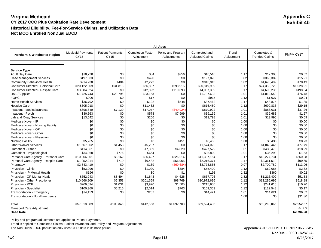|                                      |                                  |                                 |                                        | <b>All Ages</b>                   |                                         |                     |                                      |            |
|--------------------------------------|----------------------------------|---------------------------------|----------------------------------------|-----------------------------------|-----------------------------------------|---------------------|--------------------------------------|------------|
| Northern & Winchester Region         | <b>Medicaid Payments</b><br>CY15 | <b>Patient Payments</b><br>CY15 | <b>Completion Factor</b><br>Adjustment | Policy and Program<br>Adjustments | Completed and<br><b>Adjusted Claims</b> | Trend<br>Adjustment | Completed &<br><b>Trended Claims</b> | PMPM CY17  |
|                                      |                                  |                                 |                                        |                                   |                                         |                     |                                      |            |
|                                      |                                  |                                 |                                        |                                   |                                         |                     |                                      |            |
| <b>Service Type</b>                  | \$10.220                         |                                 | \$34                                   |                                   |                                         |                     |                                      |            |
| <b>Adult Day Care</b>                |                                  | \$0                             |                                        | \$256                             | \$10,510                                | 1.17                | \$12,308                             | \$0.52     |
| <b>Case Management Services</b>      | \$197,333                        | \$0                             | \$490                                  | \$0                               | \$197,823                               | 1.82                | \$360,389                            | \$15.21    |
| <b>Community Behavioral Health</b>   | \$914,238                        | \$404                           | \$2,272                                | \$0                               | \$916,913                               | 1.82                | \$1,670,409                          | \$70.49    |
| Consumer Directed - Personal Care    | \$20,122,369                     | \$31,818                        | \$66,897                               | \$598,915                         | \$20,819,999                            | 1.17                | \$24,383,729                         | \$1,028.91 |
| Consumer Directed - Respite Care     | \$3,884,024                      | \$0                             | \$12,892                               | \$110,393                         | \$4,007,309                             | 1.17                | \$4,693,235                          | \$198.04   |
| <b>DME/Supplies</b>                  | \$1,725,743                      | \$28,796                        | \$33,153                               | \$0                               | \$1,787,693                             | 1.01                | \$1,812,548                          | \$76.48    |
| <b>FQHC</b>                          | \$900                            | \$0                             | \$17                                   | \$0                               | \$917                                   | 1.12                | \$1,027                              | \$0.04     |
| <b>Home Health Services</b>          | \$36,792                         | \$0                             | \$122                                  | \$548                             | \$37,462                                | 1.17                | \$43,875                             | \$1.85     |
| <b>Hospice Care</b>                  | \$605,018                        | \$0                             | \$11,432                               | \$0                               | \$616,450                               | 1.12                | \$690,833                            | \$29.15    |
| Inpatient - Medical/Surgical         | \$896,640                        | \$7,129                         | \$17,077                               | (\$49,924)                        | \$870,922                               | 1.01                | \$883,031                            | \$37.26    |
| Inpatient - Psych                    | \$30,563                         | \$0                             | \$578                                  | \$7,999                           | \$39,139                                | 1.01                | \$39,683                             | \$1.67     |
| Lab and X-ray Services               | \$13,542                         | \$0                             | \$256                                  | \$0                               | \$13,798                                | 1.01                | \$13,990                             | \$0.59     |
| Medicare Xover - IP                  | \$0                              | \$0                             | \$0                                    | \$0                               | \$0                                     | 1.00                | \$0                                  | \$0.00     |
| Medicare Xover - Nursing Facility    | \$0                              | \$0                             | \$0                                    | \$0                               | \$0                                     | 1.00                | \$0                                  | \$0.00     |
| Medicare Xover - OP                  | \$0                              | \$0                             | \$0                                    | \$0                               | \$0                                     | 1.00                | \$0                                  | \$0.00     |
| Medicare Xover - Other               | \$0                              | \$0                             | \$0                                    | \$0                               | \$0                                     | 1.00                | \$0                                  | \$0.00     |
| Medicare Xover - Physician           | \$0                              | \$0                             | \$0                                    | \$0                               | \$0                                     | 1.00                | \$0                                  | \$0.00     |
| <b>Nursing Facility</b>              | \$5,285                          | \$0                             | \$0                                    | \$151                             | \$5,436                                 | 1.00                | \$5,436                              | \$0.23     |
| <b>Other Waiver Services</b>         | \$1,567,362                      | \$1,453                         | \$5,207                                | \$0                               | \$1,574,022                             | 1.17                | \$1,843,446                          | \$77.79    |
| Outpatient - Other                   | \$414,861                        | \$0                             | \$7,839                                | \$4,829                           | \$427,529                               | 1.01                | \$433,473                            | \$18.29    |
| Outpatient - Psychological           | \$34,360                         | \$776                           | \$664                                  | \$0                               | \$35,800                                | 1.01                | \$36,298                             | \$1.53     |
| Personal Care Agency - Personal Care | \$10,966,361                     | \$8,162                         | \$36,427                               | \$326,214                         | \$11,337,164                            | 1.17                | \$13,277,731                         | \$560.28   |
| Personal Care Agency - Respite Care  | \$1,952,214                      | \$710                           | \$6,482                                | \$56,965                          | \$2,016,371                             | 1.17                | \$2,361,510                          | \$99.65    |
| Pharmacy                             | \$2,843,410                      | \$0                             | \$139                                  | (\$69,684)                        | \$2,773,865                             | 0.97                | \$2,700,782                          | \$113.96   |
| Physician - Clinic                   | \$53,996                         | \$0                             | \$1,020                                | \$384                             | \$55,400                                | 1.12                | \$62,085                             | \$2.62     |
| Physician - IP Mental Health         | \$196                            | \$0                             | \$0                                    | \$1                               | \$198                                   | 1.82                | \$360                                | \$0.02     |
| Physician - OP Mental Health         | \$652,943                        | \$8,494                         | \$1,643                                | \$4,626                           | \$667,706                               | 1.82                | \$1,216,409                          | \$51.33    |
| Physician - Other Practitioner       | \$10,666,909                     | \$5,358                         | \$201,659                              | \$98,769                          | \$10,972,696                            | 1.12                | \$12,296,695                         | \$518.88   |
| Physician - PCP                      | \$209,094                        | \$1,031                         | \$3,970                                | \$1,505                           | \$215,600                               | 1.12                | \$241,615                            | \$10.20    |
| Physician - Specialist               | \$100,360                        | \$6,216                         | \$2,014                                | \$763                             | \$109,353                               | 1.12                | \$122,548                            | \$5.17     |
| Transportation - Emergency           | \$14,153                         | \$0                             | \$267                                  | \$0                               | \$14,421                                | 1.01                | \$14,621                             | \$0.62     |
| Transportation - Non-Emergency       |                                  |                                 |                                        |                                   |                                         | 1.00                | \$0                                  | \$31.80    |
| Total                                | \$57,918,889                     | \$100,346                       | \$412,553                              | \$1,092,708                       | \$59,524,496                            |                     | \$69,218,066                         | \$2,952.57 |
| Managed Care Adjustment              |                                  |                                 |                                        |                                   |                                         |                     |                                      | $-5.30%$   |
| <b>Base Rate</b>                     |                                  |                                 |                                        |                                   |                                         |                     |                                      | \$2,796.08 |

Policy and program adjustments are applied to Patient Payments.

Trend is applied to Completed Claims, Patient Payments, and Policy and Program Adjustments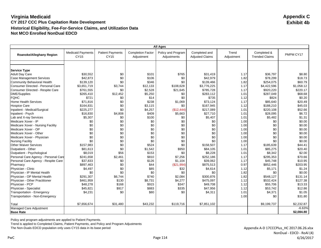|                                      |                                  |                                 |                                        | <b>All Ages</b>                   |                                         |                     |                                      |            |
|--------------------------------------|----------------------------------|---------------------------------|----------------------------------------|-----------------------------------|-----------------------------------------|---------------------|--------------------------------------|------------|
| Roanoke/Alleghany Region             | <b>Medicaid Payments</b><br>CY15 | <b>Patient Payments</b><br>CY15 | <b>Completion Factor</b><br>Adjustment | Policy and Program<br>Adjustments | Completed and<br><b>Adjusted Claims</b> | Trend<br>Adjustment | Completed &<br><b>Trended Claims</b> | PMPM CY17  |
|                                      |                                  |                                 |                                        |                                   |                                         |                     |                                      |            |
| <b>Service Type</b>                  |                                  |                                 |                                        |                                   |                                         |                     |                                      |            |
| <b>Adult Day Care</b>                | \$30.552                         | \$0                             | \$101                                  | \$765                             | \$31,419                                | 1.17                | \$36,797                             | \$8.80     |
| <b>Case Management Services</b>      | \$42.873                         | \$0                             | \$106                                  | \$0                               | \$42,979                                | 1.82                | \$78,299                             | \$18.73    |
| Community Behavioral Health          | \$139,120                        | \$0                             | \$346                                  | \$0                               | \$139,466                               | 1.82                | \$254,075                            | \$60.79    |
| Consumer Directed - Personal Care    | \$3,651,719                      | \$3,744                         | \$12,133                               | \$108.628                         | \$3,776,225                             | 1.17                | \$4,422,596                          | \$1.058.12 |
| Consumer Directed - Respite Care     | \$761,555                        | \$0                             | \$2,528                                | \$21,645                          | \$785,728                               | 1.17                | \$920,220                            | \$220.17   |
| DME/Supplies                         | \$265,410                        | \$12,452                        | \$5,250                                | \$0                               | \$283,112                               | 1.01                | \$287,049                            | \$68.68    |
| <b>FQHC</b>                          | \$721                            | \$0                             | \$14                                   | \$0                               | \$735                                   | 1.12                | \$824                                | \$0.20     |
| <b>Home Health Services</b>          | \$71,816                         | \$0                             | \$238                                  | \$1,069                           | \$73,124                                | 1.17                | \$85,640                             | \$20.49    |
| <b>Hospice Care</b>                  | \$164,831                        | \$0                             | \$3,115                                | \$0                               | \$167,945                               | 1.12                | \$188,210                            | \$45.03    |
| Inpatient - Medical/Surgical         | \$225,277                        | \$0                             | \$4,257                                | (\$12,444)                        | \$217,089                               | 1.01                | \$220,108                            | \$52.66    |
| Inpatient - Psych                    | \$16,830                         | \$4,808                         | \$409                                  | \$5,663                           | \$27,710                                | 1.01                | \$28,095                             | \$6.72     |
| Lab and X-ray Services               | \$5,307                          | \$0                             | \$100                                  | \$0                               | \$5,407                                 | 1.01                | \$5,482                              | \$1.31     |
| Medicare Xover - IP                  | \$0                              | \$0                             | \$0                                    | \$0                               | \$0                                     | 1.00                | \$0                                  | \$0.00     |
| Medicare Xover - Nursing Facility    | \$0                              | \$0                             | \$0                                    | \$0                               | \$0                                     | 1.00                | \$0                                  | \$0.00     |
| Medicare Xover - OP                  | \$0                              | \$0                             | \$0                                    | \$0                               | \$0                                     | 1.00                | \$0                                  | \$0.00     |
| Medicare Xover - Other               | \$0                              | \$0                             | \$0                                    | \$0                               | \$0                                     | 1.00                | \$0                                  | \$0.00     |
| Medicare Xover - Physician           | \$0                              | \$0                             | \$0                                    | \$0                               | \$0                                     | 1.00                | \$0                                  | \$0.00     |
| <b>Nursing Facility</b>              | \$0                              | \$0                             | \$0                                    | \$0                               | \$0                                     | 1.00                | \$0                                  | \$0.00     |
| <b>Other Waiver Services</b>         | \$157,983                        | \$0                             | \$524                                  | \$0                               | \$158,507                               | 1.17                | \$185,639                            | \$44.41    |
| Outpatient - Other                   | \$81,613                         | \$0                             | \$1,542                                | \$950                             | \$84,105                                | 1.01                | \$85,275                             | \$20.40    |
| Outpatient - Psychological           | \$8,019                          | \$56                            | \$153                                  | \$0                               | \$8,228                                 | 1.01                | \$8,342                              | \$2.00     |
| Personal Care Agency - Personal Care | \$241,658                        | \$2,461                         | \$810                                  | \$7,256                           | \$252,186                               | 1.17                | \$295,353                            | \$70.66    |
| Personal Care Agency - Respite Care  | \$37,833                         | \$0                             | \$126                                  | \$1,104                           | \$39,062                                | 1.17                | \$45,748                             | \$10.95    |
| Pharmacy                             | \$897,463                        | \$0                             | \$44                                   | (\$21,994)                        | \$875,513                               | 0.97                | \$852,446                            | \$203.95   |
| Physician - Clinic                   | \$4,497                          | \$0                             | \$85                                   | \$32                              | \$4,614                                 | 1.12                | \$5,171                              | \$1.24     |
| Physician - IP Mental Health         | \$0                              | \$0                             | \$0                                    | \$0                               | \$0                                     | 1.82                | \$0                                  | \$0.00     |
| Physician - OP Mental Health         | \$291,307                        | \$6,744                         | \$740                                  | \$2,084                           | \$300,876                               | 1.82                | \$548,127                            | \$131.14   |
| Physician - Other Practitioner       | \$461,959                        | \$130                           | \$8,731                                | \$4,277                           | \$475,097                               | 1.12                | \$532,424                            | \$127.38   |
| Physician - PCP                      | \$48,278                         | \$168                           | \$915                                  | \$347                             | \$49,708                                | 1.12                | \$55,706                             | \$13.33    |
| Physician - Specialist               | \$45,821                         | \$917                           | \$883                                  | \$335                             | \$47,956                                | 1.12                | \$53,742                             | \$12.86    |
| Transportation - Emergency           | \$4,231                          | \$0                             | \$80                                   | \$0                               | \$4,311                                 | 1.01                | \$4,371                              | \$1.05     |
| Transportation - Non-Emergency       |                                  |                                 |                                        |                                   |                                         | 1.00                | \$0                                  | \$31.80    |
| Total                                | \$7,656,674                      | \$31,480                        | \$43,232                               | \$119,716                         | \$7,851,102                             |                     | \$9,199,737                          | \$2,232.87 |
| Managed Care Adjustment              |                                  |                                 |                                        |                                   |                                         |                     |                                      | $-6.63%$   |
| <b>Base Rate</b>                     |                                  |                                 |                                        |                                   |                                         |                     |                                      | \$2,084.80 |

Policy and program adjustments are applied to Patient Payments.

Trend is applied to Completed Claims, Patient Payments, and Policy and Program Adjustments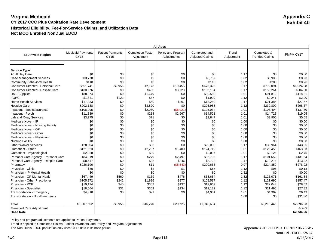|                                                                       | <b>All Ages</b>                  |                                        |                                        |                                   |                                         |                     |                                      |                  |  |
|-----------------------------------------------------------------------|----------------------------------|----------------------------------------|----------------------------------------|-----------------------------------|-----------------------------------------|---------------------|--------------------------------------|------------------|--|
| <b>Southwest Region</b>                                               | <b>Medicaid Payments</b><br>CY15 | <b>Patient Payments</b><br><b>CY15</b> | <b>Completion Factor</b><br>Adjustment | Policy and Program<br>Adjustments | Completed and<br><b>Adjusted Claims</b> | Trend<br>Adjustment | Completed &<br><b>Trended Claims</b> | PMPM CY17        |  |
|                                                                       |                                  |                                        |                                        |                                   |                                         |                     |                                      |                  |  |
|                                                                       |                                  |                                        |                                        |                                   |                                         |                     |                                      |                  |  |
| <b>Service Type</b>                                                   |                                  |                                        |                                        |                                   |                                         |                     |                                      |                  |  |
| <b>Adult Day Care</b>                                                 | \$0<br>\$3,778                   | \$0<br>\$0                             | \$0                                    | \$0<br>\$0                        | \$0                                     | 1.17                | \$0                                  | \$0.00<br>\$8.93 |  |
| <b>Case Management Services</b><br><b>Community Behavioral Health</b> | \$110                            | \$0                                    | \$9<br>\$0                             | \$0                               | \$3,787                                 | 1.82                | \$6,900<br>\$200                     | \$0.26           |  |
|                                                                       |                                  |                                        |                                        |                                   | \$110                                   | 1.82                |                                      |                  |  |
| Consumer Directed - Personal Care                                     | \$651,741                        | \$2,956<br>\$0                         | \$2,173                                | \$19,455                          | \$676,325                               | 1.17                | \$792,091                            | \$1,024.98       |  |
| Consumer Directed - Respite Care                                      | \$130,976                        |                                        | \$435                                  | \$3,723                           | \$135,134                               | 1.17                | \$158,264                            | \$204.80         |  |
| <b>DME/Supplies</b>                                                   | \$88,874                         | \$0                                    | \$1,679                                | \$0                               | \$90.553                                | 1.01                | \$91,812                             | \$118.81         |  |
| <b>FQHC</b>                                                           | \$1,841                          | \$122                                  | \$37                                   | \$0                               | \$1,999                                 | 1.12                | \$2,241                              | \$2.90           |  |
| <b>Home Health Services</b>                                           | \$17,933                         | \$0                                    | \$60                                   | \$267                             | \$18,259                                | 1.17                | \$21,385                             | \$27.67          |  |
| <b>Hospice Care</b>                                                   | \$202,138                        | \$0                                    | \$3,820                                | \$0                               | \$205,958                               | 1.12                | \$230,809                            | \$298.67         |  |
| Inpatient - Medical/Surgical                                          | \$108,995                        | \$0                                    | \$2,060                                | (\$6,021)                         | \$105,034                               | 1.01                | \$106,494                            | \$137.80         |  |
| Inpatient - Psych                                                     | \$11,339                         | \$0                                    | \$214                                  | \$2,967                           | \$14,521                                | 1.01                | \$14,723                             | \$19.05          |  |
| Lab and X-ray Services                                                | \$3,775                          | \$0                                    | \$71                                   | \$0                               | \$3,847                                 | 1.01                | \$3,900                              | \$5.05           |  |
| Medicare Xover - IP                                                   | \$0                              | \$0                                    | \$0                                    | \$0                               | \$0                                     | 1.00                | \$0                                  | \$0.00           |  |
| Medicare Xover - Nursing Facility                                     | \$0                              | \$0                                    | \$0                                    | \$0                               | \$0                                     | 1.00                | \$0                                  | \$0.00           |  |
| Medicare Xover - OP                                                   | \$0                              | \$0                                    | \$0                                    | \$0                               | \$0                                     | 1.00                | \$0                                  | \$0.00           |  |
| Medicare Xover - Other                                                | \$0                              | \$0                                    | \$0                                    | \$0                               | \$0                                     | 1.00                | \$0                                  | \$0.00           |  |
| Medicare Xover - Physician                                            | \$0                              | \$0                                    | \$0                                    | \$0                               | \$0                                     | 1.00                | \$0                                  | \$0.00           |  |
| <b>Nursing Facility</b>                                               | \$0                              | \$0                                    | \$0                                    | \$0                               | \$0                                     | 1.00                | \$0                                  | \$0.00           |  |
| <b>Other Waiver Services</b>                                          | \$28,904                         | \$0                                    | \$96                                   | \$0                               | \$29,000                                | 1.17                | \$33,964                             | \$43.95          |  |
| Outpatient - Other                                                    | \$121,023                        | \$0                                    | \$2,287                                | \$1,409                           | \$124,719                               | 1.01                | \$126,453                            | \$163.63         |  |
| Outpatient - Psychological                                            | \$2,058                          | \$0                                    | \$39                                   | \$0                               | \$2.097                                 | 1.01                | \$2,126                              | \$2.75           |  |
| Personal Care Agency - Personal Care                                  | \$84,019                         | \$0                                    | \$279                                  | \$2,497                           | \$86,795                                | 1.17                | \$101,652                            | \$131.54         |  |
| Personal Care Agency - Respite Care                                   | \$8,447                          | \$0                                    | \$28                                   | \$246                             | \$8,722                                 | 1.17                | \$10,214                             | \$13.22          |  |
| Pharmacy                                                              | \$226,196                        | \$0                                    | \$11                                   | (\$5,543)                         | \$220,663                               | 0.97                | \$214,850                            | \$278.02         |  |
| Physician - Clinic                                                    | \$85                             | \$0                                    | \$2                                    | \$1                               | \$87                                    | 1.12                | \$98                                 | \$0.13           |  |
| Physician - IP Mental Health                                          | \$0                              | \$0                                    | \$0                                    | \$0                               | \$0                                     | 1.82                | \$0                                  | \$0.00           |  |
| Physician - OP Mental Health                                          | \$67,449                         | \$560                                  | \$169                                  | \$476                             | \$68,654                                | 1.82                | \$125,071                            | \$161.84         |  |
| Physician - Other Practitioner                                        | \$105,372                        | \$242                                  | \$1,996                                | \$977                             | \$108,587                               | 1.12                | \$121,690                            | \$157.47         |  |
| Physician - PCP                                                       | \$19,124                         | \$45                                   | \$362                                  | \$137                             | \$19,669                                | 1.12                | \$22,043                             | \$28.52          |  |
| Physician - Specialist                                                | \$18,664                         | \$31                                   | \$353                                  | \$134                             | \$19,182                                | 1.12                | \$21,496                             | \$27.82          |  |
| Transportation - Emergency                                            | \$4,810                          | \$0                                    | \$91                                   | \$0                               | \$4,901                                 | 1.01                | \$4,969                              | \$6.43           |  |
| Transportation - Non-Emergency                                        |                                  |                                        |                                        |                                   |                                         | 1.00                | \$0                                  | \$31.80          |  |
| Total                                                                 | \$1,907,652                      | \$3,956                                | \$16,270                               | \$20,725                          | \$1,948,604                             |                     | \$2,213,445                          | \$2,896.03       |  |
| Managed Care Adjustment                                               |                                  |                                        |                                        |                                   |                                         |                     |                                      | $-5.49%$         |  |
| <b>Base Rate</b>                                                      |                                  |                                        |                                        |                                   |                                         |                     |                                      | \$2,736.95       |  |

Policy and program adjustments are applied to Patient Payments.

Trend is applied to Completed Claims, Patient Payments, and Policy and Program Adjustments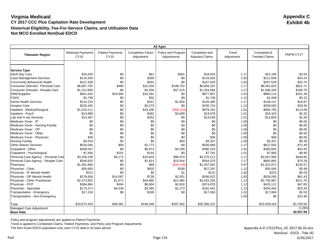|                                                          | <b>All Ages</b>                  |                                        |                                        |                                   |                                         |                     |                                      |                   |
|----------------------------------------------------------|----------------------------------|----------------------------------------|----------------------------------------|-----------------------------------|-----------------------------------------|---------------------|--------------------------------------|-------------------|
| <b>Tidewater Region</b>                                  | <b>Medicaid Payments</b><br>CY15 | <b>Patient Payments</b><br><b>CY15</b> | <b>Completion Factor</b><br>Adjustment | Policy and Program<br>Adjustments | Completed and<br><b>Adjusted Claims</b> | Trend<br>Adjustment | Completed &<br><b>Trended Claims</b> | PMPM CY17         |
|                                                          |                                  |                                        |                                        |                                   |                                         |                     |                                      |                   |
|                                                          |                                  |                                        |                                        |                                   |                                         |                     |                                      |                   |
| <b>Service Type</b>                                      | \$18,420                         |                                        |                                        | \$461                             |                                         |                     | \$22,185                             |                   |
| <b>Adult Day Care</b><br><b>Case Management Services</b> | \$116,540                        | \$0<br>\$0                             | \$61<br>\$289                          |                                   | \$18,943<br>\$116,830                   | 1.17<br>1.82        | \$212,838                            | \$2.53<br>\$24.24 |
|                                                          |                                  | \$0                                    | \$391                                  | \$0<br>\$0                        |                                         |                     |                                      |                   |
| Community Behavioral Health                              | \$157,438                        |                                        |                                        |                                   | \$157.829                               | 1.82                | \$287,529                            | \$32.75           |
| Consumer Directed - Personal Care                        | \$6,687,755                      | \$480                                  | \$22,200                               | \$198,752                         | \$6,909,187                             | 1.17                | \$8,091,823                          | \$921.71          |
| Consumer Directed - Respite Care                         | \$1,312,895                      | \$0                                    | \$4,358                                | \$37,315                          | \$1,354,569                             | 1.17                | \$1,586,428                          | \$180.70          |
| <b>DME/Supplies</b>                                      | \$841,632                        | \$19,994                               | \$16,281                               | \$0                               | \$877,907                               | 1.01                | \$890,113                            | \$101.39          |
| <b>FQHC</b>                                              | \$1,706                          | \$0                                    | \$32                                   | \$0                               | \$1,738                                 | 1.12                | \$1,948                              | \$0.22            |
| <b>Home Health Services</b>                              | \$124,233                        | \$0                                    | \$412                                  | \$1,850                           | \$126,495                               | 1.17                | \$148,147                            | \$16.87           |
| <b>Hospice Care</b>                                      | \$226,445                        | \$0                                    | \$4,279                                | \$0                               | \$230,724                               | 1.12                | \$258,563                            | \$29.45           |
| Inpatient - Medical/Surgical                             | \$1,016,111                      | \$0                                    | \$19,200                               | (\$56,130)                        | \$979,181                               | 1.01                | \$992,795                            | \$113.09          |
| Inpatient - Psych                                        | \$14,898                         | \$0                                    | \$282                                  | \$3,899                           | \$19,078                                | 1.01                | \$19,343                             | \$2.20            |
| Lab and X-ray Services                                   | \$13,387                         | \$0                                    | \$253                                  | \$0                               | \$13,639                                | 1.01                | \$13,829                             | \$1.58            |
| Medicare Xover - IP                                      | \$0                              | \$0                                    | \$0                                    | \$0                               | \$0                                     | 1.00                | \$0                                  | \$0.00            |
| Medicare Xover - Nursing Facility                        | \$0                              | \$0                                    | \$0                                    | \$0                               | \$0                                     | 1.00                | \$0                                  | \$0.00            |
| Medicare Xover - OP                                      | \$0                              | \$0                                    | \$0                                    | \$0                               | \$0                                     | 1.00                | \$0                                  | \$0.00            |
| Medicare Xover - Other                                   | \$0                              | \$0                                    | \$0                                    | \$0                               | \$0                                     | 1.00                | \$0                                  | \$0.00            |
| Medicare Xover - Physician                               | \$36                             | \$0                                    | \$0                                    | \$0                               | \$36                                    | 1.00                | \$36                                 | \$0.00            |
| <b>Nursing Facility</b>                                  | \$3,254                          | \$0                                    | \$0                                    | \$93                              | \$3,347                                 | 1.00                | \$3,347                              | \$0.38            |
| <b>Other Waiver Services</b>                             | \$534,040                        | \$56                                   | \$1,773                                | \$0                               | \$535,868                               | 1.17                | \$627,592                            | \$71.49           |
| Outpatient - Other                                       | \$369,047                        | \$0                                    | \$6,973                                | \$4,295                           | \$380,316                               | 1.01                | \$385,604                            | \$43.92           |
| Outpatient - Psychological                               | \$7,456                          | \$191                                  | \$144                                  | \$0                               | \$7,791                                 | 1.01                | \$7,900                              | \$0.90            |
| Personal Care Agency - Personal Care                     | \$3,256,236                      | \$6,173                                | \$10,829                               | \$96,974                          | \$3,370,211                             | 1.17                | \$3,947,086                          | \$449.60          |
| Personal Care Agency - Respite Care                      | \$546,620                        | \$0                                    | \$1,814                                | \$15,944                          | \$564,379                               | 1.17                | \$660,982                            | \$75.29           |
| Pharmacy                                                 | \$1,391,680                      | \$0                                    | \$68                                   | (\$34,106)                        | \$1,357,642                             | 0.97                | \$1,321,872                          | \$150.57          |
| Physician - Clinic                                       | \$26,605                         | \$0                                    | \$503                                  | \$189                             | \$27,297                                | 1.12                | \$30,590                             | \$3.48            |
| Physician - IP Mental Health                             | \$121                            | \$0                                    | \$0                                    | \$1                               | \$122                                   | 1.82                | \$222                                | \$0.03            |
| Physician - OP Mental Health                             | \$278,656                        | \$14,587                               | \$728                                  | \$2,051                           | \$296,022                               | 1.82                | \$539,285                            | \$61.43           |
| Physician - Other Practitioner                           | \$2,373,852                      | \$1,571                                | \$44,885                               | \$21,984                          | \$2,442,293                             | 1.12                | \$2,736,987                          | \$311.76          |
| Physician - PCP                                          | \$364,864                        | \$494                                  | \$6.904                                | \$2,616                           | \$374,878                               | 1.12                | \$420,112                            | \$47.85           |
| Physician - Specialist                                   | \$173,271                        | \$4,536                                | \$3,360                                | \$1,273                           | \$182,441                               | 1.12                | \$204,454                            | \$23.29           |
| Transportation - Emergency                               | \$17,234                         | \$0                                    | \$326                                  | \$0                               | \$17,560                                | 1.01                | \$17,804                             | \$2.03            |
| Transportation - Non-Emergency                           |                                  |                                        |                                        |                                   |                                         | 1.00                | \$0                                  | \$31.80           |
| Total                                                    | \$19,874,433                     | \$48,081                               | \$146,346                              | \$297,462                         | \$20,366,322                            |                     | \$23,429,416                         | \$2,700.56        |
| Managed Care Adjustment                                  |                                  |                                        |                                        |                                   |                                         |                     |                                      | $-5.28%$          |
| <b>Base Rate</b>                                         |                                  |                                        |                                        |                                   |                                         |                     |                                      | \$2,557.94        |

Policy and program adjustments are applied to Patient Payments.

Trend is applied to Completed Claims, Patient Payments, and Policy and Program Adjustments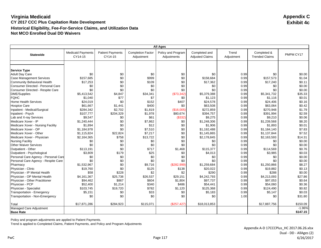|                                              | <b>All Ages</b>                     |                                    |                                        |                                   |                                         |                     |                                      |           |
|----------------------------------------------|-------------------------------------|------------------------------------|----------------------------------------|-----------------------------------|-----------------------------------------|---------------------|--------------------------------------|-----------|
| <b>Statewide</b>                             | <b>Medicaid Payments</b><br>CY14-15 | <b>Patient Payments</b><br>CY14-15 | <b>Completion Factor</b><br>Adjustment | Policy and Program<br>Adjustments | Completed and<br><b>Adjusted Claims</b> | Trend<br>Adjustment | Completed &<br><b>Trended Claims</b> | PMPM CY17 |
|                                              |                                     |                                    |                                        |                                   |                                         |                     |                                      |           |
|                                              |                                     |                                    |                                        |                                   |                                         |                     |                                      |           |
| <b>Service Type</b><br><b>Adult Day Care</b> | \$0                                 | \$0                                | \$0                                    | \$0                               | \$0                                     | 0.99                | \$0                                  | \$0.00    |
| <b>Case Management Services</b>              | \$157,685                           | \$0                                | \$999                                  | \$0                               | \$158,684                               | 0.99                | \$157,573                            | \$1.04    |
| Community Behavioral Health                  | \$17,253                            | \$0                                | \$109                                  | \$0                               | \$17,362                                | 0.99                | \$17,240                             | \$0.11    |
| Consumer Directed - Personal Care            | \$0                                 | \$0                                | \$0                                    | \$0                               | \$0                                     | 0.99                | \$0                                  | \$0.00    |
| Consumer Directed - Respite Care             | \$0                                 | \$0                                | \$0                                    | \$0                               | \$0                                     | 0.99                | \$0                                  | \$0.00    |
| DME/Supplies                                 | \$5,413,542                         | \$4,847                            | \$34,341                               | (\$73,342)                        | \$5,379,388                             | 0.99                | \$5,341,732                          | \$35.33   |
| <b>FQHC</b>                                  | \$1,040                             | \$77                               | \$7                                    | \$0                               | \$1,123                                 | 0.99                | \$1,116                              | \$0.01    |
| <b>Home Health Services</b>                  | \$24,019                            | \$0                                | \$152                                  | \$407                             | \$24,578                                | 0.99                | \$24,406                             | \$0.16    |
| <b>Hospice Care</b>                          | \$61,667                            | \$1,441                            | \$400                                  | \$0                               | \$63,508                                | 0.99                | \$63,064                             | \$0.42    |
| Inpatient - Medical/Surgical                 | \$284,342                           | \$2,702                            | \$1,819                                | (\$16,005)                        | \$272,859                               | 0.99                | \$270,948                            | \$1.79    |
| Inpatient - Psych                            | \$107,777                           | \$204,329                          | \$1,978                                | \$80,674                          | \$394,757                               | 0.99                | \$391,994                            | \$2.59    |
| Lab and X-ray Services                       | \$9,547                             | \$0                                | \$61                                   | (\$332)                           | \$9,275                                 | 0.99                | \$9,210                              | \$0.06    |
| Medicare Xover - IP                          | \$1.240.444                         | \$0                                | \$7,862                                | \$0                               | \$1,248,306                             | 0.99                | \$1,239,568                          | \$8.20    |
| Medicare Xover - Nursing Facility            | \$1,894                             | \$0                                | \$12                                   | \$0                               | \$1,906                                 | 0.99                | \$1,893                              | \$0.01    |
| Medicare Xover - OP                          | \$1,184,978                         | \$0                                | \$7,510                                | \$0                               | \$1,192,488                             | 0.99                | \$1,184,140                          | \$7.83    |
| Medicare Xover - Other                       | \$1,115,824                         | \$22,824                           | \$7,217                                | \$0                               | \$1,145,865                             | 0.99                | \$1,137,844                          | \$7.52    |
| Medicare Xover - Physician                   | \$2,164,365                         | \$758                              | \$13,722                               | \$0                               | \$2,178,845                             | 0.99                | \$2,163,593                          | \$14.31   |
| <b>Nursing Facility</b>                      | \$0                                 | \$0                                | \$0                                    | \$0                               | \$0                                     | 0.99                | \$0                                  | \$0.00    |
| <b>Other Waiver Services</b>                 | \$0                                 | \$0                                | \$0                                    | \$0                               | \$0                                     | 0.99                | \$0                                  | \$0.00    |
| Outpatient - Other                           | \$113,191                           | \$0                                | \$717                                  | \$1,468                           | \$115,377                               | 0.99                | \$114,569                            | \$0.76    |
| Outpatient - Psychological                   | \$3,809                             | \$179                              | \$25                                   | \$0                               | \$4,013                                 | 0.99                | \$3,985                              | \$0.03    |
| Personal Care Agency - Personal Care         | \$0                                 | \$0                                | \$0                                    | \$0                               | \$0                                     | 0.99                | \$0                                  | \$0.00    |
| Personal Care Agency - Respite Care          | \$0                                 | \$0                                | \$0                                    | \$0                               | \$0                                     | 0.99                | \$0                                  | \$0.00    |
| Pharmacy                                     | \$1,532,967                         | \$0                                | \$9,716                                | (\$282,999)                       | \$1,259,684                             | 0.99                | \$1,250,866                          | \$8.27    |
| Physician - Clinic                           | \$19,760                            | \$0                                | \$125                                  | \$138                             | \$20,022                                | 0.99                | \$19,882                             | \$0.13    |
| Physician - IP Mental Health                 | \$58                                | \$228                              | \$2                                    | \$2                               | \$290                                   | 0.99                | \$288                                | \$0.00    |
| Physician - OP Mental Health                 | \$4,161,367                         | \$25,738                           | \$26,537                               | \$29,151                          | \$4,242,793                             | 0.99                | \$4,213,093                          | \$27.86   |
| Physician - Other Practitioner               | \$94,462                            | \$867                              | \$604                                  | \$1,804                           | \$97,737                                | 0.99                | \$97,053                             | \$0.64    |
| Physician - PCP                              | \$52,400                            | \$1,214                            | \$340                                  | \$486                             | \$54,441                                | 0.99                | \$54,060                             | \$0.36    |
| Physician - Specialist                       | \$103,745                           | \$19,720                           | \$782                                  | \$1,120                           | \$125,368                               | 0.99                | \$124,490                            | \$0.82    |
| Transportation - Emergency                   | \$5,151                             | \$0                                | \$33                                   | \$0                               | \$5,183                                 | 0.99                | \$5,147                              | \$0.03    |
| Transportation - Non-Emergency               | \$0                                 | \$0                                | \$0                                    | \$0                               | \$0                                     | 1.00                | \$0                                  | \$31.80   |
| Total                                        | \$17,871,286                        | \$284,923                          | \$115,071                              | (\$257,427)                       | \$18,013,853                            |                     | \$17,887,756                         | \$150.09  |
| Managed Care Adjustment                      |                                     |                                    |                                        |                                   |                                         |                     |                                      | $-1.96%$  |
| <b>Base Rate</b>                             |                                     |                                    |                                        |                                   |                                         |                     |                                      | \$147.15  |

Policy and program adjustments are applied to Patient Payments.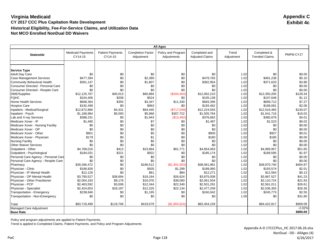|                                      | <b>All Ages</b>                     |                                    |                                        |                                   |                                         |                     |                                      |           |
|--------------------------------------|-------------------------------------|------------------------------------|----------------------------------------|-----------------------------------|-----------------------------------------|---------------------|--------------------------------------|-----------|
| <b>Statewide</b>                     | <b>Medicaid Payments</b><br>CY14-15 | <b>Patient Payments</b><br>CY14-15 | <b>Completion Factor</b><br>Adjustment | Policy and Program<br>Adjustments | Completed and<br><b>Adjusted Claims</b> | Trend<br>Adjustment | Completed &<br><b>Trended Claims</b> | PMPM CY17 |
|                                      |                                     |                                    |                                        |                                   |                                         |                     |                                      |           |
|                                      |                                     |                                    |                                        |                                   |                                         |                     |                                      |           |
| <b>Service Type</b>                  |                                     |                                    |                                        |                                   |                                         |                     |                                      |           |
| <b>Adult Day Care</b>                | \$0                                 | \$0                                | \$0                                    | \$0                               | \$0                                     | 1.02                | \$0                                  | \$0.00    |
| <b>Case Management Services</b>      | \$477,394                           | \$0                                | \$2,389                                | \$0                               | \$479,783                               | 1.02                | \$491,238                            | \$5.10    |
| <b>Community Behavioral Health</b>   | \$361,147                           | \$0                                | \$1,807                                | \$0                               | \$362,954                               | 1.02                | \$371,620                            | \$3.86    |
| Consumer Directed - Personal Care    | \$0                                 | \$0                                | \$0                                    | \$0                               | \$0                                     | 1.02                | \$0                                  | \$0.00    |
| Consumer Directed - Respite Care     | \$0                                 | \$0                                | \$0                                    | \$0                               | \$0                                     | 1.02                | \$0                                  | \$0.00    |
| <b>DME/Supplies</b>                  | \$12,125,767                        | \$40,013                           | \$60,884                               | (\$164, 454)                      | \$12,062,210                            | 1.02                | \$12,350,205                         | \$128.34  |
| <b>FQHC</b>                          | \$104,406                           | \$208                              | \$524                                  | \$0                               | \$105,138                               | 1.02                | \$107,648                            | \$1.12    |
| <b>Home Health Services</b>          | \$668,364                           | \$355                              | \$3,347                                | \$11,330                          | \$683,396                               | 1.02                | \$699,712                            | \$7.27    |
| <b>Hospice Care</b>                  | \$192,499                           | \$0                                | \$963                                  | \$0                               | \$193,462                               | 1.02                | \$198,081                            | \$2.06    |
| Inpatient - Medical/Surgical         | \$12,872,866                        | \$4,331                            | \$64,445                               | (\$717,049)                       | \$12,224,593                            | 1.02                | \$12,516,465                         | \$130.07  |
| Inpatient - Psych                    | \$1,186,984                         | \$5,093                            | \$5.966                                | \$307,722                         | \$1,505,764                             | 1.02                | \$1,541,716                          | \$16.02   |
| Lab and X-ray Services               | \$388,231                           | \$0                                | \$1,943                                | (\$13,492)                        | \$376,682                               | 1.02                | \$385,676                            | \$4.01    |
| Medicare Xover - IP                  | \$1,480                             | \$0                                | \$7                                    | \$0                               | \$1,487                                 | 1.02                | \$1,523                              | \$0.02    |
| Medicare Xover - Nursing Facility    | \$0                                 | \$0                                | \$0                                    | \$0                               | \$0                                     | 1.02                | \$0                                  | \$0.00    |
| Medicare Xover - OP                  | \$0                                 | \$0                                | \$0                                    | \$0                               | \$0                                     | 1.02                | \$0                                  | \$0.00    |
| Medicare Xover - Other               | \$901                               | \$0                                | \$5                                    | \$0                               | \$905                                   | 1.02                | \$927                                | \$0.01    |
| Medicare Xover - Physician           | \$179                               | \$0                                | \$1                                    | \$0                               | \$180                                   | 1.02                | \$185                                | \$0.00    |
| <b>Nursing Facility</b>              | \$0                                 | \$0                                | \$0                                    | \$0                               | \$0                                     | 1.02                | \$0                                  | \$0.00    |
| <b>Other Waiver Services</b>         | \$0                                 | \$0                                | \$0                                    | \$0                               | \$0                                     | 1.02                | \$0                                  | \$0.00    |
| Outpatient - Other                   | \$4,768,016                         | \$412                              | \$23,864                               | \$61,771                          | \$4,854,063                             | 1.02                | \$4,969,957                          | \$51.65   |
| Outpatient - Psychological           | \$184,031                           | \$221                              | \$922                                  | \$0                               | \$185,174                               | 1.02                | \$189,595                            | \$1.97    |
| Personal Care Agency - Personal Care | \$0                                 | \$0                                | \$0                                    | \$0                               | \$0                                     | 1.02                | \$0                                  | \$0.00    |
| Personal Care Agency - Respite Care  | \$0                                 | \$0                                | \$0                                    | \$0                               | \$0                                     | 1.02                | \$0                                  | \$0.00    |
| Pharmacy                             | \$39,266,472                        | \$0                                | \$196,512                              | (S1, 401, 003)                    | \$38,061,981                            | 1.02                | \$38,970,740                         | \$404.97  |
| Physician - Clinic                   | \$186,826                           | \$0                                | \$935                                  | \$1,299                           | \$189,060                               | 1.02                | \$193,574                            | \$2.01    |
| Physician - IP Mental Health         | \$12,126                            | \$0                                | \$61                                   | \$84                              | \$12,271                                | 1.02                | \$12,564                             | \$0.13    |
| Physician - OP Mental Health         | \$3,790,527                         | \$38,694                           | \$19,164                               | \$26,624                          | \$3,875,008                             | 1.02                | \$3,967,527                          | \$41.23   |
| Physician - Other Practitioner       | \$2,004,193                         | \$9,176                            | \$10,076                               | \$38,060                          | \$2,061,504                             | 1.02                | \$2,110,724                          | \$21.93   |
| Physician - PCP                      | \$2,463,592                         | \$3,006                            | \$12,344                               | \$22,349                          | \$2,501,291                             | 1.02                | \$2,561,011                          | \$26.61   |
| Physician - Specialist               | \$2,424,653                         | \$18,197                           | \$12,225                               | \$22,134                          | \$2,477,209                             | 1.02                | \$2,536,355                          | \$26.36   |
| Transportation - Emergency           | \$238,846                           | \$0                                | \$1,195                                | \$0                               | \$240,042                               | 1.02                | \$245,773                            | \$2.55    |
| Transportation - Non-Emergency       | \$0                                 | \$0                                | \$0                                    | \$0                               | \$0                                     | 1.00                | \$0                                  | \$31.80   |
| Total                                | \$83,719,499                        | \$119,706                          | \$419,579                              | (\$1,804,624)                     | \$82,454,159                            |                     | \$84,422,817                         | \$909.09  |
| Managed Care Adjustment              |                                     |                                    |                                        |                                   |                                         |                     |                                      | $-2.02%$  |
| <b>Base Rate</b>                     |                                     |                                    |                                        |                                   |                                         |                     |                                      | \$890.69  |

Policy and program adjustments are applied to Patient Payments.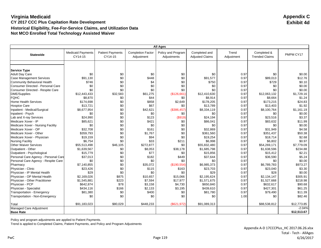|                                          | <b>All Ages</b>                     |                                    |                                        |                                   |                                         |                     |                                      |             |  |
|------------------------------------------|-------------------------------------|------------------------------------|----------------------------------------|-----------------------------------|-----------------------------------------|---------------------|--------------------------------------|-------------|--|
| <b>Statewide</b>                         | <b>Medicaid Payments</b><br>CY14-15 | <b>Patient Payments</b><br>CY14-15 | <b>Completion Factor</b><br>Adjustment | Policy and Program<br>Adjustments | Completed and<br><b>Adjusted Claims</b> | Trend<br>Adjustment | Completed &<br><b>Trended Claims</b> | PMPM CY17   |  |
|                                          |                                     |                                    |                                        |                                   |                                         |                     |                                      |             |  |
|                                          |                                     |                                    |                                        |                                   |                                         |                     |                                      |             |  |
| <b>Service Type</b>                      |                                     |                                    |                                        |                                   |                                         |                     |                                      |             |  |
| <b>Adult Day Care</b>                    | \$0                                 | \$0                                | \$0                                    | \$0                               | \$0                                     | 0.97                | \$0                                  | \$0.00      |  |
| <b>Case Management Services</b>          | \$91.130                            | \$0                                | \$448                                  | \$0                               | \$91,577                                | 0.97                | \$89,013                             | \$12.76     |  |
| Community Behavioral Health              | \$746                               | \$0                                | \$4                                    | \$0                               | \$750                                   | 0.97                | \$729                                | \$0.10      |  |
| <b>Consumer Directed - Personal Care</b> | \$0                                 | \$0                                | \$0                                    | \$0                               | \$0                                     | 0.97                | \$0                                  | \$0.00      |  |
| Consumer Directed - Respite Care         | \$0                                 | \$0                                | \$0                                    | \$0                               | \$0                                     | 0.97                | \$0                                  | \$0.00      |  |
| <b>DME/Supplies</b>                      | \$12,443,433                        | \$32,583                           | \$61,275                               | (\$126,661)                       | \$12,410,630                            | 0.97                | \$12,063,132                         | \$1,729.16  |  |
| <b>FQHC</b>                              | \$8,870                             | \$0                                | \$44                                   | \$0                               | \$8,914                                 | 0.97                | \$8,664                              | \$1.24      |  |
| <b>Home Health Services</b>              | \$174,698                           | \$0                                | \$858                                  | \$2,649                           | \$178,205                               | 0.97                | \$173,215                            | \$24.83     |  |
| <b>Hospice Care</b>                      | \$13,721                            | \$0                                | \$67                                   | \$0                               | \$13,789                                | 0.97                | \$13,403                             | \$1.92      |  |
| Inpatient - Medical/Surgical             | \$8,677,954                         | \$0                                | \$42,621                               | (\$386,457)                       | \$8,334,119                             | 0.97                | \$8,100,764                          | \$1.161.19  |  |
| Inpatient - Psych                        | \$0                                 | \$0                                | \$0                                    | \$0                               | \$0                                     | 0.97                | \$0                                  | \$0.00      |  |
| Lab and X-ray Services                   | \$24,990                            | \$0                                | \$123                                  | (\$919)                           | \$24,194                                | 0.97                | \$23,516                             | \$3.37      |  |
| Medicare Xover - IP                      | \$85,621                            | \$0                                | \$421                                  | \$0                               | \$86,041                                | 0.97                | \$83,632                             | \$11.99     |  |
| Medicare Xover - Nursing Facility        | \$0                                 | \$0                                | \$0                                    | \$0                               | \$0                                     | 0.97                | \$0                                  | \$0.00      |  |
| Medicare Xover - OP                      | \$32,708                            | \$0                                | \$161                                  | \$0                               | \$32,869                                | 0.97                | \$31,949                             | \$4.58      |  |
| Medicare Xover - Other                   | \$359,793                           | \$0                                | \$1,767                                | \$0                               | \$361,560                               | 0.97                | \$351,437                            | \$50.38     |  |
| Medicare Xover - Physician               | \$19,159                            | \$0                                | \$94                                   | \$0                               | \$19,254                                | 0.97                | \$18,714                             | \$2.68      |  |
| <b>Nursing Facility</b>                  | \$6,754                             | \$0                                | \$33                                   | \$211                             | \$6.998                                 | 0.97                | \$6,802                              | \$0.97      |  |
| <b>Other Waiver Services</b>             | \$55,513,498                        | \$46,105                           | \$272.877                              | \$0                               | \$55,832,480                            | 0.97                | \$54,269,171                         | \$7,779.09  |  |
| Outpatient - Other                       | \$1,639,567                         | \$0                                | \$8,053                                | \$38,178                          | \$1,685,798                             | 0.97                | \$1,638,596                          | \$234.88    |  |
| Outpatient - Psychological               | \$15,779                            | \$0                                | \$77                                   | \$0                               | \$15,856                                | 0.97                | \$15,412                             | \$2.21      |  |
| Personal Care Agency - Personal Care     | \$37,013                            | \$0                                | \$182                                  | \$449                             | \$37,644                                | 0.97                | \$36,590                             | \$5.24      |  |
| Personal Care Agency - Respite Care      | \$0                                 | \$0                                | \$0                                    | \$0                               | \$0                                     | 0.97                | \$0                                  | \$0.00      |  |
| Pharmacy                                 | \$7,140,855                         | \$0                                | \$35,072                               | (\$190,554)                       | \$6,985,373                             | 0.97                | \$6,789,783                          | \$973.27    |  |
| Physician - Clinic                       | \$23,426                            | \$0                                | \$115                                  | \$163                             | \$23,703                                | 0.97                | \$23,040                             | \$3.30      |  |
| Physician - IP Mental Health             | \$29                                | \$0                                | \$0                                    | \$0                               | \$29                                    | 0.97                | \$28                                 | \$0.00      |  |
| Physician - OP Mental Health             | \$2,169,026                         | \$875                              | \$10,657                               | \$15,066                          | \$2.195.624                             | 0.97                | \$2,134,147                          | \$305.91    |  |
| Physician - Other Practitioner           | \$1,545,881                         | \$223                              | \$7,594                                | \$17,977                          | \$1,571,675                             | 0.97                | \$1,527,668                          | \$218.98    |  |
| Physician - PCP                          | \$642,874                           | \$78                               | \$3,158                                | \$4,730                           | \$650,840                               | 0.97                | \$632,617                            | \$90.68     |  |
| Physician - Specialist                   | \$434,116                           | \$166                              | \$2,133                                | \$3,195                           | \$439,610                               | 0.97                | \$427,301                            | \$61.25     |  |
| Transportation - Emergency               | \$81,380                            | \$0                                | \$400                                  | \$0                               | \$81,780                                | 0.97                | \$79,490                             | \$11.39     |  |
| Transportation - Non-Emergency           | \$0                                 | \$0                                | \$0                                    | \$0                               | \$0                                     | 1.00                | \$0                                  | \$82.46     |  |
| Total                                    | \$91,183,023                        | \$80,029                           | \$448,233                              | (\$621,972)                       | \$91,089,313                            |                     | \$88,538,812                         | \$12,773.85 |  |
| Managed Care Adjustment                  |                                     |                                    |                                        |                                   |                                         |                     |                                      | $-2.04%$    |  |
| <b>Base Rate</b>                         |                                     |                                    |                                        |                                   |                                         |                     |                                      | \$12,513.67 |  |

Policy and program adjustments are applied to Patient Payments.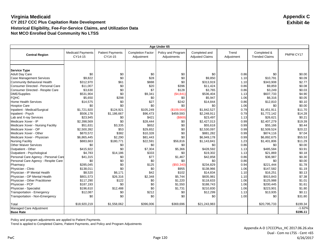|                                      | Age Under 65                        |                                    |                                        |                                   |                                         |                     |                                      |                  |
|--------------------------------------|-------------------------------------|------------------------------------|----------------------------------------|-----------------------------------|-----------------------------------------|---------------------|--------------------------------------|------------------|
| <b>Central Region</b>                | <b>Medicaid Payments</b><br>CY14-15 | <b>Patient Payments</b><br>CY14-15 | <b>Completion Factor</b><br>Adjustment | Policy and Program<br>Adjustments | Completed and<br><b>Adjusted Claims</b> | Trend<br>Adjustment | Completed &<br><b>Trended Claims</b> | PMPM CY17        |
|                                      |                                     |                                    |                                        |                                   |                                         |                     |                                      |                  |
|                                      |                                     |                                    |                                        |                                   |                                         |                     |                                      |                  |
| <b>Service Type</b>                  |                                     |                                    |                                        |                                   |                                         |                     |                                      |                  |
| <b>Adult Day Care</b>                | \$0<br>\$9,822                      | \$0<br>\$0                         | \$0<br>\$28                            | \$0<br>\$0                        | \$0                                     | 0.86                | \$0<br>\$10,791                      | \$0.00<br>\$0.09 |
| <b>Case Management Services</b>      |                                     |                                    |                                        |                                   | \$9,850                                 | 1.10                |                                      |                  |
| <b>Community Behavioral Health</b>   | \$312,970                           | \$61                               | \$888                                  | \$0                               | \$313,919                               | 1.10                | \$343,908                            | \$2.77           |
| Consumer Directed - Personal Care    | \$11,007                            | \$0                                | \$20                                   | \$396                             | \$11,424                                | 0.86                | \$9,859                              | \$0.08           |
| Consumer Directed - Respite Care     | \$3,630                             | \$0                                | \$7                                    | \$128                             | \$3,765                                 | 0.86                | \$3,249                              | \$0.03           |
| DME/Supplies                         | \$531,904                           | \$0                                | \$9,341                                | (\$4,841)                         | \$536.404                               | 1.13                | \$607,733                            | \$4.90           |
| <b>FQHC</b>                          | \$5,650                             | \$298                              | \$0                                    | \$0                               | \$5,947                                 | 1.06                | \$6,316                              | \$0.05           |
| <b>Home Health Services</b>          | \$14,575                            | \$0                                | \$27                                   | \$242                             | \$14,844                                | 0.86                | \$12,810                             | \$0.10           |
| <b>Hospice Care</b>                  | \$0                                 | \$0                                | \$0                                    | \$0                               | \$0                                     | 1.06                | \$0                                  | \$0.00           |
| Inpatient - Medical/Surgical         | \$1,721,920                         | \$124,921                          | \$105,249                              | (\$109,564)                       | \$1,842,527                             | 0.79                | \$1,451,911                          | \$11.70          |
| Inpatient - Psych                    | \$506,178                           | \$1,186,667                        | \$96,473                               | \$459,593                         | \$2,248,911                             | 0.79                | \$1,772,142                          | \$14.28          |
| Lab and X-ray Services               | \$23,945                            | \$0                                | \$421                                  | ( \$869)                          | \$23,497                                | 1.13                | \$26,621                             | \$0.21           |
| Medicare Xover - IP                  | \$2,398,569                         | \$0                                | \$28,444                               | \$0                               | \$2,427,013                             | 0.99                | \$2,407,279                          | \$19.39          |
| Medicare Xover - Nursing Facility    | \$51,631                            | \$3,335                            | \$652                                  | \$0                               | \$55,618                                | 0.99                | \$55,166                             | \$0.44           |
| Medicare Xover - OP                  | \$2,500,392                         | \$53                               | \$29.652                               | \$0                               | \$2,530.097                             | 0.99                | \$2,509,524                          | \$20.22          |
| Medicare Xover - Other               | \$870,572                           | \$382                              | \$10,328                               | \$0                               | \$881,282                               | 0.99                | \$874,116                            | \$7.04           |
| Medicare Xover - Physician           | \$6,865,445                         | \$2,290                            | \$81,443                               | \$0                               | \$6,949,178                             | 0.99                | \$6,892,675                          | \$55.53          |
| <b>Nursing Facility</b>              | \$883,663                           | \$180,771                          | \$22,591                               | \$56,816                          | \$1,143,841                             | 1.23                | \$1,401,806                          | \$11.29          |
| <b>Other Waiver Services</b>         | \$0                                 | \$0                                | \$0                                    | \$0                               | \$0                                     | 0.86                | \$0                                  | \$0.00           |
| Outpatient - Other                   | \$415,922                           | \$0                                | \$7,304                                | \$5,366                           | \$428,592                               | 1.13                | \$485,584                            | \$3.91           |
| Outpatient - Psychological           | \$4,783                             | \$14,186                           | \$333                                  | \$0                               | \$19,302                                | 1.13                | \$21,869                             | \$0.18           |
| Personal Care Agency - Personal Care | \$41,315                            | \$0                                | \$77                                   | \$1,467                           | \$42,858                                | 0.86                | \$36,987                             | \$0.30           |
| Personal Care Agency - Respite Care  | \$0                                 | \$0                                | \$0                                    | \$0                               | \$0                                     | 0.86                | \$0                                  | \$0.00           |
| Pharmacy                             | \$285,045                           | \$0                                | \$125                                  | (\$50,340)                        | \$234,829                               | 0.94                | \$221,444                            | \$1.78           |
| Physician - Clinic                   | \$138,011                           | \$0                                | \$0                                    | \$955                             | \$138,966                               | 1.06                | \$147,582                            | \$1.19           |
| Physician - IP Mental Health         | \$8,520                             | \$6,171                            | \$42                                   | \$102                             | \$14,834                                | 1.10                | \$16,251                             | \$0.13           |
| Physician - OP Mental Health         | \$801,573                           | \$26,316                           | \$2,348                                | \$5,744                           | \$835,981                               | 1.10                | \$915,843                            | \$7.38           |
| Physician - Other Practitioner       | \$117,290                           | \$122                              | \$0                                    | \$1,220                           | \$118,633                               | 1.06                | \$125,988                            | \$1.01           |
| Physician - PCP                      | \$187,193                           | \$0                                | \$0                                    | \$1,550                           | \$188,743                               | 1.06                | \$200,445                            | \$1.61           |
| Physician - Specialist               | \$196,610                           | \$12,488                           | \$0                                    | \$1,731                           | \$210,830                               | 1.06                | \$223,901                            | \$1.80           |
| Transportation - Emergency           | \$12,087                            | \$0                                | \$212                                  | \$0                               | \$12,299                                | 1.13                | \$13,935                             | \$0.11           |
| Transportation - Non-Emergency       | \$0                                 | \$0                                | \$0                                    | \$0                               | \$0                                     | 1.00                | \$0                                  | \$31.80          |
| Total                                | \$18,920,219                        | \$1,558,062                        | \$396,006                              | \$369,696                         | \$21,243,983                            |                     | \$20,795,733                         | \$199.34         |
| Managed Care Adjustment              |                                     |                                    |                                        |                                   |                                         |                     |                                      | $-1.62%$         |
| <b>Base Rate</b>                     |                                     |                                    |                                        |                                   |                                         |                     |                                      | \$196.11         |

Policy and program adjustments are applied to Patient Payments.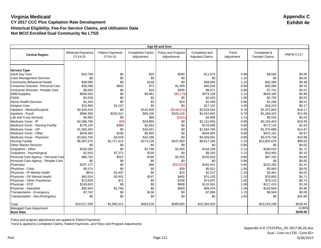|                                              | Age 65 and Over                     |                                    |                                        |                                   |                                         |                     |                                      |           |
|----------------------------------------------|-------------------------------------|------------------------------------|----------------------------------------|-----------------------------------|-----------------------------------------|---------------------|--------------------------------------|-----------|
| <b>Central Region</b>                        | <b>Medicaid Payments</b><br>CY14-15 | <b>Patient Payments</b><br>CY14-15 | <b>Completion Factor</b><br>Adjustment | Policy and Program<br>Adjustments | Completed and<br><b>Adjusted Claims</b> | Trend<br>Adjustment | Completed &<br><b>Trended Claims</b> | PMPM CY17 |
|                                              |                                     |                                    |                                        |                                   |                                         |                     |                                      |           |
|                                              |                                     |                                    |                                        |                                   |                                         |                     |                                      |           |
| <b>Service Type</b><br><b>Adult Day Care</b> | \$10,788                            | \$0                                | \$20                                   | \$265                             | \$11,073                                | 0.86                | \$9,556                              | \$0.09    |
| <b>Case Management Services</b>              | \$0                                 | \$0                                | \$0                                    | \$0                               | \$0                                     | 1.10                | \$0                                  | \$0.00    |
| Community Behavioral Health                  | \$38,580                            | \$0                                | \$109                                  | \$0                               | \$38,690                                | 1.10                | \$42,386                             | \$0.39    |
| Consumer Directed - Personal Care            | \$38,298                            | \$855                              | \$73                                   | \$1,409                           | \$40.635                                | 0.86                | \$35,068                             | \$0.32    |
| Consumer Directed - Respite Care             | \$8,650                             | \$0                                | \$16                                   | \$305                             | \$8,971                                 | 0.86                | \$7,742                              | \$0.07    |
| DME/Supplies                                 | \$568,320                           | \$0                                | \$9,981                                | ( \$5,173)                        | \$573,128                               | 1.13                | \$649,340                            | \$5.98    |
| <b>FQHC</b>                                  | \$2,629                             | \$0                                | \$0                                    | \$0                               | \$2,629                                 | 1.06                | \$2,792                              | \$0.03    |
| <b>Home Health Services</b>                  | \$1,463                             | \$0                                | \$3                                    | \$24                              | \$1,490                                 | 0.86                | \$1,286                              | \$0.01    |
| <b>Hospice Care</b>                          | \$15,985                            | \$1,167                            | \$0                                    | \$0                               | \$17,152                                | 1.06                | \$18,215                             | \$0.17    |
| Inpatient - Medical/Surgical                 | \$2,509,416                         | \$0                                | \$143,009                              | (\$148,871)                       | \$2,503,554                             | 0.79                | \$1,972,800                          | \$18.17   |
| Inpatient - Psych                            | \$986,308                           | \$226,312                          | \$69,106                               | \$329,216                         | \$1,610,942                             | 0.79                | \$1,269,422                          | \$11.69   |
| Lab and X-ray Services                       | \$4,992                             | \$0                                | \$88                                   | (S181)                            | \$4,899                                 | 1.13                | \$5,550                              | \$0.05    |
| Medicare Xover - IP                          | \$2.096.789                         | (SO)                               | \$24,865                               | \$0                               | \$2,121,655                             | 0.99                | \$2,104,403                          | \$19.39   |
| Medicare Xover - Nursing Facility            | \$176,135                           | \$368                              | \$2,093                                | \$0                               | \$178,596                               | 0.99                | \$177,144                            | \$1.63    |
| Medicare Xover - OP                          | \$1,565,204                         | \$0                                | \$18,561                               | \$0                               | \$1,583,766                             | 0.99                | \$1,570,888                          | \$14.47   |
| Medicare Xover - Other                       | \$429,405                           | \$195                              | \$5,095                                | \$0                               | \$434,695                               | 0.99                | \$431,161                            | \$3.97    |
| Medicare Xover - Physician                   | \$3,562,766                         | \$4,028                            | \$42,298                               | \$0                               | \$3,609,091                             | 0.99                | \$3,579,746                          | \$32.98   |
| <b>Nursing Facility</b>                      | \$6,487,670                         | \$1,717,414                        | \$174,139                              | \$437,963                         | \$8,817,186                             | 1.23                | \$10,805,679                         | \$99.55   |
| <b>Other Waiver Services</b>                 | \$0                                 | \$0                                | \$0                                    | \$0                               | \$0                                     | 0.86                | \$0                                  | \$0.00    |
| Outpatient - Other                           | \$159,345                           | \$0                                | \$2,798                                | \$2,056                           | \$164,199                               | 1.13                | \$186,033                            | \$1.71    |
| Outpatient - Psychological                   | \$1,654                             | \$7,371                            | \$158                                  | \$0                               | \$9,183                                 | 1.13                | \$10,405                             | \$0.10    |
| Personal Care Agency - Personal Care         | \$96,740                            | \$557                              | \$180                                  | \$3,455                           | \$100,933                               | 0.86                | \$87,105                             | \$0.80    |
| Personal Care Agency - Respite Care          | \$0                                 | \$0                                | \$0                                    | \$0                               | \$0                                     | 0.86                | \$0                                  | \$0.00    |
| Pharmacy                                     | \$197,177                           | \$0                                | \$86                                   | (\$34,822)                        | \$162,441                               | 0.94                | \$153,182                            | \$1.41    |
| Physician - Clinic                           | \$5,574                             | \$0                                | \$0                                    | \$39                              | \$5,612                                 | 1.06                | \$5,960                              | \$0.05    |
| Physician - IP Mental Health                 | \$818                               | \$1,407                            | \$6                                    | \$15                              | \$2,247                                 | 1.10                | \$2,461                              | \$0.02    |
| Physician - OP Mental Health                 | \$65,524                            | \$3,901                            | \$197                                  | \$482                             | \$70,103                                | 1.10                | \$76,800                             | \$0.71    |
| Physician - Other Practitioner               | \$73,659                            | \$72                               | \$0                                    | \$766                             | \$74,497                                | 1.06                | \$79,115                             | \$0.73    |
| Physician - PCP                              | \$109,653                           | \$0                                | \$0                                    | \$908                             | \$110,561                               | 1.06                | \$117,415                            | \$1.08    |
| Physician - Specialist                       | \$95,904                            | \$1,766                            | \$0                                    | \$809                             | \$98,478                                | 1.06                | \$104,584                            | \$0.96    |
| Transportation - Emergency                   | \$7,762                             | \$0                                | \$136                                  | \$0                               | \$7,898                                 | 1.13                | \$8,949                              | \$0.08    |
| Transportation - Non-Emergency               | \$0                                 | \$0                                | \$0                                    | \$0                               | \$0                                     | 1.00                | \$0                                  | \$31.80   |
|                                              |                                     |                                    |                                        |                                   |                                         |                     |                                      |           |
| Total                                        | \$19,317,208                        | \$1,965,411                        | \$493,018                              | \$588,665                         | \$22,364,303                            |                     | \$23,515,189                         | \$248.44  |
| Managed Care Adjustment                      |                                     |                                    |                                        |                                   |                                         |                     |                                      | $-0.96%$  |
| <b>Base Rate</b>                             |                                     |                                    |                                        |                                   |                                         |                     |                                      | \$246.06  |

Policy and program adjustments are applied to Patient Payments.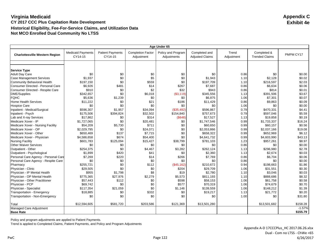| Age Under 65                                                   |                                     |                                    |                                        |                                   |                                         |                     |                                      |                  |
|----------------------------------------------------------------|-------------------------------------|------------------------------------|----------------------------------------|-----------------------------------|-----------------------------------------|---------------------|--------------------------------------|------------------|
| <b>Charlottesville Western Region</b>                          | <b>Medicaid Payments</b><br>CY14-15 | <b>Patient Payments</b><br>CY14-15 | <b>Completion Factor</b><br>Adjustment | Policy and Program<br>Adjustments | Completed and<br><b>Adjusted Claims</b> | Trend<br>Adjustment | Completed &<br><b>Trended Claims</b> | PMPM CY17        |
|                                                                |                                     |                                    |                                        |                                   |                                         |                     |                                      |                  |
|                                                                |                                     |                                    |                                        |                                   |                                         |                     |                                      |                  |
| <b>Service Type</b>                                            |                                     |                                    |                                        |                                   |                                         |                     |                                      |                  |
| <b>Adult Day Care</b>                                          | \$0<br>\$1,937                      | \$0<br>\$0                         | \$0                                    | \$0<br>\$0                        | \$0                                     | 0.86                | \$0<br>\$2,128                       | \$0.00<br>\$0.02 |
| <b>Case Management Services</b><br>Community Behavioral Health | \$197,150                           | \$0                                | \$5<br>\$559                           | \$0                               | \$1,943                                 | 1.10                | \$216,597                            | \$2.03           |
|                                                                |                                     |                                    |                                        |                                   | \$197,709                               | 1.10                |                                      |                  |
| <b>Consumer Directed - Personal Care</b>                       | \$6,926                             | \$481                              | \$14                                   | \$267                             | \$7,687                                 | 0.86                | \$6,634                              | \$0.06           |
| Consumer Directed - Respite Care                               | \$910                               | \$0                                | \$2                                    | \$32                              | \$943                                   | 0.86                | \$814                                | \$0.01           |
| DME/Supplies                                                   | \$342.657                           | \$0                                | \$6,018                                | (\$3,119)                         | \$345.556                               | 1.13                | \$391.506                            | \$3.67           |
| <b>FQHC</b>                                                    | \$5,636                             | \$1,239                            | \$0                                    | \$0                               | \$6,875                                 | 1.06                | \$7,301                              | \$0.07           |
| <b>Home Health Services</b>                                    | \$11,222                            | \$0                                | \$21                                   | \$186                             | \$11,429                                | 0.86                | \$9,863                              | \$0.09           |
| <b>Hospice Care</b>                                            | \$0                                 | \$0                                | \$0                                    | \$0                               | \$0                                     | 1.06                | \$0                                  | \$0.00           |
| Inpatient - Medical/Surgical                                   | \$596,307                           | \$1,957                            | \$34,094                               | (\$35,492)                        | \$596,867                               | 0.79                | \$470,331                            | \$4.41           |
| Inpatient - Psych                                              | \$175,506                           | \$394,824                          | \$32,502                               | \$154,840                         | \$757,673                               | 0.79                | \$597,046                            | \$5.59           |
| Lab and X-ray Services                                         | \$17,862                            | \$0                                | \$314                                  | (S648)                            | \$17.527                                | 1.13                | \$19,858                             | \$0.19           |
| Medicare Xover - IP                                            | \$1,727,065                         | \$0                                | \$20,481                               | \$0                               | \$1,747,546                             | 0.99                | \$1,733,337                          | \$16.24          |
| Medicare Xover - Nursing Facility                              | \$54,209                            | \$5,730                            | \$711                                  | \$0                               | \$60,650                                | 0.99                | \$60,157                             | \$0.56           |
| Medicare Xover - OP                                            | \$2,029,795                         | \$0                                | \$24.071                               | \$0                               | \$2.053.866                             | 0.99                | \$2,037,166                          | \$19.08          |
| Medicare Xover - Other                                         | \$650,469                           | \$137                              | \$7,715                                | \$0                               | \$658,322                               | 0.99                | \$652,969                            | \$6.12           |
| Medicare Xover - Physician                                     | \$4,586,658                         | \$674                              | \$54,400                               | \$0                               | \$4,641,732                             | 0.99                | \$4,603,990                          | \$43.13          |
| <b>Nursing Facility</b>                                        | \$601,783                           | \$125,094                          | \$15,427                               | \$38,799                          | \$781,103                               | 1.23                | \$957,261                            | \$8.97           |
| <b>Other Waiver Services</b>                                   | \$0                                 | \$0                                | \$0                                    | \$0                               | \$0                                     | 0.86                | \$0                                  | \$0.00           |
| Outpatient - Other                                             | \$254,375                           | \$0                                | \$4,467                                | \$3,282                           | \$262,124                               | 1.13                | \$296,980                            | \$2.78           |
| Outpatient - Psychological                                     | \$1,899                             | \$420                              | \$41                                   | \$0                               | \$2,360                                 | 1.13                | \$2,674                              | \$0.03           |
| Personal Care Agency - Personal Care                           | \$7,269                             | \$220                              | \$14                                   | \$266                             | \$7,769                                 | 0.86                | \$6,704                              | \$0.06           |
| Personal Care Agency - Respite Care                            | \$0                                 | \$0                                | \$0                                    | \$0                               | \$0                                     | 0.86                | \$0                                  | \$0.00           |
| Pharmacy                                                       | \$255,721                           | \$0                                | \$112                                  | (\$45,162)                        | \$210,672                               | 0.94                | \$198,663                            | \$1.86           |
| Physician - Clinic                                             | \$29,505                            | \$0                                | \$0                                    | \$204                             | \$29,709                                | 1.06                | \$31,551                             | \$0.30           |
| Physician - IP Mental Health                                   | \$955                               | \$1,798                            | \$8                                    | \$19                              | \$2,780                                 | 1.10                | \$3,046                              | \$0.03           |
| Physician - OP Mental Health                                   | \$775,365                           | \$27,976                           | \$2,279                                | \$5,573                           | \$811,193                               | 1.10                | \$888,686                            | \$8.32           |
| Physician - Other Practitioner                                 | \$57,443                            | \$112                              | \$0                                    | \$598                             | \$58,153                                | 1.06                | \$61,758                             | \$0.58           |
| Physician - PCP                                                | \$69,742                            | \$0                                | \$0                                    | \$577                             | \$70,319                                | 1.06                | \$74,679                             | \$0.70           |
| Physician - Specialist                                         | \$117,354                           | \$21,059                           | \$0                                    | \$1,146                           | \$139,559                               | 1.06                | \$148,212                            | \$1.39           |
| Transportation - Emergency                                     | \$18,885                            | \$0                                | \$332                                  | \$0                               | \$19,217                                | 1.13                | \$21,772                             | \$0.20           |
| Transportation - Non-Emergency                                 | \$0                                 | \$0                                | \$0                                    | \$0                               | \$0                                     | 1.00                | \$0                                  | \$31.80          |
| Total                                                          | \$12,594,605                        | \$581,720                          | \$203,586                              | \$121,369                         | \$13,501,280                            |                     | \$13,501,682                         | \$158.28         |
| Managed Care Adjustment                                        |                                     |                                    |                                        |                                   |                                         |                     |                                      | $-1.57%$         |
| <b>Base Rate</b>                                               |                                     |                                    |                                        |                                   |                                         |                     |                                      | \$155.79         |

Policy and program adjustments are applied to Patient Payments.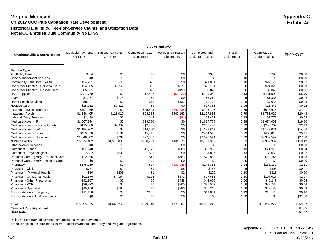|                                                                | Age 65 and Over                     |                                    |                                        |                                   |                                         |                     |                                      |                  |
|----------------------------------------------------------------|-------------------------------------|------------------------------------|----------------------------------------|-----------------------------------|-----------------------------------------|---------------------|--------------------------------------|------------------|
| <b>Charlottesville Western Region</b>                          | <b>Medicaid Payments</b><br>CY14-15 | <b>Patient Payments</b><br>CY14-15 | <b>Completion Factor</b><br>Adjustment | Policy and Program<br>Adjustments | Completed and<br><b>Adjusted Claims</b> | Trend<br>Adjustment | Completed &<br><b>Trended Claims</b> | PMPM CY17        |
|                                                                |                                     |                                    |                                        |                                   |                                         |                     |                                      |                  |
|                                                                |                                     |                                    |                                        |                                   |                                         |                     |                                      |                  |
| <b>Service Type</b>                                            |                                     |                                    |                                        |                                   |                                         |                     |                                      |                  |
| <b>Adult Day Care</b>                                          | \$334<br>\$0                        | \$0<br>\$0                         | \$1<br>\$0                             | \$8<br>\$0                        | \$343<br>\$0                            | 0.86                | \$296<br>\$0                         | \$0.00<br>\$0.00 |
| <b>Case Management Services</b><br>Community Behavioral Health |                                     | \$0                                | \$70                                   | \$0                               |                                         | 1.10                |                                      | \$0.32           |
|                                                                | \$24,731                            |                                    |                                        |                                   | \$24,801                                | 1.10                | \$27,170                             |                  |
| <b>Consumer Directed - Personal Care</b>                       | \$24,905                            | \$2,258                            | \$50                                   | \$977                             | \$28,191                                | 0.86                | \$24,329                             | \$0.29           |
| Consumer Directed - Respite Care                               | \$5,631                             | \$0                                | \$10                                   | \$198                             | \$5,840                                 | 0.86                | \$5,040                              | \$0.06           |
| DME/Supplies                                                   | \$421,779                           | \$0                                | \$7,407                                | (\$3,839)                         | \$425,348                               | 1.13                | \$481,909                            | \$5.70           |
| <b>FQHC</b>                                                    | \$1,087                             | \$173                              | \$0                                    | \$0                               | \$1,260                                 | 1.06                | \$1,338                              | \$0.02           |
| <b>Home Health Services</b>                                    | \$8,027                             | \$0                                | \$15                                   | \$133                             | \$8,175                                 | 0.86                | \$7,055                              | \$0.08           |
| <b>Hospice Care</b>                                            | \$15,052                            | \$2,311                            | \$0                                    | \$0                               | \$17,363                                | 1.06                | \$18,440                             | \$0.22           |
| Inpatient - Medical/Surgical                                   | \$797,059                           | \$0                                | \$45,423                               | (\$47,285)                        | \$795,197                               | 0.79                | \$626,615                            | \$7.41           |
| Inpatient - Psych                                              | \$1,536,405                         | \$118,017                          | \$94,284                               | \$449,162                         | \$2,197,868                             | 0.79                | \$1,731,920                          | \$20.48          |
| Lab and X-ray Services                                         | \$2,499                             | \$0                                | \$44                                   | (S91)                             | \$2,452                                 | 1.13                | \$2,778                              | \$0.03           |
| Medicare Xover - IP                                            | \$1,667,994                         | \$0                                | \$19,780                               | \$0                               | \$1,687,774                             | 0.99                | \$1,674,051                          | \$19.80          |
| Medicare Xover - Nursing Facility                              | \$195,680                           | \$9,337                            | \$2,431                                | \$0                               | \$207.449                               | 0.99                | \$205,762                            | \$2.43           |
| Medicare Xover - OP                                            | \$1,184,762                         | \$7                                | \$14,050                               | \$0                               | \$1.198.819                             | 0.99                | \$1,189,071                          | \$14.06          |
| Medicare Xover - Other                                         | \$459,020                           | \$131                              | \$5,445                                | \$0                               | \$464,596                               | 0.99                | \$460,818                            | \$5.45           |
| Medicare Xover - Physician                                     | \$2,348,802                         | \$264                              | \$27,857                               | \$0                               | \$2,376,924                             | 0.99                | \$2,357,597                          | \$27.88          |
| <b>Nursing Facility</b>                                        | \$6,074,402                         | \$1,510,808                        | \$160,983                              | \$404,876                         | \$8,151,069                             | 1.23                | \$9,989,337                          | \$118.12         |
| <b>Other Waiver Services</b>                                   | \$0                                 | \$0                                | \$0                                    | \$0                               | \$0                                     | 0.86                | \$0                                  | \$0.00           |
| Outpatient - Other                                             | \$61,048                            | \$0                                | \$1,072                                | \$788                             | \$62,908                                | 1.13                | \$71,273                             | \$0.84           |
| Outpatient - Psychological                                     | \$982                               | \$803                              | \$31                                   | \$0                               | \$1,817                                 | 1.13                | \$2,058                              | \$0.02           |
| Personal Care Agency - Personal Care                           | \$22,056                            | \$0                                | \$41                                   | \$783                             | \$22,880                                | 0.86                | \$19,746                             | \$0.23           |
| Personal Care Agency - Respite Care                            | \$0                                 | \$0                                | \$0                                    | \$0                               | \$0                                     | 0.86                | \$0                                  | \$0.00           |
| Pharmacy                                                       | \$175,239                           | \$0                                | \$77                                   | (\$30,948)                        | \$144,368                               | 0.94                | \$136,139                            | \$1.61           |
| Physician - Clinic                                             | \$751                               | \$0                                | \$0                                    | \$5                               | \$756                                   | 1.06                | \$803                                | \$0.01           |
| Physician - IP Mental Health                                   | \$80                                | \$208                              | \$1                                    | \$2                               | \$290                                   | 1.10                | \$318                                | \$0.00           |
| Physician - OP Mental Health                                   | \$92,576                            | \$4,164                            | \$274                                  | \$671                             | \$97,685                                | 1.10                | \$107,017                            | \$1.27           |
| Physician - Other Practitioner                                 | \$42,167                            | \$0                                | \$0                                    | \$438                             | \$42,606                                | 1.06                | \$45,247                             | \$0.54           |
| Physician - PCP                                                | \$36,222                            | \$0                                | \$0                                    | \$300                             | \$36,522                                | 1.06                | \$38,786                             | \$0.46           |
| Physician - Specialist                                         | \$45,156                            | \$780                              | \$0                                    | \$380                             | \$46,316                                | 1.06                | \$49,188                             | \$0.58           |
| Transportation - Emergency                                     | \$11,430                            | \$0                                | \$201                                  | \$0                               | \$11,631                                | 1.13                | \$13,178                             | \$0.16           |
| Transportation - Non-Emergency                                 | \$0                                 | \$0                                | \$0                                    | \$0                               | \$0                                     | 1.00                | \$0                                  | \$31.80          |
| Total                                                          | \$15,255,875                        | \$1,649,262                        | \$379,548                              | \$776,560                         | \$18,061,245                            |                     | \$19,287,277                         | \$259.87         |
| Managed Care Adjustment                                        |                                     |                                    |                                        |                                   |                                         |                     |                                      | $-0.86%$         |
| <b>Base Rate</b>                                               |                                     |                                    |                                        |                                   |                                         |                     |                                      | \$257.62         |
|                                                                |                                     |                                    |                                        |                                   |                                         |                     |                                      |                  |

Policy and program adjustments are applied to Patient Payments.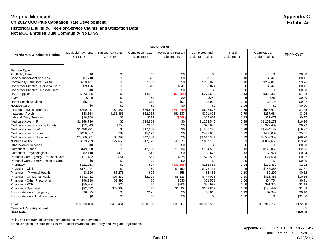| Age Under 65                         |                                     |                                    |                                        |                                   |                                         |                     |                                      |           |
|--------------------------------------|-------------------------------------|------------------------------------|----------------------------------------|-----------------------------------|-----------------------------------------|---------------------|--------------------------------------|-----------|
| Northern & Winchester Region         | <b>Medicaid Payments</b><br>CY14-15 | <b>Patient Payments</b><br>CY14-15 | <b>Completion Factor</b><br>Adjustment | Policy and Program<br>Adjustments | Completed and<br><b>Adjusted Claims</b> | Trend<br>Adjustment | Completed &<br><b>Trended Claims</b> | PMPM CY17 |
|                                      |                                     |                                    |                                        |                                   |                                         |                     |                                      |           |
|                                      |                                     |                                    |                                        |                                   |                                         |                     |                                      |           |
| <b>Service Type</b>                  |                                     |                                    |                                        |                                   |                                         |                     |                                      |           |
| <b>Adult Day Care</b>                | \$0                                 | \$0                                | \$0                                    | \$0                               | \$0                                     | 0.86                | \$0                                  | \$0.00    |
| <b>Case Management Services</b>      | \$7.718                             | \$0                                | \$22                                   | \$0                               | \$7,739                                 | 1.10                | \$8,479                              | \$0.11    |
| Community Behavioral Health          | \$230,167                           | \$0                                | \$653                                  | \$0                               | \$230,820                               | 1.10                | \$252,870                            | \$3.26    |
| Consumer Directed - Personal Care    | \$9,466                             | \$0                                | \$18                                   | \$341                             | \$9,824                                 | 0.86                | \$8,478                              | \$0.11    |
| Consumer Directed - Respite Care     | \$0                                 | \$0                                | \$0                                    | \$0                               | \$0                                     | 0.86                | \$0                                  | \$0.00    |
| <b>DME/Supplies</b>                  | \$273,386                           | \$0                                | \$4,801                                | (\$2,488)                         | \$275,699                               | 1.13                | \$312,360                            | \$4.03    |
| <b>FQHC</b>                          | \$249                               | \$0                                | \$0                                    | \$0                               | \$249                                   | 1.06                | \$264                                | \$0.00    |
| <b>Home Health Services</b>          | \$5,831                             | \$0                                | \$11                                   | \$97                              | \$5,938                                 | 0.86                | \$5,125                              | \$0.07    |
| <b>Hospice Care</b>                  | \$0                                 | \$0                                | \$0                                    | \$0                               | \$0                                     | 1.06                | \$0                                  | \$0.00    |
| Inpatient - Medical/Surgical         | \$690,917                           | \$4,381                            | \$39,624                               | (\$41,249)                        | \$693,673                               | 0.79                | \$546,614                            | \$7.05    |
| Inpatient - Psych                    | \$88,564                            | \$138,465                          | \$12,938                               | \$61,637                          | \$301,605                               | 0.79                | \$237,664                            | \$3.06    |
| Lab and X-ray Services               | \$18,958                            | \$0                                | \$333                                  | (\$688)                           | \$18,603                                | 1.13                | \$21,077                             | \$0.27    |
| Medicare Xover - IP                  | \$1,248,736                         | \$0                                | \$14,808                               | \$0                               | \$1,263,545                             | 0.99                | \$1,253,271                          | \$16.16   |
| Medicare Xover - Nursing Facility    | \$22,049                            | \$358                              | \$266                                  | \$0                               | \$22,673                                | 0.99                | \$22,489                             | \$0.29    |
| Medicare Xover - OP                  | \$1,488,731                         | \$0                                | \$17,655                               | \$0                               | \$1,506,385                             | 0.99                | \$1,494,137                          | \$19.27   |
| Medicare Xover - Other               | \$436,367                           | \$87                               | \$5,176                                | \$0                               | \$441,630                               | 0.99                | \$438,039                            | \$5.65    |
| Medicare Xover - Physician           | \$3,566,001                         | \$3,994                            | \$42,336                               | \$0                               | \$3,612,331                             | 0.99                | \$3,582,959                          | \$46.20   |
| <b>Nursing Facility</b>              | \$679,259                           | \$127,650                          | \$17,125                               | \$43,070                          | \$867,105                               | 1.23                | \$1,062,658                          | \$13.70   |
| <b>Other Waiver Services</b>         | \$0                                 | \$0                                | \$0                                    | \$0                               | \$0                                     | 0.86                | \$0                                  | \$0.00    |
| Outpatient - Other                   | \$149,950                           | \$0                                | \$2,633                                | \$1,934                           | \$154,517                               | 1.13                | \$175,065                            | \$2.26    |
| Outpatient - Psychological           | \$2,110                             | \$470                              | \$45                                   | \$0                               | \$2,625                                 | 1.13                | \$2,974                              | \$0.04    |
| Personal Care Agency - Personal Care | \$27,482                            | \$54                               | \$51                                   | \$978                             | \$28,565                                | 0.86                | \$24,651                             | \$0.32    |
| Personal Care Agency - Respite Care  | \$0                                 | \$0                                | \$0                                    | \$0                               | \$0                                     | 0.86                | \$0                                  | \$0.00    |
| Pharmacy                             | \$221.953                           | \$0                                | \$97                                   | (\$39,198)                        | \$182,852                               | 0.94                | \$172,430                            | \$2.22    |
| Physician - Clinic                   | \$171,944                           | \$0                                | \$0                                    | \$1,190                           | \$173,134                               | 1.06                | \$183,868                            | \$2.37    |
| Physician - IP Mental Health         | \$3,126                             | \$5,278                            | \$24                                   | \$58                              | \$8,486                                 | 1.10                | \$9,297                              | \$0.12    |
| Physician - OP Mental Health         | \$642,431                           | \$97,432                           | \$2,099                                | \$5,133                           | \$747,096                               | 1.10                | \$818,466                            | \$10.55   |
| Physician - Other Practitioner       | \$48,138                            | \$2,890                            | \$0                                    | \$530                             | \$51,558                                | 1.06                | \$54,754                             | \$0.71    |
| Physician - PCP                      | \$85,264                            | \$26                               | \$0                                    | \$706                             | \$85,997                                | 1.06                | \$91,328                             | \$1.18    |
| Physician - Specialist               | \$92,492                            | \$29,368                           | \$0                                    | \$1,009                           | \$122,869                               | 1.06                | \$130,487                            | \$1.68    |
| Transportation - Emergency           | \$6,895                             | \$0                                | \$121                                  | \$0                               | \$7,016                                 | 1.13                | \$7,949                              | \$0.10    |
| Transportation - Non-Emergency       | \$0                                 | \$0                                | \$0                                    | \$0                               | \$0                                     | 1.00                | \$0                                  | \$31.80   |
|                                      |                                     |                                    |                                        |                                   |                                         |                     |                                      |           |
| Total                                | \$10,218,183                        | \$410,454                          | \$160,836                              | \$33,061                          | \$10,822,532                            |                     | \$10,917,753                         | \$172.58  |
| Managed Care Adjustment              |                                     |                                    |                                        |                                   |                                         |                     |                                      | $-1.56%$  |
| <b>Base Rate</b>                     |                                     |                                    |                                        |                                   |                                         |                     |                                      | \$169.88  |

Policy and program adjustments are applied to Patient Payments.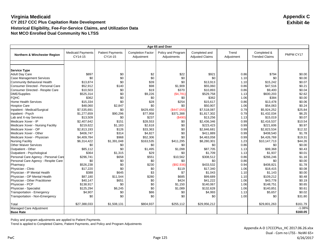|                                              | Age 65 and Over                     |                                    |                                        |                                   |                                         |                     |                                      |           |
|----------------------------------------------|-------------------------------------|------------------------------------|----------------------------------------|-----------------------------------|-----------------------------------------|---------------------|--------------------------------------|-----------|
| Northern & Winchester Region                 | <b>Medicaid Payments</b><br>CY14-15 | <b>Patient Payments</b><br>CY14-15 | <b>Completion Factor</b><br>Adjustment | Policy and Program<br>Adjustments | Completed and<br><b>Adjusted Claims</b> | Trend<br>Adjustment | Completed &<br><b>Trended Claims</b> | PMPM CY17 |
|                                              |                                     |                                    |                                        |                                   |                                         |                     |                                      |           |
|                                              |                                     |                                    |                                        |                                   |                                         |                     |                                      |           |
| <b>Service Type</b><br><b>Adult Day Care</b> | \$897                               | \$0                                | \$2                                    | \$22                              | \$921                                   | 0.86                | \$794                                | \$0.00    |
| <b>Case Management Services</b>              | \$0                                 | \$0                                | \$0                                    | \$0                               | \$0                                     | 1.10                | \$0                                  | \$0.00    |
| Community Behavioral Health                  | \$13,874                            | \$0                                | \$39                                   | \$0                               | \$13,913                                | 1.10                | \$15,242                             | \$0.07    |
| Consumer Directed - Personal Care            | \$52,912                            | \$140                              | \$98                                   | \$1,909                           | \$55,060                                | 0.86                | \$47,516                             | \$0.21    |
|                                              |                                     |                                    | \$19                                   | \$370                             |                                         |                     |                                      | \$0.04    |
| Consumer Directed - Respite Care             | \$10,503                            | \$0                                |                                        |                                   | \$10,893                                | 0.86                | \$9,400                              | \$2.62    |
| DME/Supplies                                 | \$525,314                           | \$0<br>\$0                         | \$9,226                                | (\$4,781)                         | \$529,758                               | 1.13                | \$600,203                            |           |
| <b>FQHC</b>                                  | \$362                               |                                    | \$0                                    | \$0                               | \$362                                   | 1.06                | \$384                                | \$0.00    |
| <b>Home Health Services</b>                  | \$15,334                            | \$0                                | \$28                                   | \$254                             | \$15,617                                | 0.86                | \$13,478                             | \$0.06    |
| <b>Hospice Care</b>                          | \$48,060                            | \$2,847                            | \$0                                    | \$0                               | \$50,907                                | 1.06                | \$54,063                             | \$0.24    |
| Inpatient - Medical/Surgical                 | \$7,535,691                         | \$0                                | \$429,450                              | (\$447,055)                       | \$7,518,087                             | 0.79                | \$5,924,252                          | \$25.84   |
| Inpatient - Psych                            | \$1,277,659                         | \$90,296                           | \$77,958                               | \$371,388                         | \$1,817,302                             | 0.79                | \$1,432,034                          | \$6.25    |
| Lab and X-ray Services                       | \$13,509                            | \$0                                | \$237                                  | (\$490)                           | \$13,256                                | 1.13                | \$15,019                             | \$0.07    |
| Medicare Xover - IP                          | \$2,407,642                         | \$151                              | \$28,553                               | \$0                               | \$2,436,346                             | 0.99                | \$2,416,537                          | \$10.54   |
| Medicare Xover - Nursing Facility            | \$219,622                           | \$1,183                            | \$2,618                                | \$0                               | \$223,423                               | 0.99                | \$221,606                            | \$0.97    |
| Medicare Xover - OP                          | \$2,813,193                         | \$126                              | \$33,363                               | \$0                               | \$2,846,681                             | 0.99                | \$2,823,534                          | \$12.32   |
| Medicare Xover - Other                       | \$406,747                           | \$314                              | \$4,827                                | \$0                               | \$411,889                               | 0.99                | \$408,540                            | \$1.78    |
| Medicare Xover - Physician                   | \$4,409.784                         | \$968                              | \$52,306                               | \$0                               | \$4,463,058                             | 0.99                | \$4.426.769                          | \$19.31   |
| <b>Nursing Facility</b>                      | \$6,314,422                         | \$1,391,048                        | \$163,535                              | \$411,295                         | \$8,280,301                             | 1.23                | \$10,147,713                         | \$44.26   |
| <b>Other Waiver Services</b>                 | \$0                                 | \$0                                | \$0                                    | \$0                               | \$0                                     | 0.86                | \$0                                  | \$0.00    |
| Outpatient - Other                           | \$85,112                            | \$0                                | \$1,495                                | \$1,098                           | \$87.705                                | 1.13                | \$99,368                             | \$0.43    |
| Outpatient - Psychological                   | \$364                               | \$1,315                            | \$29                                   | \$0                               | \$1,709                                 | 1.13                | \$1,937                              | \$0.01    |
| Personal Care Agency - Personal Care         | \$296,741                           | \$658                              | \$551                                  | \$10,562                          | \$308,512                               | 0.86                | \$266,246                            | \$1.16    |
| Personal Care Agency - Respite Care          | \$0                                 | \$0                                | \$0                                    | \$0                               | \$0                                     | 0.86                | \$0                                  | \$0.00    |
| Pharmacy                                     | \$526,238                           | \$0                                | \$230                                  | (\$92,936)                        | \$433,532                               | 0.94                | \$408,821                            | \$1.78    |
| Physician - Clinic                           | \$17,220                            | \$0                                | \$0                                    | \$119                             | \$17,340                                | 1.06                | \$18,415                             | \$0.08    |
| Physician - IP Mental Health                 | \$388                               | \$645                              | \$3                                    | \$7                               | \$1.043                                 | 1.10                | \$1,143                              | \$0.00    |
| Physician - OP Mental Health                 | \$87,180                            | \$11,544                           | \$280                                  | \$685                             | \$99,689                                | 1.10                | \$109,212                            | \$0.48    |
| Physician - Other Practitioner               | \$40,147                            | \$651                              | \$0                                    | \$424                             | \$41,222                                | 1.06                | \$43,778                             | \$0.19    |
| Physician - PCP                              | \$138,917                           | \$0                                | \$0                                    | \$1,150                           | \$140,067                               | 1.06                | \$148,751                            | \$0.65    |
| Physician - Specialist                       | \$125,294                           | \$6,245                            | \$0                                    | \$1,089                           | \$132,628                               | 1.06                | \$140,851                            | \$0.61    |
| Transportation - Emergency                   | \$4,907                             | \$0                                | \$86                                   | \$0                               | \$4,993                                 | 1.13                | \$5,657                              | \$0.02    |
| Transportation - Non-Emergency               | \$0                                 | \$0                                | \$0                                    | \$0                               | \$0                                     | 1.00                | \$0                                  | \$31.80   |
| Total                                        | \$27,388,033                        | \$1,508,131                        | \$804,937                              | \$255,112                         | \$29,956,212                            |                     | \$29,801,263                         | \$161.79  |
| Managed Care Adjustment                      |                                     |                                    |                                        |                                   |                                         |                     |                                      | $-1.08%$  |
| <b>Base Rate</b>                             |                                     |                                    |                                        |                                   |                                         |                     |                                      | \$160.05  |

Policy and program adjustments are applied to Patient Payments.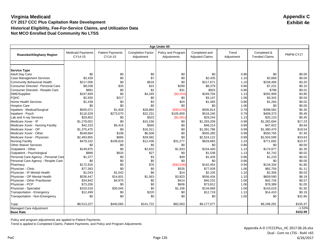| Age Under 65                         |                                     |                                    |                                        |                                   |                                         |                     |                                      |           |
|--------------------------------------|-------------------------------------|------------------------------------|----------------------------------------|-----------------------------------|-----------------------------------------|---------------------|--------------------------------------|-----------|
| Roanoke/Alleghany Region             | <b>Medicaid Payments</b><br>CY14-15 | <b>Patient Payments</b><br>CY14-15 | <b>Completion Factor</b><br>Adjustment | Policy and Program<br>Adjustments | Completed and<br><b>Adjusted Claims</b> | Trend<br>Adjustment | Completed &<br><b>Trended Claims</b> | PMPM CY17 |
|                                      |                                     |                                    |                                        |                                   |                                         |                     |                                      |           |
| <b>Service Type</b>                  |                                     |                                    |                                        |                                   |                                         |                     |                                      |           |
| <b>Adult Day Care</b>                | \$0                                 | \$0                                | \$0                                    | \$0                               | \$0                                     | 0.86                | \$0                                  | \$0.00    |
| <b>Case Management Services</b>      | \$2,428                             | \$0                                | \$7                                    | \$0                               | \$2,435                                 | 1.10                | \$2,668                              | \$0.04    |
| Community Behavioral Health          | \$217,056                           | \$0                                | \$616                                  | \$0                               | \$217.671                               | 1.10                | \$238,466                            | \$3.20    |
| Consumer Directed - Personal Care    | \$8,038                             | \$35                               | \$15                                   | \$290                             | \$8,379                                 | 0.86                | \$7,231                              | \$0.10    |
| Consumer Directed - Respite Care     | \$891                               | \$0                                | \$2                                    | \$31                              | \$925                                   | 0.86                | \$798                                | \$0.01    |
| <b>DME/Supplies</b>                  | \$247.609                           | \$0                                | \$4,349                                | (S2.254)                          | \$249.704                               | 1.13                | \$282,909                            | \$3.80    |
| <b>FQHC</b>                          | \$2,930                             | \$217                              | \$0                                    | \$0                               | \$3,147                                 | 1.06                | \$3,342                              | \$0.04    |
| <b>Home Health Services</b>          | \$1,438                             | \$0                                | \$3                                    | \$24                              | \$1,465                                 | 0.86                | \$1,264                              | \$0.02    |
| <b>Hospice Care</b>                  | \$0                                 | \$0                                | \$0                                    | \$0                               | \$0                                     | 1.06                | \$0                                  | \$0.00    |
| Inpatient - Medical/Surgical         | \$505,071                           | \$1,928                            | \$28,893                               | (\$30,078)                        | \$505,814                               | 0.79                | \$398,582                            | \$5.35    |
| Inpatient - Psych                    | \$116,529                           | \$273,570                          | \$22,231                               | \$105,909                         | \$518,240                               | 0.79                | \$408,373                            | \$5.49    |
| Lab and X-ray Services               | \$29,802                            | \$0                                | \$523                                  | (S1,081)                          | \$29,244                                | 1.13                | \$33,133                             | \$0.45    |
| Medicare Xover - IP                  | \$1,278,052                         | \$0                                | \$15,156                               | \$0                               | \$1,293,209                             | 0.99                | \$1,282,694                          | \$17.23   |
| Medicare Xover - Nursing Facility    | \$42,233                            | \$5,416                            | \$565                                  | \$0                               | \$48,214                                | 0.99                | \$47,822                             | \$0.64    |
| Medicare Xover - OP                  | \$1,375,475                         | \$0                                | \$16,311                               | \$0                               | \$1.391.786                             | 0.99                | \$1,380,470                          | \$18.54   |
| Medicare Xover - Other               | \$548,664                           | \$108                              | \$6,508                                | \$0                               | \$555,280                               | 0.99                | \$550,765                            | \$7.40    |
| Medicare Xover - Physician           | \$2,493,855                         | \$685                              | \$29,582                               | \$0                               | \$2,524,122                             | 0.99                | \$2,503,599                          | \$33.63   |
| <b>Nursing Facility</b>              | \$479,152                           | \$106,818                          | \$12,436                               | \$31,277                          | \$629,683                               | 1.23                | \$771,692                            | \$10.37   |
| <b>Other Waiver Services</b>         | \$0                                 | \$0                                | \$0                                    | \$0                               | \$0                                     | 0.86                | \$0                                  | \$0.00    |
| Outpatient - Other                   | \$149,875                           | \$0                                | \$2,632                                | \$1,933                           | \$154,440                               | 1.13                | \$174,977                            | \$2.35    |
| Outpatient - Psychological           | \$886                               | \$625                              | \$27                                   | \$0                               | \$1,538                                 | 1.13                | \$1.742                              | \$0.02    |
| Personal Care Agency - Personal Care | \$1,377                             | \$0                                | \$3                                    | \$49                              | \$1,428                                 | 0.86                | \$1,233                              | \$0.02    |
| Personal Care Agency - Respite Care  | \$0                                 | \$0                                | \$0                                    | \$0                               | \$0                                     | 0.86                | \$0                                  | \$0.00    |
| Pharmacy                             | \$172,916                           | \$0                                | \$76                                   | (\$30,538)                        | \$142,454                               | 0.94                | \$134,334                            | \$1.80    |
| Physician - Clinic                   | \$77,393                            | \$0                                | \$0                                    | \$535                             | \$77,928                                | 1.06                | \$82,759                             | \$1.11    |
| Physician - IP Mental Health         | \$1,043                             | \$1,042                            | \$6                                    | \$14                              | \$2,105                                 | 1.10                | \$2,306                              | \$0.03    |
| Physician - OP Mental Health         | \$536,447                           | \$14,601                           | \$1,563                                | \$3,823                           | \$556,434                               | 1.10                | \$609,590                            | \$8.19    |
| Physician - Other Practitioner       | \$34,842                            | \$4,975                            | \$0                                    | \$414                             | \$40,231                                | 1.06                | \$42,726                             | \$0.57    |
| Physician - PCP                      | \$73,206                            | \$0                                | \$0                                    | \$606                             | \$73,812                                | 1.06                | \$78,389                             | \$1.05    |
| Physician - Specialist               | \$103,518                           | \$30,045                           | \$0                                    | \$1,106                           | \$134,669                               | 1.06                | \$143,019                            | \$1.92    |
| Transportation - Emergency           | \$12,499                            | \$0                                | \$220                                  | \$0                               | \$12,719                                | 1.13                | \$14,410                             | \$0.19    |
| Transportation - Non-Emergency       | \$0                                 | \$0                                | \$0                                    | \$0                               | \$0                                     | 1.00                | \$0                                  | \$31.80   |
| Total                                | \$8,513,227                         | \$440,065                          | \$141,722                              | \$82,063                          | \$9,177,077                             |                     | \$9,199,291                          | \$155.37  |
| Managed Care Adjustment              |                                     |                                    |                                        |                                   |                                         |                     |                                      | $-1.53%$  |
| <b>Base Rate</b>                     |                                     |                                    |                                        |                                   |                                         |                     |                                      | \$152.99  |

Policy and program adjustments are applied to Patient Payments.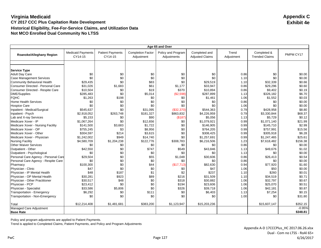| Age 65 and Over                               |                                     |                                    |                                        |                                   |                                         |                     |                                      |                   |
|-----------------------------------------------|-------------------------------------|------------------------------------|----------------------------------------|-----------------------------------|-----------------------------------------|---------------------|--------------------------------------|-------------------|
| Roanoke/Alleghany Region                      | <b>Medicaid Payments</b><br>CY14-15 | <b>Patient Payments</b><br>CY14-15 | <b>Completion Factor</b><br>Adjustment | Policy and Program<br>Adjustments | Completed and<br><b>Adjusted Claims</b> | Trend<br>Adjustment | Completed &<br><b>Trended Claims</b> | PMPM CY17         |
|                                               |                                     |                                    |                                        |                                   |                                         |                     |                                      |                   |
|                                               |                                     |                                    |                                        |                                   |                                         |                     |                                      |                   |
| <b>Service Type</b><br><b>Adult Day Care</b>  | \$0                                 | \$0                                | \$0                                    | \$0                               | \$0                                     | 0.86                | \$0                                  | \$0.00            |
| <b>Case Management Services</b>               | \$0                                 | \$0                                | \$0                                    | \$0                               | \$0                                     | 1.10                | \$0                                  | \$0.00            |
| Community Behavioral Health                   | \$29,435                            | \$0                                | \$83                                   | \$0                               | \$29,519                                | 1.10                | \$32,339                             | \$0.66            |
| Consumer Directed - Personal Care             | \$31,026                            | \$1,683                            | \$61                                   | \$1,177                           | \$33,947                                | 0.86                | \$29,296                             | \$0.60            |
| Consumer Directed - Respite Care              | \$10,504                            | \$0                                | \$19                                   | \$370                             | \$10,894                                | 0.86                | \$9,402                              | \$0.19            |
| <b>DME/Supplies</b>                           | \$285,483                           | \$0                                |                                        | (\$2,598)                         | \$287,899                               |                     | \$326,182                            | \$6.70            |
|                                               |                                     |                                    | \$5,014                                |                                   |                                         | 1.13                |                                      |                   |
| <b>FQHC</b>                                   | \$1,263                             | \$198                              | \$0                                    | \$0                               | \$1,461                                 | 1.06                | \$1,552                              | \$0.03            |
| <b>Home Health Services</b>                   | \$0                                 | \$0                                | \$0<br>\$0                             | \$0                               | \$0                                     | 0.86                | \$0                                  | \$0.00            |
| <b>Hospice Care</b>                           | \$0                                 | \$0                                |                                        | \$0                               | \$0                                     | 1.06                | \$0                                  | \$0.00            |
| Inpatient - Medical/Surgical                  | \$545,637                           | \$0                                | \$31,095                               | (\$32,370)                        | \$544,363                               | 0.79                | \$428,958                            | \$8.80            |
| Inpatient - Psych                             | \$2,918,052                         | \$263,748                          | \$181,327                              | \$863,832                         | \$4,226,959                             | 0.79                | \$3,330,844                          | \$68.37<br>\$0.12 |
| Lab and X-ray Services<br>Medicare Xover - IP | \$5,153                             | \$0<br>\$0                         | \$90                                   | (\$187)                           | \$5,056                                 | 1.13                | \$5,729                              |                   |
|                                               | \$1,067,264                         |                                    | \$12,656                               | \$0                               | \$1,079,921                             | 0.99                | \$1,071,140                          | \$21.99           |
| Medicare Xover - Nursing Facility             | \$141,500                           | \$3,683                            | \$1,722                                | \$0                               | \$146,905                               | 0.99                | \$145,710                            | \$2.99            |
| Medicare Xover - OP                           | \$755,245                           | \$3                                | \$8.956                                | \$0                               | \$764,205                               | 0.99                | \$757,991                            | \$15.56           |
| Medicare Xover - Other                        | \$304,597                           | \$214                              | \$3,615                                | \$0                               | \$308,425                               | 0.99                | \$305,918                            | \$6.28            |
| Medicare Xover - Physician                    | \$1,242,002                         | \$949                              | \$14,740                               | \$0                               | \$1,257,691                             | 0.99                | \$1,247,465                          | \$25.61           |
| <b>Nursing Facility</b>                       | \$4,580,709                         | \$1,204,238                        | \$122,776                              | \$308,783                         | \$6,216,506                             | 1.23                | \$7,618,482                          | \$156.38          |
| <b>Other Waiver Services</b>                  | \$0                                 | \$0                                | \$0                                    | \$0                               | \$0                                     | 0.86                | \$0                                  | \$0.00            |
| Outpatient - Other                            | \$42,550                            | \$0                                | \$747                                  | \$549                             | \$43,846                                | 1.13                | \$49,676                             | \$1.02            |
| Outpatient - Psychological                    | \$0                                 | \$0                                | \$0                                    | \$0                               | \$0                                     | 1.13                | \$0                                  | \$0.00            |
| Personal Care Agency - Personal Care          | \$29,504                            | \$0                                | \$55                                   | \$1,048                           | \$30,606                                | 0.86                | \$26,413                             | \$0.54            |
| Personal Care Agency - Respite Care           | \$0                                 | \$0                                | \$0                                    | \$0                               | \$0                                     | 0.86                | \$0                                  | \$0.00            |
| Pharmacy                                      | \$100,300                           | \$0                                | \$44                                   | (\$17,713)                        | \$82,630                                | 0.94                | \$77,920                             | \$1.60            |
| Physician - Clinic                            | \$47                                | \$0                                | \$0                                    | \$0                               | \$47                                    | 1.06                | \$50                                 | \$0.00            |
| Physician - IP Mental Health                  | \$48                                | \$187                              | \$1                                    | \$2                               | \$237                                   | 1.10                | \$260                                | \$0.01            |
| Physician - OP Mental Health                  | \$30,281                            | \$923                              | \$89                                   | \$216                             | \$31,509                                | 1.10                | \$34,519                             | \$0.71            |
| Physician - Other Practitioner                | \$30,517                            | \$48                               | \$0                                    | \$318                             | \$30,882                                | 1.06                | \$32,797                             | \$0.67            |
| Physician - PCP                               | \$23,412                            | \$0                                | \$0                                    | \$194                             | \$23,606                                | 1.06                | \$25,070                             | \$0.51            |
| Physician - Specialist                        | \$33,586                            | \$5,806                            | \$0                                    | \$326                             | \$39,718                                | 1.06                | \$42,181                             | \$0.87            |
| Transportation - Emergency                    | \$6,292                             | \$0                                | \$111                                  | \$0                               | \$6,403                                 | 1.13                | \$7,254                              | \$0.15            |
| Transportation - Non-Emergency                | \$0                                 | \$0                                | \$0                                    | \$0                               | \$0                                     | 1.00                | \$0                                  | \$31.80           |
| Total                                         | \$12,214,408                        | \$1,481,681                        | \$383,200                              | \$1,123,947                       | \$15,203,236                            |                     | \$15,607,147                         | \$352.15          |
| Managed Care Adjustment                       |                                     |                                    |                                        |                                   |                                         |                     |                                      | $-0.95%$          |
| <b>Base Rate</b>                              |                                     |                                    |                                        |                                   |                                         |                     |                                      | \$348.81          |

Policy and program adjustments are applied to Patient Payments.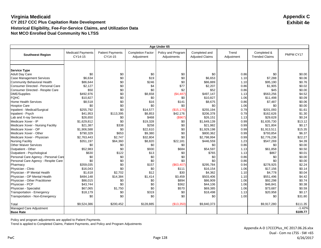|                                              | Age Under 65                        |                                    |                                        |                                   |                                         |                     |                                      |           |  |
|----------------------------------------------|-------------------------------------|------------------------------------|----------------------------------------|-----------------------------------|-----------------------------------------|---------------------|--------------------------------------|-----------|--|
| <b>Southwest Region</b>                      | <b>Medicaid Payments</b><br>CY14-15 | <b>Patient Payments</b><br>CY14-15 | <b>Completion Factor</b><br>Adjustment | Policy and Program<br>Adjustments | Completed and<br><b>Adjusted Claims</b> | Trend<br>Adjustment | Completed &<br><b>Trended Claims</b> | PMPM CY17 |  |
|                                              |                                     |                                    |                                        |                                   |                                         |                     |                                      |           |  |
|                                              |                                     |                                    |                                        |                                   |                                         |                     |                                      |           |  |
| <b>Service Type</b><br><b>Adult Day Care</b> | \$0                                 | \$0                                | \$0                                    | \$0                               | \$0                                     | 0.86                | \$0                                  | \$0.00    |  |
| <b>Case Management Services</b>              | \$6,634                             | \$0                                | \$19                                   | \$0                               | \$6,653                                 | 1.10                | \$7,288                              | \$0.06    |  |
| <b>Community Behavioral Health</b>           | \$86,644                            | \$0                                | \$246                                  | \$0                               | \$86,889                                | 1.10                | \$95,190                             | \$0.76    |  |
| Consumer Directed - Personal Care            | \$2,127                             | \$0                                | \$4                                    | \$77                              | \$2,207                                 | 0.86                | \$1,905                              | \$0.02    |  |
| Consumer Directed - Respite Care             | \$50                                | \$0                                | \$0                                    | \$2                               | \$52                                    | 0.86                | \$45                                 | \$0.00    |  |
| DME/Supplies                                 | \$492,976                           | \$0                                | \$8,658                                | (\$4,487)                         | \$497.147                               | 1.13                | \$563.256                            | \$4.52    |  |
| <b>FQHC</b>                                  | \$10,827                            | \$0                                | \$0                                    | \$0                               | \$10,827                                | 1.06                | \$11,498                             | \$0.09    |  |
| <b>Home Health Services</b>                  | \$8,518                             | \$0                                | \$16                                   | \$141                             | \$8,675                                 | 0.86                | \$7,487                              | \$0.06    |  |
| <b>Hospice Care</b>                          | \$0                                 | \$0                                | \$0                                    | \$0                               | \$0                                     | 1.06                | \$0                                  | \$0.00    |  |
| Inpatient - Medical/Surgical                 | \$255,792                           | \$0                                | \$14,577                               | (\$15, 175)                       | \$255,194                               | 0.79                | \$201,093                            | \$1.61    |  |
| Inpatient - Psych                            | \$41,953                            | \$113,395                          | \$8,853                                | \$42,176                          | \$206,378                               | 0.79                | \$162,626                            | \$1.30    |  |
| Lab and X-ray Services                       | \$26,650                            | \$0                                | \$468                                  | (\$967)                           | \$26,151                                | 1.13                | \$29,628                             | \$0.24    |  |
| Medicare Xover - IP                          | \$1,629,812                         | \$0                                | \$19,328                               | \$0                               | \$1,649,139                             | 0.99                | \$1,635,730                          | \$13.12   |  |
| Medicare Xover - Nursing Facility            | \$21,387                            | \$338                              | \$258                                  | \$0                               | \$21,982                                | 0.99                | \$21,804                             | \$0.17    |  |
| Medicare Xover - OP                          | \$1,906,588                         | \$0                                | \$22,610                               | \$0                               | \$1,929,198                             | 0.99                | \$1,913,511                          | \$15.35   |  |
| Medicare Xover - Other                       | \$790,329                           | \$653                              | \$9,380                                | \$0                               | \$800,362                               | 0.99                | \$793,854                            | \$6.37    |  |
| Medicare Xover - Physician                   | \$2,763,443                         | \$2,747                            | \$32,804                               | \$0                               | \$2,798,994                             | 0.99                | \$2,776,236                          | \$22.27   |  |
| <b>Nursing Facility</b>                      | \$351,197                           | \$64,360                           | \$8,820                                | \$22,181                          | \$446,559                               | 1.23                | \$547,269                            | \$4.39    |  |
| <b>Other Waiver Services</b>                 | \$0                                 | \$0                                | \$0                                    | \$0                               | \$0                                     | 0.86                | \$0                                  | \$0.00    |  |
| Outpatient - Other                           | \$52,983                            | \$0                                | \$930                                  | \$684                             | \$54,597                                | 1.13                | \$61,858                             | \$0.50    |  |
| Outpatient - Psychological                   | \$630                               | \$122                              | \$13                                   | \$0                               | \$765                                   | 1.13                | \$867                                | \$0.01    |  |
| Personal Care Agency - Personal Care         | \$0                                 | \$0                                | \$0                                    | \$0                               | \$0                                     | 0.86                | \$0                                  | \$0.00    |  |
| Personal Care Agency - Respite Care          | \$0                                 | \$0                                | \$0                                    | \$0                               | \$0                                     | 0.86                | \$0                                  | \$0.00    |  |
| Pharmacy                                     | \$359.035                           | \$0                                | \$157                                  | (\$63,407)                        | \$295,784                               | 0.94                | \$278,925                            | \$2.24    |  |
| Physician - Clinic                           | \$16,043                            | \$0                                | \$0                                    | \$111                             | \$16,154                                | 1.06                | \$17,156                             | \$0.14    |  |
| Physician - IP Mental Health                 | \$1,618                             | \$2,702                            | \$12                                   | \$30                              | \$4,362                                 | 1.10                | \$4,778                              | \$0.04    |  |
| Physician - OP Mental Health                 | \$484,148                           | \$14,384                           | \$1,414                                | \$3,459                           | \$503,406                               | 1.10                | \$551,496                            | \$4.42    |  |
| Physician - Other Practitioner               | \$86,015                            | \$0                                | \$0                                    | \$894                             | \$86,909                                | 1.06                | \$92,298                             | \$0.74    |  |
| Physician - PCP                              | \$43,744                            | \$0                                | \$0                                    | \$362                             | \$44,106                                | 1.06                | \$46,841                             | \$0.38    |  |
| Physician - Specialist                       | \$67,065                            | \$1,750                            | \$0                                    | \$570                             | \$69,385                                | 1.06                | \$73,687                             | \$0.59    |  |
| Transportation - Emergency                   | \$18,179                            | \$0                                | \$319                                  | \$0                               | \$18,498                                | 1.13                | \$20,958                             | \$0.17    |  |
| Transportation - Non-Emergency               | \$0                                 | \$0                                | \$0                                    | \$0                               | \$0                                     | 1.00                | \$0                                  | \$31.80   |  |
| Total                                        | \$9,524,386                         | \$200,452                          | \$128,885                              | (\$13,350)                        | \$9,840,373                             |                     | \$9,917,280                          | \$111.35  |  |
| Managed Care Adjustment                      |                                     |                                    |                                        |                                   |                                         |                     |                                      | $-1.42%$  |  |
| <b>Base Rate</b>                             |                                     |                                    |                                        |                                   |                                         |                     |                                      | \$109.77  |  |

Policy and program adjustments are applied to Patient Payments.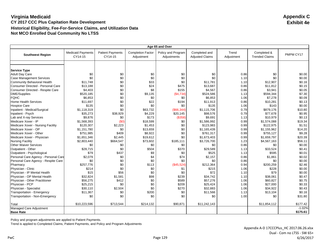|                                               |                                     |                                    |                                        | Age 65 and Over                   |                                         |                     |                                      |           |
|-----------------------------------------------|-------------------------------------|------------------------------------|----------------------------------------|-----------------------------------|-----------------------------------------|---------------------|--------------------------------------|-----------|
| <b>Southwest Region</b>                       | <b>Medicaid Payments</b><br>CY14-15 | <b>Patient Payments</b><br>CY14-15 | <b>Completion Factor</b><br>Adjustment | Policy and Program<br>Adjustments | Completed and<br><b>Adjusted Claims</b> | Trend<br>Adjustment | Completed &<br><b>Trended Claims</b> | PMPM CY17 |
|                                               |                                     |                                    |                                        |                                   |                                         |                     |                                      |           |
|                                               |                                     |                                    |                                        |                                   |                                         |                     |                                      |           |
| <b>Service Type</b><br><b>Adult Day Care</b>  |                                     | \$0                                | \$0                                    | \$0                               | \$0                                     | 0.86                | \$0                                  | \$0.00    |
| <b>Case Management Services</b>               | \$0<br>\$0                          | \$0                                | \$0                                    | \$0                               | \$0                                     | 1.10                | \$0                                  | \$0.00    |
| Community Behavioral Health                   | \$11.748                            | \$0                                | \$33                                   | \$0                               | \$11.781                                | 1.10                | \$12,907                             | \$0.16    |
| Consumer Directed - Personal Care             |                                     |                                    | \$24                                   | \$475                             |                                         | 0.86                |                                      | \$0.15    |
| Consumer Directed - Respite Care              | \$13,188<br>\$4,403                 | \$0<br>\$0                         | \$8                                    | \$155                             | \$13,687<br>\$4,567                     | 0.86                | \$11,812                             | \$0.05    |
|                                               | \$520,185                           | \$0                                | \$9,135                                |                                   |                                         |                     | \$3,941<br>\$594,344                 | \$7.30    |
| <b>DME/Supplies</b>                           |                                     |                                    |                                        | (\$4,734)                         | \$524,586                               | 1.13                |                                      |           |
| <b>FQHC</b>                                   | \$6,853                             | \$0                                | \$0                                    | \$0                               | \$6,853                                 | 1.06                | \$7,278                              | \$0.09    |
| <b>Home Health Services</b>                   | \$11,697                            | \$0                                | \$22                                   | \$194                             | \$11,913                                | 0.86                | \$10,281                             | \$0.13    |
| <b>Hospice Care</b>                           | \$135                               | \$0                                | \$0                                    | \$0                               | \$135                                   | 1.06                | \$143                                | \$0.00    |
| Inpatient - Medical/Surgical                  | \$1,118,319                         | \$0                                | \$63,732                               | (\$66,344)                        | \$1,115,706                             | 0.79                | \$879,176                            | \$10.80   |
| Inpatient - Psych                             | \$35,273                            | \$38,929                           | \$4,229<br>\$173                       | \$20,145                          | \$98,576                                | 0.79                | \$77,678                             | \$0.95    |
| Lab and X-ray Services<br>Medicare Xover - IP | \$9,876                             | \$0                                |                                        | ( \$358)                          | \$9,691                                 | 1.13                | \$10,979                             | \$0.13    |
|                                               | \$1,568,393                         | (50)                               | \$18,599                               | \$0                               | \$1,586,992                             | 0.99                | \$1,574,088                          | \$19.34   |
| Medicare Xover - Nursing Facility             | \$120,307                           | \$2,223                            | \$1,453                                | \$0                               | \$123,983                               | 0.99                | \$122,975                            | \$1.51    |
| Medicare Xover - OP                           | \$1,151,780                         | \$0                                | \$13,659                               | \$0                               | \$1.165.439                             | 0.99                | \$1,155,962                          | \$14.20   |
| Medicare Xover - Other                        | \$751,985                           | \$409                              | \$8,922                                | \$0                               | \$761,317                               | 0.99                | \$755,127                            | \$9.28    |
| Medicare Xover - Physician                    | \$1,651,346                         | \$2,445                            | \$19,612                               | \$0                               | \$1,673,403                             | 0.99                | \$1,659,797                          | \$20.39   |
| <b>Nursing Facility</b>                       | \$2,803,440                         | \$664,547                          | \$73,602                               | \$185,111                         | \$3,726,700                             | 1.23                | \$4,567,163                          | \$56.11   |
| <b>Other Waiver Services</b>                  | \$0                                 | \$0                                | \$0                                    | \$0                               | \$0                                     | 0.86                | \$0                                  | \$0.00    |
| Outpatient - Other                            | \$28,715                            | \$0                                | \$504                                  | \$370                             | \$29,589                                | 1.13                | \$33,524                             | \$0.41    |
| Outpatient - Psychological                    | \$79                                | \$437                              | \$9                                    | \$0                               | \$525                                   | 1.13                | \$595                                | \$0.01    |
| Personal Care Agency - Personal Care          | \$2,079                             | \$0                                | \$4                                    | \$74                              | \$2,157                                 | 0.86                | \$1,861                              | \$0.02    |
| Personal Care Agency - Respite Care           | \$0                                 | \$0                                | \$0                                    | \$0                               | \$0                                     | 0.86                | \$0                                  | \$0.00    |
| Pharmacy                                      | \$257,776                           | \$0                                | \$113                                  | (\$45,524)                        | \$212,364                               | 0.94                | \$200,259                            | \$2.46    |
| Physician - Clinic                            | \$214                               | \$0                                | \$0                                    | \$1                               | \$215                                   | 1.06                | \$228                                | \$0.00    |
| Physician - IP Mental Health                  | \$15                                | \$56                               | \$0                                    | \$0                               | \$72                                    | 1.10                | \$79                                 | \$0.00    |
| Physician - OP Mental Health                  | \$32,824                            | \$1,581                            | \$98                                   | \$239                             | \$34,742                                | 1.10                | \$38,061                             | \$0.47    |
| Physician - Other Practitioner                | \$56,275                            | \$412                              | \$0                                    | \$589                             | \$57,276                                | 1.06                | \$60,827                             | \$0.75    |
| Physician - PCP                               | \$25,215                            | \$0                                | \$0                                    | \$209                             | \$25,424                                | 1.06                | \$27,000                             | \$0.33    |
| Physician - Specialist                        | \$30,110                            | \$2,504                            | \$0                                    | \$270                             | \$32,883                                | 1.06                | \$34,922                             | \$0.43    |
| Transportation - Emergency                    | \$11,367                            | \$0                                | \$200                                  | \$0                               | \$11,566                                | 1.13                | \$13,104                             | \$0.16    |
| Transportation - Non-Emergency                | \$0                                 | \$0                                | \$0                                    | \$0                               | \$0                                     | 1.00                | \$0                                  | \$31.80   |
| Total                                         | \$10,223,596                        | \$713,544                          | \$214,132                              | \$90,871                          | \$11,242,143                            |                     | \$11,854,112                         | \$177.42  |
| Managed Care Adjustment                       |                                     |                                    |                                        |                                   |                                         |                     |                                      | $-1.02%$  |
| <b>Base Rate</b>                              |                                     |                                    |                                        |                                   |                                         |                     |                                      | \$175.61  |

Policy and program adjustments are applied to Patient Payments.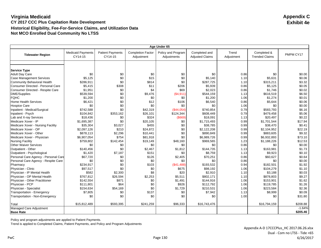|                                              |                                     |                                    |                                        | Age Under 65                      |                                         |                     |                                      |           |
|----------------------------------------------|-------------------------------------|------------------------------------|----------------------------------------|-----------------------------------|-----------------------------------------|---------------------|--------------------------------------|-----------|
| <b>Tidewater Region</b>                      | <b>Medicaid Payments</b><br>CY14-15 | <b>Patient Payments</b><br>CY14-15 | <b>Completion Factor</b><br>Adjustment | Policy and Program<br>Adjustments | Completed and<br><b>Adjusted Claims</b> | Trend<br>Adjustment | Completed &<br><b>Trended Claims</b> | PMPM CY17 |
|                                              |                                     |                                    |                                        |                                   |                                         |                     |                                      |           |
|                                              |                                     |                                    |                                        |                                   |                                         |                     |                                      |           |
| <b>Service Type</b><br><b>Adult Day Care</b> | \$0                                 | \$0                                | \$0                                    | \$0                               | \$0                                     | 0.86                | \$0                                  | \$0.00    |
| <b>Case Management Services</b>              | \$5,125                             | \$0                                | \$15                                   | \$0                               | \$5,140                                 | 1.10                | \$5,631                              | \$0.06    |
| <b>Community Behavioral Health</b>           | \$286,911                           | \$0                                | \$814                                  | \$0                               | \$287,725                               | 1.10                | \$315,211                            | \$3.32    |
| Consumer Directed - Personal Care            | \$5,415                             | \$308                              | \$11                                   | \$206                             | \$5,939                                 | 0.86                | \$5,125                              | \$0.05    |
| Consumer Directed - Respite Care             | \$1,951                             | \$0                                | \$4                                    | \$69                              | \$2,023                                 | 0.86                | \$1,746                              | \$0.02    |
| DME/Supplies                                 | \$539,594                           | \$0                                | \$9,476                                | (\$4,911)                         | \$544,159                               | 1.13                | \$616,519                            | \$6.50    |
| <b>FQHC</b>                                  | \$1,200                             | \$0                                | \$0                                    | \$0                               | \$1,200                                 | 1.06                | \$1,274                              | \$0.01    |
| Home Health Services                         | \$6,421                             | \$0                                | \$12                                   | \$106                             | \$6,540                                 | 0.86                | \$5,644                              | \$0.06    |
| <b>Hospice Care</b>                          | \$0                                 | \$0                                | \$0                                    | \$0                               | \$0                                     | 1.06                | \$0                                  | \$0.00    |
| Inpatient - Medical/Surgical                 | \$742,588                           | \$0                                | \$42,319                               | (\$44,054)                        | \$740,854                               | 0.79                | \$583,793                            | \$6.16    |
| Inpatient - Psych                            | \$104,842                           | \$353,162                          | \$26,101                               | \$124,344                         | \$608,449                               | 0.79                | \$479,458                            | \$5.06    |
| Lab and X-ray Services                       | \$18,436                            | \$0                                | \$324                                  | (\$669)                           | \$18,091                                | 1.13                | \$20,497                             | \$0.22    |
| Medicare Xover - IP                          | \$1,695,387                         | \$0                                | \$20,105                               | \$0                               | \$1,715,493                             | 0.99                | \$1,701,544                          | \$17.94   |
| Medicare Xover - Nursing Facility            | \$35,304                            | \$3,027                            | \$455                                  | \$0                               | \$38,785                                | 0.99                | \$38,470                             | \$0.41    |
| Medicare Xover - OP                          | \$2,097,126                         | \$210                              | \$24,872                               | \$0                               | \$2,122,208                             | 0.99                | \$2,104,952                          | \$22.19   |
| Medicare Xover - Other                       | \$878,113                           | \$2,296                            | \$10,441                               | \$0                               | \$890,849                               | 0.99                | \$883,605                            | \$9.32    |
| Medicare Xover - Physician                   | \$6,907,054                         | \$754                              | \$81,918                               | \$0                               | \$6,989,726                             | 0.99                | \$6,932,893                          | \$73.10   |
| <b>Nursing Facility</b>                      | \$759,802                           | \$142,454                          | \$19,149                               | \$48,160                          | \$969,565                               | 1.23                | \$1,188,226                          | \$12.53   |
| <b>Other Waiver Services</b>                 | \$0                                 | \$0                                | \$0                                    | \$0                               | \$0                                     | 0.86                | \$0                                  | \$0.00    |
| Outpatient - Other                           | \$140,456                           | \$0                                | \$2,467                                | \$1,812                           | \$144,735                               | 1.13                | \$163,981                            | \$1.73    |
| Outpatient - Psychological                   | \$1,420                             | \$7,187                            | \$151                                  | \$0                               | \$8,759                                 | 1.13                | \$9,923                              | \$0.10    |
| Personal Care Agency - Personal Care         | \$67,720                            | \$0                                | \$126                                  | \$2,405                           | \$70,251                                | 0.86                | \$60,627                             | \$0.64    |
| Personal Care Agency - Respite Care          | \$0                                 | \$0                                | \$0                                    | \$0                               | \$0                                     | 0.86                | \$0                                  | \$0.00    |
| Pharmacy                                     | \$234,917                           | \$0                                | \$103                                  | (S41, 488)                        | \$193,532                               | 0.94                | \$182,501                            | \$1.92    |
| Physician - Clinic                           | \$97,517                            | \$0                                | \$0                                    | \$675                             | \$98,192                                | 1.06                | \$104,279                            | \$1.10    |
| Physician - IP Mental Health                 | \$582                               | \$2,300                            | \$8                                    | \$20                              | \$2,910                                 | 1.10                | \$3,188                              | \$0.03    |
| Physician - OP Mental Health                 | \$767,812                           | \$26,594                           | \$2,253                                | \$5,511                           | \$802,171                               | 1.10                | \$878,803                            | \$9.27    |
| Physician - Other Practitioner               | \$142,554                           | \$871                              | \$0                                    | \$1,491                           | \$144,916                               | 1.06                | \$153,901                            | \$1.62    |
| Physician - PCP                              | \$111,801                           | \$64                               | \$0                                    | \$926                             | \$112,792                               | 1.06                | \$119,785                            | \$1.26    |
| Physician - Specialist                       | \$154,634                           | \$54,169                           | \$0                                    | \$1,729                           | \$210,531                               | 1.06                | \$223,584                            | \$2.36    |
| Transportation - Emergency                   | \$7,805                             | \$0                                | \$137                                  | \$0                               | \$7,942                                 | 1.13                | \$8,999                              | \$0.09    |
| Transportation - Non-Emergency               | \$0                                 | \$0                                | \$0                                    | \$0                               | \$0                                     | 1.00                | \$0                                  | \$31.80   |
|                                              |                                     |                                    |                                        |                                   |                                         |                     |                                      |           |
| Total                                        | \$15,812,489                        | \$593,395                          | \$241,259                              | \$96,333                          | \$16,743,476                            |                     | \$16,794,159                         | \$208.88  |
| Managed Care Adjustment                      |                                     |                                    |                                        |                                   |                                         |                     |                                      | $-1.64%$  |
| <b>Base Rate</b>                             |                                     |                                    |                                        |                                   |                                         |                     |                                      | \$205.46  |

Policy and program adjustments are applied to Patient Payments.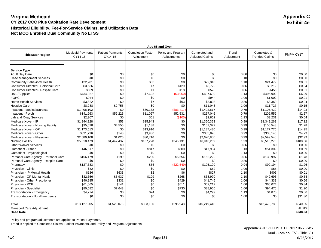|                                                          |                                     |                                    |                                        | Age 65 and Over                   |                                         |                     |                                      |           |
|----------------------------------------------------------|-------------------------------------|------------------------------------|----------------------------------------|-----------------------------------|-----------------------------------------|---------------------|--------------------------------------|-----------|
| <b>Tidewater Region</b>                                  | <b>Medicaid Payments</b><br>CY14-15 | <b>Patient Payments</b><br>CY14-15 | <b>Completion Factor</b><br>Adjustment | Policy and Program<br>Adjustments | Completed and<br><b>Adjusted Claims</b> | Trend<br>Adjustment | Completed &<br><b>Trended Claims</b> | PMPM CY17 |
|                                                          |                                     |                                    |                                        |                                   |                                         |                     |                                      |           |
|                                                          |                                     |                                    |                                        |                                   |                                         |                     |                                      |           |
| <b>Service Type</b>                                      |                                     | \$0                                | \$0                                    | \$0                               | \$0                                     | 0.86                | \$0                                  | \$0.00    |
| <b>Adult Day Care</b><br><b>Case Management Services</b> | \$0<br>\$0                          | \$0                                | \$0                                    | \$0                               | \$0                                     | 1.10                | \$0                                  | \$0.00    |
| Community Behavioral Health                              |                                     | \$0                                | \$63                                   | \$0                               | \$22,345                                | 1.10                |                                      | \$0.31    |
| Consumer Directed - Personal Care                        | \$22,281<br>\$3,586                 | \$0                                | \$7                                    | \$129                             | \$3,722                                 | 0.86                | \$24,479<br>\$3,212                  | \$0.04    |
|                                                          | \$509                               |                                    |                                        | \$18                              | \$528                                   |                     | \$456                                | \$0.01    |
| Consumer Directed - Respite Care                         |                                     | \$0                                | \$1                                    |                                   |                                         | 0.86                |                                      |           |
| DME/Supplies                                             | \$434,027                           | \$0                                | \$7,622                                | (\$3,950)                         | \$437,699                               | 1.13                | \$495,902                            | \$6.29    |
| <b>FQHC</b>                                              | \$944                               | \$0                                | \$0                                    | \$0                               | \$944                                   | 1.06                | \$1,002                              | \$0.01    |
| <b>Home Health Services</b>                              | \$3,822                             | \$0                                | \$7                                    | \$63                              | \$3,893                                 | 0.86                | \$3,359                              | \$0.04    |
| <b>Hospice Care</b>                                      | \$8,288                             | \$2,755                            | \$0                                    | \$0                               | \$11,043                                | 1.06                | \$11,727                             | \$0.15    |
| Inpatient - Medical/Surgical                             | \$1,406,102                         | \$0                                | \$80,132                               | (\$83,417)                        | \$1,402,817                             | 0.79                | \$1,105,420                          | \$14.03   |
| Inpatient - Psych                                        | \$141,263                           | \$52,225                           | \$11,027                               | \$52,531                          | \$257,046                               | 0.79                | \$202,552                            | \$2.57    |
| Lab and X-ray Services                                   | \$2,907                             | \$0                                | \$51                                   | (\$105)                           | \$2,852                                 | 1.13                | \$3,231                              | \$0.04    |
| Medicare Xover - IP                                      | \$1,344,328                         | \$53                               | \$15,943                               | \$0                               | \$1,360,323                             | 0.99                | \$1,349,263                          | \$17.12   |
| Medicare Xover - Nursing Facility                        | \$95,628                            | \$4,555                            | \$1,188                                | \$0                               | \$101,372                               | 0.99                | \$100,548                            | \$1.28    |
| Medicare Xover - OP                                      | \$1,173,513                         | \$0                                | \$13,916                               | \$0                               | \$1,187,430                             | 0.99                | \$1,177,775                          | \$14.95   |
| Medicare Xover - Other                                   | \$331,796                           | \$143                              | \$3,936                                | \$0                               | \$335,876                               | 0.99                | \$333,145                            | \$4.23    |
| Medicare Xover - Physician                               | \$2,589,108                         | \$1,026                            | \$30,716                               | \$0                               | \$2,620,850                             | 0.99                | \$2,599,540                          | \$32.99   |
| <b>Nursing Facility</b>                                  | \$5,018,473                         | \$1,447,437                        | \$137,228                              | \$345,131                         | \$6,948,269                             | 1.23                | \$8,515,275                          | \$108.06  |
| <b>Other Waiver Services</b>                             | \$0                                 | \$0                                | \$0                                    | \$0                               | \$0                                     | 0.86                | \$0                                  | \$0.00    |
| Outpatient - Other                                       | \$46,517                            | \$0                                | \$817                                  | \$600                             | \$47,934                                | 1.13                | \$54,309                             | \$0.69    |
| Outpatient - Psychological                               | \$0                                 | \$0                                | \$0                                    | \$0                               | \$0                                     | 1.13                | \$0                                  | \$0.00    |
| Personal Care Agency - Personal Care                     | \$156,179                           | \$199                              | \$290                                  | \$5,554                           | \$162,222                               | 0.86                | \$139,997                            | \$1.78    |
| Personal Care Agency - Respite Care                      | \$0                                 | \$0                                | \$0                                    | \$0                               | \$0                                     | 0.86                | \$0                                  | \$0.00    |
| Pharmacy                                                 | \$127,683                           | \$0                                | \$56                                   | (\$22,549)                        | \$105,190                               | 0.94                | \$99,194                             | \$1.26    |
| Physician - Clinic                                       | \$52                                | \$0                                | \$0                                    | \$0                               | \$52                                    | 1.06                | \$55                                 | \$0.00    |
| Physician - IP Mental Health                             | \$186                               | \$633                              | \$2                                    | \$6                               | \$827                                   | 1.10                | \$906                                | \$0.01    |
| Physician - OP Mental Health                             | \$32,656                            | \$5,937                            | \$109                                  | \$268                             | \$38,970                                | 1.10                | \$42,693                             | \$0.54    |
| Physician - Other Practitioner                           | \$40,985                            | \$331                              | \$0                                    | \$429                             | \$41,745                                | 1.06                | \$44,333                             | \$0.56    |
| Physician - PCP                                          | \$61,565                            | \$141                              | \$0                                    | \$511                             | \$62,217                                | 1.06                | \$66,074                             | \$0.84    |
| Physician - Specialist                                   | \$80,582                            | \$7,643                            | \$0                                    | \$730                             | \$88,955                                | 1.06                | \$94,470                             | \$1.20    |
| Transportation - Emergency                               | \$4,224                             | \$0                                | \$74                                   | \$0                               | \$4,299                                 | 1.13                | \$4,870                              | \$0.06    |
| Transportation - Non-Emergency                           | \$0                                 | \$0                                | \$0                                    | \$0                               | \$0                                     | 1.00                | \$0                                  | \$31.80   |
| Total                                                    | \$13,127,205                        | \$1,523,078                        | \$303,186                              | \$295,948                         | \$15,249,418                            |                     | \$16,473,788                         | \$240.85  |
| Managed Care Adjustment                                  |                                     |                                    |                                        |                                   |                                         |                     |                                      | $-0.84%$  |
| <b>Base Rate</b>                                         |                                     |                                    |                                        |                                   |                                         |                     |                                      | \$238.83  |

Policy and program adjustments are applied to Patient Payments.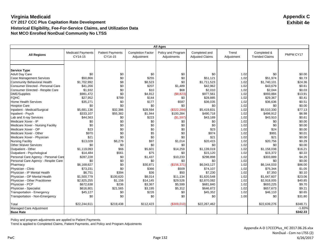|                                                                |                                     |                                    |                                        | <b>All Ages</b>                   |                                         |                     |                                      |                  |
|----------------------------------------------------------------|-------------------------------------|------------------------------------|----------------------------------------|-----------------------------------|-----------------------------------------|---------------------|--------------------------------------|------------------|
| <b>All Regions</b>                                             | <b>Medicaid Payments</b><br>CY14-15 | <b>Patient Payments</b><br>CY14-15 | <b>Completion Factor</b><br>Adjustment | Policy and Program<br>Adjustments | Completed and<br><b>Adjusted Claims</b> | Trend<br>Adjustment | Completed &<br><b>Trended Claims</b> | PMPM CY17        |
|                                                                |                                     |                                    |                                        |                                   |                                         |                     |                                      |                  |
|                                                                |                                     |                                    |                                        |                                   |                                         |                     |                                      |                  |
| <b>Service Type</b>                                            |                                     |                                    |                                        |                                   |                                         |                     |                                      |                  |
| <b>Adult Day Care</b>                                          | \$0<br>\$50.866                     | \$0                                | \$0<br>\$255                           | \$0<br>\$0                        | \$0<br>\$51.121                         | 1.02<br>1.02        | \$0<br>\$51,974                      | \$0.00<br>\$0.73 |
| <b>Case Management Services</b><br>Community Behavioral Health | \$1,702,992                         | \$0<br>\$8                         | \$8,523                                | \$0                               | \$1,711,523                             | 1.02                | \$1,740,101                          | \$24.36          |
| Consumer Directed - Personal Care                              | \$41,266                            | \$0                                | \$207                                  | \$1,489                           | \$42,962                                | 1.02                | \$43,679                             | \$0.61           |
| Consumer Directed - Respite Care                               | \$1,932                             | \$0                                | \$10                                   | \$68                              | \$2,010                                 | 1.02                | \$2,044                              | \$0.03           |
| DME/Supplies                                                   | \$981,472                           | \$0                                | \$4,912                                | (\$8,823)                         | \$977,561                               | 1.02                | \$993,884                            | \$13.91          |
| <b>FQHC</b>                                                    | \$27,952                            | \$789                              | \$144                                  | \$0                               | \$28,885                                | 1.02                | \$29,367                             | \$0.41           |
| <b>Home Health Services</b>                                    | \$35,271                            | \$0                                | \$177                                  | \$587                             | \$36,035                                | 1.02                | \$36,636                             | \$0.51           |
| <b>Hospice Care</b>                                            | \$0                                 | \$0                                | \$0                                    | \$0                               | \$0                                     | 1.02                | \$0                                  | \$0.00           |
| Inpatient - Medical/Surgical                                   | \$5,681,136                         | \$32,386                           | \$28,594                               | (\$322, 284)                      | \$5,419,831                             | 1.02                | \$5,510,330                          | \$77.13          |
| Inpatient - Psych                                              | \$333,107                           | \$55,382                           | \$1,944                                | \$100,284                         | \$490.718                               | 1.02                | \$498,912                            | \$6.98           |
| Lab and X-ray Services                                         | \$44,563                            | \$0                                | \$223                                  | (\$1,597)                         | \$43,189                                | 1.02                | \$43,910                             | \$0.61           |
| Medicare Xover - IP                                            | \$0                                 | \$0                                | \$0                                    | \$0                               | \$0                                     | 1.02                | \$0                                  | \$0.00           |
| Medicare Xover - Nursing Facility                              | \$0                                 | \$0                                | \$0                                    | \$0                               | \$0                                     | 1.02                | \$0                                  | \$0.00           |
| Medicare Xover - OP                                            | \$23                                | \$0                                | \$0                                    | \$0                               | \$23                                    | 1.02                | \$24                                 | \$0.00           |
| Medicare Xover - Other                                         | \$970                               | \$0                                | \$5                                    | \$0                               | \$974                                   | 1.02                | \$991                                | \$0.01           |
| Medicare Xover - Physician                                     | \$21                                | \$0                                | \$0                                    | \$0                               | \$21                                    | 1.02                | \$21                                 | \$0.00           |
| <b>Nursing Facility</b>                                        | \$13,028                            | \$6,276                            | \$97                                   | \$1,014                           | \$20,415                                | 1.02                | \$20,756                             | \$0.29           |
| <b>Other Waiver Services</b>                                   | \$0                                 | \$0                                | \$0                                    | \$0                               | \$0                                     | 1.02                | \$0                                  | \$0.00           |
| Outpatient - Other                                             | \$1,119,093                         | \$66                               | \$5,601                                | \$14,259                          | \$1,139,019                             | 1.02                | \$1,158,038                          | \$16.21          |
| Outpatient - Psychological                                     | \$14,484                            | \$561                              | \$75                                   | \$0                               | \$15,120                                | 1.02                | \$15,372                             | \$0.22           |
| Personal Care Agency - Personal Care                           | \$287,228                           | \$0                                | \$1,437                                | \$10,233                          | \$298,898                               | 1.02                | \$303,889                            | \$4.25           |
| Personal Care Agency - Respite Care                            | \$0                                 | \$0                                | \$0                                    | \$0                               | \$0                                     | 1.02                | \$0                                  | \$0.00           |
| Pharmacy                                                       | \$6,168,627                         | \$0                                | \$30,871                               | (\$156, 371)                      | \$6,043,127                             | 1.02                | \$6,144,033                          | \$86.00          |
| Physician - Clinic                                             | \$73,231                            | \$0                                | \$366                                  | \$509                             | \$74,107                                | 1.02                | \$75,344                             | \$1.05           |
| Physician - IP Mental Health                                   | \$6,751                             | \$394                              | \$36                                   | \$50                              | \$7,230                                 | 1.02                | \$7,350                              | \$0.10           |
| Physician - OP Mental Health                                   | \$1,500,779                         | \$100,620                          | \$8,014                                | \$11,134                          | \$1,620,548                             | 1.02                | \$1,647,607                          | \$23.06          |
| Physician - Other Practitioner                                 | \$2,825,255                         | \$1,156                            | \$14,145                               | \$29,526                          | \$2,870,082                             | 1.02                | \$2,918,005                          | \$40.85          |
| Physician - PCP                                                | \$672,638                           | \$236                              | \$3,367                                | \$5,599                           | \$681,840                               | 1.02                | \$693,225                            | \$9.70           |
| Physician - Specialist                                         | \$616,801                           | \$21,565                           | \$3,195                                | \$5,312                           | \$646,872                               | 1.02                | \$657,673                            | \$9.21           |
| Transportation - Emergency                                     | \$45,127                            | \$0                                | \$226                                  | \$0                               | \$45,352                                | 1.02                | \$46,110                             | \$0.65           |
| Transportation - Non-Emergency                                 | \$0                                 | \$0                                | \$0                                    | \$0                               | \$0                                     | 1.00                | \$0                                  | \$31.80          |
| Total                                                          | \$22,244,611                        | \$219,438                          | \$112,423                              | (\$309,010)                       | \$22,267,462                            |                     | \$22,639,276                         | \$348.71         |
| Managed Care Adjustment                                        |                                     |                                    |                                        |                                   |                                         |                     |                                      | $-1.83%$         |
| <b>Base Rate</b>                                               |                                     |                                    |                                        |                                   |                                         |                     |                                      | \$342.33         |

Policy and program adjustments are applied to Patient Payments.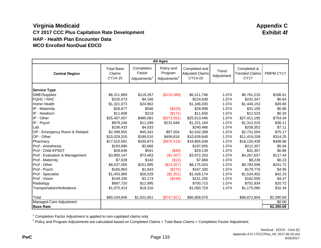|                                |                                        |                                                  | <b>All Ages</b>                                   |                                                    |                     |                                                     |            |
|--------------------------------|----------------------------------------|--------------------------------------------------|---------------------------------------------------|----------------------------------------------------|---------------------|-----------------------------------------------------|------------|
| <b>Central Region</b>          | <b>Total Base</b><br>Claims<br>CY14-15 | Completion<br>Factor<br>Adjustments <sup>1</sup> | Policy and<br>Program<br>Adjustments <sup>2</sup> | Completed and<br><b>Adjusted Claims</b><br>CY14-15 | Trend<br>Adjustment | Completed &<br><b>Trended Claims</b><br><b>CY17</b> | PMPM CY17  |
| <b>Service Type</b>            |                                        |                                                  |                                                   |                                                    |                     |                                                     |            |
| DME/Supplies                   | \$6,311,869                            | \$119,267                                        | (\$119,389)                                       | \$6,311,746                                        | 1.074               | \$6,781,215                                         | \$186.61   |
| <b>FQHC / RHC</b>              | \$220,473                              | \$4,166                                          |                                                   | \$224,639                                          | 1.074               | \$241,347                                           | \$6.64     |
| Home Health                    | \$1,321,073                            | \$24,962                                         |                                                   | \$1,346,035                                        | 1.074               | \$1,446,153                                         | \$39.80    |
| IP - Maternity                 | \$28,877                               | \$546                                            | (\$425)                                           | \$28,998                                           | 1.074               | \$31,155                                            | \$0.86     |
| IP - Newborn                   | \$11,608                               | \$219                                            | (\$171)                                           | \$11,656                                           | 1.074               | \$12,523                                            | \$0.34     |
| IP - Other                     | \$25,407,007                           | \$480,081                                        | (\$373,591)                                       | \$25,513,496                                       | 1.074               | \$27,411,195                                        | \$754.34   |
| IP - Psych                     | \$978,246                              | \$11,289                                         | \$231,649                                         | \$1,221,184                                        | 1.074               | \$1,312,015                                         | \$36.11    |
| Lab                            | \$236,433                              | \$4,033                                          |                                                   | \$240,466                                          | 1.074               | \$258,352                                           | \$7.11     |
| OP - Emergency Room & Related  | \$2,399,555                            | \$45,341                                         | \$97,504                                          | \$2,542,399                                        | 1.074               | \$2,731,504                                         | \$75.17    |
| OP - Other                     | \$10,029,320                           | \$189,510                                        | \$409,818                                         | \$10,628,648                                       | 1.074               | \$11,419,209                                        | \$314.25   |
| Pharmacy                       | \$17,510,581                           | \$330,873                                        | (\$975,516)                                       | \$16,865,938                                       | 1.074               | \$18,120,430                                        | \$498.66   |
| Prof - Anesthesia              | \$193,990                              | \$3,666                                          |                                                   | \$197,655                                          | 1.074               | \$212,357                                           | \$5.84     |
| Prof - Child EPSDT             | \$28,646                               | \$541                                            | (\$48)                                            | \$29,139                                           | 1.074               | \$31,307                                            | \$0.86     |
| Prof - Evaluation & Management | \$3,900,147                            | \$73,463                                         | (\$1,407)                                         | \$3,972,203                                        | 1.074               | \$4,267,657                                         | \$117.44   |
| <b>Prof - Maternity</b>        | \$7,539                                | \$142                                            | (\$13)                                            | \$7,668                                            | 1.074               | \$8,239                                             | \$0.23     |
| Prof - Other                   | \$8,037,065                            | \$151,895                                        | (\$13,457)                                        | \$8,175,503                                        | 1.074               | \$8,783,598                                         | \$241.72   |
| Prof - Psych                   | \$165,963                              | \$1,643                                          | (\$275)                                           | \$167,330                                          | 1.074               | \$179,776                                           | \$4.95     |
| Prof - Specialist              | \$1,403,995                            | \$26,529                                         | (\$2,351)                                         | \$1,428,174                                        | 1.074               | \$1,534,402                                         | \$42.23    |
| Prof - Vision                  | \$149,330                              | \$2,174                                          | (\$249)                                           | \$151,255                                          | 1.074               | \$162,505                                           | \$4.47     |
| Radiology                      | \$687,720                              | \$12,995                                         |                                                   | \$700,715                                          | 1.074               | \$752,834                                           | \$20.72    |
| Transportation/Ambulance       | \$1,075,413                            | \$18,316                                         |                                                   | \$1,093,729                                        | 1.074               | \$1,175,080                                         | \$32.34    |
| Total                          | \$80,104,846                           | \$1,501,651                                      | $(\$747,921)$                                     | \$80,858,576                                       |                     | \$86,872,854                                        | \$2,390.69 |
| Managed Care Adjustment        |                                        |                                                  |                                                   |                                                    |                     |                                                     | \$0.00     |
| <b>Base Rate</b>               |                                        |                                                  |                                                   |                                                    |                     |                                                     | \$2,390.69 |

<sup>1</sup> Completion Factor Adjustment is applied to non-capitated claims only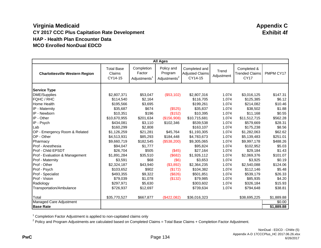|                                       |                                        |                                     | <b>All Ages</b>                                   |                                                    |                     |                                                     |            |
|---------------------------------------|----------------------------------------|-------------------------------------|---------------------------------------------------|----------------------------------------------------|---------------------|-----------------------------------------------------|------------|
| <b>Charlottesville Western Region</b> | <b>Total Base</b><br>Claims<br>CY14-15 | Completion<br>Factor<br>Adjustments | Policy and<br>Program<br>Adjustments <sup>2</sup> | Completed and<br><b>Adjusted Claims</b><br>CY14-15 | Trend<br>Adjustment | Completed &<br><b>Trended Claims</b><br><b>CY17</b> | PMPM CY17  |
| <b>Service Type</b>                   |                                        |                                     |                                                   |                                                    |                     |                                                     |            |
| DME/Supplies                          | \$2,807,371                            | \$53,047                            | (\$53,102)                                        | \$2,807,316                                        | 1.074               | \$3,016,125                                         | \$147.31   |
| <b>FQHC / RHC</b>                     | \$114,540                              | \$2,164                             |                                                   | \$116,705                                          | 1.074               | \$125,385                                           | \$6.12     |
| Home Health                           | \$195,566                              | \$3,695                             |                                                   | \$199,261                                          | 1.074               | \$214,082                                           | \$10.46    |
| IP - Maternity                        | \$35,687                               | \$674                               | (\$525)                                           | \$35,837                                           | 1.074               | \$38,502                                            | \$1.88     |
| IP - Newborn                          | \$10,351                               | \$196                               | (\$152)                                           | \$10,395                                           | 1.074               | \$11,168                                            | \$0.55     |
| IP - Other                            | \$10,670,955                           | \$201,634                           | (\$156,908)                                       | \$10,715,681                                       | 1.074               | \$11,512,715                                        | \$562.28   |
| IP - Psych                            | \$434,081                              | \$3,110                             | \$102,346                                         | \$539,538                                          | 1.074               | \$579,669                                           | \$28.31    |
| Lab                                   | \$160,299                              | \$2,808                             |                                                   | \$163,107                                          | 1.074               | \$175,238                                           | \$8.56     |
| OP - Emergency Room & Related         | \$1,126,259                            | \$21,281                            | \$45,764                                          | \$1,193,305                                        | 1.074               | \$1,282,063                                         | \$62.62    |
| OP - Other                            | \$4,513,931                            | \$85,293                            | \$184,448                                         | \$4,783,673                                        | 1.074               | \$5,139,483                                         | \$251.01   |
| Pharmacy                              | \$9,660,719                            | \$182,545                           | (\$538,200)                                       | \$9,305,065                                        | 1.074               | \$9,997,178                                         | \$488.26   |
| <b>Prof</b> - Anesthesia              | \$94,047                               | \$1,777                             |                                                   | \$95,824                                           | 1.074               | \$102,952                                           | \$5.03     |
| Prof - Child EPSDT                    | \$26,704                               | \$505                               | (\$45)                                            | \$27,164                                           | 1.074               | \$29,184                                            | \$1.43     |
| Prof - Evaluation & Management        | \$1,891,284                            | \$35,510                            | (\$682)                                           | \$1,926,112                                        | 1.074               | \$2,069,376                                         | \$101.07   |
| Prof - Maternity                      | \$3,591                                | \$68                                | $($ \$6)                                          | \$3,653                                            | 1.074               | \$3,925                                             | \$0.19     |
| Prof - Other                          | \$2,324,187                            | \$43,940                            | (\$3,892)                                         | \$2,364,235                                        | 1.074               | \$2,540,088                                         | \$124.06   |
| Prof - Psych                          | \$103,652                              | \$902                               | (\$172)                                           | \$104,382                                          | 1.074               | \$112,146                                           | \$5.48     |
| Prof - Specialist                     | \$493,355                              | \$9,322                             | (\$826)                                           | \$501,851                                          | 1.074               | \$539,179                                           | \$26.33    |
| Prof - Vision                         | \$79,039                               | \$1,078                             | (\$132)                                           | \$79,985                                           | 1.074               | \$85,935                                            | \$4.20     |
| Radiology                             | \$297,971                              | \$5,630                             |                                                   | \$303,602                                          | 1.074               | \$326,184                                           | \$15.93    |
| Transportation/Ambulance              | \$726,937                              | \$12,697                            |                                                   | \$739,634                                          | 1.074               | \$794,648                                           | \$38.81    |
| Total                                 | \$35,770,527                           | \$667,877                           | $(\$422,082)$                                     | \$36,016,323                                       |                     | \$38,695,225                                        | \$1,889.88 |
| Managed Care Adjustment               |                                        |                                     |                                                   |                                                    |                     |                                                     | \$0.00     |
| <b>Base Rate</b>                      |                                        |                                     |                                                   |                                                    |                     |                                                     | \$1,889.88 |

<sup>1</sup> Completion Factor Adjustment is applied to non-capitated claims only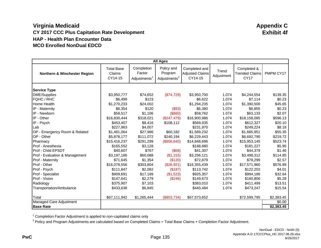|                                         |                                        |                                     | <b>All Ages</b>                                   |                                                    |                     |                                                     |            |
|-----------------------------------------|----------------------------------------|-------------------------------------|---------------------------------------------------|----------------------------------------------------|---------------------|-----------------------------------------------------|------------|
| <b>Northern &amp; Winchester Region</b> | <b>Total Base</b><br>Claims<br>CY14-15 | Completion<br>Factor<br>Adjustments | Policy and<br>Program<br>Adjustments <sup>2</sup> | Completed and<br><b>Adjusted Claims</b><br>CY14-15 | Trend<br>Adjustment | Completed &<br><b>Trended Claims</b><br><b>CY17</b> | PMPM CY17  |
| <b>Service Type</b>                     |                                        |                                     |                                                   |                                                    |                     |                                                     |            |
| DME/Supplies                            | \$3,950,777                            | \$74,652                            | (\$74,729)                                        | \$3,950,700                                        | 1.074               | \$4,244,554                                         | \$139.35   |
| <b>FQHC / RHC</b>                       | \$6,499                                | \$123                               |                                                   | \$6,622                                            | 1.074               | \$7,114                                             | \$0.23     |
| Home Health                             | \$1,270,233                            | \$24,002                            |                                                   | \$1,294,235                                        | 1.074               | \$1,390,500                                         | \$45.65    |
| IP - Maternity                          | \$6,354                                | \$120                               | (\$93)                                            | \$6,380                                            | 1.074               | \$6,855                                             | \$0.23     |
| IP - Newborn                            | \$58,517                               | \$1,106                             | (\$860)                                           | \$58,762                                           | 1.074               | \$63,133                                            | \$2.07     |
| IP - Other                              | \$16,830,444                           | \$318,021                           | (\$247,479)                                       | \$16,900,986                                       | 1.074               | \$18,158,085                                        | \$596.13   |
| IP - Psych                              | \$453,407                              | \$8,416                             | \$108,112                                         | \$569,935                                          | 1.074               | \$612,327                                           | \$20.10    |
| Lab                                     | \$227,963                              | \$4,007                             |                                                   | \$231,970                                          | 1.074               | \$249,224                                           | \$8.18     |
| OP - Emergency Room & Related           | \$1,481,064                            | \$27,986                            | \$60,182                                          | \$1,569,232                                        | 1.074               | \$1,685,951                                         | \$55.35    |
| OP - Other                              | \$5,878,177                            | \$111,072                           | \$240,194                                         | \$6,229,443                                        | 1.074               | \$6,692,790                                         | \$219.72   |
| Pharmacy                                | \$15,416,237                           | \$291,299                           | (\$858, 840)                                      | \$14,848,696                                       | 1.074               | \$15,953,145                                        | \$523.74   |
| <b>Prof</b> - Anesthesia                | \$165,552                              | \$3,128                             |                                                   | \$168,680                                          | 1.074               | \$181,227                                           | \$5.95     |
| Prof - Child EPSDT                      | \$40,607                               | \$767                               | (\$68)                                            | \$41,307                                           | 1.074               | \$44,379                                            | \$1.46     |
| Prof - Evaluation & Management          | \$3,197,186                            | \$60,088                            | (\$1,153)                                         | \$3,256,121                                        | 1.074               | \$3,498,312                                         | \$114.85   |
| Prof - Maternity                        | \$71,645                               | \$1,354                             | (\$120)                                           | \$72,879                                           | 1.074               | \$78,299                                            | \$2.57     |
| Prof - Other                            | \$16,078,556                           | \$303,804                           | (\$26,921)                                        | \$16,355,439                                       | 1.074               | \$17,571,960                                        | \$576.89   |
| Prof - Psych                            | \$111,847                              | \$2,082                             | (\$187)                                           | \$113,742                                          | 1.074               | \$122,202                                           | \$4.01     |
| Prof - Specialist                       | \$909,691                              | \$17,189                            | (\$1,523)                                         | \$925,357                                          | 1.074               | \$994,186                                           | \$32.64    |
| Prof - Vision                           | \$147,641                              | \$2,279                             | (\$246)                                           | \$149,673                                          | 1.074               | \$160,806                                           | \$5.28     |
| Radiology                               | \$375,907                              | \$7,103                             |                                                   | \$383,010                                          | 1.074               | \$411,499                                           | \$13.51    |
| Transportation/Ambulance                | \$433,638                              | \$6,845                             |                                                   | \$440,484                                          | 1.074               | \$473,247                                           | \$15.54    |
| Total                                   | \$67,111,942                           | \$1,265,444                         | $(\$803,734)$                                     | \$67,573,652                                       |                     | \$72,599,795                                        | \$2,383.45 |
| Managed Care Adjustment                 |                                        |                                     |                                                   |                                                    |                     |                                                     | \$0.00     |
| <b>Base Rate</b>                        |                                        |                                     |                                                   |                                                    |                     |                                                     | \$2,383.45 |

<sup>1</sup> Completion Factor Adjustment is applied to non-capitated claims only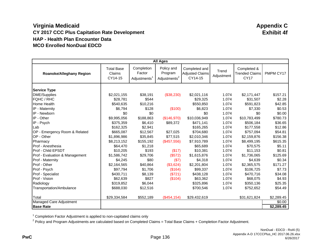|                                 |                                        |                                     | <b>All Ages</b>                                   |                                                    |                     |                                                     |            |
|---------------------------------|----------------------------------------|-------------------------------------|---------------------------------------------------|----------------------------------------------------|---------------------|-----------------------------------------------------|------------|
| <b>Roanoke/Alleghany Region</b> | <b>Total Base</b><br>Claims<br>CY14-15 | Completion<br>Factor<br>Adjustments | Policy and<br>Program<br>Adjustments <sup>2</sup> | Completed and<br><b>Adjusted Claims</b><br>CY14-15 | Trend<br>Adjustment | Completed &<br><b>Trended Claims</b><br><b>CY17</b> | PMPM CY17  |
| <b>Service Type</b>             |                                        |                                     |                                                   |                                                    |                     |                                                     |            |
| DME/Supplies                    | \$2,021,155                            | \$38,191                            | (\$38,230)                                        | \$2,021,116                                        | 1.074               | \$2,171,447                                         | \$157.21   |
| <b>FQHC / RHC</b>               | \$28,781                               | \$544                               |                                                   | \$29,325                                           | 1.074               | \$31,507                                            | \$2.28     |
| Home Health                     | \$540,635                              | \$10,216                            |                                                   | \$550,850                                          | 1.074               | \$591,823                                           | \$42.85    |
| IP - Maternity                  | \$6,794                                | \$128                               | (\$100)                                           | \$6,823                                            | 1.074               | \$7,330                                             | \$0.53     |
| IP - Newborn                    | \$0                                    | \$0                                 |                                                   | \$0                                                | 1.074               | \$0                                                 | \$0.00     |
| IP - Other                      | \$9,995,056                            | \$188,863                           | (\$146,970)                                       | \$10,036,949                                       | 1.074               | \$10,783,499                                        | \$780.73   |
| IP - Psych                      | \$375,359                              | \$6,410                             | \$89,372                                          | \$471,141                                          | 1.074               | \$506,184                                           | \$36.65    |
| Lab                             | \$162,325                              | \$2,941                             |                                                   | \$165,265                                          | 1.074               | \$177,558                                           | \$12.86    |
| OP - Emergency Room & Related   | \$665,087                              | \$12,567                            | \$27,025                                          | \$704,680                                          | 1.074               | \$757,094                                           | \$54.81    |
| OP - Other                      | \$1,896,986                            | \$35,845                            | \$77,515                                          | \$2,010,346                                        | 1.074               | \$2,159,876                                         | \$156.38   |
| Pharmacy                        | \$8,213,152                            | \$155,192                           | (\$457,556)                                       | \$7,910,789                                        | 1.074               | \$8,499,195                                         | \$615.35   |
| <b>Prof</b> - Anesthesia        | \$64,470                               | \$1,218                             |                                                   | \$65,689                                           | 1.074               | \$70,575                                            | \$5.11     |
| Prof - Child EPSDT              | \$10,205                               | \$193                               | (\$17)                                            | \$10,381                                           | 1.074               | \$11,153                                            | \$0.81     |
| Prof - Evaluation & Management  | \$1,586,742                            | \$29,706                            | (\$572)                                           | \$1,615,876                                        | 1.074               | \$1,736,065                                         | \$125.69   |
| Prof - Maternity                | \$4,245                                | \$80                                | $($ \$7)                                          | \$4,318                                            | 1.074               | \$4,639                                             | \$0.34     |
| Prof - Other                    | \$2,164,565                            | \$40,864                            | (\$3,624)                                         | \$2,201,804                                        | 1.074               | \$2,365,575                                         | \$171.27   |
| Prof - Psych                    | \$97,794                               | \$1,706                             | (\$164)                                           | \$99,337                                           | 1.074               | \$106,725                                           | \$7.73     |
| Prof - Specialist               | \$430,711                              | \$8,139                             | (\$721)                                           | \$438,128                                          | 1.074               | \$470,716                                           | \$34.08    |
| Prof - Vision                   | \$62,639                               | \$827                               | (\$104)                                           | \$63,362                                           | 1.074               | \$68,075                                            | \$4.93     |
| Radiology                       | \$319,852                              | \$6,044                             |                                                   | \$325,896                                          | 1.074               | \$350,136                                           | \$25.35    |
| Transportation/Ambulance        | \$688,030                              | \$12,516                            |                                                   | \$700,546                                          | 1.074               | \$752,652                                           | \$54.49    |
| Total                           | \$29,334,584                           | \$552,189                           | $(\$454, 154)$                                    | \$29,432,619                                       |                     | \$31,621,824                                        | \$2,289.45 |
| Managed Care Adjustment         |                                        |                                     |                                                   |                                                    |                     |                                                     | \$0.00     |
| <b>Base Rate</b>                |                                        |                                     |                                                   |                                                    |                     |                                                     | \$2,289.45 |

<sup>1</sup> Completion Factor Adjustment is applied to non-capitated claims only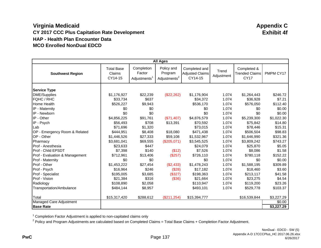|                                |                                        |                                     | <b>All Ages</b>                                   |                                                    |                     |                                                     |            |
|--------------------------------|----------------------------------------|-------------------------------------|---------------------------------------------------|----------------------------------------------------|---------------------|-----------------------------------------------------|------------|
| <b>Southwest Region</b>        | <b>Total Base</b><br>Claims<br>CY14-15 | Completion<br>Factor<br>Adjustments | Policy and<br>Program<br>Adjustments <sup>2</sup> | Completed and<br><b>Adjusted Claims</b><br>CY14-15 | Trend<br>Adjustment | Completed &<br><b>Trended Claims</b><br><b>CY17</b> | PMPM CY17  |
| <b>Service Type</b>            |                                        |                                     |                                                   |                                                    |                     |                                                     |            |
| DME/Supplies                   | \$1,176,927                            | \$22,239                            | (\$22,262)                                        | \$1,176,904                                        | 1.074               | \$1,264,443                                         | \$246.72   |
| <b>FQHC / RHC</b>              | \$33,734                               | \$637                               |                                                   | \$34,372                                           | 1.074               | \$36,928                                            | \$7.21     |
| Home Health                    | \$526,227                              | \$9,943                             |                                                   | \$536,170                                          | 1.074               | \$576,050                                           | \$112.40   |
| IP - Maternity                 | \$0                                    | \$0                                 |                                                   | \$0                                                | 1.074               | \$0                                                 | \$0.00     |
| IP - Newborn                   | \$0                                    | \$0                                 |                                                   | \$0                                                | 1.074               | \$0                                                 | \$0.00     |
| IP - Other                     | \$4,856,225                            | \$91,761                            | (\$71,407)                                        | \$4,876,579                                        | 1.074               | \$5,239,300                                         | \$1,022.30 |
| IP - Psych                     | \$56,493                               | \$708                               | \$13,391                                          | \$70,592                                           | 1.074               | \$75,842                                            | \$14.80    |
| Lab                            | \$71,696                               | \$1,320                             |                                                   | \$73,015                                           | 1.074               | \$78,446                                            | \$15.31    |
| OP - Emergency Room & Related  | \$444,951                              | \$8,408                             | \$18,080                                          | \$471,438                                          | 1.074               | \$506,504                                           | \$98.83    |
| OP - Other                     | \$1,446,526                            | \$27,333                            | \$59,108                                          | \$1,532,967                                        | 1.074               | \$1,646,990                                         | \$321.36   |
| Pharmacy                       | \$3,681,041                            | \$69,555                            | (\$205,071)                                       | \$3,545,525                                        | 1.074               | \$3,809,242                                         | \$743.27   |
| Prof - Anesthesia              | \$23,633                               | \$447                               |                                                   | \$24,079                                           | 1.074               | \$25,870                                            | \$5.05     |
| Prof - Child EPSDT             | \$7,398                                | \$140                               | (\$12)                                            | \$7,526                                            | 1.074               | \$8,086                                             | \$1.58     |
| Prof - Evaluation & Management | \$712,961                              | \$13,406                            | (\$257)                                           | \$726,110                                          | 1.074               | \$780,118                                           | \$152.22   |
| <b>Prof - Maternity</b>        | \$0                                    | \$0                                 |                                                   | \$0                                                | 1.074               | \$0                                                 | \$0.00     |
| Prof - Other                   | \$1,453,222                            | \$27,454                            | (\$2,433)                                         | \$1,478,243                                        | 1.074               | \$1,588,195                                         | \$309.89   |
| Prof - Psych                   | \$16,964                               | \$246                               | (\$28)                                            | \$17,182                                           | 1.074               | \$18,460                                            | \$3.60     |
| Prof - Specialist              | \$195,005                              | \$3,685                             | (\$327)                                           | \$198,363                                          | 1.074               | \$213,117                                           | \$41.58    |
| Prof - Vision                  | \$21,384                               | \$316                               | (\$36)                                            | \$21,664                                           | 1.074               | \$23,275                                            | \$4.54     |
| Radiology                      | \$108,890                              | \$2,058                             |                                                   | \$110,947                                          | 1.074               | \$119,200                                           | \$23.26    |
| Transportation/Ambulance       | \$484,144                              | \$8,957                             |                                                   | \$493,101                                          | 1.074               | \$529,778                                           | \$103.37   |
| Total                          | \$15,317,420                           | \$288,612                           | $(\$211,254)$                                     | \$15,394,777                                       |                     | \$16,539,844                                        | \$3,227.29 |
| Managed Care Adjustment        |                                        |                                     |                                                   |                                                    |                     |                                                     | \$0.00     |
| <b>Base Rate</b>               |                                        |                                     |                                                   |                                                    |                     |                                                     | \$3,227.29 |

<sup>1</sup> Completion Factor Adjustment is applied to non-capitated claims only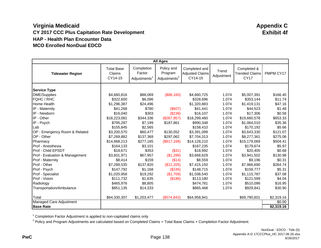|                                |                                        |                                     | <b>All Ages</b>                                   |                                                    |                     |                                                     |            |
|--------------------------------|----------------------------------------|-------------------------------------|---------------------------------------------------|----------------------------------------------------|---------------------|-----------------------------------------------------|------------|
| <b>Tidewater Region</b>        | <b>Total Base</b><br>Claims<br>CY14-15 | Completion<br>Factor<br>Adjustments | Policy and<br>Program<br>Adjustments <sup>2</sup> | Completed and<br><b>Adjusted Claims</b><br>CY14-15 | Trend<br>Adjustment | Completed &<br><b>Trended Claims</b><br><b>CY17</b> | PMPM CY17  |
| <b>Service Type</b>            |                                        |                                     |                                                   |                                                    |                     |                                                     |            |
| DME/Supplies                   | \$4,660,816                            | \$88,069                            | (\$88,160)                                        | \$4,660,725                                        | 1.074               | \$5,007,391                                         | \$166.40   |
| <b>FQHC / RHC</b>              | \$322,600                              | \$6,096                             |                                                   | \$328,696                                          | 1.074               | \$353,144                                           | \$11.74    |
| Home Health                    | \$1,296,387                            | \$24,496                            |                                                   | \$1,320,883                                        | 1.074               | \$1,419,131                                         | \$47.16    |
| IP - Maternity                 | \$41,268                               | \$780                               | (\$607)                                           | \$41,441                                           | 1.074               | \$44,523                                            | \$1.48     |
| IP - Newborn                   | \$16,040                               | \$303                               | (\$236)                                           | \$16,107                                           | 1.074               | \$17,306                                            | \$0.58     |
| IP - Other                     | \$18,223,081                           | \$344,336                           | (\$267,957)                                       | \$18,299,460                                       | 1.074               | \$19,660,578                                        | \$653.33   |
| IP - Psych                     | \$795,287                              | \$7,199                             | \$187,861                                         | \$990,348                                          | 1.074               | \$1,064,010                                         | \$35.36    |
| Lab                            | \$155,845                              | \$2,565                             |                                                   | \$158,410                                          | 1.074               | \$170,192                                           | \$5.66     |
| OP - Emergency Room & Related  | \$3,200,570                            | \$60,477                            | \$130,052                                         | \$3,391,099                                        | 1.074               | \$3,643,330                                         | \$121.07   |
| OP - Other                     | \$7,269,882                            | \$137,369                           | \$297,062                                         | \$7,704,313                                        | 1.074               | \$8,277,361                                         | \$275.06   |
| Pharmacy                       | \$14,668,213                           | \$277,165                           | (\$817,168)                                       | \$14,128,210                                       | 1.074               | \$15,179,069                                        | \$504.41   |
| Prof - Anesthesia              | \$164,133                              | \$3,101                             |                                                   | \$167,235                                          | 1.074               | \$179,674                                           | \$5.97     |
| Prof - Child EPSDT             | \$18,671                               | \$353                               | (\$31)                                            | \$18,992                                           | 1.074               | \$20,405                                            | \$0.68     |
| Prof - Evaluation & Management | \$3,601,971                            | \$67,957                            | (\$1,299)                                         | \$3,668,629                                        | 1.074               | \$3,941,502                                         | \$130.98   |
| <b>Prof - Maternity</b>        | \$8,414                                | \$159                               | (\$14)                                            | \$8,559                                            | 1.074               | \$9,196                                             | \$0.31     |
| Prof - Other                   | \$7,289,535                            | \$137,820                           | (\$12,205)                                        | \$7,415,150                                        | 1.074               | \$7,966,690                                         | \$264.74   |
| Prof - Psych                   | \$147,792                              | \$1,168                             | (\$245)                                           | \$148,715                                          | 1.074               | \$159,777                                           | \$5.31     |
| Prof - Specialist              | \$1,020,958                            | \$19,292                            | (\$1,709)                                         | \$1,038,540                                        | 1.074               | \$1,115,787                                         | \$37.08    |
| Prof - Vision                  | \$111,732                              | \$1,635                             | (\$186)                                           | \$113,180                                          | 1.074               | \$121,599                                           | \$4.04     |
| Radiology                      | \$465,976                              | \$8,805                             |                                                   | \$474,781                                          | 1.074               | \$510,096                                           | \$16.95    |
| Transportation/Ambulance       | \$851,135                              | \$14,333                            |                                                   | \$865,468                                          | 1.074               | \$929,841                                           | \$30.90    |
| Total                          | \$64,330,307                           | \$1,203,477                         | (\$574, 842)                                      | \$64,958,941                                       |                     | \$69,790,601                                        | \$2,319.16 |
| Managed Care Adjustment        |                                        |                                     |                                                   |                                                    |                     |                                                     | \$0.00     |
| <b>Base Rate</b>               |                                        |                                     |                                                   |                                                    |                     |                                                     | \$2,319.16 |

<sup>1</sup> Completion Factor Adjustment is applied to non-capitated claims only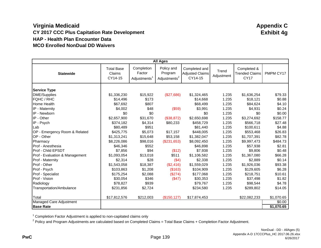|                                 |                                        |                                     | <b>All Ages</b>                                   |                                                    |                     |                                                     |            |
|---------------------------------|----------------------------------------|-------------------------------------|---------------------------------------------------|----------------------------------------------------|---------------------|-----------------------------------------------------|------------|
| <b>Statewide</b>                | <b>Total Base</b><br>Claims<br>CY14-15 | Completion<br>Factor<br>Adjustments | Policy and<br>Program<br>Adjustments <sup>2</sup> | Completed and<br><b>Adjusted Claims</b><br>CY14-15 | Trend<br>Adjustment | Completed &<br><b>Trended Claims</b><br><b>CY17</b> | PMPM CY17  |
| <b>Service Type</b>             |                                        |                                     |                                                   |                                                    |                     |                                                     |            |
| <b>DME/Supplies</b>             | \$1,336,230                            | \$15,922                            | (\$27,686)                                        | \$1,324,465                                        | 1.235               | \$1,636,254                                         | \$79.33    |
| FQHC / RHC                      | \$14,496                               | \$173                               |                                                   | \$14,668                                           | 1.235               | \$18,121                                            | \$0.88     |
| <b>Home Health</b>              | \$67,692                               | \$807                               |                                                   | \$68,499                                           | 1.235               | \$84,624                                            | \$4.10     |
| IP - Maternity                  | \$4,002                                | \$48                                | (\$59)                                            | \$3,991                                            | 1.235               | \$4,931                                             | \$0.24     |
| IP - Newborn                    | \$0                                    | \$0                                 |                                                   | \$0                                                | 1.235               | \$0                                                 | \$0.00     |
| IP - Other                      | \$2,657,900                            | \$31,670                            | (\$38,872)                                        | \$2,650,698                                        | 1.235               | \$3,274,692                                         | \$158.77   |
| IP - Psych                      | \$374,182                              | \$4,314                             | \$80,233                                          | \$458,729                                          | 1.235               | \$566,718                                           | \$27.48    |
| Lab                             | \$80,489                               | \$951                               |                                                   | \$81,440                                           | 1.235               | \$100,611                                           | \$4.88     |
| OP-<br>Emergency Room & Related | \$425,775                              | \$5,073                             | \$17,157                                          | \$448,005                                          | 1.235               | \$553,468                                           | \$26.83    |
| OP - Other                      | \$1,313,241                            | \$15,648                            | \$53,158                                          | \$1,382,047                                        | 1.235               | \$1,707,391                                         | \$82.78    |
| Pharmacy                        | \$8,226,086                            | \$98,016                            | (\$231,653)                                       | \$8,092,450                                        | 1.235               | \$9,997,473                                         | \$484.73   |
| Prof - Anesthesia               | \$46,346                               | \$552                               |                                                   | \$46,898                                           | 1.235               | \$57,938                                            | \$2.81     |
| Prof - Child EPSDT              | \$7,856                                | \$94                                | (\$12)                                            | \$7,938                                            | 1.235               | \$9,806                                             | \$0.48     |
| Prof - Evaluation & Management  | \$1,093,054                            | \$13,018                            | \$511                                             | \$1,106,582                                        | 1.235               | \$1,367,080                                         | \$66.28    |
| Prof - Maternity                | \$2,314                                | \$28                                | (\$4)                                             | \$2,338                                            | 1.235               | \$2,889                                             | \$0.14     |
| Prof - Other                    | \$1,543,058                            | \$18,387                            | (\$2,416)                                         | \$1,559,029                                        | 1.235               | \$1,926,036                                         | \$93.38    |
| Prof - Psych                    | \$103,863                              | \$1,208                             | (\$163)                                           | \$104,909                                          | 1.235               | \$129,605                                           | \$6.28     |
| Prof - Specialist               | \$175,254                              | \$2,088                             | (\$274)                                           | \$177,068                                          | 1.235               | \$218,751                                           | \$10.61    |
| Prof - Vision                   | \$30,054                               | \$346                               | (\$47)                                            | \$30,353                                           | 1.235               | \$37,498                                            | \$1.82     |
| Radiology                       | \$78,827                               | \$939                               |                                                   | \$79,767                                           | 1.235               | \$98,544                                            | \$4.78     |
| Transportation/Ambulance        | \$231,856                              | \$2,724                             |                                                   | \$234,580                                          | 1.235               | \$289,802                                           | \$14.05    |
| Total                           | \$17,812,576                           | \$212,003                           | (\$150, 127)                                      | \$17,874,453                                       |                     | \$22,082,233                                        | \$1,070.65 |
| Managed Care Adjustment         |                                        |                                     |                                                   |                                                    |                     |                                                     | \$0.00     |
| <b>Base Rate</b>                |                                        |                                     |                                                   |                                                    |                     |                                                     | \$1,070.65 |

<sup>1</sup> Completion Factor Adjustment is applied to non-capitated claims only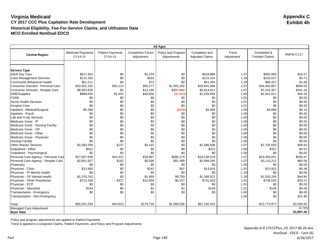|                                      |                                     |                                    |                                        | <b>All Ages</b>                   |                                         |                     |                                      |            |
|--------------------------------------|-------------------------------------|------------------------------------|----------------------------------------|-----------------------------------|-----------------------------------------|---------------------|--------------------------------------|------------|
| <b>Central Region</b>                | <b>Medicaid Payments</b><br>CY14-15 | <b>Patient Payments</b><br>CY14-15 | <b>Completion Factor</b><br>Adjustment | Policy and Program<br>Adjustments | Completed and<br><b>Adjusted Claims</b> | Trend<br>Adjustment | Completed &<br><b>Trended Claims</b> | PMPM CY17  |
|                                      |                                     |                                    |                                        |                                   |                                         |                     |                                      |            |
| <b>Service Type</b>                  |                                     |                                    |                                        |                                   |                                         |                     |                                      |            |
| <b>Adult Day Care</b>                | \$617,653                           | \$0                                | \$1,234                                | \$0                               | \$618,886                               | 1.07                | \$663,909                            | \$18.27    |
| <b>Case Management Services</b>      | \$115,150                           | \$0                                | \$165                                  | \$0                               | \$115,314                               | 1.18                | \$135,627                            | \$3.73     |
| <b>Community Behavioral Health</b>   | \$51,211                            | \$0                                | \$73                                   | \$0                               | \$51,284                                | 1.18                | \$60,317                             | \$1.66     |
| Consumer Directed - Personal Care    | \$32,652,326                        | \$32,214                           | \$65,277                               | \$1,091,192                       | \$33,841,008                            | 1.07                | \$36,302,857                         | \$999.03   |
| Consumer Directed - Respite Care     | \$6,593,838                         | \$0                                | \$13,169                               | \$207,604                         | \$6,814,611                             | 1.07                | \$7,310,357                          | \$201.18   |
| <b>DME/Supplies</b>                  | \$989,099                           | \$1,455                            | \$40,000                               | (\$4,863)                         | \$1,025,692                             | 1.60                | \$1,641,611                          | \$45.18    |
| <b>FQHC</b>                          | \$0                                 | \$0                                | \$0                                    | \$0                               | \$0                                     | 1.01                | \$0                                  | \$0.00     |
| Home Health Services                 | \$0                                 | \$0                                | \$0                                    | \$0                               | \$0                                     | 1.07                | \$0                                  | \$0.00     |
| <b>Hospice Care</b>                  | \$0                                 | \$0                                | \$0                                    | \$0                               | \$0                                     | 1.01                | \$0                                  | \$0.00     |
| Inpatient - Medical/Surgical         | \$5,268                             | \$0                                | \$0                                    | (\$299)                           | \$4,969                                 | 1.00                | \$4,969                              | \$0.14     |
| Inpatient - Psych                    | \$0                                 | \$0                                | \$0                                    | \$0                               | \$0                                     | 1.00                | \$0                                  | \$0.00     |
| Lab and X-ray Services               | \$0                                 | \$0                                | \$0                                    | \$0                               | \$0                                     | 1.60                | \$0                                  | \$0.00     |
| Medicare Xover - IP                  | \$0                                 | \$0                                | \$0                                    | \$0                               | \$0                                     | 1.00                | \$0                                  | \$0.00     |
| Medicare Xover - Nursing Facility    | \$0                                 | \$0                                | \$0                                    | \$0                               | \$0                                     | 1.00                | \$0                                  | \$0.00     |
| Medicare Xover - OP                  | \$0                                 | \$0                                | \$0                                    | \$0                               | \$0                                     | 1.00                | \$0                                  | \$0.00     |
| Medicare Xover - Other               | \$0                                 | \$0                                | \$0                                    | \$0                               | \$0                                     | 1.00                | \$0                                  | \$0.00     |
| Medicare Xover - Physician           | \$0                                 | \$0                                | \$0                                    | \$0                               | \$0                                     | 1.00                | \$0                                  | \$0.00     |
| <b>Nursing Facility</b>              | \$0                                 | \$0                                | \$0                                    | \$0                               | \$0                                     | 1.00                | \$0                                  | \$0.00     |
| <b>Other Waiver Services</b>         | \$1,583,299                         | \$137                              | \$3,162                                | \$0                               | \$1,586,598                             | 1.07                | \$1,702,020                          | \$46.84    |
| Outpatient - Other                   | \$321                               | \$0                                | \$0                                    | \$0                               | \$321                                   | 1.00                | \$321                                | \$0.01     |
| Outpatient - Psychological           | \$0                                 | \$0                                | \$0                                    | \$0                               | \$0                                     | 1.00                | \$0                                  | \$0.00     |
| Personal Care Agency - Personal Care | \$17,507,939                        | \$10,322                           | \$34,987                               | \$585,270                         | \$18,138,519                            | 1.07                | \$19,458,051                         | \$535.47   |
| Personal Care Agency - Respite Care  | \$2,801,927                         | \$182                              | \$5,596                                | \$91,589                          | \$2,899,295                             | 1.07                | \$3,110,212                          | \$85.59    |
| Pharmacy                             | \$0                                 | \$0                                | \$0                                    | \$0                               | \$0                                     | 1.00                | \$0                                  | \$0.00     |
| Physician - Clinic                   | \$13,485                            | \$0                                | \$243                                  | \$97                              | \$13,825                                | 1.01                | \$13,922                             | \$0.38     |
| Physician - IP Mental Health         | \$0                                 | \$0                                | \$0                                    | \$0                               | \$0                                     | 1.18                | \$0                                  | \$0.00     |
| Physician - OP Mental Health         | \$1,376,763                         | \$0                                | \$1,969                                | \$9,789                           | \$1,388,521                             | 1.18                | \$1,633,104                          | \$44.94    |
| Physician - Other Practitioner       | \$713,108                           | \$312                              | \$12,856                               | \$5.157                           | \$731,433                               | 1.01                | \$736,553                            | \$20.27    |
| Physician - PCP                      | \$0                                 | \$0                                | \$0                                    | \$0                               | \$0                                     | 1.01                | \$0                                  | \$0.00     |
| Physician - Specialist               | \$144                               | \$0                                | \$3                                    | \$1                               | \$148                                   | 1.01                | \$149                                | \$0.00     |
| Transportation - Emergency           | \$0                                 | \$0                                | \$0                                    | \$0                               | \$0                                     | 1.60                | \$0                                  | \$0.00     |
| Transportation - Non-Emergency       |                                     |                                    |                                        |                                   |                                         | 1.00                | \$0                                  | \$31.80    |
| Total                                | \$65,021,530                        | \$44,623                           | \$178,734                              | \$1,985,538                       | \$67,230,424                            |                     | \$72,773,977                         | \$2,034.50 |
| Managed Care Adjustment              |                                     |                                    |                                        |                                   |                                         |                     |                                      | $-6.73%$   |
| <b>Base Rate</b>                     |                                     |                                    |                                        |                                   |                                         |                     |                                      | \$1,897.49 |

Policy and program adjustments are applied to Patient Payments.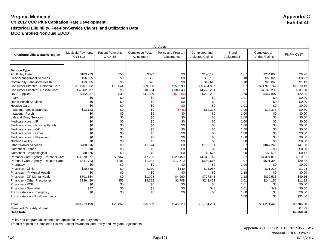| <b>All Ages</b>                       |                                     |                                    |                                        |                                   |                                         |                     |                                      |            |
|---------------------------------------|-------------------------------------|------------------------------------|----------------------------------------|-----------------------------------|-----------------------------------------|---------------------|--------------------------------------|------------|
| <b>Charlottesville Western Region</b> | <b>Medicaid Payments</b><br>CY14-15 | <b>Patient Payments</b><br>CY14-15 | <b>Completion Factor</b><br>Adjustment | Policy and Program<br>Adjustments | Completed and<br><b>Adjusted Claims</b> | Trend<br>Adjustment | Completed &<br><b>Trended Claims</b> | PMPM CY17  |
|                                       |                                     |                                    |                                        |                                   |                                         |                     |                                      |            |
|                                       |                                     |                                    |                                        |                                   |                                         |                     |                                      |            |
| <b>Service Type</b>                   |                                     |                                    |                                        |                                   |                                         |                     |                                      |            |
| <b>Adult Day Care</b>                 | \$189,739                           | \$56                               | \$379                                  | \$0                               | \$190,173                               | 1.07                | \$204,008                            | \$9.96     |
| <b>Case Management Services</b>       | \$56,055                            | \$0                                | \$80                                   | \$0                               | \$56,135                                | 1.18                | \$66,023                             | \$3.22     |
| Community Behavioral Health           | \$19,585                            | \$0                                | \$28                                   | \$0                               | \$19.613                                | 1.18                | \$23,068                             | \$1.13     |
| Consumer Directed - Personal Care     | \$19,707,252                        | \$19,644                           | \$39,398                               | \$658,593                         | \$20,424,887                            | 1.07                | \$21,910,747                         | \$1,070.12 |
| Consumer Directed - Respite Care      | \$4,282,837                         | \$0                                | \$8,554                                | \$134,843                         | \$4,426,234                             | 1.07                | \$4,748,232                          | \$231.90   |
| <b>DME/Supplies</b>                   | \$282,237                           | \$39                               | \$11,399                               | (\$1,386)                         | \$292,290                               | 1.60                | \$467,807                            | \$22.85    |
| <b>FQHC</b>                           | \$0                                 | \$0                                | \$0                                    | \$0                               | \$0                                     | 1.01                | \$0                                  | \$0.00     |
| <b>Home Health Services</b>           | \$0                                 | \$0                                | \$0                                    | \$0                               | \$0                                     | 1.07                | \$0                                  | \$0.00     |
| <b>Hospice Care</b>                   | \$0                                 | \$0                                | \$0                                    | \$0                               | \$0                                     | 1.01                | \$0                                  | \$0.00     |
| Inpatient - Medical/Surgical          | \$13,123                            | \$0                                | \$0                                    | (\$745)                           | \$12,378                                | 1.00                | \$12,378                             | \$0.60     |
| Inpatient - Psych                     | \$0                                 | \$0                                | \$0                                    | \$0                               | \$0                                     | 1.00                | \$0                                  | \$0.00     |
| Lab and X-ray Services                | \$0                                 | \$0                                | \$0                                    | \$0                               | \$0                                     | 1.60                | \$0                                  | \$0.00     |
| Medicare Xover - IP                   | \$0                                 | \$0                                | \$0                                    | \$0                               | \$0                                     | 1.00                | \$0                                  | \$0.00     |
| Medicare Xover - Nursing Facility     | \$0                                 | \$0                                | \$0                                    | \$0                               | \$0                                     | 1.00                | \$0                                  | \$0.00     |
| Medicare Xover - OP                   | \$0                                 | \$0                                | \$0                                    | \$0                               | \$0                                     | 1.00                | \$0                                  | \$0.00     |
| Medicare Xover - Other                | \$0                                 | \$0                                | \$0                                    | \$0                               | \$0                                     | 1.00                | \$0                                  | \$0.00     |
| Medicare Xover - Physician            | \$0                                 | \$0                                | \$0                                    | \$0                               | \$0                                     | 1.00                | \$0                                  | \$0.00     |
| <b>Nursing Facility</b>               | \$0                                 | \$0                                | \$0                                    | \$0                               | \$0                                     | 1.00                | \$0                                  | \$0.00     |
| <b>Other Waiver Services</b>          | \$788,216                           | \$0                                | \$1,574                                | \$0                               | \$789,791                               | 1.07                | \$847,246                            | \$41.38    |
| Outpatient - Other                    | \$0                                 | \$0                                | \$0                                    | \$0                               | \$0                                     | 1.00                | \$0                                  | \$0.00     |
| Outpatient - Psychological            | \$8,576                             | \$0                                | \$0                                    | \$0                               | \$8,576                                 | 1.00                | \$8,576                              | \$0.42     |
| Personal Care Agency - Personal Care  | \$3,870,977                         | \$3,967                            | \$7,739                                | \$129,459                         | \$4,012,142                             | 1.07                | \$4,304,015                          | \$210.21   |
| Personal Care Agency - Respite Care   | \$541,723                           | \$101                              | \$1,082                                | \$17,710                          | \$560,616                               | 1.07                | \$601,399                            | \$29.37    |
| Pharmacy                              | \$0                                 | \$0                                | \$0                                    | \$0                               | \$0                                     | 1.00                | \$0                                  | \$0.00     |
| Physician - Clinic                    | \$20,548                            | \$0                                | \$370                                  | \$149                             | \$21,067                                | 1.01                | \$21,215                             | \$1.04     |
| Physician - IP Mental Health          | \$0                                 | \$0                                | \$0                                    | \$0                               | \$0                                     | 1.18                | \$0                                  | \$0.00     |
| Physician - OP Mental Health          | \$701,854                           | \$0                                | \$1,004                                | \$4,990                           | \$707,848                               | 1.18                | \$832,533                            | \$40.66    |
| Physician - Other Practitioner        | \$236,426                           | \$56                               | \$4,262                                | \$1,709                           | \$242,453                               | 1.01                | \$244,150                            | \$11.92    |
| Physician - PCP                       | \$0                                 | \$0                                | \$0                                    | \$0                               | \$0                                     | 1.01                | \$0                                  | \$0.00     |
| Physician - Specialist                | \$47                                | \$0                                | \$1                                    | \$0                               | \$48                                    | 1.01                | \$49                                 | \$0.00     |
| Transportation - Emergency            | \$0                                 | \$0                                | \$0                                    | \$0                               | \$0                                     | 1.60                | \$0                                  | \$0.00     |
| Transportation - Non-Emergency        |                                     |                                    |                                        |                                   |                                         | 1.00                | \$0                                  | \$31.80    |
|                                       |                                     |                                    |                                        |                                   |                                         |                     |                                      |            |
| Total                                 | \$30,719,198                        | \$23,862                           | \$75,869                               | \$945,323                         | \$31,764,251                            |                     | \$34,291,445                         | \$1,706.60 |
| Managed Care Adjustment               |                                     |                                    |                                        |                                   |                                         |                     |                                      | $-8.12%$   |
| <b>Base Rate</b>                      |                                     |                                    |                                        |                                   |                                         |                     |                                      | \$1,568.08 |

Policy and program adjustments are applied to Patient Payments.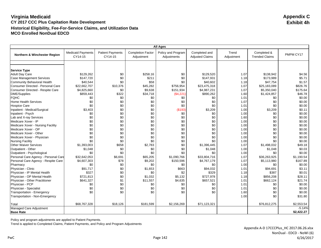|                                      |                                     |                                    |                                        | <b>All Ages</b>                   |                                         |                     |                                      |            |
|--------------------------------------|-------------------------------------|------------------------------------|----------------------------------------|-----------------------------------|-----------------------------------------|---------------------|--------------------------------------|------------|
| Northern & Winchester Region         | <b>Medicaid Payments</b><br>CY14-15 | <b>Patient Payments</b><br>CY14-15 | <b>Completion Factor</b><br>Adjustment | Policy and Program<br>Adjustments | Completed and<br><b>Adjusted Claims</b> | Trend<br>Adjustment | Completed &<br><b>Trended Claims</b> | PMPM CY17  |
|                                      |                                     |                                    |                                        |                                   |                                         |                     |                                      |            |
| <b>Service Type</b>                  |                                     |                                    |                                        |                                   |                                         |                     |                                      |            |
| <b>Adult Day Care</b>                | \$129,262                           | \$0                                | \$258.16                               | \$0                               | \$129,520                               | 1.07                | \$138,942                            | \$4.56     |
| <b>Case Management Services</b>      | \$147,720                           | \$0                                | \$211                                  | \$0                               | \$147,931                               | 1.18                | \$173,989                            | \$5.71     |
| Community Behavioral Health          | \$40,544                            | \$0                                | \$58                                   | \$0                               | \$40,602                                | 1.18                | \$47,754                             | \$1.57     |
| Consumer Directed - Personal Care    | \$22,662,707                        | \$10,376                           | \$45,282                               | \$756,954                         | \$23,475,318                            | 1.07                | \$25,183,089                         | \$826.76   |
| Consumer Directed - Respite Care     | \$4,825,660                         | \$0                                | \$9,638                                | \$151,934                         | \$4,987,231                             | 1.07                | \$5,350,040                          | \$175.64   |
| <b>DME/Supplies</b>                  | \$859,443                           | \$322                              | \$34,718                               | (\$4,221)                         | \$890,262                               | 1.60                | \$1,424,857                          | \$46.78    |
| <b>FQHC</b>                          | \$0                                 | \$0                                | \$0                                    | \$0                               | \$0                                     | 1.01                | \$0                                  | \$0.00     |
| <b>Home Health Services</b>          | \$0                                 | \$0                                | \$0                                    | \$0                               | \$0                                     | 1.07                | \$0                                  | \$0.00     |
| <b>Hospice Care</b>                  | \$0                                 | \$0                                | \$0                                    | \$0                               | \$0                                     | 1.01                | \$0                                  | \$0.00     |
| Inpatient - Medical/Surgical         | \$3,403                             | \$0                                | \$0                                    | (\$193)                           | \$3,209                                 | 1.00                | \$3,209                              | \$0.11     |
| Inpatient - Psych                    | \$0                                 | \$0                                | \$0                                    | \$0                               | \$0                                     | 1.00                | \$0                                  | \$0.00     |
| Lab and X-ray Services               | \$0                                 | \$0                                | \$0                                    | \$0                               | \$0                                     | 1.60                | \$0                                  | \$0.00     |
| Medicare Xover - IP                  | \$0                                 | \$0                                | \$0                                    | \$0                               | \$0                                     | 1.00                | \$0                                  | \$0.00     |
| Medicare Xover - Nursing Facility    | \$0                                 | \$0                                | \$0                                    | \$0                               | \$0                                     | 1.00                | \$0                                  | \$0.00     |
| Medicare Xover - OP                  | \$0                                 | \$0                                | \$0                                    | \$0                               | \$0                                     | 1.00                | \$0                                  | \$0.00     |
| Medicare Xover - Other               | \$0                                 | \$0                                | \$0                                    | \$0                               | \$0                                     | 1.00                | \$0                                  | \$0.00     |
| Medicare Xover - Physician           | \$0                                 | \$0                                | \$0                                    | \$0                               | \$0                                     | 1.00                | \$0                                  | \$0.00     |
| <b>Nursing Facility</b>              | \$0                                 | \$0                                | \$0                                    | \$0                               | \$0                                     | 1.00                | \$0                                  | \$0.00     |
| <b>Other Waiver Services</b>         | \$1,393,003                         | \$658                              | \$2,783                                | \$0                               | \$1,396,445                             | 1.07                | \$1,498,032                          | \$49.18    |
| Outpatient - Other                   | \$1,048                             | \$0                                | \$0                                    | \$0                               | \$1,048                                 | 1.00                | \$1,048                              | \$0.03     |
| Outpatient - Psychological           | \$0                                 | \$0                                | \$0                                    | \$0                               | \$0                                     | 1.00                | \$0                                  | \$0.00     |
| Personal Care Agency - Personal Care | \$32,642,053                        | \$6,691                            | \$65,205                               | \$1,090,766                       | \$33,804,716                            | 1.07                | \$36,263,925                         | \$1,190.54 |
| Personal Care Agency - Respite Care  | \$4,607,303                         | \$78                               | \$9,202                                | \$150,596                         | \$4,767,179                             | 1.07                | \$5,113,980                          | \$167.89   |
| Pharmacy                             | \$0                                 | \$0                                | \$0                                    | \$0                               | \$0                                     | 1.00                | \$0                                  | \$0.00     |
| Physician - Clinic                   | \$91.717                            | \$0                                | \$1,653                                | \$663                             | \$94,032                                | 1.01                | \$94,691                             | \$3.11     |
| Physician - IP Mental Health         | \$327                               | \$0                                | \$0                                    | \$2                               | \$329                                   | 1.18                | \$387                                | \$0.01     |
| Physician - OP Mental Health         | \$721,813                           | \$0                                | \$1,032                                | \$5,132                           | \$727,978                               | 1.18                | \$856,208                            | \$28.11    |
| Physician - Other Practitioner       | \$641,327                           | \$1                                | \$11,557                               | \$4,635                           | \$657,521                               | 1.01                | \$662,124                            | \$21.74    |
| Physician - PCP                      | \$0                                 | \$0                                | \$0                                    | \$0                               | \$0                                     | 1.01                | \$0                                  | \$0.00     |
| Physician - Specialist               | \$0                                 | \$0                                | \$0                                    | \$0                               | \$0                                     | 1.01                | \$0                                  | \$0.00     |
| Transportation - Emergency           | \$0                                 | \$0                                | \$0                                    | \$0                               | \$0                                     | 1.60                | \$0                                  | \$0.00     |
| Transportation - Non-Emergency       |                                     |                                    |                                        |                                   |                                         | 1.00                | \$0                                  | \$31.80    |
| Total                                | \$68,767,328                        | \$18,126                           | \$181,599                              | \$2,156,269                       | \$71,123,321                            |                     | \$76,812,275                         | \$2,553.54 |
| Managed Care Adjustment              |                                     |                                    |                                        |                                   |                                         |                     |                                      | $-5.14%$   |
| <b>Base Rate</b>                     |                                     |                                    |                                        |                                   |                                         |                     |                                      | \$2,422.27 |

Policy and program adjustments are applied to Patient Payments.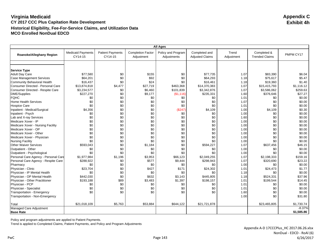|                                      | <b>All Ages</b>                     |                                    |                                        |                                   |                                         |                     |                                      |            |  |  |
|--------------------------------------|-------------------------------------|------------------------------------|----------------------------------------|-----------------------------------|-----------------------------------------|---------------------|--------------------------------------|------------|--|--|
| Roanoke/Alleghany Region             | <b>Medicaid Payments</b><br>CY14-15 | <b>Patient Payments</b><br>CY14-15 | <b>Completion Factor</b><br>Adjustment | Policy and Program<br>Adjustments | Completed and<br><b>Adjusted Claims</b> | Trend<br>Adjustment | Completed &<br><b>Trended Claims</b> | PMPM CY17  |  |  |
|                                      |                                     |                                    |                                        |                                   |                                         |                     |                                      |            |  |  |
| <b>Service Type</b>                  |                                     |                                    |                                        |                                   |                                         |                     |                                      |            |  |  |
| <b>Adult Day Care</b>                | \$77,580                            | \$0                                | \$155                                  | \$0                               | \$77,735                                | 1.07                | \$83,390                             | \$6.04     |  |  |
| <b>Case Management Services</b>      | \$64,201                            | \$0                                | \$92                                   | \$0                               | \$64,293                                | 1.18                | \$75,617                             | \$5.47     |  |  |
| <b>Community Behavioral Health</b>   | \$16,437                            | \$0                                | \$24                                   | \$0                               | \$16,461                                | 1.18                | \$19,360                             | \$1.40     |  |  |
| Consumer Directed - Personal Care    | \$13,874,818                        | \$4,477                            | \$27,719                               | \$463,368                         | \$14,370,383                            | 1.07                | \$15,415,793                         | \$1,116.12 |  |  |
| Consumer Directed - Respite Care     | \$3,234,577                         | \$0                                | \$6,460                                | \$101,839                         | \$3,342,876                             | 1.07                | \$3,586,062                          | \$259.63   |  |  |
| <b>DME/Supplies</b>                  | \$227,270                           | \$0                                | \$9,177                                | ( \$1,116)                        | \$235,331                               | 1.60                | \$376,646                            | \$27.27    |  |  |
| <b>FQHC</b>                          | \$0                                 | \$0                                | \$0                                    | \$0                               | \$0                                     | 1.01                | \$0                                  | \$0.00     |  |  |
| <b>Home Health Services</b>          | \$0                                 | \$0                                | \$0                                    | \$0                               | \$0                                     | 1.07                | \$0                                  | \$0.00     |  |  |
| <b>Hospice Care</b>                  | \$0                                 | \$0                                | \$0                                    | \$0                               | \$0                                     | 1.01                | \$0                                  | \$0.00     |  |  |
| Inpatient - Medical/Surgical         | \$4,356                             | \$0                                | \$0                                    | (\$247)                           | \$4,109                                 | 1.00                | \$4,109                              | \$0.30     |  |  |
| Inpatient - Psych                    | \$0                                 | \$0                                | \$0                                    | \$0                               | \$0                                     | 1.00                | \$0                                  | \$0.00     |  |  |
| Lab and X-ray Services               | \$0                                 | \$0                                | \$0                                    | \$0                               | \$0                                     | 1.60                | \$0                                  | \$0.00     |  |  |
| Medicare Xover - IP                  | \$0                                 | \$0                                | \$0                                    | \$0                               | \$0                                     | 1.00                | \$0                                  | \$0.00     |  |  |
| Medicare Xover - Nursing Facility    | \$0                                 | \$0                                | \$0                                    | \$0                               | \$0                                     | 1.00                | \$0                                  | \$0.00     |  |  |
| Medicare Xover - OP                  | \$0                                 | \$0                                | \$0                                    | \$0                               | \$0                                     | 1.00                | \$0                                  | \$0.00     |  |  |
| Medicare Xover - Other               | \$0                                 | \$0                                | \$0                                    | \$0                               | \$0                                     | 1.00                | \$0                                  | \$0.00     |  |  |
| Medicare Xover - Physician           | \$0                                 | \$0                                | \$0                                    | \$0                               | \$0                                     | 1.00                | \$0                                  | \$0.00     |  |  |
| <b>Nursing Facility</b>              | \$0                                 | \$0                                | \$0                                    | \$0                               | \$0                                     | 1.00                | \$0                                  | \$0.00     |  |  |
| <b>Other Waiver Services</b>         | \$593,043                           | \$0                                | \$1,184                                | \$0                               | \$594,227                               | 1.07                | \$637,456                            | \$46.15    |  |  |
| Outpatient - Other                   | \$0                                 | \$0                                | \$0                                    | \$0                               | \$0                                     | 1.00                | \$0                                  | \$0.00     |  |  |
| Outpatient - Psychological           | \$0                                 | \$0                                | \$0                                    | \$0                               | \$0                                     | 1.00                | \$0                                  | \$0.00     |  |  |
| Personal Care Agency - Personal Care | \$1,977,984                         | \$1,196                            | \$3,953                                | \$66,123                          | \$2,049,255                             | 1.07                | \$2,198,333                          | \$159.16   |  |  |
| Personal Care Agency - Respite Care  | \$288,922                           | \$0                                | \$577                                  | \$9,444                           | \$298,943                               | 1.07                | \$320,690                            | \$23.22    |  |  |
| Pharmacy                             | \$0                                 | \$0                                | \$0                                    | \$0                               | \$0                                     | 1.00                | \$0                                  | \$0.00     |  |  |
| Physician - Clinic                   | \$23,704                            | \$0                                | \$427                                  | \$171                             | \$24,302                                | 1.01                | \$24,473                             | \$1.77     |  |  |
| Physician - IP Mental Health         | \$0                                 | \$0                                | \$0                                    | \$0                               | \$0                                     | 1.18                | \$0                                  | \$0.00     |  |  |
| Physician - OP Mental Health         | \$442,030                           | \$0                                | \$632                                  | \$3,143                           | \$445,805                               | 1.18                | \$524,331                            | \$37.96    |  |  |
| Physician - Other Practitioner       | \$193,188                           | \$89                               | \$3,483                                | \$1,397                           | \$198,157                               | 1.01                | \$199,544                            | \$14.45    |  |  |
| Physician - PCP                      | \$0                                 | \$0                                | \$0                                    | \$0                               | \$0                                     | 1.01                | \$0                                  | \$0.00     |  |  |
| Physician - Specialist               | \$0                                 | \$0                                | \$0                                    | \$0                               | \$0                                     | 1.01                | \$0                                  | \$0.00     |  |  |
| Transportation - Emergency           | \$0                                 | \$0                                | \$0                                    | \$0                               | \$0                                     | 1.60                | \$0                                  | \$0.00     |  |  |
| Transportation - Non-Emergency       |                                     |                                    |                                        |                                   |                                         | 1.00                | \$0                                  | \$31.80    |  |  |
| Total                                | \$21,018,109                        | \$5,763                            | \$53,884                               | \$644,122                         | \$21,721,878                            |                     | \$23,465,805                         | \$1,730.74 |  |  |
| Managed Care Adjustment              |                                     |                                    |                                        |                                   |                                         |                     |                                      | $-8.37%$   |  |  |
| <b>Base Rate</b>                     |                                     |                                    |                                        |                                   |                                         |                     |                                      | \$1,585.86 |  |  |

Policy and program adjustments are applied to Patient Payments.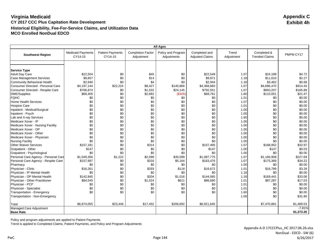|                                      |                                     |                                    |                                        | <b>All Ages</b>                   |                                         |                     |                                      |            |
|--------------------------------------|-------------------------------------|------------------------------------|----------------------------------------|-----------------------------------|-----------------------------------------|---------------------|--------------------------------------|------------|
| <b>Southwest Region</b>              | <b>Medicaid Payments</b><br>CY14-15 | <b>Patient Payments</b><br>CY14-15 | <b>Completion Factor</b><br>Adjustment | Policy and Program<br>Adjustments | Completed and<br><b>Adjusted Claims</b> | Trend<br>Adjustment | Completed &<br><b>Trended Claims</b> | PMPM CY17  |
|                                      |                                     |                                    |                                        |                                   |                                         |                     |                                      |            |
| <b>Service Type</b>                  |                                     |                                    |                                        |                                   |                                         |                     |                                      |            |
| <b>Adult Day Care</b>                | \$22,504                            | \$0                                | \$45                                   | \$0                               | \$22,549                                | 1.07                | \$24,189                             | \$4.72     |
| <b>Case Management Services</b>      | \$9,857                             | \$0                                | \$14                                   | \$0                               | \$9,871                                 | 1.18                | \$11,610                             | \$2.27     |
| Community Behavioral Health          | \$2,940                             | \$0                                | \$4                                    | \$0                               | \$2,944                                 | 1.18                | \$3,462                              | \$0.68     |
| Consumer Directed - Personal Care    | \$4,197,144                         | \$22,224                           | \$8,427                                | \$140,866                         | \$4,368,660                             | 1.07                | \$4,686,470                          | \$914.43   |
| Consumer Directed - Respite Care     | \$766,874                           | \$0                                | \$1,532                                | \$24,145                          | \$792,551                               | 1.07                | \$850,207                            | \$165.89   |
| <b>DME/Supplies</b>                  | \$66,405                            | \$0                                | \$2,682                                | (\$326)                           | \$68,761                                | 1.60                | \$110,051                            | \$21.47    |
| <b>FQHC</b>                          | \$0                                 | \$0                                | \$0                                    | \$0                               | \$0                                     | 1.01                | \$0                                  | \$0.00     |
| <b>Home Health Services</b>          | \$0                                 | \$0                                | \$0                                    | \$0                               | \$0                                     | 1.07                | \$0                                  | \$0.00     |
| <b>Hospice Care</b>                  | \$0                                 | \$0                                | \$0                                    | \$0                               | \$0                                     | 1.01                | \$0                                  | \$0.00     |
| Inpatient - Medical/Surgical         | \$0                                 | \$0                                | \$0                                    | \$0                               | \$0                                     | 1.00                | \$0                                  | \$0.00     |
| Inpatient - Psych                    | \$0                                 | \$0                                | \$0                                    | \$0                               | \$0                                     | 1.00                | \$0                                  | \$0.00     |
| Lab and X-ray Services               | \$0                                 | \$0                                | \$0                                    | \$0                               | \$0                                     | 1.60                | \$0                                  | \$0.00     |
| Medicare Xover - IP                  | \$0                                 | \$0                                | \$0                                    | \$0                               | \$0                                     | 1.00                | \$0                                  | \$0.00     |
| Medicare Xover - Nursing Facility    | \$0                                 | \$0                                | \$0                                    | \$0                               | \$0                                     | 1.00                | \$0                                  | \$0.00     |
| Medicare Xover - OP                  | \$0                                 | \$0                                | \$0                                    | \$0                               | \$0                                     | 1.00                | \$0                                  | \$0.00     |
| Medicare Xover - Other               | \$0                                 | \$0                                | \$0                                    | \$0                               | \$0                                     | 1.00                | \$0                                  | \$0.00     |
| Medicare Xover - Physician           | \$0                                 | \$0                                | \$0                                    | \$0                               | \$0                                     | 1.00                | \$0                                  | \$0.00     |
| <b>Nursing Facility</b>              | \$0                                 | \$0                                | \$0                                    | \$0                               | \$0                                     | 1.00                | \$0                                  | \$0.00     |
| <b>Other Waiver Services</b>         | \$157,181                           | \$0                                | \$314                                  | \$0                               | \$157,495                               | 1.07                | \$168,952                            | \$32.97    |
| Outpatient - Other                   | \$147                               | \$0                                | \$0                                    | \$0                               | \$147                                   | 1.00                | \$147                                | \$0.03     |
| Outpatient - Psychological           | \$0                                 | \$0                                | \$0                                    | \$0                               | \$0                                     | 1.00                | \$0                                  | \$0.00     |
| Personal Care Agency - Personal Care | \$1,049,356                         | \$1,222                            | \$2,098                                | \$35,099                          | \$1,087,775                             | 1.07                | \$1,166,908                          | \$227.69   |
| Personal Care Agency - Respite Care  | \$157,997                           | \$0                                | \$316                                  | \$5,164                           | \$163,476                               | 1.07                | \$175,369                            | \$34.22    |
| Pharmacy                             | \$0                                 | \$0                                | \$0                                    | \$0                               | \$0                                     | 1.00                | \$0                                  | \$0.00     |
| Physician - Clinic                   | \$16,261                            | \$0                                | \$293                                  | \$118                             | \$16,672                                | 1.01                | \$16,789                             | \$3.28     |
| Physician - IP Mental Health         | \$0                                 | \$0                                | \$0                                    | \$0                               | \$0                                     | 1.18                | \$0                                  | \$0.00     |
| Physician - OP Mental Health         | \$142,845                           | \$0                                | \$204                                  | \$1,016                           | \$144,065                               | 1.18                | \$169,441                            | \$33.06    |
| Physician - Other Practitioner       | \$84,545                            | \$0                                | \$1,524                                | \$611                             | \$86,680                                | 1.01                | \$87,287                             | \$17.03    |
| Physician - PCP                      | \$0                                 | \$0                                | \$0                                    | \$0                               | \$0                                     | 1.01                | \$0                                  | \$0.00     |
| Physician - Specialist               | \$0                                 | \$0                                | \$0                                    | \$0                               | \$0                                     | 1.01                | \$0                                  | \$0.00     |
| Transportation - Emergency           | \$0                                 | \$0                                | \$0                                    | \$0                               | \$0                                     | 1.60                | \$0                                  | \$0.00     |
| Transportation - Non-Emergency       |                                     |                                    |                                        |                                   |                                         | 1.00                | \$0                                  | \$31.80    |
| Total                                | \$6,674,055                         | \$23,446                           | \$17,452                               | \$206,692                         | \$6,921,645                             |                     | \$7,470,881                          | \$1,489.53 |
| Managed Care Adjustment              |                                     |                                    |                                        |                                   |                                         |                     |                                      | $-7.81%$   |
| <b>Base Rate</b>                     |                                     |                                    |                                        |                                   |                                         |                     |                                      | \$1,373.26 |

Policy and program adjustments are applied to Patient Payments.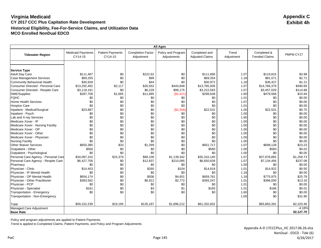|                                      | <b>All Ages</b>                     |                                    |                                        |                                   |                                         |                     |                                      |            |  |  |
|--------------------------------------|-------------------------------------|------------------------------------|----------------------------------------|-----------------------------------|-----------------------------------------|---------------------|--------------------------------------|------------|--|--|
| <b>Tidewater Region</b>              | <b>Medicaid Payments</b><br>CY14-15 | <b>Patient Payments</b><br>CY14-15 | <b>Completion Factor</b><br>Adjustment | Policy and Program<br>Adjustments | Completed and<br><b>Adjusted Claims</b> | Trend<br>Adjustment | Completed &<br><b>Trended Claims</b> | PMPM CY17  |  |  |
|                                      |                                     |                                    |                                        |                                   |                                         |                     |                                      |            |  |  |
| <b>Service Type</b>                  |                                     |                                    |                                        |                                   |                                         |                     |                                      |            |  |  |
| <b>Adult Day Care</b>                | \$111,467                           | \$0                                | \$222.62                               | \$0                               | \$111,690                               | 1.07                | \$119,815                            | \$3.98     |  |  |
| <b>Case Management Services</b>      | \$69,255                            | \$0                                | \$99                                   | \$0                               | \$69,354                                | 1.18                | \$81,571                             | \$2.71     |  |  |
| Community Behavioral Health          | \$30,928                            | \$0                                | \$44                                   | \$0                               | \$30,972                                | 1.18                | \$36,427                             | \$1.21     |  |  |
| Consumer Directed - Personal Care    | \$13,292,492                        | \$2,117                            | \$26,552                               | \$443,848                         | \$13,765,009                            | 1.07                | \$14,766,379                         | \$490.69   |  |  |
| Consumer Directed - Respite Care     | \$3,118,191                         | \$0                                | \$6,228                                | \$98,175                          | \$3,222,593                             | 1.07                | \$3,457,029                          | \$114.88   |  |  |
| <b>DME/Supplies</b>                  | \$287,708                           | \$1,665                            | \$11,685                               | (\$1,421)                         | \$299,638                               | 1.60                | \$479,568                            | \$15.94    |  |  |
| <b>FQHC</b>                          | \$0                                 | \$0                                | \$0                                    | \$0                               | \$0                                     | 1.01                | \$0                                  | \$0.00     |  |  |
| <b>Home Health Services</b>          | \$0                                 | \$0                                | \$0                                    | \$0                               | \$0                                     | 1.07                | \$0                                  | \$0.00     |  |  |
| <b>Hospice Care</b>                  | \$0                                 | \$0                                | \$0                                    | \$0                               | \$0                                     | 1.01                | \$0                                  | \$0.00     |  |  |
| Inpatient - Medical/Surgical         | \$23,887                            | \$0                                | \$0                                    | (\$1,356)                         | \$22,531                                | 1.00                | \$22,531                             | \$0.75     |  |  |
| Inpatient - Psych                    | \$0                                 | \$0                                | \$0                                    | \$0                               | \$0                                     | 1.00                | \$0                                  | \$0.00     |  |  |
| Lab and X-ray Services               | \$0                                 | \$0                                | \$0                                    | \$0                               | \$0                                     | 1.60                | \$0                                  | \$0.00     |  |  |
| Medicare Xover - IP                  | \$0                                 | \$0                                | \$0                                    | \$0                               | \$0                                     | 1.00                | \$0                                  | \$0.00     |  |  |
| Medicare Xover - Nursing Facility    | \$0                                 | \$0                                | \$0                                    | \$0                               | \$0                                     | 1.00                | \$0                                  | \$0.00     |  |  |
| Medicare Xover - OP                  | \$0                                 | \$0                                | \$0                                    | \$0                               | \$0                                     | 1.00                | \$0                                  | \$0.00     |  |  |
| Medicare Xover - Other               | \$0                                 | \$0                                | \$0                                    | \$0                               | \$0                                     | 1.00                | \$0                                  | \$0.00     |  |  |
| Medicare Xover - Physician           | \$0                                 | \$0                                | \$0                                    | \$0                               | \$0                                     | 1.00                | \$0                                  | \$0.00     |  |  |
| <b>Nursing Facility</b>              | \$0                                 | \$0                                | \$0                                    | \$0                               | \$0                                     | 1.00                | \$0                                  | \$0.00     |  |  |
| <b>Other Waiver Services</b>         | \$650,385                           | \$33                               | \$1,299                                | \$0                               | \$651,717                               | 1.07                | \$699,128                            | \$23.23    |  |  |
| Outpatient - Other                   | \$560                               | \$0                                | \$0                                    | \$0                               | \$560                                   | 1.00                | \$560                                | \$0.02     |  |  |
| Outpatient - Psychological           | \$0                                 | \$0                                | \$0                                    | \$0                               | \$0                                     | 1.00                | \$0                                  | \$0.00     |  |  |
| Personal Care Agency - Personal Care | \$34,087,310                        | \$15,379                           | \$68,109                               | \$1,139,342                       | \$35,310,140                            | 1.07                | \$37,878,865                         | \$1,258.73 |  |  |
| Personal Care Agency - Respite Care  | \$6,427,706                         | \$0                                | \$12,837                               | \$210,095                         | \$6,650,639                             | 1.07                | \$7,134,456                          | \$237.08   |  |  |
| Pharmacy                             | \$0                                 | \$0                                | \$0                                    | \$0                               | \$0                                     | 1.00                | \$0                                  | \$0.00     |  |  |
| Physician - Clinic                   | \$14,453                            | \$0                                | \$260                                  | \$104                             | \$14,818                                | 1.01                | \$14,922                             | \$0.50     |  |  |
| Physician - IP Mental Health         | \$0                                 | \$0                                | \$0                                    | \$0                               | \$0                                     | 1.18                | \$0                                  | \$0.00     |  |  |
| Physician - OP Mental Health         | \$654,174                           | \$0                                | \$936                                  | \$4,651                           | \$659,761                               | 1.18                | \$775,975                            | \$25.79    |  |  |
| Physician - Other Practitioner       | \$383,562                           | \$0                                | \$6,912                                | \$2.772                           | \$393,247                               | 1.01                | \$396,000                            | \$13.16    |  |  |
| Physician - PCP                      | \$0                                 | \$0                                | \$0                                    | \$0                               | \$0                                     | 1.01                | \$0                                  | \$0.00     |  |  |
| Physician - Specialist               | \$161                               | \$0                                | \$3                                    | \$1                               | \$165                                   | 1.01                | \$166                                | \$0.01     |  |  |
| Transportation - Emergency           | \$0                                 | \$0                                | \$0                                    | \$0                               | \$0                                     | 1.60                | \$0                                  | \$0.00     |  |  |
| Transportation - Non-Emergency       |                                     |                                    |                                        |                                   |                                         | 1.00                | \$0                                  | \$31.80    |  |  |
| Total                                | \$59,152,239                        | \$19,195                           | \$135,187                              | \$1,896,212                       | \$61,202,832                            |                     | \$65,863,391                         | \$2,220.46 |  |  |
| Managed Care Adjustment              |                                     |                                    |                                        |                                   |                                         |                     |                                      | $-4.18%$   |  |  |
| <b>Base Rate</b>                     |                                     |                                    |                                        |                                   |                                         |                     |                                      | \$2,127.70 |  |  |

Policy and program adjustments are applied to Patient Payments.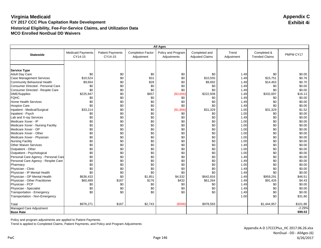|                                      | <b>All Ages</b>                     |                                    |                                        |                                   |                                         |                     |                                      |           |  |  |
|--------------------------------------|-------------------------------------|------------------------------------|----------------------------------------|-----------------------------------|-----------------------------------------|---------------------|--------------------------------------|-----------|--|--|
| <b>Statewide</b>                     | <b>Medicaid Payments</b><br>CY14-15 | <b>Patient Payments</b><br>CY14-15 | <b>Completion Factor</b><br>Adjustment | Policy and Program<br>Adjustments | Completed and<br><b>Adjusted Claims</b> | Trend<br>Adjustment | Completed &<br><b>Trended Claims</b> | PMPM CY17 |  |  |
|                                      |                                     |                                    |                                        |                                   |                                         |                     |                                      |           |  |  |
|                                      |                                     |                                    |                                        |                                   |                                         |                     |                                      |           |  |  |
| <b>Service Type</b>                  |                                     |                                    |                                        |                                   |                                         |                     |                                      |           |  |  |
| <b>Adult Day Care</b>                | \$0                                 | \$0                                | \$0                                    | \$0                               | \$0                                     | 1.49                | \$0                                  | \$0.00    |  |  |
| <b>Case Management Services</b>      | \$10,524                            | \$0                                | \$31                                   | \$0                               | \$10,555                                | 1.49                | \$15,751                             | \$0.76    |  |  |
| Community Behavioral Health          | \$9,664                             | \$0                                | \$28                                   | \$0                               | \$9,692                                 | 1.49                | \$14,463                             | \$0.70    |  |  |
| Consumer Directed - Personal Care    | \$0                                 | \$0                                | \$0                                    | \$0                               | \$0                                     | 1.49                | \$0                                  | \$0.00    |  |  |
| Consumer Directed - Respite Care     | \$0                                 | \$0                                | \$0                                    | \$0                               | \$0                                     | 1.49                | \$0                                  | \$0.00    |  |  |
| <b>DME/Supplies</b>                  | \$225,947                           | \$0                                | \$657                                  | (\$3,666)                         | \$222,938                               | 1.49                | \$332,697                            | \$16.13   |  |  |
| <b>FQHC</b>                          | \$0                                 | \$0                                | \$0                                    | \$0                               | \$0                                     | 1.49                | \$0                                  | \$0.00    |  |  |
| Home Health Services                 | \$0                                 | \$0                                | \$0                                    | \$0                               | \$0                                     | 1.49                | \$0                                  | \$0.00    |  |  |
| <b>Hospice Care</b>                  | \$0                                 | \$0                                | \$0                                    | \$0                               | \$0                                     | 1.49                | \$0                                  | \$0.00    |  |  |
| Inpatient - Medical/Surgical         | \$33,214                            | \$0                                | \$0                                    | (\$1,886)                         | \$31,329                                | 1.00                | \$31,329                             | \$1.52    |  |  |
| Inpatient - Psych                    | \$0                                 | \$0                                | \$0                                    | \$0                               | \$0                                     | 1.00                | \$0                                  | \$0.00    |  |  |
| Lab and X-ray Services               | \$0                                 | \$0                                | \$0                                    | \$0                               | \$0                                     | 1.49                | \$0                                  | \$0.00    |  |  |
| Medicare Xover - IP                  | \$0                                 | \$0                                | \$0                                    | \$0                               | \$0                                     | 1.00                | \$0                                  | \$0.00    |  |  |
| Medicare Xover - Nursing Facility    | \$0                                 | \$0                                | \$0                                    | \$0                               | \$0                                     | 1.00                | \$0                                  | \$0.00    |  |  |
| Medicare Xover - OP                  | \$0                                 | \$0                                | \$0                                    | \$0                               | \$0                                     | 1.00                | \$0                                  | \$0.00    |  |  |
| Medicare Xover - Other               | \$0                                 | \$0                                | \$0                                    | \$0                               | \$0                                     | 1.00                | \$0                                  | \$0.00    |  |  |
| Medicare Xover - Physician           | \$0                                 | \$0                                | \$0                                    | \$0                               | \$0                                     | 1.00                | \$0                                  | \$0.00    |  |  |
| <b>Nursing Facility</b>              | \$0                                 | \$0                                | \$0                                    | \$0                               | \$0                                     | 1.00                | \$0                                  | \$0.00    |  |  |
| <b>Other Waiver Services</b>         | \$0                                 | \$0                                | \$0                                    | \$0                               | \$0                                     | 1.49                | \$0                                  | \$0.00    |  |  |
| Outpatient - Other                   | \$0                                 | \$0                                | \$0                                    | \$0                               | \$0                                     | 1.00                | \$0                                  | \$0.00    |  |  |
| Outpatient - Psychological           | \$0                                 | \$0                                | \$0                                    | \$0                               | \$0                                     | 1.00                | \$0                                  | \$0.00    |  |  |
| Personal Care Agency - Personal Care | \$0                                 | \$0                                | \$0                                    | \$0                               | \$0                                     | 1.49                | \$0                                  | \$0.00    |  |  |
| Personal Care Agency - Respite Care  | \$0                                 | \$0                                | \$0                                    | \$0                               | \$0                                     | 1.49                | \$0                                  | \$0.00    |  |  |
| Pharmacy                             | \$0                                 | \$0                                | \$0                                    | \$0                               | \$0                                     | 1.00                | \$0                                  | \$0.00    |  |  |
| Physician - Clinic                   | \$0                                 | \$0                                | \$0                                    | \$0                               | \$0                                     | 1.49                | \$0                                  | \$0.00    |  |  |
| Physician - IP Mental Health         | \$0                                 | \$0                                | \$0                                    | \$0                               | \$0                                     | 1.49                | \$0                                  | \$0.00    |  |  |
| Physician - OP Mental Health         | \$636,433                           | \$0                                | \$1,851                                | \$4,532                           | \$642,816                               | 1.49                | \$959,291                            | \$46.51   |  |  |
| Physician - Other Practitioner       | \$60,489                            | \$167                              | \$176                                  | \$432                             | \$61,264                                | 1.49                | \$91,426                             | \$4.43    |  |  |
| Physician - PCP                      | \$0                                 | \$0                                | \$0                                    | \$0                               | \$0                                     | 1.49                | \$0                                  | \$0.00    |  |  |
| Physician - Specialist               | \$0                                 | \$0                                | \$0                                    | \$0                               | \$0                                     | 1.49                | \$0                                  | \$0.00    |  |  |
| Transportation - Emergency           | \$0                                 | \$0                                | \$0                                    | \$0                               | \$0                                     | 1.49                | \$0                                  | \$0.00    |  |  |
| Transportation - Non-Emergency       |                                     |                                    |                                        |                                   |                                         | 1.00                | \$0                                  | \$31.80   |  |  |
| Total                                | \$976,271                           | \$167                              | \$2,743                                | (\$588)                           | \$978,593                               |                     | \$1,444,957                          | \$101.86  |  |  |
| Managed Care Adjustment              |                                     |                                    |                                        |                                   |                                         |                     |                                      | $-2.29%$  |  |  |
| <b>Base Rate</b>                     |                                     |                                    |                                        |                                   |                                         |                     |                                      | \$99.53   |  |  |

Policy and program adjustments are applied to Patient Payments.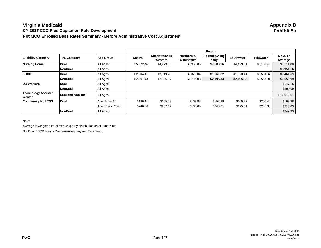### **Virginia Medicaid Appendix D CY 2017 CCC Plus Capitation Rate Development Not MCO Enrolled Base Rates Summary - Before Administrative Cost Adjustment**

|                                      |                     |                 |                |                                   |                          | Region                |            |            |                    |
|--------------------------------------|---------------------|-----------------|----------------|-----------------------------------|--------------------------|-----------------------|------------|------------|--------------------|
| <b>Eligbility Category</b>           | <b>TPL Category</b> | Age Group       | <b>Central</b> | <b>Charlottesville</b><br>Western | Northern &<br>Winchester | Roanoke/Alleg<br>hany | Southwest  | Tidewater  | CY 2017<br>Average |
| <b>Nursing Home</b>                  | Dual                | All Ages        | \$5,072.46     | \$4,979.30                        | \$5,958.85               | \$4,880.96            | \$4,429.81 | \$5,155.40 | \$5,111.08         |
|                                      | <b>NonDual</b>      | All Ages        |                |                                   |                          |                       |            |            | \$8,951.16         |
| <b>EDCD</b>                          | Dual                | All Ages        | \$2,304.41     | \$2,019.22                        | \$3.375.04               | \$1,961.82            | \$1,573.41 | \$2,581.87 | \$2,461.69         |
|                                      | NonDual             | All Ages        | \$2,397.43     | \$2,105.87                        | \$2,796.08               | \$2,195.33            | \$2,195.33 | \$2,557.94 | \$2,550.99         |
| <b>DD Waivers</b>                    | Dual                | All Ages        |                |                                   |                          |                       |            |            | \$147.15           |
|                                      | NonDual             | All Ages        |                |                                   |                          |                       |            |            | \$890.69           |
| <b>Technology Assisted</b><br>Waiver | Dual and NonDual    | All Ages        |                |                                   |                          |                       |            |            | \$12,513.67        |
| <b>Community No LTSS</b>             | Dual                | Age Under 65    | \$196.11       | \$155.79                          | \$169.88                 | \$152.99              | \$109.77   | \$205.46   | \$163.88           |
|                                      |                     | Age 65 and Over | \$246.06       | \$257.62                          | \$160.05                 | \$348.81              | \$175.61   | \$238.83   | \$213.69           |
|                                      | NonDual             | All Ages        |                |                                   |                          |                       |            |            | \$342.33           |

Note:

Average is weighted enrollment eligibility distribution as of June 2016

NonDual EDCD blends Roanoke/Alleghany and Southwest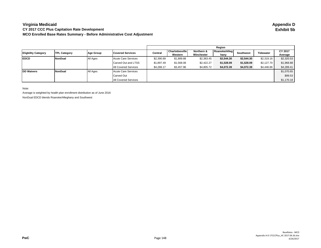#### **Virginia Medicaid CY 2017 CCC Plus Capitation Rate Development MCO Enrolled Base Rates Summary - Before Administrative Cost Adjustment**

|                            |                     |           |                             |            |                 |            | Reaion        |                  |                  |            |
|----------------------------|---------------------|-----------|-----------------------------|------------|-----------------|------------|---------------|------------------|------------------|------------|
| <b>Eligbility Category</b> | <b>TPL Category</b> | Age Group | <b>Covered Services</b>     | Central    | Charlottesville | Northern & | Roanoke/Alleg | <b>Southwest</b> | <b>Tidewater</b> | CY 2017    |
|                            |                     |           |                             |            | Western         | Winchester | hany          |                  |                  | Average    |
| <b>EDCD</b>                | <b>NonDual</b>      | All Ages  | Acute Care Services         | \$2,390.69 | \$1,889.88      | \$2,383.45 | \$2,544.30    | \$2,544.30       | \$2,319.16       | \$2,320.53 |
|                            |                     |           | Carved Out and LTSS         | \$1,897.49 | \$1,568.08      | \$2,422.27 | \$1,528.09    | \$1,528.09       | \$2,127.70       | \$1,968.88 |
|                            |                     |           | <b>All Covered Services</b> | \$4,288.17 | \$3,457.96      | \$4,805.72 | \$4,072.39    | \$4,072.39       | \$4,446.86       | \$4,289.41 |
| <b>DD Waivers</b>          | <b>NonDual</b>      | All Ages  | <b>Acute Care Services</b>  |            |                 |            |               |                  |                  | \$1,070.65 |
|                            |                     |           | Carved Out                  |            |                 |            |               |                  |                  | \$99.53    |
|                            |                     |           | <b>All Covered Services</b> |            |                 |            |               |                  |                  | \$1,170.18 |

Note:

Average is weighted by health plan enrollment distribution as of June 2016 NonDual EDCD blends Roanoke/Alleghany and Southwest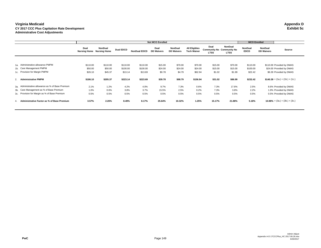#### **Virginia Medicaid Appendix D CY 2017 CCC Plus Capitation Rate Development Exhibit 5c Administrative Cost Adjustments**

|                |                                                   | <b>Not MCO Enrolled</b>                  |          |                  |                     |                           |                              |                                            |                                                         | <b>MCO Enrolled</b>    |                        |                              |                                   |
|----------------|---------------------------------------------------|------------------------------------------|----------|------------------|---------------------|---------------------------|------------------------------|--------------------------------------------|---------------------------------------------------------|------------------------|------------------------|------------------------------|-----------------------------------|
|                |                                                   | Dual<br><b>Nursing Home</b> Nursing Home | NonDual  | <b>Dual EDCD</b> | <b>NonDual EDCD</b> | Dual<br><b>DD Waivers</b> | NonDual<br><b>DD Waivers</b> | <b>All Eligibles</b><br><b>Tech Waiver</b> | Dual<br><b>Community No Community No</b><br><b>LTSS</b> | NonDual<br><b>LTSS</b> | NonDual<br><b>EDCD</b> | NonDual<br><b>DD Waivers</b> | Source                            |
|                |                                                   |                                          |          |                  |                     |                           |                              |                                            |                                                         |                        |                        |                              |                                   |
|                | 1a. Administrative allowance PMPM                 | \$110.00                                 | \$110.00 | \$110.00         | \$110.00            | \$15.00                   | \$70.00                      | \$70.00                                    | \$15.00                                                 | \$70.00                | \$110.00               |                              | \$110.00 Provided by DMAS         |
|                | 1b. Care Management PMPM                          | \$50.00                                  | \$50.00  | \$100.00         | \$100.00            | \$24.00                   | \$24.00                      | \$24.00                                    | \$15.00                                                 | \$15.00                | \$100.00               |                              | \$24.00 Provided by DMAS          |
|                | 1c. Provision for Margin PMPM                     | \$26.10                                  | \$45.37  | \$13.14          | \$13.69             | \$0.78                    | \$4.79                       | \$62.94                                    | \$1.02                                                  | \$1.99                 | \$22.42                |                              | \$6.39 Provided by DMAS           |
| 2.             | <b>Administrative PMPM</b>                        | \$186.10                                 | \$205.37 | \$223.14         | \$223.69            | \$39.78                   | \$98.79                      | \$156.94                                   | \$31.02                                                 | \$86.99                | \$232.42               |                              | $$140.39 = (1a.) + (1b.) + (1c.)$ |
|                | 3a. Administrative allowance as % of Base Premium | 2.1%                                     | 1.2%     | 4.2%             | 4.0%                | 9.7%                      | 7.3%                         | 0.6%                                       | 7.3%                                                    | 17.6%                  | 2.5%                   |                              | 8.6% Provided by DMAS             |
|                | 3b. Care Management as % of Base Premium          | 1.0%                                     | 0.6%     | 3.8%             | 3.7%                | 15.5%                     | 2.5%                         | 0.2%                                       | 7.3%                                                    | 3.8%                   | 2.2%                   |                              | 1.9% Provided by DMAS             |
|                | 3c. Provision for Margin as % of Base Premium     | 0.5%                                     | 0.5%     | 0.5%             | 0.5%                | 0.5%                      | 0.5%                         | 0.5%                                       | 0.5%                                                    | 0.5%                   | 0.5%                   |                              | 0.5% Provided by DMAS             |
| $\overline{4}$ | Administrative Factor as % of Base Premium        | 3.57%                                    | 2.26%    | 8.49%            | 8.17%               | 25.64%                    | 10.32%                       | 1.25%                                      | 15.17%                                                  | 21.88%                 | 5.18%                  |                              | $10.98\% = (3a.) + (3b.) + (3c.)$ |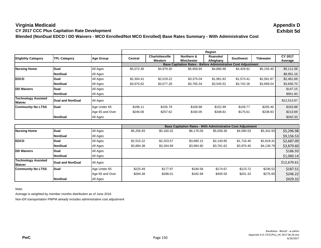**Virginia Medicaid Appendix D CY 2017 CCC Plus Capitation Rate Development** 

**Blended (NonDual EDCD / DD Waivers - MCO Enrolled/Not MCO Enrolled) Base Rates Summary - With Administrative Cost**

|                                      |                         |                  |                |                                   |                                                                      | Region                |                  |                  |                    |
|--------------------------------------|-------------------------|------------------|----------------|-----------------------------------|----------------------------------------------------------------------|-----------------------|------------------|------------------|--------------------|
| <b>Eligbility Category</b>           | <b>TPL Category</b>     | <b>Age Group</b> | <b>Central</b> | <b>Charlottesville</b><br>Western | Northern &<br>Winchester                                             | Roanoke/<br>Alleghany | <b>Southwest</b> | <b>Tidewater</b> | CY 2017<br>Average |
|                                      |                         |                  |                |                                   | <b>Base Capitation Rates - Before Administrative Cost Adjustment</b> |                       |                  |                  |                    |
| <b>Nursing Home</b>                  | Dual                    | All Ages         | \$5,072.46     | \$4,979.30                        | \$5,958.85                                                           | \$4,880.96            | \$4,429.81       | \$5,155.40       | \$5,111.08         |
|                                      | <b>NonDual</b>          | All Ages         |                |                                   |                                                                      |                       |                  |                  | \$8,951.16         |
| <b>EDCD</b>                          | Dual                    | All Ages         | \$2,304.41     | \$2,019.22                        | \$3,375.04                                                           | \$1,961.82            | \$1,573.41       | \$2,581.87       | \$2,461.69         |
|                                      | <b>NonDual</b>          | All Ages         | \$3,670.62     | \$3,077.28                        | \$3,765.34                                                           | \$3,545.52            | \$3,742.26       | \$3,899.04       | \$3,656.70         |
| <b>DD Waivers</b>                    | Dual                    | All Ages         |                |                                   |                                                                      |                       |                  |                  | \$147.15           |
|                                      | NonDual                 | All Ages         |                |                                   |                                                                      |                       |                  |                  | \$951.90           |
| <b>Technology Assisted</b><br>Waiver | <b>Dual and NonDual</b> | All Ages         |                |                                   |                                                                      |                       |                  |                  | \$12,513.67        |
| <b>Community No LTSS</b>             | Dual                    | Age Under 65     | \$196.11       | \$155.79                          | \$169.88                                                             | \$152.99              | \$109.77         | \$205.46         | \$163.88           |
|                                      |                         | Age 65 and Over  | \$246.06       | \$257.62                          | \$160.05                                                             | \$348.81              | \$175.61         | \$238.83         | \$213.69           |
|                                      | <b>NonDual</b>          | All Ages         |                |                                   |                                                                      |                       |                  |                  | \$342.33           |

|                                             |                  |                 |            |            | <b>Base Capitation Rates - With Administrative Cost Adjustment</b> |            |            |            |             |
|---------------------------------------------|------------------|-----------------|------------|------------|--------------------------------------------------------------------|------------|------------|------------|-------------|
| <b>Nursing Home</b>                         | <b>Dual</b>      | All Ages        | \$5,256.93 | \$5.160.32 | \$6.176.09                                                         | \$5,058,36 | \$4,590.53 | \$5,342.93 | \$5,296.98  |
|                                             | <b>NonDual</b>   | All Ages        |            |            |                                                                    |            |            |            | \$9,156.53  |
| <b>EDCD</b>                                 | <b>IDual</b>     | All Ages        | \$2,515.22 | \$2,203.57 | \$3,685.15                                                         | \$2,140.85 | \$1.716.40 | \$2,818.41 | \$2,687.09  |
|                                             | <b>NonDual</b>   | All Ages        | \$3,894.38 | \$3,264.69 | \$3,994.90                                                         | \$3,761.62 | \$3,970.40 | \$4,136.79 | \$3,879.60  |
| <b>DD Waivers</b>                           | Dual             | All Ages        |            |            |                                                                    |            |            |            | \$186.93    |
|                                             | <b>NonDual</b>   | All Ages        |            |            |                                                                    |            |            |            | \$1,060.14  |
| <b>Technology Assisted</b><br><b>Waiver</b> | Dual and NonDual | All Ages        |            |            |                                                                    |            |            |            | \$12,670.61 |
| <b>Community No LTSS</b>                    | <b>Dual</b>      | Age Under 65    | \$225.49   | \$177.97   | \$194.58                                                           | \$174.67   | \$123.72   | \$236.52   | \$187.51    |
|                                             |                  | Age 65 and Over | \$284.38   | \$298.01   | \$182.99                                                           | \$405.50   | \$201.33   | \$275.85   | \$246.22    |
|                                             | <b>NonDual</b>   | All Ages        |            |            |                                                                    |            |            |            | \$429.32    |

Note:

Average is weighted by member months distribution as of June 2016

Non-ER transportation PMPM already includes administrative cost adjustment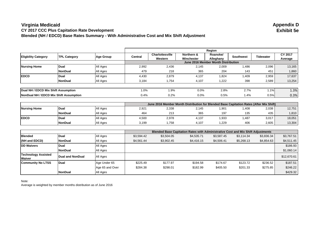### **Virginia Medicaid Appendix D CY 2017 CCC Plus Capitation Rate Development Blended (NH / EDCD) Base Rates Summary - With Administrative Cost and Mix Shift Adjustment**

|                                        |                     |                                                      | Region                                                       |                 |            |                                     |                  |                  |         |  |  |
|----------------------------------------|---------------------|------------------------------------------------------|--------------------------------------------------------------|-----------------|------------|-------------------------------------|------------------|------------------|---------|--|--|
| <b>Eligbility Category</b>             | <b>TPL Category</b> | <b>Age Group</b>                                     | Central                                                      | Charlottesville | Northern & | Roanoke/                            | <b>Southwest</b> | <b>Tidewater</b> | CY 2017 |  |  |
|                                        |                     |                                                      |                                                              | Western         | Winchester | Alleghany                           |                  |                  | Average |  |  |
|                                        |                     |                                                      |                                                              |                 |            | June 2016 Member Month Distribution |                  |                  |         |  |  |
| <b>Nursing Home</b>                    | Dual                | All Ages                                             | 13,165<br>2,436<br>2,992<br>2,009<br>2,096<br>2,145<br>1,486 |                 |            |                                     |                  |                  |         |  |  |
|                                        | NonDual             | All Ages                                             | 479                                                          | 218             | 365        | 204                                 | 143              | 451              | 1,860   |  |  |
| <b>EDCD</b>                            | Dual                | All Ages                                             | 4,430                                                        | 2,879           | 4,137      | 1,824                               | 1,409            | 2,959            | 17,637  |  |  |
|                                        | NonDual             | All Ages                                             | 3,184                                                        | 1,754           | 4,107      | 1,222                               | 398              | 2,589            | 13,254  |  |  |
|                                        |                     |                                                      |                                                              |                 |            |                                     |                  |                  |         |  |  |
| Dual NH / EDCD Mix Shift Assumption    |                     | 1.3%<br>1.0%<br>1.9%<br>2.7%<br>1.1%<br>0.0%<br>2.8% |                                                              |                 |            |                                     |                  |                  |         |  |  |
| NonDual NH / EDCD Mix Shift Assumption |                     |                                                      | 0.4%                                                         | 0.2%            | 0.0%       | 0.5%                                | 1.4%             | 0.5%             | 0.3%    |  |  |

|                     |              |                 | June 2016 Member Month Distribution for Blended Base Capitation Rates (After Mix Shift) |       |       |        |      |       |        |  |
|---------------------|--------------|-----------------|-----------------------------------------------------------------------------------------|-------|-------|--------|------|-------|--------|--|
| <b>Nursing Home</b> | <b>Dual</b>  | <b>All Ages</b> | 2,921                                                                                   | 2,338 | 2,145 | 901. ا | .408 | 2.038 | 12,751 |  |
|                     | NonDual      | <b>All Ages</b> | 464                                                                                     | 213   | 365   | 197    | 135  | 435   | 1,810  |  |
| <b>IEDCD</b>        | <b>IDual</b> | All Ages        | 4,500                                                                                   | 2,978 | 4,137 | 1,933  | .487 | 3,017 | 18,051 |  |
|                     | NonDual      | <b>All Ages</b> | 3.199                                                                                   | 1,758 | 4.107 | 1.229  | 406  | 2,605 | 13,304 |  |

|                                      |                  |                 |            | <b>Blended Base Capitation Rates with Administrative Cost and Mix Shift Adjustments</b> |            |            |            |            |             |
|--------------------------------------|------------------|-----------------|------------|-----------------------------------------------------------------------------------------|------------|------------|------------|------------|-------------|
| <b>Blended</b>                       | <b>Dual</b>      | All Ages        | \$3,594.42 | \$3,504.05                                                                              | \$4,535.71 | \$3,587.45 | \$3,114.34 | \$3,836.34 | \$3,767.51  |
| (NH and EDCD)                        | <b>NonDual</b>   | All Ages        | \$4,561.44 | \$3,902.45                                                                              | \$4,416.15 | \$4,506.41 | \$5,268.13 | \$4,854.63 | \$4,511.45  |
| <b>DD Waivers</b>                    | Dual             | All Ages        |            |                                                                                         |            |            |            |            | \$186.93    |
|                                      | <b>NonDual</b>   | All Ages        |            |                                                                                         |            |            |            |            | \$1,060.14  |
| <b>Technology Assisted</b><br>Waiver | Dual and NonDual | All Ages        |            |                                                                                         |            |            |            |            | \$12,670.61 |
| <b>Community No LTSS</b>             | <b>Dual</b>      | Age Under 65    | \$225.49   | \$177.97                                                                                | \$194.58   | \$174.67   | \$123.72   | \$236.52   | \$187.51    |
|                                      |                  | Age 65 and Over | \$284.38   | \$298.01                                                                                | \$182.99   | \$405.50   | \$201.33   | \$275.85   | \$246.22    |
|                                      | <b>NonDual</b>   | All Ages        |            |                                                                                         |            |            |            |            | \$429.32    |

Note:

Average is weighted by member months distribution as of June 2016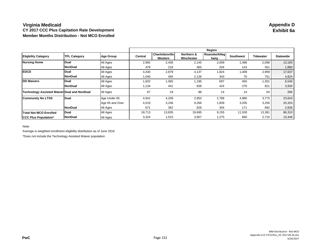### **Virginia Medicaid Appendix D CY 2017 CCC Plus Capitation Rate Development Member Months Distribution - Not MCO Enrolled**

|                                                    |                     |                  |         |                                   |                          | Region                |                  |           |                  |
|----------------------------------------------------|---------------------|------------------|---------|-----------------------------------|--------------------------|-----------------------|------------------|-----------|------------------|
| <b>Eligbility Category</b>                         | <b>TPL Category</b> | <b>Age Group</b> | Central | <b>Charlottesville</b><br>Western | Northern &<br>Winchester | Roanoke/Alleg<br>hany | <b>Southwest</b> | Tidewater | <b>Statewide</b> |
| <b>Nursing Home</b>                                | Dual                | All Ages         | 2,992   | 2,436                             | 2,145                    | 2,009                 | 1,486            | 2,096     | 13,165           |
|                                                    | <b>NonDual</b>      | All Ages         | 479     | 218                               | 365                      | 204                   | 143              | 451       | 1,860            |
| <b>EDCD</b>                                        | <b>Dual</b>         | All Ages         | 4,430   | 2,879                             | 4,137                    | 1,824                 | 1,409            | 2,959     | 17,637           |
|                                                    | <b>NonDual</b>      | All Ages         | 1,040   | 494                               | 2,126                    | 343                   | 70               | 751       | 4,824            |
| <b>IDD Waivers</b>                                 | Dual                | All Ages         | 1,832   | 1,065                             | 1,195                    | 697                   | 450              | 1,301     | 6,540            |
|                                                    | <b>NonDual</b>      | All Ages         | 1,134   | 441                               | 838                      | 424                   | 276              | 821       | 3,934            |
| <b>Technology Assisted Waiver Dual and NonDual</b> |                     | All Ages         | 67      | 19                                | 98                       | 14                    | 14               | 54        | 266              |
| <b>Community No LTSS</b>                           | Dual                | Age Under 65     | 4,941   | 4,209                             | 2,953                    | 2,786                 | 4,980            | 3,775     | 23,643           |
|                                                    |                     | Age 65 and Over  | 4,519   | 3,246                             | 9,266                    | 1,839                 | 3,205            | 3,250     | 25,324           |
|                                                    | <b>NonDual</b>      | All Ages         | 671     | 362                               | 628                      | 304                   | 171              | 692       | 2,828            |
| <b>Total Not MCO Enrolled</b>                      | <b>Dual</b>         | All Ages         | 18,713  | 13,835                            | 19,695                   | 9,155                 | 11,530           | 13,381    | 86,310           |
| <b>ICCC Plus Population*</b>                       | <b>NonDual</b>      | All Ages         | 3,324   | 1,515                             | 3,957                    | 1,275                 | 660              | 2,715     | 13,446           |

Note:

Average is weighted enrollment eligibility distribution as of June 2016

\*Does not include the Technology Assisted Waiver population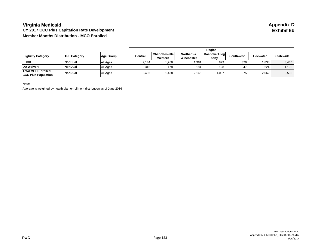#### **Virginia Medicaid Appendix D CY 2017 CCC Plus Capitation Rate Development Member Months Distribution - MCO Enrolled**

|                                                         |                     |                  |         |                            |                          | Region                |                  |                  |                  |
|---------------------------------------------------------|---------------------|------------------|---------|----------------------------|--------------------------|-----------------------|------------------|------------------|------------------|
| <b>Eligbility Category</b>                              | <b>TPL Category</b> | <b>Age Group</b> | Central | Charlottesville<br>Western | Northern &<br>Winchester | Roanoke/Alleg<br>hany | <b>Southwest</b> | <b>Tidewater</b> | <b>Statewide</b> |
| <b>EDCD</b>                                             | NonDual             | All Ages         | 2.144   | .260                       | 981,                     | 879                   | 328              | .838             | 8,430            |
| <b>DD Waivers</b>                                       | NonDual             | All Ages         | 342     | 178                        | 184                      | 128                   | 47               | 224              | ,103             |
| <b>Total MCO Enrolled</b><br><b>CCC Plus Population</b> | NonDual             | All Ages         | 2,486   | .438                       | 2,165                    | 1,007                 | 375              | 2,062            | 9,533            |

Note:

Average is weighted by health plan enrollment distribution as of June 2016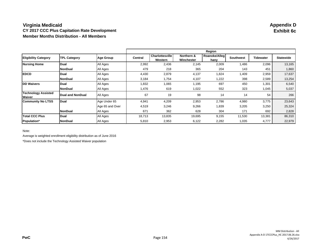## **Virginia Medicaid Appendix D CY 2017 CCC Plus Capitation Rate Development Member Months Distribution - All Members**

|                                      |                     |                  | Region  |                                   |                          |                       |                  |           |                  |  |
|--------------------------------------|---------------------|------------------|---------|-----------------------------------|--------------------------|-----------------------|------------------|-----------|------------------|--|
| <b>Eligibility Category</b>          | <b>TPL Category</b> | <b>Age Group</b> | Central | <b>Charlottesville</b><br>Western | Northern &<br>Winchester | Roanoke/Alleg<br>hany | <b>Southwest</b> | Tidewater | <b>Statewide</b> |  |
| <b>Nursing Home</b>                  | Dual                | All Ages         | 2,992   | 2,436                             | 2,145                    | 2,009                 | 1,486            | 2,096     | 13,165           |  |
|                                      | <b>NonDual</b>      | All Ages         | 479     | 218                               | 365                      | 204                   | 143              | 451       | 1,860            |  |
| <b>EDCD</b>                          | Dual                | All Ages         | 4,430   | 2,879                             | 4,137                    | 1,824                 | 1,409            | 2,959     | 17,637           |  |
|                                      | <b>NonDual</b>      | All Ages         | 3,184   | 1,754                             | 4,107                    | 1,222                 | 398              | 2,589     | 13,254           |  |
| <b>DD Waivers</b>                    | Dual                | All Ages         | 1,832   | 1,065                             | 1,195                    | 697                   | 450              | 1,301     | 6,540            |  |
|                                      | <b>NonDual</b>      | All Ages         | 1,476   | 619                               | 1,022                    | 552                   | 323              | 1,045     | 5,037            |  |
| <b>Technology Assisted</b><br>Waiver | Dual and NonDual    | All Ages         | 67      | 19                                | 98                       | 14                    | 14               | 54        | 266              |  |
| <b>Community No LTSS</b>             | Dual                | Age Under 65     | 4,941   | 4,209                             | 2,953                    | 2,786                 | 4,980            | 3,775     | 23,643           |  |
|                                      |                     | Age 65 and Over  | 4,519   | 3,246                             | 9,266                    | 1,839                 | 3,205            | 3,250     | 25,324           |  |
|                                      | <b>NonDual</b>      | All Ages         | 671     | 362                               | 628                      | 304                   | 171              | 692       | 2,828            |  |
| <b>Total CCC Plus</b>                | Dual                | All Ages         | 18,713  | 13,835                            | 19,695                   | 9,155                 | 11,530           | 13,381    | 86,310           |  |
| Population*                          | <b>NonDual</b>      | All Ages         | 5,810   | 2,953                             | 6,122                    | 2,282                 | 1,035            | 4,777     | 22,979           |  |

Note:

Average is weighted enrollment eligibility distribution as of June 2016

\*Does not include the Technology Assisted Waiver population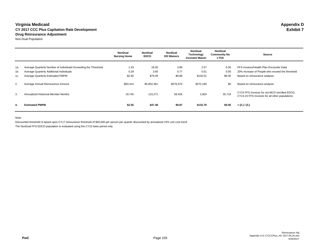#### **Virginia Medicaid Appendix D CY 2017 CCC Plus Capitation Rate Development Drug Reinsurance Adjustment**

Non-Dual Population

|     |                                                                 | <b>NonDual</b><br><b>Nursing Home</b> | <b>NonDual</b><br><b>EDCD</b> | <b>NonDual</b><br><b>DD Waivers</b> | <b>NonDual</b><br>Technology<br><b>Assisted Waiver</b> | <b>NonDual</b><br><b>Community No</b><br><b>LTSS</b> | Source                                                                                         |
|-----|-----------------------------------------------------------------|---------------------------------------|-------------------------------|-------------------------------------|--------------------------------------------------------|------------------------------------------------------|------------------------------------------------------------------------------------------------|
|     |                                                                 |                                       |                               |                                     |                                                        |                                                      |                                                                                                |
| 1a. | Average Quarterly Number of Individuals Exceeding the Threshold | 1.43                                  | 18.00                         | 3.86                                | 2.57                                                   | 0.00                                                 | FFS Invoices/Health Plan Encounter Data                                                        |
| 1b. | Average Quarterly Additional Individuals                        | 0.29                                  | 3.60                          | 0.77                                | 0.51                                                   | 0.00                                                 | 20% Increase of People who exceed the threshold                                                |
| 1c. | Average Quarterly Estimated PMPM                                | \$2.60                                | \$79.59                       | \$9.88                              | \$130.51                                               | \$0.00                                               | Based on reinsurance analysis                                                                  |
| 2.  | Average Annual Reinsurance Amount                               | \$50,414                              | \$5,852,361                   | \$576,570                           | \$372,180                                              | \$0                                                  | Based on reinsurance analysis                                                                  |
| 3.  | Annualized Historical Member Months                             | 19,745                                | 123,271                       | 58,428                              | 2,803                                                  | 35,719                                               | CY15 FFS Invoices for not MCO enrolled EDCD;<br>CY14-15 FFS Invoices for all other populations |
| 4.  | <b>Estimated PMPM</b>                                           | \$2.55                                | \$47.48                       | \$9.87                              | \$132.78                                               | \$0.00                                               | $= (2.) / (3.)$                                                                                |

Note:

Discounted threshold is based upon CY17 reinsurance threshold of \$50,000 per person per quarter discounted by annualized 15% unit cost trend

The NonDual FFS EDCD population is evaluated using the CY15 base period only.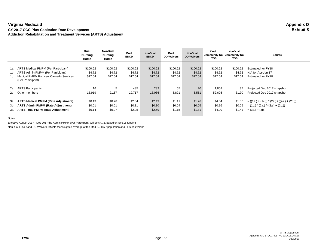**Virginia Medicaid Appendix D CY 2017 CCC Plus Capitation Rate Development Addiction Rehabilitation and Treatment Services (ARTS) Adjustment**

|     |                                                                                                                                                 | Dual<br><b>Nursing</b><br>Home | <b>NonDual</b><br>Nursing<br>Home | Dual<br><b>EDCD</b>           | <b>NonDual</b><br><b>EDCD</b> | Dual<br><b>DD Waivers</b>     | <b>NonDual</b><br><b>DD Waivers</b> | Dual<br><b>Community No Community No</b><br><b>LTSS</b> | <b>NonDual</b><br><b>LTSS</b> | <b>Source</b>                                                  |
|-----|-------------------------------------------------------------------------------------------------------------------------------------------------|--------------------------------|-----------------------------------|-------------------------------|-------------------------------|-------------------------------|-------------------------------------|---------------------------------------------------------|-------------------------------|----------------------------------------------------------------|
| 1a. | ARTS Medical PMPM (Per Participant)<br>1b. ARTS Admin PMPM (Per Participant)<br>1c. Medical PMPM For New Carve-In Services<br>(Per Participant) | \$100.62<br>\$4.72<br>\$17.64  | \$100.62<br>\$4.72<br>\$17.64     | \$100.62<br>\$4.72<br>\$17.64 | \$100.62<br>\$4.72<br>\$17.64 | \$100.62<br>\$4.72<br>\$17.64 | \$100.62<br>\$4.72<br>\$17.64       | \$100.62<br>\$4.72<br>\$17.64                           | \$100.62<br>\$4.72<br>\$17.64 | Estimated for FY18<br>N/A for Apr-Jun 17<br>Estimated for FY18 |
| 2a. | <b>ARTS Participants</b>                                                                                                                        | 16                             | 5                                 | 485                           | 282                           | 65                            | 70                                  | 1,858                                                   | 37                            | Projected Dec 2017 snapshot                                    |
|     | 2b. Other members                                                                                                                               | 13,919                         | 2,167                             | 19.717                        | 13,086                        | 6,891                         | 6,561                               | 52,605                                                  | 3.170                         | Projected Dec 2017 snapshot                                    |
| 3а. | <b>ARTS Medical PMPM (Rate Adjustment)</b>                                                                                                      | \$0.13                         | \$0.26                            | \$2.84                        | \$2.49                        | \$1.11                        | \$1.26                              | \$4.04                                                  | \$1.36                        | $= ((1a.)+(1c.))*(2a.)/(2a.)+(2b.))$                           |
|     | 3b. ARTS Admin PMPM (Rate Adjustment)                                                                                                           | \$0.01                         | \$0.01                            | \$0.11                        | \$0.10                        | \$0.04                        | \$0.05                              | \$0.16                                                  | \$0.05                        | $=$ (1b.) $*(2a.) / ((2a.) + (2b.))$                           |
|     | 3c. ARTS Total PMPM (Rate Adjustment)                                                                                                           | \$0.14                         | \$0.27                            | \$2.95                        | \$2.59                        | \$1.15                        | \$1.31                              | \$4.20                                                  | \$1.41                        | $= (3a.) + (3b.)$                                              |

Notes

Effective August 2017 - Dec 2017 the Admin PMPM (Per Participant) will be \$4.72, based on SFY18 funding

NonDual EDCD and DD Waivers reflects the weighted average of the Med 3.0 HAP population and FFS equivalent.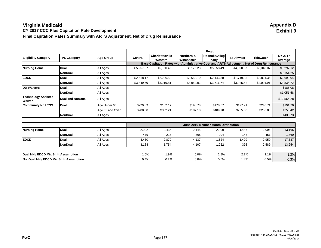## **Virginia Medicaid Appendix D CY 2017 CCC Plus Capitation Rate Development Final Capitation Rates Summary with ARTS Adjustment, Net of Drug Reinsurance**

|                                      |                     |                  | Region     |                                   |                                                                                             |                       |            |                  |                    |
|--------------------------------------|---------------------|------------------|------------|-----------------------------------|---------------------------------------------------------------------------------------------|-----------------------|------------|------------------|--------------------|
| <b>Eligibility Category</b>          | <b>TPL Category</b> | <b>Age Group</b> | Central    | <b>Charlottesville</b><br>Western | Northern &<br>Winchester                                                                    | Roanoke/Alleg<br>hany | Southwest  | <b>Tidewater</b> | CY 2017<br>Average |
|                                      |                     |                  |            |                                   | Base Capitation Rates with Administrative Cost and ARTS Adjustment, Net of Drug Reinsurance |                       |            |                  |                    |
| <b>Nursing Home</b>                  | <b>Dual</b>         | All Ages         | \$5,257.07 | \$5,160.46                        | \$6,176.23                                                                                  | \$5,058.49            | \$4.590.67 | \$5,343.07       | \$5,297.12         |
|                                      | <b>NonDual</b>      | All Ages         |            |                                   |                                                                                             |                       |            |                  | \$9,154.25         |
| <b>EDCD</b>                          | Dual                | All Ages         | \$2,518.17 | \$2,206.52                        | \$3,688.10                                                                                  | \$2,143.80            | \$1,719.35 | \$2,821.36       | \$2,690.04         |
|                                      | <b>NonDual</b>      | All Ages         | \$3,849.50 | \$3,219.81                        | \$3,950.02                                                                                  | \$3,716.74            | \$3,925.52 | \$4,091.91       | \$3,834.72         |
| <b>DD Waivers</b>                    | Dual                | All Ages         |            |                                   |                                                                                             |                       |            |                  | \$188.08           |
|                                      | NonDual             | All Ages         |            |                                   |                                                                                             |                       |            |                  | \$1,051.58         |
| <b>Technology Assisted</b><br>Waiver | Dual and NonDual    | All Ages         |            |                                   |                                                                                             |                       |            |                  | \$12,564.28        |
| <b>Community No LTSS</b>             | Dual                | Age Under 65     | \$229.69   | \$182.17                          | \$198.78                                                                                    | \$178.87              | \$127.91   | \$240.71         | \$191.70           |
|                                      |                     | Age 65 and Over  | \$288.58   | \$302.21                          | \$187.18                                                                                    | \$409.70              | \$205.53   | \$280.05         | \$250.42           |
|                                      | NonDual             | All Ages         |            |                                   |                                                                                             |                       |            |                  | \$430.73           |

|                                        |                |          | June 2016 Member Month Distribution |       |       |        |       |       |        |  |  |  |
|----------------------------------------|----------------|----------|-------------------------------------|-------|-------|--------|-------|-------|--------|--|--|--|
| <b>Nursing Home</b>                    | <b>Dual</b>    | All Ages | 2,992                               | 2,436 | 2,145 | 2,009  | 1,486 | 2,096 | 13,165 |  |  |  |
|                                        | <b>NonDual</b> | All Ages | 479                                 | 218   | 365   | 204    | 143   | 451   | 1,860  |  |  |  |
| <b>IEDCD</b>                           | Dual           | All Ages | 4,430                               | 2,879 | 4,137 | 1,824  | 1,409 | 2,959 | 17,637 |  |  |  |
|                                        | <b>NonDual</b> | All Ages | 3,184                               | 1,754 | 4,107 | 1,222  | 398   | 2,589 | 13,254 |  |  |  |
|                                        |                |          |                                     |       |       |        |       |       |        |  |  |  |
| Dual NH / EDCD Mix Shift Assumption    | 1.0%           | 1.9%     | 0.0%                                | 2.8%  | 2.7%  | $.1\%$ | 1.3%  |       |        |  |  |  |
| NonDual NH / EDCD Mix Shift Assumption | 0.4%           | 0.2%     | 0.0%                                | 0.5%  | 1.4%  | 0.5%   | 0.3%  |       |        |  |  |  |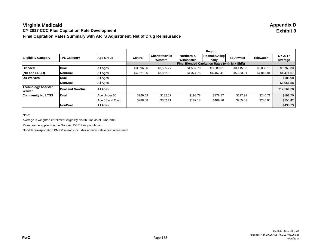### **Virginia Medicaid Appendix D CY 2017 CCC Plus Capitation Rate Development Final Capitation Rates Summary with ARTS Adjustment, Net of Drug Reinsurance**

|                                      |                     |                 |                                                        |                            |                          | Region                |                  |                  |                    |  |
|--------------------------------------|---------------------|-----------------|--------------------------------------------------------|----------------------------|--------------------------|-----------------------|------------------|------------------|--------------------|--|
| <b>Eligibility Category</b>          | <b>TPL Category</b> | Age Group       | <b>Central</b>                                         | Charlottesville<br>Western | Northern &<br>Winchester | Roanoke/Alleg<br>hany | <b>Southwest</b> | <b>Tidewater</b> | CY 2017<br>Average |  |
|                                      |                     |                 | <b>Final Blended Capitation Rates (with Mix Shift)</b> |                            |                          |                       |                  |                  |                    |  |
| <b>Blended</b>                       | <b>Dual</b>         | All Ages        | \$3,596.26                                             | \$3,505.77                 | \$4,537.70               | \$3,589.01            | \$3,115.93       | \$3,838.16       | \$3,769.30         |  |
| (NH and EDCD)                        | <b>NonDual</b>      | All Ages        | \$4,521.96                                             | \$3,862.18                 | \$4,374.75               | \$4,467.41            | \$5,233.91       | \$4,815.84       | \$4,471.67         |  |
| <b>DD Waivers</b>                    | Dual                | All Ages        |                                                        |                            |                          |                       |                  |                  | \$188.08           |  |
|                                      | <b>NonDual</b>      | All Ages        |                                                        |                            |                          |                       |                  |                  | \$1,051.58         |  |
| <b>Technology Assisted</b><br>Waiver | Dual and NonDual    | All Ages        |                                                        |                            |                          |                       |                  |                  | \$12,564.28        |  |
| <b>Community No LTSS</b>             | Dual                | Age Under 65    | \$229.69                                               | \$182.17                   | \$198.78                 | \$178.87              | \$127.91         | \$240.71         | \$191.70           |  |
|                                      |                     | Age 65 and Over | \$288.58                                               | \$302.21                   | \$187.18                 | \$409.70              | \$205.53         | \$280.05         | \$250.42           |  |
|                                      | <b>NonDual</b>      | All Ages        |                                                        |                            |                          |                       |                  |                  | \$430.73           |  |

Note:

Average is weighted enrollment eligibility distribution as of June 2016

Reinsurance applied on the Nondual CCC Plus population

Non-ER transportation PMPM already includes administrative cost adjustment